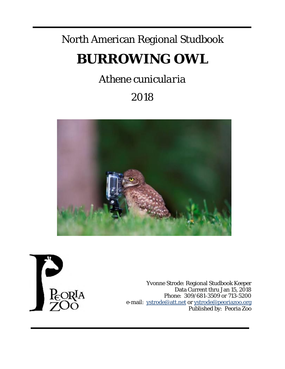# North American Regional Studbook **BURROWING OWL**

# *Athene cunicularia*

# 2018





Yvonne Strode: Regional Studbook Keeper Data Current thru Jan 15, 2018 Phone: 309/681-3509 or 713-5200 e-mail: [ystrode@att.net](mailto:ystrode@att.net) or [ystrode@peoriazoo.org](mailto:ystrode@peoriazoo.org) Published by: Peoria Zoo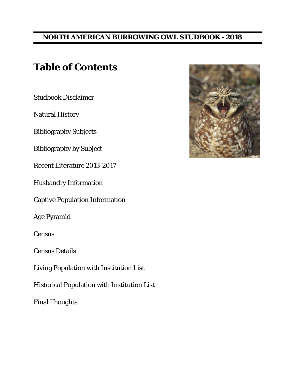# **Table of Contents**

Studbook Disclaimer

Natural History

Bibliography Subjects

Bibliography by Subject

Recent Literature 2013-2017

Husbandry Information

Captive Population Information

Age Pyramid

**Census** 

Census Details

Living Population with Institution List

Historical Population with Institution List

Final Thoughts

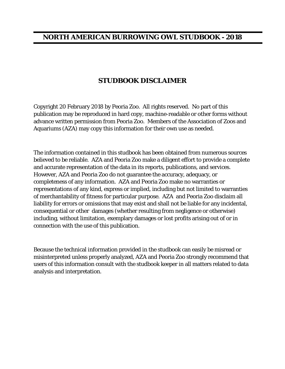#### **STUDBOOK DISCLAIMER**

Copyright 20 February 2018 by Peoria Zoo. All rights reserved. No part of this publication may be reproduced in hard copy, machine-readable or other forms without advance written permission from Peoria Zoo. Members of the Association of Zoos and Aquariums (AZA) may copy this information for their own use as needed.

The information contained in this studbook has been obtained from numerous sources believed to be reliable. AZA and Peoria Zoo make a diligent effort to provide a complete and accurate representation of the data in its reports, publications, and services. However, AZA and Peoria Zoo do not guarantee the accuracy, adequacy, or completeness of any information. AZA and Peoria Zoo make no warranties or representations of any kind, express or implied, including but not limited to warranties of merchantability of fitness for particular purpose. AZA and Peoria Zoo disclaim all liability for errors or omissions that may exist and shall not be liable for any incidental, consequential or other damages (whether resulting from negligence or otherwise) including, without limitation, exemplary damages or lost profits arising out of or in connection with the use of this publication.

Because the technical information provided in the studbook can easily be misread or misinterpreted unless properly analyzed, AZA and Peoria Zoo strongly recommend that users of this information consult with the studbook keeper in all matters related to data analysis and interpretation.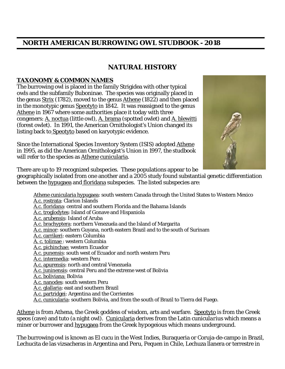#### **NATURAL HISTORY**

#### **TAXONOMY & COMMON NAMES**

The burrowing owl is placed in the family Strigidea with other typical owls and the subfamily Buboninae. The species was originally placed in the genus Strix (1782), moved to the genus Athene (1822) and then placed in the monotypic genus Speotyto in 1842. It was reassigned to the genus Athene in 1967 where some authorities place it today with three congeners: A. noctua (little owl), A. brama (spotted owlet) and A. blewitti (forest owlet). In 1991, the American Ornithologist's Union changed its listing back to Speotyto based on karyotypic evidence.

Since the International Species Inventory System (ISIS) adopted Athene in 1995, as did the American Ornithologist's Union in 1997, the studbook will refer to the species as Athene cunicularia.



There are up to 19 recognized subspecies. These populations appear to be

geographically isolated from one another and a 2005 study found substantial genetic differentiation between the hypugaea and floridana subspecies. The listed subspecies are:

Athene cunicularia hypugaea: south western Canada through the United States to Western Mexico A.c. rostrata: Clarion Islands A.c. floridana: central and southern Florida and the Bahama Islands A.c. troglodytes: Island of Gonave and Hispaniola A.c. arubensis: Island of Aruba A.c. brachyptera: northern Venezuela and the Island of Margarita A.c. minor: southern Guyana, north eastern Brazil and to the south of Surinam A.c. carrikeri: eastern Columbia A. c. tolimae : western Columbia A.c. pichinchae: western Ecuador A.c. punensis: south west of Ecuador and north western Peru A.c. intermedia: western Peru A.c. apurensis: north and central Venezuela A.c. juninensis: central Peru and the extreme west of Bolivia A.c. boliviana: Bolivia A.c. nanodes: south western Peru A.c. glallaria: east and southern Brazil A.c. partridgei: Argentina and the Corrientes A.c. cunicularia: southern Bolivia, and from the south of Brazil to Tierra del Fuego.

Athene is from Athena, the Greek goddess of wisdom, arts and warfare. Speotyto is from the Greek *speos* (cave) and *tuto* (a night owl). Cunicularia derives from the Latin *cuniculariu*s which means a miner or burrower and hypugaea from the Greek *hypogeious* which means underground.

The burrowing owl is known as El cucu in the West Indies, Buraqueria or Coruja-de-campo in Brazil, Lechucita de las vizsacheras in Argentina and Peru, Pequen in Chile, Lechuza llanera or terrestre in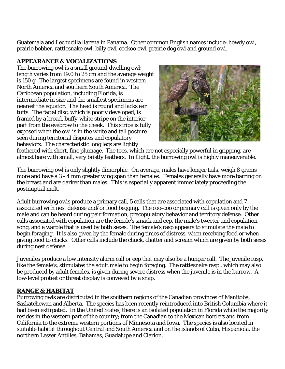Guatemala and Lechucilla llarena in Panama. Other common English names include: howdy owl, prairie bobber, rattlesnake owl, billy owl, cockoo owl, prairie dog owl and ground owl.

#### **APPEARANCE & VOCALIZATIONS**

The burrowing owl is a small ground-dwelling owl; length varies from 19.0 to 25 cm and the average weight is 150 g. The largest specimens are found in western North America and southern South America. The Caribbean population, including Florida, is intermediate in size and the smallest specimens are nearest the equator. The head is round and lacks ear tufts. The facial disc, which is poorly developed, is framed by a broad, buffy-white stripe on the interior part from the eyebrow to the cheek. This stripe is fully exposed when the owl is in the white and tall posture seen during territorial disputes and copulatory behaviors. The characteristic long legs are lightly



feathered with short, fine plumage. The toes, which are not especially powerful in gripping, are almost bare with small, very bristly feathers. In flight, the burrowing owl is highly maneuverable.

The burrowing owl is only slightly dimorphic. On average, males have longer tails, weigh 8 grams more and have a 3 - 4 mm greater wing span than females. Females generally have more barring on the breast and are darker than males. This is especially apparent immediately proceeding the postnuptial molt.

Adult burrowing owls produce a primary call, 5 calls that are associated with copulation and 7 associated with nest defense and/or food begging. The coo-coo or primary call is given only by the male and can be heard during pair formation, precopulatory behavior and territory defense. Other calls associated with copulation are the female's smack and eep, the male's tweeter and copulation song, and a warble that is used by both sexes. The female's rasp appears to stimulate the male to begin foraging. It is also given by the female during times of distress, when receiving food or when giving food to chicks. Other calls include the chuck, chatter and scream which are given by both sexes during nest defense.

Juveniles produce a low intensity alarm call or eep that may also be a hunger call. The juvenile rasp, like the female's, stimulates the adult male to begin foraging. The rattlesnake rasp , which may also be produced by adult females, is given during severe distress when the juvenile is in the burrow. A low-level protest or threat display is conveyed by a snap.

#### **RANGE & HABITAT**

Burrowing owls are distributed in the southern regions of the Canadian provinces of Manitoba, Saskatchewan and Alberta. The species has been recently reintroduced into British Columbia where it had been extirpated. In the United States, there is an isolated population in Florida while the majority resides in the western part of the country; from the Canadian to the Mexican borders and from California to the extreme western portions of Minnesota and Iowa. The species is also located in suitable habitat throughout Central and South America and on the islands of Cuba, Hispaniola, the northern Lesser Antilles, Bahamas, Guadalupe and Clarion.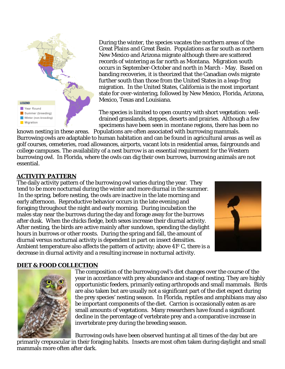

During the winter, the species vacates the northern areas of the Great Plains and Great Basin. Populations as far south as northern New Mexico and Arizona migrate although there are scattered records of wintering as far north as Montana. Migration south occurs in September-October and north in March - May. Based on banding recoveries, it is theorized that the Canadian owls migrate further south than those from the United States in a leap-frog migration. In the United States, California is the most important state for over-wintering, followed by New Mexico, Florida, Arizona, Mexico, Texas and Louisiana.

The species is limited to open country with short vegetation: welldrained grasslands, steppes, deserts and prairies. Although a few specimens have been seen in montane regions, there has been no

known nesting in these areas. Populations are often associated with burrowing mammals. Burrowing owls are adaptable to human habitation and can be found in agricultural areas as well as golf courses, cemeteries, road allowances, airports, vacant lots in residential areas, fairgrounds and college campuses. The availability of a nest burrow is an essential requirement for the Western burrowing owl. In Florida, where the owls can dig their own burrows, burrowing animals are not essential.

#### **ACTIVITY PATTERN**

The daily activity pattern of the burrowing owl varies during the year. They tend to be more nocturnal during the winter and more diurnal in the summer. In the spring, before nesting, the owls are inactive in the late morning and early afternoon. Reproductive behavior occurs in the late evening and foraging throughout the night and early morning. During incubation the males stay near the burrows during the day and forage away for the burrows after dusk. When the chicks fledge, both sexes increase their diurnal activity. After nesting, the birds are active mainly after sundown, spending the daylight hours in burrows or other roosts. During the spring and fall, the amount of diurnal versus nocturnal activity is dependent in part on insect densities. Ambient temperature also affects the pattern of activity; above 41<sup>0</sup> C, there is a decrease in diurnal activity and a resulting increase in nocturnal activity.



#### **DIET & FOOD COLLECTION**



The composition of the burrowing owl's diet changes over the course of the year in accordance with prey abundance and stage of nesting. They are highly opportunistic feeders, primarily eating arthropods and small mammals. Birds are also taken but are usually not a significant part of the diet expect during the prey species' nesting season. In Florida, reptiles and amphibians may also be important components of the diet. Carrion is occasionally eaten as are small amounts of vegetations. Many researchers have found a significant decline in the percentage of vertebrate prey and a comparative increase in invertebrate prey during the breeding season.

Burrowing owls have been observed hunting at all times of the day but are primarily crepuscular in their foraging habits. Insects are most often taken during daylight and small mammals more often after dark.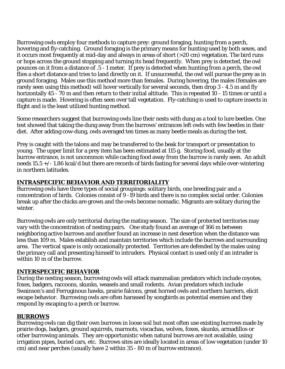Burrowing owls employ four methods to capture prey: ground foraging, hunting from a perch, hovering and fly-catching. Ground foraging is the primary means for hunting used by both sexes, and it occurs most frequently at mid-day and always in areas of short (>20 cm) vegetation. The bird runs or hops across the ground stopping and turning its head frequently. When prey is detected, the owl pounces on it from a distance of .5 - 1 meter. If prey is detected when hunting from a perch, the owl flies a short distance and tries to land directly on it. If unsuccessful, the owl will pursue the prey as in ground foraging. Males use this method more than females. During hovering, the males (females are rarely seen using this method) will hover vertically for several seconds, then drop 3 - 4.5 m and fly horizontally 45 - 70 m and then return to their initial altitude. This is repeated 10 - 15 times or until a capture is made. Hovering is often seen over tall vegetation. Fly-catching is used to capture insects in flight and is the least utilized hunting method.

Some researchers suggest that burrowing owls line their nests with dung as a tool to lure beetles. One test showed that taking the dung away from the burrows' entrances left owls with few beetles in their diet. After adding cow-dung, owls averaged ten times as many beetle meals as during the test.

Prey is caught with the talons and may be transferred to the beak for transport or presentation to young. The upper limit for a prey item has been estimated at 115 g. Storing food, usually at the burrow entrance, is not uncommon while caching food away from the burrow is rarely seen. An adult needs 15.5 +/- 1.86 kcal/d but there are records of birds fasting for several days while over-wintering in northern latitudes.

#### **INTRASPECIFIC BEHAVIOR AND TERRITORIALITY**

Burrowing owls have three types of social groupings: solitary birds, one breeding pair and a concentration of birds. Colonies consist of 9 -19 birds and there is no complex social order. Colonies break up after the chicks are grown and the owls become nomadic. Migrants are solitary during the winter.

Burrowing owls are only territorial during the mating season. The size of protected territories may vary with the concentration of nesting pairs. One study found an average of 166 m between neighboring active burrows and another found an increase in nest desertion when the distance was less than 109 m. Males establish and maintain territories which include the burrows and surrounding area. The vertical space is only occasionally protected. Territories are defended by the males using the primary call and presenting himself to intruders. Physical contact is used only if an intruder is within 10 m of the burrow.

#### **INTERSPECIFIC BEHAVIOR**

During the nesting season, burrowing owls will attack mammalian predators which include coyotes, foxes, badgers, raccoons, skunks, weasels and small rodents. Avian predators which include Swainson's and Ferruginous hawks, prairie falcons, great horned owls and northern harriers, elicit escape behavior. Burrowing owls are often harassed by songbirds as potential enemies and they respond by escaping to a perch or burrow.

#### **BURROWS**

Burrowing owls can dig their own burrows in loose soil but most often use existing burrows made by prairie dogs, badgers, ground squirrels, marmots, viscachas, wolves, foxes, skunks, armadillos or other burrowing animals. They are opportunistic when natural burrows are not available, using irrigation pipes, buried cars, etc. Burrows sites are ideally located in areas of low vegetation (under 10 cm) and near perches (usually have 2 within 35 - 80 m of burrow entrance).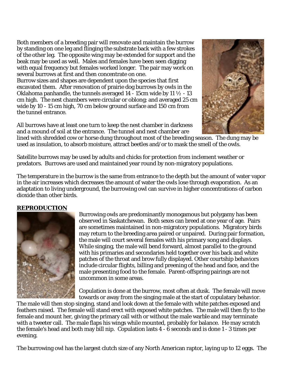Both members of a breeding pair will renovate and maintain the burrow by standing on one leg and flinging the substrate back with a few strokes of the other leg. The opposite wing may be extended for support and the beak may be used as well. Males and females have been seen digging with equal frequency but females worked longer. The pair may work on several burrows at first and then concentrate on one. Burrow sizes and shapes are dependent upon the species that first excavated them. After renovation of prairie dog burrows by owls in the Oklahoma panhandle, the tunnels averaged 14 - 15cm wide by 11 ½ - 13 cm high. The nest chambers were circular or oblong; and averaged 25 cm wide by 10 - 15 cm high, 70 cm below ground surface and 150 cm from the tunnel entrance.

All burrows have at least one turn to keep the nest chamber in darkness and a mound of soil at the entrance. The tunnel and nest chamber are



lined with shredded cow or horse dung throughout most of the breeding season. The dung may be used as insulation, to absorb moisture, attract beetles and/or to mask the smell of the owls.

Satellite burrows may be used by adults and chicks for protection from inclement weather or predators. Burrows are used and maintained year round by non-migratory populations.

The temperature in the burrow is the same from entrance to the depth but the amount of water vapor in the air increases which decreases the amount of water the owls lose through evaporation. As an adaptation to living underground, the burrowing owl can survive in higher concentrations of carbon dioxide than other birds.

#### **REPRODUCTION**



Burrowing owls are predominantly monogamous but polygamy has been observed in Saskatchewan. Both sexes can breed at one year of age. Pairs are sometimes maintained in non-migratory populations. Migratory birds may return to the breeding area paired or unpaired. During pair formation, the male will court several females with his primary song and displays. While singing, the male will bend forward, almost parallel to the ground with his primaries and secondaries held together over his back and white patches of the throat and brow fully displayed. Other courtship behaviors include circular flights, billing and preening of the head and face, and the male presenting food to the female. Parent-offspring pairings are not uncommon in some areas.

Copulation is done at the burrow, most often at dusk. The female will move towards or away from the singing male at the start of copulatary behavior.

The male will then stop singing, stand and look down at the female with white patches exposed and feathers raised. The female will stand erect with exposed white patches. The male will then fly to the female and mount her, giving the primary call with or without the male warble and may terminate with a tweeter call. The male flaps his wings while mounted, probably for balance. He may scratch the female's head and both may bill nip. Copulation lasts 4 - 6 seconds and is done 1 - 3 times per evening.

The burrowing owl has the largest clutch size of any North American raptor, laying up to 12 eggs. The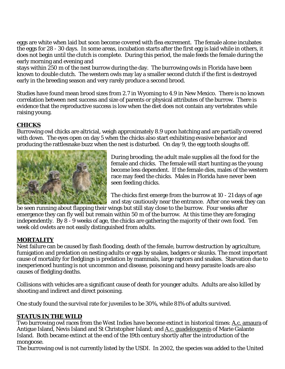eggs are white when laid but soon become covered with flea excrement. The female alone incubates the eggs for 28 - 30 days. In some areas, incubation starts after the first egg is laid while in others, it does not begin until the clutch is complete. During this period, the male feeds the female during the early morning and evening and

stays within 250 m of the nest burrow during the day. The burrowing owls in Florida have been known to double clutch. The western owls may lay a smaller second clutch if the first is destroyed early in the breeding season and very rarely produce a second brood.

Studies have found mean brood sizes from 2.7 in Wyoming to 4.9 in New Mexico. There is no known correlation between nest success and size of parents or physical attributes of the burrow. There is evidence that the reproductive success is low when the diet does not contain any vertebrates while raising young.

#### **CHICKS**

Burrowing owl chicks are altricial, weigh approximately 8.9 upon hatching and are partially covered with down. The eyes open on day 5 when the chicks also start exhibiting evasive behavior and producing the rattlesnake buzz when the nest is disturbed. On day 9, the egg tooth sloughs off.



During brooding, the adult male supplies all the food for the female and chicks. The female will start hunting as the young become less dependent. If the female dies, males of the western race may feed the chicks. Males in Florida have never been seen feeding chicks.

The chicks first emerge from the burrow at 10 - 21 days of age and stay cautiously near the entrance. After one week they can

be seen running about flapping their wings but still stay close to the burrow. Four weeks after emergence they can fly well but remain within 50 m of the burrow. At this time they are foraging independently. By 8 - 9 weeks of age, the chicks are gathering the majority of their own food. Ten week old owlets are not easily distinguished from adults.

#### **MORTALITY**

Nest failure can be caused by flash flooding, death of the female, burrow destruction by agriculture, fumigation and predation on nesting adults or eggs by snakes, badgers or skunks. The most important cause of mortality for fledglings is predation by mammals, large raptors and snakes. Starvation due to inexperienced hunting is not uncommon and disease, poisoning and heavy parasite loads are also causes of fledgling deaths.

Collisions with vehicles are a significant cause of death for younger adults. Adults are also killed by shooting and indirect and direct poisoning.

One study found the survival rate for juveniles to be 30%, while 81% of adults survived.

#### **STATUS IN THE WILD**

Two burrowing owl races from the West Indies have become extinct in historical times: A.c. amaura of Antigue Island, Nevis Island and St Christopher Island; and A.c. guadeloupenis of Marie Galante Island. Both became extinct at the end of the 19th century shortly after the introduction of the mongoose.

The burrowing owl is not currently listed by the USDI. In 2002, the species was added to the United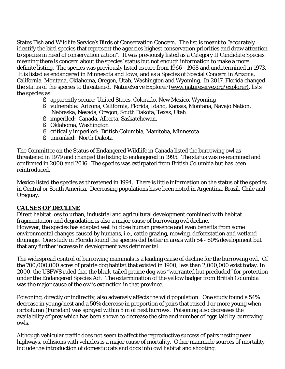States Fish and Wildlife Service's Birds of Conservation Concern. The list is meant to "accurately identify the bird species that represent the agencies highest conservation priorities and draw attention to species in need of conservation action". It was previously listed as a Category II Candidate Species meaning there is concern about the species' status but not enough information to make a more definite listing. The species was previously listed as rare from 1966 - 1968 and undetermined in 1973. It is listed as endangered in Minnesota and Iowa, and as a Species of Special Concern in Arizona, California, Montana, Oklahoma, Oregon, Utah, Washington and Wyoming. In 2017, Florida changed the status of the species to threatened. NatureServe Explorer ([www.natureserve.org/explorer\)](http://www.natureserve.org/explorer)), lists the species as:

- § apparently secure: United States, Colorado, New Mexico, Wyoming
- § vulnerable: Arizona, California, Florida, Idaho, Kansas, Montana, Navajo Nation, Nebraska, Nevada, Oregon, South Dakota, Texas, Utah
- § imperiled: Canada, Alberta, Saskatchewan,
- § Oklahoma, Washington
- § critically imperiled: British Columbia, Manitoba, Minnesota
- § unranked: North Dakota

The Committee on the Status of Endangered Wildlife in Canada listed the burrowing owl as threatened in 1979 and changed the listing to endangered in 1995. The status was re-examined and confirmed in 2000 and 2016. The species was extirpated from British Columbia but has been reintroduced.

Mexico listed the species as threatened in 1994. There is little information on the status of the species in Central or South America. Decreasing populations have been noted in Argentina, Brazil, Chile and Uraguay.

#### **CAUSES OF DECLINE**

Direct habitat loss to urban, industrial and agricultural development combined with habitat fragmentation and degradation is also a major cause of burrowing owl decline. However, the species has adapted well to close human presence and even benefits from some environmental changes caused by humans, i.e., cattle grazing, mowing, deforestation and wetland drainage. One study in Florida found the species did better in areas with 54 - 60% development but that any further increase in development was detrimental.

The widespread control of burrowing mammals is a leading cause of decline for the burrowing owl. Of the 700,000,000 acres of prairie dog habitat that existed in 1900, less than 2,000,000 exist today. In 2000, the USFWS ruled that the black-tailed prairie dog was "warranted but precluded" for protection under the Endangered Species Act. The extermination of the yellow badger from British Columbia was the major cause of the owl's extinction in that province.

Poisoning, directly or indirectly, also adversely affects the wild population. One study found a 54% decrease in young/nest and a 50% decrease in proportion of pairs that raised 1 or more young when carbofuran (Furadan) was sprayed within 5 m of nest burrows. Poisoning also decreases the availability of prey which has been shown to decrease the size and number of eggs laid by burrowing owls.

Although vehicular traffic does not seem to affect the reproductive success of pairs nesting near highways, collisions with vehicles is a major cause of mortality. Other manmade sources of mortality include the introduction of domestic cats and dogs into owl habitat and shooting.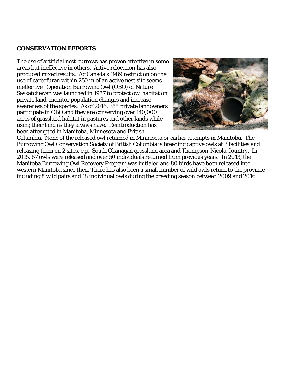#### **CONSERVATION EFFORTS**

The use of artificial nest burrows has proven effective in some areas but ineffective in others. Active relocation has also produced mixed results. Ag Canada's 1989 restriction on the use of carbofuran within 250 m of an active nest site seems ineffective. Operation Burrowing Owl (OBO) of Nature Saskatchewan was launched in 1987 to protect owl habitat on private land, monitor population changes and increase awareness of the species. As of 2016, 358 private landowners participate in OBO and they are conserving over 140,000 acres of grassland habitat in pastures and other lands while using their land as they always have. Reintroduction has been attempted in Manitoba, Minnesota and British



Columbia. None of the released owl returned in Minnesota or earlier attempts in Manitoba. The Burrowing Owl Conservation Society of British Columbia is breeding captive owls at 3 facilities and releasing them on 2 sites, e.g., South Okanagan grassland area and Thompson-Nicola Country. In 2015, 67 owls were released and over 50 individuals returned from previous years. In 2013, the Manitoba Burrowing Owl Recovery Program was initialed and 80 birds have been released into western Manitoba since then. There has also been a small number of wild owls return to the province including 8 wild pairs and 18 individual owls during the breeding season between 2009 and 2016.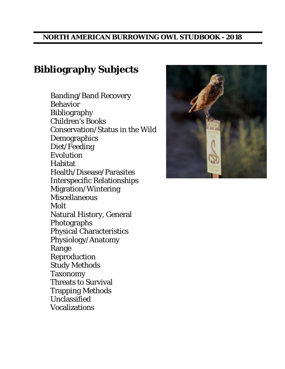### **Bibliography Subjects**

Banding/Band Recovery Behavior Bibliography Children's Books Conservation/Status in the Wild Demographics Diet/Feeding Evolution Habitat Health/Disease/Parasites Interspecific Relationships Migration/Wintering Miscellaneous Molt Natural History, General Photographs Physical Characteristics Physiology/Anatomy Range Reproduction Study Methods Taxonomy Threats to Survival Trapping Methods Unclassified **Vocalizations** 

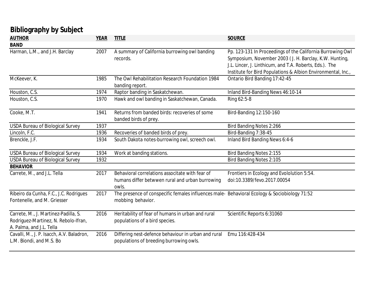## **Bibliography by Subject**

| <b>AUTHOR</b>                                                                                            | <b>YEAR</b> | <b>TITLE</b>                                                                                                      | <b>SOURCE</b>                                                                                                                                                                                                                                   |
|----------------------------------------------------------------------------------------------------------|-------------|-------------------------------------------------------------------------------------------------------------------|-------------------------------------------------------------------------------------------------------------------------------------------------------------------------------------------------------------------------------------------------|
| <b>BAND</b>                                                                                              |             |                                                                                                                   |                                                                                                                                                                                                                                                 |
| Harman, L.M., and J.H. Barclay                                                                           | 2007        | A summary of California burrowing owl banding<br>records.                                                         | Pp. 123-131 In Proceedings of the California Burrowing Owl<br>Symposium, November 2003 (J. H. Barclay, K.W. Hunting,<br>J.L. Lincer, J. Linthicum, and T.A. Roberts, Eds.). The<br>Institute for Bird Populations & Albion Environmental, Inc., |
| McKeever, K.                                                                                             | 1985        | The Owl Rehabilitation Research Foundation 1984<br>banding report.                                                | Ontario Bird Banding 17:42-45                                                                                                                                                                                                                   |
| Houston, C.S.                                                                                            | 1974        | Raptor banding in Saskatchewan.                                                                                   | Inland Bird-Banding News 46:10-14                                                                                                                                                                                                               |
| Houston, C.S.                                                                                            | 1970        | Hawk and owl banding in Saskatchewan, Canada.                                                                     | Ring 62:5-8                                                                                                                                                                                                                                     |
| Cooke, M.T.                                                                                              | 1941        | Returns from banded birds: recoveries of some<br>banded birds of prey.                                            | Bird-Banding 12:150-160                                                                                                                                                                                                                         |
| <b>USDA Bureau of Biological Survey</b>                                                                  | 1937        |                                                                                                                   | <b>Bird Banding Notes 2:266</b>                                                                                                                                                                                                                 |
| Lincoln, F.C.                                                                                            | 1936        | Recoveries of banded birds of prey.                                                                               | Bird-Banding 7:38-45                                                                                                                                                                                                                            |
| Brenckle, J.F.                                                                                           | 1934        | South Dakota notes-burrowing owl, screech owl.                                                                    | Inland Bird Banding News 6:4-6                                                                                                                                                                                                                  |
| <b>USDA Bureau of Biological Survey</b>                                                                  | 1934        | Work at banding stations.                                                                                         | <b>Bird Banding Notes 2:155</b>                                                                                                                                                                                                                 |
| <b>USDA Bureau of Biological Survey</b><br><b>BEHAVIOR</b>                                               | 1932        |                                                                                                                   | <b>Bird Banding Notes 2:105</b>                                                                                                                                                                                                                 |
| Carrete, M., and J.L. Tella                                                                              | 2017        | Behavioral correlations associtate with fear of<br>humans differ betwwen rural and urban burrowing<br>owls.       | Frontiers in Ecology and Evololution 5:54.<br>doi:10.3389/fevo.2017.00054                                                                                                                                                                       |
| Ribeiro da Cunha, F.C., J.C. Rodrigues<br>Fontenelle, and M. Griesser                                    | 2017        | The presence of conspecific females influences male- Behavioral Ecology & Sociobiology 71:52<br>mobbing behavior. |                                                                                                                                                                                                                                                 |
| Carrete, M., J. Martinez-Padilla, S.<br>Rodriguez-Martinez, N. Rebolo-Ifran,<br>A. Palma, and J.L. Tella | 2016        | Heritability of fear of humans in urban and rural<br>populations of a bird species.                               | Scientific Reports 6:31060                                                                                                                                                                                                                      |
| Cavalli, M., J. P. Isacch, A.V. Baladron,<br>L.M. Biondi, and M.S. Bo                                    | 2016        | Differing nest-defence behaviour in urban and rural<br>populations of breeding burrowing owls.                    | Emu 116:428-434                                                                                                                                                                                                                                 |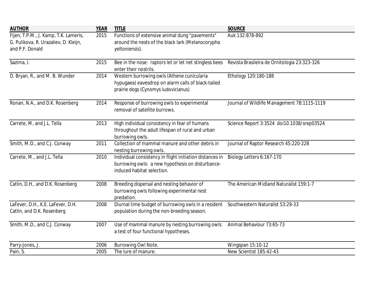| <b>AUTHOR</b>                                                                                     | <b>YEAR</b> | <b>TITLE</b>                                                                                                                               | <b>SOURCE</b>                                |
|---------------------------------------------------------------------------------------------------|-------------|--------------------------------------------------------------------------------------------------------------------------------------------|----------------------------------------------|
| Fijen, T.P.M., J. Kamp, T.K. Lameris,<br>G. Pulikova, R. Urazaliev, D. Kleijn,<br>and P.F. Donald | 2015        | Functions of extensive animal dung "pavements"<br>around the nests of the black lark (Melanocorypha<br>yeltoniensis).                      | Auk 132:878-892                              |
| Sazima, I.                                                                                        | 2015        | Bee in the nose: raptors let or let net stingless bees<br>enter their nostrils.                                                            | Revista Brasileira de Ornitologia 23:323-326 |
| D. Bryan, R., and M. B. Wunder                                                                    | 2014        | Western burrowing owls (Athene cunicularia<br>hypugaea) eavesdrop on alarm calls of black-tailed<br>prairie dogs (Cynomys ludovicianus)    | Ethology 120:180-188                         |
| Ronan, N.A., and D.K. Rosenberg                                                                   | 2014        | Response of burrowing owls to experimental<br>removal of satellite burrows.                                                                | Journal of Wildlife Management 78:1115-1119  |
| Carrete, M, and J.L. Tella                                                                        | 2013        | High individual consistency in fear of humans<br>throughout the adult lifespan of rural and urban<br>burrowing owls.                       | Science Report 3:3524 doi10.1038/srep03524   |
| Smith, M.D., and C.J. Conway                                                                      | 2011        | Collection of mammal manure and other debris in<br>nesting burrowing owls.                                                                 | Journal of Raptor Research 45:220-228        |
| Carrete, M., and J.L. Tella                                                                       | 2010        | Individual consistency in flight initiation distances in<br>burrowing owls: a new hypothesis on disturbance-<br>induced habitat selection. | Biology Letters 6:167-170                    |
| Catlin, D.H., and D.K. Rosenberg                                                                  | 2008        | Breeding dispersal and nesting behavior of<br>burrowing owls following experimental nest<br>predation.                                     | The American Midland Naturalist 159:1-7      |
| LaFever, D.H., K.E. LaFever, D.H.<br>Catlin, and D.K. Rosenberg                                   | 2008        | Diurnal time budget of burrowing owls in a resident Southwestern Naturalist 53:29-33<br>population during the non-breeding season.         |                                              |
| Smith, M.D., and C.J. Conway                                                                      | 2007        | Use of mammal manure by nesting burrowing owls:<br>a test of four functional hypotheses.                                                   | Animal Behaviour 73:65-73                    |
| Parry-Jones, J.                                                                                   | 2006        | <b>Burrowing Owl Note.</b>                                                                                                                 | <b>Wingspan 15:10-12</b>                     |
| Pain, S.                                                                                          | 2005        | The lure of manure.                                                                                                                        | New Scientist 185:42-43                      |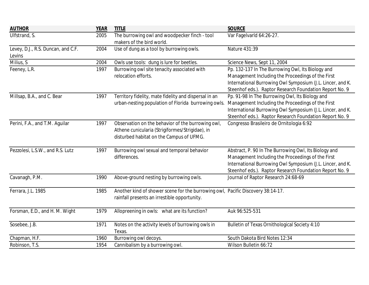| <b>AUTHOR</b>                      | <b>YEAR</b> | <b>TITLE</b>                                                                    | <b>SOURCE</b>                                              |
|------------------------------------|-------------|---------------------------------------------------------------------------------|------------------------------------------------------------|
| Ulfstrand, S.                      | 2005        | The burrowing owl and woodpecker finch - tool                                   | Var Fagelvarld 64:26-27.                                   |
|                                    |             | makers of the bird world.                                                       |                                                            |
| Levey, D.J., R.S. Duncan, and C.F. | 2004        | Use of dung as a tool by burrowing owls.                                        | Nature 431:39                                              |
| Levins                             |             |                                                                                 |                                                            |
| Milius, S                          | 2004        | Owls use tools: dung is lure for beetles.                                       | Science News, Sept 11, 2004                                |
| Feeney, L.R.                       | 1997        | Burrowing owl site tenacity associated with                                     | Pp. 132-137 In The Burrowing Owl, Its Biology and          |
|                                    |             | relocation efforts.                                                             | Management Including the Proceedings of the First          |
|                                    |             |                                                                                 | International Burrowing Owl Symposium (J.L. Lincer, and K. |
|                                    |             |                                                                                 | Steenhof eds.). Raptor Research Foundation Report No. 9    |
| Millsap, B.A., and C. Bear         | 1997        | Territory fidelity, mate fidelity and dispersal in an                           | Pp. 91-98 In The Burrowing Owl, Its Biology and            |
|                                    |             | urban-nesting population of Florida burrowing owls.                             | Management Including the Proceedings of the First          |
|                                    |             |                                                                                 | International Burrowing Owl Symposium (J.L. Lincer, and K. |
|                                    |             |                                                                                 | Steenhof eds.). Raptor Research Foundation Report No. 9    |
| Perini, F.A., and T.M. Aguilar     | 1997        | Observation on the behavior of the burrowing owl,                               | Congresso Brasileiro de Ornitologia 6:92                   |
|                                    |             | Athene cunicularia (Strigiformes/Strigidae), in                                 |                                                            |
|                                    |             | disturbed habitat on the Campus of UFMG.                                        |                                                            |
| Pezzolesi, L.S.W., and R.S. Lutz   | 1997        | Burrowing owl sexual and temporal behavior                                      | Abstract, P. 90 In The Burrowing Owl, Its Biology and      |
|                                    |             | differences.                                                                    | Management Including the Proceedings of the First          |
|                                    |             |                                                                                 | International Burrowing Owl Symposium (J.L. Lincer, and K. |
|                                    |             |                                                                                 | Steenhof eds.). Raptor Research Foundation Report No. 9    |
| Cavanagh, P.M.                     | 1990        | Above-ground nesting by burrowing owls.                                         | Journal of Raptor Research 24:68-69                        |
| Ferrara, J.L. 1985                 | 1985        | Another kind of shower scene for the burrowing owl, Pacific Discovery 38:14-17. |                                                            |
|                                    |             | rainfall presents an irrestible opportunity.                                    |                                                            |
| Forsman, E.D., and H. M. Wight     | 1979        | Allopreening in owls: what are its function?                                    | Auk 96:525-531                                             |
|                                    |             |                                                                                 |                                                            |
| Sosebee, J.B.                      | 1971        | Notes on the activity levels of burrowing owls in                               | <b>Bulletin of Texas Ornithological Society 4:10</b>       |
|                                    |             | Texas.                                                                          |                                                            |
| Chapman, H.F.                      | 1960        | Burrowing owl decoys.                                                           | South Dakota Bird Notes 12:34                              |
| Robinson, T.S.                     | 1954        | Cannibalism by a burrowing owl.                                                 | Wilson Bulletin 66:72                                      |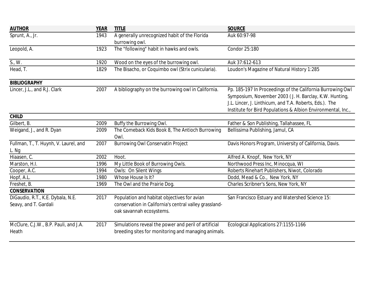| <b>AUTHOR</b>                         | <b>YEAR</b> | <b>TITLE</b>                                                                       | <b>SOURCE</b>                                                |
|---------------------------------------|-------------|------------------------------------------------------------------------------------|--------------------------------------------------------------|
| Sprunt, A., Jr.                       | 1943        | A generally unrecognized habit of the Florida                                      | Auk 60:97-98                                                 |
|                                       |             | burrowing owl.                                                                     |                                                              |
| Leopold, A.                           | 1923        | The "following" habit in hawks and owls.                                           | Condor 25:180                                                |
|                                       |             |                                                                                    |                                                              |
| S., W.                                | 1920        | Wood on the eyes of the burrowing owl.                                             | Auk 37:612-613                                               |
| Head, T.                              | 1829        | The Bisacho, or Coquimbo owl (Strix cunicularia).                                  | Loudon's Magazine of Natural History 1:285                   |
| <b>BIBLIOGRAPHY</b>                   |             |                                                                                    |                                                              |
| Lincer, J.L., and R.J. Clark          | 2007        | A bibliography on the burrowing owl in California.                                 | Pp. 185-197 In Proceedings of the California Burrowing Owl   |
|                                       |             |                                                                                    | Symposium, November 2003 (J. H. Barclay, K.W. Hunting,       |
|                                       |             |                                                                                    | J.L. Lincer, J. Linthicum, and T.A. Roberts, Eds.). The      |
|                                       |             |                                                                                    | Institute for Bird Populations & Albion Environmental, Inc., |
| <b>CHILD</b>                          |             |                                                                                    |                                                              |
| Gilbert, B.                           | 2009        | Buffy the Burrowing Owl.                                                           | Father & Son Publishing, Tallahassee, FL                     |
| Weigand, J., and R. Dyan              | 2009        | The Comeback Kids Book 8, The Antioch Burrowing                                    | Bellissima Publishing, Jamul, CA                             |
|                                       |             | Owl.                                                                               |                                                              |
| Fullman, T., T. Huynh, V. Laurel, and | 2007        | <b>Burrowing Owl Conservatin Project</b>                                           | Davis Honors Program, University of California, Davis.       |
| L. Ng                                 |             |                                                                                    |                                                              |
| Hiaasen, C.                           | 2002        | Hoot.                                                                              | Alfred A. Knopf, New York, NY                                |
| Marston, H.I.                         | 1996        | My Little Book of Burrowing Owls.                                                  | Northwood Press Inc, Minocqua, WI                            |
| Cooper, A.C.                          | 1994        | <b>Owls: On Silent Wings</b>                                                       | Roberts Rinehart Publishers, Niwot, Colorado                 |
| Hopf, A.L.                            | 1980        | Whose House Is It?                                                                 | Dodd, Mead & Co., New York, NY                               |
| Freshet, B.                           | 1969        | The Owl and the Prairie Dog.                                                       | Charles Scribner's Sons, New York, NY                        |
| <b>CONSERVATION</b>                   |             |                                                                                    |                                                              |
| DiGaudio, R.T., K.E. Dybala, N.E.     | 2017        | Population and habitat objectives for avian                                        | San Francisco Estuary and Watershed Science 15:              |
| Seavy, and T. Gardali                 |             | conservation in California's central valley grassland-<br>oak savannah ecosystems. |                                                              |
| McClure, C.J.W., B.P. Pauli, and J.A. | 2017        | Simulations reveal the power and peril of artificial                               | Ecological Applications 27:1155-1166                         |
| Heath                                 |             | breeding sites for monitoring and managing animals.                                |                                                              |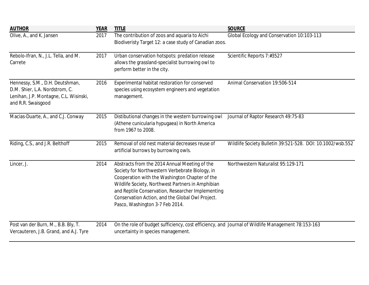| <b>AUTHOR</b>                                                                                                                     | <b>YEAR</b> | <b>TITLE</b>                                                                                                                                                                                                                                                                                                                                        | <b>SOURCE</b>                                              |
|-----------------------------------------------------------------------------------------------------------------------------------|-------------|-----------------------------------------------------------------------------------------------------------------------------------------------------------------------------------------------------------------------------------------------------------------------------------------------------------------------------------------------------|------------------------------------------------------------|
| Olive, A., and K. Jansen                                                                                                          | 2017        | The contribution of zoos and aquaria to Aichi<br>Biodiveristy Target 12: a case study of Canadian zoos.                                                                                                                                                                                                                                             | Global Ecology and Conservation 10:103-113                 |
| Rebolo-Ifran, N., J.L. Tella, and M.<br>Carrete                                                                                   | 2017        | Urban conservation hotspots: predation release<br>allows the grassland-specialist burrowing owl to<br>perform better in the city.                                                                                                                                                                                                                   | Scientific Reports 7:#3527                                 |
| Hennessy, S.M., D.H. Deutshman,<br>D.M. Shier, L.A. Nordstrom, C.<br>Lenihan, J.P. Montagne, C.L. Wisinski,<br>and R.R. Swaisgood | 2016        | Experimental habitat restoration for conserved<br>species using ecosystem engineers and vegetation<br>management.                                                                                                                                                                                                                                   | Animal Conservation 19:506-514                             |
| Macias-Duarte, A., and C.J. Conway                                                                                                | 2015        | Distibutional changes in the western burrowing owl<br>(Athene cunicularia hypugaea) in North America<br>from 1967 to 2008.                                                                                                                                                                                                                          | Journal of Raptor Research 49:75-83                        |
| Riding, C.S., and J.R. Belthoff                                                                                                   | 2015        | Removal of old nest material decreases reuse of<br>artificial burrows by burrowing owls.                                                                                                                                                                                                                                                            | Wildlife Society Bulletin 39:521-528. DOI: 10.1002/wsb.552 |
| Lincer, J.                                                                                                                        | 2014        | Abstracts from the 2014 Annual Meeting of the<br>Society for Northwestern Verbebrate Biology, in<br>Cooperation with the Washington Chapter of the<br>Wildlife Society, Northwest Partners in Amphibian<br>and Reptile Conservation, Researcher Implementing<br>Conservation Action, and the Global Owl Project.<br>Pasco, Washington 3-7 Feb 2014. | Northwestern Naturalist 95:129-171                         |
| Post van der Burn, M., B.B. Bly, T.<br>Vercauteren, J.B. Grand, and A.J. Tyre                                                     | 2014        | On the role of budget sufficiency, cost efficiency, and Journal of Wildlife Management 78:153-163<br>uncertainty in species management.                                                                                                                                                                                                             |                                                            |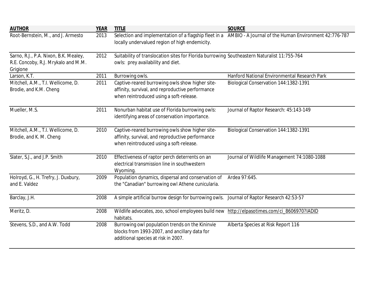| <b>AUTHOR</b>                                                                            | <b>YEAR</b> | <b>TITLE</b>                                                                                                                                   | <b>SOURCE</b>                                                                                                |
|------------------------------------------------------------------------------------------|-------------|------------------------------------------------------------------------------------------------------------------------------------------------|--------------------------------------------------------------------------------------------------------------|
| Root-Bernstein, M., and J. Armesto                                                       | 2013        | locally undervalued region of high endemicity.                                                                                                 | Selection and implementation of a flagship fleet in a  AMBIO - A Journal of the Human Environment 42:776-787 |
| Sarno, R.J., P.A. Nixon, B.K. Mealey,<br>R.E. Concoby, R.J. Mrykalo and M.M.<br>Grigione | 2012        | Suitability of translocation sites for Florida burrowing Southeastern Naturalist 11:755-764<br>owls: prey availability and diet.               |                                                                                                              |
| Larson, K.T.                                                                             | 2011        | Burrowing owls.                                                                                                                                | Hanford National Environmental Research Park                                                                 |
| Mitchell, A.M., T.I. Wellicome, D.<br>Brodie, and K.M. Cheng                             | 2011        | Captive-reared burrowing owls show higher site-<br>affinity, survival, and reproductive performance<br>when reintroduced using a soft-release. | <b>Biological Conservation 144:1382-1391</b>                                                                 |
| Mueller, M.S.                                                                            | 2011        | Nonurban habitat use of Florida burrowing owls:<br>identifying areas of conservation importance.                                               | Journal of Raptor Research: 45:143-149                                                                       |
| Mitchell, A.M., T.I. Wellicome, D.<br>Brodie, and K. M. Cheng                            | 2010        | Captive-reared burrowing owls show higher site-<br>affinity, survival, and reproductive performance<br>when reintroduced using a soft-release. | <b>Biological Conservation 144:1382-1391</b>                                                                 |
| Slater, S.J., and J.P. Smith                                                             | 2010        | Effectiveness of raptor perch deterrents on an<br>electrical transmission line in southwestern<br>Wyoming.                                     | Journal of Wildlife Management 74:1080-1088                                                                  |
| Holroyd, G., H. Trefry, J. Duxbury,<br>and E. Valdez                                     | 2009        | Population dynamics, dispersal and conservation of<br>the "Canadian" burrowing owl Athene cunicularia.                                         | Ardea 97:645.                                                                                                |
| Barclay, J.H.                                                                            | 2008        | A simple artificial burrow design for burrowing owls.                                                                                          | Journal of Raptor Research 42:53-57                                                                          |
| Meritz, D.                                                                               | 2008        | Wildlife advocates, zoo, school employees build new http://elpasotimes.com/ci_8606970?IADID<br>habitats.                                       |                                                                                                              |
| Stevens, S.D., and A.W. Todd                                                             | 2008        | Burrowing owl population trends on the Kininvie<br>blocks from 1993-2007, and ancillary data for<br>additional species at risk in 2007.        | Alberta Species at Risk Report 116                                                                           |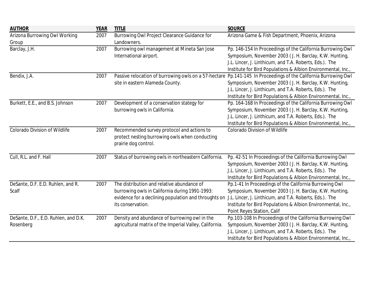| <b>AUTHOR</b>                        | <b>YEAR</b> | <b>TITLE</b>                                            | <b>SOURCE</b>                                                                                                  |
|--------------------------------------|-------------|---------------------------------------------------------|----------------------------------------------------------------------------------------------------------------|
| Arizona Burrowing Owl Working        | 2007        | Burrowing Owl Project Clearance Guidance for            | Arizona Game & Fish Department, Phoenix, Arizona                                                               |
| Group                                |             | Landowners.                                             |                                                                                                                |
| Barclay, J.H.                        | 2007        | Burrowing owl management at Mineta San Jose             | Pp. 146-154 In Proceedings of the California Burrowing Owl                                                     |
|                                      |             | International airport.                                  | Symposium, November 2003 (J. H. Barclay, K.W. Hunting,                                                         |
|                                      |             |                                                         | J.L. Lincer, J. Linthicum, and T.A. Roberts, Eds.). The                                                        |
|                                      |             |                                                         | Institute for Bird Populations & Albion Environmental, Inc.,                                                   |
| Bendix, J.A.                         | 2007        |                                                         | Passive relocation of burrowing owls on a 57-hectare Pp.141-145 In Proceedings of the California Burrowing Owl |
|                                      |             | site in eastern Alameda County.                         | Symposium, November 2003 (J. H. Barclay, K.W. Hunting,                                                         |
|                                      |             |                                                         | J.L. Lincer, J. Linthicum, and T.A. Roberts, Eds.). The                                                        |
|                                      |             |                                                         | Institute for Bird Populations & Albion Environmental, Inc.,                                                   |
| Burkett, E.E., and B.S. Johnson      | 2007        | Development of a conservation stategy for               | Pp. 164-168 In Proceedings of the California Burrowing Owl                                                     |
|                                      |             | burrowing owls in California.                           | Symposium, November 2003 (J. H. Barclay, K.W. Hunting,                                                         |
|                                      |             |                                                         | J.L. Lincer, J. Linthicum, and T.A. Roberts, Eds.). The                                                        |
|                                      |             |                                                         | Institute for Bird Populations & Albion Environmental, Inc.,                                                   |
| <b>Colorado Division of Wildlife</b> | 2007        | Recommended survey protocol and actions to              | <b>Colorado Division of Wildlife</b>                                                                           |
|                                      |             | protect nesting burrowing owls when conducting          |                                                                                                                |
|                                      |             | prairie dog control.                                    |                                                                                                                |
| Cull, R.L. and F. Hall               | 2007        | Status of burrowing owls in northeastern California.    | Pp. 42-51 In Proceedings of the California Burrowing Owl                                                       |
|                                      |             |                                                         | Symposium, November 2003 (J. H. Barclay, K.W. Hunting,                                                         |
|                                      |             |                                                         | J.L. Lincer, J. Linthicum, and T.A. Roberts, Eds.). The                                                        |
|                                      |             |                                                         | Institute for Bird Populations & Albion Environmental, Inc.,                                                   |
| DeSante, D.F. E.D. Ruhlen, and R.    | 2007        | The distribution and relative abundance of              | Pp.1-41 In Proceedings of the California Burrowing Owl                                                         |
| <b>Scalf</b>                         |             | burrowing owls in California during 1991-1993:          | Symposium, November 2003 (J. H. Barclay, K.W. Hunting,                                                         |
|                                      |             | evidence for a declining population and throughts on    | J.L. Lincer, J. Linthicum, and T.A. Roberts, Eds.). The                                                        |
|                                      |             | its conservation.                                       | Institute for Bird Populations & Albion Environmental, Inc.,                                                   |
|                                      |             |                                                         | Point Reyes Station, Calif                                                                                     |
| DeSante, D.F., E.D. Ruhlen, and D.K. | 2007        | Density and abundance of burrowing owl in the           | Pp.103-108 In Proceedings of the California Burrowing Owl                                                      |
| Rosenberg                            |             | agricultural matrix of the Imperial Valley, California. | Symposium, November 2003 (J. H. Barclay, K.W. Hunting,                                                         |
|                                      |             |                                                         | J.L. Lincer, J. Linthicum, and T.A. Roberts, Eds.). The                                                        |
|                                      |             |                                                         | Institute for Bird Populations & Albion Environmental, Inc.,                                                   |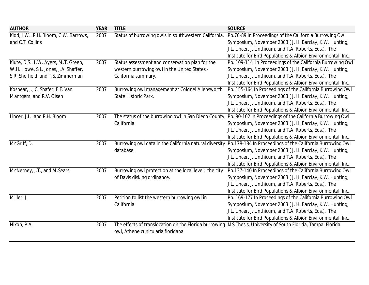| <b>AUTHOR</b>                         | <b>YEAR</b> | <b>TITLE</b>                                           | <b>SOURCE</b>                                                                                                |
|---------------------------------------|-------------|--------------------------------------------------------|--------------------------------------------------------------------------------------------------------------|
| Kidd, J.W., P.H. Bloom, C.W. Barrows, | 2007        | Status of burrowing owls in southwestern California.   | Pp.76-89 In Proceedings of the California Burrowing Owl                                                      |
| and C.T. Collins                      |             |                                                        | Symposium, November 2003 (J. H. Barclay, K.W. Hunting,                                                       |
|                                       |             |                                                        | J.L. Lincer, J. Linthicum, and T.A. Roberts, Eds.). The                                                      |
|                                       |             |                                                        | Institute for Bird Populations & Albion Environmental, Inc.,                                                 |
| Klute, D.S., L.W. Ayers, M.T. Green,  | 2007        | Status assessment and conservation plan for the        | Pp. 109-114 In Proceedings of the California Burrowing Owl                                                   |
| W.H. Howe, S.L. Jones, J.A. Shaffer,  |             | western burrowing owl in the United States -           | Symposium, November 2003 (J. H. Barclay, K.W. Hunting,                                                       |
| S.R. Sheffield, and T.S. Zimmerman    |             | California summary.                                    | J.L. Lincer, J. Linthicum, and T.A. Roberts, Eds.). The                                                      |
|                                       |             |                                                        | Institute for Bird Populations & Albion Environmental, Inc.,                                                 |
| Koshear, J., C. Shafer, E.F. Van      | 2007        | Burrowing owl management at Colonel Allensworth        | Pp. 155-164 In Proceedings of the California Burrowing Owl                                                   |
| Mantgem, and R.V. Olsen               |             | State Historic Park.                                   | Symposium, November 2003 (J. H. Barclay, K.W. Hunting,                                                       |
|                                       |             |                                                        | J.L. Lincer, J. Linthicum, and T.A. Roberts, Eds.). The                                                      |
|                                       |             |                                                        | Institute for Bird Populations & Albion Environmental, Inc.,                                                 |
| Lincer, J.L., and P.H. Bloom          | 2007        | The status of the burrowing owl in San Diego County,   | Pp. 90-102 In Proceedings of the California Burrowing Owl                                                    |
|                                       |             | California.                                            | Symposium, November 2003 (J. H. Barclay, K.W. Hunting,                                                       |
|                                       |             |                                                        | J.L. Lincer, J. Linthicum, and T.A. Roberts, Eds.). The                                                      |
|                                       |             |                                                        | Institute for Bird Populations & Albion Environmental, Inc.,                                                 |
| McGriff, D.                           | 2007        | Burrowing owl data in the California natural diversity | Pp.178-184 In Proceedings of the California Burrowing Owl                                                    |
|                                       |             | database.                                              | Symposium, November 2003 (J. H. Barclay, K.W. Hunting,                                                       |
|                                       |             |                                                        | J.L. Lincer, J. Linthicum, and T.A. Roberts, Eds.). The                                                      |
|                                       |             |                                                        | Institute for Bird Populations & Albion Environmental, Inc.,                                                 |
| McNerney, J.T., and M.Sears           | 2007        | Burrowing owl protection at the local level: the city  | Pp.137-140 In Proceedings of the California Burrowing Owl                                                    |
|                                       |             | of Davis disking ordinance.                            | Symposium, November 2003 (J. H. Barclay, K.W. Hunting,                                                       |
|                                       |             |                                                        | J.L. Lincer, J. Linthicum, and T.A. Roberts, Eds.). The                                                      |
|                                       |             |                                                        | Institute for Bird Populations & Albion Environmental, Inc.,                                                 |
| Miller, J.                            | 2007        | Petition to list the western burrowing owl in          | Pp. 169-177 In Proceedings of the California Burrowing Owl                                                   |
|                                       |             | California.                                            | Symposium, November 2003 (J. H. Barclay, K.W. Hunting,                                                       |
|                                       |             |                                                        | J.L. Lincer, J. Linthicum, and T.A. Roberts, Eds.). The                                                      |
|                                       |             |                                                        | Institute for Bird Populations & Albion Environmental, Inc.,                                                 |
| Nixon, P.A.                           | 2007        |                                                        | The effects of translocation on the Florida burrowing MS Thesis, University of South Florida, Tampa, Florida |
|                                       |             | owl, Athene cunicularia floridana.                     |                                                                                                              |
|                                       |             |                                                        |                                                                                                              |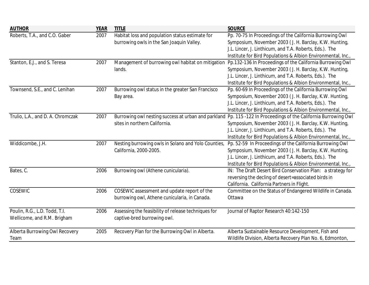| <b>AUTHOR</b>                         | <b>YEAR</b> | <b>TITLE</b>                                        | <b>SOURCE</b>                                                                                               |
|---------------------------------------|-------------|-----------------------------------------------------|-------------------------------------------------------------------------------------------------------------|
| Roberts, T.A., and C.O. Gaber         | 2007        | Habitat loss and population status estimate for     | Pp. 70-75 In Proceedings of the California Burrowing Owl                                                    |
|                                       |             | burrowing owls in the San Joaquin Valley.           | Symposium, November 2003 (J. H. Barclay, K.W. Hunting,                                                      |
|                                       |             |                                                     | J.L. Lincer, J. Linthicum, and T.A. Roberts, Eds.). The                                                     |
|                                       |             |                                                     | Institute for Bird Populations & Albion Environmental, Inc.,                                                |
| Stanton, E.J., and S. Teresa          | 2007        |                                                     | Management of burrowing owl habitat on mitigation Pp.132-136 In Proceedings of the California Burrowing Owl |
|                                       |             | lands.                                              | Symposium, November 2003 (J. H. Barclay, K.W. Hunting,                                                      |
|                                       |             |                                                     | J.L. Lincer, J. Linthicum, and T.A. Roberts, Eds.). The                                                     |
|                                       |             |                                                     | Institute for Bird Populations & Albion Environmental, Inc.,                                                |
| Townsend, S.E., and C. Lenihan        | 2007        | Burrowing owl status in the greater San Francisco   | Pp. 60-69 In Proceedings of the California Burrowing Owl                                                    |
|                                       |             | Bay area.                                           | Symposium, November 2003 (J. H. Barclay, K.W. Hunting,                                                      |
|                                       |             |                                                     | J.L. Lincer, J. Linthicum, and T.A. Roberts, Eds.). The                                                     |
|                                       |             |                                                     | Institute for Bird Populations & Albion Environmental, Inc.,                                                |
| Trulio, L.A., and D. A. Chromczak     | 2007        | Burrowing owl nesting success at urban and parkland | Pp. 115 -122 In Proceedings of the California Burrowing Owl                                                 |
|                                       |             | sites in northern California.                       | Symposium, November 2003 (J. H. Barclay, K.W. Hunting,                                                      |
|                                       |             |                                                     | J.L. Lincer, J. Linthicum, and T.A. Roberts, Eds.). The                                                     |
|                                       |             |                                                     | Institute for Bird Populations & Albion Environmental, Inc.,                                                |
| Widdicombe, J.H.                      | 2007        | Nesting burrowing owls in Solano and Yolo Counties, | Pp. 52-59 In Proceedings of the California Burrowing Owl                                                    |
|                                       |             | California, 2000-2005.                              | Symposium, November 2003 (J. H. Barclay, K.W. Hunting,                                                      |
|                                       |             |                                                     | J.L. Lincer, J. Linthicum, and T.A. Roberts, Eds.). The                                                     |
|                                       |             |                                                     | Institute for Bird Populations & Albion Environmental, Inc.,                                                |
| Bates, C.                             | 2006        | Burrowing owl (Athene cunicularia).                 | IN: The Draft Desert Bird Conservation Plan: a strategy for                                                 |
|                                       |             |                                                     | reversing the decling of desert=associated birds in                                                         |
|                                       |             |                                                     | California. California Partners in Flight.                                                                  |
| <b>COSEWIC</b>                        | 2006        | COSEWIC assessment and update report of the         | Committee on the Status of Endangered Wildlife in Canada.                                                   |
|                                       |             | burrowing owl, Athene cunicularia, in Canada.       | Ottawa                                                                                                      |
| Poulin, R.G., L.D. Todd, T.I.         | 2006        | Assessing the feasibility of release techniques for | Journal of Raptor Research 40:142-150                                                                       |
| Wellicome, and R.M. Brigham           |             | captive-bred burrowing owl.                         |                                                                                                             |
| <b>Alberta Burrowing Owl Recovery</b> | 2005        | Recovery Plan for the Burrowing Owl in Alberta.     | Alberta Sustainable Resource Development, Fish and                                                          |
| Team                                  |             |                                                     | Wildlife Division, Alberta Recovery Plan No. 6, Edmonton,                                                   |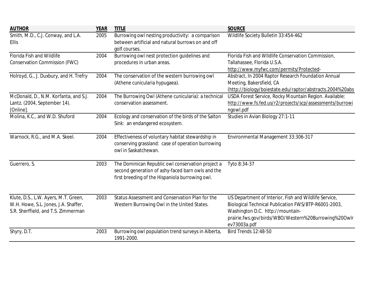| Burrowing owl nesting productivity: a comparison<br>Wildlife Society Bulletin 33:454-462<br>2005<br>between artificial and natural burrows on and off<br>golf courses.<br>Burrowing owl nest protection guidelines and<br>Florida Fish and WIIdlife Conservation Commission,<br>2004<br>procedures in urban areas.<br>Tallahassee, Florida U.S.A.<br>http://www.myfwc.com/permits/Protected-<br>Abstract, In 2004 Raptor Research Foundation Annual<br>The conservation of the western burrowing owl<br>2004<br>Meeting, Bakersfield, CA<br>(Athene cunicularia hypugaea).<br>(http://biology/boiestate.edu/raptor/abstracts.2004%20abs<br>USDA Forest Service, Rocky Mountain Region. Available:<br>The Burrowing Owl (Athene cunicularia): a technical<br>2004<br>http://www.fs.fed.us/r2/projects/scp/assessments/burrowi<br>conservation assessment.<br>ngowl.pdf<br>Molina, K.C., and W.D. Shuford<br>Ecology and conservation of the birds of the Salton<br>Studies in Avian Biology 27:1-11<br>2004<br>Sink: an endangered ecosystem.<br>Warnock, R.G., and M.A. Skeel.<br>Effectiveness of voluntary habitat stewardship in<br>Environmental Management 33:306-317<br>2004<br>conserving grassland: case of operation burrowing<br>owl in Saskatchewan.<br>The Dominican Republic owl conservation project a<br>Tyto 8:34-37<br>Guerrero, S.<br>2003<br>second generation of ashy-faced barn owls and the<br>first breeding of the Hispaniola burrowing owl.<br>Klute, D.S., L.W. Ayers, M.T. Green,<br>Status Assessment and Conservation Plan for the<br>US Department of Interior, Fish and Wildlife Service,<br>2003<br>W.H. Howe, S.L. Jones, J.A. Shaffer,<br>Biological Technical Publication FWS/BTP-R6001-2003,<br>Western Burrowing Owl in the United States.<br>S.R. Sherffield, and T.S. Zimmerman<br>Washington D.C. http://mountain-<br>prairie.fws.gov/birds/WBO/Western%20Burrowing%20Owlr<br>ev73003a.pdf<br>Shyry, D.T.<br>2003<br>Burrowing owl population trend surveys in Alberta,<br><b>Bird Trends 12:48-50</b><br>1991-2000. | <b>AUTHOR</b>                          | <b>YEAR</b> | <b>TITLE</b> | <b>SOURCE</b> |
|--------------------------------------------------------------------------------------------------------------------------------------------------------------------------------------------------------------------------------------------------------------------------------------------------------------------------------------------------------------------------------------------------------------------------------------------------------------------------------------------------------------------------------------------------------------------------------------------------------------------------------------------------------------------------------------------------------------------------------------------------------------------------------------------------------------------------------------------------------------------------------------------------------------------------------------------------------------------------------------------------------------------------------------------------------------------------------------------------------------------------------------------------------------------------------------------------------------------------------------------------------------------------------------------------------------------------------------------------------------------------------------------------------------------------------------------------------------------------------------------------------------------------------------------------------------------------------------------------------------------------------------------------------------------------------------------------------------------------------------------------------------------------------------------------------------------------------------------------------------------------------------------------------------------------------------------------------------------------------------------------------------------------------------------------------------|----------------------------------------|-------------|--------------|---------------|
|                                                                                                                                                                                                                                                                                                                                                                                                                                                                                                                                                                                                                                                                                                                                                                                                                                                                                                                                                                                                                                                                                                                                                                                                                                                                                                                                                                                                                                                                                                                                                                                                                                                                                                                                                                                                                                                                                                                                                                                                                                                              | Smith, M.D., C.J. Conway, and L.A.     |             |              |               |
|                                                                                                                                                                                                                                                                                                                                                                                                                                                                                                                                                                                                                                                                                                                                                                                                                                                                                                                                                                                                                                                                                                                                                                                                                                                                                                                                                                                                                                                                                                                                                                                                                                                                                                                                                                                                                                                                                                                                                                                                                                                              | <b>Ellis</b>                           |             |              |               |
|                                                                                                                                                                                                                                                                                                                                                                                                                                                                                                                                                                                                                                                                                                                                                                                                                                                                                                                                                                                                                                                                                                                                                                                                                                                                                                                                                                                                                                                                                                                                                                                                                                                                                                                                                                                                                                                                                                                                                                                                                                                              |                                        |             |              |               |
|                                                                                                                                                                                                                                                                                                                                                                                                                                                                                                                                                                                                                                                                                                                                                                                                                                                                                                                                                                                                                                                                                                                                                                                                                                                                                                                                                                                                                                                                                                                                                                                                                                                                                                                                                                                                                                                                                                                                                                                                                                                              | <b>Florida Fish and Wildlife</b>       |             |              |               |
|                                                                                                                                                                                                                                                                                                                                                                                                                                                                                                                                                                                                                                                                                                                                                                                                                                                                                                                                                                                                                                                                                                                                                                                                                                                                                                                                                                                                                                                                                                                                                                                                                                                                                                                                                                                                                                                                                                                                                                                                                                                              | <b>Conservation Commission (FWC)</b>   |             |              |               |
|                                                                                                                                                                                                                                                                                                                                                                                                                                                                                                                                                                                                                                                                                                                                                                                                                                                                                                                                                                                                                                                                                                                                                                                                                                                                                                                                                                                                                                                                                                                                                                                                                                                                                                                                                                                                                                                                                                                                                                                                                                                              |                                        |             |              |               |
|                                                                                                                                                                                                                                                                                                                                                                                                                                                                                                                                                                                                                                                                                                                                                                                                                                                                                                                                                                                                                                                                                                                                                                                                                                                                                                                                                                                                                                                                                                                                                                                                                                                                                                                                                                                                                                                                                                                                                                                                                                                              | Holroyd, G., J. Duxbury, and H. Trefry |             |              |               |
|                                                                                                                                                                                                                                                                                                                                                                                                                                                                                                                                                                                                                                                                                                                                                                                                                                                                                                                                                                                                                                                                                                                                                                                                                                                                                                                                                                                                                                                                                                                                                                                                                                                                                                                                                                                                                                                                                                                                                                                                                                                              |                                        |             |              |               |
|                                                                                                                                                                                                                                                                                                                                                                                                                                                                                                                                                                                                                                                                                                                                                                                                                                                                                                                                                                                                                                                                                                                                                                                                                                                                                                                                                                                                                                                                                                                                                                                                                                                                                                                                                                                                                                                                                                                                                                                                                                                              |                                        |             |              |               |
|                                                                                                                                                                                                                                                                                                                                                                                                                                                                                                                                                                                                                                                                                                                                                                                                                                                                                                                                                                                                                                                                                                                                                                                                                                                                                                                                                                                                                                                                                                                                                                                                                                                                                                                                                                                                                                                                                                                                                                                                                                                              | McDonald, D., N.M. Korfanta, and S.J.  |             |              |               |
|                                                                                                                                                                                                                                                                                                                                                                                                                                                                                                                                                                                                                                                                                                                                                                                                                                                                                                                                                                                                                                                                                                                                                                                                                                                                                                                                                                                                                                                                                                                                                                                                                                                                                                                                                                                                                                                                                                                                                                                                                                                              | Lantz. (2004, September 14).           |             |              |               |
|                                                                                                                                                                                                                                                                                                                                                                                                                                                                                                                                                                                                                                                                                                                                                                                                                                                                                                                                                                                                                                                                                                                                                                                                                                                                                                                                                                                                                                                                                                                                                                                                                                                                                                                                                                                                                                                                                                                                                                                                                                                              | [Online].                              |             |              |               |
|                                                                                                                                                                                                                                                                                                                                                                                                                                                                                                                                                                                                                                                                                                                                                                                                                                                                                                                                                                                                                                                                                                                                                                                                                                                                                                                                                                                                                                                                                                                                                                                                                                                                                                                                                                                                                                                                                                                                                                                                                                                              |                                        |             |              |               |
|                                                                                                                                                                                                                                                                                                                                                                                                                                                                                                                                                                                                                                                                                                                                                                                                                                                                                                                                                                                                                                                                                                                                                                                                                                                                                                                                                                                                                                                                                                                                                                                                                                                                                                                                                                                                                                                                                                                                                                                                                                                              |                                        |             |              |               |
|                                                                                                                                                                                                                                                                                                                                                                                                                                                                                                                                                                                                                                                                                                                                                                                                                                                                                                                                                                                                                                                                                                                                                                                                                                                                                                                                                                                                                                                                                                                                                                                                                                                                                                                                                                                                                                                                                                                                                                                                                                                              |                                        |             |              |               |
|                                                                                                                                                                                                                                                                                                                                                                                                                                                                                                                                                                                                                                                                                                                                                                                                                                                                                                                                                                                                                                                                                                                                                                                                                                                                                                                                                                                                                                                                                                                                                                                                                                                                                                                                                                                                                                                                                                                                                                                                                                                              |                                        |             |              |               |
|                                                                                                                                                                                                                                                                                                                                                                                                                                                                                                                                                                                                                                                                                                                                                                                                                                                                                                                                                                                                                                                                                                                                                                                                                                                                                                                                                                                                                                                                                                                                                                                                                                                                                                                                                                                                                                                                                                                                                                                                                                                              |                                        |             |              |               |
|                                                                                                                                                                                                                                                                                                                                                                                                                                                                                                                                                                                                                                                                                                                                                                                                                                                                                                                                                                                                                                                                                                                                                                                                                                                                                                                                                                                                                                                                                                                                                                                                                                                                                                                                                                                                                                                                                                                                                                                                                                                              |                                        |             |              |               |
|                                                                                                                                                                                                                                                                                                                                                                                                                                                                                                                                                                                                                                                                                                                                                                                                                                                                                                                                                                                                                                                                                                                                                                                                                                                                                                                                                                                                                                                                                                                                                                                                                                                                                                                                                                                                                                                                                                                                                                                                                                                              |                                        |             |              |               |
|                                                                                                                                                                                                                                                                                                                                                                                                                                                                                                                                                                                                                                                                                                                                                                                                                                                                                                                                                                                                                                                                                                                                                                                                                                                                                                                                                                                                                                                                                                                                                                                                                                                                                                                                                                                                                                                                                                                                                                                                                                                              |                                        |             |              |               |
|                                                                                                                                                                                                                                                                                                                                                                                                                                                                                                                                                                                                                                                                                                                                                                                                                                                                                                                                                                                                                                                                                                                                                                                                                                                                                                                                                                                                                                                                                                                                                                                                                                                                                                                                                                                                                                                                                                                                                                                                                                                              |                                        |             |              |               |
|                                                                                                                                                                                                                                                                                                                                                                                                                                                                                                                                                                                                                                                                                                                                                                                                                                                                                                                                                                                                                                                                                                                                                                                                                                                                                                                                                                                                                                                                                                                                                                                                                                                                                                                                                                                                                                                                                                                                                                                                                                                              |                                        |             |              |               |
|                                                                                                                                                                                                                                                                                                                                                                                                                                                                                                                                                                                                                                                                                                                                                                                                                                                                                                                                                                                                                                                                                                                                                                                                                                                                                                                                                                                                                                                                                                                                                                                                                                                                                                                                                                                                                                                                                                                                                                                                                                                              |                                        |             |              |               |
|                                                                                                                                                                                                                                                                                                                                                                                                                                                                                                                                                                                                                                                                                                                                                                                                                                                                                                                                                                                                                                                                                                                                                                                                                                                                                                                                                                                                                                                                                                                                                                                                                                                                                                                                                                                                                                                                                                                                                                                                                                                              |                                        |             |              |               |
|                                                                                                                                                                                                                                                                                                                                                                                                                                                                                                                                                                                                                                                                                                                                                                                                                                                                                                                                                                                                                                                                                                                                                                                                                                                                                                                                                                                                                                                                                                                                                                                                                                                                                                                                                                                                                                                                                                                                                                                                                                                              |                                        |             |              |               |
|                                                                                                                                                                                                                                                                                                                                                                                                                                                                                                                                                                                                                                                                                                                                                                                                                                                                                                                                                                                                                                                                                                                                                                                                                                                                                                                                                                                                                                                                                                                                                                                                                                                                                                                                                                                                                                                                                                                                                                                                                                                              |                                        |             |              |               |
|                                                                                                                                                                                                                                                                                                                                                                                                                                                                                                                                                                                                                                                                                                                                                                                                                                                                                                                                                                                                                                                                                                                                                                                                                                                                                                                                                                                                                                                                                                                                                                                                                                                                                                                                                                                                                                                                                                                                                                                                                                                              |                                        |             |              |               |
|                                                                                                                                                                                                                                                                                                                                                                                                                                                                                                                                                                                                                                                                                                                                                                                                                                                                                                                                                                                                                                                                                                                                                                                                                                                                                                                                                                                                                                                                                                                                                                                                                                                                                                                                                                                                                                                                                                                                                                                                                                                              |                                        |             |              |               |
|                                                                                                                                                                                                                                                                                                                                                                                                                                                                                                                                                                                                                                                                                                                                                                                                                                                                                                                                                                                                                                                                                                                                                                                                                                                                                                                                                                                                                                                                                                                                                                                                                                                                                                                                                                                                                                                                                                                                                                                                                                                              |                                        |             |              |               |
|                                                                                                                                                                                                                                                                                                                                                                                                                                                                                                                                                                                                                                                                                                                                                                                                                                                                                                                                                                                                                                                                                                                                                                                                                                                                                                                                                                                                                                                                                                                                                                                                                                                                                                                                                                                                                                                                                                                                                                                                                                                              |                                        |             |              |               |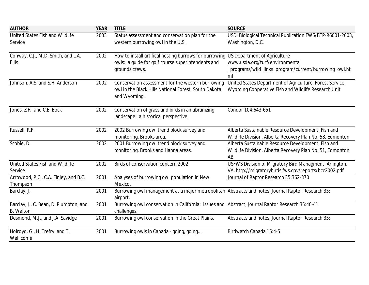| <b>AUTHOR</b>                          | <b>YEAR</b> | <b>TITLE</b>                                                                                                | <b>SOURCE</b>                                              |
|----------------------------------------|-------------|-------------------------------------------------------------------------------------------------------------|------------------------------------------------------------|
| <b>United States Fish and Wildlife</b> | 2003        | Status assessment and conservation plan for the                                                             | USDI Biological Technical Publication FWS/BTP-R6001-2003,  |
| Service                                |             | western burrowing owl in the U.S.                                                                           | Washington, D.C.                                           |
| Conway, C.J., M.D. Smith, and L.A.     | 2002        |                                                                                                             | <b>US Department of Agriculture</b>                        |
| <b>Ellis</b>                           |             | How to install artifical nesting burrows for burrowing<br>owls: a guide for golf course superintendents and | www.usda.org/turf/environmental                            |
|                                        |             | grounds crews.                                                                                              | _programs/wild_links_program/current/burrowing_owl.ht      |
|                                        |             |                                                                                                             | ml                                                         |
| Johnson, A.S. and S.H. Anderson        | 2002        | Conservation assessment for the western burrowing                                                           | United States Department of Agriculture, Forest Service,   |
|                                        |             | owl in the Black Hills National Forest, South Dakota                                                        | Wyoming Cooperative Fish and Wildlife Research Unit        |
|                                        |             | and Wyoming.                                                                                                |                                                            |
| Jones, Z.F., and C.E. Bock             | 2002        | Conservation of grassland birds in an ubranizing                                                            | Condor 104:643-651                                         |
|                                        |             | landscape: a historical perspective.                                                                        |                                                            |
| Russell, R.F.                          | 2002        | 2002 Burrowing owl trend block survey and                                                                   | Alberta Sustainable Resource Development, Fish and         |
|                                        |             | monitoring, Brooks area.                                                                                    | Wildlife Division, Alberta Recovery Plan No. 58, Edmonton, |
| Scobie, D.                             | 2002        | 2001 Burrowing owl trend block survey and                                                                   | Alberta Sustainable Resource Development, Fish and         |
|                                        |             | monitoring, Brooks and Hanna areas.                                                                         | Wildlife Division, Alberta Recovery Plan No. 51, Edmonton, |
|                                        |             |                                                                                                             | AB                                                         |
| <b>United States Fish and Wildlife</b> | 2002        | Birds of conservation concern 2002                                                                          | USFWS Division of Migratory Bird Managment, Arlington,     |
| Service                                |             |                                                                                                             | VA. http://migratorybirds.fws.gov/reports/bcc2002.pdf      |
| Arrowood, P.C., C.A. Finley, and B.C.  | 2001        | Analyses of burrowing owl population in New                                                                 | Journal of Raptor Research 35:362-370                      |
| Thompson                               |             | Mexico.                                                                                                     |                                                            |
| Barclay, J.                            | 2001        | Burrowing owl management at a major metropolitan Abstracts and notes, Journal Raptor Research 35:           |                                                            |
|                                        |             | airport.                                                                                                    |                                                            |
| Barclay, J., C. Bean, D. Plumpton, and | 2001        | Burrowing owl conservation in California: issues and Abstract, Journal Raptor Research 35:40-41             |                                                            |
| <b>B.</b> Walton                       |             | challenges.                                                                                                 |                                                            |
| Desmond, M.J., and J.A. Savidge        | 2001        | Burrowing owl conservation in the Great Plains.                                                             | Abstracts and notes, Journal Raptor Research 35:           |
| Holroyd, G., H. Trefry, and T.         | 2001        | Burrowing owls in Canada - going, going                                                                     | Birdwatch Canada 15:4-5                                    |
| Wellicome                              |             |                                                                                                             |                                                            |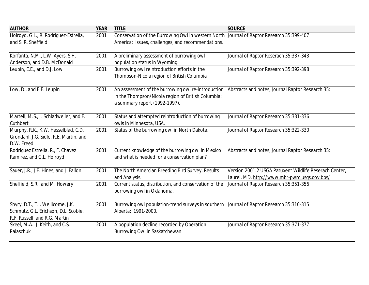| <b>AUTHOR</b>                                                                                              | <b>YEAR</b> | <b>TITLE</b>                                                                                                                                                                               | <b>SOURCE</b>                                                                                           |
|------------------------------------------------------------------------------------------------------------|-------------|--------------------------------------------------------------------------------------------------------------------------------------------------------------------------------------------|---------------------------------------------------------------------------------------------------------|
| Holroyd, G.L., R. Rodriguez-Estrella,<br>and S. R. Sheffield                                               | 2001        | Conservation of the Burrowing Owl in western North Journal of Raptor Research 35:399-407<br>America: issues, challenges, and recommendations.                                              |                                                                                                         |
| Korfanta, N.M., L.W. Ayers, S.H.<br>Anderson, and D.B. McDonald                                            | 2001        | A preliminary assessment of burrowing owl<br>population status in Wyoming.                                                                                                                 | Journal of Raptor Reserach 35:337-343                                                                   |
| Leupin, E.E., and D.J. Low                                                                                 | 2001        | Burrowing owl reintroduction efforts in the<br>Thompson-Nicola region of British Columbia                                                                                                  | Journal of Raptor Research 35:392-398                                                                   |
| Low, D., and E.E. Leupin                                                                                   | 2001        | An assessment of the burrowing owl re-introduction Abstracts and notes, Journal Raptor Research 35:<br>in the Thompson/Nicola region of British Columbia:<br>a summary report (1992-1997). |                                                                                                         |
| Martell, M.S., J. Schladweiler, and F.<br>Cuthbert                                                         | 2001        | Status and attempted reintroduction of burrowing<br>owls in Minnesota, USA.                                                                                                                | Journal of Raptor Research 35:331-336                                                                   |
| Murphy, R.K., K.W. Hasselblad, C.D.<br>Grondahl, J.G. Sidle, R.E. Martin, and<br>D.W. Freed                | 2001        | Status of the burrowing owl in North Dakota.                                                                                                                                               | Journal of Raptor Research 35:322-330                                                                   |
| Rodriguez Estrella, R., F. Chavez<br>Ramirez, and G.L. Holroyd                                             | 2001        | Current knowledge of the burrowing owl in Mexico<br>and what is needed for a conservation plan?                                                                                            | Abstracts and notes, Journal Raptor Research 35:                                                        |
| Sauer, J.R., J.E. Hines, and J. Fallon                                                                     | 2001        | The North Amercian Breeding Bird Survey, Results<br>and Analysis.                                                                                                                          | Version 2001.2 USGA Patuxent Wildlife Reserach Center,<br>Laurel, MD. http://www.mbr-pwrc.usgs.gov.bbs/ |
| Sheffield, S.R., and M. Howery                                                                             | 2001        | Current status, distribution, and conservation of the<br>burrowing owl in Oklahoma.                                                                                                        | Journal of Raptor Research 35:351-356                                                                   |
| Shyry, D.T., T.I. Wellicome, J.K.<br>Schmutz, G.L. Erichson, D.L. Scobie,<br>R.F. Russell, and R.G. Martin | 2001        | Burrowing owl population-trend surveys in southern Journal of Raptor Research 35:310-315<br>Alberta: 1991-2000.                                                                            |                                                                                                         |
| Skeel, M.A., J. Keith, and C.S.<br>Palaschuk                                                               | 2001        | A population decline recorded by Operation<br>Burrowing Owl in Saskatchewan.                                                                                                               | Journal of Raptor Research 35:371-377                                                                   |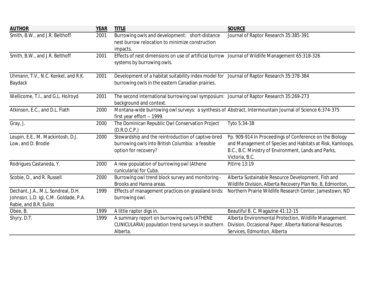| <b>AUTHOR</b>                         | <b>YEAR</b> | <b>TITLE</b>                                                                                     | <b>SOURCE</b>                                                                                           |
|---------------------------------------|-------------|--------------------------------------------------------------------------------------------------|---------------------------------------------------------------------------------------------------------|
| Smith, B.W., and J.R. Belthoff        | 2001        | Burrowing owls and development: short-distance                                                   | Journal of Raptor Research 35:385-391                                                                   |
|                                       |             | nest burrow relocation to minimize construction                                                  |                                                                                                         |
|                                       |             | impacts.                                                                                         |                                                                                                         |
| Smith, B.W., and J.R. Belthoff        | 2001        | Effects of nest dimensions on use of artificial burrow Journal of Wildlife Management 65:318-326 |                                                                                                         |
|                                       |             | systems by burrowing owls.                                                                       |                                                                                                         |
| Uhmann, T.V., N.C. Kenkel, and R.K.   | 2001        | Development of a habitat suitability index model for Journal of Raptor Research 35:378-384       |                                                                                                         |
| Baydack                               |             | burrowing owls in the eastern Canadian prairies.                                                 |                                                                                                         |
| Wellicome, T.I., and G.L. Holroyd     | 2001        | The second international burrowing owl symposium: Journal of Raptor Research 35:269-273          |                                                                                                         |
|                                       |             | background and context.                                                                          |                                                                                                         |
| Atkinson, E.C., and D.L. Flath        | 2000        |                                                                                                  | Montana-wide burrowing owl surveys: a synthesis of Abstract, Intermountain Journal of Science 6:374-375 |
|                                       |             | first year effort -- 1999.                                                                       |                                                                                                         |
| Gray, J.                              | 2000        | The Dominican Republic Owl Conservation Project                                                  | Tyto 5:34-38                                                                                            |
|                                       |             | (D.R.O.C.P.)                                                                                     |                                                                                                         |
| Leupin, E.E., M. Mackintosh, D.J.     | 2000        | Stewardship and the reintroduction of captive-bred                                               | Pp. 909-914 In Proceedings of Conference on the Biology                                                 |
| Low, and D. Brodie                    |             | burrowing owls into British Columbia: a feasible                                                 | and Management of Species and Habitats at Risk, Kamloops,                                               |
|                                       |             | option for recovery?                                                                             | B.C., B.C. Ministry of Environment, Lands and Parks,                                                    |
|                                       |             |                                                                                                  | Victoria, B.C.                                                                                          |
| Rodrigues Castaneda, Y.               | 2000        | A new population of burrowing owl (Athene                                                        | <b>Pitirre 13:19</b>                                                                                    |
|                                       |             | cunicularia) for Cuba.                                                                           |                                                                                                         |
| Scobie, D., and R. Russell            | 2000        | Burrowing owl trend block survey and monitoring -                                                | Alberta Sustainable Resource Development, Fish and                                                      |
|                                       |             | Brooks and Hanna areas.                                                                          | Wildlife Division, Alberta Recovery Plan No. 8, Edmonton,                                               |
| Dechant, J.A., M.L. Sondreal, D.H.    | 1999        | Effects of management practices on grassland birds:                                              | Northern Prairie Wildlife Research Center, Jamestown, ND                                                |
| Johnson, L.D. Igl, C.M. Goldade, P.A. |             | burrowing owl.                                                                                   |                                                                                                         |
| Rabie, and B.R. Euliss                |             |                                                                                                  |                                                                                                         |
| Obee, B.                              | 1999        | A little raptor digs in.                                                                         | Beautiful B. C. Magazine 41:12-15                                                                       |
| Shyry, D.T.                           | 1999        | A summary report on burrowing owls (ATHENE                                                       | Alberta Environmental Protection, Wildlife Management                                                   |
|                                       |             | CUNICULARIA) population trend surveys in southern                                                | Division, Occasional Paper, Alberta National Resources                                                  |
|                                       |             | Alberta.                                                                                         | Services, Edmonton, Alberta                                                                             |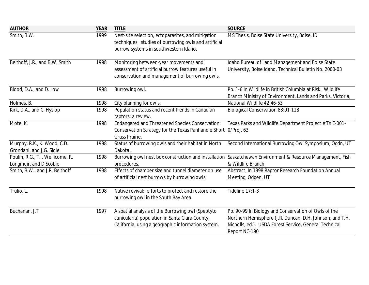| <b>AUTHOR</b>                                              | <b>YEAR</b> | <b>TITLE</b>                                                                                                                                              | <b>SOURCE</b>                                                                                                                                                                               |
|------------------------------------------------------------|-------------|-----------------------------------------------------------------------------------------------------------------------------------------------------------|---------------------------------------------------------------------------------------------------------------------------------------------------------------------------------------------|
| Smith, B.W.                                                | 1999        | Nest-site selection, ectoparasites, and mitigation<br>techniques: studies of burrowing owls and artificial<br>burrow systems in southwestern Idaho.       | MS Thesis, Boise State University, Boise, ID                                                                                                                                                |
| Belthoff, J.R., and B.W. Smith                             | 1998        | Monitoring between-year movements and<br>assessment of artificial burrow features useful in<br>conservation and management of burrowing owls.             | Idaho Bureau of Land Management and Boise State<br>University, Boise Idaho, Technical Bulletin No. 2000-03                                                                                  |
| Blood, D.A., and D. Low                                    | 1998        | Burrowing owl.                                                                                                                                            | Pp. 1-6 In Wildlife in British Columbia at Risk. Wildlife<br>Branch Ministry of Environment, Lands and Parks, Victoria,                                                                     |
| Holmes, B.                                                 | 1998        | City planning for owls.                                                                                                                                   | National Wildlife 42:46-53                                                                                                                                                                  |
| Kirk, D.A., and C. Hyslop                                  | 1998        | Population status and recent trends in Canadian<br>raptors: a review.                                                                                     | <b>Biological Conservation 83:91-118</b>                                                                                                                                                    |
| Mote, K.                                                   | 1998        | <b>Endangered and Threatened Species Conservation:</b><br>Conservation Strategy for the Texas Panhandle Short 0/Proj. 63<br>Grass Prairie.                | Texas Parks and Wildlife Department Project # TX E-001-                                                                                                                                     |
| Murphy, R.K., K. Wood, C.D.<br>Grondahl, and J.G. Sidle    | 1998        | Status of burrowing owls and their habitat in North<br>Dakota.                                                                                            | Second International Burrowing Owl Symposium, Ogdn, UT                                                                                                                                      |
| Poulin, R.G., T.I. Wellicome, R.<br>Longmuir, and D.Scobie | 1998        | procedures.                                                                                                                                               | Burrowing owl nest box construction and installation Saskatchewan Environment & Resource Management, Fish<br>& Wildlife Branch                                                              |
| Smith, B.W., and J.R. Belthoff                             | 1998        | Effects of chamber size and tunnel diameter on use<br>of artificial nest burrows by burrowing owls.                                                       | Abstract, In 1998 Raptor Research Foundation Annual<br>Meeting, Odgen, UT                                                                                                                   |
| Trulio, L.                                                 | 1998        | Native revival: efforts to protect and restore the<br>burrowing owl in the South Bay Area.                                                                | <b>Tideline 17:1-3</b>                                                                                                                                                                      |
| Buchanan, J.T.                                             | 1997        | A spatial analysis of the Burrowing owl (Speotyto<br>cunicularia) population in Santa Clara County,<br>California, using a geographic information system. | Pp. 90-99 In Biology and Conservation of Owls of the<br>Northern Hemisphere (J.R. Duncan, D.H. Johnson, and T.H.<br>Nicholls, ed.). USDA Forest Service, General Technical<br>Report NC-190 |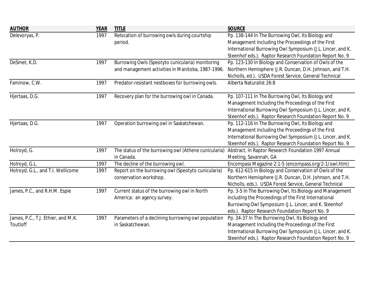| <b>AUTHOR</b>                      | <b>YEAR</b> | <b>TITLE</b>                                         | <b>SOURCE</b>                                              |
|------------------------------------|-------------|------------------------------------------------------|------------------------------------------------------------|
| Delevoryas, P.                     | 1997        | Relocation of burrowing owls during courtship        | Pp. 138-144 In The Burrowing Owl, Its Biology and          |
|                                    |             | period.                                              | Management Including the Proceedings of the First          |
|                                    |             |                                                      | International Burrowing Owl Symposium (J.L. Lincer, and K. |
|                                    |             |                                                      | Steenhof eds.). Raptor Research Foundation Report No. 9    |
| DeSmet, K.D.                       | 1997        | Burrowing Owls (Speotyto cunicularia) monitoring     | Pp. 123-130 In Biology and Conservation of Owls of the     |
|                                    |             | and management activities in Manitoba, 1987-1996.    | Northern Hemisphere (J.R. Duncan, D.H. Johnson, and T.H.   |
|                                    |             |                                                      | Nicholls, ed.). USDA Forest Service, General Technical     |
| Faminow, C.W.                      | 1997        | Predator-resistant nestboxes for burrowing owls.     | Alberta Naturalist 26:8                                    |
| Hjertaas, D.G.                     | 1997        | Recovery plan for the burrowing owl in Canada.       | Pp. 107-111 In The Burrowing Owl, Its Biology and          |
|                                    |             |                                                      | Management Including the Proceedings of the First          |
|                                    |             |                                                      | International Burrowing Owl Symposium (J.L. Lincer, and K. |
|                                    |             |                                                      | Steenhof eds.). Raptor Research Foundation Report No. 9    |
| Hjertaas, D.G.                     | 1997        | Operation burrowing owl in Saskatchewan.             | Pp. 112-116 In The Burrowing Owl, Its Biology and          |
|                                    |             |                                                      | Management Including the Proceedings of the First          |
|                                    |             |                                                      | International Burrowing Owl Symposium (J.L. Lincer, and K. |
|                                    |             |                                                      | Steenhof eds.). Raptor Research Foundation Report No. 9    |
| Holroyd, G.                        | 1997        | The status of the burrowing owl (Athene cunicularia) | Abstract, In Raptor Research Foundation 1997 Annual        |
|                                    |             | in Canada.                                           | Meeting, Savannah, GA                                      |
| Holroyd, G.L.                      | 1997        | The decline of the burrowing owl.                    | Encompass Magazine 2:1-5 (encompass.org/2-1/owl.htm)       |
| Holroyd, G.L., and T.I. Wellicome  | 1997        | Report on the burrowing owl (Speotyto cunicularia)   | Pp. 612-615 In Biology and Conservation of Owls of the     |
|                                    |             | conservation workshop.                               | Northern Hemisphere (J.R. Duncan, D.H. Johnson, and T.H.   |
|                                    |             |                                                      | Nicholls, eds.). USDA Forest Service, General Technical    |
| James, P.C., and R.H.M. Espie      | 1997        | Current status of the burrowing owl in North         | Pp. 3-5 In The Burrowing Owl, Its Biology and Management   |
|                                    |             | America: an agency survey.                           | Including the Proceedings of the First International       |
|                                    |             |                                                      | Burrowing Owl Symposium (J.L. Lincer, and K. Steenhof      |
|                                    |             |                                                      | eds.). Raptor Research Foundation Report No. 9             |
| James, P.C., T.J. Ethier, and M.K. | 1997        | Parameters of a declining burrowing owl population   | Pp. 34-37 In The Burrowing Owl, Its Biology and            |
| Toutloff                           |             | in Saskatchewan.                                     | Management Including the Proceedings of the First          |
|                                    |             |                                                      | International Burrowing Owl Symposium (J.L. Lincer, and K. |
|                                    |             |                                                      | Steenhof eds.). Raptor Research Foundation Report No. 9    |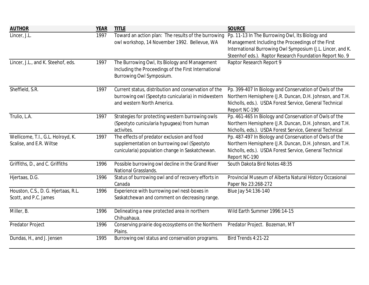| <b>AUTHOR</b>                                                 | <b>YEAR</b> | <b>TITLE</b>                                                                                                                                | <b>SOURCE</b>                                                                                                                                                                                  |
|---------------------------------------------------------------|-------------|---------------------------------------------------------------------------------------------------------------------------------------------|------------------------------------------------------------------------------------------------------------------------------------------------------------------------------------------------|
| Lincer, J.L.                                                  | 1997        | Toward an action plan: The results of the burrowing<br>owl workshop, 14 November 1992. Bellevue, WA                                         | Pp. 11-13 In The Burrowing Owl, Its Biology and<br>Management Including the Proceedings of the First                                                                                           |
|                                                               |             |                                                                                                                                             | International Burrowing Owl Symposium (J.L. Lincer, and K.<br>Steenhof eds.). Raptor Research Foundation Report No. 9                                                                          |
| Lincer, J.L., and K. Steehof, eds.                            | 1997        | The Burrowing Owl, Its Biology and Management<br>Including the Proceedings of the First International<br>Burrowing Owl Symposium.           | Raptor Research Report 9                                                                                                                                                                       |
| Sheffield, S.R.                                               | 1997        | Current status, distribution and conservation of the<br>burrowing owl (Speotyto cunicularia) in midwestern<br>and western North America.    | Pp. 399-407 In Biology and Conservation of Owls of the<br>Northern Hemisphere (J.R. Duncan, D.H. Johnson, and T.H.<br>Nicholls, eds.). USDA Forest Service, General Technical<br>Report NC-190 |
| Trulio, L.A.                                                  | 1997        | Strategies for protecting western burrowing owls<br>(Speotyto cunicularia hypugaea) from human<br>activites.                                | Pp. 461-465 In Biology and Conservation of Owls of the<br>Northern Hemisphere (J.R. Duncan, D.H. Johnson, and T.H.<br>Nicholls, eds.). USDA Forest Service, General Technical                  |
| Wellicome, T.I., G.L. Holroyd, K.<br>Scalise, and E.R. Wiltse | 1997        | The effects of predator exclusion and food<br>supplementation on burrowing owl (Speotyto<br>cunicularia) population change in Saskatchewan. | Pp. 487-497 In Biology and Conservation of Owls of the<br>Northern Hemisphere (J.R. Duncan, D.H. Johnson, and T.H.<br>Nicholls, eds.). USDA Forest Service, General Technical<br>Report NC-190 |
| Griffiths, D., and C. Griffiths                               | 1996        | Possible burrowing owl decline in the Grand River<br>National Grasslands.                                                                   | South Dakota Bird Notes 48:35                                                                                                                                                                  |
| Hjertaas, D.G.                                                | 1996        | Status of burrowing owl and of recovery efforts in<br>Canada                                                                                | Provincial Museum of Alberta Natural History Occasional<br>Paper No 23:268-272                                                                                                                 |
| Houston, C.S., D. G. Hjertaas, R.L.<br>Scott, and P.C. James  | 1996        | Experience with burrowing owl nest-boxes in<br>Saskatchewan and comment on decreasing range.                                                | Blue Jay 54:136-140                                                                                                                                                                            |
| Miller, B.                                                    | 1996        | Delineating a new protected area in northern<br>Chihuahaua.                                                                                 | Wild Earth Summer 1996:14-15                                                                                                                                                                   |
| <b>Predator Project</b>                                       | 1996        | Conserving prairie dog ecosystems on the Northern<br>Plains.                                                                                | Predator Project. Bozeman, MT                                                                                                                                                                  |
| Dundas, H., and J. Jensen                                     | 1995        | Burrowing owl status and conservation programs.                                                                                             | Bird Trends 4:21-22                                                                                                                                                                            |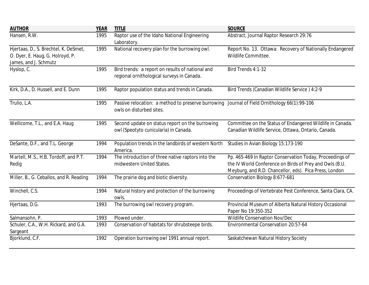| <b>AUTHOR</b>                                                                                      | <b>YEAR</b> | <b>TITLE</b>                                                                                                             | <b>SOURCE</b>                                                                                                                                                                 |
|----------------------------------------------------------------------------------------------------|-------------|--------------------------------------------------------------------------------------------------------------------------|-------------------------------------------------------------------------------------------------------------------------------------------------------------------------------|
| Hansen, R.W.                                                                                       | 1995        | Raptor use of the Idaho National Engineering<br>Laboratory.                                                              | Abstract, Journal Raptor Research 29:76                                                                                                                                       |
| Hjertaas, D., S. Brechtel, K. DeSmet,<br>O. Dyer, E. Haug, G. Holroyd, P.<br>James, and J. Schmutz | 1995        | National recovery plan for the burrowing owl.                                                                            | Report No. 13. Ottawa: Recovery of Nationally Endangered<br>Wildlife Committee.                                                                                               |
| Hyslop, C.                                                                                         | 1995        | Bird trends: a report on results of national and<br>regional ornithological surveys in Canada.                           | Bird Trends 4:1-32                                                                                                                                                            |
| Kirk, D.A., D. Hussell, and E. Dunn                                                                | 1995        | Raptor population status and trends in Canada.                                                                           | Bird Trends (Canadian Wildlife Service) 4:2-9                                                                                                                                 |
| Trulio, L.A.                                                                                       | 1995        | Passive relocation: a method to preserve burrowing Journal of Field Ornithology 66(1):99-106<br>owls on disturbed sites. |                                                                                                                                                                               |
| Wellicome, T.L., and E.A. Haug                                                                     | 1995        | Second update on status report on the burrowing<br>owl (Speotyto cunicularia) in Canada.                                 | Committee on the Status of Endangered Wildlife in Canada.<br>Canadian Wildlife Service, Ottawa, Ontario, Canada.                                                              |
| DeSante, D.F., and T.L. George                                                                     | 1994        | Population trends in the landbirds of western North Studies in Avian Biology 15:173-190<br>America.                      |                                                                                                                                                                               |
| Martell, M.S., H.B. Tordoff, and P.T.<br>Redig                                                     | 1994        | The introduction of three native raptors into the<br>midwestern United States.                                           | Pp. 465-469 In Raptor Conservation Today, Proceedings of<br>the IV World Conference on Birds of Prey and Owls (B.U.<br>Meyburg, and R.D. Chancellor, eds). Pica Press, London |
| Miller, B., G. Ceballos, and R. Reading                                                            | 1994        | The prairie dog and biotic diversity.                                                                                    | <b>Conservation Biology 8:677-681</b>                                                                                                                                         |
| Winchell, C.S.                                                                                     | 1994        | Natural history and protection of the burrowing<br>owls.                                                                 | Proceedings of Vertebrate Pest Conference, Santa Clara, CA.                                                                                                                   |
| Hjertaas, D.G.                                                                                     | 1993        | The burrowing owl recovery program.                                                                                      | Provincial Museum of Alberta Natural History Occasional<br>Paper No 19:350-352                                                                                                |
| Salmansohn, P.                                                                                     | 1993        | Plowed under.                                                                                                            | <b>Wildlife Conservation Nov/Dec</b>                                                                                                                                          |
| Schuler, C.A., W.H. Rickard, and G.A.<br>Sargeant                                                  | 1993        | Conservation of habitats for shrubsteepe birds.                                                                          | <b>Environmental Conservation 20:57-64</b>                                                                                                                                    |
| Bjorklund, C.F.                                                                                    | 1992        | Operation burrowing owl 1991 annual report.                                                                              | Saskatchewan Natural History Society                                                                                                                                          |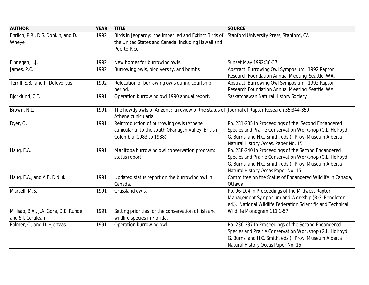| <b>AUTHOR</b>                                              | <b>YEAR</b> | <b>TITLE</b>                                                                                                                                                        | <b>SOURCE</b>                                                                                                                                                                                                   |
|------------------------------------------------------------|-------------|---------------------------------------------------------------------------------------------------------------------------------------------------------------------|-----------------------------------------------------------------------------------------------------------------------------------------------------------------------------------------------------------------|
| Ehrlich, P.R., D.S. Dobkin, and D.<br>Wheye                | 1992        | Birds in Jeopardy: the Imperiled and Extinct Birds of Stanford University Press, Stanford, CA<br>the United States and Canada, Including Hawaii and<br>Puerto Rico. |                                                                                                                                                                                                                 |
| Finnegen, L.J.                                             | 1992        | New homes for burrowing owls.                                                                                                                                       | Sunset May 1992:36-37                                                                                                                                                                                           |
| James, P.C.                                                | 1992        | Burrowing owls, biodiversity, and bombs.                                                                                                                            | Abstract, Burrowing Owl Symposium. 1992 Raptor<br>Research Foundation Annual Meeting, Seattle, WA.                                                                                                              |
| Terrill, S.B., and P. Delevoryas                           | 1992        | Relocation of burrowing owls during courtship<br>period.                                                                                                            | Abstract, Burrowing Owl Symposium. 1992 Raptor<br>Research Foundation Annual Meeting, Seattle, WA                                                                                                               |
| Bjorklund, C.F.                                            | 1991        | Operation burrowing owl 1990 annual report.                                                                                                                         | Saskatchewan Natural History Society                                                                                                                                                                            |
| Brown, N.L.                                                | 1991        | The howdy owls of Arizona: a review of the status of Journal of Raptor Research 35:344-350<br>Athene cunicularia.                                                   |                                                                                                                                                                                                                 |
| Dyer, O.                                                   | 1991        | Reintroduction of burrowing owls (Athene<br>cunicularia) to the south Okanagan Valley, British<br>Columbia (1983 to 1988).                                          | Pp. 231-235 In Proceedings of the Second Endangered<br>Species and Prairie Conservation Workshop (G.L. Holroyd,<br>G. Burns, and H.C. Smith, eds.). Prov. Museum Alberta<br>Natural History Occas. Paper No. 15 |
| Haug, E.A.                                                 | 1991        | Manitoba burrowing owl conservation program:<br>status report                                                                                                       | Pp. 238-240 In Proceedings of the Second Endangered<br>Species and Prairie Conservation Workshop (G.L. Holroyd,<br>G. Burns, and H.C. Smith, eds.). Prov. Museum Alberta<br>Natural History Occas Paper No. 15  |
| Haug, E.A., and A.B. Didiuk                                | 1991        | Updated status report on the burrowing owl in<br>Canada.                                                                                                            | Committee on the Status of Endangered Wildlife in Canada,<br>Ottawa                                                                                                                                             |
| Martell, M.S.                                              | 1991        | Grassland owls.                                                                                                                                                     | Pp. 96-104 In Proceedings of the Midwest Raptor<br>Management Symposium and Workship (B.G. Pendleton,<br>ed.). National Wildlife Federation Scientific and Technical                                            |
| Millsap, B.A., J.A. Gore, D.E. Runde,<br>and S.I. Cerulean | 1991        | Setting priorities for the conservation of fish and<br>wildlife species in Florida.                                                                                 | Wildlife Monogram 111:1-57                                                                                                                                                                                      |
| Palmer, C., and D. Hjertaas                                | 1991        | Operation burrowing owl.                                                                                                                                            | Pp. 236-237 In Proceedings of the Second Endangered<br>Species and Prairie Conservation Workshop (G.L. Holroyd,<br>G. Burns, and H.C. Smith, eds.). Prov. Museum Alberta<br>Natural History Occas Paper No. 15  |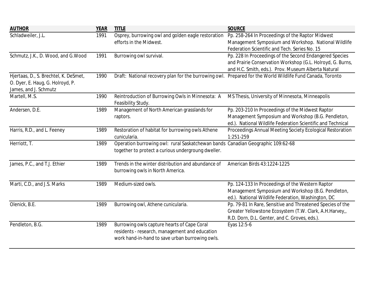| Schladweiler, J.L.<br>Osprey, burrowing owl and golden eagle restoration<br>Pp. 258-264 In Proceedings of the Raptor Midwest<br>1991<br>Management Symposium and Workshop. National Wildlife<br>efforts in the Midwest.<br>Federation Scientific and Tech. Series No. 15<br>Pp. 228 In Proceedings of the Second Endangered Species<br>Schmutz, J.K., D. Wood, and G. Wood<br>Burrowing owl survival.<br>1991<br>and Prairie Conservation Workshop (G.L. Holroyd, G. Burns,<br>and H.C. Smith, eds.). Prov. Museum Alberta Natural |  |
|------------------------------------------------------------------------------------------------------------------------------------------------------------------------------------------------------------------------------------------------------------------------------------------------------------------------------------------------------------------------------------------------------------------------------------------------------------------------------------------------------------------------------------|--|
|                                                                                                                                                                                                                                                                                                                                                                                                                                                                                                                                    |  |
|                                                                                                                                                                                                                                                                                                                                                                                                                                                                                                                                    |  |
|                                                                                                                                                                                                                                                                                                                                                                                                                                                                                                                                    |  |
|                                                                                                                                                                                                                                                                                                                                                                                                                                                                                                                                    |  |
|                                                                                                                                                                                                                                                                                                                                                                                                                                                                                                                                    |  |
|                                                                                                                                                                                                                                                                                                                                                                                                                                                                                                                                    |  |
| Hjertaas, D., S. Brechtel, K. DeSmet,<br>1990<br>Draft: National recovery plan for the burrowing owl.<br>Prepared for the World Wildlife Fund Canada, Toronto                                                                                                                                                                                                                                                                                                                                                                      |  |
| O. Dyer, E. Haug, G. Holroyd, P.                                                                                                                                                                                                                                                                                                                                                                                                                                                                                                   |  |
| James, and J. Schmutz                                                                                                                                                                                                                                                                                                                                                                                                                                                                                                              |  |
| Martell, M.S.<br>1990<br>Reintroduction of Burrowing Owls in Minnesota: A<br>MS Thesis, University of Minnesota, Minneapolis                                                                                                                                                                                                                                                                                                                                                                                                       |  |
| Feasibility Study.                                                                                                                                                                                                                                                                                                                                                                                                                                                                                                                 |  |
| Management of North American grasslands for<br>Andersen, D.E.<br>1989<br>Pp. 203-210 In Proceedings of the Midwest Raptor                                                                                                                                                                                                                                                                                                                                                                                                          |  |
| Management Symposium and Workshop (B.G. Pendleton,<br>raptors.                                                                                                                                                                                                                                                                                                                                                                                                                                                                     |  |
| ed.). National Wildlife Federation Scientific and Technical                                                                                                                                                                                                                                                                                                                                                                                                                                                                        |  |
| Harris, R.D., and L. Feeney<br>Restoration of habitat for burrowing owls Athene<br>Proceedings Annual Meeting Society Ecological Restoration<br>1989                                                                                                                                                                                                                                                                                                                                                                               |  |
| 1:251-259<br>cunicularia.                                                                                                                                                                                                                                                                                                                                                                                                                                                                                                          |  |
| Herriott, T.<br>Operation burrowing owl: rural Saskatchewan bands Canadian Geographic 109:62-68<br>1989                                                                                                                                                                                                                                                                                                                                                                                                                            |  |
| together to protect a curious undergroung dweller.                                                                                                                                                                                                                                                                                                                                                                                                                                                                                 |  |
| James, P.C., and T.J. Ethier<br>Trends in the winter distribution and abundance of<br>American Birds 43:1224-1225<br>1989                                                                                                                                                                                                                                                                                                                                                                                                          |  |
| burrowing owls in North America.                                                                                                                                                                                                                                                                                                                                                                                                                                                                                                   |  |
|                                                                                                                                                                                                                                                                                                                                                                                                                                                                                                                                    |  |
| Marti, C.D., and J.S. Marks<br>Pp. 124-133 In Proceedings of the Western Raptor<br>1989<br>Medium-sized owls.                                                                                                                                                                                                                                                                                                                                                                                                                      |  |
| Management Symposium and Workshop (B.G. Pendleton,                                                                                                                                                                                                                                                                                                                                                                                                                                                                                 |  |
| ed.). National Wildlife Federation, Washington, DC                                                                                                                                                                                                                                                                                                                                                                                                                                                                                 |  |
| Olenick, B.E.<br>Pp. 79-81 In Rare, Sensitive and Threatened Species of the<br>1989<br>Burrowing owl, Athene cunicularia.                                                                                                                                                                                                                                                                                                                                                                                                          |  |
| Greater Yellowstone Ecosystem (T.W. Clark, A.H.Harvey,,                                                                                                                                                                                                                                                                                                                                                                                                                                                                            |  |
| R.D. Dorn, D.L. Genter, and C. Groves, eds.).                                                                                                                                                                                                                                                                                                                                                                                                                                                                                      |  |
| Pendleton, B.G.<br>Burrowing owls capture hearts of Cape Coral<br>1989<br>Eyas 12:5-6                                                                                                                                                                                                                                                                                                                                                                                                                                              |  |
| residents - research, management and education                                                                                                                                                                                                                                                                                                                                                                                                                                                                                     |  |
| work hand-in-hand to save urban burrowing owls.                                                                                                                                                                                                                                                                                                                                                                                                                                                                                    |  |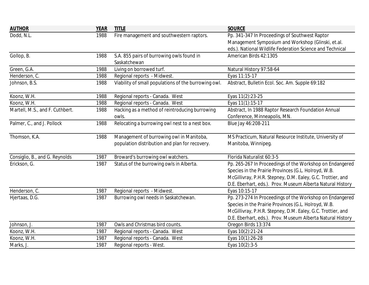| <b>AUTHOR</b>                   | <b>YEAR</b> | <b>TITLE</b>                                         | <b>SOURCE</b>                                               |
|---------------------------------|-------------|------------------------------------------------------|-------------------------------------------------------------|
| Dodd, N.L.                      | 1988        | Fire management and southwestern raptors.            | Pp. 341-347 In Proceedings of Southwest Raptor              |
|                                 |             |                                                      | Management Symposium and Workshop (Glinski, et.al.          |
|                                 |             |                                                      | eds.). National Wildlife Federation Science and Technical   |
| Gollop, B.                      | 1988        | S.A. 855 pairs of burrowing owls found in            | American Birds 42:1305                                      |
|                                 |             | Saskatchewan                                         |                                                             |
| Green, G.A.                     | 1988        | Living on borrowed turf.                             | Natural History 97:58-64                                    |
| Henderson, C.                   | 1988        | Regional reports - Midwest.                          | Eyas 11:15-17                                               |
| Johnson, B.S.                   | 1988        | Viability of small populations of the burrowing owl. | Abstract, Bulletin Ecol. Soc. Am. Supple 69:182             |
| Koonz, W.H.                     | 1988        | Regional reports - Canada. West                      | Eyas 11(2):23-25                                            |
| Koonz, W.H.                     | 1988        | Regional reports - Canada. West                      | Eyas 11(1):15-17                                            |
| Martell, M.S., and F. Cuthbert. | 1988        | Hacking as a method of reintroducing burrowing       | Abstract, In 1988 Raptor Research Foundation Annual         |
|                                 |             | owls.                                                | Conference, Minneapolis, MN.                                |
| Palmer, C., and J. Pollock      | 1988        | Relocating a burrowing owl nest to a nest box.       | Blue Jay 46:208-211                                         |
| Thomson, K.A.                   | 1988        | Management of burrowing owl in Manitoba,             | MS Practicum, Natural Resource Institute, University of     |
|                                 |             | population distribution and plan for recovery.       | Manitoba, Winnipeg.                                         |
| Consiglio, B., and G. Reynolds  | 1987        | Broward's burrowing owl watchers.                    | Florida Naturalist 60:3-5                                   |
| Erickson, G.                    | 1987        | Status of the burrowing owls in Alberta.             | Pp. 265-267 In Proceedings of the Workshop on Endangered    |
|                                 |             |                                                      | Species in the Prairie Provinces (G.L. Holroyd, W.B.        |
|                                 |             |                                                      | McGillivray, P.H.R. Stepney, D.M. Ealey, G.C. Trottier, and |
|                                 |             |                                                      | D.E. Eberhart, eds.). Prov. Museum Alberta Natural History  |
| Henderson, C.                   | 1987        | Regional reports - Midwest.                          | Eyas 10:15-17                                               |
| Hjertaas, D.G.                  | 1987        | Burrowing owl needs in Saskatchewan.                 | Pp. 273-274 In Proceedings of the Workshop on Endangered    |
|                                 |             |                                                      | Species in the Prairie Provinces (G.L. Holroyd, W.B.        |
|                                 |             |                                                      | McGillivray, P.H.R. Stepney, D.M. Ealey, G.C. Trottier, and |
|                                 |             |                                                      | D.E. Eberhart, eds.). Prov. Museum Alberta Natural History  |
| Johnson, J.                     | 1987        | Owls and Christmas bird counts.                      | Oregon Birds 13:374                                         |
| Koonz, W.H.                     | 1987        | Regional reports - Canada. West                      | Eyas 10(2):21-24                                            |
| Koonz, W.H.                     | 1987        | Regional reports - Canada. West                      | Eyas 10(1):26-28                                            |
| Marks, J.                       | 1987        | Regional reports - West.                             | Eyas 10(2):3-5                                              |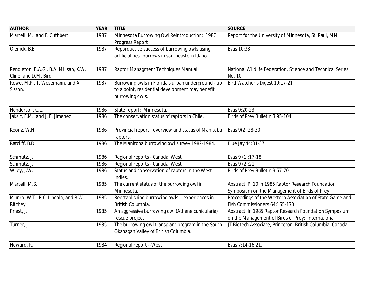| <b>AUTHOR</b>                         | <b>YEAR</b> | <b>TITLE</b>                                                                                   | <b>SOURCE</b>                                              |
|---------------------------------------|-------------|------------------------------------------------------------------------------------------------|------------------------------------------------------------|
| Martell, M., and F. Cuthbert          | 1987        | Minnesota Burrowing Owl Reintroduction: 1987<br><b>Progress Report</b>                         | Report for the University of Minnesota, St. Paul, MN       |
| Olenick, B.E.                         | 1987        | Reporductive success of burrowing owls using<br>artificial nest burrows in southeastern Idaho. | Eyas 10:38                                                 |
| Pendleton, B.A.G., B.A. Millsap, K.W. | 1987        | Raptor Managment Techniques Manual.                                                            | National Wildlife Federation, Science and Technical Series |
| Cline, and D.M. Bird                  |             |                                                                                                | No. 10                                                     |
| Rowe, M.P., T. Wesemann, and A.       | 1987        | Burrowing owls in Florida's urban underground - up                                             | Bird Watcher's Digest 10:17-21                             |
| Sisson.                               |             | to a point, residential development may benefit                                                |                                                            |
|                                       |             | burrowing owls.                                                                                |                                                            |
| Henderson, C.L.                       | 1986        | State report: Minnesota.                                                                       | Eyas 9:20-23                                               |
| Jaksic, F.M., and J. E. Jimenez       | 1986        | The conservation status of raptors in Chile.                                                   | Birds of Prey Bulletin 3:95-104                            |
| Koonz, W.H.                           | 1986        | Provincial report: overview and status of Manitoba<br>raptors.                                 | Eyas 9(2):28-30                                            |
| Ratcliff, B.D.                        | 1986        | The Manitoba burrowing owl survey 1982-1984.                                                   | Blue Jay 44:31-37                                          |
| Schmutz, J.                           | 1986        | Regional reports - Canada, West                                                                | Eyas 9 (1):17-18                                           |
| Schmutz, J.                           | 1986        | Regional reports - Canada, West                                                                | Eyas 9 (2):21                                              |
| Wiley, J.W.                           | 1986        | Status and conservation of raptors in the West<br>Indies.                                      | Birds of Prey Bulletin 3:57-70                             |
| Martell, M.S.                         | 1985        | The current status of the burrowing owl in                                                     | Abstract, P. 10 In 1985 Raptor Research Foundation         |
|                                       |             | Minnesota.                                                                                     | Symposium on the Management of Birds of Prey               |
| Munro, W.T., R.C. Lincoln, and R.W.   | 1985        | Reestablishing burrowing owls -- experiences in                                                | Proceedings of the Western Association of State Game and   |
| Ritchey                               |             | British Columbia.                                                                              | Fish Commissioners 64:165-170                              |
| Priest, J.                            | 1985        | An aggressive burrowing owl (Athene cunicularia)                                               | Abstract, In 1985 Raptor Research Foundation Symposium     |
|                                       |             | rescue project.                                                                                | on the Management of Birds of Prey: International          |
| Turner, J.                            | 1985        | The burrowing owl transplant program in the South                                              | JT Biotech Associate, Princeton, British Columbia, Canada  |
|                                       |             | Okanagan Valley of British Columbia.                                                           |                                                            |
| Howard, R.                            | 1984        | Regional report -- West                                                                        | Eyas 7:14-16,21.                                           |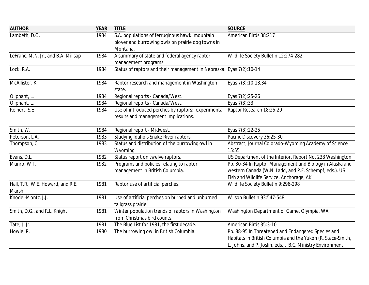| <b>AUTHOR</b>                              | <b>YEAR</b> | <b>TITLE</b>                                                                               | <b>SOURCE</b>                                               |
|--------------------------------------------|-------------|--------------------------------------------------------------------------------------------|-------------------------------------------------------------|
| Lambeth, D.O.                              | 1984        | S.A. populations of ferruginous hawk, mountain                                             | American Birds 38:217                                       |
|                                            |             | plover and burrowing owls on prairie dog towns in                                          |                                                             |
|                                            |             | Montana.                                                                                   |                                                             |
| LeFranc, M.N. Jr., and B.A. Millsap        | 1984        | A summary of state and federal agency raptor                                               | Wildlife Society Bulletin 12:274-282                        |
|                                            |             | management programs.                                                                       |                                                             |
| Lock, R.A.                                 | 1984        | Status of raptors and their management in Nebraska. Eyas 7(2):10-14                        |                                                             |
| McAllister, K.                             | 1984        | Raptor research and management in Washington                                               | Eyas 7(3):10-13,34                                          |
|                                            |             | state.                                                                                     |                                                             |
| Oliphant, L.                               | 1984        | Regional reports - Canada/West.                                                            | Eyas 7(2):25-26                                             |
| Oliphant, L.                               | 1984        | Regional reports - Canada/West.                                                            | Eyas 7(3):33                                                |
| Reinert, S.E                               | 1984        | Use of introduced perches by raptors: experimental<br>results and management implications. | Raptor Research 18:25-29                                    |
| Smith, W.                                  | 1984        | Regional report - Midwest.                                                                 | Eyas 7(3):22-25                                             |
| Peterson, L.A.                             | 1983        | Studying Idaho's Snake River raptors.                                                      | Pacific Discovery 36:25-30                                  |
| Thompson, C.                               | 1983        | Status and distribution of the burrowing owl in                                            | Abstract, Journal Colorado-Wyoming Academy of Science       |
|                                            |             | Wyoming.                                                                                   | 15:55                                                       |
| Evans, D.L.                                | 1982        | Status report on twelve raptors.                                                           | US Department of the Interior. Report No. 238 Washington    |
| Munro, W.T.                                | 1982        | Programs and policies relating to raptor                                                   | Pp. 30-34 In Raptor Management and Biology in Alaska and    |
|                                            |             | management in British Columbia.                                                            | western Canada (W.N. Ladd, and P.F. Schempf, eds.). US      |
|                                            |             |                                                                                            | Fish and Wildlife Service, Anchorage, AK                    |
| Hall, T.R., W.E. Howard, and R.E.<br>Marsh | 1981        | Raptor use of artificial perches.                                                          | Wildlife Society Bulletin 9:296-298                         |
| Knodel-Montz, J.J.                         | 1981        | Use of artificial perches on burned and unburned                                           | Wilson Bulletin 93:547-548                                  |
|                                            |             | tallgrass prairie.                                                                         |                                                             |
| Smith, D.G., and R.L. Knight               | 1981        | Winter population trends of raptors in Washington                                          | Washington Department of Game, Olympia, WA                  |
|                                            |             | from Christmas bird counts.                                                                |                                                             |
| Tate, J. Jr.                               | 1981        | The Blue List for 1981, the first decade.                                                  | American Birds 35:3-10                                      |
| Howie, R.                                  | 1980        | The burrowing owl in British Columbia.                                                     | Pp. 88-95 In Threatened and Endangered Species and          |
|                                            |             |                                                                                            | Habitats in British Columbia and the Yukon (R. Stace-Smith, |
|                                            |             |                                                                                            | L. Johns, and P. Joslin, eds.). B.C. Ministry Environment,  |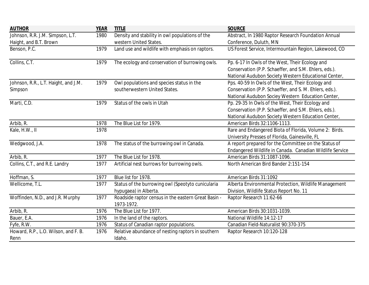| <b>AUTHOR</b>                        | <b>YEAR</b> | <b>TITLE</b>                                        | <b>SOURCE</b>                                            |
|--------------------------------------|-------------|-----------------------------------------------------|----------------------------------------------------------|
| Johnson, R.R. J.M. Simpson, L.T.     | 1980        | Density and stability in owl populations of the     | Abstract, In 1980 Raptor Research Foundation Annual      |
| Haight, and B.T. Brown               |             | western United States.                              | Conference, Duluth, MN                                   |
| Benson, P.C.                         | 1979        | Land use and wildlife with emphasis on raptors.     | US Forest Service, Intermountain Region, Lakewood, CO    |
|                                      |             |                                                     |                                                          |
| Collins, C.T.                        | 1979        | The ecology and conservation of burrowing owls.     | Pp. 6-17 In Owls of the West, Their Ecology and          |
|                                      |             |                                                     | Conservation (P.P. Schaeffer, and S.M. Ehlers, eds.).    |
|                                      |             |                                                     | National Audubon Society Western Educational Center,     |
| Johnson, R.R., L.T. Haight, and J.M. | 1979        | Owl populations and species status in the           | Pps. 40-59 In Owls of the West, Their Ecology and        |
| Simpson                              |             | southerwestern United States.                       | Conservation (P.P. Schaeffer, and S. M. Ehlers, eds.).   |
|                                      |             |                                                     | National Audubon Sociey Western Education Center,        |
| Marti, C.D.                          | 1979        | Status of the owls in Utah                          | Pp. 29-35 In Owls of the West, Their Ecology and         |
|                                      |             |                                                     | Conservation (P.P. Schaeffer, and S.M. Ehlers, eds.).    |
|                                      |             |                                                     | National Audubon Society Western Education Center,       |
| Arbib, R.                            | 1978        | The Blue List for 1979.                             | American Birds 32:1106-1113.                             |
| Kale, H.W., II                       | 1978        |                                                     | Rare and Endangered Biota of Florida, Volume 2: Birds.   |
|                                      |             |                                                     | University Presses of Florida, Gainesville, FL           |
| Wedgwood, J.A.                       | 1978        | The status of the burrowing owl in Canada.          | A report prepared for the Committee on the Status of     |
|                                      |             |                                                     | Endangered Wildlife in Canada. Canadian Wildlife Service |
| Arbib, R.                            | 1977        | The Blue List for 1978.                             | American Birds 31:1087-1096.                             |
| Collins, C.T., and R.E. Landry       | 1977        | Artificial nest burrows for burrowing owls.         | North American Bird Bander 2:151-154                     |
|                                      |             |                                                     |                                                          |
| Hoffman, S.                          | 1977        | Blue list for 1978.                                 | American Birds 31:1092                                   |
| Wellicome, T.L.                      | 1977        | Status of the burrowing owl (Speotyto cunicularia   | Alberta Environmental Protection, Wildlife Management    |
|                                      |             | hypugaea) in Alberta.                               | Division, Wildlife Status Report No. 11                  |
| Woffinden, N.D., and J.R. Murphy     | 1977        | Roadside raptor census in the eastern Great Basin - | Raptor Research 11:62-66                                 |
|                                      |             | 1973-1972.                                          |                                                          |
| Arbib, R.                            | 1976        | The Blue List for 1977.                             | American Birds 30:1031-1039.                             |
| Bauer, E.A.                          | 1976        | In the land of the raptors.                         | National Wildlife 14:12-17                               |
| Fyfe, R.W.                           | 1976        | Status of Canadian raptor populations.              | Canadian Field-Naturalist 90:370-375                     |
| Howard, R.P., L.O. Wilson, and F. B. | 1976        | Relative abundance of nesting raptors in southern   | Raptor Research 10:120-128                               |
| Renn                                 |             | Idaho.                                              |                                                          |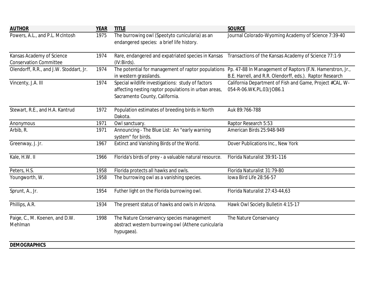| <b>AUTHOR</b>                             | <b>YEAR</b> | <b>TITLE</b>                                                                                                  | <b>SOURCE</b>                                                                                                |
|-------------------------------------------|-------------|---------------------------------------------------------------------------------------------------------------|--------------------------------------------------------------------------------------------------------------|
| Powers, A.L., and P.L. McIntosh           | 1975        | The burrowing owl (Speotyto cunicularia) as an<br>endangered species: a brief life history.                   | Journal Colorado-Wyoming Academy of Science 7:39-40                                                          |
| Kansas Academy of Science                 | 1974        | Rare, endangered and expatriated species in Kansas                                                            | Transactions of the Kansas Academy of Science 77:1-9                                                         |
| <b>Conservation Committee</b>             |             | (IV:Birds).                                                                                                   |                                                                                                              |
| Olendorff, R.R., and J.W. Stoddart, Jr.   | 1974        |                                                                                                               | The potential for management of raptor populations Pp. 47-88 In Management of Raptors (F.N. Hamerstron, Jr., |
|                                           |             | in western grasslands.                                                                                        | B.E. Harrell, and R.R. Olendorff, eds.). Raptor Research                                                     |
| Vincenty, J.A. III                        | 1974        | Special wildlife investigations: study of factors                                                             | California Department of Fish and Game, Project #CAL. W-                                                     |
|                                           |             | affecting nesting raptor populations in urban areas,<br>Sacramento County, California.                        | 054-R-06.WK.PL.03/JOB6.1                                                                                     |
| Stewart, R.E., and H.A. Kantrud           | 1972        | Population estimates of breeding birds in North                                                               | Auk 89:766-788                                                                                               |
|                                           |             | Dakota.                                                                                                       |                                                                                                              |
| Anonymous                                 | 1971        | Owl sanctuary.                                                                                                | Raptor Research 5:53                                                                                         |
| Arbib, R.                                 | 1971        | Announcing - The Blue List: An "early warning                                                                 | American Birds 25:948-949                                                                                    |
|                                           |             | system" for birds.                                                                                            |                                                                                                              |
| Greenway, J. Jr.                          | 1967        | Extinct and Vanishing Birds of the World.                                                                     | Dover Publications Inc., New York                                                                            |
| Kale, H.W. II                             | 1966        | Florida's birds of prey - a valuable natural resource.                                                        | Florida Naturalist 39:91-116                                                                                 |
| Peters, H.S.                              | 1958        | Florida protects all hawks and owls.                                                                          | Florida Naturalist 31:79-80                                                                                  |
| Youngworth, W.                            | 1958        | The burrowing owl as a vanishing species.                                                                     | lowa Bird Life 28:56-57                                                                                      |
| Sprunt, A., Jr.                           | 1954        | Futher light on the Florida burrowing owl.                                                                    | Florida Naturalist 27:43-44,63                                                                               |
| Phillips, A.R.                            | 1934        | The present status of hawks and owls in Arizona.                                                              | Hawk Owl Society Bulletin 4:15-17                                                                            |
| Paige, C., M. Koenen, and D.W.<br>Mehlman | 1998        | The Nature Conservancy species management<br>abstract western burrowing owl (Athene cunicularia<br>hypugaea). | The Nature Conservancy                                                                                       |
| <b>DEMOGRAPHICS</b>                       |             |                                                                                                               |                                                                                                              |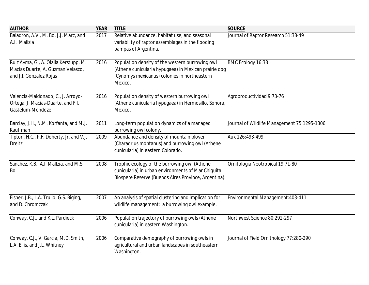| <b>AUTHOR</b>                                                                                         | <b>YEAR</b> | <b>TITLE</b>                                                                                                                                                       | <b>SOURCE</b>                               |
|-------------------------------------------------------------------------------------------------------|-------------|--------------------------------------------------------------------------------------------------------------------------------------------------------------------|---------------------------------------------|
| Baladron, A.V., M. Bo, J.J. Marc, and<br>A.I. Malizia                                                 | 2017        | Relative abundance, habitat use, and seasonal<br>variability of raptor assemblages in the flooding<br>pampas of Argentina.                                         | Journal of Raptor Research 51:38-49         |
| Ruiz Ayma, G., A. Olalla Kerstupp, M.<br>Macias Duarte, A. Guzman Velasco,<br>and J.I. Gonzalez Rojas | 2016        | Population density of the western burrowing owl<br>(Athene cunicularia hypugaea) in Mexican prairie dog<br>(Cynomys mexicanus) colonies in northeastern<br>Mexico. | BMC Ecology 16:38                           |
| Valencia-Maldonado, C., J. Arroyo-<br>Ortega, J. Macias-Duarte, and F.I.<br>Gastelum-Mendoze          | 2016        | Population density of western burrowing owl<br>(Athene cunicularia hypugaea) in Hermosillo, Sonora,<br>Mexico.                                                     | Agroproductividad 9:73-76                   |
| Barclay, J.H., N.M. Korfanta, and M.J.<br>Kauffman                                                    | 2011        | Long-term population dynamics of a managed<br>burrowing owl colony.                                                                                                | Journal of Wildlife Management 75:1295-1306 |
| Tipton, H.C., P.F. Doherty, Jr. and V.J.<br><b>Dreitz</b>                                             | 2009        | Abundance and density of mountain plover<br>(Charadrius montanus) and burrowing owl (Athene<br>cunicularia) in eastern Colorado.                                   | Auk 126:493-499                             |
| Sanchez, K.B., A.I. Mallzia, and M.S.<br>Bo                                                           | 2008        | Trophic ecology of the burrowing owl (Athene<br>cunicularia) in urban environments of Mar Chiquita<br>Biospere Reserve (Buenos Aires Province, Argentina).         | Ornitologia Neotropical 19:71-80            |
| Fisher, J.B., L.A. Trulio, G.S. Biging,<br>and D. Chromczak                                           | 2007        | An analysis of spatial clustering and implication for<br>wildlife management: a burrowing owl example.                                                             | Environmental Management: 403-411           |
| Conway, C.J., and K.L. Pardieck                                                                       | 2006        | Population trajectory of burrowing owls (Athene<br>cunicularia) in eastern Washington.                                                                             | Northwest Science 80:292-297                |
| Conway, C.J., V. Garcia, M.D. Smith,<br>L.A. Ellis, and J.L. Whitney                                  | 2006        | Comparative demography of burrowing owls in<br>agricultural and urban landscapes in southeastern<br>Washington.                                                    | Journal of Field Ornithology 77:280-290     |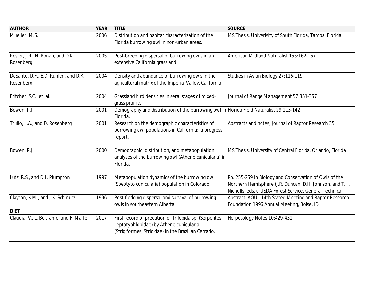| <b>AUTHOR</b>                                     | <b>YEAR</b> | <b>TITLE</b>                                                                                                                                             | <b>SOURCE</b>                                                                                                                                                                 |
|---------------------------------------------------|-------------|----------------------------------------------------------------------------------------------------------------------------------------------------------|-------------------------------------------------------------------------------------------------------------------------------------------------------------------------------|
| Mueller, M.S.                                     | 2006        | Distribution and habitat characterization of the<br>Florida burrowing owl in non-urban areas.                                                            | MS Thesis, Univerisity of South Florida, Tampa, Florida                                                                                                                       |
| Rosier, J.R., N. Ronan, and D.K.<br>Rosenberg     | 2005        | Post-breeding dispersal of burrowing owls in an<br>extensive California grassland.                                                                       | American Midland Naturalist 155:162-167                                                                                                                                       |
| DeSante, D.F., E.D. Ruhlen, and D.K.<br>Rosenberg | 2004        | Density and abundance of burrowing owls in the<br>agricultural matrix of the Imperial Valley, California.                                                | Studies in Avian Biology 27:116-119                                                                                                                                           |
| Fritcher, S.C., et. al.                           | 2004        | Grassland bird densities in seral stages of mixed-<br>grass prairie.                                                                                     | Journal of Range Management 57:351-357                                                                                                                                        |
| Bowen, P.J.                                       | 2001        | Demography and distribution of the burrowing owl in Florida Field Naturalist 29:113-142<br>Florida.                                                      |                                                                                                                                                                               |
| Trulio, L.A., and D. Rosenberg                    | 2001        | Research on the demographic characteristics of<br>burrowing owl populations in California: a progress<br>report.                                         | Abstracts and notes, Journal of Raptor Research 35:                                                                                                                           |
| Bowen, P.J.                                       | 2000        | Demographic, distribution, and metapopulation<br>analyses of the burrowing owl (Athene cunicularia) in<br>Florida.                                       | MS Thesis, University of Central Florida, Orlando, Florida                                                                                                                    |
| Lutz, R.S., and D.L. Plumpton                     | 1997        | Metapopulation dynamics of the burrowing owl<br>(Speotyto cunicularia) population in Colorado.                                                           | Pp. 255-259 In Biology and Conservation of Owls of the<br>Northern Hemisphere (J.R. Duncan, D.H. Johnson, and T.H.<br>Nicholls, eds.). USDA Forest Service, General Technical |
| Clayton, K.M., and J.K. Schmutz                   | 1996        | Post-fledging dispersal and survival of burrowing<br>owls in southeastern Alberta.                                                                       | Abstract, AOU 114th Stated Meeting and Raptor Research<br>Foundation 1996 Annual Meeting, Boise, ID                                                                           |
| <b>DIET</b>                                       |             |                                                                                                                                                          |                                                                                                                                                                               |
| Claudia, V., L. Beltrame, and F. Maffei           | 2017        | First record of predation of Trilepida sp. (Serpentes,<br>Leptotyphlopidae) by Athene cunicularia<br>(Strigiformes, Strigidae) in the Brazilian Cerrado. | Herpetology Notes 10:429-431                                                                                                                                                  |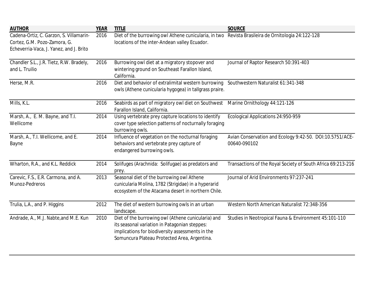| <b>AUTHOR</b>                                                                                                      | <b>YEAR</b> | <b>TITLE</b>                                                                                                                                                                                            | <b>SOURCE</b>                                                            |
|--------------------------------------------------------------------------------------------------------------------|-------------|---------------------------------------------------------------------------------------------------------------------------------------------------------------------------------------------------------|--------------------------------------------------------------------------|
| Cadena-Ortiz, C. Garzon, S. Villamarin-<br>Cortez, G.M. Pozo-Zamora, G.<br>Echeverria-Vaca, J. Yanez, and J. Brito | 2016        | Diet of the burrowing owl Athene cunicularia, in two Revista Brasileira de Ornitologia 24:122-128<br>locations of the inter-Andean valley Ecuador.                                                      |                                                                          |
| Chandler S.L., J.R. Tietz, R.W. Bradely,<br>and L. Truilio                                                         | 2016        | Burrowing owl diet at a migratory stopover and<br>wintering ground on Southeast Farallon Island,<br>California.                                                                                         | Journal of Raptor Research 50:391-403                                    |
| Herse, M.R.                                                                                                        | 2016        | Diet and behavior of extralimital western burrowing<br>owls (Athene cunicularia hygogea) in tallgrass praire.                                                                                           | Southwestern Naturalist 61:341-348                                       |
| Mills, K.L.                                                                                                        | 2016        | Seabirds as part of migratory owl diet on Southwest<br>Farallon Island, California.                                                                                                                     | Marine Ornithology 44:121-126                                            |
| Marsh, A., E. M. Bayne, and T.I.<br>Wellicome                                                                      | 2014        | Using vertebrate prey capture locations to identify<br>cover type selection patterns of nocturnally foraging<br>burrowing owls.                                                                         | Ecological Applications 24:950-959                                       |
| Marsh, A., T.I. Wellicome, and E.<br>Bayne                                                                         | 2014        | Influence of vegetation on the nocturnal foraging<br>behaviors and vertebrate prey capture of<br>endangered burrowing owls.                                                                             | Avian Conservation and Ecology 9:42-50. DOI:10.5751/ACE-<br>00640-090102 |
| Wharton, R.A., and K.L. Reddick                                                                                    | 2014        | Solifuges (Arachnida: Solifugae) as predators and<br>prey.                                                                                                                                              | Transactions of the Royal Society of South Africa 69:213-216             |
| Carevic, F.S., E.R. Carmona, and A.<br>Munoz-Pedreros                                                              | 2013        | Seasonal diet of the burrowing owl Athene<br>cunicularia Molina, 1782 (Strigidae) in a hyperarid<br>ecosystem of the Atacama desert in northern Chile.                                                  | Journal of Arid Environments 97:237-241                                  |
| Trulia, L.A., and P. Higgins                                                                                       | 2012        | The diet of western burrowing owls in an urban<br>landscape.                                                                                                                                            | Western North American Naturalist 72:348-356                             |
| Andrade, A., M.J. Nabte, and M.E. Kun                                                                              | 2010        | Diet of the burrowing owl (Athene cunicularia) and<br>its seasonal variation in Patagonian steppes:<br>implications for biodiversity assessments in the<br>Somuncura Plateau Protected Area, Argentina. | Studies in Neotropical Fauna & Environment 45:101-110                    |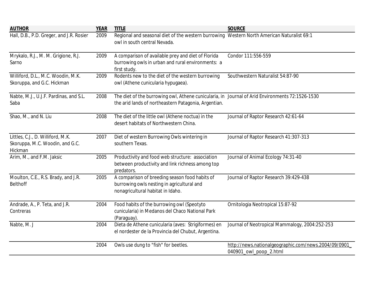| <b>AUTHOR</b>                                                                   | <b>YEAR</b> | <b>TITLE</b>                                                                                                                                            | <b>SOURCE</b>                                                                  |
|---------------------------------------------------------------------------------|-------------|---------------------------------------------------------------------------------------------------------------------------------------------------------|--------------------------------------------------------------------------------|
| Hall, D.B., P.D. Greger, and J.R. Rosier                                        | 2009        | Regional and seasonal diet of the western burrowing Western North American Naturalist 69:1<br>owl in south central Nevada.                              |                                                                                |
| Mrykalo, R.J., M. M. Grigione, R.J.<br>Sarno                                    | 2009        | A comparison of available prey and diet of Florida<br>burrowing owls in urban and rural environments: a<br>first study.                                 | Condor 111:556-559                                                             |
| Williford, D.L., M.C. Woodin, M.K.<br>Skoruppa, and G.C. Hickman                | 2009        | Rodents new to the diet of the western burrowing<br>owl (Athene cunicularia hypugaea).                                                                  | Southwestern Naturalist 54:87-90                                               |
| Nabte, M.J., U.J.F. Pardinas, and S.L.<br>Saba                                  | 2008        | The diet of the burrowing owl, Athene cunicularia, in Journal of Arid Environments 72:1526-1530<br>the arid lands of northeastern Patagonia, Argentian. |                                                                                |
| Shao, M., and N. Liu                                                            | 2008        | The diet of the little owl (Athene noctua) in the<br>desert habitats of Northwestern China.                                                             | Journal of Raptor Research 42:61-64                                            |
| Littles, C.J., D. Williford, M.K.<br>Skoruppa, M.C. Woodin, and G.C.<br>Hickman | 2007        | Diet of western Burrowing Owls wintering in<br>southern Texas.                                                                                          | Journal of Raptor Research 41:307-313                                          |
| Arim, M., and F.M. Jaksic                                                       | 2005        | Productivity and food web structure: association<br>between productivity and link richness among top<br>predators.                                      | Journal of Animal Ecology 74:31-40                                             |
| Moulton, C.E., R.S. Brady, and J.R.<br><b>Belthoff</b>                          | 2005        | A comparison of breeding season food habits of<br>burrowing owls nesting in agricultural and<br>nonagricultural habitat in Idaho.                       | Journal of Raptor Research 39:429-438                                          |
| Andrade, A., P. Teta, and J.R.<br>Contreras                                     | 2004        | Food habits of the burrowing owl (Speotyto<br>cunicularia) in Medanos del Chaco National Park<br>(Paraguay).                                            | Ornitologia Neotropical 15:87-92                                               |
| Nabte, M. J                                                                     | 2004        | Dieta de Athene cunicularia (aves: Strigiformes) en<br>el nordester de la Provincia del Chubut, Argentina.                                              | Journal of Neotropical Mammalogy, 2004:252-253                                 |
|                                                                                 | 2004        | Owls use dung to "fish" for beetles.                                                                                                                    | http://news.nationalgeographic.com/news.2004/09/0901<br>040901_owl_poop_2.html |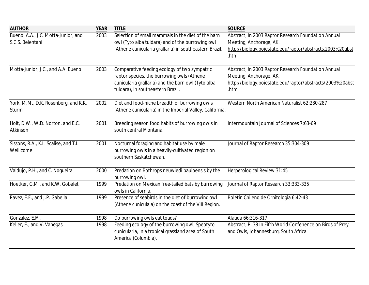| <b>AUTHOR</b>                                           | <b>YEAR</b> | <b>TITLE</b>                                                                                                                                                                          | <b>SOURCE</b>                                                                                                                                       |
|---------------------------------------------------------|-------------|---------------------------------------------------------------------------------------------------------------------------------------------------------------------------------------|-----------------------------------------------------------------------------------------------------------------------------------------------------|
| Bueno, A.A., J.C. Motta-Junior, and<br>S.C.S. Belentani | 2003        | Selection of small mammals in the diet of the barn<br>owl (Tyto alba tuidara) and of the burrowing owl<br>(Athene cunicularia grallaria) in southeastern Brazil.                      | Abstract, In 2003 Raptor Research Foundation Annual<br>Meeting, Anchorage, AK.<br>http://biology.boiestate.edu/raptor/abstracts.2003%20abst<br>.htn |
| Motta-Junior, J.C., and A.A. Bueno                      | 2003        | Comparative feeding ecology of two sympatric<br>raptor species, the burrowing owls (Athene<br>cunicularia grallaria) and the barn owl (Tyto alba<br>tuidara), in southeastern Brazil. | Abstract, In 2003 Raptor Research Foundation Annual<br>Meeting, Anchorage, AK.<br>http://biology.boiestate.edu/raptor/abstracts/2003%20abst<br>.htm |
| York, M.M., D.K. Rosenberg, and K.K.<br>Sturm           | 2002        | Diet and food-niche breadth of burrowing owls<br>(Athene cunicularia) in the Imperial Valley, California.                                                                             | Western North American Naturalist 62:280-287                                                                                                        |
| Holt, D.W., W.D. Norton, and E.C.<br>Atkinson           | 2001        | Breeding season food habits of burrowing owls in<br>south central Montana.                                                                                                            | Intermountain Journal of Sciences 7:63-69                                                                                                           |
| Sissons, R.A., K.L. Scalise, and T.I.<br>Wellicome      | 2001        | Nocturnal foraging and habitat use by male<br>burrowing owls in a heavily-cultivated region on<br>southern Saskatchewan.                                                              | Journal of Raptor Research 35:304-309                                                                                                               |
| Valdujo, P.H., and C. Nogueira                          | 2000        | Predation on Bothrops neuwiedi pauloensis by the<br>burrowing owl.                                                                                                                    | Herpetological Review 31:45                                                                                                                         |
| Hoetker, G.M., and K.W. Gobalet                         | 1999        | Predation on Mexican free-tailed bats by burrowing<br>owls in California.                                                                                                             | Journal of Raptor Research 33:333-335                                                                                                               |
| Pavez, E.F., and J.P. Gabella                           | 1999        | Presence of seabirds in the diet of burrowing owl<br>(Athene cuniculaia) on the coast of the VIII Region.                                                                             | Boletin Chileno de Ornitologia 6:42-43                                                                                                              |
| Gonzalez, E.M.                                          | 1998        | Do burrowing owls eat toads?                                                                                                                                                          | Alauda 66:316-317                                                                                                                                   |
| Keller, E., and V. Vanegas                              | 1998        | Feeding ecology of the burrowing owl, Speotyto<br>cunicularia, in a tropical grassland area of South<br>America (Columbia).                                                           | Abstract, P. 38 In Fifth World Confenence on Birds of Prey<br>and Owls, Johannesburg, South Africa                                                  |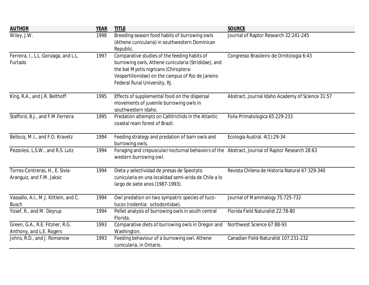| <b>AUTHOR</b>                                                | <b>YEAR</b> | <b>TITLE</b>                                                                                                                                                                                                                       | <b>SOURCE</b>                                    |
|--------------------------------------------------------------|-------------|------------------------------------------------------------------------------------------------------------------------------------------------------------------------------------------------------------------------------------|--------------------------------------------------|
| Wiley, J.W.                                                  | 1998        | Breeding-season food habits of burrowing owls<br>(Athene cunicularia) in southwestern Dominican<br>Republic.                                                                                                                       | Journal of Raptor Research 32:241-245            |
| Ferreira, I., L.L. Gonzaga, and L.L.<br>Furtado              | 1997        | Comparative studies of the feeding habits of<br>burrowing owls, Athene cunicularia (Strididae), and<br>the bat Myotis nigricans (Chiroptera:<br>Vespertilionidae) on the campus of Rio de Janeiro<br>Federal Rural University, RJ. | Congresso Brasileiro de Ornitologia 6:43         |
| King, R.A., and J.R. Belthoff                                | 1995        | Effects of supplemental food on the dispersal<br>movements of juvenile burrowing owls in<br>southwestern Idaho.                                                                                                                    | Abstract, Journal Idaho Academy of Science 31:57 |
| Stafford, B.J., and F.M.Ferreira                             | 1995        | Predation attempts on Callitrichids in the Atlantic<br>coastal reain forest of Brazil.                                                                                                                                             | Folia Primatologica 65:229-233                   |
| Bellocq, M.I., and F.O. Kravetz                              | 1994        | Feeding strategy and predation of barn owls and<br>burrowing owls.                                                                                                                                                                 | Ecologia Austral. 4(1):29-34                     |
| Pezzolesi, L.S.W., and R.S. Lutz                             | 1994        | Foraging and crepuscular/nocturnal behaviors of the Abstract, Journal of Raptor Research 28:63<br>western burrowing owl.                                                                                                           |                                                  |
| Torres-Contreras, H., E. Sivla-<br>Aranguiz, and F.M. Jaksic | 1994        | Dieta y selectividad de presas de Speotyto<br>cunicularia en una localidad semi-arida de Chile a lo<br>largo de siete anos (1987-1993).                                                                                            | Revista Chilena de Historia Natural 67:329-340   |
| Vassallo, A.I., M.J. Kittlein, and C.<br><b>Busch</b>        | 1994        | Owl predation on two sympatric species of tuco-<br>tucos (rodentia: octodontidae).                                                                                                                                                 | Journal of Mammalogy 75:725-732                  |
| Yosef, R., and M. Deyrup                                     | 1994        | Pellet analysis of burrowing owls in south central<br>Florida.                                                                                                                                                                     | Florida Field Naturalist 22:78-80                |
| Green, G.A., R.E. Fitzner, R.G.<br>Anthony, and L.E. Rogers  | 1993        | Comparative diets of burrowing owls in Oregon and<br>Washington.                                                                                                                                                                   | Northwest Science 67:88-93                       |
| Johns, R.D., and J. Romanow                                  | 1993        | Feeding behaviour of a burrowing owl, Athene<br>cunicularia, in Ontario.                                                                                                                                                           | Canadian Field-Naturalist 107:231-232            |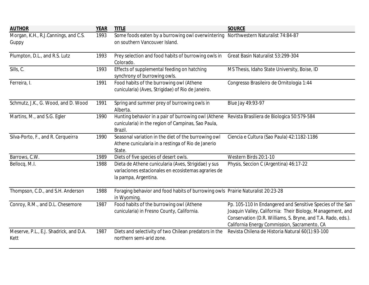| <b>AUTHOR</b>                                  | <b>YEAR</b> | <b>TITLE</b>                                                                                                                       | <b>SOURCE</b>                                                                                                                                                                                                                            |
|------------------------------------------------|-------------|------------------------------------------------------------------------------------------------------------------------------------|------------------------------------------------------------------------------------------------------------------------------------------------------------------------------------------------------------------------------------------|
| Morgan, K.H., R.J.Cannings, and C.S.           | 1993        | Some foods eaten by a burrowing owl overwintering Northwestern Naturalist 74:84-87                                                 |                                                                                                                                                                                                                                          |
| Guppy                                          |             | on southern Vancouver Island.                                                                                                      |                                                                                                                                                                                                                                          |
| Plumpton, D.L., and R.S. Lutz                  | 1993        | Prey selection and food habits of burrowing owls in<br>Colorado.                                                                   | Great Basin Naturalist 53:299-304                                                                                                                                                                                                        |
| Sills, C.                                      | 1993        | Effects of supplemental feeding on hatching<br>synchrony of burrowing owls.                                                        | MS Thesis, Idaho State University, Boise, ID                                                                                                                                                                                             |
| Ferreira, I.                                   | 1991        | Food habits of the burrowing owl (Athene<br>cunicularia) (Aves, Strigidae) of Rio de Janeiro.                                      | Congresso Brasileiro de Ornitologia 1:44                                                                                                                                                                                                 |
| Schmutz, J.K., G. Wood, and D. Wood            | 1991        | Spring and summer prey of burrowing owls in<br>Alberta.                                                                            | Blue Jay 49:93-97                                                                                                                                                                                                                        |
| Martins, M., and S.G. Egler                    | 1990        | Hunting behavior in a pair of burrowing owl (Athene<br>cunicularia) in the region of Campinas, Sao Paula,<br>Brazil.               | Revista Brasiliera de Biologica 50:579-584                                                                                                                                                                                               |
| Silva-Porto, F., and R. Cerqueirra             | 1990        | Seasonal variation in the diet of the burrowing owl<br>Athene cunicularia in a restinga of Rio de Janerio<br>State.                | Ciencia e Cultura (Sao Paula) 42:1182-1186                                                                                                                                                                                               |
| Barrows, C.W.                                  | 1989        | Diets of five species of desert owls.                                                                                              | Western Birds 20:1-10                                                                                                                                                                                                                    |
| Bellocq, M.I.                                  | 1988        | Dieta de Athene cunicularia (Aves, Strigidae) y sus<br>variaciones estacionales en ecosistemas agraries de<br>la pampa, Argentina. | Physis, Seccion C (Argentina) 46:17-22                                                                                                                                                                                                   |
| Thompson, C.D., and S.H. Anderson              | 1988        | Foraging behavior and food habits of burrowing owls Prairie Naturalist 20:23-28<br>in Wyoming.                                     |                                                                                                                                                                                                                                          |
| Conroy, R.M., and D.L. Chesemore               | 1987        | Food habits of the burrowing owl (Athene<br>cunicularia) in Fresno County, California.                                             | Pp. 105-110 In Endangered and Sensitive Species of the San<br>Joaquin Valley, California: Their Biology, Management, and<br>Conservation (D.R. Williams, S. Bryne, and T.A. Rado, eds.).<br>California Energy Commission, Sacramento, CA |
| Meserve, P.L., E.J. Shadrick, and D.A.<br>Kett | 1987        | Diets and selectivity of two Chilean predators in the<br>northern semi-arid zone.                                                  | Revista Chilena de Historia Natural 60(1):93-100                                                                                                                                                                                         |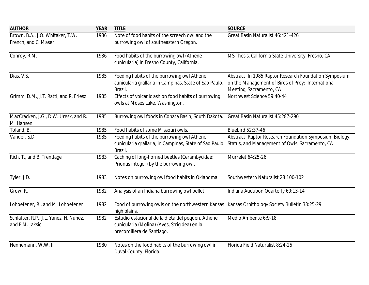| <b>AUTHOR</b>                                             | <b>YEAR</b> | <b>TITLE</b>                                                                                                                                                    | <b>SOURCE</b>                                                                                                                          |
|-----------------------------------------------------------|-------------|-----------------------------------------------------------------------------------------------------------------------------------------------------------------|----------------------------------------------------------------------------------------------------------------------------------------|
| Brown, B.A., J.O. Whitaker, T.W.<br>French, and C. Maser  | 1986        | Note of food habits of the screech owl and the<br>burrowing owl of southeastern Oregon.                                                                         | Great Basin Naturalist 46:421-426                                                                                                      |
| Conroy, R.M.                                              | 1986        | Food habits of the burrowing owl (Athene<br>cunicularia) in Fresno County, California.                                                                          | MS Thesis, California State University, Fresno, CA                                                                                     |
| Dias, V.S.                                                | 1985        | Feeding habits of the burrowing owl Athene<br>cunicularia grallaria in Campinas, State of Sao Paulo,<br>Brazil.                                                 | Abstract, In 1985 Raptor Research Foundation Symposium<br>on the Management of Birds of Prey: International<br>Meeting, Sacramento, CA |
| Grimm, D.M., J.T. Ratti, and R. Friesz                    | 1985        | Effects of volcanic ash on food habits of burrowing<br>owls at Moses Lake, Washington.                                                                          | Northwest Science 59:40-44                                                                                                             |
| MacCracken, J.G., D.W. Uresk, and R.<br>M. Hansen         | 1985        | Burrowing owl foods in Conata Basin, South Dakota. Great Basin Naturalist 45:287-290                                                                            |                                                                                                                                        |
| Toland, B.                                                | 1985        | Food habits of some Missouri owls.                                                                                                                              | <b>Bluebird 52:37-46</b>                                                                                                               |
| Vander, S.D.                                              | 1985        | Feeding habits of the burrowing owl Athene<br>cunicularia grallaria, in Campinas, State of Sao Paulo, Status, and Management of Owls. Sacramento, CA<br>Brazil. | Abstract, Raptor Research Foundation Symposium Biology,                                                                                |
| Rich, T., and B. Trentlage                                | 1983        | Caching of long-horned beetles (Cerambycidae:<br>Prionus integer) by the burrowing owl.                                                                         | Murrelet 64:25-26                                                                                                                      |
| Tyler, J.D.                                               | 1983        | Notes on burrowing owl food habits in Oklahoma.                                                                                                                 | Southwestern Naturalist 28:100-102                                                                                                     |
| Grow, R.                                                  | 1982        | Analysis of an Indiana burrowing owl pellet.                                                                                                                    | Indiana Audubon Quarterly 60:13-14                                                                                                     |
| Lohoefener, R., and M. Lohoefener                         | 1982        | Food of burrowing owls on the northwestern Kansas Kansas Ornithology Society Bulletin 33:25-29<br>high plains.                                                  |                                                                                                                                        |
| Schlatter, R.P., J.L. Yanez, H. Nunez,<br>and F.M. Jaksic | 1982        | Estudio estacional de la dieta del pequen, Athene<br>cunicularia (Molina) (Aves, Strigidea) en la<br>precordillera de Santiago.                                 | Medio Ambente 6:9-18                                                                                                                   |
| Hennemann, W.W. III                                       | 1980        | Notes on the food habits of the burrowing owl in<br>Duval County, Florida.                                                                                      | Florida Field Naturalist 8:24-25                                                                                                       |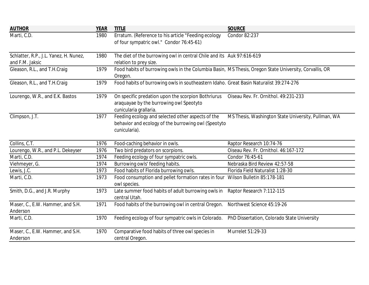| <b>AUTHOR</b>                          | <b>YEAR</b> | <b>TITLE</b>                                                                                           | <b>SOURCE</b>                                       |
|----------------------------------------|-------------|--------------------------------------------------------------------------------------------------------|-----------------------------------------------------|
| Marti, C.D.                            | 1980        | Erratum. (Reference to his article "Feeding ecology                                                    | Condor 82:237                                       |
|                                        |             | of four sympatric owl." Condor 76:45-61)                                                               |                                                     |
|                                        |             |                                                                                                        |                                                     |
| Schlatter, R.P., J.L. Yanez, H. Nunez, | 1980        | The diet of the burrowing owl in central Chile and its Auk 97:616-619                                  |                                                     |
| and F.M. Jaksic                        |             | relation to prey size.                                                                                 |                                                     |
| Gleason, R.L., and T.H.Craig           | 1979        | Food habits of burrowing owls in the Columbia Basin, MS Thesis, Oregon State University, Corvallis, OR |                                                     |
|                                        |             | Oregon.                                                                                                |                                                     |
| Gleason, R.L., and T.H.Craig           | 1979        | Food habits of burrowing owls in southeastern Idaho. Great Basin Naturalist 39:274-276                 |                                                     |
| Lourengo, W.R., and E.K. Bastos        | 1979        | On specific predation upon the scorpion Bothriurus                                                     | Oiseau Rev. Fr. Ornithol. 49:231-233                |
|                                        |             | araquayae by the burrowing owl Speotyto                                                                |                                                     |
|                                        |             | cunicularia grallaria.                                                                                 |                                                     |
| Climpson, J.T.                         | 1977        | Feeding ecology and selected other aspects of the                                                      | MS Thesis, Washington State University, Pullman, WA |
|                                        |             | behavior and ecology of the burrowing owl (Speotyto                                                    |                                                     |
|                                        |             | cunicularia).                                                                                          |                                                     |
|                                        |             |                                                                                                        |                                                     |
| Collins, C.T.                          | 1976        | Food-caching behavior in owls.                                                                         | Raptor Research 10:74-76                            |
| Lourengo, W.R., and P.L. Dekeyser      | 1976        | Two bird predators on scorpions.                                                                       | Oiseau Rev. Fr. Ornithol. 46:167-172                |
| Marti, C.D.                            | 1974        | Feeding ecology of four sympatric owls.                                                                | Condor 76:45-61                                     |
| Viehmeyer, G.                          | 1974        | Burrowing owls' feeding habits.                                                                        | Nebraska Bird Review 42:57-58                       |
| Lewis, J.C.                            | 1973        | Food habits of Florida burrowing owls.                                                                 | Florida Field Naturalist 1:28-30                    |
| Marti, C.D.                            | 1973        | Food consumption and pellet formation rates in four Wilson Bulletin 85:178-181                         |                                                     |
|                                        |             | owl species.                                                                                           |                                                     |
| Smith, D.G., and J.R. Murphy           | 1973        | Late summer food habits of adult burrowing owls in                                                     | Raptor Research 7:112-115                           |
|                                        |             | central Utah.                                                                                          |                                                     |
| Maser, C., E.W. Hammer, and S.H.       | 1971        | Food habits of the burrowing owl in central Oregon.                                                    | Northwest Science 45:19-26                          |
| Anderson                               |             |                                                                                                        |                                                     |
| Marti, C.D.                            | 1970        | Feeding ecology of four sympatric owls in Colorado.                                                    | PhD Dissertation, Colorado State University         |
|                                        |             |                                                                                                        |                                                     |
| Maser, C., E.W. Hammer, and S.H.       | 1970        | Comparative food habits of three owl species in                                                        | Murrelet 51:29-33                                   |
| Anderson                               |             | central Oregon.                                                                                        |                                                     |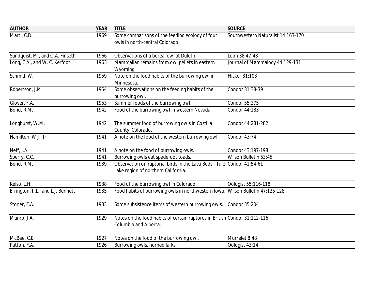| Some comparisons of the feeding ecology of four<br>Marti, C.D.<br>1969<br>Southwestern Naturalist 14:163-170<br>owls in north-central Colorado.<br>Loon 38:47-48<br>Sundquist, M., and O.A. Finseth<br>Observations of a boreal owl at Duluth.<br>1966<br>Long, C.A., and W. C. Kerfoot<br>Mammalian remains from owl pellets in eastern<br>Journal of Mammalogy 44:129-131<br>1963<br>Wyoming.<br>Schmid, W.<br>Note on the food habits of the burrowing owl in<br>Flicker 31:103<br>1959<br>Minnesota.<br>Robertson, J.M.<br>1954<br>Some observations on the feeding habits of the<br>Condor 31:38-39<br>burrowing owl.<br>Summer foods of the burrowing owl.<br>1953<br>Condor 55:275<br>Glover, F.A.<br>Bond, R.M.<br>Food of the burrowing owl in western Nevada.<br>1942<br>Condor 44:183<br>Longhurst, W.M.<br>The summer food of burrowing owls in Costilla<br>1942<br>Condor 44:281-282<br>County, Colorado.<br>Hamilton, W.J., Jr.<br>A note on the food of the western burrowing owl.<br>Condor 43:74<br>1941<br>Neff, J.A.<br>A note on the food of burrowing owls.<br>Condor 43:197-198<br>1941<br>Wilson Bulletin 53:45<br>Sperry, C.C.<br>1941<br>Burrowing owls eat spadefoot toads.<br>Observation on raptorial birds in the Lava Beds - Tule Condor 41:54-61<br>Bond, R.M.<br>1939<br>Lake region of northern California.<br>Kelso, L.H.<br>Oologist 55:116-118<br>1938<br>Food of the burrowing owl in Colorado.<br>Food habits of burrowing owls in northwestern Iowa. Wilson Bulletin 47:125-128<br>Errington, P.L., and L.J. Bennett<br>1935<br>Stoner, E.A.<br>1933<br>Some subsistence items of western burrowing owls.<br>Condor 35:204<br>Munro, J.A.<br>Notes on the food habits of certain raptores in British Condor 31:112-116<br>1929<br>Columbia and Alberta. | <b>AUTHOR</b> | <b>YEAR</b> | <b>TITLE</b> | <b>SOURCE</b> |
|------------------------------------------------------------------------------------------------------------------------------------------------------------------------------------------------------------------------------------------------------------------------------------------------------------------------------------------------------------------------------------------------------------------------------------------------------------------------------------------------------------------------------------------------------------------------------------------------------------------------------------------------------------------------------------------------------------------------------------------------------------------------------------------------------------------------------------------------------------------------------------------------------------------------------------------------------------------------------------------------------------------------------------------------------------------------------------------------------------------------------------------------------------------------------------------------------------------------------------------------------------------------------------------------------------------------------------------------------------------------------------------------------------------------------------------------------------------------------------------------------------------------------------------------------------------------------------------------------------------------------------------------------------------------------------------------------------------------------------------------------------------------------------------------|---------------|-------------|--------------|---------------|
|                                                                                                                                                                                                                                                                                                                                                                                                                                                                                                                                                                                                                                                                                                                                                                                                                                                                                                                                                                                                                                                                                                                                                                                                                                                                                                                                                                                                                                                                                                                                                                                                                                                                                                                                                                                                |               |             |              |               |
|                                                                                                                                                                                                                                                                                                                                                                                                                                                                                                                                                                                                                                                                                                                                                                                                                                                                                                                                                                                                                                                                                                                                                                                                                                                                                                                                                                                                                                                                                                                                                                                                                                                                                                                                                                                                |               |             |              |               |
|                                                                                                                                                                                                                                                                                                                                                                                                                                                                                                                                                                                                                                                                                                                                                                                                                                                                                                                                                                                                                                                                                                                                                                                                                                                                                                                                                                                                                                                                                                                                                                                                                                                                                                                                                                                                |               |             |              |               |
|                                                                                                                                                                                                                                                                                                                                                                                                                                                                                                                                                                                                                                                                                                                                                                                                                                                                                                                                                                                                                                                                                                                                                                                                                                                                                                                                                                                                                                                                                                                                                                                                                                                                                                                                                                                                |               |             |              |               |
|                                                                                                                                                                                                                                                                                                                                                                                                                                                                                                                                                                                                                                                                                                                                                                                                                                                                                                                                                                                                                                                                                                                                                                                                                                                                                                                                                                                                                                                                                                                                                                                                                                                                                                                                                                                                |               |             |              |               |
|                                                                                                                                                                                                                                                                                                                                                                                                                                                                                                                                                                                                                                                                                                                                                                                                                                                                                                                                                                                                                                                                                                                                                                                                                                                                                                                                                                                                                                                                                                                                                                                                                                                                                                                                                                                                |               |             |              |               |
|                                                                                                                                                                                                                                                                                                                                                                                                                                                                                                                                                                                                                                                                                                                                                                                                                                                                                                                                                                                                                                                                                                                                                                                                                                                                                                                                                                                                                                                                                                                                                                                                                                                                                                                                                                                                |               |             |              |               |
|                                                                                                                                                                                                                                                                                                                                                                                                                                                                                                                                                                                                                                                                                                                                                                                                                                                                                                                                                                                                                                                                                                                                                                                                                                                                                                                                                                                                                                                                                                                                                                                                                                                                                                                                                                                                |               |             |              |               |
|                                                                                                                                                                                                                                                                                                                                                                                                                                                                                                                                                                                                                                                                                                                                                                                                                                                                                                                                                                                                                                                                                                                                                                                                                                                                                                                                                                                                                                                                                                                                                                                                                                                                                                                                                                                                |               |             |              |               |
|                                                                                                                                                                                                                                                                                                                                                                                                                                                                                                                                                                                                                                                                                                                                                                                                                                                                                                                                                                                                                                                                                                                                                                                                                                                                                                                                                                                                                                                                                                                                                                                                                                                                                                                                                                                                |               |             |              |               |
|                                                                                                                                                                                                                                                                                                                                                                                                                                                                                                                                                                                                                                                                                                                                                                                                                                                                                                                                                                                                                                                                                                                                                                                                                                                                                                                                                                                                                                                                                                                                                                                                                                                                                                                                                                                                |               |             |              |               |
|                                                                                                                                                                                                                                                                                                                                                                                                                                                                                                                                                                                                                                                                                                                                                                                                                                                                                                                                                                                                                                                                                                                                                                                                                                                                                                                                                                                                                                                                                                                                                                                                                                                                                                                                                                                                |               |             |              |               |
|                                                                                                                                                                                                                                                                                                                                                                                                                                                                                                                                                                                                                                                                                                                                                                                                                                                                                                                                                                                                                                                                                                                                                                                                                                                                                                                                                                                                                                                                                                                                                                                                                                                                                                                                                                                                |               |             |              |               |
|                                                                                                                                                                                                                                                                                                                                                                                                                                                                                                                                                                                                                                                                                                                                                                                                                                                                                                                                                                                                                                                                                                                                                                                                                                                                                                                                                                                                                                                                                                                                                                                                                                                                                                                                                                                                |               |             |              |               |
|                                                                                                                                                                                                                                                                                                                                                                                                                                                                                                                                                                                                                                                                                                                                                                                                                                                                                                                                                                                                                                                                                                                                                                                                                                                                                                                                                                                                                                                                                                                                                                                                                                                                                                                                                                                                |               |             |              |               |
|                                                                                                                                                                                                                                                                                                                                                                                                                                                                                                                                                                                                                                                                                                                                                                                                                                                                                                                                                                                                                                                                                                                                                                                                                                                                                                                                                                                                                                                                                                                                                                                                                                                                                                                                                                                                |               |             |              |               |
|                                                                                                                                                                                                                                                                                                                                                                                                                                                                                                                                                                                                                                                                                                                                                                                                                                                                                                                                                                                                                                                                                                                                                                                                                                                                                                                                                                                                                                                                                                                                                                                                                                                                                                                                                                                                |               |             |              |               |
|                                                                                                                                                                                                                                                                                                                                                                                                                                                                                                                                                                                                                                                                                                                                                                                                                                                                                                                                                                                                                                                                                                                                                                                                                                                                                                                                                                                                                                                                                                                                                                                                                                                                                                                                                                                                |               |             |              |               |
|                                                                                                                                                                                                                                                                                                                                                                                                                                                                                                                                                                                                                                                                                                                                                                                                                                                                                                                                                                                                                                                                                                                                                                                                                                                                                                                                                                                                                                                                                                                                                                                                                                                                                                                                                                                                |               |             |              |               |
|                                                                                                                                                                                                                                                                                                                                                                                                                                                                                                                                                                                                                                                                                                                                                                                                                                                                                                                                                                                                                                                                                                                                                                                                                                                                                                                                                                                                                                                                                                                                                                                                                                                                                                                                                                                                |               |             |              |               |
|                                                                                                                                                                                                                                                                                                                                                                                                                                                                                                                                                                                                                                                                                                                                                                                                                                                                                                                                                                                                                                                                                                                                                                                                                                                                                                                                                                                                                                                                                                                                                                                                                                                                                                                                                                                                |               |             |              |               |
|                                                                                                                                                                                                                                                                                                                                                                                                                                                                                                                                                                                                                                                                                                                                                                                                                                                                                                                                                                                                                                                                                                                                                                                                                                                                                                                                                                                                                                                                                                                                                                                                                                                                                                                                                                                                |               |             |              |               |
|                                                                                                                                                                                                                                                                                                                                                                                                                                                                                                                                                                                                                                                                                                                                                                                                                                                                                                                                                                                                                                                                                                                                                                                                                                                                                                                                                                                                                                                                                                                                                                                                                                                                                                                                                                                                |               |             |              |               |
|                                                                                                                                                                                                                                                                                                                                                                                                                                                                                                                                                                                                                                                                                                                                                                                                                                                                                                                                                                                                                                                                                                                                                                                                                                                                                                                                                                                                                                                                                                                                                                                                                                                                                                                                                                                                |               |             |              |               |
|                                                                                                                                                                                                                                                                                                                                                                                                                                                                                                                                                                                                                                                                                                                                                                                                                                                                                                                                                                                                                                                                                                                                                                                                                                                                                                                                                                                                                                                                                                                                                                                                                                                                                                                                                                                                |               |             |              |               |
|                                                                                                                                                                                                                                                                                                                                                                                                                                                                                                                                                                                                                                                                                                                                                                                                                                                                                                                                                                                                                                                                                                                                                                                                                                                                                                                                                                                                                                                                                                                                                                                                                                                                                                                                                                                                |               |             |              |               |
|                                                                                                                                                                                                                                                                                                                                                                                                                                                                                                                                                                                                                                                                                                                                                                                                                                                                                                                                                                                                                                                                                                                                                                                                                                                                                                                                                                                                                                                                                                                                                                                                                                                                                                                                                                                                |               |             |              |               |
|                                                                                                                                                                                                                                                                                                                                                                                                                                                                                                                                                                                                                                                                                                                                                                                                                                                                                                                                                                                                                                                                                                                                                                                                                                                                                                                                                                                                                                                                                                                                                                                                                                                                                                                                                                                                |               |             |              |               |
| McBee, C.E.<br>1927<br>Notes on the food of the burrowing owl.<br>Murrelet 8:48                                                                                                                                                                                                                                                                                                                                                                                                                                                                                                                                                                                                                                                                                                                                                                                                                                                                                                                                                                                                                                                                                                                                                                                                                                                                                                                                                                                                                                                                                                                                                                                                                                                                                                                |               |             |              |               |
| Patton, F.A.<br>Burrowing owls, horned larks.<br>1926<br>Oologist 43:14                                                                                                                                                                                                                                                                                                                                                                                                                                                                                                                                                                                                                                                                                                                                                                                                                                                                                                                                                                                                                                                                                                                                                                                                                                                                                                                                                                                                                                                                                                                                                                                                                                                                                                                        |               |             |              |               |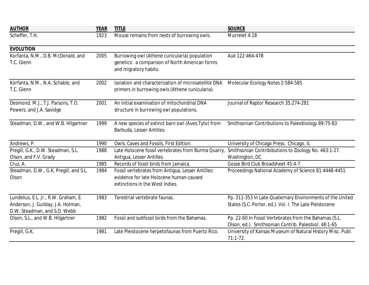| <b>AUTHOR</b>                                    | <b>YEAR</b> | <b>TITLE</b>                                                                                    | <b>SOURCE</b>                                                              |
|--------------------------------------------------|-------------|-------------------------------------------------------------------------------------------------|----------------------------------------------------------------------------|
| Scheffer, T.H.                                   | 1923        | Mouse remains from nests of burrowing owls.                                                     | Murrelet 4:18                                                              |
| <b>EVOLUTION</b>                                 |             |                                                                                                 |                                                                            |
| Korfanta, N.M., D.B. McDonald, and<br>T.C. Glenn | 2005        | Burrowing owl (Athene cunicularia) population<br>genetics: a comparison of North American forms | Auk 122:464-478                                                            |
|                                                  |             | and migratory habits.                                                                           |                                                                            |
| Korfanta, N.M., N.A. Schable, and                | 2002        | Isolation and characterization of microsatellite DNA                                            | Molecular Ecology Notes 2:584-585                                          |
| T.C. Glenn                                       |             | primers in burrowing owls (Athene cunicularia).                                                 |                                                                            |
| Desmond, M.J., T.J. Parsons, T.O.                | 2001        | An initial examination of mitochondrial DNA                                                     | Journal of Raptor Research 35:274-281                                      |
| Powers, and J.A. Savidge                         |             | structure in burrowing owl populations.                                                         |                                                                            |
| Steadman, D.W., and W.B. Hilgartner              | 1999        | A new species of extinct barn owl (Aves: Tyto) from                                             | Smithsonian Contributions to Paleobiology 89:75-83                         |
|                                                  |             | Barbuda, Lesser Antilles.                                                                       |                                                                            |
| Andrews, P.                                      | 1990        | Owls, Caves and Fossils, First Edition.                                                         | University of Chicago Press. Chicago, IL                                   |
| Pregill, G.K., D.W. Steadman, S.L.               | 1988        | Late Holocene fossil vertebrates from Burma Quarry,                                             | Smithsonian Contribibutions to Zoology No. 463:1-27.                       |
| Olson, and F.V. Grady                            |             | Antigua, Lesser Antilles.                                                                       | Washington, DC                                                             |
| Cruz, A.                                         | 1985        | Records of fossil birds from Jamaica.                                                           | Gosse Bird Club Broadsheet 45:4-7                                          |
| Steadman, D.W., G.K. Pregill, and S.L.           | 1984        | Fossil vertebrates from Antigua, Lesser Antilles:                                               | Proceedings National Academy of Science 81:4448-4451                       |
| Olson                                            |             | evidence for late Holocene human-caused                                                         |                                                                            |
|                                                  |             | extinctions in the West Indies.                                                                 |                                                                            |
| Lundelius, E.L. Jr., R.W. Graham, E.             | 1983        | Terestrial vertebrate faunas.                                                                   | Pp. 311-353 In Late-Quaternary Environments of the United                  |
| Anderson, J. Guilday, J.A. Holman,               |             |                                                                                                 | States (S.C. Porter, ed.). Vol. I. The Late Pleistocene                    |
| D.W. Steadman, and S.D. Webb                     |             |                                                                                                 |                                                                            |
| Olson, S.L., and W.B. Hilgartner                 | 1982        | Fossil and subfossil birds from the Bahamas.                                                    | Pp. 22-60 In Fossil Vertebrates from the Bahamas (S.L.                     |
|                                                  |             |                                                                                                 | Olson, ed.). Smithsonian Contrib. Paleobiol. 48:1-65                       |
| Pregill, G.K.                                    | 1981        | Late Pleistocene herpetofaunas from Puerto Rico.                                                | University of Kansas Museum of Natural History Misc. Publ.<br>$71:1 - 72.$ |
|                                                  |             |                                                                                                 |                                                                            |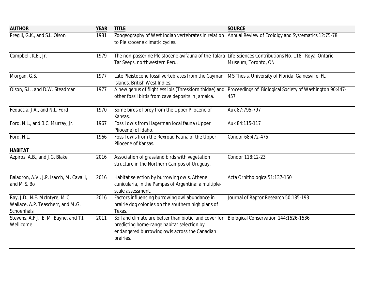| <b>AUTHOR</b>                                                                            | <b>YEAR</b> | <b>TITLE</b>                                                                                                                                                       | <b>SOURCE</b>                                                                                          |
|------------------------------------------------------------------------------------------|-------------|--------------------------------------------------------------------------------------------------------------------------------------------------------------------|--------------------------------------------------------------------------------------------------------|
| Pregill, G.K., and S.L. Olson                                                            | 1981        | to Pleistocene climatic cycles.                                                                                                                                    | Zoogeography of West Indian vertebrates in relation Annual Review of Ecololgy and Systematics 12:75-78 |
| Campbell, K.E., Jr.                                                                      | 1979        | The non-passerine Pleistocene avifauna of the Talara Life Sciences Contributions No. 118, Royal Ontario                                                            |                                                                                                        |
|                                                                                          |             | Tar Seeps, northwestern Peru.                                                                                                                                      | Museum, Toronto, ON                                                                                    |
| Morgan, G.S.                                                                             | 1977        | Late Pleistocene fossil vertebrates from the Cayman MS Thesis, University of Florida, Gainesville, FL<br>Islands, British West Indies.                             |                                                                                                        |
| Olson, S.L., and D.W. Steadman                                                           | 1977        | A new genus of flightless ibis (Threskiornithidae) and<br>other fossil birds from cave deposits in Jamaica.                                                        | Proceedings of Biological Society of Washington 90:447-<br>457                                         |
| Feduccia, J.A., and N.L. Ford                                                            | 1970        | Some birds of prey from the Upper Pliocene of<br>Kansas.                                                                                                           | Auk 87:795-797                                                                                         |
| Ford, N.L., and B.C. Murray, Jr.                                                         | 1967        | Fossil owls from Hagerman local fauna (Upper<br>Pliocene) of Idaho.                                                                                                | Auk 84:115-117                                                                                         |
| Ford, N.L.                                                                               | 1966        | Fossil owls from the Rexroad Fauna of the Upper<br>Pliocene of Kansas.                                                                                             | Condor 68:472-475                                                                                      |
| <b>HABITAT</b>                                                                           |             |                                                                                                                                                                    |                                                                                                        |
| Azpiroz, A.B., and J.G. Blake                                                            | 2016        | Association of grassland birds with vegetation<br>structure in the Northern Campos of Uruguay.                                                                     | Condor 118:12-23                                                                                       |
| Baladron, A.V., J.P. Isacch, M. Cavalli,<br>and M.S. Bo                                  | 2016        | Habitat selection by burrowing owls, Athene<br>cunicularia, in the Pampas of Argentina: a multiple-<br>scale assessment.                                           | Acta Ornithologica 51:137-150                                                                          |
| Ray, J.D., N.E. McIntyre, M.C.<br>Wallace, A.P. Teascherr, and M.G.<br><b>Schoenhals</b> | 2016        | Factors influencing burrowing owl abundance in<br>prairie dog colonies on the southern high plans of<br>Texas.                                                     | Journal of Raptor Research 50:185-193                                                                  |
| Stevens, A.F.J., E. M. Bayne, and T.I.<br>Wellicome                                      | 2011        | Soil and climate are better than biotic land cover for<br>predicting home-range habitat selection by<br>endangered burrowing owls across the Canadian<br>prairies. | Biological Conservation 144:1526-1536                                                                  |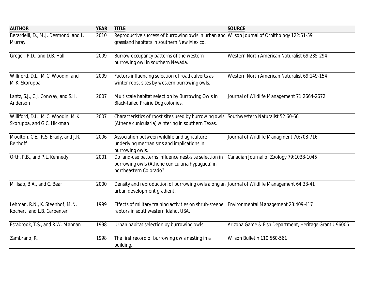| <b>AUTHOR</b>                                                    | <b>YEAR</b> | <b>TITLE</b>                                                                                                                                | <b>SOURCE</b>                                         |
|------------------------------------------------------------------|-------------|---------------------------------------------------------------------------------------------------------------------------------------------|-------------------------------------------------------|
| Berardelli, D., M.J. Desmond, and L.<br>Murray                   | 2010        | Reproductive success of burrowing owls in urban and Wilson Journal of Ornithology 122:51-59<br>grassland habitats in southern New Mexico.   |                                                       |
| Greger, P.D., and D.B. Hall                                      | 2009        | Burrow occupancy patterns of the western<br>burrowing owl in southern Nevada.                                                               | Western North American Naturalist 69:285-294          |
| Williford, D.L., M.C. Woodin, and<br>M.K. Skoruppa               | 2009        | Factors influencing selection of road culverts as<br>winter roost sites by western burrowing owls.                                          | Western North American Naturalist 69:149-154          |
| Lantz, S.J., C.J. Conway, and S.H.<br>Anderson                   | 2007        | Multiscale habitat selection by Burrowing Owls in<br><b>Black-tailed Prairie Dog colonies.</b>                                              | Journal of Wildlife Management 71:2664-2672           |
| Williford, D.L., M.C. Woodin, M.K.<br>Skoruppa, and G.C. Hickman | 2007        | Characteristics of roost sites used by burrowing owls Southwestern Naturalist 52:60-66<br>(Athene cunicularia) wintering in southern Texas. |                                                       |
| Moulton, C.E., R.S. Brady, and J.R.<br><b>Belthoff</b>           | 2006        | Association between wildlife and agriculture:<br>underlying mechanisms and implications in<br>burrowing owls.                               | Journal of Wildlife Managment 70:708-716              |
| Orth, P.B., and P.L. Kennedy                                     | 2001        | Do land-use patterns influence nest-site selection in<br>burrowing owls (Athene cunicularia hypugaea) in<br>northeastern Colorado?          | Canadian Journal of Zoology 79:1038-1045              |
| Millsap, B.A., and C. Bear                                       | 2000        | Density and reproduction of burrowing owls along an Journal of Wildlife Management 64:33-41<br>urban development gradient.                  |                                                       |
| Lehman, R.N., K. Steenhof, M.N.<br>Kochert, and L.B. Carpenter   | 1999        | Effects of military training activities on shrub-steepe Environmental Management 23:409-417<br>raptors in southwestern Idaho, USA.          |                                                       |
| Estabrook, T.S., and R.W. Mannan                                 | 1998        | Urban habitat selection by burrowing owls.                                                                                                  | Arizona Game & Fish Department, Heritage Grant U96006 |
| Zambrano, R.                                                     | 1998        | The first record of burrowing owls nesting in a<br>building.                                                                                | Wilson Bulletin 110:560-561                           |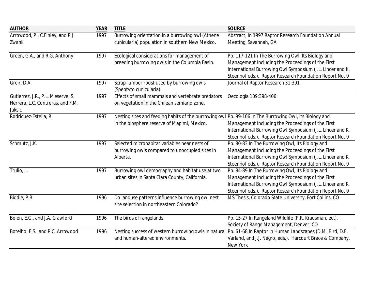| <b>AUTHOR</b>                                                                    | <b>YEAR</b> | <b>TITLE</b>                                                                                                                                          | <b>SOURCE</b>                                                                                                                                                                                                                  |
|----------------------------------------------------------------------------------|-------------|-------------------------------------------------------------------------------------------------------------------------------------------------------|--------------------------------------------------------------------------------------------------------------------------------------------------------------------------------------------------------------------------------|
| Arrowood, P., C.Finley, and P.J.<br>Zwank                                        | 1997        | Burrowing orientation in a burrowing owl (Athene<br>cunicularia) population in southern New Mexico.                                                   | Abstract, In 1997 Raptor Research Foundation Annual<br>Meeting, Savannah, GA                                                                                                                                                   |
| Green, G.A., and R.G. Anthony                                                    | 1997        | Ecological considerations for management of<br>breeding burrowing owls in the Columbia Basin.                                                         | Pp. 117-121 In The Burrowing Owl, Its Biology and<br>Management Including the Proceedings of the First<br>International Burrowing Owl Symposium (J.L. Lincer and K.<br>Steenhof eds.). Raptor Research Foundation Report No. 9 |
| Greir, D.A.                                                                      | 1997        | Scrap-lumber roost used by burrowing owls<br>(Speotyto cunicularia).                                                                                  | Journal of Raptor Research 31:391                                                                                                                                                                                              |
| Gutierrez, J.R., P.L. Meserve, S.<br>Herrera, L.C. Contreras, and F.M.<br>Jaksic | 1997        | Effects of small mammals and vertebrate predators<br>on vegetation in the Chilean semiarid zone.                                                      | Oecologia 109:398-406                                                                                                                                                                                                          |
| Rodriguez-Estella, R.                                                            | 1997        | Nesting sites and feeding habits of the burrowing owl Pp. 99-106 In The Burrowing Owl, Its Biology and<br>in the biosphere reserve of Mapimi, Mexico. | Management Including the Proceedings of the First<br>International Burrowing Owl Symposium (J.L. Lincer and K.<br>Steenhof eds.). Raptor Research Foundation Report No. 9                                                      |
| Schmutz, J.K.                                                                    | 1997        | Selected microhabitat variables near nests of<br>burrowing owls compared to unoccupied sites in<br>Alberta.                                           | Pp. 80-83 In The Burrowing Owl, Its Biology and<br>Management Including the Proceedings of the First<br>International Burrowing Owl Symposium (J.L. Lincer and K.<br>Steenhof eds.). Raptor Research Foundation Report No. 9   |
| Trulio, L.                                                                       | 1997        | Burrowing owl demography and habitat use at two<br>urban sites in Santa Clara County, California.                                                     | Pp. 84-89 In The Burrowing Owl, Its Biology and<br>Management Including the Proceedings of the First<br>International Burrowing Owl Symposium (J.L. Lincer and K.<br>Steenhof eds.). Raptor Research Foundation Report No. 9   |
| Biddle, P.B.                                                                     | 1996        | Do landuse patterns influence burrowing owl nest<br>site selection in northeastern Colorado?                                                          | MS Thesis, Colorado State University, Fort Collins, CO                                                                                                                                                                         |
| Bolen, E.G., and J.A. Crawford                                                   | 1996        | The birds of rangelands.                                                                                                                              | Pp. 15-27 In Rangeland Wildlife (P.R. Krausman, ed.).<br>Society of Range Management, Denver, CO                                                                                                                               |
| Botelho, E.S., and P.C. Arrowood                                                 | 1996        | and human-altered environments.                                                                                                                       | Nesting success of western burrowing owls in natural Pp. 61-68 In Raptor in Human Landscapes (D.M. Bird, D.E.<br>Varland, and J.J. Negro, eds.). Harcourt Brace & Company,<br><b>New York</b>                                  |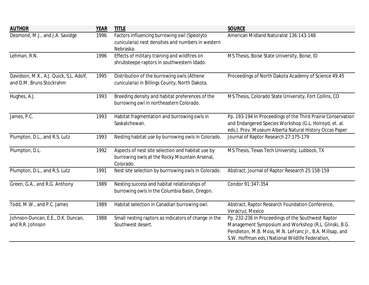| <b>AUTHOR</b>                                                       | <b>YEAR</b> | <b>TITLE</b>                                                                                                    | <b>SOURCE</b>                                                                                                                                                                                                                |
|---------------------------------------------------------------------|-------------|-----------------------------------------------------------------------------------------------------------------|------------------------------------------------------------------------------------------------------------------------------------------------------------------------------------------------------------------------------|
| Desmond, M.J., and J.A. Savidge                                     | 1996        | Factors influencing burrowing owl (Speotyto<br>cunicularia) nest densities and numbers in western<br>Nebraska.  | American Midland Naturalist 136:143-148                                                                                                                                                                                      |
| Lehman, R.N.                                                        | 1996        | Effects of military training and wildfires on<br>shrubsteepe raptors in southwestern Idado.                     | MS Thesis, Boise State University, Boise, ID                                                                                                                                                                                 |
| Davidson, M.K., A.J. Quick, S.L. Adolf,<br>and D.M. Bruns Stockrahm | 1995        | Distribution of the burrowing owls (Athene<br>cunicularia) in Billings County, North Dakota.                    | Proceedings of North Dakota Academy of Science 49:45                                                                                                                                                                         |
| Hughes, A.J.                                                        | 1993        | Breeding density and habitat preferences of the<br>burrowing owl in northeastern Colorado.                      | MS Thesis, Colorado State University, Fort Collins, CO                                                                                                                                                                       |
| James, P.C.                                                         | 1993        | Habitat fragmentation and burrowing owls in<br>Saskatchewan.                                                    | Pp. 193-194 In Proceedings of the Third Prairie Conservation<br>and Endangered Species Workshop (G.L. Holroyd, et. al.<br>eds.). Prov. Museum Alberta Natural History Occas Paper                                            |
| Plumpton, D.L., and R.S. Lutz                                       | 1993        | Nesting habitat use by burrowing owls in Colorado.                                                              | Journal of Raptor Research 27:175-179                                                                                                                                                                                        |
| Plumpton, D.L.                                                      | 1992        | Aspects of nest site selection and habitat use by<br>burrowing owls at the Rocky Mountain Arsenal,<br>Colorado. | MS Thesis, Texas Tech University, Lubbock, TX                                                                                                                                                                                |
| Plumpton, D.L., and R.S. Lutz                                       | 1991        | Nest site selection by burrrowing owls in Colorado.                                                             | Abstract, Journal of Raptor Research 25:158-159                                                                                                                                                                              |
| Green, G.A., and R.G. Anthony                                       | 1989        | Nesting success and habitat relationships of<br>burrowing owls in the Columbia Basin, Oregon.                   | Condor 91:347-354                                                                                                                                                                                                            |
| Todd, M.W., and P.C. James                                          | 1989        | Habitat selection in Canadian burrowing owl.                                                                    | Abstract, Raptor Research Foundation Conference,<br>Veracruz, Mexico                                                                                                                                                         |
| Johnson-Duncan, E.E., D.K. Duncan,<br>and R.R. Johnson              | 1988        | Small nesting raptors as indicators of change in the<br>Southwest desert.                                       | Pp. 232-236 In Proceedings of the Southwest Raptor<br>Management Symposium and Workshop (R.L. Glinski, B.G.<br>Pendleton, M.B. Moss, M.N. LeFranc Jr., B.A. Millsap, and<br>S.W. Hoffman eds.) National Wildlife Federation, |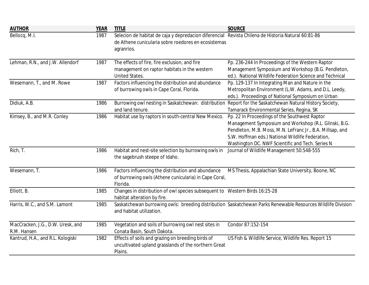| <b>AUTHOR</b>                                    | <b>YEAR</b> | <b>TITLE</b>                                                                                                                                                            | <b>SOURCE</b>                                                                                                                                                                                                                                                               |
|--------------------------------------------------|-------------|-------------------------------------------------------------------------------------------------------------------------------------------------------------------------|-----------------------------------------------------------------------------------------------------------------------------------------------------------------------------------------------------------------------------------------------------------------------------|
| Bellocq, M.I.                                    | 1987        | Selecion de habitat de caja y depredacion diferencial Revista Chilena de Historia Natural 60:81-86<br>de Athene cunicularia sobre roedores en ecosistemas<br>agranrios. |                                                                                                                                                                                                                                                                             |
| Lehman, R.N., and J.W. Allendorf                 | 1987        | The effects of fire, fire exclusion, and fire<br>management on raptor habitats in the western<br><b>United States.</b>                                                  | Pp. 236-244 In Proceedings of the Western Raptor<br>Management Symposium and Workshop (B.G. Pendleton,<br>ed.). National Wildlife Federation Science and Technical                                                                                                          |
| Wesemann, T., and M. Rowe                        | 1987        | Factors influencing the distribution and abundance<br>of burrowing owls in Cape Coral, Florida.                                                                         | Pp. 129-137 In Integrating Man and Nature in the<br>Metropolitan Environment (L.W. Adams, and D.L. Leedy,<br>eds.). Proceedings of National Symposium on Urban                                                                                                              |
| Didiuk, A.B.                                     | 1986        | and land tenure.                                                                                                                                                        | Burrowing owl nesting in Saskatchewan: distribution Report for the Saskatchewan Natural History Society,<br>Tamarack Environmental Series, Regina, SK                                                                                                                       |
| Kimsey, B., and M.R. Conley                      | 1986        | Habitat use by raptors in south-central New Mexico.                                                                                                                     | Pp. 22 In Proceedings of the Southwest Raptor<br>Management Symposium and Workshop (R.L. Glinski, B.G.<br>Pendleton, M.B. Moss, M.N. LeFranc Jr., B.A. Millsap, and<br>S.W. Hoffman eds.) National Wildlife Federation,<br>Washington DC. NWF Scientific and Tech. Series N |
| Rich, T.                                         | 1986        | Habitat and nest-site selection by burrowing owls in<br>the sagebrush steepe of Idaho.                                                                                  | Journal of Wildlife Management 50:548-555                                                                                                                                                                                                                                   |
| Wesemann, T.                                     | 1986        | Factors influencing the distribution and abundance<br>of burrowing owls (Athene cunicularia) in Cape Coral,<br>Florida.                                                 | MS Thesis, Appalachian State University, Boone, NC                                                                                                                                                                                                                          |
| Elliott, B.                                      | 1985        | Changes in distribution of owl species subsequent to Western Birds 16:25-28<br>habitat alteration by fire.                                                              |                                                                                                                                                                                                                                                                             |
| Harris, W.C., and S.M. Lamont                    | 1985        | and habitat utilization.                                                                                                                                                | Saskatchewan burrowing owls: breeding distribution Saskatchewan Parks Renewable Resources Wildlife Division                                                                                                                                                                 |
| MacCracken, J.G., D.W. Uresk, and<br>R.M. Hansen | 1985        | Vegetation and soils of burrowing owl nest sites in<br>Conata Basin, South Dakota.                                                                                      | Condor 87:152-154                                                                                                                                                                                                                                                           |
| Kantrud, H.A., and R.L. Kologiski                | 1982        | Effects of soils and grazing on breeding birds of<br>uncultivated upland grasslands of the northern Great<br>Plains.                                                    | US Fish & Wildlife Service, Wildlife Res. Report 15                                                                                                                                                                                                                         |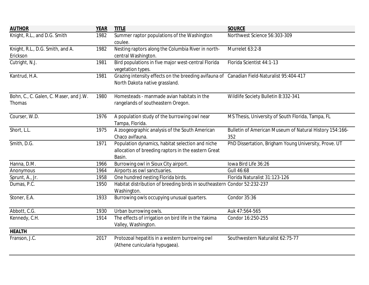| <b>AUTHOR</b>                                           | <b>YEAR</b> | <b>TITLE</b>                                                                                                                 | <b>SOURCE</b>                                                  |
|---------------------------------------------------------|-------------|------------------------------------------------------------------------------------------------------------------------------|----------------------------------------------------------------|
| Knight, R.L., and D.G. Smith                            | 1982        | Summer raptor populations of the Washington<br>coulee.                                                                       | Northwest Science 56:303-309                                   |
| Knight, R.L., D.G. Smith, and A.<br>Erickson            | 1982        | Nesting raptors along the Columbia River in north-<br>central Washington.                                                    | Murrelet 63:2-8                                                |
| Cutright, N.J.                                          | 1981        | Bird populations in five major west-central Florida<br>vegetation types.                                                     | Florida Scientist 44:1-13                                      |
| Kantrud, H.A.                                           | 1981        | Grazing intensity effects on the breeding avifauna of Canadian Field-Naturalist 95:404-417<br>North Dakota native grassland. |                                                                |
| Bohn, C., C. Galen, C. Maser, and J.W.<br><b>Thomas</b> | 1980        | Homesteads - manmade avian habitats in the<br>rangelands of southeastern Oregon.                                             | Wildlife Society Bulletin 8:332-341                            |
| Courser, W.D.                                           | 1976        | A population study of the burrowing owl near<br>Tampa, Florida.                                                              | MS Thesis, University of South Florida, Tampa, FL              |
| Short, L.L.                                             | 1975        | A zoogeographic analysis of the South American<br>Chaco avifauna.                                                            | Bulletin of American Museum of Natural History 154:166-<br>352 |
| Smith, D.G.                                             | 1971        | Population dynamics, habitat selection and niche<br>allocation of breeding raptors in the eastern Great<br>Basin.            | PhD Dissertation, Brigham Young University, Prove. UT          |
| Hanna, D.M.                                             | 1966        | Burrowing owl in Sioux City airport.                                                                                         | lowa Bird Life 36:26                                           |
| Anonymous                                               | 1964        | Airports as owl sanctuaries.                                                                                                 | Gull 46:68                                                     |
| Sprunt, A., Jr.                                         | 1958        | One hundred nesting Florida birds.                                                                                           | Florida Naturalist 31:123-126                                  |
| Dumas, P.C.                                             | 1950        | Habitat distribution of breeding birds in southeastern Condor 52:232-237<br>Washington.                                      |                                                                |
| Stoner, E.A.                                            | 1933        | Burrowing owls occupying unusual quarters.                                                                                   | Condor 35:36                                                   |
| Abbott, C.G.                                            | 1930        | Urban burrowing owls.                                                                                                        | Auk 47:564-565                                                 |
| Kennedy, C.H.                                           | 1914        | The effects of irrigation on bird life in the Yakima<br>Valley, Washington.                                                  | Condor 16:250-255                                              |
| <b>HEALTH</b>                                           |             |                                                                                                                              |                                                                |
| Franson, J.C.                                           | 2017        | Protozoal hepatitis in a western burrowing owl<br>(Athene cunicularia hypugaea).                                             | Southwestern Naturalist 62:75-77                               |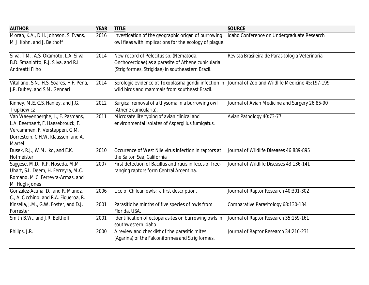| <b>AUTHOR</b>                                                                                                                                              | <b>YEAR</b> | <b>TITLE</b>                                                                                                                                          | <b>SOURCE</b>                                   |
|------------------------------------------------------------------------------------------------------------------------------------------------------------|-------------|-------------------------------------------------------------------------------------------------------------------------------------------------------|-------------------------------------------------|
| Moran, K.A., D.H. Johnson, S. Evans,<br>M.J. Kohn, and J. Belthoff                                                                                         | 2016        | Investigation of the geographic origan of burrowing<br>owl fleas with implications for the ecology of plague.                                         | Idaho Conference on Undergraduate Research      |
| Silva, T.M., A.S. Okamoto, L.A. Silva,<br>B.D. Smaniotto, R.J. Silva, and R.L.<br>Andreatti Filho                                                          | 2014        | New record of Pelecitus sp. (Nematoda,<br>Onchocercidae) as a parasite of Athene cunicularia<br>(Strigiformes, Strigidae) in southeastern Brazil.     | Revista Brasileira de Parasitologia Veterinaria |
| Vitaliano, S.N., H.S. Soares, H.F. Pena,<br>J.P. Dubey, and S.M. Gennari                                                                                   | 2014        | Serologic evidence ot Toxoplasma gondii infection in Journal of Zoo and Wildlife Medicine 45:197-199<br>wild birds and mammals from southeast Brazil. |                                                 |
| Kinney, M.E, C.S. Hanley, and J.G.<br>Trupkiewicz                                                                                                          | 2012        | Surgical removal of a thysoma in a burrowing owl<br>(Athene cunicularia).                                                                             | Journal of Avian Medicine and Surgery 26:85-90  |
| Van Waeyenberghe, L., F. Pasmans,<br>L.A. Beernaert, F. Haesebrouck, F.<br>Vercammen, F. Verstappen, G.M.<br>Dorrestein, C.H.W. Klaassen, and A.<br>Martel | 2011        | Microsatellite typing of avian clinical and<br>environmental isolates of Aspergillus fumigatus.                                                       | Avian Pathology 40:73-77                        |
| Dusek, R.J., W.M. Iko, and E.K.<br>Hofmeister                                                                                                              | 2010        | Occurence of West Nile virus infection in raptors at<br>the Salton Sea, California                                                                    | Journal of Wildlife Diseases 46:889-895         |
| Saggese, M.D., R.P. Noseda, M.M.<br>Uhart, S.L. Deem, H. Ferreyra, M.C.<br>Romano, M.C. Ferreyra-Armas, and<br>M. Hugh-Jones                               | 2007        | First detection of Bacillus anthracis in feces of free-<br>ranging raptors form Central Argentina.                                                    | Journal of Wildlife Diseases 43:136-141         |
| Gonzalez-Acuna, D., and R. Munoz,<br>C., A. Cicchino, and R.A. Figueroa, R.                                                                                | 2006        | Lice of Chilean owls: a first description.                                                                                                            | Journal of Raptor Research 40:301-302           |
| Kinsella, J.M., G.W. Foster, and D.J.<br>Forrester                                                                                                         | 2001        | Parasitic helminths of five species of owls from<br>Florida, USA.                                                                                     | Comparative Parasitology 68:130-134             |
| Smith B.W., and J.R. Belthoff                                                                                                                              | 2001        | Identification of ectoparasites on burrowing owls in<br>southwestern Idaho.                                                                           | Journal of Raptor Research 35:159-161           |
| Philips, J.R.                                                                                                                                              | 2000        | A review and checklist of the parasitic mites<br>(Agarina) of the Falconiformes and Strigiformes.                                                     | Journal of Raptor Research 34:210-231           |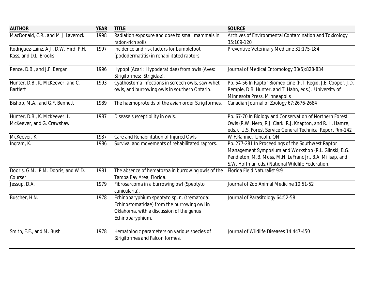| <b>AUTHOR</b>                                                   | <b>YEAR</b> | <b>TITLE</b>                                                                                                                                               | <b>SOURCE</b>                                                                                                                                                                                                                |
|-----------------------------------------------------------------|-------------|------------------------------------------------------------------------------------------------------------------------------------------------------------|------------------------------------------------------------------------------------------------------------------------------------------------------------------------------------------------------------------------------|
| MacDonald, C.R., and M.J. Laverock                              | 1998        | Radiation exposure and dose to small mammals in<br>radon-rich soils.                                                                                       | Archives of Environmental Contamination and Toxicology<br>35:109-120                                                                                                                                                         |
| Rodriguez-Lainz, A.J., D.W. Hird, P.H.<br>Kass, and D.L. Brooks | 1997        | Incidence and risk factors for bumblefoot<br>(pododermatitis) in rehabilitated raptors.                                                                    | Preventive Veterinary Medicine 31:175-184                                                                                                                                                                                    |
| Pence, D.B., and J.F. Bergan                                    | 1996        | Hypopi (Acari: Hypoderatidae) from owls (Aves:<br>Strigiformes: Strigidae).                                                                                | Journal of Medical Entomology 33(5):828-834                                                                                                                                                                                  |
| Hunter, D.B., K. McKeever, and C.<br><b>Bartlett</b>            | 1993        | Cyathostoma infections in screech owls, saw-whet<br>owls, and burrowing owls in southern Ontario.                                                          | Pp. 54-56 In Raptor Biomedicine (P.T. Regid, J.E. Cooper, J.D.<br>Remple, D.B. Hunter, and T. Hahn, eds.). University of<br>Minnesota Press, Minneapolis                                                                     |
| Bishop, M.A., and G.F. Bennett                                  | 1989        | The haemoproteids of the avian order Strigiformes.                                                                                                         | Canadian Journal of Zoology 67:2676-2684                                                                                                                                                                                     |
| Hunter, D.B., K. McKeever, L.<br>McKeever, and G. Crawshaw      | 1987        | Disease susceptibility in owls.                                                                                                                            | Pp. 67-70 In Biology and Conservation of Northern Forest<br>Owls (R.W. Nero, R.J. Clark, R.J. Knapton, and R. H. Hamre,<br>eds.). U.S. Forest Service General Technical Report Rm-142                                        |
| McKeever, K.                                                    | 1987        | Care and Rehabilitation of Injured Owls.                                                                                                                   | W.F.Rannie. Lincoln, ON                                                                                                                                                                                                      |
| Ingram, K.                                                      | 1986        | Survival and movements of rehabilitated raptors.                                                                                                           | Pp. 277-281 In Proceedings of the Southwest Raptor<br>Management Symposium and Workshop (R.L. Glinski, B.G.<br>Pendleton, M.B. Moss, M.N. LeFranc Jr., B.A. Millsap, and<br>S.W. Hoffman eds.) National Wildlife Federation, |
| Dooris, G.M., P.M. Dooris, and W.D.<br>Courser                  | 1981        | The absence of hematozoa in burrowing owls of the<br>Tampa Bay Area, Florida.                                                                              | Florida Field Naturalist 9:9                                                                                                                                                                                                 |
| Jessup, D.A.                                                    | 1979        | Fibrosarcoma in a burrowing owl (Speotyto<br>cunicularia).                                                                                                 | Journal of Zoo Animal Medicine 10:51-52                                                                                                                                                                                      |
| Buscher, H.N.                                                   | 1978        | Echinoparyphium speotyto sp. n. (trematoda:<br>Echinostomatidae) from the burrowing owl in<br>Oklahoma, with a discussion of the genus<br>Echinoparyphium. | Journal of Parasitology 64:52-58                                                                                                                                                                                             |
| Smith, E.E., and M. Bush                                        | 1978        | Hematologic parameters on various species of<br><b>Strigiformes and Falconiformes.</b>                                                                     | Journal of Wildlife Diseases 14:447-450                                                                                                                                                                                      |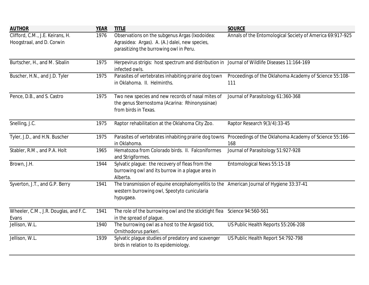| <b>AUTHOR</b>                                                 | <b>YEAR</b> | <b>TITLE</b>                                                                                                                                         | <b>SOURCE</b>                                                                                                       |
|---------------------------------------------------------------|-------------|------------------------------------------------------------------------------------------------------------------------------------------------------|---------------------------------------------------------------------------------------------------------------------|
| Clifford, C.M., J.E. Keirans, H.<br>Hoogstraal, and D. Corwin | 1976        | Observations on the subgenus Argas (Ixodoidea:<br>Agrasidea: Argas). A. (A.) dalei, new species,<br>parasitizing the burrowing owl in Peru.          | Annals of the Entomological Society of America 69:917-925                                                           |
| Burtscher, H., and M. Sibalin                                 | 1975        | Herpevirus strigis: host spectrum and distribution in Journal of Wildlife Diseases 11:164-169<br>infected owls.                                      |                                                                                                                     |
| Buscher, H.N., and J.D. Tyler                                 | 1975        | Parasites of vertebrates inhabiting prairie dog town<br>in Oklahoma. II. Helminths.                                                                  | Proceedings of the Oklahoma Academy of Science 55:108-<br>111                                                       |
| Pence, D.B., and S. Castro                                    | 1975        | Two new species and new records of nasal mites of<br>the genus Sternostoma (Acarina: Rhinonyssinae)<br>from birds in Texas.                          | Journal of Parasitology 61:360-368                                                                                  |
| Snelling, J.C.                                                | 1975        | Raptor rehabilitation at the Oklahoma City Zoo.                                                                                                      | Raptor Research 9(3/4):33-45                                                                                        |
| Tyler, J.D., and H.N. Buscher                                 | 1975        | in Oklahoma.                                                                                                                                         | Parasites of vertebrates inhabiting prairie dog towns Proceedings of the Oklahoma Academy of Science 55:166-<br>168 |
| Stabler, R.M., and P.A. Holt                                  | 1965        | Hematozoa from Colorado birds. II. Falconiformes<br>and Strigiformes.                                                                                | Journal of Parasitology 51:927-928                                                                                  |
| Brown, J.H.                                                   | 1944        | Sylvatic plague: the recovery of fleas from the<br>burrowing owl and its burrow in a plague area in<br>Alberta.                                      | Entomological News 55:15-18                                                                                         |
| Syverton, J.T., and G.P. Berry                                | 1941        | The transmission of equine encephalomyelitis to the American Journal of Hygiene 33:37-41<br>western burrowing owl, Speotyto cunicularia<br>hypugaea. |                                                                                                                     |
| Wheeler, C.M., J.R. Douglas, and F.C.<br>Evans                | 1941        | The role of the burrowing owl and the sticktight flea Science 94:560-561<br>in the spread of plague.                                                 |                                                                                                                     |
| Jellison, W.L.                                                | 1940        | The burrowing owl as a host to the Argasid tick,<br>Ornithodorus parkeri.                                                                            | US Public Health Reports 55:206-208                                                                                 |
| Jellison, W.L.                                                | 1939        | Sylvatic plague studies of predatory and scavenger<br>birds in relation to its epidemiology.                                                         | US Public Health Report 54:792-798                                                                                  |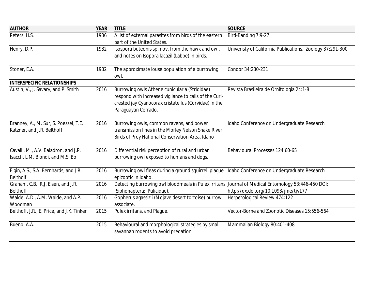| <b>AUTHOR</b>                                                            | <b>YEAR</b> | <b>TITLE</b>                                                                                                                                                                            | <b>SOURCE</b>                                             |
|--------------------------------------------------------------------------|-------------|-----------------------------------------------------------------------------------------------------------------------------------------------------------------------------------------|-----------------------------------------------------------|
| Peters, H.S.                                                             | 1936        | A list of external parasites from birds of the eastern<br>part of the United States.                                                                                                    | Bird-Banding 7:9-27                                       |
| Henry, D.P.                                                              | 1932        | Isospora buteonis sp. nov. from the hawk and owl,<br>and notes on Isopora lacazil (Labbe) in birds.                                                                                     | Univeristy of California Publications. Zoology 37:291-300 |
| Stoner, E.A.                                                             | 1932        | The approximate louse population of a burrowing<br>owl.                                                                                                                                 | Condor 34:230-231                                         |
| <b>INTERSPECIFIC RELATIONSHIPS</b>                                       |             |                                                                                                                                                                                         |                                                           |
| Austin, V., J. Savary, and P. Smith                                      | 2016        | Burrowing owls Athene cunicularia (Strididae)<br>respond with increased vigilance to calls of the Curl-<br>crested jay Cyanocorax cristatellus (Corvidae) in the<br>Paraguayan Cerrado. | Revista Brasileira de Ornitologia 24:1-8                  |
| Branney, A., M. Sur, S. Poessel, T.E.<br>Katzner, and J.R. Belthoff      | 2016        | Burrowing owls, common ravens, and power<br>transmission lines in the Morley Nelson Snake River<br>Birds of Prey National Conservation Area, Idaho                                      | Idaho Conference on Undergraduate Research                |
| Cavalli, M., A.V. Baladron, and J.P.<br>Isacch, L.M. Biondi, and M.S. Bo | 2016        | Differential risk perception of rural and urban<br>burrowing owl exposed to humans and dogs.                                                                                            | Behavioural Processes 124:60-65                           |
| Elgin, A.S., S.A. Bernhards, and J.R.<br><b>Beltholf</b>                 | 2016        | Burrowing owl fleas during a ground squirrel plague Idaho Conference on Undergraduate Research<br>epizootic in Idaho.                                                                   |                                                           |
| Graham, C.B., R.J. Eisen, and J.R.<br><b>Belthoff</b>                    | 2016        | Detecting burrowing owl bloodmeals in Pulex irritans Journal of Medical Entomology 53:446-450 DOI:<br>(Siphonaptera: Pulicidae).                                                        | http://dx.doi.org/10.1093/jme/tjv177                      |
| Walde, A.D., A.M. Walde, and A.P.<br>Woodman                             | 2016        | Gopherus agassizii (Mojave desert tortoise) burrow<br>associate.                                                                                                                        | Herpetological Review 474:122                             |
| Belthoff, J.R., E. Price, and J.K. Tinker                                | 2015        | Pulex irritans, and Plague.                                                                                                                                                             | Vector-Borne and Zoonotic Diseases 15:556-564             |
| Bueno, A.A.                                                              | 2015        | Behavioural and morphological strategies by small<br>savannah rodents to avoid predation.                                                                                               | Mammalian Biology 80:401-408                              |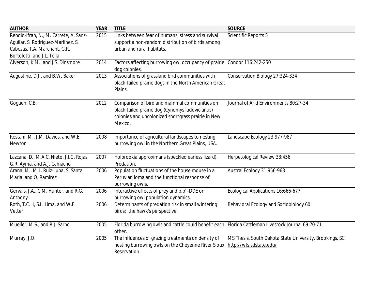| <b>AUTHOR</b>                                                                                                                              | <b>YEAR</b> | <b>TITLE</b>                                                                                                                                                     | <b>SOURCE</b>                                            |
|--------------------------------------------------------------------------------------------------------------------------------------------|-------------|------------------------------------------------------------------------------------------------------------------------------------------------------------------|----------------------------------------------------------|
| Rebolo-Ifran, N., M. Carrete, A. Sanz-<br>Aguilar, S. Rodriguez-Marlinez, S.<br>Cabezas, T.A. Marchant, G.R.<br>Bortolotti, and J.L. Tella | 2015        | Links between fear of humans, stress and survival<br>support a non-random distribution of birds among<br>urban and rural habitats.                               | <b>Scientific Reports 5</b>                              |
| Alverson, K.M., and J.S. Dinsmore                                                                                                          | 2014        | Factors affecting burrowing owl occupancy of prairie Condor 116:242-250<br>dog colonies.                                                                         |                                                          |
| Augustine, D.J., and B.W. Baker                                                                                                            | 2013        | Associations of grassland bird communities with<br>black-tailed prairie dogs in the North American Great<br>Plains.                                              | Conservation Biology 27:324-334                          |
| Goguen, C.B.                                                                                                                               | 2012        | Comparison of bird and mammal communities on<br>black-tailed prairie dog (Cynomys ludovicianus)<br>colonies and uncolonized shortgrass prairie in New<br>Mexico. | Journal of Arid Environments 80:27-34                    |
| Restani, M., J.M. Davies, and W.E.<br>Newton                                                                                               | 2008        | Importance of agricultural landscapes to nesting<br>burrowing owl in the Northern Great Plains, USA.                                                             | Landscape Ecology 23:977-987                             |
| Lazcana, D., M.A.C. Nieto, J.I.G. Rojas,<br>G.R. Ayma, and A.J. Camacho                                                                    | 2007        | Holbrookia approximans (speckled earless lizard).<br>Predation.                                                                                                  | Herpetological Review 38:456                             |
| Arana, M., M.L. Ruiz-Luna, S. Santa<br>Maria, and O. Ramirez                                                                               | 2006        | Population fluctuations of the house mouse in a<br>Peruvian loma and the functional response of<br>burrowing owls.                                               | Austral Ecology 31:956-963                               |
| Gervais, J.A., C.M. Hunter, and R.G.<br>Anthony                                                                                            | 2006        | Interactive effects of prey and p,p' -DDE on<br>burrowing owl population dynamics.                                                                               | Ecological Applications 16:666-677                       |
| Roth, T.C. II, S.L. Lima, and W.E.<br>Vetter                                                                                               | 2006        | Determinants of predation risk in small wintering<br>birds: the hawk's perspective.                                                                              | Behavioral Ecology and Sociobiology 60:                  |
| Mueller, M.S., and R.J. Sarno                                                                                                              | 2005        | Florida burrowing owls and cattle could benefit each Florida Cattleman Livestock Journal 69:70-71<br>other.                                                      |                                                          |
| Murray, J.O.                                                                                                                               | 2005        | The influences of grazing treatments on density of<br>nesting burrowing owls on the Cheyenne River Sioux http://wfs.sdstate.edu/<br>Reservation.                 | MS Thesis, South Dakota State University, Brookings, SC. |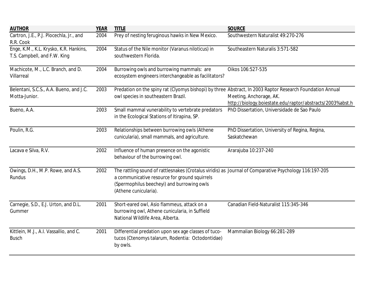| <b>AUTHOR</b>                                                          | <b>YEAR</b> | <b>TITLE</b>                                                                                                                                                                                                                   | <b>SOURCE</b>                                                                                                                                                                                     |
|------------------------------------------------------------------------|-------------|--------------------------------------------------------------------------------------------------------------------------------------------------------------------------------------------------------------------------------|---------------------------------------------------------------------------------------------------------------------------------------------------------------------------------------------------|
| Cartron, J.E., P.J. Plocechla, Jr., and<br>R.R. Cook                   | 2004        | Prey of nesting feruginous hawks in New Mexico.                                                                                                                                                                                | Southwestern Naturalist 49:270-276                                                                                                                                                                |
| Enge, K.M., K.L. Krysko, K.R. Hankins,<br>T.S. Campbell, and F.W. King | 2004        | Status of the Nile monitor (Varanus niloticus) in<br>southwestern Florida.                                                                                                                                                     | Southeastern Naturalis 3:571-582                                                                                                                                                                  |
| Machicote, M., L.C. Branch, and D.<br><b>Villarreal</b>                | 2004        | Burrowing owls and burrowing mammals: are<br>ecosystem engineers interchangeable as facilitators?                                                                                                                              | Oikos 106:527-535                                                                                                                                                                                 |
| Belentani, S.C.S., A.A. Bueno, and J.C.<br>Motta-Junior.               | 2003        | owl species in southeastern Brazil.                                                                                                                                                                                            | Predation on the spiny rat (Clyomys bishopi) by three Abstract, In 2003 Raptor Research Foundation Annual<br>Meeting, Anchorage, AK.<br>http://biology.boiestate.edu/raptor/abstracts/2003%abst.h |
| Bueno, A.A.                                                            | 2003        | Small mammal vunerability to vertebrate predators<br>in the Ecological Stations of Itirapina, SP.                                                                                                                              | PhD Dissertation, Universidade de Sao Paulo                                                                                                                                                       |
| Poulin, R.G.                                                           | 2003        | Relationships between burrowing owls (Athene<br>cunicularia), small mammals, and agriculture.                                                                                                                                  | PhD Dissertation, University of Regina, Regina,<br>Saskatchewan                                                                                                                                   |
| Lacava e Silva, R.V.                                                   | 2002        | Influence of human presence on the agonistic<br>behaviour of the burrowing owl.                                                                                                                                                | Ararajuba 10:237-240                                                                                                                                                                              |
| Owings, D.H., M.P. Rowe, and A.S.<br><b>Rundus</b>                     | 2002        | The rattling sound of rattlesnakes (Crotalus viridis) as Journal of Comparative Psychology 116:197-205<br>a communicative resource for ground squirrels<br>(Spermophilus beecheyi) and burrowing owls<br>(Athene cunicularia). |                                                                                                                                                                                                   |
| Carnegie, S.D., E.J. Urton, and D.L.<br>Gummer                         | 2001        | Short-eared owl, Asio flammeus, attack on a<br>burrowing owl, Athene cunicularia, in Suffield<br>National Wildlife Area, Alberta.                                                                                              | Canadian Field-Naturalist 115:345-346                                                                                                                                                             |
| Kittlein, M.J., A.I. Vassallio, and C.<br><b>Busch</b>                 | 2001        | Differential predation upon sex age classes of tuco-<br>tucos (Ctenomys talarum, Rodentia: Octodontidae)<br>by owls.                                                                                                           | Mammalian Biology 66:281-289                                                                                                                                                                      |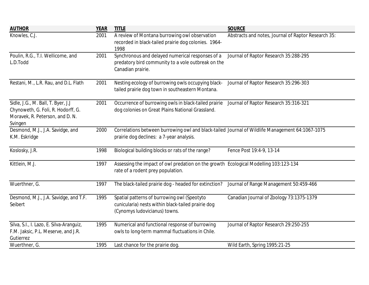| <b>AUTHOR</b>                                                                                                          | <b>YEAR</b> | <b>TITLE</b>                                                                                                                                | <b>SOURCE</b>                                       |
|------------------------------------------------------------------------------------------------------------------------|-------------|---------------------------------------------------------------------------------------------------------------------------------------------|-----------------------------------------------------|
| Knowles, C.J.                                                                                                          | 2001        | A review of Montana burrowing owl observation<br>recorded in black-tailed prairie dog colonies. 1964-<br>1998                               | Abstracts and notes, Journal of Raptor Research 35: |
| Poulin, R.G., T.I. Wellicome, and<br>L.D.Todd                                                                          | 2001        | Synchronous and delayed numerical responses of a<br>predatory bird community to a vole outbreak on the<br>Canadian prairie.                 | Journal of Raptor Research 35:288-295               |
| Restani, M., L.R. Rau, and D.L. Flath                                                                                  | 2001        | Nesting ecology of burrowing owls occupying black-<br>tailed prairie dog town in southeastern Montana.                                      | Journal of Raptor Research 35:296-303               |
| Sidle, J.G., M. Ball, T. Byer, J.J<br>Chynoweth, G. Foli, R. Hodorff, G.<br>Moravek, R. Peterson, and D. N.<br>Svingen | 2001        | Occurrence of burrowing owls in black-tailed prairie<br>dog colonies on Great Plains National Grassland.                                    | Journal of Raptor Research 35:316-321               |
| Desmond, M.J., J.A. Savidge, and<br>K.M. Eskridge                                                                      | 2000        | Correlations between burrowing owl and black-tailed Journal of Wildlife Management 64:1067-1075<br>prairie dog declines: a 7-year analysis. |                                                     |
| Koslosky, J.R.                                                                                                         | 1998        | Biological building blocks or rats of the range?                                                                                            | Fence Post 19:4-9, 13-14                            |
| Kittlein, M.J.                                                                                                         | 1997        | Assessing the impact of owl predation on the growth Ecological Modelling 103:123-134<br>rate of a rodent prey population.                   |                                                     |
| Wuerthner, G.                                                                                                          | 1997        | The black-tailed prairie dog - headed for extinction?                                                                                       | Journal of Range Management 50:459-466              |
| Desmond, M.J., J.A. Savidge, and T.F.<br>Seibert                                                                       | 1995        | Spatial patterns of burrowing owl (Speotyto<br>cunicularia) nests within black-tailed prairie dog<br>(Cynomys ludovicianus) towns.          | Canadian Journal of Zoology 73:1375-1379            |
| Silva, S.I., I. Lazo, E. Silva-Aranguiz,<br>F.M. Jaksic, P.L. Meserve, and J.R.<br>Gutierrez                           | 1995        | Numerical and functional response of burrowing<br>owls to long-term mammal fluctuations in Chile.                                           | Journal of Raptor Research 29:250-255               |
| Wuerthner, G.                                                                                                          | 1995        | Last chance for the prairie dog.                                                                                                            | Wild Earth, Spring 1995:21-25                       |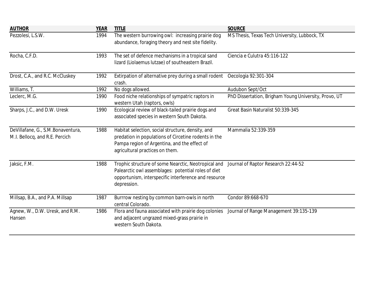| <b>AUTHOR</b>                                                       | <b>YEAR</b> | <b>TITLE</b>                                                                                                                                                                                 | <b>SOURCE</b>                                         |
|---------------------------------------------------------------------|-------------|----------------------------------------------------------------------------------------------------------------------------------------------------------------------------------------------|-------------------------------------------------------|
| Pezzolesi, L.S.W.                                                   | 1994        | The western burrowing owl: increasing prairie dog<br>abundance, foraging theory and nest site fidelity.                                                                                      | MS Thesis, Texas Tech University, Lubbock, TX         |
| Rocha, C.F.D.                                                       | 1993        | The set of defence mechanisms in a tropical sand<br>lizard (Liolaemus lutzae) of southeastern Brazil.                                                                                        | Ciencia e Culutra 45:116-122                          |
| Drost, C.A., and R.C. McCluskey                                     | 1992        | Extirpation of alternative prey during a small rodent<br>crash.                                                                                                                              | Oecologia 92:301-304                                  |
| Williams, T.                                                        | 1992        | No dogs allowed.                                                                                                                                                                             | Audubon Sept/Oct                                      |
| Leclerc, M.G.                                                       | 1990        | Food niche relationships of sympatric raptors in<br>western Utah (raptors, owls)                                                                                                             | PhD Dissertation, Brigham Young University, Provo, UT |
| Sharps, J.C., and D.W. Uresk                                        | 1990        | Ecological review of black-tailed prairie dogs and<br>associated species in western South Dakota.                                                                                            | Great Basin Naturalist 50:339-345                     |
| DeVillafane, G., S.M.Bonaventura,<br>M.I. Bellocq, and R.E. Percich | 1988        | Habitat selection, social structure, density, and<br>predation in populations of Circetine rodents in the<br>Pampa region of Argentina, and the effect of<br>agricultural practices on them. | Mammalia 52:339-359                                   |
| Jaksic, F.M.                                                        | 1988        | Trophic structure of some Nearctic, Neotropical and<br>Palearctic owl assemblages: potential roles of diet<br>opportunism, interspecific interference and resource<br>depression.            | Journal of Raptor Research 22:44-52                   |
| Millsap, B.A., and P.A. Millsap                                     | 1987        | Burrrow nesting by common barn-owls in north<br>central Colorado.                                                                                                                            | Condor 89:668-670                                     |
| Agnew, W., D.W. Uresk, and R.M.<br>Hansen                           | 1986        | Flora and fauna associated with prairie dog colonies<br>and adjacent ungrazed mixed-grass prairie in<br>western South Dakota.                                                                | Journal of Range Management 39:135-139                |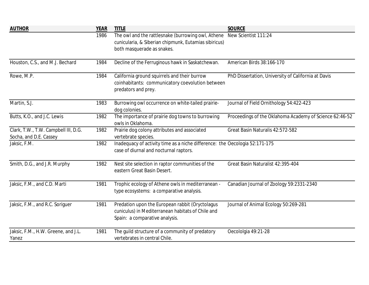| <b>AUTHOR</b>                                                  | <b>YEAR</b> | <b>TITLE</b>                                                                                                                                                   | <b>SOURCE</b>                                           |
|----------------------------------------------------------------|-------------|----------------------------------------------------------------------------------------------------------------------------------------------------------------|---------------------------------------------------------|
|                                                                | 1986        | The owl and the rattlesnake (burrowing owl, Athene New Scientist 111:24<br>cunicularia, & Siberian chipmunk, Eutamias sibiricus)<br>both masquerade as snakes. |                                                         |
| Houston, C.S., and M.J. Bechard                                | 1984        | Decline of the Ferruginous hawk in Saskatchewan.                                                                                                               | American Birds 38:166-170                               |
| Rowe, M.P.                                                     | 1984        | California ground squirrels and their burrow<br>coinhabitants: communicatory coevolution between<br>predators and prey.                                        | PhD Dissertation, University of California at Davis     |
| Martin, S.J.                                                   | 1983        | Burrowing owl occurrence on white-tailed prairie-<br>dog colonies.                                                                                             | Journal of Field Ornithology 54:422-423                 |
| Butts, K.O., and J.C. Lewis                                    | 1982        | The importance of prairie dog towns to burrowing<br>owls in Oklahoma.                                                                                          | Proceedings of the Oklahoma Academy of Science 62:46-52 |
| Clark, T.W., T.W. Campbell III, D.G.<br>Socha, and D.E. Cassey | 1982        | Prairie dog colony attributes and associated<br>vertebrate species.                                                                                            | Great Basin Naturalis 42:572-582                        |
| Jaksic, F.M.                                                   | 1982        | Inadequacy of activity time as a niche difference: the Oecologia 52:171-175<br>case of diurnal and nocturnal raptors.                                          |                                                         |
| Smith, D.G., and J.R. Murphy                                   | 1982        | Nest site selection in raptor communities of the<br>eastern Great Basin Desert.                                                                                | Great Basin Naturalist 42:395-404                       |
| Jaksic, F.M., and C.D. Marti                                   | 1981        | Trophic ecology of Athene owls in mediterranean -<br>type ecosystems: a comparative analysis.                                                                  | Canadian Journal of Zoology 59:2331-2340                |
| Jaksic, F.M., and R.C. Soriguer                                | 1981        | Predation upon the European rabbit (Oryctolagus<br>cuniculus) in Mediterranean habitats of Chile and<br>Spain: a comparative analysis.                         | Journal of Animal Ecology 50:269-281                    |
| Jaksic, F.M., H.W. Greene, and J.L.<br>Yanez                   | 1981        | The guild structure of a community of predatory<br>vertebrates in central Chile.                                                                               | Oecololgia 49:21-28                                     |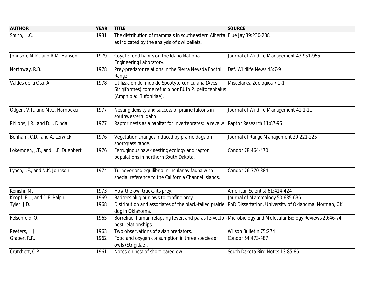| <b>AUTHOR</b>                     | <b>YEAR</b> | <b>TITLE</b>                                                                                                                          | <b>SOURCE</b>                                                                                                |
|-----------------------------------|-------------|---------------------------------------------------------------------------------------------------------------------------------------|--------------------------------------------------------------------------------------------------------------|
| Smith, H.C.                       | 1981        | The distribution of mammals in southeastern Alberta Blue Jay 39:230-238<br>as indicated by the analysis of owl pellets.               |                                                                                                              |
| Johnson, M.K., and R.M. Hansen    | 1979        | Coyote food habits on the Idaho National<br><b>Engineering Laboratory.</b>                                                            | Journal of Wildlife Management 43:951-955                                                                    |
| Northway, R.B.                    | 1978        | Prey-predator relations in the Sierra Nevada Foothill Def. Wildlife News 45:7-9<br>Range.                                             |                                                                                                              |
| Valdes de la Osa, A.              | 1978        | Utilizacion del nido de Speotyto cunicularia (Aves:<br>Strigiformes) come refugio por BUfo P. peltocephalus<br>(Amphibia: Bufonidae). | Miscelanea Zoologica 7:1-1                                                                                   |
| Odgen, V.T., and M.G. Hornocker   | 1977        | Nesting density and success of prairie falcons in<br>southwestern Idaho.                                                              | Journal of Wildlife Management 41:1-11                                                                       |
| Philops, J.R., and D.L. Dindal    | 1977        | Raptor nests as a habitat for invertebrates: a reveiw. Raptor Research 11:87-96                                                       |                                                                                                              |
| Bonham, C.D., and A. Lerwick      | 1976        | Vegetation changes induced by prairie dogs on<br>shortgrass range.                                                                    | Journal of Range Management 29:221-225                                                                       |
| Lokemoen, J.T., and H.F. Duebbert | 1976        | Ferruginous hawk nesting ecology and raptor<br>populations in northern South Dakota.                                                  | Condor 78:464-470                                                                                            |
| Lynch, J.F., and N.K. Johnson     | 1974        | Turnover and equilibria in insular avifauna with<br>special reference to the California Channel Islands.                              | Condor 76:370-384                                                                                            |
| Konishi, M.                       | 1973        | How the owl tracks its prey.                                                                                                          | American Scientist 61:414-424                                                                                |
| Knopf, F.L., and D.F. Balph       | 1969        | Badgers plug burrows to confine prey.                                                                                                 | Journal of Mammalogy 50:635-636                                                                              |
| Tyler, J.D.                       | 1968        | dog in Oklahoma.                                                                                                                      | Distribution and associates of the black-tailed prairie PhD Dissertation, University of Oklahoma, Norman, OK |
| Felsenfeld, O.                    | 1965        | host relationships.                                                                                                                   | Borreliae, human relapsing fever, and parasite-vector Microbiology and Molecular Biology Reviews 29:46-74    |
| Peeters, H.J.                     | 1963        | Two observations of avian predators.                                                                                                  | Wilson Bulletin 75:274                                                                                       |
| Graber, R.R.                      | 1962        | Food and oxygen consumption in three species of<br>owls (Strigidae).                                                                  | Condor 64:473-487                                                                                            |
| Crutchett, C.P.                   | 1961        | Notes on nest of short-eared owl.                                                                                                     | South Dakota Bird Notes 13:85-86                                                                             |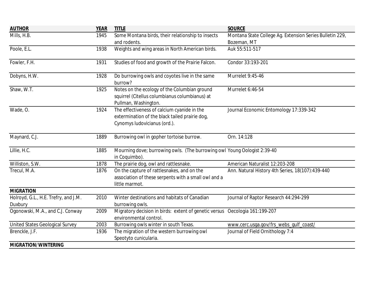| <b>AUTHOR</b>                          | <b>YEAR</b> | <b>TITLE</b>                                                                                                                  | <b>SOURCE</b>                                            |
|----------------------------------------|-------------|-------------------------------------------------------------------------------------------------------------------------------|----------------------------------------------------------|
| Mills, H.B.                            | 1945        | Some Montana birds, their relationship to insects                                                                             | Montana State College Ag. Extension Series Bulletin 229, |
|                                        |             | and rodents.                                                                                                                  | Bozeman, MT                                              |
| Poole, E.L.                            | 1938        | Weights and wing areas in North American birds.                                                                               | Auk 55:511-517                                           |
| Fowler, F.H.                           | 1931        | Studies of food and growth of the Prairie Falcon.                                                                             | Condor 33:193-201                                        |
| Dobyns, H.W.                           | 1928        | Do burrowing owls and coyotes live in the same<br>burrow?                                                                     | Murrelet 9:45-46                                         |
| Shaw, W.T.                             | 1925        | Notes on the ecology of the Columbian ground<br>squirrel (Citellus columbianus columbianus) at<br>Pullman, Washington.        | Murrelet 6:46-54                                         |
| Wade, O.                               | 1924        | The effectiveness of calcium cyanide in the<br>extermination of the black tailed prairie dog,<br>Cynomys Iudovicianus (ord.). | Journal Economic Entomology 17:339-342                   |
| Maynard, C.J.                          | 1889        | Burrowing owl in gopher tortoise burrow.                                                                                      | Orn. 14:128                                              |
| Lillie, H.C.                           | 1885        | Mourning dove; burrowing owls. (The burrowing owl Young Oologist 2:39-40<br>in Coquimbo).                                     |                                                          |
| Williston, S.W.                        | 1878        | The prairie dog, owl and rattlesnake.                                                                                         | American Naturalist 12:203-208                           |
| Trecul, M.A.                           | 1876        | On the capture of rattlesnakes, and on the<br>association of these serpents with a small owl and a<br>little marmot.          | Ann. Natural History 4th Series, 18(107):439-440         |
| <b>MIGRATION</b>                       |             |                                                                                                                               |                                                          |
| Holroyd, G.L., H.E. Trefry, and J.M.   | 2010        | Winter destinations and habitats of Canadian                                                                                  | Journal of Raptor Research 44:294-299                    |
| Duxbury                                |             | burrowing owls.                                                                                                               |                                                          |
| Ogonowski, M.A., and C.J. Conway       | 2009        | Migratory decision in birds: extent of genetic versus Oecologia 161:199-207<br>environmental control.                         |                                                          |
| <b>United States Geological Survey</b> | 2003        | Burrowing owls winter in south Texas.                                                                                         | www.cerc.usga.gov/frs_webs_gulf_coast/                   |
| Brenckle, J.F.                         | 1936        | The migration of the western burrowing owl<br>Speotyto cunicularia.                                                           | Journal of Field Ornithology 7:4                         |
| MIGRATION/WINTERING                    |             |                                                                                                                               |                                                          |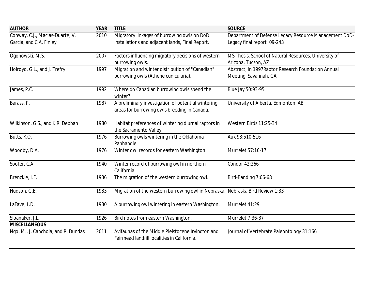| <b>AUTHOR</b>                       | <b>YEAR</b> | <b>TITLE</b>                                                                                       | <b>SOURCE</b>                                         |
|-------------------------------------|-------------|----------------------------------------------------------------------------------------------------|-------------------------------------------------------|
| Conway, C.J., Macias-Duarte, V.     | 2010        | Migratory linkages of burrowing owls on DoD                                                        | Department of Defense Legacy Resource Management DoD- |
| Garcia, and C.A. Finley             |             | installations and adjacent lands, Final Report.                                                    | Legacy final report_09-243                            |
| Ogonowski, M.S.                     | 2007        | Factors influencing migratory decisions of western                                                 | MS Thesis, School of Natural Resources, University of |
|                                     |             | burrowing owls.                                                                                    | Arizona, Tucson, AZ                                   |
| Holroyd, G.L., and J. Trefry        | 1997        | Migration and winter distribution of "Canadian"                                                    | Abstract, In 1997 Raptor Research Foundation Annual   |
|                                     |             | burrowing owls (Athene cunicularia).                                                               | Meeting, Savannah, GA                                 |
| James, P.C.                         | 1992        | Where do Canadian burrowing owls spend the<br>winter?                                              | Blue Jay 50:93-95                                     |
| Barass, P.                          | 1987        | A preliminary investigation of potential wintering<br>areas for burrowing owls breeding in Canada. | University of Alberta, Edmonton, AB                   |
| Wilkinson, G.S., and K.R. Debban    | 1980        | Habitat preferences of wintering diurnal raptors in<br>the Sacramento Valley.                      | Western Birds 11:25-34                                |
| Butts, K.O.                         | 1976        | Burrowing owls wintering in the Oklahoma<br>Panhandle.                                             | Auk 93:510-516                                        |
| Woodby, D.A.                        | 1976        | Winter owl records for eastern Washington.                                                         | Murrelet 57:16-17                                     |
| Sooter, C.A.                        | 1940        | Winter record of burrowing owl in northern<br>California.                                          | Condor 42:266                                         |
| Brenckle, J.F.                      | 1936        | The migration of the western burrowing owl.                                                        | Bird-Banding 7:66-68                                  |
| Hudson, G.E.                        | 1933        | Migration of the western burrowing owl in Nebraska. Nebraska Bird Review 1:33                      |                                                       |
| LaFave, L.D.                        | 1930        | A burrowing owl wintering in eastern Washington.                                                   | Murrelet 41:29                                        |
| Sloanaker, J.L.                     | 1926        | Bird notes from eastern Washington.                                                                | Murrelet 7:36-37                                      |
| <b>MISCELLANEOUS</b>                |             |                                                                                                    |                                                       |
| Ngo, M., J. Canchola, and R. Dundas | 2011        | Avifaunas of the Middle Pleistocene Irvington and<br>Fairmead landfill localities in California.   | Journal of Vertebrate Paleontology 31:166             |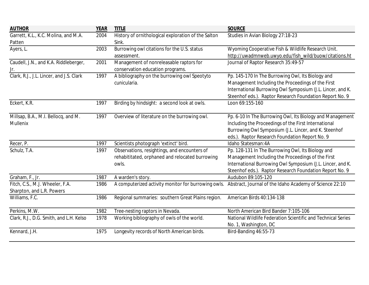| <b>AUTHOR</b>                            | <b>YEAR</b> | <b>TITLE</b>                                        | <b>SOURCE</b>                                                |
|------------------------------------------|-------------|-----------------------------------------------------|--------------------------------------------------------------|
| Garrett, K.L., K.C. Molina, and M.A.     | 2004        | History of ornithological exploration of the Salton | Studies in Avian Biology 27:18-23                            |
| Patten                                   |             | Sink.                                               |                                                              |
| Ayers, L.                                | 2003        | Burrowing owl citations for the U.S. status         | Wyoming Cooperative Fish & Wildlife Research Unit.           |
|                                          |             | assessment.                                         | http://uwadmnweb.uwyo.edu/fish_wild/buow/citations.ht        |
| Caudell, J.N., and K.A. Riddleberger,    | 2001        | Management of nonreleasable raptors for             | Journal of Raptor Research 35:49-57                          |
|                                          |             | conservation education programs.                    |                                                              |
| Clark, R.J., J.L. Lincer, and J.S. Clark | 1997        | A bibliography on the burrowing owl Speotyto        | Pp. 145-170 In The Burrowing Owl, Its Biology and            |
|                                          |             | cunicularia.                                        | Management Including the Proceedings of the First            |
|                                          |             |                                                     | International Burrowing Owl Symposium (J.L. Lincer, and K.   |
|                                          |             |                                                     | Steenhof eds.). Raptor Research Foundation Report No. 9      |
| Eckert, K.R.                             | 1997        | Birding by hindsight: a second look at owls.        | Loon 69:155-160                                              |
| Millsap, B.A., M.I. Bellocq, and M.      | 1997        | Overview of literature on the burrowing owl.        | Pp. 6-10 In The Burrowing Owl, Its Biology and Management    |
| <b>Mullenix</b>                          |             |                                                     | Including the Proceedings of the First International         |
|                                          |             |                                                     | Burrowing Owl Symposium (J.L. Lincer, and K. Steenhof        |
|                                          |             |                                                     | eds.). Raptor Research Foundation Report No. 9               |
| Recer, P.                                | 1997        | Scientists photograph 'extinct' bird.               | Idaho Statesman: 4A                                          |
| Schulz, T.A.                             | 1997        | Observations, resightings, and encounters of        | Pp. 128-131 In The Burrowing Owl, Its Biology and            |
|                                          |             | rehabititated, orphaned and relocated burrowing     | Management Including the Proceedings of the First            |
|                                          |             | owls.                                               | International Burrowing Owl Symposium (J.L. Lincer, and K.   |
|                                          |             |                                                     | Steenhof eds.). Raptor Research Foundation Report No. 9      |
| Graham, F., Jr.                          | 1987        | A warden's story.                                   | Audubon 89:105-120                                           |
| Fitch, C.S., M.J. Wheeler, F.A.          | 1986        | A computerized activity monitor for burrowing owls. | Abstract, Journal of the Idaho Academy of Science 22:10      |
| Sharpton, and L.R. Powers                |             |                                                     |                                                              |
| Williams, F.C.                           | 1986        | Regional summaries: southern Great Plains region.   | American Birds 40:134-138                                    |
| Perkins, M.W.                            | 1982        | Tree-nesting raptors in Nevada.                     | North American Bird Bander 7:105-106                         |
| Clark, R.J., D.G. Smith, and L.H. Kelso  | 1978        | Working bibliography of owls of the world.          | National Wildlife Federation Scientific and Technical Series |
|                                          |             |                                                     | No. 1, Washington, DC                                        |
| Kennard, J.H.                            | 1975        | Longevity records of North American birds.          | Bird-Banding 46:55-73                                        |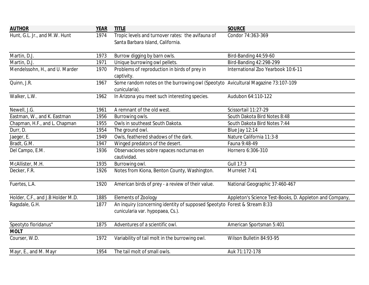| <b>AUTHOR</b>                     | <b>YEAR</b> | <b>TITLE</b>                                                                                                  | <b>SOURCE</b>                                           |
|-----------------------------------|-------------|---------------------------------------------------------------------------------------------------------------|---------------------------------------------------------|
| Hunt, G.L. Jr., and M.W. Hunt     | 1974        | Tropic levels and turnover rates: the avifauna of<br>Santa Barbara Island, California.                        | Condor 74:363-369                                       |
| Martin, D.J.                      | 1973        | Burrow digging by barn owls.                                                                                  | Bird-Banding 44:59-60                                   |
| Martin, D.J.                      | 1971        | Unique burrowing owl pellets.                                                                                 | <b>Bird-Banding 42:298-299</b>                          |
| Mendelssohn, H., and U. Marder    | 1970        | Problems of reproduction in birds of prey in<br>captivity.                                                    | International Zoo Yearbook 10:6-11                      |
| Quinn, J.R.                       | 1967        | Some random notes on the burrowing owl (Speotyto Avicultural Magazine 73:107-109<br>cunicularia).             |                                                         |
| Walker, L.W.                      | 1962        | In Arizona you meet such interesting species.                                                                 | Audubon 64:110-122                                      |
| Newell, J.G.                      | 1961        | A remnant of the old west.                                                                                    | Scissortail 11:27-29                                    |
| Eastman, W., and K. Eastman       | 1956        | Burrowing owls.                                                                                               | South Dakota Bird Notes 8:48                            |
| Chapman, H.F., and L. Chapman     | 1955        | Owls in southeast South Dakota.                                                                               | South Dakota Bird Notes 7:44                            |
| Durr, D.                          | 1954        | The ground owl.                                                                                               | <b>Blue Jay 12:14</b>                                   |
| Jaeger, E.                        | 1949        | Owls, feathered shadows of the dark.                                                                          | Nature California 11:3-8                                |
| Bradt, G.M.                       | 1947        | Winged predators of the desert.                                                                               | Fauna 9:48-49                                           |
| Del Campo, E.M.                   | 1936        | Observaciones sobre rapaces nocturnas en<br>cautividad.                                                       | Hornero 6:306-310                                       |
| McAllister, M.H.                  | 1935        | Burrowing owl.                                                                                                | <b>Gull 17:3</b>                                        |
| Decker, F.R.                      | 1926        | Notes from Kiona, Benton County, Washington.                                                                  | Murrelet 7:41                                           |
| Fuertes, L.A.                     | 1920        | American birds of prey - a review of their value.                                                             | National Geographic 37:460-467                          |
| Holder, C.F., and J.B Holder M.D. | 1885        | <b>Elements of Zoology</b>                                                                                    | Appleton's Science Test-Books, D. Appleton and Company, |
| Ragsdale, G.H.                    | 1877        | An inquiry (concerning identity of supposed Speotyto Forest & Stream 8:33<br>cunicularia var. hypopaea, Cs.). |                                                         |
| Speotyto floridanus"              | 1875        | Adventures of a scientific owl.                                                                               | American Sportsman 5:401                                |
| <b>MOLT</b>                       |             |                                                                                                               |                                                         |
| Courser, W.D.                     | 1972        | Variability of tail molt in the burrowing owl.                                                                | Wilson Bulletin 84:93-95                                |
| Mayr, E., and M. Mayr             | 1954        | The tail molt of small owls.                                                                                  | Auk 71:172-178                                          |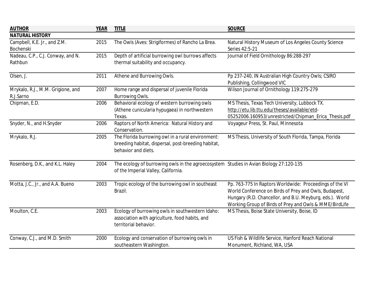| <b>AUTHOR</b>                     | <b>YEAR</b> | <b>TITLE</b>                                                                           | <b>SOURCE</b>                                            |
|-----------------------------------|-------------|----------------------------------------------------------------------------------------|----------------------------------------------------------|
| <b>NATURAL HISTORY</b>            |             |                                                                                        |                                                          |
| Campbell, K.E. Jr., and Z.M.      | 2015        | The Owls (Aves: Strigiformes) of Rancho La Brea.                                       | Natural History Museum of Los Angeles County Science     |
| <b>Bochenski</b>                  |             |                                                                                        | Series 42:5-21                                           |
| Nadeau, C.P., C.J. Conway, and N. | 2015        | Depth of artificial burrowing owl burrows affects                                      | Journal of Field Ornithology 86:288-297                  |
| Rathbun                           |             | thermal suitability and occupancy.                                                     |                                                          |
| Olsen, J.                         | 2011        | Athene and Burrowing Owls.                                                             | Pp 237-240, IN Australian High Country Owls; CSIRO       |
|                                   |             |                                                                                        | Publishing, Collingwood VIC                              |
| Mrykalo, R.J., M.M. Grigione, and | 2007        | Home range and dispersal of juvenile Florida                                           | Wilson Journal of Ornithology 119:275-279                |
| R.J.Sarno                         |             | <b>Burrowing Owls.</b>                                                                 |                                                          |
| Chipman, E.D.                     | 2006        | Behavioral ecology of western burrowing owls                                           | MS Thesis, Texas Tech University, Lubbock TX.            |
|                                   |             | (Athene cunicularia hypugaea) in northwestern                                          | http://etu.lib.ttu.edu/theses/available/etd-             |
|                                   |             | Texas.                                                                                 | 05252006.160953/unrestricted/Chipman_Erica_Thesis.pdf    |
| Snyder, N., and H.Snyder          | 2006        | Raptors of North America: Natural History and<br>Conservation.                         | Voyageur Press, St. Paul, Minnesota                      |
| Mrykalo, R.J.                     | 2005        | The Florida burrowing owl in a rural environment:                                      | MS Thesis, University of South Florida, Tampa, Florida   |
|                                   |             | breeding habitat, dispersal, post-breeding habitat,                                    |                                                          |
|                                   |             | behavior and diets.                                                                    |                                                          |
| Rosenberg, D.K., and K.L. Haley   | 2004        | The ecology of burrowing owls in the agroecosystem Studies in Avian Biology 27:120-135 |                                                          |
|                                   |             | of the Imperial Valley, California.                                                    |                                                          |
| Motta, J.C., Jr., and A.A. Bueno  | 2003        | Tropic ecology of the burrowing owl in southeast                                       | Pp. 763-775 In Raptors Worldwide: Proceedings of the VI  |
|                                   |             | Brazil.                                                                                | World Conference on Birds of Prey and Owls, Budapest,    |
|                                   |             |                                                                                        | Hungary (R.D. Chancellor, and B.U. Meyburg, eds.). World |
|                                   |             |                                                                                        | Working Group of Birds of Prey and Owls & MME/BirdLife   |
| Moulton, C.E.                     | 2003        | Ecology of burrowing owls in southwestern Idaho:                                       | MS Thesis, Boise State University, Boise, ID             |
|                                   |             | association with agriculture, food habits, and                                         |                                                          |
|                                   |             | territorial behavior.                                                                  |                                                          |
| Conway, C.J., and M.D. Smith      | 2000        | Ecology and conservation of burrowing owls in                                          | US Fish & Wildlife Service, Hanford Reach National       |
|                                   |             | southeastern Washington.                                                               | Monument, Richland, WA, USA                              |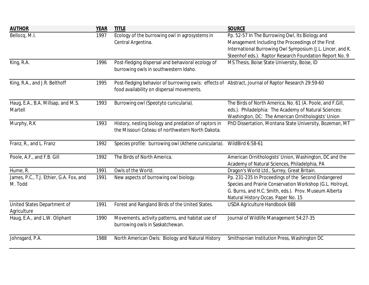| <b>AUTHOR</b>                           | <b>YEAR</b> | <b>TITLE</b>                                                                                                                                    | <b>SOURCE</b>                                              |
|-----------------------------------------|-------------|-------------------------------------------------------------------------------------------------------------------------------------------------|------------------------------------------------------------|
| Bellocq, M.I.                           | 1997        | Ecology of the burrowing owl in agrosystems in                                                                                                  | Pp. 52-57 In The Burrowing Owl, Its Biology and            |
|                                         |             | Central Argentina.                                                                                                                              | Management Including the Proceedings of the First          |
|                                         |             |                                                                                                                                                 | International Burrowing Owl Symposium (J.L. Lincer, and K. |
|                                         |             |                                                                                                                                                 | Steenhof eds.). Raptor Research Foundation Report No. 9    |
| King, R.A.                              | 1996        | Post-fledging dispersal and behavioral ecology of<br>burrowing owls in southwestern Idaho.                                                      | MS Thesis, Boise State University, Boise, ID               |
| King, R.A., and J.R. Belthoff           | 1995        | Post-fledging behavior of burrowing owls: effects of Abstract, Journal of Raptor Research 29:59-60<br>food availability on dispersal movements. |                                                            |
| Haug, E.A., B.A. Millsap, and M.S.      | 1993        | Burrowing owl (Speotyto cunicularia).                                                                                                           | The Birds of North America, No. 61 (A. Poole, and F.Gill,  |
| Martell                                 |             |                                                                                                                                                 | eds.). Philadelphia: The Academy of Natural Sciences:      |
|                                         |             |                                                                                                                                                 | Washington, DC: The American Ornithologists' Union         |
| Murphy, R.K                             | 1993        | History, nesting biology and predation of raptors in                                                                                            | PhD Dissertation, Montana State University, Bozeman, MT    |
|                                         |             | the Missouri Coteau of northwetern North Dakota.                                                                                                |                                                            |
| Franz, R., and L. Franz                 | 1992        | Species profile: burrowing owl (Athene cunicularia).                                                                                            | WildBird 6:58-61                                           |
| Poole, A.F., and F.B. Gill              | 1992        | The Birds of North America.                                                                                                                     | American Ornithologists' Union, Washington, DC and the     |
|                                         |             |                                                                                                                                                 | Academy of Natural Sciences, Philadelphia, PA              |
| Hume, R.                                | 1991        | Owls of the World.                                                                                                                              | Dragon's World Ltd., Surrey, Great Britain.                |
| James, P.C., T.J. Ethier, G.A. Fox, and | 1991        | New aspects of burrowing owl biology.                                                                                                           | Pp. 231-235 In Proceedings of the Second Endangered        |
| M. Todd                                 |             |                                                                                                                                                 | Species and Prairie Conservation Workshop (G.L. Holroyd,   |
|                                         |             |                                                                                                                                                 | G. Burns, and H.C. Smith, eds.). Prov. Museum Alberta      |
|                                         |             |                                                                                                                                                 | Natural History Occas. Paper No. 15                        |
| United States Department of             | 1991        | Forest and Rangland Birds of the United States.                                                                                                 | <b>USDA Agriculture Handbook 688</b>                       |
| Agriculture                             |             |                                                                                                                                                 |                                                            |
| Haug, E.A., and L.W. Oliphant           | 1990        | Movements, activity patterns, and habitat use of                                                                                                | Journal of Wildlife Management 54:27-35                    |
|                                         |             | burrowing owls in Saskatchewan.                                                                                                                 |                                                            |
| Johnsgard, P.A.                         | 1988        | North American Owls: Biology and Natural History                                                                                                | Smithsonian Institution Press, Washington DC               |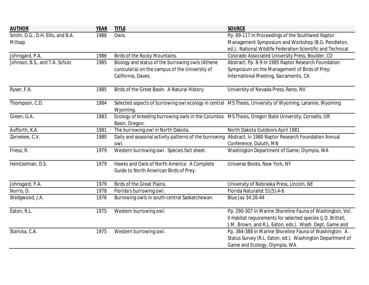| <b>AUTHOR</b>                     | <b>YEAR</b> | <b>TITLE</b>                                                                                                     | <b>SOURCE</b>                                                                                             |
|-----------------------------------|-------------|------------------------------------------------------------------------------------------------------------------|-----------------------------------------------------------------------------------------------------------|
| Smith, D.G., D.H. Ellis, and B.A. | 1988        | Owls.                                                                                                            | Pp. 89-117 In Proceedings of the Southwest Raptor                                                         |
| Millsap                           |             |                                                                                                                  | Management Symposium and Workshop (B.G. Pendleton,                                                        |
|                                   |             |                                                                                                                  | ed.). National Wildlife Federation Scientific and Technical                                               |
| Johnsgard, P.A.                   | 1986        | Birds of the Rocky Mountains.                                                                                    | Colorado Associated University Press, Boulder, CO                                                         |
| Johnson, B.S., and T.A. Schulz    | 1985        | Biology and status of the burrowing owls (Athene                                                                 | Abstract, Pp. 8-9 In 1985 Raptor Research Foundation                                                      |
|                                   |             | cunicularia) on the campus of the University of                                                                  | Symposium on the Management of Birds of Prey:                                                             |
|                                   |             | California, Daves.                                                                                               | International Meeting, Sacramento, CA                                                                     |
| Ryser, F.A.                       | 1985        | Birds of the Great Basin: A Natural History.                                                                     | University of Nevada Press, Reno, NV                                                                      |
| Thompson, C.D.                    | 1984        |                                                                                                                  | Selected aspects of burrowing owl ecology in central MS Thesis, University of Wyoming, Laramie, Wyoming   |
| Green, G.A.                       | 1983        | Wyoming.<br>Ecology of breeding burrowing owls in the Columbia MS Thesis, Oregon State University, Corvallis, OR |                                                                                                           |
|                                   |             | Basin, Oregon.                                                                                                   |                                                                                                           |
| Aufforth, K.A.                    | 1981        | The burrowing owl in North Dakota.                                                                               | North Dakota Outdoors April 1981                                                                          |
| Zarnekee, C.V.                    | 1980        |                                                                                                                  | Daily and seasonal activity patterns of the burrowing Abstract, In 1980 Raptor Research Foundation Annual |
|                                   |             | owl.                                                                                                             | Conference, Duluth, MN                                                                                    |
| Friesz, R.                        | 1979        | Western burrowing owl. Species fact sheet.                                                                       | Washington Department of Game, Olympia, WA                                                                |
| Heintzelman, D.S.                 | 1979        | Hawks and Owls of North America: A Complete                                                                      | Universe Books, New York, NY                                                                              |
|                                   |             | Guide to North American Birds of Prey.                                                                           |                                                                                                           |
| Johnsgard, P.A.                   | 1979        | <b>Birds of the Great Plains.</b>                                                                                | University of Nebraska Press, Lincoln, NE                                                                 |
| Norris, D.                        | 1978        | Florida's burrowing owl.                                                                                         | Florida Naturalist 51(5):4-6                                                                              |
| Wedgwood, J.A.                    | 1976        | Burrowing owls in south-central Saskatchewan.                                                                    | Blue Jay 34:26-44                                                                                         |
| Eaton, R.L.                       | 1975        | Western burrowing owl.                                                                                           | Pp. 290-307 In Marine Shoreline Fauna of Washington, Vol.                                                 |
|                                   |             |                                                                                                                  | Il Habitat requirements for selected species (J.D. Brittell,                                              |
|                                   |             |                                                                                                                  | J.M. Brown, and R.L. Eaton, eds.). Wash. Dept. Game and                                                   |
| Staricka, C.A.                    | 1975        | Western burrowing owl.                                                                                           | Pp. 384-388 In Marine Shoreline Fauna of Washington: A                                                    |
|                                   |             |                                                                                                                  | Status Survey (R.L. Eaton, ed.). Washington Department of                                                 |
|                                   |             |                                                                                                                  | Game and Ecology, Olympia, WA                                                                             |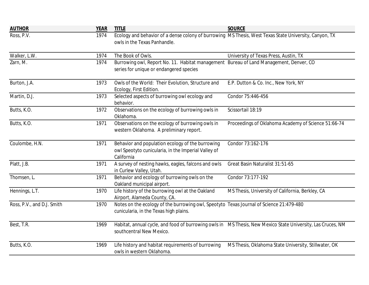| <b>AUTHOR</b>              | <b>YEAR</b> | <b>TITLE</b>                                                                                                                           | <b>SOURCE</b>                                                                                               |
|----------------------------|-------------|----------------------------------------------------------------------------------------------------------------------------------------|-------------------------------------------------------------------------------------------------------------|
| Ross, P.V.                 | 1974        | Ecology and behavior of a dense colony of burrowing MS Thesis, West Texas State University, Canyon, TX<br>owls in the Texas Panhandle. |                                                                                                             |
| Walker, L.W.               | 1974        | The Book of Owls.                                                                                                                      | University of Texas Press, Austin, TX                                                                       |
| Zarn, M.                   | 1974        | Burrowing owl, Report No. 11. Habitat management Bureau of Land Management, Denver, CO<br>series for unique or endangered species      |                                                                                                             |
| Burton, J.A.               | 1973        | Owls of the World: Their Evolution, Structure and<br>Ecology, First Edition.                                                           | E.P. Dutton & Co. Inc., New York, NY                                                                        |
| Martin, D.J.               | 1973        | Selected aspects of burrowing owl ecology and<br>behavior.                                                                             | Condor 75:446-456                                                                                           |
| Butts, K.O.                | 1972        | Observations on the ecology of burrowing owls in<br>Oklahoma.                                                                          | Scissortail 18:19                                                                                           |
| Butts, K.O.                | 1971        | Observations on the ecology of burrowing owls in<br>western Oklahoma. A preliminary report.                                            | Proceedings of Oklahoma Academy of Science 51:66-74                                                         |
| Coulombe, H.N.             | 1971        | Behavior and population ecology of the burrowing<br>owl Speotyto cunicularia, in the Imperial Valley of<br>California                  | Condor 73:162-176                                                                                           |
| Platt, J.B.                | 1971        | A survey of nesting hawks, eagles, falcons and owls<br>in Curlew Valley, Utah.                                                         | Great Basin Naturalist 31:51-65                                                                             |
| Thomsen, L.                | 1971        | Behavior and ecology of burrowing owls on the<br>Oakland municipal airport.                                                            | Condor 73:177-192                                                                                           |
| Hennings, L.T.             | 1970        | Life history of the burrowing owl at the Oakland<br>Airport, Alameda County, CA.                                                       | MS Thesis, University of California, Berkley, CA                                                            |
| Ross, P.V., and D.J. Smith | 1970        | Notes on the ecology of the burrowing owl, Speotyto Texas Journal of Science 21:479-480<br>cunicularia, in the Texas high plains.      |                                                                                                             |
| Best, T.R.                 | 1969        | southcentral New Mexico.                                                                                                               | Habitat, annual cycle, and food of burrowing owls in MS Thesis, New Mexico State University, Las Cruces, NM |
| Butts, K.O.                | 1969        | Life history and habitat requirements of burrowing<br>owls in western Oklahoma.                                                        | MS Thesis, Oklahoma State University, Stillwater, OK                                                        |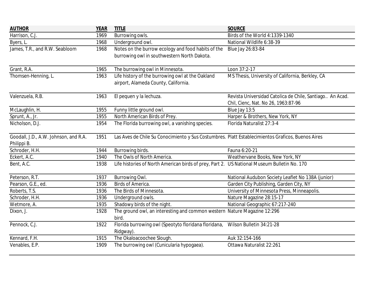| <b>AUTHOR</b>                         | <b>YEAR</b> | <b>TITLE</b>                                                                                      | <b>SOURCE</b>                                            |
|---------------------------------------|-------------|---------------------------------------------------------------------------------------------------|----------------------------------------------------------|
| Harrison, C.J.                        | 1969        | Burrowing owls.                                                                                   | Birds of the World 4:1339-1340                           |
| Byers, L.                             | 1968        | Underground owl.                                                                                  | National Wildlife 6:38-39                                |
| James, T.R., and R.W. Seabloom        | 1968        | Notes on the burrow ecology and food habits of the                                                | Blue Jay 26:83-84                                        |
|                                       |             | burrowing owl in southwestern North Dakota.                                                       |                                                          |
| Grant, R.A.                           | 1965        | The burrowing owl in Minnesota.                                                                   | Loon 37:2-17                                             |
| Thomsen-Henning, L.                   | 1963        | Life history of the burrowing owl at the Oakland                                                  | MS Thesis, University of California, Berkley, CA         |
|                                       |             | airport, Alameda County, California.                                                              |                                                          |
| Valenzuela, R.B.                      | 1963        | El pequen y la lechuza.                                                                           | Revista Universidad Catolica de Chile, Santiago An Acad. |
|                                       |             |                                                                                                   | Chil, Cienc, Nat. No 26, 1963:87-96                      |
| McLaughlin, H.                        | 1955        | Funny little ground owl.                                                                          | Blue Jay 13:5                                            |
| Sprunt, A., Jr.                       | 1955        | North American Birds of Prey.                                                                     | Harper & Brothers, New York, NY                          |
| Nicholson, D.J.                       | 1954        | The Florida burrowing owl, a vanishing species.                                                   | Florida Naturalist 27:3-4                                |
| Goodall, J.D., A.W. Johnson, and R.A. | 1951        | Las Aves de Chile Su Conocimiento y Sus Costumbres. Platt Establecimientos Graficos, Buenos Aires |                                                          |
| Philippi B.                           |             |                                                                                                   |                                                          |
| Schroder, H.H.                        | 1944        | Burrowing birds.                                                                                  | Fauna 6:20-21                                            |
| Eckert, A.C.                          | 1940        | The Owls of North America.                                                                        | Weathervane Books, New York, NY                          |
| Bent, A.C.                            | 1938        | Life histories of North American birds of prey, Part 2. US National Museum Bulletin No. 170       |                                                          |
| Peterson, R.T.                        | 1937        | Burrowing Owl.                                                                                    | National Audubon Society Leaflet No 138A (junior)        |
| Pearson, G.E., ed.                    | 1936        | <b>Birds of America.</b>                                                                          | Garden City Publishing, Garden City, NY                  |
| Roberts, T.S.                         | 1936        | The Birds of Minnesota.                                                                           | University of Minnesota Press, Minneapolis.              |
| Schroder, H.H.                        | 1936        | Underground owls.                                                                                 | Nature Magazine 28:15-17                                 |
| Wetmore, A.                           | 1935        | Shadowy birds of the night.                                                                       | National Geographic 67:217-240                           |
| Dixon, J.                             | 1928        | The ground owl, an interesting and common western Nature Magazine 12:296                          |                                                          |
|                                       |             | bird.                                                                                             |                                                          |
| Pennock, C.J.                         | 1922        | Florida burrowing owl (Speotyto floridana floridana,                                              | Wilson Bulletin 34:21-28                                 |
|                                       |             | Ridgway).                                                                                         |                                                          |
| Kennard, F.H.                         | 1915        | The Okaloacoochee Slough.                                                                         | Auk 32:154-166                                           |
| Venables, E.P.                        | 1909        | The burrowing owl (Cunicularia hypogaea).                                                         | Ottawa Naturalist 22:261                                 |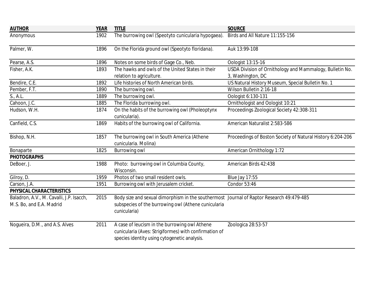| <b>AUTHOR</b>                                                        | <b>YEAR</b> | <b>TITLE</b>                                                                                                                                                    | <b>SOURCE</b>                                              |
|----------------------------------------------------------------------|-------------|-----------------------------------------------------------------------------------------------------------------------------------------------------------------|------------------------------------------------------------|
| Anonymous                                                            | 1902        | The burrowing owl (Speotyto cunicularia hypogaea).                                                                                                              | Birds and All Nature 11:155-156                            |
| Palmer, W.                                                           | 1896        | On the Florida ground owl (Speotyto floridana).                                                                                                                 | Auk 13:99-108                                              |
| Pearse, A.S.                                                         | 1896        | Notes on some birds of Gage Co., Neb.                                                                                                                           | Oologist 13:15-16                                          |
| Fisher, A.K.                                                         | 1893        | The hawks and owls of the United States in their                                                                                                                | USDA Division of Ornithology and Mammalogy, Bulletin No.   |
|                                                                      |             | relation to agriculture.                                                                                                                                        | 3, Washington, DC                                          |
| Bendire, C.E.                                                        | 1892        | Life histories of North American birds.                                                                                                                         | US Natural History Museum, Special Bulletin No. 1          |
| Pember, F.T.                                                         | 1890        | The burrowing owl.                                                                                                                                              | Wilson Bulletin 2:16-18                                    |
| S., A.L.                                                             | 1889        | The burrowing owl.                                                                                                                                              | Oologist 6:130-131                                         |
| Cahoon, J.C.                                                         | 1885        | The Florida burrowing owl.                                                                                                                                      | <b>Ornithologist and Oologist 10:21</b>                    |
| Hudson, W.H.                                                         | 1874        | On the habits of the burrowing owl (Pholeoptynx<br>cunicularia).                                                                                                | Proceedings Zoological Society 42:308-311                  |
| Canfield, C.S.                                                       | 1869        | Habits of the burrowing owl of California.                                                                                                                      | American Naturalist 2:583-586                              |
| Bishop, N.H.                                                         | 1857        | The burrowing owl in South America (Athene<br>cunicularia. Molina)                                                                                              | Proceedings of Boston Society of Natural History 6:204-206 |
| Bonaparte                                                            | 1825        | <b>Burrowing owl</b>                                                                                                                                            | <b>American Ornithology 1:72</b>                           |
| <b>PHOTOGRAPHS</b>                                                   |             |                                                                                                                                                                 |                                                            |
| DeBoer, J.                                                           | 1988        | Photo: burrowing owl in Columbia County,<br>Wisconsin.                                                                                                          | American Birds 42:438                                      |
| Gilroy, D.                                                           | 1959        | Photos of two small resident owls.                                                                                                                              | <b>Blue Jay 17:55</b>                                      |
| Carson, J.A.                                                         | 1951        | Burrowing owl with Jerusalem cricket.                                                                                                                           | <b>Condor 53:46</b>                                        |
| PHYSICAL CHARACTERISTICS                                             |             |                                                                                                                                                                 |                                                            |
| Baladron, A.V., M. Cavalli, J.P. Isacch,<br>M.S. Bo, and E.A. Madrid | 2015        | Body size and sexual dimorphism in the southermost Journal of Raptor Research 49:479-485<br>subspecies of the burrowing owl (Athene cunicularia<br>cunicularia) |                                                            |
| Noqueira, D.M., and A.S. Alves                                       | 2011        | A case of leucism in the burrowing owl Athene<br>cunicularia (Aves: Strigiformes) with confirmation of<br>species identity using cytogenetic analysis.          | Zoologica 28:53-57                                         |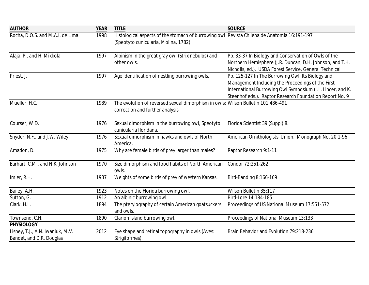| <b>AUTHOR</b>                    | <b>YEAR</b> | <b>TITLE</b>                                                                                | <b>SOURCE</b>                                              |
|----------------------------------|-------------|---------------------------------------------------------------------------------------------|------------------------------------------------------------|
| Rocha, D.O.S. and M.A.I. de Lima | 1998        | Histological aspects of the stomach of burrowing owl Revista Chilena de Anatomia 16:191-197 |                                                            |
|                                  |             | (Speotyto cunicularia, Molina, 1782).                                                       |                                                            |
| Alaja, P., and H. Mikkola        | 1997        | Albinism in the great gray owl (Strix nebulos) and                                          | Pp. 33-37 In Biology and Conservation of Owls of the       |
|                                  |             | other owls.                                                                                 | Northern Hemisphere (J.R. Duncan, D.H. Johnson, and T.H.   |
|                                  |             |                                                                                             | Nicholls, ed.). USDA Forest Service, General Technical     |
| Priest, J.                       | 1997        | Age identification of nestling burrowing owls.                                              | Pp. 125-127 In The Burrowing Owl, Its Biology and          |
|                                  |             |                                                                                             | Management Including the Proceedings of the First          |
|                                  |             |                                                                                             | International Burrowing Owl Symposium (J.L. Lincer, and K. |
|                                  |             |                                                                                             | Steenhof eds.). Raptor Research Foundation Report No. 9    |
| Mueller, H.C.                    | 1989        | The evolution of reversed sexual dimorphism in owls: Wilson Bulletin 101:486-491            |                                                            |
|                                  |             | correction and further analysis.                                                            |                                                            |
| Courser, W.D.                    | 1976        | Sexual dimorphism in the burrowing owl, Speotyto                                            | Florida Scientist 39 (Suppl):8.                            |
|                                  |             | cunicularia floridana.                                                                      |                                                            |
| Snyder, N.F., and J.W. Wiley     | 1976        | Sexual dimorphism in hawks and owls of North                                                | American Ornithologists' Union, Monograph No. 20:1-96      |
|                                  |             | America.                                                                                    |                                                            |
| Amadon, D.                       | 1975        | Why are female birds of prey larger than males?                                             | Raptor Research 9:1-11                                     |
| Earhart, C.M., and N.K. Johnson  | 1970        | Size dimorphism and food habits of North American                                           | Condor 72:251-262                                          |
|                                  |             | owls.                                                                                       |                                                            |
| Imler, R.H.                      | 1937        | Weights of some birds of prey of western Kansas.                                            | Bird-Banding 8:166-169                                     |
| Bailey, A.H.                     | 1923        | Notes on the Florida burrowing owl.                                                         | Wilson Bulletin 35:117                                     |
| Sutton, G.                       | 1912        | An albinic burrowing owl.                                                                   | Bird-Lore 14:184-185                                       |
| Clark, H.L.                      | 1894        | The pterylography of certain American goatsuckers                                           | Proceedings of US National Museum 17:551-572               |
|                                  |             | and owls.                                                                                   |                                                            |
| Townsend, C.H.                   | 1890        | Clarion Island burrowing owl.                                                               | Proceedings of National Museum 13:133                      |
| PHYSIOLOGY                       |             |                                                                                             |                                                            |
| Lisney, T.J., A.N. Iwaniuk, M.V. | 2012        | Eye shape and retinal topography in owls (Aves:                                             | Brain Behavior and Evolution 79:218-236                    |
| Bandet, and D.R. Douglas         |             | Strigiformes).                                                                              |                                                            |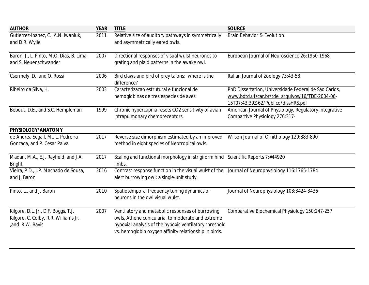| <b>AUTHOR</b>                                                                                 | <b>YEAR</b> | <b>TITLE</b>                                                                                                                                                                                                             | <b>SOURCE</b>                                                                                                                                   |
|-----------------------------------------------------------------------------------------------|-------------|--------------------------------------------------------------------------------------------------------------------------------------------------------------------------------------------------------------------------|-------------------------------------------------------------------------------------------------------------------------------------------------|
| Gutierrez-Ibanez, C., A.N. Iwaniuk,<br>and D.R. Wylie                                         | 2011        | Relative size of auditory pathways in symmetrically<br>and asymmetrically eared owls.                                                                                                                                    | <b>Brain Behavior &amp; Evolution</b>                                                                                                           |
| Baron, J., L. Pinto, M.O. Dias, B. Lima,<br>and S. Neuenschwander                             | 2007        | Directional responses of visual wulst neurones to<br>grating and plaid patterns in the awake owl.                                                                                                                        | European Journal of Neuroscience 26:1950-1968                                                                                                   |
| Csermely, D., and O. Rossi                                                                    | 2006        | Bird claws and bird of prey talons: where is the<br>difference?                                                                                                                                                          | Italian Journal of Zoology 73:43-53                                                                                                             |
| Ribeiro da Silva, H.                                                                          | 2003        | Caracterizacao estrutural e funcional de<br>hemoglobinas de tres especies de aves.                                                                                                                                       | PhD Dissertation, Universidade Federal de Sao Carlos,<br>www.bdtd.ufscar.br/tde_arquivos/16/TDE-2004-06-<br>15T07:43:39Z-62/Publico/dissHRS.pdf |
| Bebout, D.E., and S.C. Hempleman                                                              | 1999        | Chronic hypercapnia resets CO2 sensitivity of avian<br>intrapulmonary chemoreceptors.                                                                                                                                    | American Journal of Physiology, Regulatory Integrative<br>Compartive Physiology 276:317-                                                        |
| PHYSIOLOGY/ANATOMY                                                                            |             |                                                                                                                                                                                                                          |                                                                                                                                                 |
| de Andrea Segall, M., L. Pedreira<br>Gonzaga, and P. Cesar Paiva                              | 2017        | Reverse size dimorphism estimated by an improved<br>method in eight species of Neotropical owls.                                                                                                                         | Wilson Journal of Ornithology 129:883-890                                                                                                       |
| Madan, M.A., E.J. Rayfield, and J.A.<br><b>Bright</b>                                         | 2017        | Scaling and functional morphology in strigiform hind Scientific Reports 7:#44920<br>limbs.                                                                                                                               |                                                                                                                                                 |
| Vieira, P.D., J.P. Machado de Sousa,<br>and J. Baron                                          | 2016        | Contrast response function in the visual wulst of the Journal of Neurophysiology 116:1765-1784<br>alert burrowing owl: a single-unit study.                                                                              |                                                                                                                                                 |
| Pinto, L., and J. Baron                                                                       | 2010        | Spatiotemporal frequency tuning dynamics of<br>neurons in the owl visual wulst.                                                                                                                                          | Journal of Neurophysiology 103:3424-3436                                                                                                        |
| Kilgore, D.L. Jr., D.F. Boggs, T.J.<br>Kilgore, C. Colby, R.R. Williams Jr.<br>and R.W. Bavis | 2007        | Ventilatory and metabolic responses of burrowing<br>owls, Athene cunicularia, to moderate and extreme<br>hypoxia: analysis of the hypoxic ventilatory threshold<br>vs. hemoglobin oxygen affinity relationship in birds. | Comparative Biochemical Physiology 150:247-257                                                                                                  |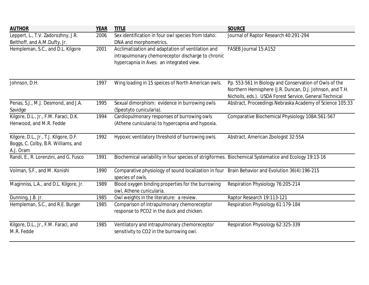| <b>AUTHOR</b>                          | <b>YEAR</b> | <b>TITLE</b>                                                                                          | <b>SOURCE</b>                                            |
|----------------------------------------|-------------|-------------------------------------------------------------------------------------------------------|----------------------------------------------------------|
| Leppert, L., T.V. Zadorozhny, J.R.     | 2006        | Sex identification in four owl species from Idaho:                                                    | Journal of Raptor Research 40:291-294                    |
| Belthoff, and A.M.Dufty, Jr.           |             | DNA and morphometrics.                                                                                |                                                          |
| Hempleman, S.C., and D.L. Kilgore      | 2001        | Acclimatization and adaptation of ventilation and                                                     | FASEB Journal 15:A152                                    |
|                                        |             | intrapulmonary chemoreceptor discharge to chronic                                                     |                                                          |
|                                        |             | hypercapnia in Aves: an integrated view.                                                              |                                                          |
|                                        |             |                                                                                                       |                                                          |
| Johnson, D.H.                          | 1997        | Wing loading in 15 speices of North American owls.                                                    | Pp. 553-561 In Biology and Conservation of Owls of the   |
|                                        |             |                                                                                                       | Northern Hemisphere (J.R. Duncan, D.J. Johnson, and T.H. |
|                                        |             |                                                                                                       | Nicholls, eds.). USDA Forest Service, General Technical  |
| Penas, S.J., M.J. Desmond, and J.A.    | 1995        | Sexual dimorphism: evidence in burrowing owls                                                         | Abstract, Proceedings Nebraska Academy of Science 105:33 |
| Savidge                                |             | (Speotyto cunicularia).                                                                               |                                                          |
| Kilgore, D.L., Jr., F.M. Faraci, D.K.  | 1994        | Cardiopulmonary responses of burrowing owls                                                           | Comparative Biochemical Physiology 108A:561-567          |
| Henwood, and M.R. Fedde                |             | (Athene cunicularia) to hypercapnia and hypoxia.                                                      |                                                          |
| Kilgore, D.L., Jr., T.J. Kilgore, D.F. | 1992        | Hypoxic ventilatory threshold of burrowing owls.                                                      | Abstract, American Zoologist 32:55A                      |
| Boggs, C. Colby, B.R. Williams, and    |             |                                                                                                       |                                                          |
| A.J. Oram                              |             |                                                                                                       |                                                          |
| Randi, E., R. Lorenzini, and G. Fusco  | 1991        | Biochemical variability in four species of strigiformes. Biochemical Systematice and Ecology 19:13-16 |                                                          |
| Volman, S.F., and M. Konishi           | 1990        | Comparative physiology of sound localization in four Brain Behavior and Evolution 36(4):196-215       |                                                          |
|                                        |             | species of owls.                                                                                      |                                                          |
| Maginniss, L.A., and D.L. Kilgore, Jr. | 1989        | Blood oxygen binding properties for the burrowing                                                     | Respiration Physiology 76:205-214                        |
|                                        |             | owl, Athene cunicularia.                                                                              |                                                          |
| Dunning, J.B. Jr.                      | 1985        | Owl weights in the literature: a review.                                                              | Raptor Research 19:113-121                               |
| Hempleman, S.C., and R.E. Burger       | 1985        | Comparison of intrapulmonary chemoreceptor                                                            | Respiration Physiology 61:179-184                        |
|                                        |             | response to PCO2 in the duck and chicken.                                                             |                                                          |
| Kilgore, D.L., Jr., F.M. Faraci, and   | 1985        | Ventilatory and intrapulmonary chemoreceptor                                                          | Respiration Physiology 62:325-339                        |
| M.R. Fedde                             |             | sensitivity to CO2 in the burrowing owl.                                                              |                                                          |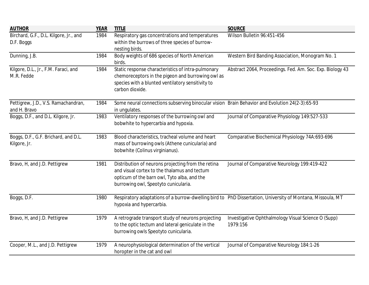| <b>AUTHOR</b>                                        | <b>YEAR</b> | <b>TITLE</b>                                                                                                                                                                              | <b>SOURCE</b>                                                                                              |
|------------------------------------------------------|-------------|-------------------------------------------------------------------------------------------------------------------------------------------------------------------------------------------|------------------------------------------------------------------------------------------------------------|
| Birchard, G.F., D.L. Kilgore, Jr., and<br>D.F. Boggs | 1984        | Respiratory gas concentrations and temperatures<br>within the burrows of three species of burrow-<br>nesting birds.                                                                       | Wilson Bulletin 96:451-456                                                                                 |
| Dunning, J.B.                                        | 1984        | Body weights of 686 species of North American<br>birds.                                                                                                                                   | Western Bird Banding Association, Monogram No. 1                                                           |
| Kilgore, D.L., Jr., F.M. Faraci, and<br>M.R. Fedde   | 1984        | Static response characteristics of intra-pulmonary<br>chemoreceptors in the pigeon and burrowing owl as<br>species with a blunted ventilatory sensitivity to<br>carbon dioxide.           | Abstract 2064, Proceedings. Fed. Am. Soc. Exp. Biology 43                                                  |
| Pettigrew, J.D., V.S. Ramachandran,<br>and H. Bravo  | 1984        | Some neural connections subserving binocular vision Brain Behavior and Evolution 24(2-3):65-93<br>in ungulates.                                                                           |                                                                                                            |
| Boggs, D.F., and D.L. Kilgore, Jr.                   | 1983        | Ventilatory responses of the burrowing owl and<br>bobwhite to hypercarbia and hypoxia.                                                                                                    | Journal of Comparative Physiology 149:527-533                                                              |
| Boggs, D.F., G.F. Brichard, and D.L.<br>Kilgore, Jr. | 1983        | Blood characteristics, tracheal volume and heart<br>mass of burrowing owls (Athene cunicularia) and<br>bobwhite (Colinus virginianus).                                                    | Comparative Biochemical Physiology 74A:693-696                                                             |
| Bravo, H, and J.D. Pettigrew                         | 1981        | Distribution of neurons projecting from the retina<br>and visual cortex to the thalamus and tectum<br>opticum of the barn owl, Tyto alba, and the<br>burrowing owl, Speotyto cunicularia. | Journal of Comparative Neurology 199:419-422                                                               |
| Boggs, D.F.                                          | 1980        | hypoxia and hypercarbia.                                                                                                                                                                  | Respiratory adaptations of a burrow-dwelling bird to PhD Dissertation, University of Montana, Missoula, MT |
| Bravo, H, and J.D. Pettigrew                         | 1979        | A retrograde transport study of neurons projecting<br>to the optic tectum and lateral geniculate in the<br>burrowing owls Speotyto cunicularia.                                           | Investigative Ophthalmology Visual Science O (Supp)<br>1979:156                                            |
| Cooper, M.L., and J.D. Pettigrew                     | 1979        | A neurophysiological determination of the vertical<br>horopter in the cat and owl                                                                                                         | Journal of Comparative Neurology 184:1-26                                                                  |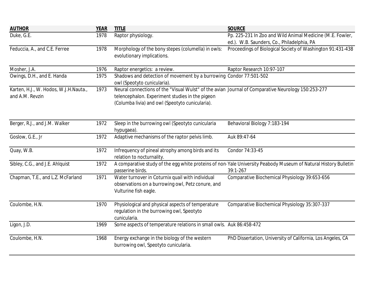| <b>AUTHOR</b>                                            | <b>YEAR</b> | <b>TITLE</b>                                                                                                                                                                                             | <b>SOURCE</b>                                                                                                               |
|----------------------------------------------------------|-------------|----------------------------------------------------------------------------------------------------------------------------------------------------------------------------------------------------------|-----------------------------------------------------------------------------------------------------------------------------|
| Duke, G.E.                                               | 1978        | Raptor physiology.                                                                                                                                                                                       | Pp. 225-231 In Zoo and Wild Animal Medicine (M.E. Fowler,<br>ed.). W.B. Saunders, Co., Philadelphia, PA                     |
| Feduccia, A., and C.E. Ferree                            | 1978        | Morphology of the bony stepes (columella) in owls:<br>evolutionary implications.                                                                                                                         | Proceedings of Biological Society of Washington 91:431-438                                                                  |
| Mosher, J.A.                                             | 1976        | Raptor energetics: a review.                                                                                                                                                                             | Raptor Research 10:97-107                                                                                                   |
| Owings, D.H., and E. Handa                               | 1975        | Shadows and detection of movement by a burrowing Condor 77:501-502<br>owl (Speotyto cunicularia).                                                                                                        |                                                                                                                             |
| Karten, H.J., W. Hodos, W.J.H.Nauta.,<br>and A.M. Revzin | 1973        | Neural connections of the "Visual Wulst" of the avian Journal of Comparative Neurology 150:253-277<br>telencephalon. Experiment studies in the pigeon<br>(Columba livia) and owl (Speotyto cunicularia). |                                                                                                                             |
| Berger, R.J., and J.M. Walker                            | 1972        | Sleep in the burrowing owl (Speotyto cunicularia<br>hypugaea).                                                                                                                                           | Behavioral Biology 7:183-194                                                                                                |
| Goslow, G.E., Jr                                         | 1972        | Adaptive mechanisms of the raptor pelvis limb.                                                                                                                                                           | Auk 89:47-64                                                                                                                |
| Quay, W.B.                                               | 1972        | Infrequency of pineal atrophy among birds and its<br>relation to nocturnality.                                                                                                                           | Condor 74:33-45                                                                                                             |
| Sibley, C.G., and J.E. Ahlquist                          | 1972        | passerine birds.                                                                                                                                                                                         | A comparative study of the egg white proteins of non Yale University Peabody Museum of Natural History Bulletin<br>39:1-267 |
| Chapman, T.E., and L.Z. McFarland                        | 1971        | Water turnover in Coturnix quail with individual<br>observations on a burrowing owl, Petz conure, and<br>Vulturine fish eagle.                                                                           | Comparative Biochemical Physiology 39:653-656                                                                               |
| Coulombe, H.N.                                           | 1970        | Physiological and physical aspects of temperature<br>regulation in the burrowing owl, Speotyto<br>cunicularia.                                                                                           | Comparative Biochemical Physiology 35:307-337                                                                               |
| Ligon, J.D.                                              | 1969        | Some aspects of temperature relations in small owls. Auk 86:458-472                                                                                                                                      |                                                                                                                             |
| Coulombe, H.N.                                           | 1968        | Energy exchange in the biology of the western<br>burrowing owl, Speotyto cunicularia.                                                                                                                    | PhD Dissertation, University of California, Los Angeles, CA                                                                 |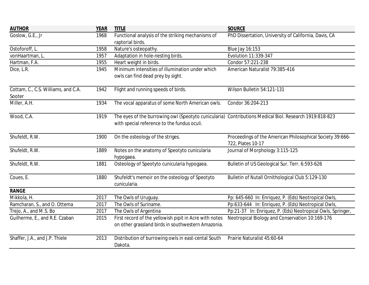| <b>AUTHOR</b>                       | <b>YEAR</b> | <b>TITLE</b>                                                                                           | <b>SOURCE</b>                                               |
|-------------------------------------|-------------|--------------------------------------------------------------------------------------------------------|-------------------------------------------------------------|
| Goslow, G.E., Jr                    | 1968        | Functional analysis of the striking mechanisms of                                                      | PhD Dissertation, University of California, Davis, CA       |
|                                     |             | raptorial birds.                                                                                       |                                                             |
| Ostoforoff, L.                      | 1958        | Nature's osteopathy.                                                                                   | <b>Blue Jay 16:153</b>                                      |
| vonHaartman, L.                     | 1957        | Adaptation in hole-nesting birds.                                                                      | Evolution 11:339-347                                        |
| Hartman, F.A.                       | 1955        | Heart weight in birds.                                                                                 | Condor 57:221-238                                           |
| Dice, L.R.                          | 1945        | Minimum intensities of illumination under which                                                        | American Naturalist 79:385-416                              |
|                                     |             | owls can find dead prey by sight.                                                                      |                                                             |
| Cottam, C., C.S. Williams, and C.A. | 1942        | Flight and running speeds of birds.                                                                    | Wilson Bulletin 54:121-131                                  |
| Sooter                              |             |                                                                                                        |                                                             |
| Miller, A.H.                        | 1934        | The vocal apparatus of some North American owls.                                                       | Condor 36:204-213                                           |
| Wood, C.A.                          | 1919        | The eyes of the burrowing owl (Speotyto cunicularia) Contributions Medical Biol. Research 1919:818-823 |                                                             |
|                                     |             | with special reference to the fundus oculi.                                                            |                                                             |
|                                     |             |                                                                                                        |                                                             |
| Shufeldt, R.W.                      | 1900        | On the osteology of the striges.                                                                       | Proceedings of the American Philosophical Society 39:666-   |
|                                     |             |                                                                                                        | 722, Plates 10-17                                           |
| Shufeldt, R.W.                      | 1889        | Notes on the anatomy of Speotyto cunicularia                                                           | Journal of Morphology 3:115-125                             |
|                                     |             | hypogaea.                                                                                              |                                                             |
| Shufeldt, R.W.                      | 1881        | Osteology of Speotyto cunicularia hypogaea.                                                            | Bulletin of US Geological Sur. Terr. 6:593-626              |
|                                     |             |                                                                                                        |                                                             |
| Coues, E.                           | 1880        | Shufeldt's memoir on the osteology of Speotyto                                                         | Bulletin of Nutall Ornithological Club 5:129-130            |
|                                     |             | cunicularia.                                                                                           |                                                             |
| <b>RANGE</b>                        |             |                                                                                                        |                                                             |
| Mikkola, H.                         | 2017        | The Owls of Uruguay.                                                                                   | Pp: 645-660 In: Enriquez, P. (Eds) Neotropical Owls,        |
| Ramcharan, S., and O. Ottema        | 2017        | The Owls of Suriname.                                                                                  | Pp:633-644 In: Enriquez, P. (Eds) Neotropical Owls,         |
| Trejo, A., and M.S. Bo              | 2017        | The Owls of Argentina                                                                                  | Pp:21-37 In: Enriquez, P. (Eds) Neotropical Owls, Springer, |
| Guilherme, E., and R.E. Czaban      | 2015        | First record of the yellowish pipit in Acre with notes                                                 | Neotropical Biology and Conservation 10:169-176             |
|                                     |             | on other grassland birds in southwestern Amazonia.                                                     |                                                             |
| Shaffer, J.A., and J.P. Thiele      | 2013        | Distribution of burrowing owls in east-cental South                                                    | Prairie Naturalist 45:60-64                                 |
|                                     |             | Dakota.                                                                                                |                                                             |
|                                     |             |                                                                                                        |                                                             |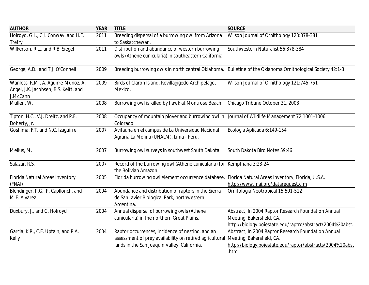| <b>AUTHOR</b>                                                                            | <b>YEAR</b> | <b>TITLE</b>                                                                                                                                                | <b>SOURCE</b>                                                                                                                                         |
|------------------------------------------------------------------------------------------|-------------|-------------------------------------------------------------------------------------------------------------------------------------------------------------|-------------------------------------------------------------------------------------------------------------------------------------------------------|
| Holroyd, G.L., C.J. Conway, and H.E.<br><b>Trefry</b>                                    | 2011        | Breeding dispersal of a burrowing owl from Arizona<br>to Saskatchewan.                                                                                      | Wilson Journal of Ornithology 123:378-381                                                                                                             |
| Wilkerson, R.L., and R.B. Siegel                                                         | 2011        | Distribution and abundance of western burrowing<br>owls (Athene cunicularia) in southeastern California.                                                    | Southwestern Naturalist 56:378-384                                                                                                                    |
| George, A.D., and T.J. O'Connell                                                         | 2009        |                                                                                                                                                             | Breeding burrowing owls in north central Oklahoma. Bulletine of the Oklahoma Ornithological Society 42:1-3                                            |
| Wanless, R.M., A. Aguirre-Munoz, A.<br>Angel, J.K. Jacobsen, B.S. Keitt, and<br>J.McCann | 2009        | Birds of Claron Island, Revillagigedo Archipelago,<br>Mexico.                                                                                               | Wilson Journal of Ornithology 121:745-751                                                                                                             |
| Mullen, W.                                                                               | 2008        | Burrowing owl is killed by hawk at Montrose Beach.                                                                                                          | Chicago Tribune October 31, 2008                                                                                                                      |
| Tipton, H.C., V.J. Dreitz, and P.F.<br>Doherty, Jr.                                      | 2008        | Occupancy of mountain plover and burrowing owl in Journal of Wildlife Management 72:1001-1006<br>Colorado.                                                  |                                                                                                                                                       |
| Goshima, F.T. and N.C. Izaguirre                                                         | 2007        | Avifauna en el campus de La Universidad Nacional<br>Agraria La Molina (UNALM), Lima - Peru.                                                                 | Ecologia Aplicada 6:149-154                                                                                                                           |
| Melius, M.                                                                               | 2007        | Burrowing owl surveys in southwest South Dakota.                                                                                                            | South Dakota Bird Notes 59:46                                                                                                                         |
| Salazar, R.S.                                                                            | 2007        | Record of the burrowing owl (Athene cunicularia) for Kempffiana 3:23-24<br>the Bolivian Amazon.                                                             |                                                                                                                                                       |
| Florida Natural Areas Inventory<br>(FNAI)                                                | 2005        | Florida burrowing owl element occurrence database. Florida Natural Areas Inventory, Florida, U.S.A.                                                         | http://www.fnai.org/datarequest.cfm                                                                                                                   |
| Blendinger, P.G., P. Capllonch, and<br>M.E. Alvarez                                      | 2004        | Abundance and distribution of raptors in the Sierra<br>de San Javier Biological Park, northwestern<br>Argentina.                                            | Ornitologia Neotropical 15:501-512                                                                                                                    |
| Duxbury, J., and G. Holroyd                                                              | 2004        | Annual dispersal of burrowing owls (Athene<br>cunicularia) in the northern Great Plains.                                                                    | Abstract, In 2004 Raptor Research Foundation Annual<br>Meeting, Bakersfield, CA.<br>http://biology.boiestate.edu/raptro/abstract/2004%20abst.         |
| Garcia, K.R., C.E. Uptain, and P.A.<br>Kelly                                             | 2004        | Raptor occurrences, incidence of nesting, and an<br>assessment of prey availability on retired agricultural<br>lands in the San Joaquin Valley, California. | Abstract, In 2004 Raptor Research Foundation Annual<br>Meeting, Bakersfield, CA.<br>http://biology.boiestate.edu/raptor/abstracts/2004%20abst<br>.htm |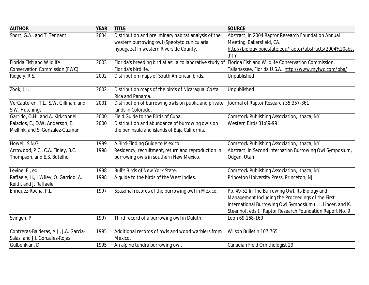| <b>AUTHOR</b>                          | <b>YEAR</b> | <b>TITLE</b>                                                                                               | <b>SOURCE</b>                                              |
|----------------------------------------|-------------|------------------------------------------------------------------------------------------------------------|------------------------------------------------------------|
| Short, G.A., and T. Tennant            | 2004        | Distribution and preliminary habitat analysis of the                                                       | Abstract, In 2004 Raptor Research Foundation Annual        |
|                                        |             | western burrowing owl (Speotyto cunicularia                                                                | Meeting, Bakersfield, CA.                                  |
|                                        |             | hypugaea) in western Riverside County.                                                                     | http://biology.boiestate.edu/raptor/abstracts/2004%20abst  |
|                                        |             |                                                                                                            | .htm                                                       |
| <b>Florida Fish and Wildlife</b>       | 2003        | Florida's breeding bird atlas: a collaborative study of Florida Fish and WIIdlife Conservation Commission, |                                                            |
| <b>Conservation Commission (FWC)</b>   |             | Florida's birdlife.                                                                                        | Tallahassee, Florida U.S.A. http://www.myfwc.com/bba/      |
| Ridgely, R.S.                          | 2002        | Distribution maps of South American birds.                                                                 | Unpublished                                                |
| Zook, J.L.                             | 2002        | Distribution maps of the birds of Nicaragua, Costa                                                         | Unpublished                                                |
|                                        |             | Rica and Panama.                                                                                           |                                                            |
| VerCauteren, T.L., S.W. Gillihan, and  | 2001        | Distribution of burrowing owls on public and private                                                       | Journal of Raptor Research 35:357-361                      |
| S.W. Hutchings                         |             | lands in Colorado.                                                                                         |                                                            |
| Garrido, O.H., and A. Kirkconnell      | 2000        | Field Guide to the Birds of Cuba.                                                                          | <b>Comstock Publishing Association, Ithaca, NY</b>         |
| Palacios, E., D.W. Anderson, E.        | 2000        | Distribution and abundance of burrowing owls on                                                            | Western Birds 31:89-99                                     |
| Mellink, and S. Gonzalez-Guzman        |             | the peninsula and islands of Baja California.                                                              |                                                            |
| Howell, S.N.G.                         | 1999        | A Bird-Finding Guide to Mexico.                                                                            | <b>Comstock Publishing Association, Ithaca, NY</b>         |
| Arrowood, P.C., C.A. Finley, B.C.      | 1998        | Residency, recruitment, return and reproduction in                                                         | Abstract, In Second Internation Burrowing Owl Symposium,   |
| Thompson, and E.S. Botelho             |             | burrowing owls in southern New Mexico.                                                                     | Odgen, Utah                                                |
| Levine, E., ed.                        | 1998        | Bull's Birds of New York State.                                                                            | <b>Comstock Publishing Association, Ithaca, NY</b>         |
| Raffaele, H., J. Wiley, O. Garrido, A. | 1998        | A guide to the birds of the West Indies.                                                                   | Princeton University Press, Princeton, NJ                  |
| Keith, and J. Raffaele                 |             |                                                                                                            |                                                            |
| Enriquez-Rocha, P.L.                   | 1997        | Seasonal records of the burrowing owl in Mexico.                                                           | Pp. 49-52 In The Burrowing Owl, Its Biology and            |
|                                        |             |                                                                                                            | Management Including the Proceedings of the First          |
|                                        |             |                                                                                                            | International Burrowing Owl Symposium (J.L. Lincer, and K. |
|                                        |             |                                                                                                            | Steenhof, eds.). Raptor Research Foundation Report No. 9   |
| Svingen, P.                            | 1997        | Third record of a burrowing owl in Duluth.                                                                 | Loon 69:168-169                                            |
| Contreras-Balderas, A.J., J.A. Garcia- | 1995        | Additional records of owls and wood warblers from                                                          | Wilson Bulletin 107:765                                    |
| Salas, and J.I. Gonzalez-Rojas         |             | Mexico.                                                                                                    |                                                            |
| Gulbenkian, D.                         | 1995        | An alpine tundra burrowing owl.                                                                            | Canadian Field Ornithologist 29                            |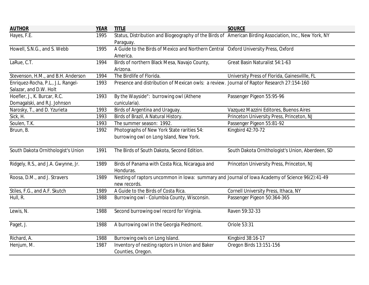| <b>AUTHOR</b>                       | <b>YEAR</b> | <b>TITLE</b>                                                                                                        | <b>SOURCE</b>                                    |
|-------------------------------------|-------------|---------------------------------------------------------------------------------------------------------------------|--------------------------------------------------|
| Hayes, F.E.                         | 1995        | Status, Distribution and Biogeography of the Birds of American Birding Association, Inc., New York, NY<br>Paraguay. |                                                  |
| Howell, S.N.G., and S. Webb         | 1995        | A Guide to the Birds of Mexico and Northern Central Oxford University Press, Oxford                                 |                                                  |
|                                     |             | America.                                                                                                            |                                                  |
| LaRue, C.T.                         | 1994        | Birds of northern Black Mesa, Navajo County,                                                                        | <b>Great Basin Naturalist 54:1-63</b>            |
|                                     |             | Arizona.                                                                                                            |                                                  |
| Stevenson, H.M., and B.H. Anderson  | 1994        | The Birdlife of Florida.                                                                                            | University Press of Florida, Gainesvillle, FL    |
| Enriquez-Rocha, P.L., J.L. Rangel-  | 1993        | Presence and distribution of Mexican owls: a review. Journal of Raptor Research 27:154-160                          |                                                  |
| Salazar, and D.W. Holt              |             |                                                                                                                     |                                                  |
| Hoefler, J., K. Burcar, R.C.        | 1993        | By the Wayside": burrowing owl (Athene                                                                              | Passenger Pigeon 55:95-96                        |
| Domagalski, and R.J. Johnson        |             | cunicularia).                                                                                                       |                                                  |
| Narosky, T., and D. Yzurieta        | 1993        | Birds of Argentina and Uraguay.                                                                                     | Vazquez Mazzini Editores, Buenos Aires           |
| Sick, H.                            | 1993        | Birds of Brazil, A Natural History.                                                                                 | Princeton University Press, Princeton, NJ        |
| Soulen, T.K.                        | 1993        | The summer season: 1992.                                                                                            | Passenger Pigeon 55:81-92                        |
| Bruun, B.                           | 1992        | Photographs of New York State rarities 54:                                                                          | Kingbird 42:70-72                                |
|                                     |             | burrowing owl on Long Island, New York.                                                                             |                                                  |
| South Dakota Ornithologist's Union  | 1991        | The Birds of South Dakota, Second Edition.                                                                          | South Dakota Ornithologist's Union, Aberdeen, SD |
| Ridgely, R.S., and J.A. Gwynne, Jr. | 1989        | Birds of Panama with Costa Rica, Nicaragua and                                                                      | Princeton University Press, Princeton, NJ        |
|                                     |             | Honduras.                                                                                                           |                                                  |
| Roosa, D.M., and J. Stravers        | 1989        | Nesting of raptors uncommon in Iowa: summary and Journal of Iowa Academy of Science 96(2):41-49<br>new records.     |                                                  |
| Stiles, F.G., and A.F. Skutch       | 1989        | A Guide to the Birds of Costa Rica.                                                                                 | Cornell University Press, Ithaca, NY             |
| Hull, R.                            | 1988        | Burrowing owl - Columbia County, Wisconsin.                                                                         | Passenger Pigeon 50:364-365                      |
| Lewis, N.                           | 1988        | Second burrowing owl record for Virginia.                                                                           | Raven 59:32-33                                   |
| Paget, J.                           | 1988        | A burrowing owl in the Georgia Piedmont.                                                                            | Oriole 53:31                                     |
| Richard, A.                         | 1988        | Burrowing owls on Long Island.                                                                                      | Kingbird 38:16-17                                |
| Henjum, M.                          | 1987        | Inventory of nesting raptors in Union and Baker<br>Counties, Oregon.                                                | Oregon Birds 13:151-156                          |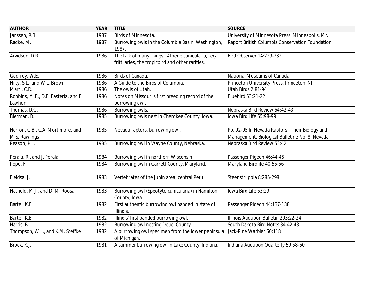| <b>AUTHOR</b>                        | <b>YEAR</b> | <b>TITLE</b>                                                               | <b>SOURCE</b>                                   |
|--------------------------------------|-------------|----------------------------------------------------------------------------|-------------------------------------------------|
| Janssen, R.B.                        | 1987        | <b>Birds of Minnesota.</b>                                                 | University of Minnesota Press, Minneapolis, MN  |
| Radke, M.                            | 1987        | Burrowing owls in the Columbia Basin, Washington,                          | Report British Columbia Conservation Foundation |
|                                      |             | 1987.                                                                      |                                                 |
| Arvidson, D.R.                       | 1986        | The talk of many things: Athene cunicularia, regal                         | <b>Bird Observer 14:229-232</b>                 |
|                                      |             | frittilaries, the tropicbird and other rarities.                           |                                                 |
| Godfrey, W.E.                        | 1986        | Birds of Canada.                                                           | <b>National Museums of Canada</b>               |
| Hilty, S.L., and W.L. Brown          | 1986        | A Guide to the Birds of Columbia.                                          | Princeton University Press, Princeton, NJ       |
| Marti, C.D.                          | 1986        | The owls of Utah.                                                          | Utah Birds 2:81-94                              |
| Robbins, M.B., D.E. Easterla, and F. | 1986        | Notes on Missouri's first breeding record of the                           | <b>Bluebird 53:21-22</b>                        |
| Lawhon                               |             | burrowing owl.                                                             |                                                 |
| Thomas, D.G.                         | 1986        | Burrowing owls.                                                            | Nebraska Bird Review 54:42-43                   |
| Bierman, D.                          | 1985        | Burrowing owls nest in Cherokee County, Iowa.                              | lowa Bird Life 55:98-99                         |
| Herron, G.B., C.A. Mortimore, and    | 1985        | Nevada raptors, burrowing owl.                                             | Pp. 92-95 In Nevada Raptors: Their Biology and  |
| M.S. Rawlings                        |             |                                                                            | Management, Biological Bulletine No. 8, Nevada  |
| Peason, P.L.                         | 1985        | Burrowing owl in Wayne County, Nebraska.                                   | Nebraska Bird Review 53:42                      |
| Perala, R., and J. Perala            | 1984        | Burrowing owl in northern Wisconsin.                                       | Passenger Pigeon 46:44-45                       |
| Pope, F.                             | 1984        | Burrowing owl in Garrett County, Maryland.                                 | Maryland Birdlife 40:55-56                      |
| Fjeldsa, J.                          | 1983        | Vertebrates of the Junin area, central Peru.                               | Steenstruppia 8:285-298                         |
| Hatfield, M.J., and D. M. Roosa      | 1983        | Burrowing owl (Speotyto cunicularia) in Hamilton                           | Iowa Bird Life 53:29                            |
|                                      |             | County, Iowa.                                                              |                                                 |
| Bartel, K.E.                         | 1982        | First authentic burrowing owl banded in state of                           | Passenger Pigeon 44:137-138                     |
|                                      |             | Illinois.                                                                  |                                                 |
| Bartel, K.E.                         | 1982        | Illinois' first banded burrowing owl.                                      | Illinois Audubon Bulletin 203:22-24             |
| Harris, B.                           | 1982        | Burrowing owl nesting Deuel County.                                        | South Dakota Bird Notes 34:42-43                |
| Thompson, W.L., and K.M. Steffke     | 1982        | A burrowing owl specimen from the lower peninsula Jack-Pine Warbler 60:118 |                                                 |
|                                      |             | of Michigan.                                                               |                                                 |
| Brock, K.J.                          | 1981        | A summer burrowing owl in Lake County, Indiana.                            | Indiana Audubon Quarterly 59:58-60              |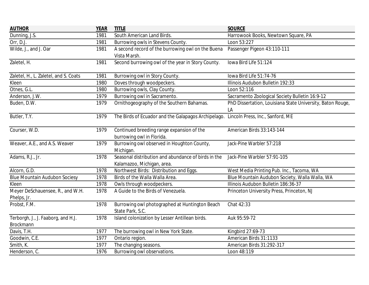| <b>AUTHOR</b>                                   | <b>YEAR</b> | <b>TITLE</b>                                                                         | <b>SOURCE</b>                                                    |
|-------------------------------------------------|-------------|--------------------------------------------------------------------------------------|------------------------------------------------------------------|
| Dunning, J.S.                                   | 1981        | South American Land Birds.                                                           | Harrowook Books, Newtown Square, PA                              |
| Orr, D.J.                                       | 1981        | Burrowing owls in Stevens County.                                                    | Loon 53:227                                                      |
| Wilde, J., and J. Oar                           | 1981        | A second record of the burrowing owl on the Buena                                    | Passenger Pigeon 43:110-111                                      |
|                                                 |             | Vista Marsh.                                                                         |                                                                  |
| Zaletel, H.                                     | 1981        | Second burrowing owl of the year in Story County.                                    | lowa Bird Life 51:124                                            |
| Zaletel, H., L. Zaletel, and S. Coats           | 1981        | Burrowing owl in Story County.                                                       | lowa Bird Life 51:74-76                                          |
| Kleen                                           | 1980        | Doves through woodpeckers.                                                           | Illinois Audubon Bulletin 192:33                                 |
| Otnes, G.L.                                     | 1980        | Burrowing owls, Clay County.                                                         | Loon 52:116                                                      |
| Anderson, J.W.                                  | 1979        | Burrowing owl in Sacramento.                                                         | Sacramento Zoological Society Bulletin 16:9-12                   |
| Buden, D.W.                                     | 1979        | Ornithogeography of the Southern Bahamas.                                            | PhD Dissertation, Louisiana State University, Baton Rouge,<br>LA |
| Butler, T.Y.                                    | 1979        | The Birds of Ecuador and the Galapagos Archipelago. Lincoln Press, Inc., Sanford, ME |                                                                  |
| Courser, W.D.                                   | 1979        | Continued breeding range expansion of the<br>burrowing owl in Florida.               | American Birds 33:143-144                                        |
| Weaver, A.E., and A.S. Weaver                   | 1979        | Burrowing owl observed in Houghton County,<br>Michigan.                              | Jack-Pine Warbler 57:218                                         |
| Adams, R.J., Jr.                                | 1978        | Seasonal distribution and abundance of birds in the<br>Kalamazoo, Michigan, area.    | Jack-Pine Warbler 57:91-105                                      |
| Alcorn, G.D.                                    | 1978        | Northwest Birds: Distribution and Eggs.                                              | West Media Printing Pub. Inc., Tacoma, WA                        |
| <b>Blue Mountain Audubon Sociesy</b>            | 1978        | Birds of the Walla Walla Area.                                                       | Blue Mountain Audubon Society, Walla Walla, WA                   |
| Kleen                                           | 1978        | Owls through woodpeckers.                                                            | Illinois Audubon Bulletin 186:36-37                              |
| Meyer DeSchauensee, R., and W.H.<br>Phelps, Jr. | 1978        | A Guide to the Birds of Venezuela.                                                   | Princeton University Press, Princeton, NJ                        |
| Probst, F.M.                                    | 1978        | Burrowing owl photographed at Huntington Beach<br>State Park, S.C.                   | Chat 42:33                                                       |
| Terborgh, J., J. Faaborg, and H.J.              | 1978        | Island colonization by Lesser Antillean birds.                                       | Auk 95:59-72                                                     |
| Brockmann                                       |             |                                                                                      |                                                                  |
| Davis, T.H.                                     | 1977        | The burrowing owl in New York State.                                                 | Kingbird 27:69-73                                                |
| Goodwin, C.E.                                   | 1977        | Ontario region.                                                                      | American Birds 31:1133                                           |
| Smith, K.                                       | 1977        | The changing seasons.                                                                | American Birds 31:292-317                                        |
| Henderson, C.                                   | 1976        | Burrowing owl observations.                                                          | Loon 48:119                                                      |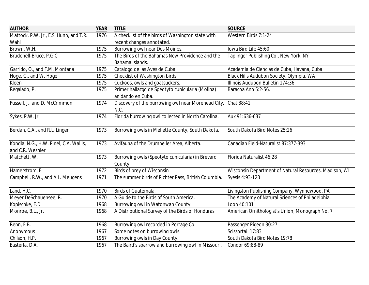| <b>AUTHOR</b>                          | <b>YEAR</b> | <b>TITLE</b>                                                  | <b>SOURCE</b>                                          |
|----------------------------------------|-------------|---------------------------------------------------------------|--------------------------------------------------------|
| Mattock, P.W. Jr., E.S. Hunn, and T.R. | 1976        | A checklist of the birds of Washington state with             | Western Birds 7:1-24                                   |
| Wahl                                   |             | recent changes annotated.                                     |                                                        |
| Brown, W.H.                            | 1975        | Burrowing owl near Des Moines.                                | Iowa Bird Life 45:60                                   |
| Brudenell-Bruce, P.G.C.                | 1975        | The Birds of the Bahamas New Providence and the               | Taplinger Publishing Co., New York, NY                 |
|                                        |             | Bahama Islands.                                               |                                                        |
| Garrido, O., and F.M. Montana          | 1975        | Catalogo de las Aves de Cuba.                                 | Academia de Ciencias de Cuba, Havana, Cuba             |
| Hoge, G., and W. Hoge                  | 1975        | Checklist of Washington birds.                                | Black Hills Audubon Society, Olympia, WA               |
| Kleen                                  | 1975        | Cuckoos, owls and goatsuckers.                                | Illinois Audubon Bulletin 174:36                       |
| Regalado, P.                           | 1975        | Primer hallazgo de Speotyto cunicularia (Molina)              | Baracoa Ano 5:2-56.                                    |
|                                        |             | anidando en Cuba.                                             |                                                        |
| Fussell, J., and D. McCrimmon          | 1974        | Discovery of the burrowing owl near Morehead City, Chat 38:41 |                                                        |
|                                        |             | N.C.                                                          |                                                        |
| Sykes, P.W. Jr.                        | 1974        | Florida burrowing owl collected in North Carolina.            | Auk 91:636-637                                         |
|                                        |             |                                                               |                                                        |
| Berdan, C.A., and R.L. Linger          | 1973        | Burrowing owls in Mellette County, South Dakota.              | South Dakota Bird Notes 25:26                          |
|                                        |             |                                                               |                                                        |
| Kondla, N.G., H.W. Pinel, C.A. Wallis, | 1973        | Avifauna of the Drumheller Area, Alberta.                     | Canadian Field-Naturalist 87:377-393                   |
| and C.R. Weshler                       |             |                                                               |                                                        |
| Matchett, W.                           | 1973        | Burrowing owls (Speotyto cunicularia) in Brevard              | Florida Naturalist 46:28                               |
|                                        |             | County.                                                       |                                                        |
| Hamerstrom, F.                         | 1972        | <b>Birds of prey of Wisconsin</b>                             | Wisconsin Department of Natural Resources, Madison, WI |
| Campbell, R.W., and A.L. Meugens       | 1971        | The summer birds of Richter Pass, British Columbia.           | Syesis 4:93-123                                        |
|                                        |             |                                                               |                                                        |
| Land, H.C.                             | 1970        | <b>Birds of Guatemala.</b>                                    | Livingston Publishing Company, Wynnewood, PA           |
| Meyer DeSchauensee, R.                 | 1970        | A Guide to the Birds of South America.                        | The Academy of Natural Sciences of Philadelphia,       |
| Kopischke, E.D.                        | 1968        | Burrowing owl in Watonwan County.                             | Loon 40:101                                            |
| Monroe, B.L., Jr.                      | 1968        | A Distributional Survey of the Birds of Honduras.             | American Ornithologist's Union, Monograph No. 7        |
|                                        |             |                                                               |                                                        |
| Renn, F.B.                             | 1968        | Burrowing owl recorded in Portage Co.                         | Passenger Pigeon 30:27                                 |
| Anonymous                              | 1967        | Some notes on burrowing owls.                                 | Scissortail 17:83                                      |
| Chilson, H.P.                          | 1967        | Burrowing owls in Day County.                                 | South Dakota Bird Notes 19:78                          |
| Easterla, D.A.                         | 1967        | The Baird's sparrow and burrowing owl in Missouri.            | Condor 69:88-89                                        |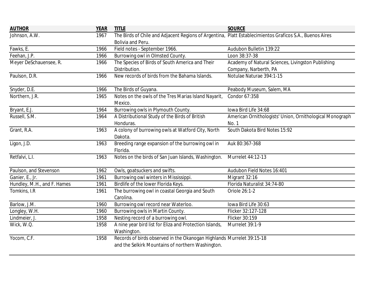| <b>AUTHOR</b>               | <b>YEAR</b> | <b>TITLE</b>                                                                                             | <b>SOURCE</b>                                            |
|-----------------------------|-------------|----------------------------------------------------------------------------------------------------------|----------------------------------------------------------|
| Johnson, A.W.               | 1967        | The Birds of Chile and Adjacent Regions of Argentina, Platt Establecimientos Graficos S.A., Buenos Aires |                                                          |
|                             |             | Bolivia and Peru.                                                                                        |                                                          |
| Fawks, E.                   | 1966        | Field notes - September 1966.                                                                            | Audubon Bulletin 139:22                                  |
| Feehan, J.P.                | 1966        | Burrowing owl in Olmsted County.                                                                         | Loon 38:37-38                                            |
| Meyer DeSchauensee, R.      | 1966        | The Species of Birds of South America and Their                                                          | Academy of Natural Sciences, Livingston Publishing       |
|                             |             | Distribution.                                                                                            | Company, Narberth, PA                                    |
| Paulson, D.R.               | 1966        | New records of birds from the Bahama Islands.                                                            | Notulae Naturae 394:1-15                                 |
| Snyder, D.E.                | 1966        | The Birds of Guyana.                                                                                     | Peabody Museum, Salem, MA                                |
| Northern, J.R.              | 1965        | Notes on the owls of the Tres Marias Island Nayarit,                                                     | Condor 67:358                                            |
|                             |             | Mexico.                                                                                                  |                                                          |
| Bryant, E.J.                | 1964        | Burrowing owls in Plymouth County.                                                                       | lowa Bird Life 34:68                                     |
| Russell, S.M.               | 1964        | A Distributional Study of the Birds of British                                                           | American Ornithologists' Union, Ornithological Monograph |
|                             |             | Honduras.                                                                                                | No. 1                                                    |
| Grant, R.A.                 | 1963        | A colony of burrowing owls at Watford City, North                                                        | South Dakota Bird Notes 15:92                            |
|                             |             | Dakota.                                                                                                  |                                                          |
| Ligon, J.D.                 | 1963        | Breeding range expansion of the burrowing owl in                                                         | Auk 80:367-368                                           |
|                             |             | Florida.                                                                                                 |                                                          |
| Retfalvi, L.I.              | 1963        | Notes on the birds of San Juan Islands, Washington.                                                      | Murrelet 44:12-13                                        |
| Paulson, and Stevenson      | 1962        | Owls, goatsuckers and swifts.                                                                            | Audubon Field Notes 16:401                               |
| Ganier, E., Jr.             | 1961        | Burrowing owl winters in Mississippi.                                                                    | Migrant 32:16                                            |
| Hundley, M.H., and F. Hames | 1961        | Birdlife of the lower Florida Keys.                                                                      | Florida Naturalist 34:74-80                              |
| Tomkins, I.R                | 1961        | The burrowing owl in coastal Georgia and South                                                           | Oriole 26:1-2                                            |
|                             |             | Carolina.                                                                                                |                                                          |
| Barlow, J.M.                | 1960        | Burrowing owl record near Waterloo.                                                                      | Iowa Bird Life 30:63                                     |
| Longley, W.H.               | 1960        | Burrowing owls in Martin County.                                                                         | Flicker 32:127-128                                       |
| Lindmeier, J.               | 1958        | Nesting record of a burrowing owl.                                                                       | Flicker 30:159                                           |
| Wick, W.Q.                  | 1958        | A nine year bird list for Eliza and Protection Islands,<br>Washington.                                   | Murrelet 39:1-9                                          |
| Yocom, C.F.                 | 1958        | Records of birds observed in the Okanogan Highlands Murrelet 39:15-18                                    |                                                          |
|                             |             | and the Selkirk Mountains of northern Washington.                                                        |                                                          |
|                             |             |                                                                                                          |                                                          |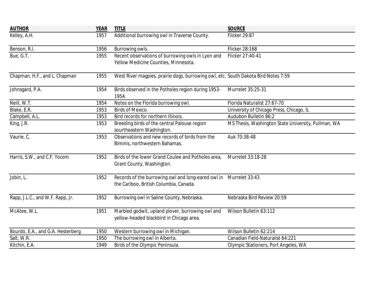| <b>AUTHOR</b>                     | <b>YEAR</b> | <b>TITLE</b>                                                                                 | <b>SOURCE</b>                                       |
|-----------------------------------|-------------|----------------------------------------------------------------------------------------------|-----------------------------------------------------|
| Kelley, A.H.                      | 1957        | Additional burrowing owl in Traverse County.                                                 | Flicker 29:87                                       |
| Benson, R.I.                      | 1956        | Burrowing owls.                                                                              | <b>Flicker 28:168</b>                               |
| Bue, G.T.                         | 1955        | Recent observations of burrowing owls in Lyon and<br>Yellow Medicine Counties, Minnesota.    | Flicker 27:40-41                                    |
| Chapman, H.F., and L. Chapman     | 1955        | West River magpies, prairie dogs, burrowing owl, etc. South Dakota Bird Notes 7:59           |                                                     |
| Johnsgard, P.A.                   | 1954        | Birds observed in the Potholes region during 1953-<br>1954.                                  | Murrelet 35:25-31                                   |
| Neill, W.T.                       | 1954        | Notes on the Florida burrowing owl.                                                          | Florida Naturalist 27:67-70                         |
| Blake, E.R.                       | 1953        | <b>Birds of Mexico.</b>                                                                      | University of Chicago Press, Chicago, IL            |
| Campbell, A.L.                    | 1953        | Bird records for northern Illinois.                                                          | Audubon Bulletin 86:2                               |
| King, J.R.                        | 1953        | Breeding birds of the central Palouse region<br>sourtheastern Washington.                    | MS Thesis, Washington State University, Pullman, WA |
| Vaurie, C.                        | 1953        | Observations and new records of birds from the<br>Biminis, northwestern Bahamas.             | Auk 70:38-48                                        |
| Harris, S.W., and C.F. Yocom      | 1952        | Birds of the lower Grand Coulee and Potholes area,<br>Grant County, Washington.              | Murrelet 33:18-28                                   |
| Jobin, L.                         | 1952        | Records of the burrowing owl and long-eared owl in<br>the Cariboo, British Columbia, Canada. | Murrelet 33:43                                      |
| Rapp, J.L.C., and W.F. Rapp, Jr.  | 1952        | Burrowing owl in Saline County, Nebraska.                                                    | Nebraska Bird Review 20:59                          |
| McAtee, W.L.                      | 1951        | Marbled godwit, upland plover, burrowing owl and<br>yellow-headed blackbird in Chicago area. | Wilson Bulletin 63:112                              |
| Bourdo, E.A., and G.A. Hesterberg | 1950        | Western burrowing owl in Michigan.                                                           | Wilson Bulletin 62:214                              |
| Salt, W.R.                        | 1950        | The burrowing owl in Alberta.                                                                | Canadian Field-Naturalist 64:221                    |
| Kitchin, E.A.                     | 1949        | Birds of the Olympic Peninsula.                                                              | <b>Olympic Stationers, Port Angeles, WA</b>         |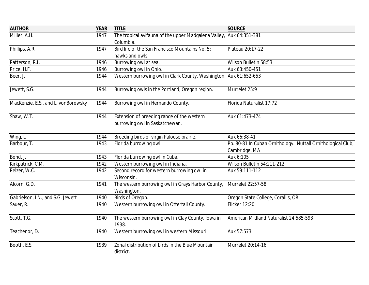| <b>AUTHOR</b>                       | <b>YEAR</b> | <b>TITLE</b>                                                                     | <b>SOURCE</b>                                                                 |
|-------------------------------------|-------------|----------------------------------------------------------------------------------|-------------------------------------------------------------------------------|
| Miller, A.H.                        | 1947        | The tropical avifauna of the upper Madgalena Valley, Auk 64:351-381<br>Columbia. |                                                                               |
| Phillips, A.R.                      | 1947        | Bird life of the San Francisco Mountains No. 5:<br>hawks and owls.               | Plateau 20:17-22                                                              |
| Patterson, R.L.                     | 1946        | Burrowing owl at sea.                                                            | Wilson Bulletin 58:53                                                         |
| Price, H.F.                         | 1946        | Burrowing owl in Ohio.                                                           | Auk 63:450-451                                                                |
| Beer, J.                            | 1944        | Western burrowing owl in Clark County, Washington. Auk 61:652-653                |                                                                               |
| Jewett, S.G.                        | 1944        | Burrowing owls in the Portland, Oregon region.                                   | Murrelet 25:9                                                                 |
| MacKenzie, E.S., and L. vonBorowsky | 1944        | Burrowing owl in Hernando County.                                                | Florida Naturalist 17:72                                                      |
| Shaw, W.T.                          | 1944        | Extension of breeding range of the western<br>burrowing owl in Saskatchewan.     | Auk 61:473-474                                                                |
| Wing, L.                            | 1944        | Breeding birds of virgin Palouse prairie.                                        | Auk 66:38-41                                                                  |
| Barbour, T.                         | 1943        | Florida burrowing owl.                                                           | Pp. 80-81 In Cuban Ornithology. Nuttall Ornithological Club,<br>Cambridge, MA |
| Bond, J.                            | 1943        | Florida burrowing owl in Cuba.                                                   | Auk 6:105                                                                     |
| Kirkpatrick, C.M.                   | 1942        | Western burrowing owl in Indiana.                                                | Wilson Bulletin 54:211-212                                                    |
| Pelzer, W.C.                        | 1942        | Second record for western burrowing owl in<br>Wisconsin.                         | Auk 59:111-112                                                                |
| Alcorn, G.D.                        | 1941        | The western burrowing owl in Grays Harbor County,<br>Washington.                 | Murrelet 22:57-58                                                             |
| Gabrielson, I.N., and S.G. Jewett   | 1940        | Birds of Oregon.                                                                 | Oregon State College, Corallis, OR                                            |
| Sauer, R.                           | 1940        | Western burrowing owl in Ottertail County.                                       | Flicker 12:20                                                                 |
| Scott, T.G.                         | 1940        | The western burrowing owl in Clay County, Iowa in<br>1938.                       | American Midland Naturalist 24:585-593                                        |
| Teachenor, D.                       | 1940        | Western burrowing owl in western Missouri.                                       | Auk 57:573                                                                    |
| Booth, E.S.                         | 1939        | Zonal distribution of birds in the Blue Mountain<br>district.                    | Murrelet 20:14-16                                                             |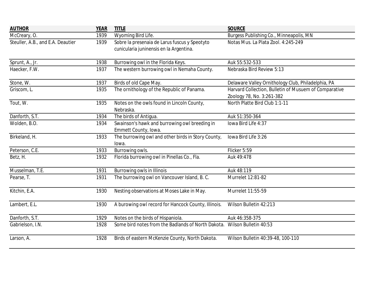| <b>AUTHOR</b>                     | <b>YEAR</b> | <b>TITLE</b>                                                             | <b>SOURCE</b>                                         |
|-----------------------------------|-------------|--------------------------------------------------------------------------|-------------------------------------------------------|
| McCreary, O.                      | 1939        | Wyoming Bird Life.                                                       | Burgess Publishing Co., Minneapolis, MN               |
| Steuller, A.B., and E.A. Deautier | 1939        | Sobre la presenaia de Larus fuscus y Speotyto                            | Notas Mus. La Plata Zool. 4:245-249                   |
|                                   |             | cunicularia juninensis en la Argentina.                                  |                                                       |
|                                   | 1938        | Burrowing owl in the Florida Keys.                                       | Auk 55:532-533                                        |
| Sprunt, A., Jr.                   |             |                                                                          |                                                       |
| Haecker, F.W.                     | 1937        | The western burrowing owl in Nemaha County.                              | Nebraska Bird Review 5:13                             |
| Stone, W.                         | 1937        | Birds of old Cape May.                                                   | Delaware Valley Ornithology Club, Philadelphia, PA    |
| Griscom, L.                       | 1935        | The ornithology of the Republic of Panama.                               | Harvard Collection, Bulletin of Musuem of Comparative |
|                                   |             |                                                                          | Zoology 78, No. 3:261-382                             |
| Tout, W.                          | 1935        | Notes on the owls found in Lincoln County,                               | North Platte Bird Club 1:1-11                         |
|                                   |             | Nebraska.                                                                |                                                       |
| Danforth, S.T.                    | 1934        | The birds of Antigua.                                                    | Auk 51:350-364                                        |
| Wolden, B.O.                      | 1934        | Swainson's hawk and burrowing owl breeding in                            | Iowa Bird Life 4:37                                   |
|                                   |             | Emmett County, Iowa.                                                     |                                                       |
| Birkeland, H.                     | 1933        | The burrowing owl and other birds in Story County,                       | Iowa Bird Life 3:26                                   |
|                                   |             | lowa.                                                                    |                                                       |
| Peterson, C.E.                    | 1933        | Burrowing owls.                                                          | Flicker 5:59                                          |
| Betz, H.                          | 1932        | Florida burrowing owl in Pinellas Co., Fla.                              | Auk 49:478                                            |
| Musselman, T.E.                   | 1931        | <b>Burrowing owls in Illinois</b>                                        | Auk 48:119                                            |
| Pearse, T.                        | 1931        | The burrowing owl on Vancouver Island, B.C.                              | Murrelet 12:81-82                                     |
| Kitchin, E.A.                     | 1930        | Nesting observations at Moses Lake in May.                               | Murrelet 11:55-59                                     |
| Lambert, E.L.                     | 1930        | A burowing owl record for Hancock County, Illinois.                      | Wilson Bulletin 42:213                                |
| Danforth, S.T.                    | 1929        | Notes on the birds of Hispaniola.                                        | Auk 46:358-375                                        |
| Gabrielson, I.N.                  | 1928        | Some bird notes from the Badlands of North Dakota. Wilson Bulletin 40:53 |                                                       |
| Larson, A.                        | 1928        | Birds of eastern McKenzie County, North Dakota.                          | Wilson Bulletin 40:39-48, 100-110                     |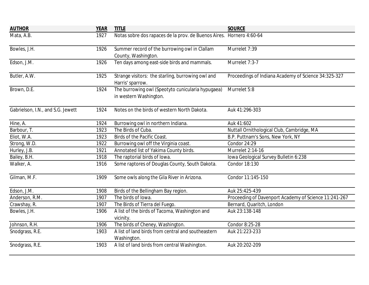| <b>AUTHOR</b>                     | <b>YEAR</b> | <b>TITLE</b>                                                                | <b>SOURCE</b>                                         |
|-----------------------------------|-------------|-----------------------------------------------------------------------------|-------------------------------------------------------|
| Mata, A.B.                        | 1927        | Notas sobre dos rapaces de la prov. de Buenos Aires. Hornero 4:60-64        |                                                       |
| Bowles, J.H.                      | 1926        | Summer record of the burrowing owl in Clallam<br>County, Washington.        | Murrelet 7:39                                         |
| Edson, J.M.                       | 1926        | Ten days among east-side birds and mammals.                                 | Murrelet 7:3-7                                        |
| Butler, A.W.                      | 1925        | Strange visitors: the starling, burrowing owl and<br>Harris' sparrow.       | Proceedings of Indiana Academy of Science 34:325-327  |
| Brown, D.E.                       | 1924        | The burrowing owl (Speotyto cunicularia hypugaea)<br>in western Washington. | Murrelet 5:8                                          |
| Gabrielson, I.N., and S.G. Jewett | 1924        | Notes on the birds of western North Dakota.                                 | Auk 41:296-303                                        |
| Hine, A.                          | 1924        | Burrowing owl in northern Indiana.                                          | Auk 41:602                                            |
| Barbour, T.                       | 1923        | The Birds of Cuba.                                                          | Nuttall Ornithological Club, Cambridge, MA            |
| Eliot, W.A.                       | 1923        | <b>Birds of the Pacific Coast.</b>                                          | B.P. Puttnam's Sons, New York, NY                     |
| Strong, W.D.                      | 1922        | Burrowing owl off the Virginia coast.                                       | <b>Condor 24:29</b>                                   |
| Hurley, J.B.                      | 1921        | Annotated list of Yakima County birds.                                      | Murrelet 2:14-16                                      |
| Bailey, B.H.                      | 1918        | The raptorial birds of lowa.                                                | Iowa Geological Survey Bulletin 6:238                 |
| Walker, A.                        | 1916        | Some raptores of Douglas County, South Dakota.                              | Condor 18:130                                         |
| Gilman, M.F.                      | 1909        | Some owls along the Gila River in Arizona.                                  | Condor 11:145-150                                     |
| Edson, J.M.                       | 1908        | Birds of the Bellingham Bay region.                                         | Auk 25:425-439                                        |
| Anderson, R.M.                    | 1907        | The birds of lowa.                                                          | Proceeding of Davenport Academy of Science 11:241-267 |
| Crawshay, R.                      | 1907        | The Birds of Tierra del Fuego.                                              | Bernard, Quaritch, London                             |
| Bowles, J.H.                      | 1906        | A list of the birds of Tacoma, Washington and<br>vicinity.                  | Auk 23:138-148                                        |
| Johnson, R.H.                     | 1906        | The birds of Cheney, Washington.                                            | Condor 8:25-28                                        |
| Snodgrass, R.E.                   | 1903        | A list of land birds from central and southeastern<br>Washington.           | Auk 21:223-233                                        |
| Snodgrass, R.E.                   | 1903        | A list of land birds from central Washington.                               | Auk 20:202-209                                        |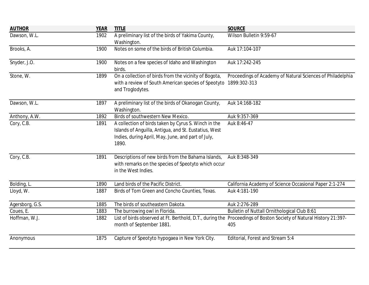| <b>AUTHOR</b>   | <b>YEAR</b> | <b>TITLE</b>                                                                                                                                                                 | <b>SOURCE</b>                                                                                                            |
|-----------------|-------------|------------------------------------------------------------------------------------------------------------------------------------------------------------------------------|--------------------------------------------------------------------------------------------------------------------------|
| Dawson, W.L.    | 1902        | A preliminary list of the birds of Yakima County,<br>Washington.                                                                                                             | Wilson Bulletin 9:59-67                                                                                                  |
| Brooks, A.      | 1900        | Notes on some of the birds of British Columbia.                                                                                                                              | Auk 17:104-107                                                                                                           |
| Snyder, J.O.    | 1900        | Notes on a few species of Idaho and Washington<br>birds.                                                                                                                     | Auk 17:242-245                                                                                                           |
| Stone, W.       | 1899        | On a collection of birds from the vicinity of Bogota,<br>with a review of South American species of Speotyto 1899:302-313<br>and Troglodytes.                                | Proceedings of Academy of Natural Sciences of Philadelphia                                                               |
| Dawson, W.L.    | 1897        | A preliminary list of the birds of Okanogan County,<br>Washington.                                                                                                           | Auk 14:168-182                                                                                                           |
| Anthony, A.W.   | 1892        | <b>Birds of southwestern New Mexico.</b>                                                                                                                                     | Auk 9:357-369                                                                                                            |
| Cory, C.B.      | 1891        | A collection of birds taken by Cyrus S. Winch in the<br>Islands of Anguilla, Antigua, and St. Eustatius, West<br>Indies, during April, May, June, and part of July,<br>1890. | Auk 8:46-47                                                                                                              |
| Cory, C.B.      | 1891        | Descriptions of new birds from the Bahama Islands,<br>with remarks on the species of Speotyto which occur<br>in the West Indies.                                             | Auk 8:348-349                                                                                                            |
| Bolding, L.     | 1890        | Land birds of the Pacific District.                                                                                                                                          | California Academy of Science Occasional Paper 2:1-274                                                                   |
| Lloyd, W.       | 1887        | Birds of Tom Green and Concho Counties, Texas.                                                                                                                               | Auk 4:181-190                                                                                                            |
| Agersborg, G.S. | 1885        | The birds of southeastern Dakota.                                                                                                                                            | Auk 2:276-289                                                                                                            |
| Coues, E.       | 1883        | The burrowing owl in Florida.                                                                                                                                                | <b>Bulletin of Nuttall Ornithological Club 8:61</b>                                                                      |
| Hoffman, W.J.   | 1882        | month of September 1881.                                                                                                                                                     | List of birds observed at Ft. Berthold, D.T., during the Proceedings of Boston Society of Natural History 21:397-<br>405 |
| Anonymous       | 1875        | Capture of Speotyto hypogaea in New York City.                                                                                                                               | Editorial, Forest and Stream 5:4                                                                                         |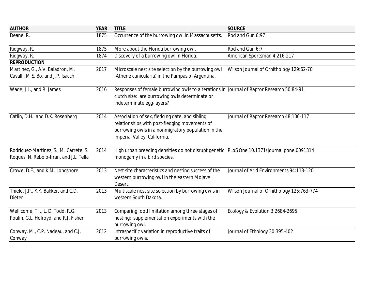| <b>AUTHOR</b>                                                              | <b>YEAR</b> | <b>TITLE</b>                                                                                                                                                                          | <b>SOURCE</b>                             |
|----------------------------------------------------------------------------|-------------|---------------------------------------------------------------------------------------------------------------------------------------------------------------------------------------|-------------------------------------------|
| Deane, R.                                                                  | 1875        | Occurrence of the burrowing owl in Massachusetts.                                                                                                                                     | Rod and Gun 6:97                          |
| Ridgway, R.                                                                | 1875        | More about the Florida burrowing owl.                                                                                                                                                 | Rod and Gun 6:7                           |
| Ridgway, R.                                                                | 1874        | Discovery of a burrowing owl in Florida.                                                                                                                                              | American Sportsman 4:216-217              |
| <b>REPRODUCTION</b>                                                        |             |                                                                                                                                                                                       |                                           |
| Martinez, G., A.V. Baladron, M.                                            | 2017        | Microscale nest site selection by the burrowing owl                                                                                                                                   | Wilson Journal of Ornithology 129:62-70   |
| Cavalli, M.S. Bo, and J.P. Isacch                                          |             | (Athene cunicularia) in the Pampas of Argentina.                                                                                                                                      |                                           |
| Wade, J.L., and R. James                                                   | 2016        | Responses of female burrowing owls to alterations in Journal of Raptor Research 50:84-91<br>clutch size: are burrowing owls determinate or<br>indeterminate egg-layers?               |                                           |
| Catlin, D.H., and D.K. Rosenberg                                           | 2014        | Association of sex, fledging date, and sibling<br>relationships with post-fledging movements of<br>burrowing owls in a nonmigratory population in the<br>Imperial Valley, California. | Journal of Raptor Research 48:106-117     |
| Rodriguez-Martinez, S., M. Carrete, S.                                     | 2014        | High urban breeding densities do not disrupt genetic PLoS One 10.1371/journal.pone.0091314                                                                                            |                                           |
| Roques, N. Rebolo-Ifran, and J.L. Tella                                    |             | monogamy in a bird species.                                                                                                                                                           |                                           |
| Crowe, D.E., and K.M. Longshore                                            | 2013        | Nest site characteristics and nesting success of the<br>western burrowing owl in the eastern Mojave<br>Desert.                                                                        | Journal of Arid Environments 94:113-120   |
| Thiele, J.P., K.K. Bakker, and C.D.<br><b>Dieter</b>                       | 2013        | Multiscale nest site selection by burrowing owls in<br>western South Dakota.                                                                                                          | Wilson Journal of Ornithology 125:763-774 |
| Wellicome, T.I., L. D. Todd, R.G.<br>Poulin, G.L. Holroyd, and R.J. Fisher | 2013        | Comparing food limitation among three stages of<br>nesting: supplementation experiments with the<br>burrowing owl.                                                                    | Ecology & Evolution 3:2684-2695           |
| Conway, M., C.P. Nadeau, and C.J.                                          | 2012        | Intraspecific variation in reproductive traits of                                                                                                                                     | Journal of Ethology 30:395-402            |
| Conway                                                                     |             | burrowing owls.                                                                                                                                                                       |                                           |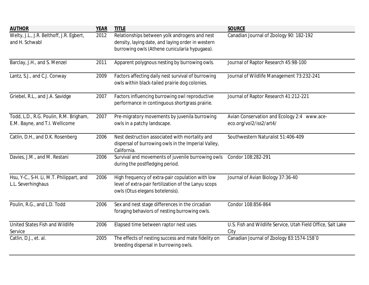| <b>AUTHOR</b>                                                            | <b>YEAR</b> | <b>TITLE</b>                                                                                                                                        | <b>SOURCE</b>                                                          |
|--------------------------------------------------------------------------|-------------|-----------------------------------------------------------------------------------------------------------------------------------------------------|------------------------------------------------------------------------|
| Welty, J.L., J.R. Belthoff, J.R. Egbert,<br>and H. Schwabl               | 2012        | Relationships between yolk androgens and nest<br>density, laying date, and laying order in western<br>burrowing owls (Athene cunicularia hypugaea). | Canadian Journal of Zoology 90: 182-192                                |
| Barclay, J.H., and S. Menzel                                             | 2011        | Apparent polygnous nesting by burrowing owls.                                                                                                       | Journal of Raptor Research 45:98-100                                   |
| Lantz, S.J., and C.J. Conway                                             | 2009        | Factors affecting daily nest survival of burrowing<br>owls within black-tailed prairie dog colonies.                                                | Journal of Wildlife Management 73:232-241                              |
| Griebel, R.L., and J.A. Savidge                                          | 2007        | Factors influencing burrowing owl reproductive<br>performance in continguous shortgrass prairie.                                                    | Journal of Raptor Research 41:212-221                                  |
| Todd, L.D., R.G. Poulin, R.M. Brigham,<br>E.M. Bayne, and T.I. Wellicome | 2007        | Pre-migratory movements by juvenila burrowing<br>owls in a patchy landscape.                                                                        | Avian Conservation and Ecology 2:4 www.ace-<br>eco.org/vol2/iss2/art4/ |
| Catlin, D.H., and D.K. Rosenberg                                         | 2006        | Nest destruction associated with mortality and<br>dispersal of burrowing owls in the Imperial Valley,<br>California.                                | Southwestern Naturalist 51:406-409                                     |
| Davies, J.M., and M. Restani                                             | 2006        | Survival and movements of juvenile burrowing owls<br>during the postfledging period.                                                                | Condor 108:282-291                                                     |
| Hsu, Y-C., S-H. Li, M.T. Philippart, and<br>L.L. Severhinghaus           | 2006        | High frequency of extra-pair copulation with low<br>level of extra-pair fertilization of the Lanyu scops<br>owls (Otus elegans botelensis).         | Journal of Avian Biology 37:36-40                                      |
| Poulin, R.G., and L.D. Todd                                              | 2006        | Sex and nest stage differences in the circadian<br>foraging behaviors of nesting burrowing owls.                                                    | Condor 108:856-864                                                     |
| <b>United States Fish and Wildlife</b><br>Service                        | 2006        | Elapsed time between raptor nest uses.                                                                                                              | U.S. Fish and Wildlife Service, Utah Field Office, Salt Lake<br>City   |
| Catlin, D.J., et. al.                                                    | 2005        | The effects of nesting success and mate fidelity on<br>breeding dispersal in burrowing owls.                                                        | Canadian Journal of Zoology 83:1574-158`0                              |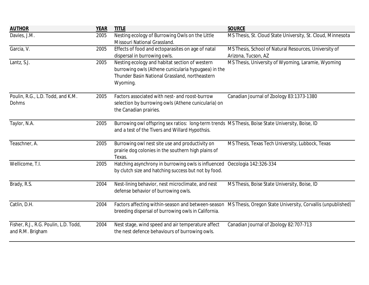| <b>AUTHOR</b>                                             | <b>YEAR</b> | <b>TITLE</b>                                                                                                                                                        | <b>SOURCE</b>                                                                                                  |
|-----------------------------------------------------------|-------------|---------------------------------------------------------------------------------------------------------------------------------------------------------------------|----------------------------------------------------------------------------------------------------------------|
| Davies, J.M.                                              | 2005        | Nesting ecology of Burrowing Owls on the Little<br>Missouri National Grassland.                                                                                     | MS Thesis, St. Cloud State University, St. Cloud, Minnesota                                                    |
| Garcia, V.                                                | 2005        | Effects of food and ectoparasites on age of natal<br>dispersal in burrowing owls.                                                                                   | MS Thesis, School of Natural Resources, University of<br>Arizona, Tucson, AZ                                   |
| Lantz, S.J.                                               | 2005        | Nesting ecology and habitat section of western<br>burrowing owls (Athene cunicularia hypugaea) in the<br>Thunder Basin National Grassland, northeastern<br>Wyoming. | MS Thesis, University of Wyoming, Laramie, Wyoming                                                             |
| Poulin, R.G., L.D. Todd, and K.M.<br><b>Dohms</b>         | 2005        | Factors associated with nest- and roost-burrow<br>selection by burrowing owls (Athene cunicularia) on<br>the Canadian prairies.                                     | Canadian Journal of Zoology 83:1373-1380                                                                       |
| Taylor, N.A.                                              | 2005        | Burrowing owl offspring sex ratios: long-term trends MS Thesis, Boise State University, Boise, ID<br>and a test of the Tivers and Willard Hypothsis.                |                                                                                                                |
| Teaschner, A.                                             | 2005        | Burrowing owl nest site use and productivity on<br>prairie dog colonies in the southern high plains of<br>Texas.                                                    | MS Thesis, Texas Tech University, Lubbock, Texas                                                               |
| Wellicome, T.I.                                           | 2005        | Hatching asynchrony in burrowing owls is influenced Oecologia 142:326-334<br>by clutch size and hatching success but not by food.                                   |                                                                                                                |
| Brady, R.S.                                               | 2004        | Nest-lining behavior, nest microclimate, and nest<br>defense behavior of burrowing owls.                                                                            | MS Thesis, Boise State University, Boise, ID                                                                   |
| Catlin, D.H.                                              | 2004        | breeding dispersal of burrowing owls in California.                                                                                                                 | Factors affecting within-season and between-season MS Thesis, Oregon State University, Corvallis (unpublished) |
| Fisher, R.J., R.G. Poulin, L.D. Todd,<br>and R.M. Brigham | 2004        | Nest stage, wind speed and air temperature affect<br>the nest defence behaviours of burrowing owls.                                                                 | Canadian Journal of Zoology 82:707-713                                                                         |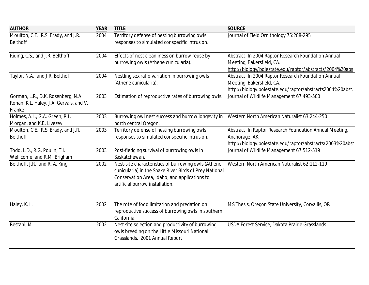| <b>AUTHOR</b>                                                                           | <b>YEAR</b> | <b>TITLE</b>                                                                                                                                                                                      | <b>SOURCE</b>                                                                                                                                 |
|-----------------------------------------------------------------------------------------|-------------|---------------------------------------------------------------------------------------------------------------------------------------------------------------------------------------------------|-----------------------------------------------------------------------------------------------------------------------------------------------|
| Moulton, C.E., R.S. Brady, and J.R.<br><b>Belthoff</b>                                  | 2004        | Territory defense of nesting burrowing owls:<br>responses to simulated conspecific intrusion.                                                                                                     | Journal of Field Ornithology 75:288-295                                                                                                       |
| Riding, C.S., and J.R. Belthoff                                                         | 2004        | Effects of nest cleanliness on burrow reuse by<br>burrowing owls (Athene cunicularia).                                                                                                            | Abstract, In 2004 Raptor Research Foundation Annual<br>Meeting, Bakersfield, CA.<br>http://biology/boiestate.edu/raptor/abstracts/2004%20abs  |
| Taylor, N.A., and J.R. Belthoff                                                         | 2004        | Nestling sex ratio variation in burrowing owls<br>(Athene cunicularia).                                                                                                                           | Abstract, In 2004 Raptor Research Foundation Annual<br>Meeting, Bakersfield, CA.<br>http://biology.boiestate.edu/raptor/abstracts2004%20abst. |
| Gorman, L.R., D.K. Rosenberg, N.A.<br>Ronan, K.L. Haley, J.A. Gervais, and V.<br>Franke | 2003        | Estimation of reproductive rates of burrowing owls.                                                                                                                                               | Journal of Wildlife Management 67:493-500                                                                                                     |
| Holmes, A.L., G.A. Green, R.L.<br>Morgan, and K.B. Livezey                              | 2003        | Burrowing owl nest success and burrow longevity in<br>north central Oregon.                                                                                                                       | Western North American Naturalist 63:244-250                                                                                                  |
| Moulton, C.E., R.S. Brady, and J.R.<br><b>Belthoff</b>                                  | 2003        | Territory defense of nesting burrowing owls:<br>responses to simulated conspecific intrusion.                                                                                                     | Abstract, In Raptor Research Foundation Annual Meeting,<br>Anchorage, AK.<br>http://biology.boiestate.edu/raptor/abstracts/2003%20abst        |
| Todd, L.D., R.G. Poulin, T.I.<br>Wellicome, and R.M. Brigham                            | 2003        | Post-fledging survival of burrowing owls in<br>Saskatchewan.                                                                                                                                      | Journal of Wildlife Management 67:512-519                                                                                                     |
| Belthoff, J.R., and R. A. King                                                          | 2002        | Nest-site characteristics of burrowing owls (Athene<br>cunicularia) in the Snake River Birds of Prey National<br>Conservation Area, Idaho, and applications to<br>artificial burrow installation. | Western North American Naturalist 62:112-119                                                                                                  |
| Haley, K. L.                                                                            | 2002        | The rote of food limitation and predation on<br>reproductive success of burrowing owls in southern<br>California.                                                                                 | MS Thesis, Oregon State University, Corvallis, OR                                                                                             |
| Restani, M.                                                                             | 2002        | Nest site selection and productivity of burrowing<br>owls breeding on the Little Missouri National<br>Grasslands. 2001 Annual Report.                                                             | USDA Forest Service, Dakota Prairie Grasslands                                                                                                |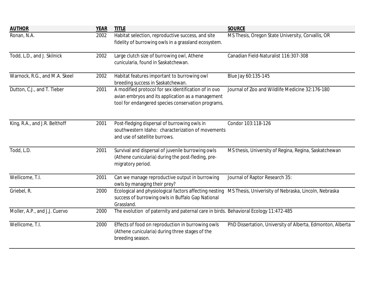| <b>AUTHOR</b>                 | <b>YEAR</b> | <b>TITLE</b>                                                                                                                                                    | <b>SOURCE</b>                                              |
|-------------------------------|-------------|-----------------------------------------------------------------------------------------------------------------------------------------------------------------|------------------------------------------------------------|
| Ronan, N.A.                   | 2002        | Habitat selection, reproductive success, and site<br>fidelity of burrowing owls in a grassland ecosystem.                                                       | MS Thesis, Oregon State University, Corvallis, OR          |
| Todd, L.D., and J. Skilnick   | 2002        | Large clutch size of burrowing owl, Athene<br>cunicularia, found in Saskatchewan.                                                                               | Canadian Field-Naturalist 116:307-308                      |
| Warnock, R.G., and M.A. Skeel | 2002        | Habitat features important to burrowing owl<br>breeding success in Saskatchewan.                                                                                | Blue Jay 60:135-145                                        |
| Dutton, C.J., and T. Tieber   | 2001        | A modified protocol for sex identification of in ovo<br>avian embryos and its application as a management<br>tool for endangered species conservation programs. | Journal of Zoo and Wildlife Medicine 32:176-180            |
| King, R.A., and J.R. Belthoff | 2001        | Post-fledging dispersal of burrowing owls in<br>southwestern Idaho: characterization of movements<br>and use of satellite burrows.                              | Condor 103:118-126                                         |
| Todd, L.D.                    | 2001        | Survival and dispersal of juvenile burrowing owls<br>(Athene cunicularia) during the post-fleding, pre-<br>migratory period.                                    | MS thesis, University of Regina, Regina, Saskatchewan      |
| Wellicome, T.I.               | 2001        | Can we manage reproductive output in burrowing<br>owls by managing their prey?                                                                                  | Journal of Raptor Research 35:                             |
| Griebel, R.                   | 2000        | Ecological and physiological factors affecting nesting<br>success of burrowing owls in Buffalo Gap National<br>Grassland.                                       | MS Thesis, Univerisity of Nebraska, Lincoln, Nebraska      |
| Moller, A.P., and J.J. Cuervo | 2000        | The evolution of paternity and paternal care in birds. Behavioral Ecology 11:472-485                                                                            |                                                            |
| Wellicome, T.I.               | 2000        | Effects of food on reproduction in burrowing owls<br>(Athene cunicularia) during three stages of the<br>breeding season.                                        | PhD Dissertation, University of Alberta, Edmonton, Alberta |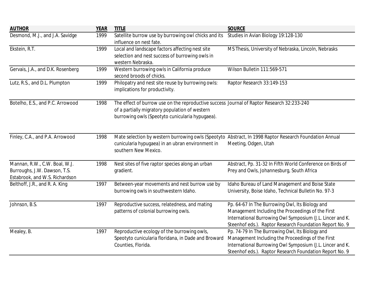| <b>AUTHOR</b>                                                                                   | <b>YEAR</b> | <b>TITLE</b>                                                                                                                                                                                    | <b>SOURCE</b>                                                                                                                                                                                                                |
|-------------------------------------------------------------------------------------------------|-------------|-------------------------------------------------------------------------------------------------------------------------------------------------------------------------------------------------|------------------------------------------------------------------------------------------------------------------------------------------------------------------------------------------------------------------------------|
| Desmond, M.J., and J.A. Savidge                                                                 | 1999        | Satellite burrow use by burrowing owl chicks and its<br>influence on nest fate.                                                                                                                 | Studies in Avian Biology 19:128-130                                                                                                                                                                                          |
| Ekstein, R.T.                                                                                   | 1999        | Local and landscape factors affecting nest site<br>selection and nest success of burrowing owls in<br>western Nebraska.                                                                         | MS Thesis, University of Nebraska, Lincoln, Nebrasks                                                                                                                                                                         |
| Gervais, J.A., and D.K. Rosenberg                                                               | 1999        | Western burrowing owls in California produce<br>second broods of chicks.                                                                                                                        | Wilson Bulletin 111:569-571                                                                                                                                                                                                  |
| Lutz, R.S., and D.L. Plumpton                                                                   | 1999        | Philopatry and nest site reuse by burrowing owls:<br>implications for productivity.                                                                                                             | Raptor Research 33:149-153                                                                                                                                                                                                   |
| Botelho, E.S., and P.C. Arrowood                                                                | 1998        | The effect of burrow use on the reproductive success Journal of Raptor Research 32:233-240<br>of a partially migratory population of western<br>burrowing owls (Speotyto cunicularia hypugaea). |                                                                                                                                                                                                                              |
| Finley, C.A., and P.A. Arrowood                                                                 | 1998        | cunicularia hypugaea) in an ubran environment in<br>southern New Mexico.                                                                                                                        | Mate selection by western burrowing owls (Speotyto Abstract, In 1998 Raptor Research Foundation Annual<br>Meeting, Odgen, Utah                                                                                               |
| Mannan, R.W., C.W. Boal, W.J.<br>Burroughs, J.W. Dawson, T.S.<br>Estabrook, and W.S. Richardson | 1998        | Nest sites of five raptor species along an urban<br>gradient.                                                                                                                                   | Abstract, Pp. 31-32 In Fifth World Conference on Birds of<br>Prey and Owls, Johannesburg, South Africa                                                                                                                       |
| Belthoff, J.R., and R. A. King                                                                  | 1997        | Between-year movements and nest burrow use by<br>burrowing owls in southwestern Idaho.                                                                                                          | Idaho Bureau of Land Management and Boise State<br>University, Boise Idaho, Technical Bulletin No. 97-3                                                                                                                      |
| Johnson, B.S.                                                                                   | 1997        | Reproductive success, relatedness, and mating<br>patterns of colonial burrowing owls.                                                                                                           | Pp. 64-67 In The Burrowing Owl, Its Biology and<br>Management Including the Proceedings of the First<br>International Burrowing Owl Symposium (J.L. Lincer and K.<br>Steenhof eds.). Raptor Research Foundation Report No. 9 |
| Mealey, B.                                                                                      | 1997        | Reproductive ecology of the burrowing owls,<br>Speotyto cunicularia floridana, in Dade and Broward<br>Counties, Florida.                                                                        | Pp. 74-79 In The Burrowing Owl, Its Biology and<br>Management Including the Proceedings of the First<br>International Burrowing Owl Symposium (J.L. Lincer and K.<br>Steenhof eds.). Raptor Research Foundation Report No. 9 |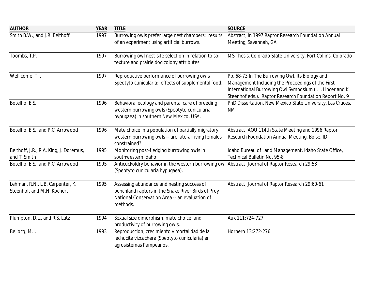| <b>AUTHOR</b>                                                  | <b>YEAR</b> | <b>TITLE</b>                                                                                                                                                   | <b>SOURCE</b>                                                                                                                                                                                                                |
|----------------------------------------------------------------|-------------|----------------------------------------------------------------------------------------------------------------------------------------------------------------|------------------------------------------------------------------------------------------------------------------------------------------------------------------------------------------------------------------------------|
| Smith B.W., and J.R. Belthoff                                  | 1997        | Burrowing owls prefer large nest chambers: results<br>of an experiment using artificial burrows.                                                               | Abstract, In 1997 Raptor Research Foundation Annual<br>Meeting, Savannah, GA                                                                                                                                                 |
| Toombs, T.P.                                                   | 1997        | Burrowing owl nest-site selection in relation to soil<br>texture and prairie dog colony attributes.                                                            | MS Thesis, Colorado State University, Fort Collins, Colorado                                                                                                                                                                 |
| Wellicome, T.I.                                                | 1997        | Reproductive performance of burrowing owls<br>Speotyto cunicularia: effects of supplemental food.                                                              | Pp. 68-73 In The Burrowing Owl, Its Biology and<br>Management Including the Proceedings of the First<br>International Burrowing Owl Symposium (J.L. Lincer and K.<br>Steenhof eds.). Raptor Research Foundation Report No. 9 |
| Botelho, E.S.                                                  | 1996        | Behavioral ecology and parental care of breeding<br>western burrowing owls (Speotyto cunicularia<br>hypugaea) in southern New Mexico, USA.                     | PhD Dissertation, New Mexico State University, Las Cruces,<br><b>NM</b>                                                                                                                                                      |
| Botelho, E.S., and P.C. Arrowood                               | 1996        | Mate choice in a population of partially migratory<br>western burrowing owls -- are late-arriving females<br>constrained?                                      | Abstract, AOU 114th State Meeting and 1996 Raptor<br>Research Foundation Annual Meeting, Boise, ID                                                                                                                           |
| Belthoff, J.R., R.A. King, J. Doremus,<br>and T. Smith         | 1995        | Monitoring post-fledging burrowing owls in<br>southwestern Idaho.                                                                                              | Idaho Bureau of Land Management, Idaho State Office,<br><b>Technical Bulletin No. 95-8</b>                                                                                                                                   |
| Botelho, E.S., and P.C. Arrowood                               | 1995        | Anticuckoldry behavior in the western burrowing owl Abstract, Journal of Raptor Research 29:53<br>(Speotyto cunicularia hypugaea).                             |                                                                                                                                                                                                                              |
| Lehman, R.N., L.B. Carpenter, K.<br>Steenhof, and M.N. Kochert | 1995        | Assessing abundance and nesting success of<br>benchland raptors in the Snake River Birds of Prey<br>National Conservation Area -- an evaluation of<br>methods. | Abstract, Journal of Raptor Research 29:60-61                                                                                                                                                                                |
| Plumpton, D.L., and R.S. Lutz                                  | 1994        | Sexual size dimorphism, mate choice, and<br>productivity of burrowing owls.                                                                                    | Auk 111:724-727                                                                                                                                                                                                              |
| Bellocq, M.I.                                                  | 1993        | Reproduccion, crecimiento y mortalidad de la<br>lechucita vizcachera (Speotyto cunicularia) en<br>agrosistemas Pampeanos.                                      | Hornero 13:272-276                                                                                                                                                                                                           |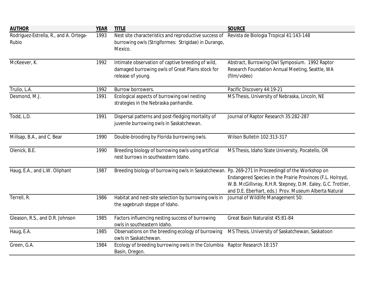| <b>AUTHOR</b>                                   | <b>YEAR</b> | <b>TITLE</b>                                                                                                                                                     | <b>SOURCE</b>                                                                                                                                                                       |
|-------------------------------------------------|-------------|------------------------------------------------------------------------------------------------------------------------------------------------------------------|-------------------------------------------------------------------------------------------------------------------------------------------------------------------------------------|
| Rodriguez-Estrella, R., and A. Ortega-<br>Rubio | 1993        | Nest site characteristics and reproductive success of Revista de Biologia Tropical 41:143-148<br>burrowing owls (Strigiformes: Strigidae) in Durango,<br>Mexico. |                                                                                                                                                                                     |
| McKeever, K.                                    | 1992        | Intimate observation of captive breeding of wild,<br>damaged burrowing owls of Great Plains stock for<br>release of young.                                       | Abstract, Burrowing Owl Symposium. 1992 Raptor<br>Research Foundation Annual Meeting, Seattle, WA<br>(film/video)                                                                   |
| Trulio, L.A.                                    | 1992        | Burrow borrowers.                                                                                                                                                | Pacific Discovery 44:19-21                                                                                                                                                          |
| Desmond, M.J.                                   | 1991        | Ecological aspects of burrowing owl nesting<br>strategies in the Nebraska panhandle.                                                                             | MS Thesis, University of Nebraska, Lincoln, NE                                                                                                                                      |
| Todd, L.D.                                      | 1991        | Dispersal patterns and post-fledging mortality of<br>juvenile burrowing owls in Saskatchewan.                                                                    | Journal of Raptor Research 35:282-287                                                                                                                                               |
| Millsap, B.A., and C. Bear                      | 1990        | Double-brooding by Florida burrowing owls.                                                                                                                       | <b>Wilson Bulletin 102:313-317</b>                                                                                                                                                  |
| Olenick, B.E.                                   | 1990        | Breeding biology of burrowing owls using artificial<br>nest burrows in southeastern Idaho.                                                                       | MS Thesis, Idaho State University, Pocatello, OR                                                                                                                                    |
| Haug, E.A., and L.W. Oliphant                   | 1987        | Breeding biology of burrowing owls in Saskatchewan. Pp. 269-271 In Proceedingd of the Workshop on                                                                | Endangered Species in the Prairie Provinces (F.L. Holroyd,<br>W.B. McGillivray, R.H.R. Stepney, D.M. Ealey, G.C. Trottier,<br>and D.E. Eberhart, eds.) Prov. Museum Alberta Natural |
| Terrell, R.                                     | 1986        | Habitat and nest-site selection by burrowing owls in<br>the sagebrush steppe of Idaho.                                                                           | Journal of Wildlife Management 50:                                                                                                                                                  |
| Gleason, R.S., and D.R. Johnson                 | 1985        | Factors influencing nesting success of burrowing<br>owls in southeastern Idaho.                                                                                  | Great Basin Naturalist 45:81-84                                                                                                                                                     |
| Haug, E.A.                                      | 1985        | Observations on the breeding ecology of burrowing<br>owls in Saskatchewan.                                                                                       | MS Thesis, University of Saskatchewan, Saskatoon                                                                                                                                    |
| Green, G.A.                                     | 1984        | Ecology of breeding burrowing owls in the Columbia<br>Basin, Oregon.                                                                                             | Raptor Research 18:157                                                                                                                                                              |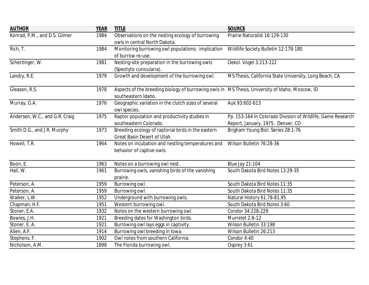| <b>AUTHOR</b>                  | <b>YEAR</b> | <b>TITLE</b>                                                                                    | <b>SOURCE</b>                                               |
|--------------------------------|-------------|-------------------------------------------------------------------------------------------------|-------------------------------------------------------------|
| Konrad, P.M., and D.S. Gilmer  | 1984        | Observations on the nesting ecology of burrowing                                                | Prairie Naturalist 16:129-130                               |
|                                |             | owls in central North Dakota.                                                                   |                                                             |
| Rich, T.                       | 1984        | Monitoring burrowing owl populations: implication                                               | Wildlife Society Bulletin 12:178-180                        |
|                                |             | of burrow re-use.                                                                               |                                                             |
| Scherzinger, W.                | 1981        | Nesting-site preparation in the burrowing owls                                                  | Oekol. Vogel 3:213-222                                      |
|                                |             | (Speotyto cunicularia).                                                                         |                                                             |
| Landry, R.E.                   | 1979        | Growth and development of the burrowing owl.                                                    | MS Thesis, California State University, Long Beach, CA      |
| Gleason, R.S.                  | 1978        | Aspects of the breeding biology of burrowing owls in MS Thesis, University of Idaho, Moscow, ID |                                                             |
|                                |             | southeastern Idaho.                                                                             |                                                             |
| Murray, G.A.                   | 1976        | Geographic variation in the clutch sizes of several                                             | Auk 93:602-613                                              |
|                                |             | owl species.                                                                                    |                                                             |
| Andersen, W.C., and G.R. Craig | 1975        | Raptor population and productivity studies in                                                   | Pp. 153-164 In Colorado Division of Wildlife, Game Research |
|                                |             | southeastern Colorado.                                                                          | Report, January, 1975. Denver, CO                           |
| Smith D.G., and J.R. Murphy    | 1973        | Breeding ecology of raptorial birds in the eastern                                              | Brigham Young Biol. Series 28:1-76                          |
|                                |             | Great Basin Desert of Utah.                                                                     |                                                             |
| Howell, T.R.                   | 1964        | Notes on incubation and nestling temperatures and                                               | Wilson Bulletin 76:28-36                                    |
|                                |             | behavior of captive owls.                                                                       |                                                             |
| Boon, E.                       | 1963        | Notes on a burrowing owl nest.                                                                  | <b>Blue Jay 21:104</b>                                      |
| Hall, W.                       | 1961        | Burrowing owls, vanishing birds of the vanishing                                                | South Dakota Bird Notes 13:29-35                            |
|                                |             | prairie.                                                                                        |                                                             |
| Peterson, A.                   | 1959        | Burrowing owl.                                                                                  | South Dakota Bird Notes 11:35                               |
| Peterson, A.                   | 1959        | Burrowing owl.                                                                                  | South Dakota Bird Notes 11:35                               |
| Walker, L.W.                   | 1952        | Underground with burrowing owls.                                                                | Natural History 61:78-81,95                                 |
| Chapman, H.F.                  | 1951        | Western burrowing owl.                                                                          | South Dakota Bird Notes 3:60                                |
| Stoner, E.A.                   | 1932        | Notes on the western burrowing owl.                                                             | Condor 34:228-229                                           |
| Bowles, J.H.                   | 1921        | Breeding dates for Washington birds.                                                            | Murrelet 2:8-12                                             |
| Stoner, E. A.                  | 1921        | Burrowing owl lays eggs in captivity.                                                           | Wilson Bulletin 33:198                                      |
| Allen, A.F.                    | 1914        | Burrowing owl breeding in lowa.                                                                 | Wilson Bulletin 26:213                                      |
| Stephens, F.                   | 1902        | Owl notes from southern California.                                                             | Condor 4:40                                                 |
| Nicholson, A.M.                | 1898        | The Florida burrowing owl.                                                                      | Osprey 3:61                                                 |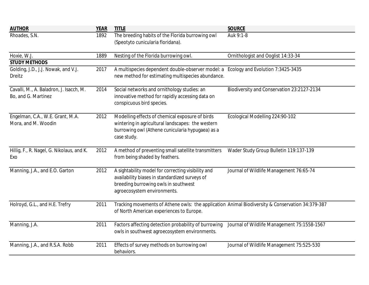| <b>AUTHOR</b>                                                  | <b>YEAR</b> | <b>TITLE</b>                                                                                                                                                                | <b>SOURCE</b>                               |
|----------------------------------------------------------------|-------------|-----------------------------------------------------------------------------------------------------------------------------------------------------------------------------|---------------------------------------------|
| Rhoades, S.N.                                                  | 1892        | The breeding habits of the Florida burrowing owl<br>(Speotyto cunicularia floridana).                                                                                       | Auk 9:1-8                                   |
| Hoxie, W.J.                                                    | 1889        | Nesting of the Florida burrowing owl.                                                                                                                                       | Ornithologist and Ooglist 14:33-34          |
| <b>STUDY METHODS</b>                                           |             |                                                                                                                                                                             |                                             |
| Golding, J.D., J.J. Nowak, and V.J.<br><b>Dreitz</b>           | 2017        | A multispecies dependent double-observer model: a Ecology and Evolution 7:3425-3435<br>new method for estimating multispecies abundance.                                    |                                             |
| Cavalli, M., A. Baladron, J. Isacch, M.<br>Bo, and G. Martinez | 2014        | Social networks and ornithology studies: an<br>innovative method for rapidly accessing data on<br>conspicuous bird species.                                                 | Biodiversity and Conservation 23:2127-2134  |
| Engelman, C.A., W.E. Grant, M.A.<br>Mora, and M. Woodin        | 2012        | Modelling effects of chemical exposure of birds<br>wintering in agricultural landscapes: the western<br>burrowing owl (Athene cunicularia hypugaea) as a<br>case study.     | Ecological Modelling 224:90-102             |
| Hillig, F., R. Nagel, G. Nikolaus, and K.<br>Exo               | 2012        | A method of preventing small satellite transmitters<br>from being shaded by feathers.                                                                                       | Wader Study Group Bulletin 119:137-139      |
| Manning, J.A., and E.O. Garton                                 | 2012        | A sightability model for correcting visibility and<br>availability biases in standardized surveys of<br>breeding burrowing owls in southwest<br>agroecosystem environments. | Journal of Wildlife Management 76:65-74     |
| Holroyd, G.L., and H.E. Trefry                                 | 2011        | Tracking movements of Athene owls: the application Animal Biodiversity & Conservation 34:379-387<br>of North American experiences to Europe.                                |                                             |
| Manning, J.A.                                                  | 2011        | Factors affecting detection probability of burrowing<br>owls in southwest agroecosystem environments.                                                                       | Journal of Wildlife Management 75:1558-1567 |
| Manning, J.A., and R.S.A. Robb                                 | 2011        | Effects of survey methods on burrowing owl<br>behaviors.                                                                                                                    | Journal of Wildlife Management 75:525-530   |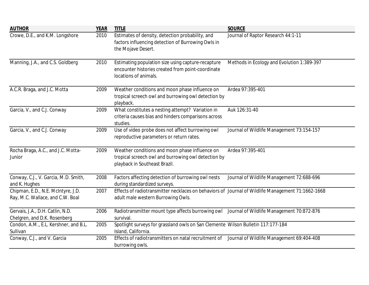| <b>AUTHOR</b>                                                          | <b>YEAR</b> | <b>TITLE</b>                                                                                                                            | <b>SOURCE</b>                              |
|------------------------------------------------------------------------|-------------|-----------------------------------------------------------------------------------------------------------------------------------------|--------------------------------------------|
| Crowe, D.E., and K.M. Longshore                                        | 2010        | Estimates of density, detection probability, and<br>factors influencing detection of Burrowing Owls in<br>the Mojave Desert.            | Journal of Raptor Research 44:1-11         |
| Manning, J.A., and C.S. Goldberg                                       | 2010        | Estimating population size using capture-recapture<br>encounter histories created from point-coordinate<br>locations of animals.        | Methods in Ecology and Evolution 1:389-397 |
| A.C.R. Braga, and J.C. Motta                                           | 2009        | Weather conditions and moon phase influence on<br>tropical screech owl and burrowing owl detection by<br>playback.                      | Ardea 97:395-401                           |
| Garcia, V., and C.J. Conway                                            | 2009        | What constitutes a nesting attempt? Variation in<br>criteria causes bias and hinders comparisons across<br>studies.                     | Auk 126:31-40                              |
| Garcia, V., and C.J. Conway                                            | 2009        | Use of video probe does not affect burrowing owl<br>reproductive parameters or return rates.                                            | Journal of Wildlife Management 73:154-157  |
| Rocha Braga, A.C., and J.C. Motta-<br>Junior                           | 2009        | Weather conditions and moon phase influence on<br>tropical screech owl and burrowing owl detection by<br>playback in Southeast Brazil.  | Ardea 97:395-401                           |
| Conway, C.J., V. Garcia, M.D. Smith,<br>and K. Hughes                  | 2008        | Factors affecting detection of burrowing owl nests<br>during standardized surveys.                                                      | Journal of Wildlife Management 72:688-696  |
| Chipman, E.D., N.E. McIntyre, J.D.<br>Ray, M.C. Wallace, and C.W. Boal | 2007        | Effects of radiotransmitter necklaces on behaviors of Journal of Wildlife Management 71:1662-1668<br>adult male western Burrowing Owls. |                                            |
| Gervais, J.A., D.H. Catlin, N.D.<br>Chelgren, and D.K. Rosenberg       | 2006        | Radiotransmitter mount type affects burrowing owl Journal of Wildlife Management 70:872-876<br>survival.                                |                                            |
| Condon, A.M., E.L. Kershner, and B.L.<br>Sullivan                      | 2005        | Spotlight surveys for grassland owls on San Clemente Wilson Bulletin 117:177-184<br>Island, California.                                 |                                            |
| Conway, C.J., and V. Garcia                                            | 2005        | Effects of radiotransmitters on natal recruitment of Journal of Wildlife Management 69:404-408<br>burrowing owls.                       |                                            |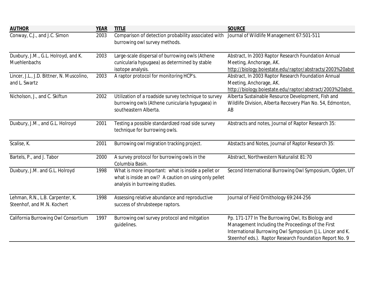| <b>AUTHOR</b>                                                  | <b>YEAR</b> | <b>TITLE</b>                                                                                                                                  | <b>SOURCE</b>                                                                                                                                                                                                                  |
|----------------------------------------------------------------|-------------|-----------------------------------------------------------------------------------------------------------------------------------------------|--------------------------------------------------------------------------------------------------------------------------------------------------------------------------------------------------------------------------------|
| Conway, C.J., and J.C. Simon                                   | 2003        | Comparison of detection probability associated with<br>burrowing owl survey methods.                                                          | Journal of Wildlife Management 67:501-511                                                                                                                                                                                      |
| Duxbury, J.M., G.L. Holroyd, and K.<br><b>Muehlenbachs</b>     | 2003        | Large-scale dispersal of burrowing owls (Athene<br>cunicularia hypugaea) as determined by stable<br>isotope analysis.                         | Abstract, In 2003 Raptor Research Foundation Annual<br>Meeting, Anchorage, AK.<br>http://biology.boiestate.edu/raptor/abstracts/2003%20abst                                                                                    |
| Lincer, J.L., J.D. Bittner, N. Muscolino,<br>and L. Swartz     | 2003        | A raptor protocol for monitoring HCP's.                                                                                                       | Abstract, In 2003 Raptor Research Foundation Annual<br>Meeting, Anchorage, AK.<br>http://biology.boiestate.edu/raptor/abstract/2003%20abst.                                                                                    |
| Nicholson, J., and C. Skiftun                                  | 2002        | Utilization of a roadside survey technique to survey<br>burrowing owls (Athene cunicularia hypugaea) in<br>southeastern Alberta.              | Alberta Sustainable Resource Development, Fish and<br>Wildlife Division, Alberta Recovery Plan No. 54, Edmonton,<br>AB                                                                                                         |
| Duxbury, J.M., and G.L. Holroyd                                | 2001        | Testing a possible standardized road side survey<br>technique for burrowing owls.                                                             | Abstracts and notes, Journal of Raptor Research 35:                                                                                                                                                                            |
| Scalise, K.                                                    | 2001        | Burrowing owl migration tracking project.                                                                                                     | Abstacts and Notes, Journal of Raptor Research 35:                                                                                                                                                                             |
| Bartels, P., and J. Tabor                                      | 2000        | A survey protocol for burrowing owls in the<br>Columbia Basin.                                                                                | Abstract, Northwestern Naturalist 81:70                                                                                                                                                                                        |
| Duxbury, J.M. and G.L. Holroyd                                 | 1998        | What is more important: what is inside a pellet or<br>what is inside an owl? A caution on using only pellet<br>analysis in burrowing studies. | Second International Burrowing Owl Symposium, Ogden, UT                                                                                                                                                                        |
| Lehman, R.N., L.B. Carpenter, K.<br>Steenhof, and M.N. Kochert | 1998        | Assessing relative abundance and reproductive<br>success of shrubsteepe raptors.                                                              | Journal of Field Ornithology 69:244-256                                                                                                                                                                                        |
| California Burrowing Owl Consortium                            | 1997        | Burrowing owl survey protocol and mitgation<br>guidelines.                                                                                    | Pp. 171-177 In The Burrowing Owl, Its Biology and<br>Management Including the Proceedings of the First<br>International Burrowing Owl Symposium (J.L. Lincer and K.<br>Steenhof eds.). Raptor Research Foundation Report No. 9 |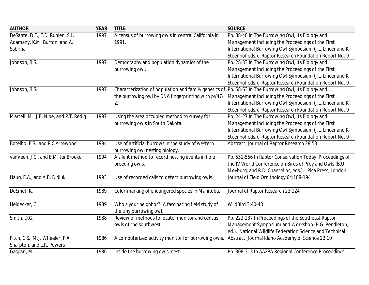| <b>AUTHOR</b>                          | <b>YEAR</b> | <b>TITLE</b>                                                                                          | <b>SOURCE</b>                                             |
|----------------------------------------|-------------|-------------------------------------------------------------------------------------------------------|-----------------------------------------------------------|
| DeSante, D.F., E.D. Ruhlen, S.L.       | 1997        | A census of burrowing owls in central California in                                                   | Pp. 38-48 In The Burrowing Owl, Its Biology and           |
| Adamany, K.M. Burton, and A.           |             | 1991.                                                                                                 | Management Including the Proceedings of the First         |
| Sabrina                                |             |                                                                                                       | International Burrowing Owl Symposium (J.L. Lincer and K. |
|                                        |             |                                                                                                       | Steenhof eds.). Raptor Research Foundation Report No. 9   |
| Johnson, B.S.                          | 1997        | Demography and population dynamics of the                                                             | Pp. 28-33 In The Burrowing Owl, Its Biology and           |
|                                        |             | burrowing owl.                                                                                        | Management Including the Proceedings of the First         |
|                                        |             |                                                                                                       | International Burrowing Owl Symposium (J.L. Lincer and K. |
|                                        |             |                                                                                                       | Steenhof eds.). Raptor Research Foundation Report No. 9   |
| Johnson, B.S.                          | 1997        | Characterization of population and family genetics of Pp. 58-63 In The Burrowing Owl, Its Biology and |                                                           |
|                                        |             | the burrowing owl by DNA fingerprinting with pV47-                                                    | Management Including the Proceedings of the First         |
|                                        |             | 2.                                                                                                    | International Burrowing Owl Symposium (J.L. Lincer and K. |
|                                        |             |                                                                                                       | Steenhof eds.). Raptor Research Foundation Report No. 9   |
| Martell, M., J.B. Nibe, and P.T. Redig | 1997        | Using the area occupied method to survey for                                                          | Pp. 24-27 In The Burrowing Owl, Its Biology and           |
|                                        |             | burrowing owls in South Dakota.                                                                       | Management Including the Proceedings of the First         |
|                                        |             |                                                                                                       | International Burrowing Owl Symposium (J.L. Lincer and K. |
|                                        |             |                                                                                                       | Steenhof eds.). Raptor Research Foundation Report No. 9   |
| Botelho, E.S., and P.C Arrowood        | 1994        | Use of artificial burrows in the study of western                                                     | Abstract, Journal of Raptor Research 28:53                |
|                                        |             | burrowing owl nesting biology.                                                                        |                                                           |
| vanVeen, J.C., and E.M. tenBroeke      | 1994        | A silent method to record nesting events in hole                                                      | Pp. 551-556 In Raptor Conservation Today, Proceedings of  |
|                                        |             | breeding owls.                                                                                        | the IV World Conference on Birds of Prey and Owls (B.U.   |
|                                        |             |                                                                                                       | Meyburg, and R.D. Chancellor, eds.). Pica Press, London   |
| Haug, E.A., and A.B. Didiuk            | 1993        | Use of recorded calls to detect burrowing owls.                                                       | Journal of Field Ornithology 64:188-194                   |
| DeSmet, K.                             | 1989        | Color-marking of endangered species in Manitoba.                                                      | Journal of Raptor Research 23:124                         |
| Heidecker, C.                          | 1989        | Who's your neighbor? A fascinating field study of                                                     | <b>WildBird 3:40-43</b>                                   |
|                                        |             | the tiny burrowing owl.                                                                               |                                                           |
| Smith, D.G.                            | 1988        | Review of methods to locate, monitor and census                                                       | Pp. 222-237 In Proceedings of the Southeast Raptor        |
|                                        |             | owls of the southwest.                                                                                | Management Symposium and Workshop (B.G. Pendleton,        |
|                                        |             |                                                                                                       | ed.). National Wildlife Federation Science and Technical  |
| Fitch, C.S., M.J. Wheeler, F.A.        | 1986        | A computerized activity monitor for burrowing owls. Abstract, Journal Idaho Academy of Science 22:10  |                                                           |
| Sharpton, and L.R. Powers              |             |                                                                                                       |                                                           |
| Gaspari, M.                            | 1986        | Inside the burrowing owls' nest.                                                                      | Pp. 308-313 In AAZPA Regional Conference Proceedings      |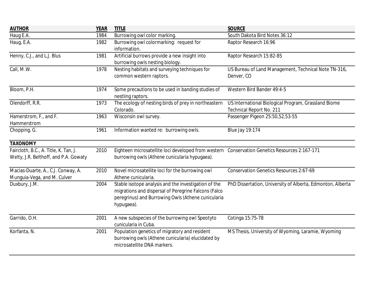| <b>AUTHOR</b>                         | <b>YEAR</b> | <b>TITLE</b>                                                                                  | <b>SOURCE</b>                                              |
|---------------------------------------|-------------|-----------------------------------------------------------------------------------------------|------------------------------------------------------------|
| Haug E.A.                             | 1984        | Burrowing owl color marking.                                                                  | South Dakota Bird Notes 36:12                              |
| Haug, E.A.                            | 1982        | Burrowing owl colormarking: request for                                                       | Raptor Research 16:96                                      |
|                                       |             | information.                                                                                  |                                                            |
| Henny, C.J., and L.J. Blus            | 1981        | Artificial burrows provide a new insight into                                                 | Raptor Research 15:82-85                                   |
|                                       |             | burrowing owls nesting biology.                                                               |                                                            |
| Call, M.W.                            | 1978        | Nesting habitats and surveying techniques for                                                 | US Bureau of Land Management, Technical Note TN-316,       |
|                                       |             | common western raptors.                                                                       | Denver, CO                                                 |
| Bloom, P.H.                           | 1974        | Some precautions to be used in banding studies of                                             | Western Bird Bander 49:4-5                                 |
|                                       |             | nestling raptors.                                                                             |                                                            |
| Olendorff, R.R.                       | 1973        | The ecology of nesting birds of prey in northeastern                                          | US International Biological Program, Grassland Biome       |
|                                       |             | Colorado.                                                                                     | <b>Technical Report No. 211</b>                            |
| Hamerstrom, F., and F.                | 1963        | Wisconsin owl survey.                                                                         | Passenger Pigeon 25:50,52,53-55                            |
| Hammerstrom                           |             |                                                                                               |                                                            |
| Chopping, G.                          | 1961        | Information wanted re: burrowing owls.                                                        | <b>Blue Jay 19:174</b>                                     |
| <b>TAXONOMY</b>                       |             |                                                                                               |                                                            |
| Faircloth, B.C., A. Title, K. Tan, J. | 2010        | Eighteen microsatellite loci developed from western Conservation Genetics Resources 2:167-171 |                                                            |
| Welty, J.R. Belthoff, and P.A. Gowaty |             | burrowing owls (Athene cunicularia hypugaea).                                                 |                                                            |
| Macias-Duarte, A., C.J. Conway, A.    | 2010        | Novel microsatellite loci for the burrowing owl                                               | <b>Conservation Genetics Resources 2:67-69</b>             |
| Munguia-Vega, and M. Culver           |             | Athene cunicularia.                                                                           |                                                            |
| Duxbury, J.M.                         | 2004        | Stable isotope analysis and the investigation of the                                          | PhD Dissertation, University of Alberta, Edmonton, Alberta |
|                                       |             | migrations and dispersal of Peregrine Falcons (Falco                                          |                                                            |
|                                       |             | peregrinus) and Burrowing Owls (Athene cunicularia                                            |                                                            |
|                                       |             | hypugaea).                                                                                    |                                                            |
| Garrido, O.H.                         | 2001        | A new subspecies of the burrowing owl Speotyto                                                | Cotinga 15:75-78                                           |
|                                       |             | cunicularia in Cuba.                                                                          |                                                            |
| Korfanta, N.                          | 2001        | Population genetics of migratory and resident                                                 | MS Thesis, University of Wyoming, Laramie, Wyoming         |
|                                       |             | burrowing owls (Athene cunicularia) elucidated by                                             |                                                            |
|                                       |             | microsatellite DNA markers.                                                                   |                                                            |
|                                       |             |                                                                                               |                                                            |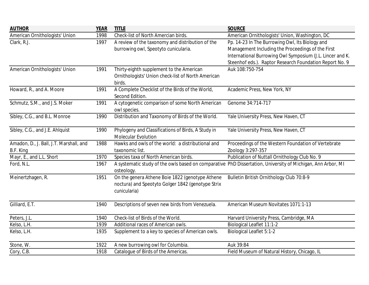| <b>AUTHOR</b>                           | <b>YEAR</b> | <b>TITLE</b>                                       | <b>SOURCE</b>                                                                                               |
|-----------------------------------------|-------------|----------------------------------------------------|-------------------------------------------------------------------------------------------------------------|
| American Ornithologists' Union          | 1998        | Check-list of North Amercian birds.                | American Ornithologists' Union, Washington, DC                                                              |
| Clark, R.J.                             | 1997        | A review of the taxonomy and distribution of the   | Pp. 14-23 In The Burrowing Owl, Its Biology and                                                             |
|                                         |             | burrowing owl, Speotyto cunicularia.               | Management Including the Proceedings of the First                                                           |
|                                         |             |                                                    | International Burrowing Owl Symposium (J.L. Lincer and K.                                                   |
|                                         |             |                                                    | Steenhof eds.). Raptor Research Foundation Report No. 9                                                     |
| American Ornithologists' Union          | 1991        | Thirty-eighth supplement to the American           | Auk 108:750-754                                                                                             |
|                                         |             | Ornithologists' Union check-list of North American |                                                                                                             |
|                                         |             | birds.                                             |                                                                                                             |
| Howard, R., and A. Moore                | 1991        | A Complete Checklist of the Birds of the World,    | Academic Press, New York, NY                                                                                |
|                                         |             | Second Edition.                                    |                                                                                                             |
| Schmutz, S.M., and J.S. Moker           | 1991        | A cytogenetic comparison of some North American    | Genome 34:714-717                                                                                           |
|                                         |             | owl species.                                       |                                                                                                             |
| Sibley, C.G., and B.L. Monroe           | 1990        | Distribution and Taxonomy of Birds of the World.   | Yale University Press, New Haven, CT                                                                        |
|                                         |             |                                                    |                                                                                                             |
| Sibley, C.G., and J.E. Ahlquist         | 1990        | Phylogeny and Classifications of Birds, A Study in | Yale University Press, New Haven, CT                                                                        |
|                                         |             | <b>Molecular Evolution</b>                         |                                                                                                             |
| Amadon, D., J. Ball, J.T. Marshall, and | 1988        | Hawks and owls of the world: a distributional and  | Proceedings of the Western Foundation of Vertebrate                                                         |
| B.F. King                               |             | taxonomic list.                                    | Zoology 3:297-357                                                                                           |
| Mayr, E., and L.L. Short                | 1970        | Species taxa of North American birds.              | Publication of Nuttall Ornithology Club No. 9                                                               |
| Ford, N.L.                              | 1967        |                                                    | A systematic study of the owls based on comparative PhD Dissertation, University of Michigan, Ann Arbor, MI |
|                                         |             | osteology.                                         |                                                                                                             |
| Meinertzhagen, R.                       | 1951        | On the genera Athene Boie 1822 (genotype Athene    | <b>Bulletin British Ornithology Club 70:8-9</b>                                                             |
|                                         |             | noctura) and Speotyto Golger 1842 (genotype Strix  |                                                                                                             |
|                                         |             | cunicularia)                                       |                                                                                                             |
|                                         |             |                                                    |                                                                                                             |
| Gilliard, E.T.                          | 1940        | Descriptions of seven new birds from Venezuela.    | <b>American Museum Novitates 1071:1-13</b>                                                                  |
| Peters, J.L.                            | 1940        | Check-list of Birds of the World.                  | Harvard University Press, Cambridge, MA                                                                     |
| Kelso, L.H.                             | 1939        | Additional races of American owls.                 | <b>Biological Leaflet 11:1-2</b>                                                                            |
| Kelso, L.H.                             | 1935        | Supplement to a key to species of American owls.   | <b>Biological Leaflet 5:1-2</b>                                                                             |
| Stone, W.                               | 1922        | A new burrowing owl for Columbia.                  | Auk 39:84                                                                                                   |
| Cory, C.B.                              | 1918        | Catalogue of Birds of the Americas.                | Field Museum of Natural History, Chicago, IL                                                                |
|                                         |             |                                                    |                                                                                                             |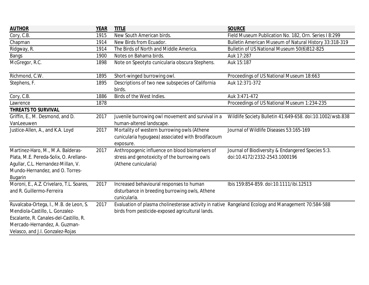| <b>AUTHOR</b>                                                                                                                                                                            | <b>YEAR</b> | <b>TITLE</b>                                                                                                                                           | <b>SOURCE</b>                                                                      |
|------------------------------------------------------------------------------------------------------------------------------------------------------------------------------------------|-------------|--------------------------------------------------------------------------------------------------------------------------------------------------------|------------------------------------------------------------------------------------|
| Cory, C.B.                                                                                                                                                                               | 1915        | New South American birds.                                                                                                                              | Field Museum Publication No. 182, Orn. Series I 8:299                              |
| Chapman                                                                                                                                                                                  | 1914        | New Birds from Ecuador.                                                                                                                                | Bulletin American Museum of Natural History 33:318-319                             |
| Ridgway, R.                                                                                                                                                                              | 1914        | The Birds of North and Middle America.                                                                                                                 | Bulletin of US National Museum 50(6)812-825                                        |
| <b>Bangs</b>                                                                                                                                                                             | 1900        | Notes on Bahama birds.                                                                                                                                 | Auk 17:287                                                                         |
| McGregor, R.C.                                                                                                                                                                           | 1898        | Note on Speotyto cunicularia obscura Stephens.                                                                                                         | Auk 15:187                                                                         |
| Richmond, C.W.                                                                                                                                                                           | 1895        | Short-winged burrowing owl.                                                                                                                            | Proceedings of US National Museum 18:663                                           |
| Stephens, F.                                                                                                                                                                             | 1895        | Descriptions of two new subspecies of California<br>birds.                                                                                             | Auk 12:371-372                                                                     |
| Cory, C.B.                                                                                                                                                                               | 1886        | Birds of the West Indies.                                                                                                                              | Auk 3:471-472                                                                      |
| Lawrence                                                                                                                                                                                 | 1878        |                                                                                                                                                        | Proceedings of US National Museum 1:234-235                                        |
| <b>THREATS TO SURVIVAL</b>                                                                                                                                                               |             |                                                                                                                                                        |                                                                                    |
| Griffin, E., M. Desmond, and D.                                                                                                                                                          | 2017        | Juvenile burrowing owl movement and survival in a                                                                                                      | Wildlife Society Bulletin 41:649-658. doi:10.1002/wsb.838                          |
| VanLeeuwen                                                                                                                                                                               |             | human-altered landscape.                                                                                                                               |                                                                                    |
| Justice-Allen, A., and K.A. Loyd                                                                                                                                                         | 2017        | Mortality of western burrowing owls (Athene<br>cunicularia hypugaea) associated with Brodifacoum<br>exposure.                                          | Journal of Wildlife Diseases 53:165-169                                            |
| Martinez-Haro, M., M.A. Balderas-<br>Plata, M.E. Pereda-Solix, O. Arellano-<br>Agullar, C.L. Hernandez-Millan, V.<br>Mundo-Hernandez, and O. Torres-<br><b>Bugarin</b>                   | 2017        | Anthropogenic influence on blood biomarkers of<br>stress and genotoxicity of the burrowing owls<br>(Athene cunicularia)                                | Journal of Biodiversity & Endangered Species 5:3.<br>doi:10.4172/2332-2543.1000196 |
| Moroni, E., A.Z. Crivelaro, T.L. Soares,<br>and R. Guillermo-Ferreira                                                                                                                    | 2017        | Increased behavioural responses to human<br>disturbance in breeding burrowing owls, Athene<br>cunicularia.                                             | Ibis 159:854-859. doi:10.1111/ibi.12513                                            |
| Ruvalcaba-Ortega, I., M.B. de Leon, S.<br>Mendiola-Castillo, L. Gonzalez-<br>Escalante, R. Canales-del-Castillo, R.<br>Mercado-Hernandez, A. Guzman-<br>Velasco, and J.I. Gonzalez-Rojas | 2017        | Evaluation of plasma cholinesterase activity in native Rangeland Ecology and Management 70:584-588<br>birds from pesticide-exposed agricultural lands. |                                                                                    |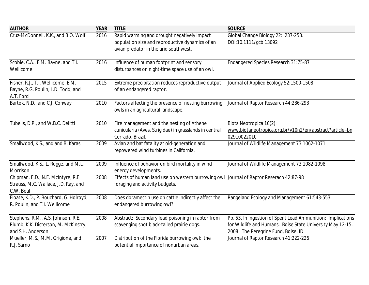| <b>AUTHOR</b>                                                                                   | <b>YEAR</b> | <b>TITLE</b>                                                                                                                            | <b>SOURCE</b>                                                                                                                                                    |
|-------------------------------------------------------------------------------------------------|-------------|-----------------------------------------------------------------------------------------------------------------------------------------|------------------------------------------------------------------------------------------------------------------------------------------------------------------|
| Cruz-McDonnell, K.K., and B.O. Wolf                                                             | 2016        | Rapid warming and drought negatively impact<br>population size and reproductive dynamics of an<br>avian predator in the arid southwest. | Global Change Biology 22: 237-253.<br>DOI:10.1111/gcb.13092                                                                                                      |
| Scobie, C.A., E.M. Bayne, and T.I.<br>Wellicome                                                 | 2016        | Influence of human footprint and sensory<br>disturbances on night-time space use of an owl.                                             | Endangered Species Research 31:75-87                                                                                                                             |
| Fisher, R.J., T.I. Wellicome, E.M.<br>Bayne, R.G. Poulin, L.D. Todd, and<br>A.T. Ford           | 2015        | Extreme precipitation reduces reproductive output<br>of an endangered raptor.                                                           | Journal of Applied Ecology 52:1500-1508                                                                                                                          |
| Bartok, N.D., and C.J. Conway                                                                   | 2010        | Factors affecting the presence of nesting burrowing<br>owls in an agricultural landscape.                                               | Journal of Raptor Research 44:286-293                                                                                                                            |
| Tubelis, D.P., and W.B.C. Delitti                                                               | 2010        | Fire management and the nesting of Athene<br>cunicularia (Aves, Strigidae) in grasslands in central<br>Cerrado, Brazil.                 | Biota Neotropica 10(2):<br>www.biotaneotropica.org.br/v10n2/en/abstract?article+bn<br>02910022010                                                                |
| Smallwood, K.S., and and B. Karas                                                               | 2009        | Avian and bat fatality at old-generation and<br>repowered wind turbines in California.                                                  | Journal of Wildlife Management 73:1062-1071                                                                                                                      |
| Smallwood, K.S., L. Rugge, and M.L.<br>Morrison                                                 | 2009        | Influence of behavior on bird mortality in wind<br>energy developments.                                                                 | Journal of Wildlife Management 73:1082-1098                                                                                                                      |
| Chipman, E.D., N.E. McIntyre, R.E.<br>Strauss, M.C. Wallace, J.D. Ray, and<br>C.W. Boal         | 2008        | Effects of human land use on western burrowing owl Journal of Raptor Reserach 42:87-98<br>foraging and activity budgets.                |                                                                                                                                                                  |
| Floate, K.D., P. Bouchard, G. Holroyd,<br>R. Poulin, and T.I. Wellicome                         | 2008        | Does doramectin use on cattle indirectly affect the<br>endangered burrowing owl?                                                        | Rangeland Ecology and Management 61:543-553                                                                                                                      |
| Stephens, R.M., A.S. Johnson, R.E.<br>Plumb, K.K. Dicterson, M. McKinstry,<br>and S.H. Anderson | 2008        | Abstract: Secondary lead poisoning in raptor from<br>scavenging shot black-tailed prairie dogs.                                         | Pp. 53, In Ingestion of Spent Lead Ammunition: Implications<br>for Wildlife and Humans. Boise State University May 12-15,<br>2008. The Peregrine Fund, Boise, ID |
| Mueller, M.S., M.M. Grigione, and<br>R.J. Sarno                                                 | 2007        | Distribution of the Florida burrowing owl: the<br>potential importance of nonurban areas.                                               | Journal of Raptor Research 41:222-226                                                                                                                            |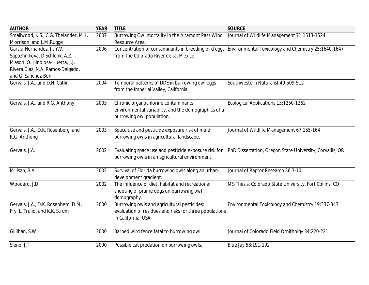| <b>AUTHOR</b>                                                                                                                                            | <b>YEAR</b> | <b>TITLE</b>                                                                                                                 | <b>SOURCE</b>                                                                                           |
|----------------------------------------------------------------------------------------------------------------------------------------------------------|-------------|------------------------------------------------------------------------------------------------------------------------------|---------------------------------------------------------------------------------------------------------|
| Smallwood, K.S., C.G. Thelander, M.L.<br>Morrison, and L.M.Rugge                                                                                         | 2007        | Burrowing Owl mortality in the Altamont Pass Wind<br>Resource Area.                                                          | Journal of Wildlife Management 71:1513-1524                                                             |
| Garcia-Hernandez, J., Y.V.<br>Sapozhnikova, D.Schlenk, A.Z.<br>Mason, O. Hinojosa-Huerta, J.J.<br>Rivera.Diaz, N.A. Ramos-Delgado,<br>and G. Sanchez-Bon | 2006        | from the Colorado River delta, Mexico.                                                                                       | Concentration of contaminants in breeding bird eggs Environmental Toxicology and Chemistry 25:1640-1647 |
| Gervais, J.A., and D.H. Catlin                                                                                                                           | 2004        | Temporal patterns of DDE in burrowing owl eggs<br>from the Imperial Valley, California.                                      | Southwestern Naturalist 49:509-512                                                                      |
| Gervais, J.A., and R.G. Anthony                                                                                                                          | 2003        | Chronic organochlorine contaminants,<br>environmental variablity, and the demographics of a<br>burrowing owl population.     | Ecological Applications 13:1250-1262                                                                    |
| Gervais, J.A., D.K. Rosenberg, and<br>R.G. Anthong                                                                                                       | 2003        | Space use and pesticide exposure risk of male<br>burrowing owls in agricultural landscape.                                   | Journal of Wildlife Management 67:155-164                                                               |
| Gervais, J.A.                                                                                                                                            | 2002        | Evaluating space use and pesticide exposure risk for<br>burrowing owls in an agricultural environment.                       | PhD Dissertation, Oregon State University, Corvallis, OR                                                |
| Millsap, B.A.                                                                                                                                            | 2002        | Survival of Florida burrowing owls along an urban-<br>development gradient.                                                  | Journal of Raptor Research 36:3-10                                                                      |
| Woodard, J.D.                                                                                                                                            | 2002        | The influence of diet, habitat and recreational<br>shooting of prairie dogs on burrowing owl<br>demography.                  | MS Thesis, Colorado State University, Fort Collins, CO                                                  |
| Gervais, J.A., D.K. Rosenberg, D.M.<br>Fry, L. Trulio, and K.K. Strum                                                                                    | 2000        | Burrowing owls and agricultural pesticides:<br>evaluation of residues and risks for three populations<br>in California, USA. | Environmental Toxicology and Chemistry 19:337-343                                                       |
| Gillihan, S.W.                                                                                                                                           | 2000        | Barbed wird fence fatal to burrowing owl.                                                                                    | Journal of Colorado Field Ornitholgy 34:220-221                                                         |
| Sleno, J.T.                                                                                                                                              | 2000        | Possible cat predation on burrowing owls.                                                                                    | Blue Jay 58:191-192                                                                                     |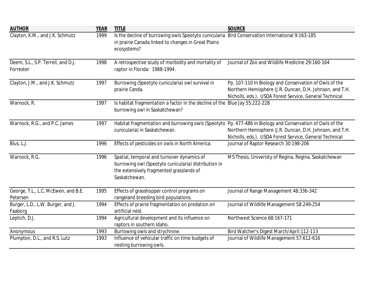| <b>AUTHOR</b>                                   | <b>YEAR</b> | <b>TITLE</b>                                                                                                                                                          | <b>SOURCE</b>                                                                                                                                                                                                                    |
|-------------------------------------------------|-------------|-----------------------------------------------------------------------------------------------------------------------------------------------------------------------|----------------------------------------------------------------------------------------------------------------------------------------------------------------------------------------------------------------------------------|
| Clayton, K.M., and J.K. Schmutz                 | 1999        | Is the decline of burrowing owls Speotyto cunicularia Bird Conservation International 9:163-185<br>in prairie Canada linked to changes in Great Plains<br>ecosystems? |                                                                                                                                                                                                                                  |
| Deem, S.L., S.P. Terrell, and D.J.<br>Forrester | 1998        | A retrospective study of morbidity and mortality of<br>raptor in Florida: 1988-1994.                                                                                  | Journal of Zoo and Wildlife Medicine 29:160-164                                                                                                                                                                                  |
| Clayton, J.M., and J.K. Schmutz                 | 1997        | Burrowing (Speotyto cunicularia) owl survival in<br>prairie Canda.                                                                                                    | Pp. 107-110 In Biology and Conservation of Owls of the<br>Northern Hemisphere (J.R. Duncan, D.H. Johnson, and T.H.<br>Nicholls, eds.). USDA Forest Service, General Technical                                                    |
| Warnock, R.                                     | 1997        | Is habitat fragmentation a factor in the decline of the Blue Jay 55:222-228<br>burrowing owl in Saskatchewan?                                                         |                                                                                                                                                                                                                                  |
| Warnock, R.G., and P.C. James                   | 1997        | cunicularia) in Saskatchewan.                                                                                                                                         | Habitat fragmentation and burrowing owls (Speotyto Pp. 477-486 In Biology and Conservation of Owls of the<br>Northern Hemisphere (J.R. Duncan, D.H. Johnson, and T.H.<br>Nicholls, eds.). USDA Forest Service, General Technical |
| Blus, L.J.                                      | 1996        | Effects of pesticides on owls in North America.                                                                                                                       | Journal of Raptor Research 30:198-206                                                                                                                                                                                            |
| Warnock, R.G.                                   | 1996        | Spatial, temporal and turnover dynamics of<br>burrowing owl (Speotyto cunicularia) distribution in<br>the extensively fragmented grasslands of<br>Saskatchewan.       | MS Thesis, Univeristy of Regina, Regina, Saskatchewan                                                                                                                                                                            |
| George, T.L., L.C. McEwen, and B.E.<br>Petersen | 1995        | Effects of grasshopper control programs on<br>rangeland breeding bird populations.                                                                                    | Journal of Range Management 48:336-342                                                                                                                                                                                           |
| Burger, L.D., L.W. Burger, and J.<br>Faaborg    | 1994        | Effects of prairie fragmentation on predation on<br>artificial nest.                                                                                                  | Journal of Wildlife Management 58:249-254                                                                                                                                                                                        |
| Leptich, D.J.                                   | 1994        | Agricultural development and its influence on<br>raptors in southern Idaho.                                                                                           | Northwest Science 68:167-171                                                                                                                                                                                                     |
| Anonymous                                       | 1993        | Burrowing owls and strychnine.                                                                                                                                        | Bird Watcher's Digest March/April:112-113                                                                                                                                                                                        |
| Plumpton, D.L., and R.S. Lutz                   | 1993        | Influence of vehicular traffic on time budgets of<br>nesting burrowing owls.                                                                                          | Journal of Wildlife Management 57:612-616                                                                                                                                                                                        |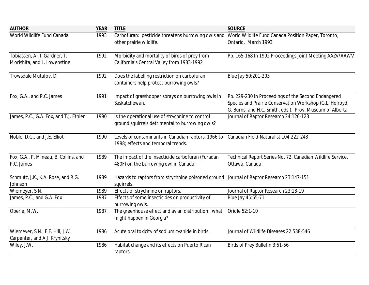| <b>AUTHOR</b>                          | <b>YEAR</b> | <b>TITLE</b>                                                                             | <b>SOURCE</b>                                              |
|----------------------------------------|-------------|------------------------------------------------------------------------------------------|------------------------------------------------------------|
| World Wildlife Fund Canada             | 1993        | Carbofuran: pesticide threatens burrowing owls and                                       | World Wildlife Fund Canada Position Paper, Toronto,        |
|                                        |             | other prairie wildlife.                                                                  | Ontario. March 1993                                        |
| Tobiassen, A., I. Gardner, T.          | 1992        | Morbidity and mortality of birds of prey from                                            | Pp. 165-168 In 1992 Proceedings Joint Meeting AAZV/AAWV    |
| Morishita, and L. Lowenstine           |             | California's Central Valley from 1983-1992                                               |                                                            |
|                                        |             |                                                                                          |                                                            |
| Trowsdale Mutafov, D.                  | 1992        | Does the labelling restriction on carbofuran                                             | Blue Jay 50:201-203                                        |
|                                        |             | containers help protect burrowing owls?                                                  |                                                            |
| Fox, G.A., and P.C. James              | 1991        | Impact of grasshopper sprays on burrowing owls in                                        | Pp. 229-230 In Proceedings of the Second Endangered        |
|                                        |             | Saskatchewan.                                                                            | Species and Prairie Conservation Workshop (G.L. Holroyd,   |
|                                        |             |                                                                                          | G. Burns, and H.C. Smith, eds.). Prov. Museum of Alberta,  |
| James, P.C., G.A. Fox, and T.J. Ethier | 1990        | Is the operational use of strychnine to control                                          | Journal of Raptor Research 24:120-123                      |
|                                        |             | ground squirrels detrimental to burrowing owls?                                          |                                                            |
| Noble, D.G., and J.E. Elliot           | 1990        | Levels of contaminants in Canadian raptors, 1966 to                                      | Canadian Field-Naturalist 104:222-243                      |
|                                        |             | 1988; effects and temporal trends.                                                       |                                                            |
| Fox, G.A., P. Mineau, B. Collins, and  | 1989        | The impact of the insecticide carbofuran (Furadan                                        | Technical Report Series No. 72, Canadian Wildlife Service, |
| P.C. James                             |             | 480F) on the burrowing owl in Canada.                                                    | Ottawa, Canada                                             |
| Schmutz, J.K., K.A. Rose, and R.G.     | 1989        | Hazards to raptors from strychnine poisoned ground Journal of Raptor Research 23:147-151 |                                                            |
| Johnson                                |             | squirrels.                                                                               |                                                            |
| Wiemeyer, S.N.                         | 1989        | Effects of strychnine on raptors.                                                        | Journal of Raptor Research 23:18-19                        |
| James, P.C., and G.A. Fox              | 1987        | Effects of some insecticides on productivity of                                          | Blue Jay 45:65-71                                          |
|                                        |             | burrowing owls.                                                                          |                                                            |
| Oberle, M.W.                           | 1987        | The greenhouse effect and avian distribution: what                                       | Oriole 52:1-10                                             |
|                                        |             | might happen in Georgia?                                                                 |                                                            |
| Wiemeyer, S.N., E.F. Hill, J.W.        | 1986        | Acute oral toxicity of sodium cyanide in birds.                                          | Journal of Wildlife Diseases 22:538-546                    |
| Carpenter, and A.J. Krynitsky          |             |                                                                                          |                                                            |
| Wiley, J.W.                            | 1986        | Habitat change and its effects on Puerto Rican                                           | Birds of Prey Bulletin 3:51-56                             |
|                                        |             | raptors.                                                                                 |                                                            |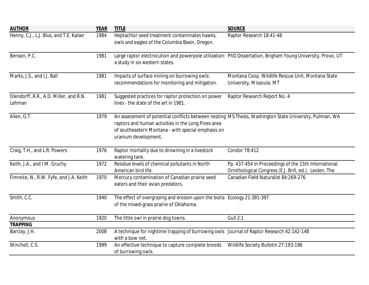| <b>AUTHOR</b>                                    | <b>YEAR</b> | <b>TITLE</b>                                                                                                                      | <b>SOURCE</b>                                                                                                  |
|--------------------------------------------------|-------------|-----------------------------------------------------------------------------------------------------------------------------------|----------------------------------------------------------------------------------------------------------------|
| Henny, C.J., L.J. Blus, and T.E. Kaiser          | 1984        | Heptachlor seed treatment contaminates hawks,<br>owls and eagles of the Columbia Basin, Oregon.                                   | Raptor Research 18:41-48                                                                                       |
| Benson, P.C.                                     | 1981        | a study in six western states.                                                                                                    | Large raptor electrocution and powerpole utilization: PhD Dissertation, Brigham Young University, Provo, UT    |
| Marks, J.S., and I.J. Ball                       | 1981        | Impacts of surface mining on burrowing owls:<br>recommendations for monitoring and mitigation.                                    | Montana Coop. Wildlife Rescue Unit, Montana State<br>University, Missoula, MT                                  |
| Olendorff, R.R., A.D. Miller, and R.N.<br>Lehman | 1981        | Suggested practices for raptor protection on power<br>lines - the state of the art in 1981.                                       | Raptor Research Report No. 4                                                                                   |
| Allen, G.T.                                      | 1979        | raptors and human activities in the Long Pines area<br>of southeastern Montana - with special emphasis on<br>uranium development. | An assessment of potential conflicts between nesting MS Thesis, Washington State University, Pullman, WA       |
| Craig, T.H., and L.R. Powers                     | 1976        | Raptor mortality due to drowning in a livestock<br>watering tank.                                                                 | Condor 78:412                                                                                                  |
| Keith, J.A., and I.M. Gruchy                     | 1972        | Residue levels of chemical pollutants in North<br>American bird life.                                                             | Pp. 437-454 In Proceedings of the 15th International<br>Ornithological Congress (E.J. Brill, ed.). Leiden, The |
| Fimreite, N., R.W. Fyfe, and J.A. Keith          | 1970        | Mercury contamination of Canadian prairie seed<br>eaters and their avian predators.                                               | Canadian Field-Naturalist 84:269-276                                                                           |
| Smith, C.C.                                      | 1940        | The effect of overgrazing and erosion upon the biota Ecology 21:381-397<br>of the mixed-grass prairie of Oklahoma.                |                                                                                                                |
| Anonymous                                        | 1920        | The little owl in prairie dog towns.                                                                                              | <b>Gull 2:1</b>                                                                                                |
| <b>TRAPPING</b>                                  |             |                                                                                                                                   |                                                                                                                |
| Barclay, J.H.                                    | 2008        | A technique for nightime trapping of burrowing owls Journal of Raptor Research 42:142-148<br>with a bow net.                      |                                                                                                                |
| Winchell, C.S.                                   | 1999        | An effective technique to capture complete broods<br>of burrowing owls.                                                           | Wildlife Society Bulletin 27:193-196                                                                           |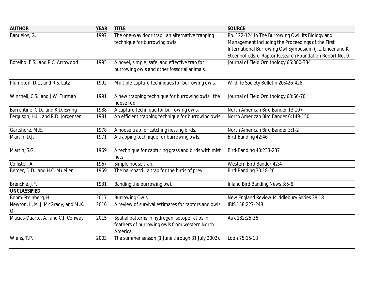| <b>AUTHOR</b>                             | <b>YEAR</b> | <b>TITLE</b>                                                   | <b>SOURCE</b>                                                                                                  |
|-------------------------------------------|-------------|----------------------------------------------------------------|----------------------------------------------------------------------------------------------------------------|
| Banuelos, G.                              | 1997        | The one-way door trap: an alternative trapping                 | Pp. 122-124 In The Burrowing Owl, Its Biology and                                                              |
|                                           |             | technique for burrowing owls.                                  | Management Including the Proceedings of the First<br>International Burrowing Owl Symposium (J.L. Lincer and K. |
|                                           |             |                                                                | Steenhof eds.). Raptor Research Foundation Report No. 9                                                        |
| Botelho, E.S., and P.C. Arrowood          | 1995        | A novel, simple, safe, and effective trap for                  | Journal of Field Ornithology 66:380-384                                                                        |
|                                           |             | burrowing owls and other fossorial animals.                    |                                                                                                                |
| Plumpton, D.L., and R.S. Lutz             | 1992        | Multiple-capture techniques for burrowing owls.                | Wildlife Society Bulletin 20:426-428                                                                           |
| Winchell, C.S., and J.W. Turman           | 1991        | A new trapping technique for burrowing owls: the<br>noose rod. | Journal of Field Ornithology 63:66-70                                                                          |
| Barrentine, C.D., and K.D. Ewing          | 1988        | A capture technique for burrowing owls.                        | North American Bird Bander 13:107                                                                              |
| Ferguson, H.L., and P.D. Jorgensen        | 1981        | An efficient trapping technique for burrowing owls.            | North American Bird Bander 6:149-150                                                                           |
| Gartshore, M.E.                           | 1978        | A noose trap for catching nesting birds.                       | North American Bird Bander 3:1-2                                                                               |
| Martin, D.J.                              | 1971        | A trapping technique for burrowing owls.                       | Bird-Banding 42:46                                                                                             |
| Martin, S.G.                              | 1969        | A technique for capturing grassland birds with mist<br>nets.   | Bird-Banding 40:233-237                                                                                        |
| Collister, A.                             | 1967        | Simple noose trap.                                             | Western Bird Bander 42:4                                                                                       |
| Berger, D.D., and H.C. Mueller            | 1959        | The bal-chatri: a trap for the birds of prey.                  | Bird-Banding 30:18-26                                                                                          |
| Brenckle, J.F.                            | 1931        | Banding the burrowing owl.                                     | Inland Bird Banding News 3:5-6                                                                                 |
| <b>UNCLASSIFIED</b>                       |             |                                                                |                                                                                                                |
| Behm-Steinberg, H.                        | 2017        | <b>Burrowing Owls.</b>                                         | New England Review-Middlebury Series 38:18                                                                     |
| Newton, I., M.J. McGrady, and M.K.<br>Oli | 2016        | A review of survival estimates for raptors and owls.           | IBIS 158:227-248                                                                                               |
| Macias-Duarte, A., and C.J. Conway        | 2015        | Spatial patterns in hydrogen isotope ratios in                 | Auk 132:25-36                                                                                                  |
|                                           |             | feathers of burrowing owls from western North                  |                                                                                                                |
|                                           |             | America.                                                       |                                                                                                                |
| Wiens, T.P.                               | 2003        | The summer season (1 June through 31 July 2002).               | Loon 75:15-18                                                                                                  |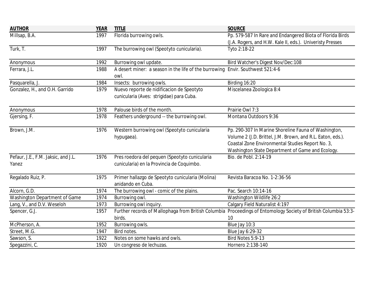| <b>AUTHOR</b>                        | <b>YEAR</b> | <b>TITLE</b>                                                                   | <b>SOURCE</b>                                                                                                   |
|--------------------------------------|-------------|--------------------------------------------------------------------------------|-----------------------------------------------------------------------------------------------------------------|
| Millsap, B.A.                        | 1997        | Florida burrowing owls.                                                        | Pp. 579-587 In Rare and Endangered Biota of Florida Birds                                                       |
|                                      |             |                                                                                | (J.A. Rogers, and H.W. Kale II, eds.). Univeristy Presses                                                       |
| Turk, T.                             | 1997        | The burrowing owl (Speotyto cunicularia).                                      | Tyto 2:18-22                                                                                                    |
| Anonymous                            | 1992        | Burrowing owl update.                                                          | Bird Watcher's Digest Nov/Dec:108                                                                               |
| Ferrara, J.L.                        | 1988        | A desert miner: a season in the life of the burrowing Envir. Southwest 521:4-6 |                                                                                                                 |
|                                      |             | owl.                                                                           |                                                                                                                 |
| Pasquarella, J.                      | 1984        | Insects: burrowing owls.                                                       | Birding 16:20                                                                                                   |
| Gonzalez, H., and O.H. Garrido       | 1979        | Nuevo reporte de nidificacion de Speotyto                                      | Miscelanea Zoologica 8:4                                                                                        |
|                                      |             | cunicularia (Aves: strigidae) para Cuba.                                       |                                                                                                                 |
| Anonymous                            | 1978        | Palouse birds of the month.                                                    | Prairie Owl 7:3                                                                                                 |
| Gjersing, F.                         | 1978        | Feathers underground -- the burrowing owl.                                     | Montana Outdoors 9:36                                                                                           |
| Brown, J.M.                          | 1976        | Western burrowing owl (Speotyto cunicularia                                    | Pp. 290-307 In Marine Shoreline Fauna of Washington,                                                            |
|                                      |             | hypugaea).                                                                     | Volume 2 (J.D. Brittel, J.M. Brown, and R.L. Eaton, eds.).                                                      |
|                                      |             |                                                                                | Coastal Zone Environmental Studies Report No. 3,                                                                |
|                                      |             |                                                                                | Washington State Department of Game and Ecology.                                                                |
| Pefaur, J.E., F.M. Jaksic, and J.L.  | 1976        | Pres roedora del pequen (Speotyto cunicularia                                  | Bio. de Pobl. 2:14-19                                                                                           |
| Yanez                                |             | cunicularia) en la Provincia de Coquimbo.                                      |                                                                                                                 |
| Regalado Ruiz, P.                    | 1975        | Primer hallazgo de Speotyto cunicularia (Molina)                               | Revista Baracoa No. 1-2:36-56                                                                                   |
|                                      |             | anidando en Cuba.                                                              |                                                                                                                 |
| Alcorn, G.D.                         | 1974        | The burrowing owl - comic of the plains.                                       | Pac. Search 10:14-16                                                                                            |
| <b>Washington Department of Game</b> | 1974        | Burrowing owl.                                                                 | Washington Wildlife 26:2                                                                                        |
| Lang, V., and D.V. Weseloh           | 1973        | Burrowing owl inquiry.                                                         | <b>Calgary Field Naturalist 4:197</b>                                                                           |
| Spencer, G.J.                        | 1957        |                                                                                | Further records of Mallophaga from British Columbia Proceedings of Entomology Society of British Columbia 53:3- |
|                                      |             | birds.                                                                         | 10                                                                                                              |
| McPherson, A.                        | 1952        | Burrowing owls.                                                                | Blue Jay 10:3                                                                                                   |
| Street, M.G.                         | 1947        | Bird notes.                                                                    | Blue Jay 6:29-32                                                                                                |
| Sawson, S.                           | 1922        | Notes on some hawks and owls.                                                  | Bird Notes 5:9-13                                                                                               |
| Spegazzini, C.                       | 1920        | Un congreso de lechuzas.                                                       | Hornero 2:138-140                                                                                               |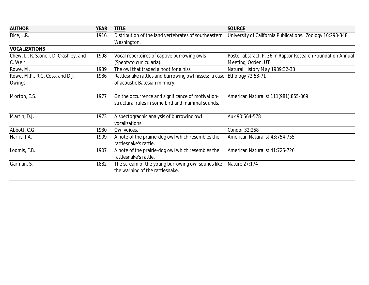| <b>AUTHOR</b>                          | YEAR | <b>TITLE</b>                                                           | <b>SOURCE</b>                                               |
|----------------------------------------|------|------------------------------------------------------------------------|-------------------------------------------------------------|
| Dice, L.R.                             | 1916 | Distribution of the land vertebrates of southeastern                   | University of California Publications. Zoology 16:293-348   |
|                                        |      | Washington.                                                            |                                                             |
| <b>VOCALIZATIONS</b>                   |      |                                                                        |                                                             |
| Chew, L., R. Stonell, D. Crashley, and | 1998 | Vocal repertoires of captive burrowing owls                            | Poster abstract, P. 36 In Raptor Research Foundation Annual |
| C. Weir                                |      | (Speotyto cunicularia).                                                | Meeting, Ogden, UT                                          |
| Rowe, M.                               | 1989 | The owl that traded a hoot for a hiss.                                 | Natural History May 1989:32-33                              |
| Rowe, M.P., R.G. Coss, and D.J.        | 1986 | Rattlesnake rattles and burrowing owl hisses: a case Ethology 72:53-71 |                                                             |
| Owings                                 |      | of acoustic Batesian mimicry.                                          |                                                             |
|                                        |      |                                                                        |                                                             |
| Morton, E.S.                           | 1977 | On the occurrence and significance of motivation-                      | American Naturalist 111(981):855-869                        |
|                                        |      | structural rules in some bird and mammal sounds.                       |                                                             |
|                                        |      |                                                                        |                                                             |
| Martin, D.J.                           | 1973 | A spectograghic analysis of burrowing owl                              | Auk 90:564-578                                              |
|                                        |      | vocalizations.                                                         |                                                             |
| Abbott, C.G.                           | 1930 | Owl voices.                                                            | Condor 32:258                                               |
| Harris, J.A.                           | 1909 | A note of the prairie-dog owl which resembles the                      | American Naturalist 43:754-755                              |
|                                        |      | rattlesnake's rattle.                                                  |                                                             |
| Loomis, F.B.                           | 1907 | A note of the prairie-dog owl which resembles the                      | American Naturalist 41:725-726                              |
|                                        |      | rattlesnake's rattle.                                                  |                                                             |
| Garman, S.                             | 1882 | The scream of the young burrowing owl sounds like                      | Nature 27:174                                               |
|                                        |      | the warning of the rattlesnake.                                        |                                                             |
|                                        |      |                                                                        |                                                             |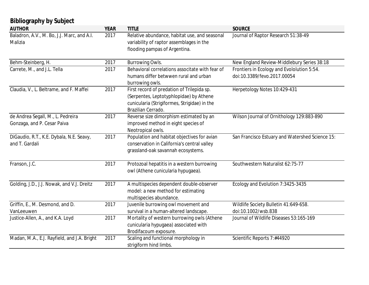| <b>Bibliography by Subject</b>                                   |             |                                                                                                                                                             |                                                                           |
|------------------------------------------------------------------|-------------|-------------------------------------------------------------------------------------------------------------------------------------------------------------|---------------------------------------------------------------------------|
| <b>AUTHOR</b>                                                    | <b>YEAR</b> | <b>TITLE</b>                                                                                                                                                | <b>SOURCE</b>                                                             |
| Baladron, A.V., M. Bo, J.J. Marc, and A.I.<br>Malizia            | 2017        | Relative abundance, habitat use, and seasonal<br>variability of raptor assemblages in the<br>flooding pampas of Argentina.                                  | Journal of Raptor Research 51:38-49                                       |
| Behm-Steinberg, H.                                               | 2017        | <b>Burrowing Owls.</b>                                                                                                                                      | New England Review-Middlebury Series 38:18                                |
| Carrete, M., and J.L. Tella                                      | 2017        | Behavioral correlations associtate with fear of<br>humans differ betwwen rural and urban<br>burrowing owls.                                                 | Frontiers in Ecology and Evololution 5:54.<br>doi:10.3389/fevo.2017.00054 |
| Claudia, V., L. Beltrame, and F. Maffei                          | 2017        | First record of predation of Trilepida sp.<br>(Serpentes, Leptotyphlopidae) by Athene<br>cunicularia (Strigiformes, Strigidae) in the<br>Brazilian Cerrado. | Herpetology Notes 10:429-431                                              |
| de Andrea Segall, M., L. Pedreira<br>Gonzaga, and P. Cesar Paiva | 2017        | Reverse size dimorphism estimated by an<br>improved method in eight species of<br>Neotropical owls.                                                         | Wilson Journal of Ornithology 129:883-890                                 |
| DiGaudio, R.T., K.E. Dybala, N.E. Seavy,<br>and T. Gardali       | 2017        | Population and habitat objectives for avian<br>conservation in California's central valley<br>grassland-oak savannah ecosystems.                            | San Francisco Estuary and Watershed Science 15:                           |
| Franson, J.C.                                                    | 2017        | Protozoal hepatitis in a western burrowing<br>owl (Athene cunicularia hypugaea).                                                                            | Southwestern Naturalist 62:75-77                                          |
| Golding, J.D., J.J. Nowak, and V.J. Dreitz                       | 2017        | A multispecies dependent double-observer<br>model: a new method for estimating<br>multispecies abundance.                                                   | Ecology and Evolution 7:3425-3435                                         |
| Griffin, E., M. Desmond, and D.                                  | 2017        | Juvenile burrowing owl movement and                                                                                                                         | Wildlife Society Bulletin 41:649-658.                                     |
| VanLeeuwen                                                       |             | survival in a human-altered landscape.                                                                                                                      | doi:10.1002/wsb.838                                                       |
| Justice-Allen, A., and K.A. Loyd                                 | 2017        | Mortality of western burrowing owls (Athene<br>cunicularia hypugaea) associated with<br>Brodifacoum exposure.                                               | Journal of Wildlife Diseases 53:165-169                                   |
| Madan, M.A., E.J. Rayfield, and J.A. Bright                      | 2017        | Scaling and functional morphology in<br>strigiform hind limbs.                                                                                              | Scientific Reports 7:#44920                                               |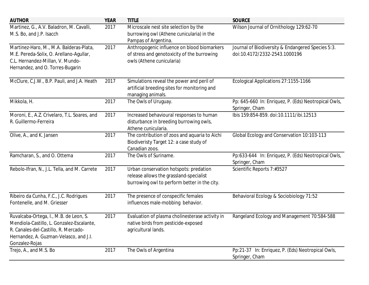| <b>AUTHOR</b>                                                                                                                                                                           | <b>YEAR</b> | <b>TITLE</b>                                                                                                                      | <b>SOURCE</b>                                                                      |
|-----------------------------------------------------------------------------------------------------------------------------------------------------------------------------------------|-------------|-----------------------------------------------------------------------------------------------------------------------------------|------------------------------------------------------------------------------------|
| Martinez, G., A.V. Baladron, M. Cavalli,<br>M.S. Bo, and J.P. Isacch                                                                                                                    | 2017        | Microscale nest site selection by the<br>burrowing owl (Athene cunicularia) in the<br>Pampas of Argentina.                        | Wilson Journal of Ornithology 129:62-70                                            |
| Martinez-Haro, M., M.A. Balderas-Plata,<br>M.E. Pereda-Solix, O. Arellano-Agullar,<br>C.L. Hernandez-Millan, V. Mundo-<br>Hernandez, and O. Torres-Bugarin                              | 2017        | Anthropogenic influence on blood biomarkers<br>of stress and genotoxicity of the burrowing<br>owls (Athene cunicularia)           | Journal of Biodiversity & Endangered Species 5:3.<br>doi:10.4172/2332-2543.1000196 |
| McClure, C.J.W., B.P. Pauli, and J.A. Heath                                                                                                                                             | 2017        | Simulations reveal the power and peril of<br>artificial breeding sites for monitoring and<br>managing animals.                    | Ecological Applications 27:1155-1166                                               |
| Mikkola, H.                                                                                                                                                                             | 2017        | The Owls of Uruguay.                                                                                                              | Pp: 645-660 In: Enriquez, P. (Eds) Neotropical Owls,<br>Springer, Cham             |
| Moroni, E., A.Z. Crivelaro, T.L. Soares, and<br>R. Guillermo-Ferreira                                                                                                                   | 2017        | Increased behavioural responses to human<br>disturbance in breeding burrowing owls,<br>Athene cunicularia.                        | Ibis 159:854-859. doi:10.1111/ibi.12513                                            |
| Olive, A., and K. Jansen                                                                                                                                                                | 2017        | The contribution of zoos and aquaria to Aichi<br>Biodiveristy Target 12: a case study of<br>Canadian zoos.                        | Global Ecology and Conservation 10:103-113                                         |
| Ramcharan, S., and O. Ottema                                                                                                                                                            | 2017        | The Owls of Suriname.                                                                                                             | Pp:633-644 In: Enriquez, P. (Eds) Neotropical Owls,<br>Springer, Cham              |
| Rebolo-Ifran, N., J.L. Tella, and M. Carrete                                                                                                                                            | 2017        | Urban conservation hotspots: predation<br>release allows the grassland-specialist<br>burrowing owl to perform better in the city. | Scientific Reports 7:#3527                                                         |
| Ribeiro da Cunha, F.C., J.C. Rodrigues<br>Fontenelle, and M. Griesser                                                                                                                   | 2017        | The presence of conspecific females<br>influences male-mobbing behavior.                                                          | Behavioral Ecology & Sociobiology 71:52                                            |
| Ruvalcaba-Ortega, I., M.B. de Leon, S.<br>Mendiola-Castillo, L. Gonzalez-Escalante,<br>R. Canales-del-Castillo, R. Mercado-<br>Hernandez, A. Guzman-Velasco, and J.I.<br>Gonzalez-Rojas | 2017        | Evaluation of plasma cholinesterase activity in<br>native birds from pesticide-exposed<br>agricultural lands.                     | Rangeland Ecology and Management 70:584-588                                        |
| Trejo, A., and M.S. Bo                                                                                                                                                                  | 2017        | The Owls of Argentina                                                                                                             | Pp:21-37 In: Enriquez, P. (Eds) Neotropical Owls,<br>Springer, Cham                |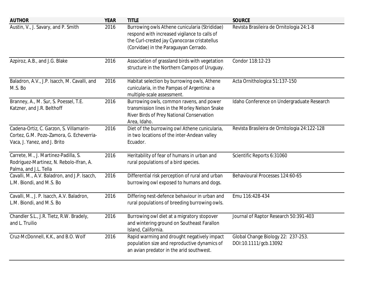| <b>AUTHOR</b>                                                                                                       | <b>YEAR</b> | <b>TITLE</b>                                                                                                                                                                           | <b>SOURCE</b>                                               |
|---------------------------------------------------------------------------------------------------------------------|-------------|----------------------------------------------------------------------------------------------------------------------------------------------------------------------------------------|-------------------------------------------------------------|
| Austin, V., J. Savary, and P. Smith                                                                                 | 2016        | Burrowing owls Athene cunicularia (Strididae)<br>respond with increased vigilance to calls of<br>the Curl-crested jay Cyanocorax cristatellus<br>(Corvidae) in the Paraguayan Cerrado. | Revista Brasileira de Ornitologia 24:1-8                    |
| Azpiroz, A.B., and J.G. Blake                                                                                       | 2016        | Association of grassland birds with vegetation<br>structure in the Northern Campos of Uruguay.                                                                                         | Condor 118:12-23                                            |
| Baladron, A.V., J.P. Isacch, M. Cavalli, and<br>M.S. Bo                                                             | 2016        | Habitat selection by burrowing owls, Athene<br>cunicularia, in the Pampas of Argentina: a<br>multiple-scale assessment.                                                                | Acta Ornithologica 51:137-150                               |
| Branney, A., M. Sur, S. Poessel, T.E.<br>Katzner, and J.R. Belthoff                                                 | 2016        | Burrowing owls, common ravens, and power<br>transmission lines in the Morley Nelson Snake<br>River Birds of Prey National Conservation<br>Area, Idaho.                                 | Idaho Conference on Undergraduate Research                  |
| Cadena-Ortiz, C. Garzon, S. Villamarin-<br>Cortez, G.M. Pozo-Zamora, G. Echeverria-<br>Vaca, J. Yanez, and J. Brito | 2016        | Diet of the burrowing owl Athene cunicularia,<br>in two locations of the inter-Andean valley<br>Ecuador.                                                                               | Revista Brasileira de Ornitologia 24:122-128                |
| Carrete, M., J. Martinez-Padilla, S.<br>Rodriguez-Martinez, N. Rebolo-Ifran, A.<br>Palma, and J.L. Tella            | 2016        | Heritability of fear of humans in urban and<br>rural populations of a bird species.                                                                                                    | Scientific Reports 6:31060                                  |
| Cavalli, M., A.V. Baladron, and J.P. Isacch,<br>L.M. Biondi, and M.S. Bo                                            | 2016        | Differential risk perception of rural and urban<br>burrowing owl exposed to humans and dogs.                                                                                           | Behavioural Processes 124:60-65                             |
| Cavalli, M., J. P. Isacch, A.V. Baladron,<br>L.M. Biondi, and M.S. Bo                                               | 2016        | Differing nest-defence behaviour in urban and<br>rural populations of breeding burrowing owls.                                                                                         | Emu 116:428-434                                             |
| Chandler S.L., J.R. Tietz, R.W. Bradely,<br>and L. Truilio                                                          | 2016        | Burrowing owl diet at a migratory stopover<br>and wintering ground on Southeast Farallon<br>Island, California.                                                                        | Journal of Raptor Research 50:391-403                       |
| Cruz-McDonnell, K.K., and B.O. Wolf                                                                                 | 2016        | Rapid warming and drought negatively impact<br>population size and reproductive dynamics of<br>an avian predator in the arid southwest.                                                | Global Change Biology 22: 237-253.<br>DOI:10.1111/gcb.13092 |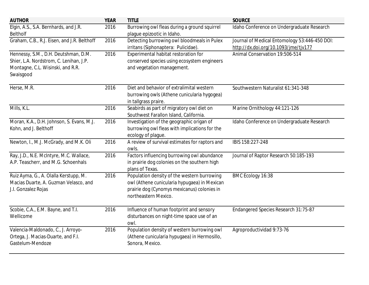| <b>AUTHOR</b>                                            | <b>YEAR</b> | <b>TITLE</b>                                                               | <b>SOURCE</b>                                 |
|----------------------------------------------------------|-------------|----------------------------------------------------------------------------|-----------------------------------------------|
| Elgin, A.S., S.A. Bernhards, and J.R.<br><b>Beltholf</b> | 2016        | Burrowing owl fleas during a ground squirrel<br>plague epizootic in Idaho. | Idaho Conference on Undergraduate Research    |
| Graham, C.B., R.J. Eisen, and J.R. Belthoff              | 2016        | Detecting burrowing owl bloodmeals in Pulex                                | Journal of Medical Entomology 53:446-450 DOI: |
|                                                          |             | irritans (Siphonaptera: Pulicidae).                                        | http://dx.doi.org/10.1093/jme/tjv177          |
| Hennessy, S.M., D.H. Deutshman, D.M.                     | 2016        | Experimental habitat restoration for                                       | Animal Conservation 19:506-514                |
| Shier, L.A. Nordstrom, C. Lenihan, J.P.                  |             | conserved species using ecosystem engineers                                |                                               |
| Montagne, C.L. Wisinski, and R.R.                        |             | and vegetation management.                                                 |                                               |
| Swaisgood                                                |             |                                                                            |                                               |
| Herse, M.R.                                              | 2016        | Diet and behavior of extralimital western                                  | Southwestern Naturalist 61:341-348            |
|                                                          |             | burrowing owls (Athene cunicularia hygogea)                                |                                               |
|                                                          |             | in tallgrass praire.                                                       |                                               |
| Mills, K.L.                                              | 2016        | Seabirds as part of migratory owl diet on                                  | Marine Ornithology 44:121-126                 |
|                                                          |             | Southwest Farallon Island, California.                                     |                                               |
| Moran, K.A., D.H. Johnson, S. Evans, M.J.                | 2016        | Investigation of the geographic origan of                                  | Idaho Conference on Undergraduate Research    |
| Kohn, and J. Belthoff                                    |             | burrowing owl fleas with implications for the                              |                                               |
|                                                          |             | ecology of plague.                                                         |                                               |
| Newton, I., M.J. McGrady, and M.K. Oli                   | 2016        | A review of survival estimates for raptors and                             | IBIS 158:227-248                              |
|                                                          |             | owls.                                                                      |                                               |
| Ray, J.D., N.E. McIntyre, M.C. Wallace,                  | 2016        | Factors influencing burrowing owl abundance                                | Journal of Raptor Research 50:185-193         |
| A.P. Teascherr, and M.G. Schoenhals                      |             | in prairie dog colonies on the southern high                               |                                               |
|                                                          |             | plans of Texas.                                                            |                                               |
| Ruiz Ayma, G., A. Olalla Kerstupp, M.                    | 2016        | Population density of the western burrowing                                | BMC Ecology 16:38                             |
| Macias Duarte, A. Guzman Velasco, and                    |             | owl (Athene cunicularia hypugaea) in Mexican                               |                                               |
| J.I. Gonzalez Rojas                                      |             | prairie dog (Cynomys mexicanus) colonies in                                |                                               |
|                                                          |             | northeastern Mexico.                                                       |                                               |
| Scobie, C.A., E.M. Bayne, and T.I.                       | 2016        | Influence of human footprint and sensory                                   | Endangered Species Research 31:75-87          |
| Wellicome                                                |             | disturbances on night-time space use of an                                 |                                               |
|                                                          |             | owl.                                                                       |                                               |
| Valencia-Maldonado, C., J. Arroyo-                       | 2016        | Population density of western burrowing owl                                | Agroproductividad 9:73-76                     |
| Ortega, J. Macias-Duarte, and F.I.                       |             | (Athene cunicularia hypugaea) in Hermosillo,                               |                                               |
| Gastelum-Mendoze                                         |             | Sonora, Mexico.                                                            |                                               |
|                                                          |             |                                                                            |                                               |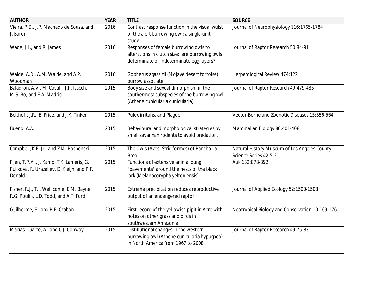| <b>AUTHOR</b>                                                                                     | <b>YEAR</b> | <b>TITLE</b>                                                                                                                        | <b>SOURCE</b>                                                          |
|---------------------------------------------------------------------------------------------------|-------------|-------------------------------------------------------------------------------------------------------------------------------------|------------------------------------------------------------------------|
| Vieira, P.D., J.P. Machado de Sousa, and<br>J. Baron                                              | 2016        | Contrast response function in the visual wulst<br>of the alert burrowing owl: a single-unit<br>study.                               | Journal of Neurophysiology 116:1765-1784                               |
| Wade, J.L., and R. James                                                                          | 2016        | Responses of female burrowing owls to<br>alterations in clutch size: are burrowing owls<br>determinate or indeterminate egg-layers? | Journal of Raptor Research 50:84-91                                    |
| Walde, A.D., A.M. Walde, and A.P.<br>Woodman                                                      | 2016        | Gopherus agassizii (Mojave desert tortoise)<br>burrow associate.                                                                    | Herpetological Review 474:122                                          |
| Baladron, A.V., M. Cavalli, J.P. Isacch,<br>M.S. Bo, and E.A. Madrid                              | 2015        | Body size and sexual dimorphism in the<br>southermost subspecies of the burrowing owl<br>(Athene cunicularia cunicularia)           | Journal of Raptor Research 49:479-485                                  |
| Belthoff, J.R., E. Price, and J.K. Tinker                                                         | 2015        | Pulex irritans, and Plague.                                                                                                         | Vector-Borne and Zoonotic Diseases 15:556-564                          |
| Bueno, A.A.                                                                                       | 2015        | Behavioural and morphological strategies by<br>small savannah rodents to avoid predation.                                           | Mammalian Biology 80:401-408                                           |
| Campbell, K.E. Jr., and Z.M. Bochenski                                                            | 2015        | The Owls (Aves: Strigiformes) of Rancho La<br>Brea.                                                                                 | Natural History Museum of Los Angeles County<br>Science Series 42:5-21 |
| Fijen, T.P.M., J. Kamp, T.K. Lameris, G.<br>Pulikova, R. Urazaliev, D. Kleijn, and P.F.<br>Donald | 2015        | Functions of extensive animal dung<br>"pavements" around the nests of the black<br>lark (Melanocorypha yeltoniensis).               | Auk 132:878-892                                                        |
| Fisher, R.J., T.I. Wellicome, E.M. Bayne,<br>R.G. Poulin, L.D. Todd, and A.T. Ford                | 2015        | Extreme precipitation reduces reproductive<br>output of an endangered raptor.                                                       | Journal of Applied Ecology 52:1500-1508                                |
| Guilherme, E., and R.E. Czaban                                                                    | 2015        | First record of the yellowish pipit in Acre with<br>notes on other grassland birds in<br>southwestern Amazonia.                     | Neotropical Biology and Conservation 10:169-176                        |
| Macias-Duarte, A., and C.J. Conway                                                                | 2015        | Distibutional changes in the western<br>burrowing owl (Athene cunicularia hypugaea)<br>in North America from 1967 to 2008.          | Journal of Raptor Research 49:75-83                                    |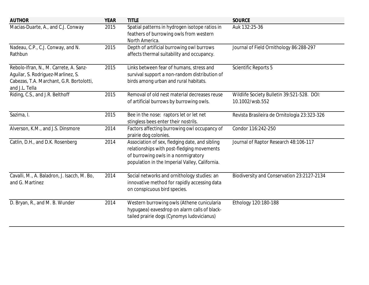| <b>AUTHOR</b>                                                                                                                              | <b>YEAR</b> | <b>TITLE</b>                                                                                                                                                                          | <b>SOURCE</b>                                                 |
|--------------------------------------------------------------------------------------------------------------------------------------------|-------------|---------------------------------------------------------------------------------------------------------------------------------------------------------------------------------------|---------------------------------------------------------------|
| Macias-Duarte, A., and C.J. Conway                                                                                                         | 2015        | Spatial patterns in hydrogen isotope ratios in<br>feathers of burrowing owls from western<br>North America.                                                                           | Auk 132:25-36                                                 |
| Nadeau, C.P., C.J. Conway, and N.<br>Rathbun                                                                                               | 2015        | Depth of artificial burrowing owl burrows<br>affects thermal suitability and occupancy.                                                                                               | Journal of Field Ornithology 86:288-297                       |
| Rebolo-Ifran, N., M. Carrete, A. Sanz-<br>Aguilar, S. Rodriguez-Marlinez, S.<br>Cabezas, T.A. Marchant, G.R. Bortolotti,<br>and J.L. Tella | 2015        | Links between fear of humans, stress and<br>survival support a non-random distribution of<br>birds among urban and rural habitats.                                                    | <b>Scientific Reports 5</b>                                   |
| Riding, C.S., and J.R. Belthoff                                                                                                            | 2015        | Removal of old nest material decreases reuse<br>of artificial burrows by burrowing owls.                                                                                              | Wildlife Society Bulletin 39:521-528. DOI:<br>10.1002/wsb.552 |
| Sazima, I.                                                                                                                                 | 2015        | Bee in the nose: raptors let or let net<br>stingless bees enter their nostrils.                                                                                                       | Revista Brasileira de Ornitologia 23:323-326                  |
| Alverson, K.M., and J.S. Dinsmore                                                                                                          | 2014        | Factors affecting burrowing owl occupancy of<br>prairie dog colonies.                                                                                                                 | Condor 116:242-250                                            |
| Catlin, D.H., and D.K. Rosenberg                                                                                                           | 2014        | Association of sex, fledging date, and sibling<br>relationships with post-fledging movements<br>of burrowing owls in a nonmigratory<br>population in the Imperial Valley, California. | Journal of Raptor Research 48:106-117                         |
| Cavalli, M., A. Baladron, J. Isacch, M. Bo,<br>and G. Martinez                                                                             | 2014        | Social networks and ornithology studies: an<br>innovative method for rapidly accessing data<br>on conspicuous bird species.                                                           | Biodiversity and Conservation 23:2127-2134                    |
| D. Bryan, R., and M. B. Wunder                                                                                                             | 2014        | Western burrowing owls (Athene cunicularia<br>hypugaea) eavesdrop on alarm calls of black-<br>tailed prairie dogs (Cynomys ludovicianus)                                              | Ethology 120:180-188                                          |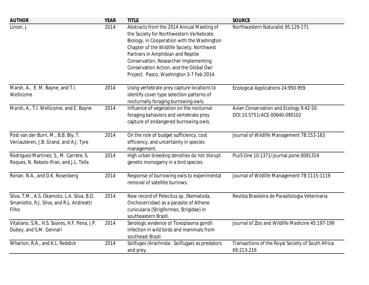| <b>AUTHOR</b>                                                                                     | <b>YEAR</b> | <b>TITLE</b>                                                                                                                                                                                                                                                                                                                                           | <b>SOURCE</b>                                                           |
|---------------------------------------------------------------------------------------------------|-------------|--------------------------------------------------------------------------------------------------------------------------------------------------------------------------------------------------------------------------------------------------------------------------------------------------------------------------------------------------------|-------------------------------------------------------------------------|
| Lincer, J.                                                                                        | 2014        | Abstracts from the 2014 Annual Meeting of<br>the Society for Northwestern Verbebrate<br>Biology, in Cooperation with the Washington<br>Chapter of the Wildlife Society, Northwest<br>Partners in Amphibian and Reptile<br>Conservation, Researcher Implementing<br>Conservation Action, and the Global Owl<br>Project. Pasco, Washington 3-7 Feb 2014. | Northwestern Naturalist 95:129-171                                      |
| Marsh, A., E. M. Bayne, and T.I.<br>Wellicome                                                     | 2014        | Using vertebrate prey capture locations to<br>identify cover type selection patterns of<br>nocturnally foraging burrowing owls.                                                                                                                                                                                                                        | Ecological Applications 24:950-959                                      |
| Marsh, A., T.I. Wellicome, and E. Bayne                                                           | 2014        | Influence of vegetation on the nocturnal<br>foraging behaviors and vertebrate prey<br>capture of endangered burrowing owls.                                                                                                                                                                                                                            | Avian Conservation and Ecology 9:42-50.<br>DOI:10.5751/ACE-00640-090102 |
| Post van der Burn, M., B.B. Bly, T.<br>Vercauteren, J.B. Grand, and A.J. Tyre                     | 2014        | On the role of budget sufficiency, cost<br>efficiency, and uncertainty in species<br>management.                                                                                                                                                                                                                                                       | Journal of Wildlife Management 78:153-163                               |
| Rodriguez-Martinez, S., M. Carrete, S.<br>Roques, N. Rebolo-Ifran, and J.L. Tella                 | 2014        | High urban breeding densities do not disrupt<br>genetic monogamy in a bird species.                                                                                                                                                                                                                                                                    | PLoS One 10.1371/journal.pone.0091314                                   |
| Ronan, N.A., and D.K. Rosenberg                                                                   | 2014        | Response of burrowing owls to experimental<br>removal of satellite burrows.                                                                                                                                                                                                                                                                            | Journal of Wildlife Management 78:1115-1119                             |
| Silva, T.M., A.S. Okamoto, L.A. Silva, B.D.<br>Smaniotto, R.J. Silva, and R.L. Andreatti<br>Filho | 2014        | New record of Pelecitus sp. (Nematoda,<br>Onchocercidae) as a parasite of Athene<br>cunicularia (Strigiformes, Strigidae) in<br>southeastern Brazil.                                                                                                                                                                                                   | Revista Brasileira de Parasitologia Veterinaria                         |
| Vitaliano, S.N., H.S. Soares, H.F. Pena, J.P.<br>Dubey, and S.M. Gennari                          | 2014        | Serologic evidence ot Toxoplasma gondii<br>infection in wild birds and mammals from<br>southeast Brazil.                                                                                                                                                                                                                                               | Journal of Zoo and Wildlife Medicine 45:197-199                         |
| Wharton, R.A., and K.L. Reddick                                                                   | 2014        | Solifuges (Arachnida: Solifugae) as predators<br>and prey.                                                                                                                                                                                                                                                                                             | Transactions of the Royal Society of South Africa<br>69:213-216         |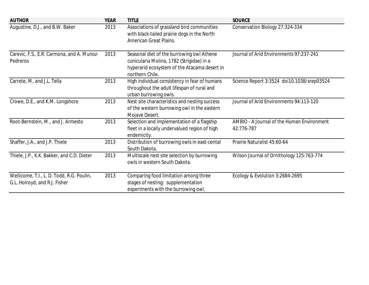| <b>AUTHOR</b>                                                              | <b>YEAR</b> | <b>TITLE</b>                                                                                                                                              | <b>SOURCE</b>                                            |
|----------------------------------------------------------------------------|-------------|-----------------------------------------------------------------------------------------------------------------------------------------------------------|----------------------------------------------------------|
| Augustine, D.J., and B.W. Baker                                            | 2013        | Associations of grassland bird communities<br>with black-tailed prairie dogs in the North<br><b>American Great Plains.</b>                                | Conservation Biology 27:324-334                          |
| Carevic, F.S., E.R. Carmona, and A. Munoz-<br>Pedreros                     | 2013        | Seasonal diet of the burrowing owl Athene<br>cunicularia Molina, 1782 (Strigidae) in a<br>hyperarid ecosystem of the Atacama desert in<br>northern Chile. | Journal of Arid Environments 97:237-241                  |
| Carrete, M, and J.L. Tella                                                 | 2013        | High individual consistency in fear of humans<br>throughout the adult lifespan of rural and<br>urban burrowing owls.                                      | Science Report 3:3524 doi10.1038/srep03524               |
| Crowe, D.E., and K.M. Longshore                                            | 2013        | Nest site characteristics and nesting success<br>of the western burrowing owl in the eastern<br>Mojave Desert.                                            | Journal of Arid Environments 94:113-120                  |
| Root-Bernstein, M., and J. Armesto                                         | 2013        | Selection and implementation of a flagship<br>fleet in a locally undervalued region of high<br>endemicity.                                                | AMBIO - A Journal of the Human Environment<br>42:776-787 |
| Shaffer, J.A., and J.P. Thiele                                             | 2013        | Distribution of burrowing owls in east-cental<br>South Dakota.                                                                                            | Prairie Naturalist 45:60-64                              |
| Thiele, J.P., K.K. Bakker, and C.D. Dieter                                 | 2013        | Multiscale nest site selection by burrowing<br>owls in western South Dakota.                                                                              | Wilson Journal of Ornithology 125:763-774                |
| Wellicome, T.I., L. D. Todd, R.G. Poulin,<br>G.L. Holroyd, and R.J. Fisher | 2013        | Comparing food limitation among three<br>stages of nesting: supplementation<br>experiments with the burrowing owl.                                        | Ecology & Evolution 3:2684-2695                          |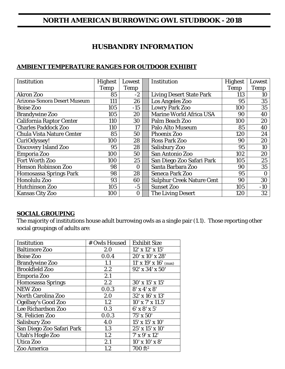# **NORTH AMERICAN BURROWING OWL STUDBOOK - 2018**

# **HUSBANDRY INFORMATION**

#### **AMBIENT TEMPERATURE RANGES FOR OUTDOOR EXHIBIT**

| <b>Institution</b>                  | <b>Highest</b> | Lowest      | <b>Institution</b>               | <b>Highest</b> | Lowest      |
|-------------------------------------|----------------|-------------|----------------------------------|----------------|-------------|
|                                     | Temp           | <b>Temp</b> |                                  | <b>Temp</b>    | <b>Temp</b> |
| <b>Akron</b> Zoo                    | 85             | $-2$        | <b>Living Desert State Park</b>  | 113            | 10          |
| <b>Arizona-Sonora Desert Museum</b> | 111            | 26          | <b>Los Angeles Zoo</b>           | 95             | 35          |
| <b>Boise Zoo</b>                    | 105            | $-15$       | <b>Lowry Park Zoo</b>            | 100            | 35          |
| <b>Brandywine Zoo</b>               | 105            | 20          | <b>Marine World Africa USA</b>   | 90             | 40          |
| <b>California Raptor Center</b>     | 110            | 30          | Palm Beach Zoo                   | 100            | 20          |
| <b>Charles Paddock Zoo</b>          | 110            | 17          | <b>Palo Alto Museum</b>          | 85             | 40          |
| <b>Chula Vista Nature Center</b>    | 85             | 50          | <b>Phoenix Zoo</b>               | 120            | 24          |
| CuriOdyssey!                        | 100            | 28          | <b>Ross Park Zoo</b>             | 90             | 20          |
| <b>Discovery Island Zoo</b>         | 95             | 28          | <b>Salisbury Zoo</b>             | 95             | 10          |
| <b>Emporia Zoo</b>                  | 100            | 50          | <b>San Antonio Zoo</b>           | 102            | 20          |
| <b>Fort Worth Zoo</b>               | 100            | 25          | San Diego Zoo Safari Park        | 105            | 25          |
| <b>Henson Robinson Zoo</b>          | 98             | $\bf{0}$    | Santa Barbara Zoo                | 90             | 35          |
| <b>Homosassa Springs Park</b>       | 98             | 28          | <b>Seneca Park Zoo</b>           | 95             | 0           |
| Honolulu Zoo                        | 93             | 60          | <b>Sulphur Creek Nature Cent</b> | 90             | 30          |
| <b>Hutchinson Zoo</b>               | 105            | $-5$        | <b>Sunset Zoo</b>                | 105            | $-10$       |
| <b>Kansas City Zoo</b>              | 100            | $\bf{0}$    | <b>The Living Desert</b>         | 120            | 32          |

#### **SOCIAL GROUPING**

The majority of institutions house adult burrowing owls as a single pair (1.1). Those reporting other social groupings of adults are:

| <b>Institution</b>        | # Owls Housed | <b>Exhibit Size</b>         |
|---------------------------|---------------|-----------------------------|
| <b>Baltimore Zoo</b>      | 2.0           | $12' \times 12' \times 15'$ |
| <b>Boise Zoo</b>          | 0.0.4         | 20' x 10' x 28'             |
| <b>Brandywine Zoo</b>     | 1.1           | $11'$ x $19'$ x $16'$ (max) |
| <b>Brookfield Zoo</b>     | 2.2           | 92' x 34' x 50'             |
| <b>Emporia Zoo</b>        | 2.1           |                             |
| <b>Homosassa Springs</b>  | 2.2           | 30' x 15' x 15'             |
| <b>NEW Zoo</b>            | 0.0.3         | $8'$ x 4' x $8'$            |
| <b>North Carolina Zoo</b> | 2.0           | $32' \times 16' \times 13'$ |
| <b>Ogelbay's Good Zoo</b> | 1.2           | $10'$ x $7'$ x $11.5'$      |
| <b>Lee Richardson Zoo</b> | 0.3           | $6'$ x $8'$ x $5'$          |
| <b>St. Felicien Zoo</b>   | 0.0.3         | $75' \times 50'$            |
| Salisbury Zoo             | 4.0           | $15' \times 15' \times 10'$ |
| San Diego Zoo Safari Park | 1.3           | 25' x 15' x 10'             |
| <b>Utah's Hogle Zoo</b>   | 1.2           | $7' \times 9' \times 12'$   |
| <b>Utica Zoo</b>          | 2.1           | $10'$ x $10'$ x $8'$        |
| <b>Zoo America</b>        | 1.2           | 700 ft <sup>2</sup>         |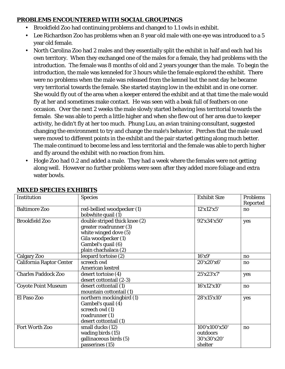## **PROBLEMS ENCOUNTERED WITH SOCIAL GROUPINGS**

- Brookfield Zoo had continuing problems and changed to 1.1 owls in exhibit.
- Lee Richardson Zoo has problems when an 8 year old male with one eye was introduced to a 5 year old female.
- North Carolina Zoo had 2 males and they essentially split the exhibit in half and each had his own territory. When they exchanged one of the males for a female, they had problems with the introduction. The female was 8 months of old and 2 years younger than the male. To begin the introduction, the male was kenneled for 3 hours while the female explored the exhibit. There were no problems when the male was released from the kennel but the next day he became very territorial towards the female. She started staying low in the exhibit and in one corner. She would fly out of the area when a keeper entered the exhibit and at that time the male would fly at her and sometimes make contact. He was seen with a beak full of feathers on one occasion. Over the next 2 weeks the male slowly started behaving less territorial towards the female. She was able to perch a little higher and when she flew out of her area due to keeper activity, he didn't fly at her too much. Phung Luu, an avian training consultant, suggested changing the environment to try and change the male's behavior. Perches that the male used were moved to different points in the exhibit and the pair started getting along much better. The male continued to become less and less territorial and the female was able to perch higher and fly around the exhibit with no reaction from him.
- Hogle Zoo had 0.2 and added a male. They had a week where the females were not getting along well. However no further problems were seen after they added more foliage and extra water bowls.

| <b>Institution</b>              | <b>Species</b>                                                                                                                                        | <b>Exhibit Size</b>                                 | <b>Problems</b><br>Reported |
|---------------------------------|-------------------------------------------------------------------------------------------------------------------------------------------------------|-----------------------------------------------------|-----------------------------|
| <b>Baltimore Zoo</b>            | red-bellied woodpecker (1)<br>bobwhite quail (1)                                                                                                      | 12'x12'x5'                                          | $\mathbf{n}$                |
| <b>Brookfield Zoo</b>           | double striped thick knee (2)<br>greater roadrunner (3)<br>white winged dove (5)<br>Gila woodpecker (1)<br>Gambel's quail (6)<br>plain chachalaca (2) | 92'x34'x50'                                         | yes                         |
| <b>Calgary Zoo</b>              | leopard tortoise (2)                                                                                                                                  | 16'x9'                                              | $\mathbf{n}\mathbf{o}$      |
| <b>California Raptor Center</b> | screech owl<br><b>American kestrel</b>                                                                                                                | 20'x20'x6'                                          | $\mathbf{n}\mathbf{o}$      |
| <b>Charles Paddock Zoo</b>      | desert tortoise (4)<br>desert cottontail (2-3)                                                                                                        | 25'x23'x7'                                          | yes                         |
| <b>Coyote Point Museum</b>      | desert cottontail (1)<br>mountain cottontail (1)                                                                                                      | 16'x12'x10'                                         | $\mathbf{n}\mathbf{o}$      |
| El Paso Zoo                     | northern mockingbird (1)<br>Gambel's quail (4)<br>screech owl (1)<br>roadrunner (1)<br>desert cottontail (1)                                          | 28'x15'x10'                                         | yes                         |
| <b>Fort Worth Zoo</b>           | small ducks (12)<br>wading birds (15)<br>gallinaceous birds (5)<br>passerines (15)                                                                    | 100'x100'x50'<br>outdoors<br>30'x30'x20'<br>shelter | $\mathbf{n}\mathbf{o}$      |

#### **MIXED SPECIES EXHIBITS**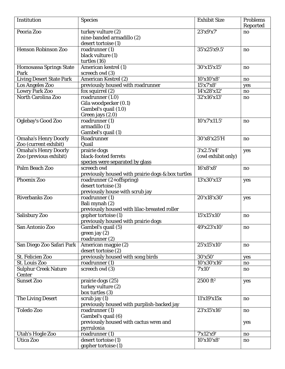| Institution                                          | <b>Species</b>                                                                       | <b>Problems</b><br><b>Reported</b> |                        |
|------------------------------------------------------|--------------------------------------------------------------------------------------|------------------------------------|------------------------|
| Peoria Zoo                                           | turkey vulture $\overline{(2)}$<br>nine-banded armadillo (2)<br>desert tortoise (1)  | 23'x9'x7'                          | $\mathbf{n}$           |
| <b>Henson Robinson Zoo</b>                           | roadrunner (1)<br>black vulture (1)<br>turtles (16)                                  | 35'x25'x9.5'                       | $\mathbf{n}$           |
| <b>Homosassa Springs State</b><br>Park               | American kestrel (1)<br>screech owl (3)                                              | 30'x15'x15'                        | $\mathbf{n}\mathbf{o}$ |
| <b>Living Desert State Park</b>                      | <b>American Kestrel (2)</b>                                                          | 10'x10'x8'                         | $\mathbf{no}$          |
| <b>Los Angeles Zoo</b>                               | previously housed with roadrunner                                                    | 15'x7'x8'                          | yes                    |
| <b>Lowry Park Zoo</b>                                | fox squirrel (2)                                                                     | 14'x28'x12'                        | $\mathbf{no}$          |
| <b>North Carolina Zoo</b>                            | roadrunner (1.0)                                                                     | 32'x16'x13'                        | $\mathbf{n}\mathbf{o}$ |
|                                                      | Gila woodpecker (0.1)<br>Gambel's quail (1.0)<br>Green jays (2.0)                    |                                    |                        |
| Oglebay's Good Zoo                                   | roadrunner (1)<br>armadillo (1)<br><b>Gambel's quail (1)</b>                         | 10'x7'x11.5'                       | $\mathbf{n}$           |
| <b>Omaha's Henry Doorly</b><br>Zoo (current exhibit) | Roadrunner<br>Quail                                                                  | 30'x8'x25'H                        | $\mathbf{n}$           |
| <b>Omaha's Henry Doorly</b>                          | prairie dogs                                                                         | 3'x2.5'x4'                         |                        |
| Zoo (previous exhibit)                               | black-footed ferrets<br>species were separated by glass                              | (owl exhibit only)                 | yes                    |
| <b>Palm Beach Zoo</b>                                | screech owl<br>previously housed with prairie dogs & box turtles                     | 16'x8'x8'                          | $\mathbf{n}$           |
| <b>Phoenix Zoo</b>                                   | roadrunner $(2+offspring)$<br>desert tortoise (3)<br>previously house with scrub jay | 13'x30'x13'                        | yes                    |
| <b>Riverbanks Zoo</b>                                | roadrunner (1)<br>Bali mynah (2)<br>previously housed with lilac-breasted roller     | 20'x18'x30'                        | yes                    |
| <b>Salisbury Zoo</b>                                 | gopher tortoise (1)<br>previously housed with prairie dogs                           | 15'x15'x10'                        | $\mathbf{n}\mathbf{o}$ |
| San Antonio Zoo                                      | Gambel's quail (5)<br>$green$ jay $(2)$<br>roadrunner (2)                            | 49'x23'x10'                        | $\mathbf{n}\mathbf{o}$ |
| San Diego Zoo Safari Park                            | American magpie (2)<br>desert tortoise (2)                                           | 25'x15'x10'                        | $\mathbf{n}\mathbf{o}$ |
| <b>St. Felicien Zoo</b>                              | previously housed with song birds                                                    | 30'x50'                            | yes                    |
| <b>St. Louis Zoo</b>                                 | roadrunner (1)                                                                       | 10'x30'x16'                        | $\mathbf{no}$          |
| <b>Sulphur Creek Nature</b><br><b>Center</b>         | screech owl (3)                                                                      | 7'x10'                             | $\mathbf{n}\mathbf{o}$ |
| <b>Sunset Zoo</b>                                    | prairie dogs (25)<br>turkey vulture (2)<br>box turtles (3)                           | 2500 ft <sup>2</sup>               | yes                    |
| <b>The Living Desert</b>                             | scrub jay $(1)$<br>previously housed with purplish-backed jay                        | 11'x19'x15x                        | $\mathbf{n}\mathbf{o}$ |
| <b>Toledo Zoo</b>                                    | roadrunner (1)<br>Gambel's quail (6)                                                 | 23'x15'x16'                        | $\mathbf{n}\mathbf{o}$ |
|                                                      | previously housed with cactus wren and<br>pyrruloxia                                 |                                    | yes                    |
| <b>Utah's Hogle Zoo</b>                              | roadrunner $(1)$                                                                     | 7'x12'x9'                          | $\mathbf{n}\mathbf{o}$ |
| <b>Utica Zoo</b>                                     | desert tortoise (1)<br>gopher tortoise (1)                                           | 10'x10'x8'                         | $\mathbf{n}\mathbf{o}$ |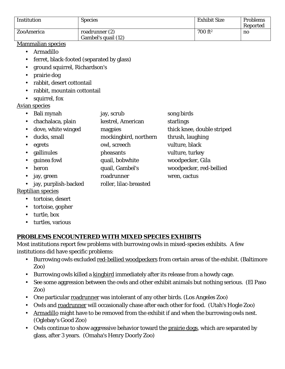| <b>Institution</b>             | <b>Species</b>                            | <b>Exhibit Size</b>        | <b>Problems</b><br><b>Reported</b> |  |
|--------------------------------|-------------------------------------------|----------------------------|------------------------------------|--|
| ZooAmerica                     | roadrunner (2)<br>Gambel's quail (12)     | 700 ft <sup>2</sup>        | $\mathbf{n}$                       |  |
| <b>Mammalian species</b>       |                                           |                            |                                    |  |
| <b>Armadillo</b>               |                                           |                            |                                    |  |
| $\bullet$                      | ferret, black-footed (separated by glass) |                            |                                    |  |
| ground squirrel, Richardson's  |                                           |                            |                                    |  |
| prairie dog                    |                                           |                            |                                    |  |
| rabbit, desert cottontail      |                                           |                            |                                    |  |
| rabbit, mountain cottontail    |                                           |                            |                                    |  |
| squirrel, fox                  |                                           |                            |                                    |  |
| <b>Avian species</b>           |                                           |                            |                                    |  |
| Bali mynah                     | jay, scrub                                | song birds                 |                                    |  |
| chachalaca, plain<br>$\bullet$ | kestrel, American                         | starlings                  |                                    |  |
| dove, white winged             | magpies                                   | thick knee, double striped |                                    |  |
| ducks, small                   | mockingbird, northern                     | thrush, laughing           |                                    |  |
| egrets                         | owl, screech                              | vulture, black             |                                    |  |
| gallinules                     | pheasants                                 | vulture, turkey            |                                    |  |
| guinea fowl                    | quail, bobwhite                           | woodpecker, Gila           |                                    |  |
| heron                          | quail, Gambel's                           | woodpecker, red-bellied    |                                    |  |
| jay, green                     | roadrunner                                | wren, cactus               |                                    |  |

- jay, purplish-backed roller, lilac-breasted
- Reptilian species
	- tortoise, desert
	- tortoise, gopher
	- turtle, box
	- turtles, various

# **PROBLEMS ENCOUNTERED WITH MIXED SPECIES EXHIBITS**

Most institutions report few problems with burrowing owls in mixed-species exhibits. A few institutions did have specific problems:

- Burrowing owls excluded red-bellied woodpeckers from certain areas of the exhibit. (Baltimore Zoo)
- Burrowing owls killed a kingbird immediately after its release from a howdy cage.
- See some aggression between the owls and other exhibit animals but nothing serious. (El Paso Zoo)
- One particular roadrunner was intolerant of any other birds. (Los Angeles Zoo)
- Owls and roadrunner will occasionally chase after each other for food. (Utah's Hogle Zoo)
- Armadillo might have to be removed from the exhibit if and when the burrowing owls nest. (Oglebay's Good Zoo)
- Owls continue to show aggressive behavior toward the prairie dogs, which are separated by glass, after 3 years. (Omaha's Henry Doorly Zoo)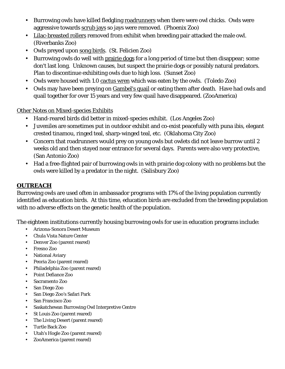- Burrowing owls have killed fledgling roadrunners when there were owl chicks. Owls were aggressive towards scrub jays so jays were removed. (Phoenix Zoo)
- Lilac-breasted rollers removed from exhibit when breeding pair attacked the male owl. (Riverbanks Zoo)
- Owls preyed upon song birds. (St. Felicien Zoo)
- Burrowing owls do well with prairie dogs for a long period of time but then disappear; some don't last long. Unknown causes, but suspect the prairie dogs or possibly natural predators. Plan to discontinue exhibiting owls due to high loss. (Sunset Zoo)
- Owls were housed with 1.0 cactus wren which was eaten by the owls. (Toledo Zoo)
- Owls may have been preying on Gambel's quail or eating them after death. Have had owls and quail together for over 15 years and very few quail have disappeared. (ZooAmerica)

Other Notes on Mixed-species Exhibits

- Hand-reared birds did better in mixed-species exhibit. (Los Angeles Zoo)
- Juveniles are sometimes put in outdoor exhibit and co-exist peacefully with puna ibis, elegant crested tinamou, ringed teal, sharp-winged teal, etc. (Oklahoma City Zoo)
- Concern that roadrunners would prey on young owls but owlets did not leave burrow until 2 weeks old and then stayed near entrance for several days. Parents were also very protective, (San Antonio Zoo)
- Had a free-flighted pair of burrowing owls in with prairie dog colony with no problems but the owls were killed by a predator in the night. (Salisbury Zoo)

## **OUTREACH**

Burrowing owls are used often in ambassador programs with 17% of the living population currently identified as education birds. At this time, education birds are excluded from the breeding population with no adverse effects on the genetic health of the population.

The eighteen institutions currently housing burrowing owls for use in education programs include:

- Arizona-Sonora Desert Museum
- Chula Vista Nature Center
- Denver Zoo (parent reared)
- Fresno Zoo
- National Aviary
- Peoria Zoo (parent reared)
- Philadelphia Zoo (parent reared)
- Point Defiance Zoo
- Sacramento Zoo
- San Diego Zoo
- San Diego Zoo's Safari Park
- San Francisco Zoo
- Saskatchewan Burrowing Owl Interpretive Centre
- St Louis Zoo (parent reared)
- The Living Desert (parent reared)
- Turtle Back Zoo
- Utah's Hogle Zoo (parent reared)
- ZooAmerica (parent reared)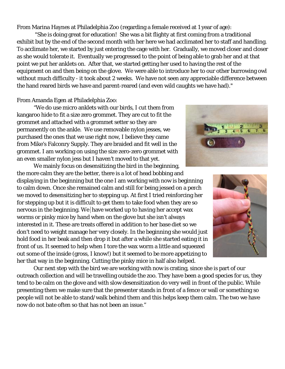From Marina Haynes at Philadelphia Zoo (regarding a female received at 1 year of age):

"She is doing great for education! She was a bit flighty at first coming from a traditional exhibit but by the end of the second month with her here we had acclimated her to staff and handling. "She is doing great for education! She was a bit flighty at first coming from a traditional<br>exhibit but by the end of the second month with her here we had acclimated her to staff and handling.<br>To acclimate her, we started as she would tolerate it. Eventually we progressed to the point of being able to grab her and at that point we put her anklets on. After that, we started getting her used to having the rest of the equipment on and then being on the glove. We were able to introduce her to our other burrowing owl without much difficulty - it took about 2 weeks. We have not seen any appreciable difference between the hand reared birds we have and parent-reared (and even wild caughts we have had)." ment on and then being on the glove. We were able to introduce her to our other **h**<br>ut much difficulty - it took about 2 weeks. We have not seen any appreciable differ<br>and reared birds we have and parent-reared (and even

#### From Amanda Egen at Philadelphia Zoo:

\manda Egen at Philadelphia Zoo:<br>"We do use micro anklets with our birds, I cut them from kangaroo hide to fit a size zero grommet. They are cut to fit the grommet and attached with a grommet setter so they are permanently on the ankle. We use removable nylon jesses, we We purchased the ones that we use right now, I believe they came from Mike's Falconry Supply. They are braided and fit well in the from Mike's Falconry Supply. They are braided and fit well in the<br>grommet. I am working on using the size zero-zero grommet with an even smaller nylon jess but I haven't moved to that yet. n smaller nylon jess but I haven't moved to that yet.<br>We mainly focus on desensitizing the bird in the beginning,

the more calm they are the better, there is a lot of head bobbing and displaying in the beginning but the one I am working with now is beginning displaying in the beginning but the one I am working with now is beginning<br>to calm down. Once she remained calm and still for being jessed on a perch we moved to desensitizing her to stepping up. At first I tried reinforcing her At for stepping up but it is difficult to get them to take food when they are so nervous in the beginning. We have worked up to having her accept wax worms or pinky mice by hand when on the glove but she isn't always interested in it. These are treats offered in addition to her base diet so we don't need to weight manage her very closely. In the beginning she wou hold food in her beak and then drop it but after a while she started eating it in hold food in her beak and then drop it but after a while she started eating it ir<br>front of us. It seemed to help when I tore the wax worm a little and squeezed out some of the inside (gross, I know!) but it seemed to be more appetizing to out some of the inside (gross, I know!) but it seemed to be more appetizing to<br>her that way in the beginning. Cutting the pinky mice in half also helped. to get them to take food when they are so<br>e beginning. We have worked up to having her accept wax<br>ky mice by hand when on the glove but she isn't always<br>it. These are treats offered in addition to her base diet so we<br>weigh ge with her. Gradually, we moved closer and clos<br>to the point of being able to grab her and at that<br>getting her used to having the rest of the<br>perime at at that<br>re able to introduce her to our other burrowing over<br>here abl

Our next step with the bird we are working with now is crating, since she is part of our Our next step with the bird we are working with now is crating, since she is part of our<br>outreach collection and will be travelling outside the zoo. They have been a good species for us, th tend to be calm on the glove and with slow desensitization do very well in front of the public. While presenting them we make sure that the presenter stands in front of a fence or wall or something so people will not be able to stand/walk behind them an dnow do not bate often so that has not been an issue." on the glove and with slow desensitization do very well in front of the public. While<br>in we make sure that the presenter stands in front of a fence or wall or something so<br>be able to stand/walk behind them and this helps k



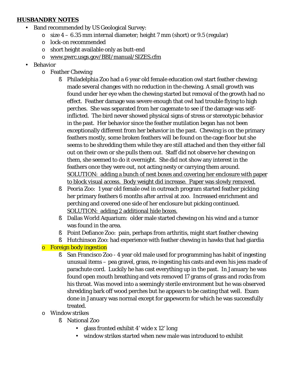#### **HUSBANDRY NOTES**

- Band recommended by US Geological Survey:
	- $\circ$  size 4 6.35 mm internal diameter; height 7 mm (short) or 9.5 (regular)
	- o lock-on recommended
	- o short height available only as butt-end
	- o [www.pwrc.usgs.gov/BBI/manual/SIZES.cfm](http://www.pwrc.usgs.gov/BBI/manual/SIZES.cfm)
- Behavior
	- o Feather Chewing
		- § Philadelphia Zoo had a 6 year old female education owl start feather chewing; made several changes with no reduction in the chewing. A small growth was found under her eye when the chewing started but removal of the growth had no effect. Feather damage was severe enough that owl had trouble flying to high perches. She was separated from her cagemate to see if the damage was selfinflicted. The bird never showed physical signs of stress or stereotypic behavior in the past. Her behavior since the feather mutilation began has not been exceptionally different from her behavior in the past. Chewing is on the primary feathers mostly, some broken feathers will be found on the cage floor but she seems to be shredding them while they are still attached and then they either fall out on their own or she pulls them out. Staff did not observe her chewing on them, she seemed to do it overnight. She did not show any interest in the feathers once they were out, not acting nesty or carrying them around. SOLUTION: adding a bunch of nest boxes and covering her enclosure with paper to block visual access. Body weight did increase. Paper was slowly removed.
		- § Peoria Zoo: 1 year old female owl in outreach program started feather picking her primary feathers 6 months after arrival at zoo. Increased enrichment and perching and covered one side of her enclosure but picking continued. SOLUTION: adding 2 additional hide boxes.
		- § Dallas World Aquarium: older male started chewing on his wind and a tumor was found in the area.
		- § Point Defiance Zoo: pain, perhaps from arthritis, might start feather chewing
		- § Hutchinson Zoo: had experience with feather chewing in hawks that had giardia

## o Foreign body ingestion

- § San Francisco Zoo 4 year old male used for programming has habit of ingesting unusual items – pea gravel, grass, re-ingesting his casts and even his jess made of parachute cord. Luckily he has cast everything up in the past. In January he was found open mouth breathing and vets removed 17 grams of grass and rocks from his throat. Was moved into a seemingly sterile environment but he was observed shredding bark off wood perches but he appears to be casting that well. Exam done in January was normal except for gapeworm for which he was successfully treated.
- o Window strikes
	- § National Zoo
		- glass fronted exhibit 4' wide x 12' long
		- window strikes started when new male was introduced to exhibit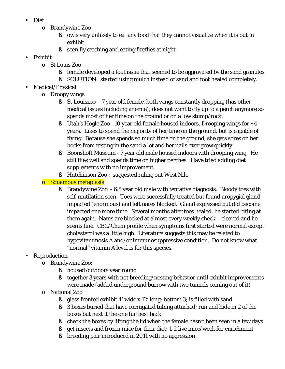- Diet
	- o Brandywine Zoo
		- § owls very unlikely to eat any food that they cannot visualize when it is put in exhibit
		- § seen fly catching and eating fireflies at night
- Exhibit
	- o St Louis Zoo
		- § female developed a foot issue that seemed to be aggravated by the sand granules.
		- § SOLUTION: started using mulch instead of sand and foot healed completely.
- Medical/Physical
	- o Droopy wings
		- § St Louiszoo 7 year old female, both wings constantly dropping (has other medical issues including anemia); does not want to fly up to a perch anymore so spends most of her time on the ground or on a low stump/rock.
		- § Utah's Hogle Zoo 10 year old female housed indoors. Drooping wings for  $\sim$ 4 years. Likes to spend the majority of her time on the ground, but is capable of flying. Because she spends so much time on the ground, she gets sores on her hocks from resting in the sand a lot and her nails over grow quickly.
		- § Boonshoft Museum 7 year old male housed indoors with drooping wing. He still flies well and spends time on higher perches. Have tried adding diet supplements with no improvement.
		- § Hutchinson Zoo : suggested ruling out West Nile
	- o Squamous metaplasia
		- § Brandywine Zoo 6.5 year old male with tentative diagnosis. Bloody toes with self-mutilation seen. Toes were successfully treated but found uropygial gland impacted (enormous) and left nares blocked. Gland expressed but did become impacted one more time. Several months after toes healed, he started biting at them again. Nares are blocked at almost every weekly check – cleared and he seems fine. CBC/Chem profile when symptoms first started were normal except cholesterol was a little high. Literature suggests this may be related to hypovitaminosis A and/or immunosuppressive condition. Do not know what "normal" vitamin A level is for this species.
- **Reproduction** 
	- o Brandywine Zoo:
		- § housed outdoors year round
		- § together 3 years with not breeding/nesting behavior until exhibit improvements were made (added underground burrow with two tunnels coming out of it)
	- o National Zoo
		- § glass fronted exhibit 4' wide x 12' long; bottom 3; is filled with sand
		- § 3 boxes buried that have corrugated tubing attached; run and hide in 2 of the boxes but next it the one furthest back
		- § check the boxes by lifting the lid when the female hasn't been seen in a few days
		- § get insects and frozen mice for their diet; 1-2 live mice/week for enrichment
		- § breeding pair introduced in 2011 with no aggression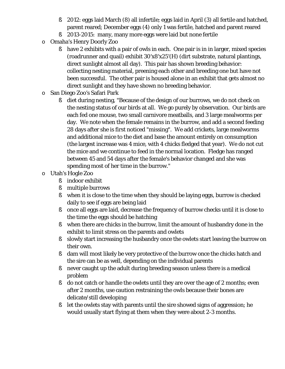- § 2012: eggs laid March (8) all infertile; eggs laid in April (3) all fertile and hatched, parent reared; December eggs (4) only 1 was fertile, hatched and parent reared
- § 2013-2015: many, many more eggs were laid but none fertile
- o Omaha's Henry Doorly Zoo
	- § have 2 exhibits with a pair of owls in each. One pair is in in larger, mixed species (roadrunner and quail) exhibit 30'x8'x25'(H) (dirt substrate, natural plantings, direct sunlight almost all day). This pair has shown breeding behavior: collecting nesting material, preening each other and breeding one but have not been successful. The other pair is housed alone in an exhibit that gets almost no direct sunlight and they have shown no breeding behavior.
- o San Diego Zoo's Safari Park
	- § diet during nesting, "Because of the design of our burrows, we do not check on the nesting status of our birds at all. We go purely by observation. Our birds are each fed one mouse, two small carnivore meatballs, and 3 large mealworms per day. We note when the female remains in the burrow, and add a second feeding 28 days after she is first noticed "missing". We add crickets, large mealworms and additional mice to the diet and base the amount entirely on consumption (the largest increase was 4 mice, with 4 chicks fledged that year). We do not cut the mice and we continue to feed in the normal location. Fledge has ranged between 45 and 54 days after the female's behavior changed and she was spending most of her time in the burrow."
- o Utah's Hogle Zoo
	- § indoor exhibit
	- § multiple burrows
	- § when it is close to the time when they should be laying eggs, burrow is checked daily to see if eggs are being laid
	- § once all eggs are laid, decrease the frequency of burrow checks until it is close to the time the eggs should be hatching
	- § when there are chicks in the burrow, limit the amount of husbandry done in the exhibit to limit stress on the parents and owlets
	- § slowly start increasing the husbandry once the owlets start leaving the burrow on their own.
	- § dam will most likely be very protective of the burrow once the chicks hatch and the sire can be as well, depending on the individual parents
	- § never caught up the adult during breeding season unless there is a medical problem
	- § do not catch or handle the owlets until they are over the age of 2 months; even after 2 months, use caution restraining the owls because their bones are delicate/still developing
	- § let the owlets stay with parents until the sire showed signs of aggression; he would usually start flying at them when they were about 2-3 months.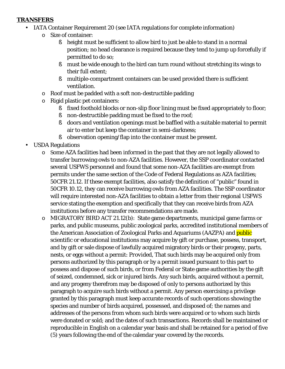## **TRANSFERS**

- IATA Container Requirement 20 (see IATA regulations for complete information)
	- o Size of container:
		- § height must be sufficient to allow bird to just be able to stand in a normal position; no head clearance is required because they tend to jump up forcefully if permitted to do so;
		- § must be wide enough to the bird can turn round without stretching its wings to their full extent;
		- § multiple-compartment containers can be used provided there is sufficient ventilation.
	- o Roof must be padded with a soft non-destructible padding
	- o Rigid plastic pet containers:
		- § fixed foothold blocks or non-slip floor lining must be fixed appropriately to floor;
		- § non-destructible padding must be fixed to the roof;
		- § doors and ventilation openings must be baffled with a suitable material to permit air to enter but keep the container in semi-darkness;
		- § observation opening/flap into the container must be present.
- USDA Regulations
	- o Some AZA facilities had been informed in the past that they are not legally allowed to transfer burrowing owls to non-AZA facilities. However, the SSP coordinator contacted several USFWS personnel and found that some non-AZA facilities are exempt from permits under the same section of the Code of Federal Regulations as AZA facilities; 50CFR 21.12. If these exempt facilities, also satisfy the definition of "public" found in 50CFR 10.12, they can receive burrowing owls from AZA facilities. The SSP coordinator will require interested non-AZA facilities to obtain a letter from their regional USFWS service stating the exemption and specifically that they can receive birds from AZA institutions before any transfer recommendations are made.
	- o MIGRATORY BIRD ACT 21.12(b): State game departments, municipal game farms or parks, and public museums, public zoological parks, accredited institutional members of the American Association of Zoological Parks and Aquariums (AAZPA) and **public** scientific or educational institutions may acquire by gift or purchase, possess, transport, and by gift or sale dispose of lawfully acquired migratory birds or their progeny, parts, nests, or eggs without a permit: *Provided,* That such birds may be acquired only from persons authorized by this paragraph or by a permit issued pursuant to this part to possess and dispose of such birds, or from Federal or State game authorities by the gift of seized, condemned, sick or injured birds. Any such birds, acquired without a permit, and any progeny therefrom may be disposed of only to persons authorized by this paragraph to acquire such birds without a permit. Any person exercising a privilege granted by this paragraph must keep accurate records of such operations showing the species and number of birds acquired, possessed, and disposed of; the names and addresses of the persons from whom such birds were acquired or to whom such birds were donated or sold; and the dates of such transactions. Records shall be maintained or reproducible in English on a calendar year basis and shall be retained for a period of five (5) years following the end of the calendar year covered by the records.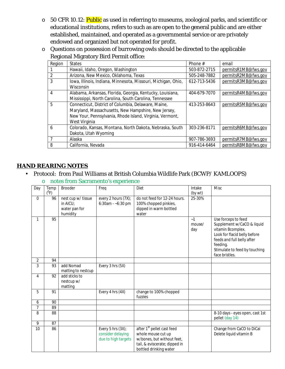- o 50 CFR 10.12: Public as used in referring to museums, zoological parks, and scientific or educational institutions, refers to such as are open to the general public and are either established, maintained, and operated as a governmental service or are privately endowed and organized but not operated for profit.
- o Questions on possession of burrowing owls should be directed to the applicable Regional Migratory Bird Permit office:

| Region         | <b>States</b>                                                 | Phone $#$    | email               |
|----------------|---------------------------------------------------------------|--------------|---------------------|
|                | Hawaii, Idaho, Oregon, Washington                             | 503-872-2715 | permitsR1MB@fws.gov |
| 2              | Arizona, New Mexico, Oklahoma, Texas                          | 505-248-7882 | permitsR2MB@fws.gov |
| 3              | Iowa, Illinois, Indiana, Minnesota, Missouri, Michigan, Ohio, | 612-713-5436 | permitsR3MB@fws.gov |
|                | <b>Wisconsin</b>                                              |              |                     |
| $\overline{4}$ | Alabama, Arkansas, Florida, Georgia, Kentucky, Louisiana,     | 404-679-7070 | permitsR4MB@fws.gov |
|                | Mississippi, North Carolina, South Carolina, Tennessee        |              |                     |
| 5              | Connecticut, District of Columbia, Delaware, Maine,           | 413-253-8643 | permitsR5MB@fws.gov |
|                | Maryland, Massachusetts, New Hampshire, New Jersey,           |              |                     |
|                | New Your, Pennsylvania, Rhode Island, Virginia, Vermont,      |              |                     |
|                | West Virginia                                                 |              |                     |
| 6              | Colorado, Kansas, Montana, North Dakota, Nebraska, South      | 303-236-8171 | permitsR6MB@fws.gov |
|                | Dakota, Utah Wyoming                                          |              |                     |
| $\overline{7}$ | Alaska                                                        | 907-786-3693 | permitsR7MB@fws.gov |
| 8              | California, Nevada                                            | 916-414-6464 | permitsR8MB@fws.gov |

#### **HAND REARING NOTES**

## • Protocol: from Paul Williams at British Columbia Wildlife Park (BCWP/ KAMLOOPS)

o notes from Sacramento's experience

| Day | Temp    | <b>Brooder</b>     | Freq                 | Diet                                   | Intake  | <b>Misc</b>                                        |
|-----|---------|--------------------|----------------------|----------------------------------------|---------|----------------------------------------------------|
|     | $(^0F)$ |                    |                      |                                        | (by wt) |                                                    |
| 0   | 96      | nest cup w/ tissue | every 2 hours (7X);  | do not feed for 12-24 hours.           | 25-30%  |                                                    |
|     |         | in AICU:           | 6:30am - ~6:30 pm    | 100% chopped pinkies,                  |         |                                                    |
|     |         | water pan for      |                      | dipped in warm bottled                 |         |                                                    |
|     |         | humidity           |                      | water                                  |         |                                                    |
| 1   | 95      |                    |                      |                                        | $-1$    | Use forceps to feed                                |
|     |         |                    |                      |                                        | mouse/  | Supplement w/CaCO & liquid                         |
|     |         |                    |                      |                                        | day     | vitamin Bcomplex.                                  |
|     |         |                    |                      |                                        |         | Look for flacid belly before                       |
|     |         |                    |                      |                                        |         | feeds and full belly after                         |
|     |         |                    |                      |                                        |         | feeding.                                           |
|     |         |                    |                      |                                        |         | Stimulate to feed by touching                      |
|     |         |                    |                      |                                        |         | face bristles.                                     |
| 2   | 94      |                    |                      |                                        |         |                                                    |
| 3   | 93      | add Nomad          | Every 3 hrs (5X)     |                                        |         |                                                    |
|     |         | matting to nestcup |                      |                                        |         |                                                    |
| 4   | 92      | add sticks to      |                      |                                        |         |                                                    |
|     |         | nestcup w/         |                      |                                        |         |                                                    |
|     |         | matting            |                      |                                        |         |                                                    |
| 5   | 91      |                    | Every 4 hrs (4X)     | change to 100% chopped                 |         |                                                    |
|     |         |                    |                      | fuzzies                                |         |                                                    |
| 6   | 90      |                    |                      |                                        |         |                                                    |
| 7   | 89      |                    |                      |                                        |         |                                                    |
| 8   | 88      |                    |                      |                                        |         | 8-10 days - eyes open, cast 1st<br>pellet (day 14) |
| 9   | 87      |                    |                      |                                        |         |                                                    |
| 10  | 86      |                    | Every 5 hrs $(3X)$ ; | after 1 <sup>st</sup> pellet cast feed |         | Change from CaCO to DiCal                          |
|     |         |                    | consider delaying    | whole mouse cut up                     |         | Delete liquid vitamin B                            |
|     |         |                    | due to high targets  | w/bones, but without feet,             |         |                                                    |
|     |         |                    |                      | tail, & eviscerate; dipped in          |         |                                                    |
|     |         |                    |                      | bottled drinking water                 |         |                                                    |
|     |         |                    |                      |                                        |         |                                                    |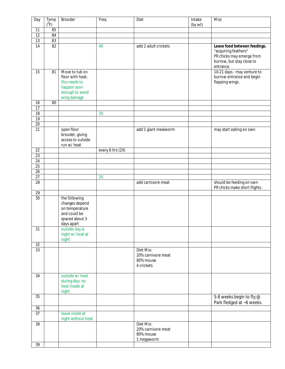| Day                   | Temp     | <b>Brooder</b>                                                                                       | Freq             | Diet                                                       | Intake  | Misc                                                                                                                        |
|-----------------------|----------|------------------------------------------------------------------------------------------------------|------------------|------------------------------------------------------------|---------|-----------------------------------------------------------------------------------------------------------------------------|
|                       | $(^0F)$  |                                                                                                      |                  |                                                            | (by wt) |                                                                                                                             |
| 11                    | 85       |                                                                                                      |                  |                                                            |         |                                                                                                                             |
| 12<br>13              | 84<br>83 |                                                                                                      |                  |                                                            |         |                                                                                                                             |
| 14                    | 82       |                                                                                                      | 4X               | add 2 adult crickets                                       |         | Leave food between feedings.<br>"acquiring feathers"<br>PR chicks may emerge from<br>burrow, but stay close to<br>entrance. |
| 15                    | 81       | Move to tub on<br>floor with heat;<br>this needs to<br>happen soon<br>enough to avoid<br>wing damage |                  |                                                            |         | 10-21 days - may venture to<br>burrow entrance and begin<br>flapping wings.                                                 |
| 16                    | 80       |                                                                                                      |                  |                                                            |         |                                                                                                                             |
| 17                    |          |                                                                                                      |                  |                                                            |         |                                                                                                                             |
| $\overline{18}$<br>19 |          |                                                                                                      | 3X               |                                                            |         |                                                                                                                             |
| $\overline{20}$       |          |                                                                                                      |                  |                                                            |         |                                                                                                                             |
| 21                    |          | open floor<br>brooder, giving<br>access to outside<br>run w/heat                                     |                  | add 1 giant mealworm                                       |         | may start eating on own                                                                                                     |
| 22                    |          |                                                                                                      | every 6 hrs (2X) |                                                            |         |                                                                                                                             |
| 23                    |          |                                                                                                      |                  |                                                            |         |                                                                                                                             |
| 24                    |          |                                                                                                      |                  |                                                            |         |                                                                                                                             |
| $\overline{25}$       |          |                                                                                                      |                  |                                                            |         |                                                                                                                             |
| $\overline{26}$       |          |                                                                                                      |                  |                                                            |         |                                                                                                                             |
| 27<br>$\overline{28}$ |          |                                                                                                      | 2X               | add carnivore meat                                         |         | should be feeding on own<br>PR chicks make short flights.                                                                   |
| 29                    |          |                                                                                                      |                  |                                                            |         |                                                                                                                             |
| 30                    |          | the following<br>changes depend<br>on temperature<br>and could be<br>spaced about 3<br>days apart    |                  |                                                            |         |                                                                                                                             |
| 31                    |          | outside day &<br>night w/ heat at<br>night                                                           |                  |                                                            |         |                                                                                                                             |
| 32                    |          |                                                                                                      |                  |                                                            |         |                                                                                                                             |
| 33                    |          |                                                                                                      |                  | Diet Mix:<br>20% carnivore meat<br>80% mouse<br>4 crickets |         |                                                                                                                             |
| 34                    |          | outside w/ heat<br>during day; no<br>heat inside at<br>night                                         |                  |                                                            |         |                                                                                                                             |
| 35                    |          |                                                                                                      |                  |                                                            |         | 5-8 weeks begin to fly; $@$<br>Park fledged at ~6 weeks.                                                                    |
| $\overline{36}$       |          |                                                                                                      |                  |                                                            |         |                                                                                                                             |
| 37                    |          | leave inside at<br>night without heat                                                                |                  |                                                            |         |                                                                                                                             |
| 38                    |          |                                                                                                      |                  | Diet Mix:<br>20% carnivore meat<br>80% mouse<br>1 megaworm |         |                                                                                                                             |
| 39                    |          |                                                                                                      |                  |                                                            |         |                                                                                                                             |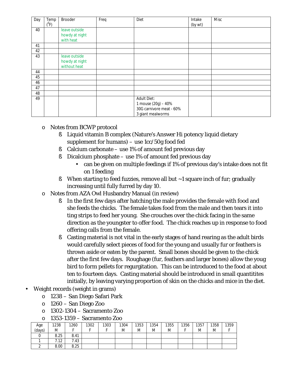| Day | Temp    | Brooder        | Freq | Diet                     | Intake  | Misc |
|-----|---------|----------------|------|--------------------------|---------|------|
|     | $(^0F)$ |                |      |                          | (by wt) |      |
| 40  |         | leave outside  |      |                          |         |      |
|     |         | howdy at night |      |                          |         |      |
|     |         | with heat      |      |                          |         |      |
| 41  |         |                |      |                          |         |      |
| 42  |         |                |      |                          |         |      |
| 43  |         | leave outside  |      |                          |         |      |
|     |         | howdy at night |      |                          |         |      |
|     |         | without heat   |      |                          |         |      |
| 44  |         |                |      |                          |         |      |
| 45  |         |                |      |                          |         |      |
| 46  |         |                |      |                          |         |      |
| 47  |         |                |      |                          |         |      |
| 48  |         |                |      |                          |         |      |
| 49  |         |                |      | <b>Adult Diet:</b>       |         |      |
|     |         |                |      | 1 mouse (20g) - 40%      |         |      |
|     |         |                |      | 30G carnivore meat - 60% |         |      |
|     |         |                |      | 3 giant mealworms        |         |      |

- o Notes from BCWP protocol
	- § Liquid vitamin B complex (Nature's Answer Hi potency liquid dietary supplement for humans) – use 1cc/50g food fed
	- § Calcium carbonate use 1% of amount fed previous day
	- § Dicalcium phosphate use 1% of amount fed previous day
		- can be given on multiple feedings if 1% of previous day's intake does not fit on 1 feeding
	- § When starting to feed fuzzies, remove all but ~1 square inch of fur; gradually increasing until fully furred by day 10.
- o Notes from AZA Owl Husbandry Manual (in review)
	- § In the first few days after hatching the male provides the female with food and she feeds the chicks. The female takes food from the male and then tears it into ting strips to feed her young. She crouches over the chick facing in the same direction as the youngster to offer food. The chick reaches up in response to food offering calls from the female.
	- § Casting material is not vital in the early stages of hand rearing as the adult birds would carefully select pieces of food for the young and usually fur or feathers is thrown aside or eaten by the parent. Small bones should be given to the chick after the first few days. Roughage (fur, feathers and larger bones) allow the youg bird to form pellets for regurgitation. This can be introduced to the food at about ten to fourteen days. Casting material should be introduced in small quantitites initially, by leaving varying proportion of skin on the chicks and mice in the diet.
- Weight records (weight in grams)
	- o 1238 San Diego Safari Park
	- o 1260 San Diego Zoo
	- o 1302-1304 Sacramento Zoo
	- o 1353-1359 Sacramento Zoo

| Age    | 1238 | 1260 | 1302 | 1303 | 1304 | 1353 | 1354 | 1355 | 1356 | 1357 | 1358 | 1359 |
|--------|------|------|------|------|------|------|------|------|------|------|------|------|
| (days) | M    |      |      |      | M    | M    | M    | M    |      | M    | M    |      |
|        | 8.25 | 8.41 |      |      |      |      |      |      |      |      |      |      |
|        | 1.12 | 7.43 |      |      |      |      |      |      |      |      |      |      |
|        | 8.00 | 8.25 |      |      |      |      |      |      |      |      |      |      |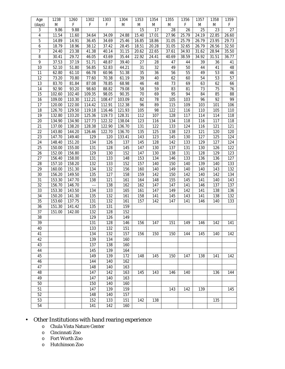| Age             | 1238           | 1260               | 1302           | 1303           | 1304           | 1353           | 1354            | 1355           | 1356           | 1357           | 1358           | 1359           |
|-----------------|----------------|--------------------|----------------|----------------|----------------|----------------|-----------------|----------------|----------------|----------------|----------------|----------------|
| (days)          | M              | F                  | F              | F              | М              | Μ              | M               | М              | F              | M              | M              | F              |
| 3               | 9.86           | 9.88               |                |                |                | 15             | 17              | 28             | 26             | 25             | 23             | 27             |
| 4               | 11.54          | 11.60              | 34.64          | 34.09          | 24.88          | 15.40          | 17.01           | 27.96          | 25.79<br>25.79 | 24.19          | 22.85          | 26.60          |
| 5               | 14.89          | 14.91              | 36.45          | 34.69          | 25.46          | 16.85          | 18.86           | 31.05          |                | 26.79          | 23.95<br>26.56 | 29.73          |
| 6<br>7          | 18.79<br>24.40 | 18.96<br>23.38     | 38.12<br>41.38 | 37.42<br>40.14 | 28.45<br>31.15 | 18.51<br>20.62 | 20.28<br>22.65  | 31.05<br>37.61 | 32.65<br>34.93 | 26.79<br>31.62 | 28.94          | 32.50<br>35.50 |
|                 |                | 29.72              |                | 43.69          | 35.44          | 22.92          | 24.41           | 40.69          | 38.59          | 34.92          | 31.51          | 36.77          |
| 8<br>9          | 30.41<br>37.53 | 37.19              | 46.05<br>51.71 | 48.87          | 39.40          | 27             | 28              | 47             | 44             | 39             | 36             | 41             |
| 10              | 52.10          | $\overline{5}1.80$ | 56.85          | 52.83          | 44.21          | 31             | $\overline{32}$ | 49             | 50             | 44             | 41             | 48             |
| 11              | 62.80          | 61.10              | 66.78          | 60.96          | 51.38          | 35             | 36              | 56             | 55             | 49             | 53             | 46             |
| 12              | 73.20          | 70.80              | 77.60          | 70.38          | 61.19          | 39             | 40              | 62             | 60             | 54             | 53             | 57             |
| 13              | 83.70          | 81.84              | 87.08          | 78.85          | 68.98          | 46             | 48              | 73             | 69             | 63             | 62             | 66             |
| 14              | 92.90          | 93.20              | 98.60          | 88.82          | 79.08          | 58             | 59              | 83             | 81             | 73             | 75             | 76             |
| 15              | 102.60         | 102.40             | 109.35         | 98.05          | 90.35          | 70             | 69              | 95             | 94             | 84             | 85             | 88             |
| $\overline{16}$ | 109.00         | 110.30             | 112.21         | 108.47         | 103.09         | 82             | 78              | 105            | 103            | 96             | 92             | 99             |
| 17              | 120.00         | 122.00             | 114.42         | 112.91         | 112.38         | 96             | 89              | 115            | 109            | 103            | 101            | 106            |
| 18              | 126.70         | 129.50             | 119.18         | 116.46         | 121.93         | 105            | 98              | 122            | 116            | 110            | 105            | 110            |
| 19              | 132.80         | 133.20             | 125.36         | 119.73         | 128.31         | 112            | 107             | 128            | 117            | 114            | 114            | 118            |
| 20              | 134.90         | 134.90             | 127.73         | 122.32         | 138.04         | 123            | 116             | 134            | 118            | 116            | 117            | 118            |
| 21              | 137.00         | 138.20             | 128.38         | 122.90         | 136.70         | 131            | 122             | 133            | 124            | 116            | 121            | 121            |
| 22              | 143.80         | 144.20             | 126.46         | 122.70         | 136.70         | 135            | 125             | 138            | 123            | 121            | 120            | 120            |
| 23              | 147.70         | 149.40             | 129            | 120            | 133.41         | 143            | 123             | 145            | 130            | 127            | 125            | 124            |
| 24              | 148.40         | 151.20             | 134            | 126            | 137            | 145            | 128             | 142            | 133            | 129            | 127            | 124            |
| 25              | 150.00         | 155.00             | 131            | 128            | 145            | 147            | 130             | 137            | 131            | 130            | 126            | 122            |
| 26              | 152.00         | 156.80             | 129            | 130            | 152            | 147            | 130             | 138            | 131            | 128            | 129            | 123            |
| 27              | 156.40         | 158.00             | 131            | 133            | 148            | 153            | 134             | 146            | 133            | 136            | 136            | 127            |
| 28              | 157.10         | 158.20             | 132            | 133            | 152            | 157            | 140             | 150            | 140            | 139            | 140            | 133            |
| 29              | 160.00         | 151.30             | 134            | 132            | 156            | 160            | 140             | 149            | 140            | 140            | 143            | 132            |
| 30              | 156.20         | 149.50             | 135            | 127            | 158            | 159            | 142             | 150            | 142            | 140            | 142            | 134            |
| 31              | 153.30         | 147.70             | 138            | 121            | 161            | 164            | 148             | 155            | 145            | 141            | 140            | 143            |
| 32              | 156.70         | 146.70             | $\overline{a}$ | 138            | 162            | 162            | 147             | 147            | 141            | 146            | 137            | 137            |
| 33              | 153.30         | 143.50             | 134            | 133            | 165            | 161            | 147             | 149            | 142            | 141            | 138            | 136            |
| 34              | 150.20         | 141.30             | 135            | 132            | 161            | 158            | 141             | 145            | 143            | 141            | 138            | 132            |
| 35              | 153.60         | 137.75             | 131            | 132            | 161            | 157            | 142             | 147            | 141            | 146            | 140            | 133            |
| 36              | 151.30         | 141.42             | 135            | 131            | 159            |                |                 |                |                |                |                |                |
| 37              | 151.00         | 142.00             | 132            | 128            | 152            |                |                 |                |                |                |                |                |
| 38              |                |                    | 129            | 126            | 149            |                |                 |                |                |                |                |                |
| 39              |                |                    | 131            | 128            | 146            | 156            | 147             | 151            | 149            | 146            | 142            | 141            |
| 40              |                |                    | 133            | 132            | 151            |                |                 |                |                |                |                |                |
| 41              |                |                    | 134            | 132            | 157            | 156            | 150             | 150            | 144            | 145            | 140            | 142            |
| 42              |                |                    | 139            | 134            | 160            |                |                 |                |                |                |                |                |
| 43              |                |                    | 137            | 138            | 160            |                |                 |                |                |                |                |                |
| 44              |                |                    | 145            | 139            | 164            |                |                 |                |                |                |                |                |
| 45              |                |                    | 149            | 139            | 172            | 148            | 145             | 150            | 147            | 138            | 141            | 142            |
| 46              |                |                    | 144            | 140            | 162            |                |                 |                |                |                |                |                |
| 47              |                |                    | 148            | 140            | 163            |                |                 |                |                |                |                |                |
| 48              |                |                    | 147            | 142            | 163            | 145            | 143             | 146            | 140            |                | 136            | 144            |
| 49              |                |                    | 147            | 140            | 163            |                |                 |                |                |                |                |                |
| 50              |                |                    | 150            | 140            | 160            |                |                 |                |                |                |                |                |
| 51              |                |                    | 147            | 139            | 159            |                |                 | 143            | 142            | 139            |                | 145            |
| 52              |                |                    | 148            | 140            | 157            |                |                 |                |                |                |                |                |
| 53              |                |                    | 152            | 133            | 151            | 142            | 138             |                |                |                | 135            |                |
| 54              |                |                    | 141            | 142            | 160            |                |                 |                |                |                |                |                |

# • Other Institutions with hand rearing experience

- o Chula Vista Nature Center
- o Cincinnati Zoo
- o Fort Worth Zoo
- o Hutchinson Zoo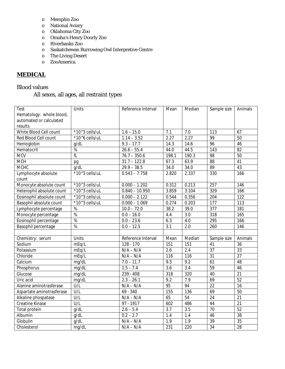- o Memphis Zoo
- o National Aviary
- o Oklahoma City Zoo
- o Omaha's Henry Doorly Zoo
- o Riverbanks Zoo
- o Saskatchewan Burrowing Owl Interpretive Centre
- o The Living Desert
- o ZooAmerica

## **MEDICAL**

#### Blood values

## All sexes, all ages, all restraint types

| Test                      | <b>Units</b>            | Reference Interval | Mean             | Median           | Sample size      | Animals         |
|---------------------------|-------------------------|--------------------|------------------|------------------|------------------|-----------------|
| Hematology: whole blood,  |                         |                    |                  |                  |                  |                 |
| automated or calculated   |                         |                    |                  |                  |                  |                 |
| results                   |                         |                    |                  |                  |                  |                 |
| White Blood Cell count    | *10^3 cells/uL          | $1.6 - 15.0$       | 7.1              | 7.0              | 113              | 67              |
| Red Blood Cell count      | *10^6 cells/uL          | $1.14 - 3.52$      | 2.27             | 2.27             | 99               | 50              |
| Hemoglobin                | q/dL                    | $9.3 - 17.7$       | 14.3             | 14.6             | 96               | 46              |
| Hematocrit                | %                       | $26.6 - 55.4$      | 44.0             | 44.5             | 143              | $\overline{82}$ |
| <b>MCV</b>                | $\overline{f}$          | $76.7 - 350.6$     | 198.1            | 190.3            | 98               | 50              |
| <b>MCH</b>                | pg                      | $31.7 - 122.8$     | 67.3             | 63.9             | $\overline{88}$  | 41              |
| <b>MCHC</b>               | q/dL                    | $29.9 - 38.5$      | 34.0             | 34.0             | 89               | $\overline{43}$ |
| Lymphocyte absolute       | *10^3 cells/uL          | $0.543 - 7.758$    | 2.820            | 2.337            | 330              | 166             |
| count                     |                         |                    |                  |                  |                  |                 |
| Monocyte absolute count   | *10^3 cells/uL          | $0.000 - 1.202$    | 0.312            | 0.213            | $\overline{257}$ | 146             |
| Heterophil absolute count | *10^3 cells/uL          | $0.840 - 10.950$   | 3.859            | 3.104            | 329              | 166             |
| Eosinophil absolute count | $*10^{\circ}3$ cells/uL | $0.000 - 2.122$    | 0.544            | 0.356            | 204              | 122             |
| Basophil absolute count   | *10^3 cells/uL          | $0.000 - 1.069$    | 0.274            | 0.203            | 177              | 113             |
| Lymphocyte percentage     | %                       | $10.0 - 72.0$      | 38.2             | 39.0             | 377              | 181             |
| Monocyte percentage       | %                       | $0.0 - 16.0$       | 4.4              | 3.0              | 318              | 165             |
| Eosinophil percentage     | $\frac{9}{6}$           | $0.0 - 23.6$       | 6.3              | 4.0              | 295              | 166             |
| Basophil percentage       | $\overline{\%}$         | $0.0 - 12.5$       | 3.1              | 2.0              | 260              | 146             |
|                           |                         |                    |                  |                  |                  |                 |
| Chemistry: serum          | Units                   | Reference Interval | Mean             | Median           | Sample size      | Animals         |
| Sodium                    | mEq/L                   | 128 - 170          | 151              | 151              | 41               | 36              |
| Potassium                 | mEq/L                   | $N/A - N/A$        | 2.6              | 2.4              | 37               | 33              |
| Chloride                  | mEq/L                   | $N/A - N/A$        | 116              | 116              | 31               | $\overline{27}$ |
| Calcium                   | mg/dL                   | $7.0 - 11.7$       | 9.3              | $\overline{9.2}$ | 61               | 48              |
| Phosphorus                | mg/dL                   | $1.5 - 7.4$        | 3.6              | 3.4              | 59               | 46              |
| Glucose                   | mg/dL                   | 239 - 408          | 318              | 320              | 40               | 21              |
| Uric acid                 | mg/dL                   | $2.3 - 26.1$       | 9.2              | 7.9              | 69               | 52              |
| Alanine aminotrasferase   | U/L                     | $N/A - N/A$        | 95               | 94               | 22               | 16              |
| Aspartate aminotrasferase | U/L                     | 69 - 340           | 155              | 136              | 69               | 50              |
| Alkaline phospatase       | U/L                     | $N/A - N/A$        | 65               | 54               | 24               | 21              |
| <b>Creatine Kinase</b>    | U/L                     | 97 - 1917          | 602              | 486              | 44               | $\overline{21}$ |
| <b>Total protein</b>      | g/dL                    | $2.6 - 5.4$        | $\overline{3.7}$ | $\overline{3.5}$ | $\overline{70}$  | $\overline{52}$ |
| Albumin                   | g/dL                    | $0.2 - 2.7$        | 1.4              | 1.4              | 46               | $\overline{38}$ |
| Globulin                  | g/dL                    | $N/A - N/A$        | 1.9              | 1.9              | $\overline{39}$  | 35              |
| Cholesterol               | mg/dL                   | $N/A - N/A$        | $\overline{231}$ | 220              | $\overline{34}$  | $\overline{28}$ |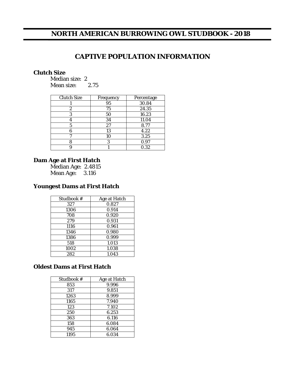# **NORTH AMERICAN BURROWING OWL STUDBOOK - 2018**

# **CAPTIVE POPULATION INFORMATION**

#### **Clutch Size**

Median size: 2 Mean size: 2.75

| <b>Clutch Size</b> | Frequency | Percentage |
|--------------------|-----------|------------|
|                    | 95        | 30.84      |
| 2                  | 75        | 24.35      |
| 3                  | 50        | 16.23      |
|                    | 34        | 11.04      |
| 5                  | 27        | 8.77       |
| հ                  | 13        | 4.22       |
|                    | 10        | 3.25       |
|                    | 3         | 0.97       |
|                    |           | 0.32       |

**Dam Age at First Hatch** 

Median Age: 2.4815 Mean Age: 3.116

#### **Youngest Dams at First Hatch**

| Studbook # | <b>Age at Hatch</b> |
|------------|---------------------|
| 327        | 0.827               |
| 1306       | 0.914               |
| 708        | 0.920               |
| 279        | 0.931               |
| 1116       | 0.961               |
| 1346       | 0.980               |
| 1386       | 0.999               |
| 518        | 1.013               |
| 1002       | 1.038               |
| 282        | 1.043               |

#### **Oldest Dams at First Hatch**

| Studbook # | <b>Age at Hatch</b> |
|------------|---------------------|
| 853        | 9.996               |
| 317        | 9.851               |
| 1263       | 8.999               |
| 1165       | 7.940               |
| 123        | 7.102               |
| 250        | 6.253               |
| 363        | 6.116               |
| 158        | 6.084               |
| 945        | 6.064               |
| 1195       | 6.034               |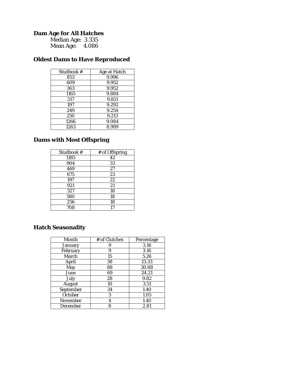#### **Dam Age for All Hatches**  Median Age: 3.335 Mean Age: 4.086

# **Oldest Dams to Have Reproduced**

| Studbook # | Age at Hatch |
|------------|--------------|
| 853        | 9.996        |
| 609        | 9.952        |
| 363        | 9.952        |
| 1165       | 9.884        |
| 317        | 9.851        |
| 197        | 9.292        |
| 249        | 9.254        |
| 250        | 9.213        |
| 1266       | 9.084        |
| 1263       | 8.999        |

# **Dams with Most Offspring**

| Studbook # | # of Offspring |
|------------|----------------|
| 1185       | 42             |
| 904        | 33             |
| 469        | 27             |
| 675        | 23             |
| 197        | 22             |
| 921        | 21             |
| 327        | 18             |
| 580        | 18             |
| 256        | 18             |
| 708        | 17             |

# **Hatch Seasonality**

| <b>Month</b>    | # of Clutches | Percentage |
|-----------------|---------------|------------|
| <b>January</b>  | 9             | 3.16       |
| <b>February</b> | 9             | 3.16       |
| <b>March</b>    | 15            | 5.26       |
| April           | 38            | 13.33      |
| May             | 88            | 30.88      |
| June            | 69            | 24.21      |
| July            | 28            | 9.82       |
| <b>August</b>   | 10            | 3.51       |
| September       | 34            | 1.40       |
| <b>October</b>  | 3             | 1.05       |
| <b>November</b> | 4             | 1.40       |
| <b>December</b> | 8             | 2.81       |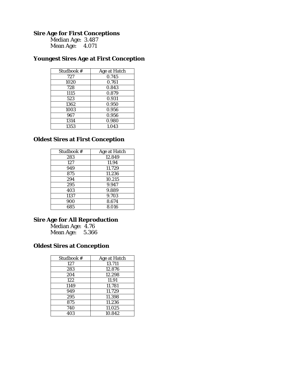#### **Sire Age for First Conceptions**  Median Age: 3.487

Mean Age: 4.071

## **Youngest Sires Age at First Conception**

| Studbook # | Age at Hatch |
|------------|--------------|
| 727        | 0.745        |
| 1020       | 0.761        |
| 728        | 0.843        |
| 1115       | 0.879        |
| 523        | 0.931        |
| 1362       | 0.950        |
| 1003       | 0.956        |
| 967        | 0.956        |
| 1314       | 0.980        |
| 1353       | 1.043        |

## **Oldest Sires at First Conception**

| Studbook # | Age at Hatch |
|------------|--------------|
| 283        | 12.849       |
| 127        | 11.94        |
| 949        | 11.729       |
| 875        | 11.236       |
| 294        | 10.215       |
| 295        | 9.947        |
| 403        | 9.889        |
| 1137       | 9.703        |
| 900        | 8.674        |
| 685        | 8.016        |

#### **Sire Age for All Reproduction**

Median Age: 4.76 Mean Age: 5.366

#### **Oldest Sires at Conception**

| Studbook # | <b>Age at Hatch</b> |
|------------|---------------------|
| 127        | 13.711              |
| 283        | 12.876              |
| 204        | 12.298              |
| 122        | 11.91               |
| 1149       | 11.781              |
| 949        | 11.729              |
| 295        | 11.398              |
| 875        | 11.236              |
| 740        | 11.025              |
| 403        | 10.842              |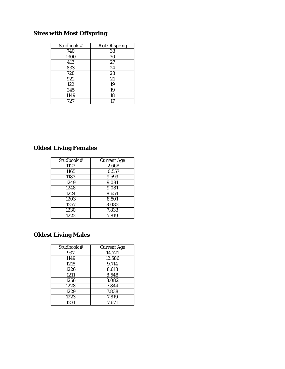# **Sires with Most Offspring**

| Studbook # | # of Offspring |
|------------|----------------|
| 740        | 33             |
| 1300       | 30             |
| 413        | 27             |
| 833        | 24             |
| 728        | 23             |
| 922        | 21             |
| 122        | 19             |
| 245        | 19             |
| 1149       | 18             |
| 727        | 17             |

# **Oldest Living Females**

| Studbook # | <b>Current Age</b> |
|------------|--------------------|
| 1123       | 12.668             |
| 1165       | 10.557             |
| 1183       | 9.599              |
| 1249       | 9.081              |
| 1248       | 9.081              |
| 1224       | 8.654              |
| 1203       | 8.501              |
| 1257       | 8.082              |
| 1230       | 7.833              |
| 1222       | 7.819              |

# **Oldest Living Males**

| Studbook # | <b>Current Age</b> |
|------------|--------------------|
| 937        | 14.721             |
| 1149       | 12.586             |
| 1215       | 9.714              |
| 1226       | 8.613              |
| 1211       | 8.548              |
| 1256       | 8.082              |
| 1228       | 7.844              |
| 1229       | 7.838              |
| 1223       | 7.819              |
| 1231       | 7.671              |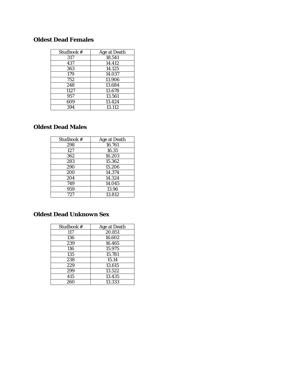## **Oldest Dead Females**

| Studbook # | <b>Age at Death</b> |
|------------|---------------------|
| 317        | 18.541              |
| 437        | 14.412              |
| 363        | 14.125              |
| 179        | 14.037              |
| 752        | 13.906              |
| 248        | 13.684              |
| 1127       | 13.678              |
| 957        | 13.561              |
| 609        | 13.424              |
| 394        | 13.112              |

# **Oldest Dead Males**

| Studbook # | Age at Death |
|------------|--------------|
| 298        | 16.761       |
| 127        | 16.35        |
| 362        | 16.203       |
| 283        | 15.362       |
| 290        | 15.206       |
| 200        | 14.374       |
| 204        | 14.324       |
| 749        | 14.045       |
| 959        | 13.96        |
| 727        | 13.812       |

## **Oldest Dead Unknown Sex**

| Studbook # | <b>Age at Death</b> |
|------------|---------------------|
| 117        | 20.851              |
| 136        | 16.602              |
| 239        | 16.465              |
| 116        | 15.975              |
| 135        | 15.781              |
| 238        | 15.14               |
| 229        | 13.615              |
| 299        | 13.522              |
| 415        | 13.435              |
| 260        | 13.333              |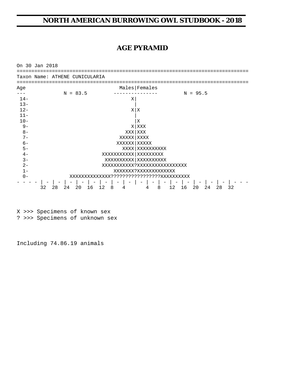# **NORTH AMERICAN BURROWING OWL STUDBOOK - 2018**

## **AGE PYRAMID**

On 30 Jan 2018 =============================================================================== Taxon Name: ATHENE CUNICULARIA =============================================================================== Age Males Remales --- N = 83.5 --------------- N = 95.5  $14 X$  $13 12 X|X$  $11 10-$  | X 9- X|XXX  $8-$  XXX | XXX 7- XXXXXX XXXXX 6- XXXXXX|XXXXX 5- XXXX|XXXXXXXXXX 4- XXXXXXXXXXX|XXXXXXXXX 3- XXXXXXXXXX|XXXXXXXXXX 2- XXXXXXXXXXX?XXXXXXXXXXXXXXXXX 1- XXXXXXX?XXXXXXXXXXXXX 0- XXXXXXXXXXXXXX?????????????????XXXXXXXXXX - - - - | - | - | - | - | - | - | - | - | - | - | - | - | - | - | - | - | - - - 32 28 24 20 16 12 8 4

X >>> Specimens of known sex ? >>> Specimens of unknown sex

Including 74.86.19 animals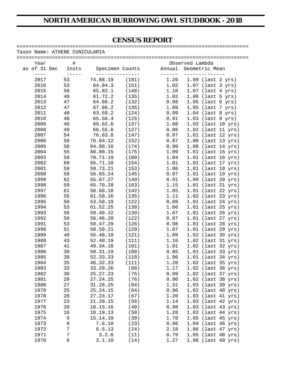# **NORTH AMERICAN BURROWING OWL STUDBOOK - 2018**

## **CENSUS REPORT**

| Taxon Name: ATHENE CUNICULARIA |                  |             |                 |         |                 |                        |  |  |  |  |  |
|--------------------------------|------------------|-------------|-----------------|---------|-----------------|------------------------|--|--|--|--|--|
|                                |                  |             |                 |         |                 |                        |  |  |  |  |  |
| Year                           | $\#$             |             |                 |         | Observed Lambda |                        |  |  |  |  |  |
| as of 31 Dec                   | Insts            |             | Specimen Counts |         |                 | Annual Geometric Mean  |  |  |  |  |  |
| $- - - - -$                    | $\frac{1}{2}$    | ----------- |                 | ------- |                 | --------------         |  |  |  |  |  |
| 2017                           |                  |             |                 |         |                 |                        |  |  |  |  |  |
|                                | 53               | 74.88.19    | (181)           |         |                 | 1.20 1.09 (last 2 yrs) |  |  |  |  |  |
| 2016                           | 53               | 64.84.3     | (151)           | 1.02    |                 | 1.07 (last 3 yrs)      |  |  |  |  |  |
| 2015                           | 50               | 65.82.1     | (148)           | 1.10    |                 | $1.07$ (last 4 yrs)    |  |  |  |  |  |
| 2014                           | 48               | 61.72.2     | (135)           | 1.02    |                 | $1.06$ (last 5 yrs)    |  |  |  |  |  |
| 2013                           | 47               | 64.66.2     | (132)           | 0.98    |                 | $1.05$ (last 6 yrs)    |  |  |  |  |  |
| 2012                           | 47               | 67.66.2     | (135)           | 1.09    |                 | $1.05$ (last 7 yrs)    |  |  |  |  |  |
| 2011                           | 48               | 63.59.2     | (124)           | 0.99    |                 | $1.04$ (last 8 yrs)    |  |  |  |  |  |
| 2010                           | 48               | 65.56.4     | (125)           | 0.91    |                 | $1.03$ (last 9 yrs)    |  |  |  |  |  |
| 2009                           | 46               | 69.62.6     | (137)           | 1.08    |                 | 1.03 (last 10 yrs)     |  |  |  |  |  |
| 2008                           | 49               | 66.55.6     | (127)           | 0.86    |                 | $1.02$ (last 11 yrs)   |  |  |  |  |  |
| 2007                           | 54               | 76.63.8     | (147)           | 0.97    |                 | $1.01$ (last 12 yrs)   |  |  |  |  |  |
| 2006                           | 58               | 76.64.12    | (152)           | 0.87    |                 | $1.00$ (last 13 yrs)   |  |  |  |  |  |
|                                |                  |             |                 |         |                 |                        |  |  |  |  |  |
| 2005                           | 58               | 84.80.10    | (174)           | 0.99    |                 | 1.00 (last 14 yrs)     |  |  |  |  |  |
| 2004                           | 55               | 80.80.15    | (175)           | 1.09    |                 | 1.01 (last 15 yrs)     |  |  |  |  |  |
| 2003                           | 58               | 70.71.19    | (160)           | 1.04    |                 | $1.01$ (last 16 yrs)   |  |  |  |  |  |
| 2002                           | 60               | 65.71.18    | (154)           | 1.01    |                 | 1.01 (last 17 yrs)     |  |  |  |  |  |
| 2001                           | 59               | 59.73.21    | (153)           | 1.06    |                 | 1.01 (last 18 yrs)     |  |  |  |  |  |
| 2000                           | 58               | 56.65.24    | (145)           | 0.97    |                 | 1.01 (last 19 yrs)     |  |  |  |  |  |
| 1999                           | 62               | 55.67.27    | (149)           | 0.91    |                 | 1.00 (last 20 yrs)     |  |  |  |  |  |
| 1998                           | 59               | 65.70.28    | (163)           | 1.15    |                 | 1.01 (last 21 yrs)     |  |  |  |  |  |
| 1997                           | 61               | 58.66.18    | (142)           | 1.05    |                 | 1.01 (last 22 yrs)     |  |  |  |  |  |
| 1996                           | 55               | 61.58.16    | (135)           | 1.11    |                 | 1.02 (last 23 yrs)     |  |  |  |  |  |
| 1995                           | 50               | 53.50.19    | (122)           | 0.88    |                 | 1.01 (last 24 yrs)     |  |  |  |  |  |
| 1994                           | 53               | 61.52.25    | (138)           |         |                 |                        |  |  |  |  |  |
|                                |                  |             |                 | 1.06    |                 | 1.01 (last 25 yrs)     |  |  |  |  |  |
| 1993                           | 56               | 59.49.22    | (130)           | 1.07    |                 | 1.01 (last 26 yrs)     |  |  |  |  |  |
| 1992                           | 56               | 56.46.20    | (122)           | 0.97    |                 | 1.01 (last 27 yrs)     |  |  |  |  |  |
| 1991                           | 53               | 59.47.20    | (126)           | 0.98    |                 | 1.01 (last 28 yrs)     |  |  |  |  |  |
| 1990                           | 51               | 58.50.21    | (129)           | 1.07    |                 | 1.01 (last 29 yrs)     |  |  |  |  |  |
| 1989                           | 48               | 55.48.18    | (121)           | 1.09    |                 | 1.02 (last 30 yrs)     |  |  |  |  |  |
| 1988                           | 43               | 52.40.19    | (111)           | 1.10    |                 | 1.02 (last 31 yrs)     |  |  |  |  |  |
| 1987                           | 41               | 49.34.18    | (101)           | 1.01    |                 | 1.02 (last 32 yrs)     |  |  |  |  |  |
| 1986                           | 39               | 50.31.19    | (100)           | 0.85    |                 | 1.01 (last 33 yrs)     |  |  |  |  |  |
| 1985                           | 38               | 52.33.33    | (118)           | 1.06    |                 | 1.01 (last 34 yrs)     |  |  |  |  |  |
| 1984                           | 35               | 46.32.33    | (111)           | 1.26    |                 | 1.02 (last 35 yrs)     |  |  |  |  |  |
| 1983                           | 33               | 33.29.26    | (88)            | 1.17    |                 | 1.02 (last 36 yrs)     |  |  |  |  |  |
| 1982                           | 30               | 25.27.23    | (75)            | 0.99    |                 | 1.02 (last 37 yrs)     |  |  |  |  |  |
| 1981                           | 29               | 27.24.25    | (76)            | 0.90    |                 | 1.02 (last 38 yrs)     |  |  |  |  |  |
| 1980                           | 27               |             |                 | 1.31    |                 | 1.03 (last 39 yrs)     |  |  |  |  |  |
|                                |                  | 31.28.25    | (84)            |         |                 |                        |  |  |  |  |  |
| 1979                           | 25               | 25.24.15    | (64)            | 0.96    |                 | 1.02 (last 40 yrs)     |  |  |  |  |  |
| 1978                           | 28               | 27.23.17    | (67)            | 1.20    |                 | 1.03 (last 41 yrs)     |  |  |  |  |  |
| 1977                           | 23               | 21.20.15    | (56)            | 1.14    |                 | 1.03 (last 42 yrs)     |  |  |  |  |  |
| 1976                           | 20               | 18.15.16    | (49)            | 0.98    |                 | 1.03 (last 43 yrs)     |  |  |  |  |  |
| 1975                           | 16               | 18.19.13    | (50)            | 1.28    |                 | 1.03 (last 44 yrs)     |  |  |  |  |  |
| 1974                           | $\mathsf 9$      | 15.14.10    | (39)            | 1.70    |                 | 1.05 (last 45 yrs)     |  |  |  |  |  |
| 1973                           | 8                | 7.6.10      | (23)            | 0.96    |                 | 1.04 (last 46 yrs)     |  |  |  |  |  |
| 1972                           | 7                | 6.5.13      | (24)            | 2.18    |                 | 1.06 (last 47 yrs)     |  |  |  |  |  |
| 1971                           | $\boldsymbol{7}$ | 3.2.6       | (11)            | 0.79    |                 | 1.05 (last 48 yrs)     |  |  |  |  |  |
| 1970                           | 6                | 3.1.10      | (14)            | 1.27    |                 | 1.06 (last 49 yrs)     |  |  |  |  |  |
|                                |                  |             |                 |         |                 |                        |  |  |  |  |  |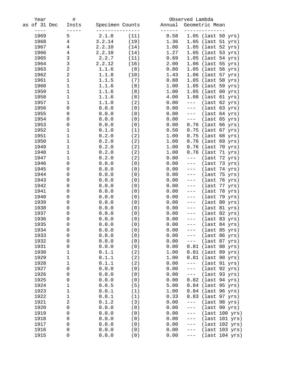| Year         | $\#$           |                 |      |        | Observed Lambda   |                          |
|--------------|----------------|-----------------|------|--------|-------------------|--------------------------|
| as of 31 Dec | Insts          | Specimen Counts |      | Annual |                   | Geometric Mean           |
| ----         |                |                 |      |        |                   |                          |
| 1969         | 5              | 2.1.8           | (11) | 0.58   |                   | 1.05 (last 50 yrs)       |
| 1968         | $\overline{4}$ | 3.2.14          | (19) | 1.36   |                   | $1.05$ (last 51 yrs)     |
| 1967         | 4              | 2.2.10          | (14) | 1.00   |                   | 1.05 (last 52 yrs)       |
| 1966         | 4              | 2.2.10          | (14) | 1.27   |                   | 1.05 (last 53 yrs)       |
| 1965         | 3              | 2.2.7           | (11) | 0.69   |                   | 1.05 (last 54 yrs)       |
| 1964         | 3              | 2.2.12          | (16) | 2.00   |                   | 1.06 (last 55 yrs)       |
| 1963         | $\overline{2}$ | 1.1.6           | (8)  | 0.80   |                   | 1.05 (last 56 yrs)       |
| 1962         | $\overline{2}$ | 1.1.8           | (10) | 1.43   |                   | 1.06 (last 57 yrs)       |
| 1961         | $1\,$          | 1.1.5           | (7)  | 0.88   |                   | 1.05 (last 58 yrs)       |
| 1960         | $1\,$          | 1.1.6           | (8)  | 1.00   |                   | 1.05 (last 59 yrs)       |
| 1959         | $1\,$          | 1.1.6           | (8)  | 1.00   |                   | 1.05 (last 60 yrs)       |
| 1958         | $1\,$          | 1.1.6           | (8)  | 4.00   |                   | 1.08 (last 61 yrs)       |
| 1957         | $1\,$          | 1.1.0           | (2)  | 0.00   | $---$             | (last 62 yrs)            |
| 1956         | 0              | 0.0.0           | (0)  | 0.00   | $---$             | (last 63 yrs)            |
| 1955         | 0              | 0.0.0           | (0)  | 0.00   | $---$             | (last 64 yrs)            |
| 1954         | 0              | 0.0.0           | (0)  | 0.00   | $---$             | (last 65 yrs)            |
| 1953         | 0              | 0.0.0           | (0)  | 0.00   |                   | $0.76$ (last 66 yrs)     |
| 1952         | $\mathbf 1$    | 0.1.0           | (1)  | 0.50   | 0.75              | (last 67 yrs)            |
| 1951         | $\mathbf 1$    | 0.2.0           | (2)  | 1.00   | 0.75              | (last 68 yrs)            |
| 1950         | $\mathbf 1$    | 0.2.0           | (2)  | 1.00   | 0.76              | (last 69 yrs)            |
| 1949         | $\mathbf 1$    | 0.2.0           | (2)  | 1.00   |                   | 0.76 (last 70 yrs)       |
| 1948         | $\mathbf 1$    | 0.2.0           | (2)  | 1.00   |                   | 0.76 (last 71 yrs)       |
| 1947         | $\mathbf 1$    | 0.2.0           | (2)  | 0.00   | $---$             | (last 72 yrs)            |
| 1946         | 0              | 0.0.0           | (0)  | 0.00   | $---$             | (last 73 yrs)            |
| 1945         | 0              | 0.0.0           | (0)  | 0.00   | $---$             | (last 74 yrs)            |
| 1944         | 0              | 0.0.0           | (0)  | 0.00   | ———               | (last 75 yrs)            |
| 1943         | 0              | 0.0.0           | (0)  | 0.00   | $---$             | (last 76 yrs)            |
| 1942         | 0              | 0.0.0           | (0)  | 0.00   | $---$             | (last 77 yrs)            |
| 1941         | 0              | 0.0.0           | (0)  | 0.00   | $---$             | (last 78 yrs)            |
| 1940         | 0              | 0.0.0           | (0)  | 0.00   | $---$             | (last 79 yrs)            |
| 1939         | 0              | 0.0.0           | (0)  | 0.00   | $---$             | (last 80 yrs)            |
| 1938         | 0              | 0.0.0           | (0)  | 0.00   | $---$             | (last 81 yrs)            |
| 1937         | 0              | 0.0.0           | (0)  | 0.00   | $---$             | (last 82 yrs)            |
| 1936         | 0              | 0.0.0           | (0)  | 0.00   | $---$             | (last 83 yrs)            |
| 1935         | $\Omega$       | 0.0.0           | (0)  | 0.00   |                   | (last 84 yrs)            |
| 1934         | 0              | 0.0.0           | (0)  | 0.00   |                   | (last 85 yrs)            |
| 1933         | 0              | 0.0.0           | (0)  | 0.00   | $\qquad \qquad -$ | (last 86 yrs)            |
| 1932         | $\mathbf 0$    | 0.0.0           | (0)  | 0.00   | $---$             | (last 87 yrs)            |
| 1931         | $\mathsf 0$    | 0.0.0           | (0)  | 0.00   |                   | 0.81 (last 88 yrs)       |
| 1930         | $\mathbf 1$    | 0.1.1           | (2)  | 1.00   |                   | 0.81 (last 89 yrs)       |
| 1929         | $\mathbf 1$    | 0.1.1           | (2)  | 1.00   |                   | 0.81 (last 90 yrs)       |
| 1928         | $\mathbf 1$    | 0.1.1           | (2)  | 0.00   | $---$             | (last 91 yrs)            |
| 1927         | $\mathbf 0$    | 0.0.0           | (0)  | 0.00   | $\qquad \qquad -$ | (last 92 yrs)            |
| 1926         | 0              | 0.0.0           | (0)  | 0.00   | $-- -$            | (last 93 yrs)            |
| 1925         | 0              | 0.0.0           | (0)  | 0.00   | 0.82              | (last 94 yrs)            |
| 1924         | $\mathbf 1$    | 0.0.5           | (5)  | 5.00   |                   | 0.84 (last 95 yrs)       |
| 1923         | $\mathbf 1$    | 0.0.1           | (1)  | 1.00   |                   | 0.84 (last 96 yrs)       |
| 1922         | $\mathbf 1$    | 0.0.1           | (1)  | 0.33   |                   | 0.83 (last 97 yrs)       |
| 1921         | 2              | 0.1.2           | (3)  | 0.00   | $---$             | (last 98 yrs)            |
| 1920         | 0              | 0.0.0           | (0)  | 0.00   |                   | (last 99 yrs)            |
| 1919         | 0              | 0.0.0           | (0)  | 0.00   |                   | (last 100 yrs)           |
| 1918         | 0              | 0.0.0           | (0)  | 0.00   |                   | (last 101 yrs)           |
| 1917         | $\mathbf 0$    | 0.0.0           | (0)  | 0.00   |                   | $(last 102 \text{ yrs})$ |
| 1916         | 0              | 0.0.0           | (0)  | 0.00   |                   | (last 103 yrs)           |
| 1915         | 0              | 0.0.0           | (0)  | 0.00   |                   | (last 104 yrs)           |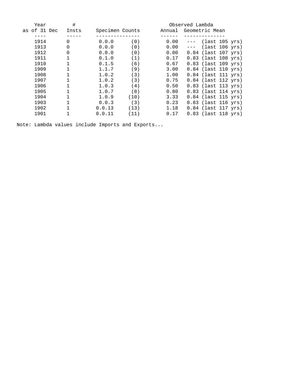| Year         | #     |        |                 |        | Observed Lambda |                       |  |
|--------------|-------|--------|-----------------|--------|-----------------|-----------------------|--|
| as of 31 Dec | Insts |        | Specimen Counts | Annual |                 | Geometric Mean        |  |
|              |       |        |                 |        |                 |                       |  |
| 1914         | 0     | 0.0.0  | (0)             | 0.00   |                 | (last 105 yrs)        |  |
| 1913         | 0     | 0.0.0  | (0)             | 0.00   |                 | (last 106 yrs)        |  |
| 1912         | 0     | 0.0.0  | (0)             | 0.00   |                 | $0.84$ (last 107 yrs) |  |
| 1911         |       | 0.1.0  | (1)             | 0.17   |                 | 0.83 (last 108 yrs)   |  |
| 1910         |       | 0.1.5  | (6)             | 0.67   |                 | 0.83 (last 109 yrs)   |  |
| 1909         |       | 1.1.7  | (9)             | 3.00   |                 | 0.84 (last 110 yrs)   |  |
| 1908         |       | 1.0.2  | (3)             | 1.00   |                 | $0.84$ (last 111 yrs) |  |
| 1907         |       | 1.0.2  | (3)             | 0.75   |                 | $0.84$ (last 112 yrs) |  |
| 1906         |       | 1.0.3  | (4)             | 0.50   |                 | $0.83$ (last 113 yrs) |  |
| 1905         |       | 1.0.7  | (8)             | 0.80   |                 | 0.83 (last 114 yrs)   |  |
| 1904         |       | 1.0.9  | (10)            | 3.33   |                 | 0.84 (last 115 yrs)   |  |
| 1903         |       | 0.0.3  | (3)             | 0.23   |                 | 0.83 (last 116 yrs)   |  |
| 1902         |       | 0.0.13 | (13)            | 1.18   |                 | 0.84 (last 117 yrs)   |  |
| 1901         |       | 0.0.11 | (11)            | 0.17   |                 | 0.83 (last 118 yrs)   |  |

Note: Lambda values include Imports and Exports...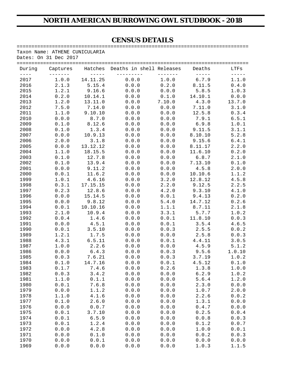## **NORTH AMERICAN BURROWING OWL STUDBOOK - 2018**

#### **CENSUS DETAILS**

=============================================================================== Taxon Name: ATHENE CUNICULARIA

Dates: On 31 Dec 2017

|          |       |                  | During Captures Hatches Deaths in shell Releases Deaths LTFs                                                                                                  |       |                                              | $\begin{tabular}{cc} - & - & - \\ - & - & - \\ \hline \end{tabular}$ |
|----------|-------|------------------|---------------------------------------------------------------------------------------------------------------------------------------------------------------|-------|----------------------------------------------|----------------------------------------------------------------------|
|          |       |                  | and the continues are the continued of the continues of the continues of the continues of the continues of the<br>2017 1.0.0 14.11.25 0.0.0 1.0.0 6.7.9 1.1.0 |       |                                              |                                                                      |
|          |       |                  | 2016 2.1.3 5.15.4 0.0.0 0.2.0 8.11.5 0.4.0                                                                                                                    |       |                                              |                                                                      |
| 2015     |       |                  | $1.2.1$ 9.16.6 0.0.0                                                                                                                                          |       | $0.0.0$ 5.8.5 1.0.3                          |                                                                      |
| 2014     |       |                  | $0.2.0$ 10.14.1   0.0.0   0.1.0   14.10.1   0.0.0                                                                                                             |       |                                              |                                                                      |
| 2013     |       |                  | $1.2.0$ $13.11.0$ $0.0.0$ $7.10.0$ $4.3.0$ $13.7.0$                                                                                                           |       |                                              |                                                                      |
| 2012     |       |                  | $7.5.0$ $7.14.0$ $0.0.0$ $0.0.0$ $7.11.0$ $3.1.0$                                                                                                             |       |                                              |                                                                      |
| 2011     |       |                  | $1.1.0$ $9.10.10$ $0.0.0$                                                                                                                                     |       | $0.0.0$ $12.5.8$ $0.3.4$                     |                                                                      |
| 2010     |       |                  | $0.0.0$ $8.7.0$ $0.0.0$                                                                                                                                       |       | $0.0.0$ 7.9.1 6.5.1                          |                                                                      |
| 2009     |       |                  | $0.1.0$ $8.12.6$ $0.0.0$                                                                                                                                      |       | $0.0.0$ $6.9.8$ $1.0.1$                      |                                                                      |
| 2008     |       |                  | $0.1.0$ $1.3.4$ $0.0.0$                                                                                                                                       |       | $0.0.0$ $9.11.5$ $3.1.1$                     |                                                                      |
| 2007     |       |                  | $0.0.0$ $10.9.13$ $0.0.0$                                                                                                                                     |       | $0.0.0$ $8.10.10$ $5.2.8$                    |                                                                      |
| 2006 700 |       |                  | $2.0.0$ $3.1.8$ $0.0.0$                                                                                                                                       |       | $0.0.0$ $9.15.6$ $6.4.1$                     |                                                                      |
| 2005     |       |                  | $0.0.0$ $13.12.12$ $0.0.0$                                                                                                                                    |       | $0.0.0$ $8.11.17$ $2.2.0$                    |                                                                      |
|          |       |                  |                                                                                                                                                               |       |                                              |                                                                      |
| 2004     |       |                  | $1.1.0$ 18.15.5 0.0.0                                                                                                                                         |       | $0.0.0$ $11.6.10$                            | 0.2.0                                                                |
| 2003     |       |                  | $0.1.0$ $12.7.8$ $0.0.0$                                                                                                                                      |       | $0.0.0$ $6.8.7$ $2.1.0$<br>$0.0.0$ $7.13.10$ |                                                                      |
| 2002     |       |                  | $0.1.0$ 13.9.4 $0.0.0$                                                                                                                                        |       |                                              | 0.1.0                                                                |
| 2001     |       |                  | $0.0.0$ $9.11.2$ $0.0.0$                                                                                                                                      |       | $0.0.0$ $4.5.8$ $2.0.0$                      |                                                                      |
| 2000 000 |       |                  | $0.0.1$ 11.6.2 0.0.0                                                                                                                                          | 0.0.0 | 10.10.6                                      | 1.1.2                                                                |
| 1999 72  |       |                  | $1.0.1$ $4.6.16$ $0.0.0$                                                                                                                                      |       | $3.2.0$ $12.8.12$                            | 4.5.8                                                                |
| 1998     |       |                  | $0.3.1$ 17.15.15 0.0.0                                                                                                                                        |       | $2.2.0$ $9.12.5$                             | 2.2.5                                                                |
| 1997     |       |                  | $0.2.3$ 12.8.6 0.0.0                                                                                                                                          |       | $4.2.0$ $9.3.10$                             | 4.1.0                                                                |
| 1996 70  |       |                  | $0.0.0$ 15.14.5 0.0.0                                                                                                                                         |       | $0.0.1$ 9.4.13                               | 0.2.0                                                                |
| 1995     |       |                  | $0.0.0$ $9.8.12$ $0.0.0$                                                                                                                                      |       | 5.4.0 14.7.12                                | 0.2.6                                                                |
| 1994     |       |                  | $0.0.1$ 10.10.16 0.0.0                                                                                                                                        |       | $1.1.1$ $8.7.11$                             | 2.1.8                                                                |
| 1993     |       |                  | $2.1.0$ $10.9.4$ $0.0.0$                                                                                                                                      |       | $3.3.1$ $5.7.7$                              | 1.0.2                                                                |
| 1992     |       |                  | $0.0.4$ 1.4.6 0.0.0                                                                                                                                           |       | $0.0.1$ 11.8.10                              | 0.0.3                                                                |
| 1991     |       |                  | $0.0.0$ $4.5.1$ $0.0.0$                                                                                                                                       |       | $0.0.1$ $3.5.4$                              | 4.6.5                                                                |
| 1990     |       |                  | $0.0.1$ $3.5.10$ $0.0.0$                                                                                                                                      |       | $0.0.3$ 2.5.5                                | 0.0.2                                                                |
| 1989     |       |                  | $1.2.1$ $1.7.5$ 0.0.0                                                                                                                                         |       | $0.0.0$ $2.5.8$                              | 0.0.3                                                                |
| 1988     |       |                  | $4.3.1$ $6.5.11$ $0.0.0$                                                                                                                                      |       | $0.0.1$ $4.4.11$                             | 3.0.5                                                                |
| 1987     | 1.0.0 |                  | $2.2.6$ 0.0.0                                                                                                                                                 | 0.0.0 | 4.5.9                                        | 5.1.2                                                                |
| 1986     |       |                  | $0.0.0$ $6.4.3$ $0.0.0$                                                                                                                                       |       | $0.0.3$ $9.5.6$                              | 1.0.10                                                               |
| 1985     |       | $0.0.3$ $7.6.21$ | 0.0.0                                                                                                                                                         |       | $0.0.3$ $3.7.19$                             | 1.0.2                                                                |
| 1984     | 0.1.0 | 14.7.16          | 0.0.0                                                                                                                                                         | 0.0.1 | 4.5.12                                       | 0.1.0                                                                |
| 1983     | 0.1.7 | 7.4.6            | 0.0.0                                                                                                                                                         | 0.2.6 | 1.3.8                                        | 1.0.0                                                                |
| 1982     | 0.0.3 | 3.4.2            | 0.0.0                                                                                                                                                         | 0.0.0 | 6.2.9                                        | 1.0.2                                                                |
| 1981     | 1.1.0 | 0.1.1            | 0.0.0                                                                                                                                                         | 0.0.0 | 5.6.4                                        | 1.2.0                                                                |
| 1980     | 0.0.1 | 7.6.8            | 0.0.0                                                                                                                                                         | 0.0.0 | 2.3.0                                        | 0.0.0                                                                |
| 1979     | 0.0.0 | 1.1.2            | 0.0.0                                                                                                                                                         | 0.0.0 | 1.0.7                                        | 2.0.0                                                                |
| 1978     | 1.1.0 | 4.1.6            | 0.0.0                                                                                                                                                         | 0.0.0 | 2.2.6                                        | 0.0.2                                                                |
| 1977     | 0.1.0 | 2.6.0            | 0.0.0                                                                                                                                                         | 0.0.0 | 1.3.1                                        | 0.0.0                                                                |
| 1976     | 0.0.0 | 0.0.7            | 0.0.0                                                                                                                                                         | 0.0.0 | 0.4.7                                        | 0.0.0                                                                |
| 1975     | 0.0.1 | 3.7.10           | 0.0.0                                                                                                                                                         | 0.0.0 | 0.2.5                                        | 0.0.4                                                                |
| 1974     | 0.0.1 | 6.5.9            | 0.0.0                                                                                                                                                         | 0.0.0 | 0.0.8                                        | 0.0.3                                                                |
| 1973     | 0.0.1 | 1.2.4            | 0.0.0                                                                                                                                                         | 0.0.0 | 0.1.2                                        | 0.0.7                                                                |
| 1972     | 0.0.0 | 4.2.8            | 0.0.0                                                                                                                                                         | 0.0.0 | 1.0.0                                        | 0.0.1                                                                |
| 1971     | 0.0.0 | 0.1.0            | 0.0.0                                                                                                                                                         | 0.0.0 | 0.0.2                                        | 0.0.3                                                                |
| 1970     | 0.0.0 | 0.0.1            | 0.0.0                                                                                                                                                         | 0.0.0 | 0.0.0                                        | 0.0.0                                                                |
| 1969     | 0.0.0 | 0.0.0            | 0.0.0                                                                                                                                                         | 0.0.0 | 1.0.3                                        | 1.1.5                                                                |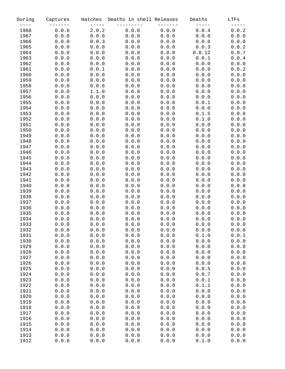| During | Captures | Hatches | Deaths in shell Releases |       | Deaths | LTFs  |
|--------|----------|---------|--------------------------|-------|--------|-------|
| 1968   | 0.0.6    | 2.0.2   | 0.0.0                    | 0.0.0 | 0.0.4  | 0.0.2 |
| 1967   | 0.0.0    | 0.0.0   | 0.0.0                    | 0.0.0 | 0.0.0  | 0.0.0 |
| 1966   | 0.0.0    | 0.0.3   | 0.0.0                    | 0.0.0 | 0.0.0  | 0.0.0 |
| 1965   | 0.0.0    | 0.0.0   | 0.0.0                    | 0.0.0 | 0.0.3  | 0.0.2 |
| 1964   | 0.0.0    | 0.0.0   | 0.0.0                    | 0.0.0 | 0.0.12 | 0.0.7 |
|        |          |         |                          |       |        |       |
| 1963   | 0.0.0    | 0.0.0   | 0.0.0                    | 0.0.0 | 0.0.1  | 0.0.4 |
| 1962   | 0.0.0    | 0.0.0   | 0.0.0                    | 0.0.0 | 0.0.0  | 0.0.0 |
| 1961   | 0.0.0    | 0.0.1   | 0.0.0                    | 0.0.0 | 0.0.0  | 0.0.2 |
| 1960   | 0.0.0    | 0.0.0   | 0.0.0                    | 0.0.0 | 0.0.0  | 0.0.0 |
| 1959   | 0.0.0    | 0.0.0   | 0.0.0                    | 0.0.0 | 0.0.0  | 0.0.0 |
| 1958   | 0.0.0    | 0.0.6   | 0.0.0                    | 0.0.0 | 0.0.0  | 0.0.0 |
| 1957   | 0.0.0    | 1.1.0   | 0.0.0                    | 0.0.0 | 0.0.0  | 0.0.0 |
| 1956   | 0.0.0    | 0.0.0   | 0.0.0                    | 0.0.0 | 0.0.0  | 0.0.0 |
| 1955   | 0.0.0    | 0.0.0   | 0.0.0                    | 0.0.0 | 0.0.1  | 0.0.0 |
| 1954   | 0.0.0    | 0.0.0   | 0.0.0                    | 0.0.0 | 0.0.0  | 0.0.0 |
| 1953   | 0.0.0    | 0.0.0   | 0.0.0                    | 0.0.0 | 0.1.5  | 0.0.0 |
| 1952   | 0.0.0    | 0.0.0   | 0.0.0                    | 0.0.0 | 0.1.0  | 0.0.0 |
| 1951   | 0.0.0    | 0.0.0   | 0.0.0                    | 0.0.0 | 0.0.0  | 0.0.0 |
| 1950   | 0.0.0    | 0.0.0   | 0.0.0                    | 0.0.0 | 0.0.0  | 0.0.0 |
| 1949   | 0.0.0    | 0.0.0   | 0.0.0                    | 0.0.0 | 0.0.0  | 0.0.0 |
| 1948   | 0.0.0    | 0.0.0   | 0.0.0                    | 0.0.0 | 0.0.0  | 0.0.0 |
| 1947   | 0.0.0    | 0.0.0   | 0.0.0                    | 0.0.0 | 0.0.0  | 0.0.0 |
| 1946   | 0.0.0    | 0.0.0   | 0.0.0                    | 0.0.0 | 0.0.0  | 0.0.0 |
| 1945   | 0.0.0    | 0.0.0   | 0.0.0                    | 0.0.0 | 0.0.0  | 0.0.0 |
| 1944   | 0.0.0    | 0.0.0   | 0.0.0                    | 0.0.0 | 0.0.0  | 0.0.0 |
| 1943   | 0.0.0    | 0.0.0   | 0.0.0                    | 0.0.0 | 0.0.0  | 0.0.0 |
| 1942   | 0.0.0    | 0.0.0   | 0.0.0                    | 0.0.0 | 0.0.0  | 0.0.0 |
| 1941   | 0.0.0    | 0.0.0   | 0.0.0                    | 0.0.0 | 0.0.0  | 0.0.0 |
|        |          |         |                          |       |        |       |
| 1940   | 0.0.0    | 0.0.0   | 0.0.0                    | 0.0.0 | 0.0.0  | 0.0.0 |
| 1939   | 0.0.0    | 0.0.0   | 0.0.0                    | 0.0.0 | 0.0.0  | 0.0.0 |
| 1938   | 0.0.0    | 0.0.0   | 0.0.0                    | 0.0.0 | 0.0.0  | 0.0.0 |
| 1937   | 0.0.0    | 0.0.0   | 0.0.0                    | 0.0.0 | 0.0.0  | 0.0.0 |
| 1936   | 0.0.0    | 0.0.0   | 0.0.0                    | 0.0.0 | 0.0.0  | 0.0.0 |
| 1935   | 0.0.0    | 0.0.0   | 0.0.0                    | 0.0.0 | 0.0.0  | 0.0.0 |
| 1934   | 0.0.0    | 0.0.0   | 0.0.0                    | 0.0.0 | 0.0.0  | 0.0.0 |
| 1933   | 0.0.0    | 0.0.0   | 0.0.0                    | 0.0.0 | 0.0.0  | 0.0.0 |
| 1932   | 0.0.0    | 0.0.0   | 0.0.0                    | 0.0.0 | 0.0.0  | 0.0.0 |
| 1931   | 0.0.0    | 0.0.0   | 0.0.0                    | 0.0.0 | 0.1.0  | 0.0.1 |
| 1930   | 0.0.0    | 0.0.0   | 0.0.0                    | 0.0.0 | 0.0.0  | 0.0.0 |
| 1929   | 0.0.0    | 0.0.0   | 0.0.0                    | 0.0.0 | 0.0.0  | 0.0.0 |
| 1928   | 0.0.0    | 0.0.0   | 0.0.0                    | 0.0.0 | 0.0.0  | 0.0.0 |
| 1927   | 0.0.0    | 0.0.0   | 0.0.0                    | 0.0.0 | 0.0.0  | 0.0.0 |
| 1926   | 0.0.0    | 0.0.0   | 0.0.0                    | 0.0.0 | 0.0.0  | 0.0.0 |
| 1925   | 0.0.0    | 0.0.0   | 0.0.0                    | 0.0.0 | 0.0.5  | 0.0.0 |
| 1924   | 0.0.0    | 0.0.0   | 0.0.0                    | 0.0.0 | 0.0.7  | 0.0.0 |
| 1923   | 0.0.0    | 0.0.0   | 0.0.0                    | 0.0.0 | 0.0.1  | 0.0.0 |
| 1922   | 0.0.0    | 0.0.0   | 0.0.0                    | 0.0.0 | 0.1.1  | 0.0.0 |
| 1921   | 0.0.0    | 0.0.0   | 0.0.0                    | 0.0.0 | 0.0.0  | 0.0.0 |
| 1920   | 0.0.0    | 0.0.0   | 0.0.0                    | 0.0.0 | 0.0.0  | 0.0.0 |
| 1919   | 0.0.0    | 0.0.0   | 0.0.0                    | 0.0.0 | 0.0.0  | 0.0.0 |
| 1918   | 0.0.0    | 0.0.0   | 0.0.0                    | 0.0.0 | 0.0.0  | 0.0.0 |
| 1917   | 0.0.0    | 0.0.0   | 0.0.0                    | 0.0.0 | 0.0.0  | 0.0.0 |
| 1916   | 0.0.0    | 0.0.0   | 0.0.0                    | 0.0.0 | 0.0.0  | 0.0.0 |
| 1915   | 0.0.0    | 0.0.0   | 0.0.0                    | 0.0.0 | 0.0.0  | 0.0.0 |
| 1914   | 0.0.0    | 0.0.0   | 0.0.0                    | 0.0.0 | 0.0.0  | 0.0.0 |
| 1913   | 0.0.0    | 0.0.0   | 0.0.0                    | 0.0.0 | 0.0.0  | 0.0.0 |
| 1912   | 0.0.0    | 0.0.0   | 0.0.0                    | 0.0.0 | 0.1.0  | 0.0.0 |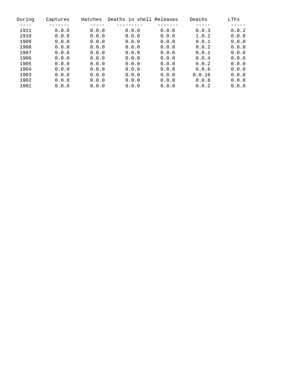| During | Captures | Hatches | shell<br>Deaths in | Releases | Deaths | LTFs  |
|--------|----------|---------|--------------------|----------|--------|-------|
|        |          |         |                    |          |        |       |
| 1911   | 0.0.0    | 0.0.0   | 0.0.0              | 0.0.0    | 0.0.3  | 0.0.2 |
| 1910   | 0.0.0    | 0.0.0   | 0.0.0              | 0.0.0    | 1.0.2  | 0.0.0 |
| 1909   | 0.0.0    | 0.0.0   | 0.0.0              | 0.0.0    | 0.0.1  | 0.0.0 |
| 1908   | 0.0.0    | 0.0.0   | 0.0.0              | 0.0.0    | 0.0.2  | 0.0.0 |
| 1907   | 0.0.0    | 0.0.0   | 0.0.0              | 0.0.0    | 0.0.1  | 0.0.0 |
| 1906   | 0.0.0    | 0.0.0   | 0.0.0              | 0.0.0    | 0.0.4  | 0.0.6 |
| 1905   | 0.0.0    | 0.0.0   | 0.0.0              | 0.0.0    | 0.0.2  | 0.0.0 |
| 1904   | 0.0.0    | 0.0.0   | 0.0.0              | 0.0.0    | 0.0.6  | 0.0.0 |
| 1903   | 0.0.0    | 0.0.0   | 0.0.0              | 0.0.0    | 0.0.10 | 0.0.0 |
| 1902   | 0.0.0    | 0.0.0   | 0.0.0              | 0.0.0    | 0.0.8  | 0.0.0 |
| 1901   | 0.0.0    | 0.0.0   | 0.0.0              | 0.0.0    | 0.0.2  | 0.0.0 |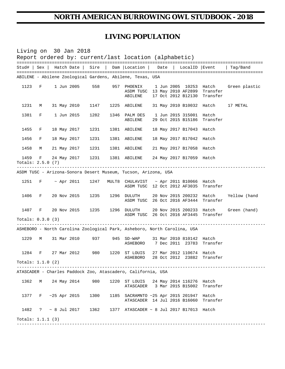## **LIVING POPULATION**

|                                                                |            | Living on 30 Jan 2018 |  |                         |  | Report ordered by: current/last location (alphabetic)        |  |                                                                                      |          |                                                  |
|----------------------------------------------------------------|------------|-----------------------|--|-------------------------|--|--------------------------------------------------------------|--|--------------------------------------------------------------------------------------|----------|--------------------------------------------------|
|                                                                |            |                       |  |                         |  |                                                              |  | Stud#   Sex   Hatch Date   Sire   Dam   Location   Date   LocalID   Event   Tag/Band |          |                                                  |
|                                                                |            |                       |  |                         |  | ABILENE - Abilene Zoological Gardens, Abilene, Texas, USA    |  |                                                                                      |          |                                                  |
| 1123                                                           | $F \sim 1$ | 1 Jun 2005            |  | 558                     |  | ABILENE                                                      |  | ASDM TUSC 13 May 2010 AF2899<br>17 Oct 2012 B12130 Transfer                          | Transfer | 957 PHOENIX 1 Jun 2005 10253 Hatch Green plastic |
| 1231                                                           | М          | 31 May 2010           |  | 1147                    |  | 1225 ABILENE                                                 |  | 31 May 2010 B10032 Hatch                                                             |          | 17 METAL                                         |
| 1381                                                           | $F \sim 1$ | 1 Jun 2015            |  | 1282                    |  | 1346 PALM DES<br>ABILENE                                     |  | 1 Jun 2015 315001 Hatch<br>29 Oct 2015 B15186                                        | Transfer |                                                  |
| 1455                                                           | F          | 18 May 2017           |  | 1231                    |  | 1381 ABILENE                                                 |  | 18 May 2017 B17043 Hatch                                                             |          |                                                  |
| 1456                                                           | F          | 18 May 2017           |  | 1231                    |  | 1381 ABILENE                                                 |  | 18 May 2017 B17042                                                                   | Hatch    |                                                  |
| 1458                                                           | M          | 21 May 2017           |  | 1231                    |  |                                                              |  | 1381 ABILENE 21 May 2017 B17058 Hatch                                                |          |                                                  |
| Totals: 2.5.0 (7)                                              |            |                       |  | 1459 F 24 May 2017 1231 |  |                                                              |  | 1381 ABILENE 24 May 2017 B17059 Hatch                                                |          |                                                  |
| ASDM TUSC - Arizona-Sonora Desert Museum, Tucson, Arizona, USA |            |                       |  |                         |  |                                                              |  |                                                                                      |          |                                                  |
| 1251                                                           |            | $F \sim$ Apr 2011     |  | 1247                    |  |                                                              |  | MULT8 CHULAVIST ~ Apr 2011 B10066 Hatch<br>ASDM TUSC 12 Oct 2012 AF3035              | Transfer |                                                  |
| 1406                                                           | $F =$      | 20 Nov 2015           |  | 1235                    |  | 1296 DULUTH                                                  |  | ASDM TUSC 26 Oct 2016 AF3444 Transfer                                                |          | 20 Nov 2015 200232 Hatch Yellow (hand            |
|                                                                | 1407 F     | 20 Nov 2015           |  | 1235                    |  | 1296 DULUTH                                                  |  | ASDM TUSC 26 Oct 2016 AF3445 Transfer                                                |          | 20 Nov 2015 200233 Hatch Green (hand)            |
| Totals: 0.3.0 (3)                                              |            |                       |  |                         |  |                                                              |  |                                                                                      |          |                                                  |
|                                                                |            |                       |  |                         |  |                                                              |  | ASHEBORO - North Carolina Zoological Park, Asheboro, North Carolina, USA             |          |                                                  |
| 1229                                                           | М          | 31 Mar 2010           |  | 937 — 10                |  | ASHEBORO                                                     |  | 945 SD-WAP 31 Mar 2010 810142 Hatch<br>7 Dec 2011 23783 Transfer                     |          |                                                  |
| 1284                                                           |            |                       |  | F 27 Mar 2012 980       |  | 1220 ST LOUIS                                                |  | 27 Mar 2012 110674 Hatch<br>ASHEBORO 28 Oct 2012 23882 Transfer                      |          |                                                  |
| Totals: $1.1.0$ (2)                                            |            |                       |  |                         |  |                                                              |  |                                                                                      |          |                                                  |
|                                                                |            |                       |  |                         |  | ATASCADER - Charles Paddock Zoo, Atascadero, California, USA |  |                                                                                      |          |                                                  |
| 1362                                                           | М          | 24 May 2014           |  | 980                     |  |                                                              |  | 1220 ST LOUIS 24 May 2014 116276 Hatch<br>ATASCADER 3 Mar 2015 B15002 Transfer       |          |                                                  |
|                                                                |            | 1377 F ~25 Apr 2015   |  | 1300                    |  |                                                              |  | 1185 SACRAMNTO ~25 Apr 2015 201947 Hatch<br>ATASCADER 14 Jul 2016 B16060             | Transfer |                                                  |
| 1482                                                           |            | $? \sim 8$ Jul 2017   |  | 1362                    |  |                                                              |  | 1377 ATASCADER ~ 8 Jul 2017 B17013 Hatch                                             |          |                                                  |
| Totals: 1.1.1 (3)                                              |            |                       |  |                         |  |                                                              |  |                                                                                      |          |                                                  |
|                                                                |            |                       |  |                         |  |                                                              |  |                                                                                      |          |                                                  |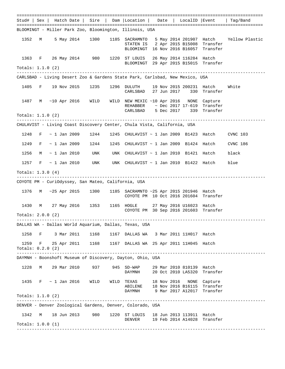================================================================================================== Stud# | Sex | Hatch Date | Sire | Dam |Location | Date | LocalID |Event | Tag/Band ================================================================================================== BLOOMINGT - Miller Park Zoo, Bloomington, Illinois, USA 1352 M 5 May 2014 1300 1185 SACRAMNTO 5 May 2014 201907 Hatch Yellow Plastic STATEN IS 2 Apr 2015 B15008 Transfer BLOOMINGT 16 Nov 2016 B16057 Transfer 1363 F 26 May 2014 980 1220 ST LOUIS 26 May 2014 116284 Hatch BLOOMINGT 29 Apr 2015 B15015 Transfer Totals: 1.1.0 (2) --------------------------------------------------------------------------------------------------- CARLSBAD - Living Desert Zoo & Gardens State Park, Carlsbad, New Mexico, USA 1405 F 19 Nov 2015 1235 1296 DULUTH 19 Nov 2015 200231 Hatch White CARLSBAD 27 Jun 2017 330 Transfer 1487 M ~10 Apr 2016 WILD WILD NEW MEXIC ~10 Apr 2016 NONE Capture REHABBER  $\sim$  Dec 2017 17-619 Transfer CARLSBAD 5 Dec 2017 339 Transfer Totals: 1.1.0 (2) --------------------------------------------------------------------------------------------------- CHULAVIST - Living Coast Discovery Center, Chula Vista, California, USA 1248 F ~ 1 Jan 2009 1244 1245 CHULAVIST ~ 1 Jan 2009 B1423 Hatch CVNC 103 1249 F ~ 1 Jan 2009 1244 1245 CHULAVIST ~ 1 Jan 2009 B1424 Hatch CVNC 186 1256 M ~ 1 Jan 2010 UNK UNK CHULAVIST ~ 1 Jan 2010 B1421 Hatch black 1257 F ~ 1 Jan 2010 UNK UNK CHULAVIST ~ 1 Jan 2010 B1422 Hatch blue Totals: 1.3.0 (4) --------------------------------------------------------------------------------------------------- COYOTE PM - CuriOdyssey, San Mateo, California, USA 1376 M ~25 Apr 2015 1300 1185 SACRAMNTO ~25 Apr 2015 201946 Hatch COYOTE PM 10 Oct 2016 201604 Transfer 1430 M 27 May 2016 1353 1165 HOGLE 27 May 2016 U16023 Hatch COYOTE PM 30 Sep 2016 201603 Transfer Totals: 2.0.0 (2) --------------------------------------------------------------------------------------------------- DALLAS WA - Dallas World Aquarium, Dallas, Texas, USA 1258 F 3 Mar 2011 1168 1167 DALLAS WA 3 Mar 2011 11H017 Hatch 1259 F 25 Apr 2011 1168 1167 DALLAS WA 25 Apr 2011 11H045 Hatch Totals: 0.2.0 (2) --------------------------------------------------------------------------------------------------- DAYMNH - Boonshoft Museum of Discovery, Dayton, Ohio, USA 1228 M 29 Mar 2010 937 945 SD-WAP 29 Mar 2010 810139 Hatch DAYMNH 20 Oct 2010 LA5320 Transfer 1435 F ~ 1 Jan 2016 WILD WILD TEXAS 18 Nov 2016 NONE Capture ABILENE 18 Nov 2016 B16115 Transfer DAYMNH 9 Mar 2017 A12017 Transfer Totals: 1.1.0 (2) --------------------------------------------------------------------------------------------------- DENVER - Denver Zoological Gardens, Denver, Colorado, USA 1342 M 18 Jun 2013 980 1220 ST LOUIS 18 Jun 2013 113911 Hatch DENVER 19 Feb 2014 A14028 Transfer Totals: 1.0.0 (1) ---------------------------------------------------------------------------------------------------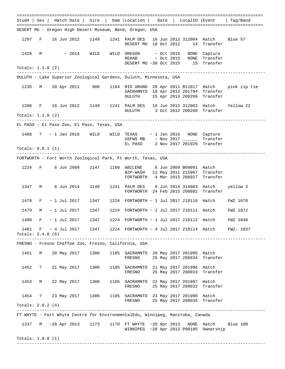================================================================================================== Stud# | Sex | Hatch Date | Sire | Dam |Location | Date | LocalID |Event | Tag/Band ================================================================================================== DESERT MU - Oregon High Desert Museum, Bend, Oregon, USA 1297 F 16 Jun 2012 1149 1241 PALM DES 16 Jun 2012 312004 Hatch Blue 57 DESERT MU 10 Oct 2012 14 Transfer 1428 M ~ 2014 WILD WILD OREGON ~ Oct 2015 NONE Capture REHAB  $\sim$  Oct 2015 NONE Transfer DESERT MU ~30 Oct 2015 15 Transfer Totals: 1.1.0 (2) --------------------------------------------------------------------------------------------------- DULUTH - Lake Superior Zoological Gardens, Duluth, Minnesota, USA 1235 M 20 Apr 2011 900 1184 RIO GRAND 20 Apr 2011 B11017 Hatch pink zip tie SACRAMNTO 18 Apr 2012 201794 Transfer DULUTH 15 Apr 2013 200209 Transfer 1296 F 16 Jun 2012 1149 1241 PALM DES 16 Jun 2012 312003 Hatch Yellow 22 DULUTH 3 Oct 2012 200208 Transfer Totals: 1.1.0 (2) --------------------------------------------------------------------------------------------------- EL PASO - El Paso Zoo, El Paso, Texas, USA 1488 ?  $\sim$  1 Jan 2016 WILD WILD TEXAS  $\sim$  1 Jan 2016 NONE Capture USFWS MB ~ Nov 2017 \_\_\_\_\_\_ Transfer EL PASO 2 Nov 2017 201920 Transfer Totals: 0.0.1 (1) --------------------------------------------------------------------------------------------------- FORTWORTH - Fort Worth Zoological Park, Ft Worth, Texas, USA 1224 F 6 Jun 2009 1147 1189 ABILENE 6 Jun 2009 B09091 Hatch NZP-WASH 11 May 2011 215967 Transfer FORTWORTH 4 Mar 2015 208927 Transfer 1347 M 8 Jun 2014 1149 1241 PALM DES 8 Jun 2014 314003 Hatch yellow 3 FORTWORTH 24 Feb 2015 208882 Transfer 1478 F ~ 1 Jul 2017 1347 1224 FORTWORTH ~ 1 Jul 2017 210110 Hatch FWZ 1070 1479 M ~ 1 Jul 2017 1347 1224 FORTWORTH ~ 1 Jul 2017 210111 Hatch FWZ 1072 1480 F ~ 1 Jul 2017 1347 1224 FORTWORTH ~ 1 Jul 2017 210112 Hatch FWZ 1048 1481 F ~ 4 Jul 2017 1347 1224 FORTWORTH ~ 4 Jul 2017 210114 Hatch FWZ- 1037 Totals: 2.4.0 (6) --------------------------------------------------------------------------------------------------- FRESNO - Fresno Chaffee Zoo, Fresno, California, USA 1451 M 20 May 2017 1300 1185 SACRAMNTO 20 May 2017 201995 Hatch FRESNO 25 May 2017 208034 Transfer 1452 ? 21 May 2017 1300 1185 SACRAMNTO 21 May 2017 201996 Hatch FRESNO 25 May 2017 208033 Transfer 1453 M 22 May 2017 1300 1185 SACRAMNTO 22 May 2017 201997 Hatch FRESNO 25 May 2017 208032 Transfer 1454 ? 23 May 2017 1300 1185 SACRAMNTO 23 May 2017 201998 Hatch FRESNO 25 May 2017 208035 Transfer Totals: 2.0.2 (4) --------------------------------------------------------------------------------------------------- FT WHYTE - Fort Whyte Centre for EnvironmentalEdu, Winnipeg, Manitoba, Canada 1337 M ~20 Apr 2013 1173 1170 FT WHYTE ~20 Apr 2013 NONE Hatch Blue 100 WINNIPEG ~20 Apr 2013 P00105 Ownership Totals: 1.0.0 (1) ---------------------------------------------------------------------------------------------------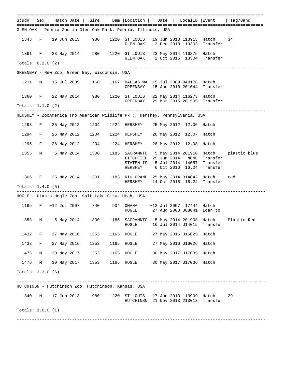================================================================================================== Stud# | Sex | Hatch Date | Sire | Dam |Location | Date | LocalID |Event | Tag/Band ================================================================================================== GLEN OAK - Peoria Zoo in Glen Oak Park, Peoria, Illinois, USA 1343 F 19 Jun 2013 980 1220 ST LOUIS 19 Jun 2013 113913 Hatch 34 GLEN OAK 3 Dec 2013 13303 Transfer 1361 F 23 May 2014 980 1220 ST LOUIS 23 May 2014 116275 Hatch GLEN OAK 2 Oct 2015 13304 Transfer Totals: 0.2.0 (2) --------------------------------------------------------------------------------------------------- GREENBAY - New Zoo, Green Bay, Wisconsin, USA 1211 M 15 Jul 2009 1168 1167 DALLAS WA 15 Jul 2009 9AB178 Hatch GREENBAY 15 Jun 2010 201044 Transfer 1360 F 22 May 2014 980 1220 ST LOUIS 22 May 2014 116273 Hatch GREENBAY 29 Mar 2015 201505 Transfer Totals: 1.1.0 (2) --------------------------------------------------------------------------------------------------- HERSHEY - ZooAmerica (no American Wildlife Pk ), Hershey, Pennsylvania, USA 1293 F 25 May 2012 1204 1224 HERSHEY 25 May 2012 12.06 Hatch 1294 F 26 May 2012 1204 1224 HERSHEY 26 May 2012 12.07 Hatch 1295 F 28 May 2012 1204 1224 HERSHEY 28 May 2012 12.08 Hatch 1355 M 5 May 2014 1300 1185 SACRAMNTO 5 May 2014 201910 Hatch plastic blue LITCHFIEL 25 Jun 2014 NONE Transfer STATEN IS 5 Jul 2014 114057 Transfer 6 Oct 2016 16.24 Transfer 1366 F 25 May 2014 1301 1183 RIO GRAND 25 May 2014 B14042 Hatch red HERSHEY 14 Oct 2015 15.24 Transfer Totals: 1.4.0 (5) --------------------------------------------------------------------------------------------------- HOGLE - Utah's Hogle Zoo, Salt Lake City, Utah, USA 1165 F ~12 Jul 2007 740 904 OMAHA ~12 Jul 2007 17444 Hatch HOGLE 27 Aug 2008 U08041 Loan to 1353 M 5 May 2014 1300 1185 SACRAMNTO 5 May 2014 201908 Hatch Plastic Red HOGLE 16 Jul 2014 U14015 Transfer 1432 F 27 May 2016 1353 1165 HOGLE 27 May 2016 U16025 Hatch 1433 F 27 May 2016 1353 1165 HOGLE 27 May 2016 U16026 Hatch 1475 M 30 May 2017 1353 1165 HOGLE 30 May 2017 U17035 Hatch 1476 M 30 May 2017 1353 1165 HOGLE 30 May 2017 U17036 Hatch Totals: 3.3.0 (6) --------------------------------------------------------------------------------------------------- HUTCHINSN - Hutchinson Zoo, Hutchinson, Kansas, USA 1340 M 17 Jun 2013 980 1220 ST LOUIS 17 Jun 2013 113909 Hatch 29 HUTCHINSN 21 Nov 2013 213013 Transfer Totals: 1.0.0 (1) ---------------------------------------------------------------------------------------------------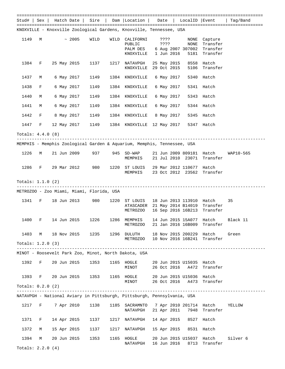Stud# | Sex | Hatch Date | Sire | Dam |Location | Date | LocalID |Event | Tag/Band ================================================================================================== KNOXVILLE - Knoxville Zoological Gardens, Knoxville, Tennessee, USA 1149 M ~ 2005 WILD WILD CALIFORNI ???? NONE Capture PUBLIC 2??? NONE Transfer PALM DES 6 Aug 2007 307002 Transfer KNOXVILLE 1 Jun 2016 5181 Transfer 1384 F 25 May 2015 1137 1217 NATAVPGH 25 May 2015 8558 Hatch KNOXVILLE 29 Oct 2015 5106 Transfer 1437 M 6 May 2017 1149 1384 KNOXVILLE 6 May 2017 5340 Hatch 1438 F 6 May 2017 1149 1384 KNOXVILLE 6 May 2017 5341 Hatch 1440 M 6 May 2017 1149 1384 KNOXVILLE 6 May 2017 5343 Hatch 1441 M 6 May 2017 1149 1384 KNOXVILLE 6 May 2017 5344 Hatch 1442 F 8 May 2017 1149 1384 KNOXVILLE 8 May 2017 5345 Hatch 1447 F 12 May 2017 1149 1384 KNOXVILLE 12 May 2017 5347 Hatch Totals: 4.4.0 (8) --------------------------------------------------------------------------------------------------- MEMPHIS - Memphis Zoological Garden & Aquarium, Memphis, Tennessee, USA 1226 M 21 Jun 2009 937 945 SD-WAP 21 Jun 2009 809181 Hatch WAP10-565 MEMPHIS 21 Jul 2010 23071 Transfer 1286 F 29 Mar 2012 980 1220 ST LOUIS 29 Mar 2012 110677 Hatch MEMPHIS 23 Oct 2012 23562 Transfer Totals: 1.1.0 (2) --------------------------------------------------------------------------------------------------- METROZOO - Zoo Miami, Miami, Florida, USA 1341 F 18 Jun 2013 980 1220 ST LOUIS 18 Jun 2013 113910 Hatch 35 ATASCADER 21 May 2014 B14019 Transfer METROZOO 16 Sep 2016 16B213 Transfer 1400 F 14 Jun 2015 1226 1286 MEMPHIS 14 Jun 2015 15A077 Hatch Black 11 METROZOO 21 Jan 2016 16B009 Transfer 1403 M 18 Nov 2015 1235 1296 DULUTH 18 Nov 2015 200229 Hatch Green METROZOO 10 Nov 2016 16B241 Transfer Totals: 1.2.0 (3) --------------------------------------------------------------------------------------------------- MINOT - Roosevelt Park Zoo, Minot, North Dakota, USA 1392 F 20 Jun 2015 1353 1165 HOGLE 20 Jun 2015 U15035 Hatch 26 Oct 2016 A472 Transfer 1393 F 20 Jun 2015 1353 1165 HOGLE 20 Jun 2015 U15036 Hatch MINOT 26 Oct 2016 A473 Transfer Totals: 0.2.0 (2) --------------------------------------------------------------------------------------------------- NATAVPGH - National Aviary in Pittsburgh, Pittsburgh, Pennsylvania, USA 1217 F 7 Apr 2010 1138 1185 SACRAMNTO 7 Apr 2010 201714 Hatch YELLOW NATAVPGH 21 Apr 2011 7948 Transfer 1371 F 14 Apr 2015 1137 1217 NATAVPGH 14 Apr 2015 8527 Hatch 1372 M 15 Apr 2015 1137 1217 NATAVPGH 15 Apr 2015 8531 Hatch 1394 M 20 Jun 2015 1353 1165 HOGLE 20 Jun 2015 U15037 Hatch Silver 6 NATAVPGH 16 Jun 2016 8713 Transfer

Totals: 2.2.0 (4)

==================================================================================================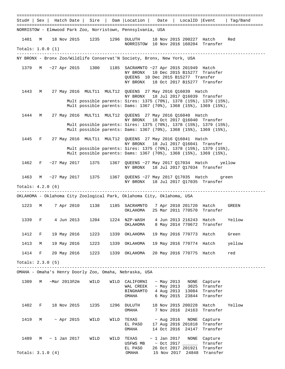================================================================================================== Stud# | Sex | Hatch Date | Sire | Dam |Location | Date | LocalID |Event | Tag/Band ================================================================================================== NORRISTOW - Elmwood Park Zoo, Norristown, Pennsylvania, USA 1401 M 18 Nov 2015 1235 1296 DULUTH 18 Nov 2015 200227 Hatch Red NORRISTOW 10 Nov 2016 160204 Transfer Totals: 1.0.0 (1) --------------------------------------------------------------------------------------------------- NY BRONX - Bronx Zoo/Wildlife Conservat'N Society, Bronx, New York, USA 1379 M ~27 Apr 2015 1300 1185 SACRAMNTO ~27 Apr 2015 201949 Hatch NY BRONX 10 Dec 2015 B15277 Transfer QUEENS 10 Dec 2015 B15277 Transfer NY BRONX 18 Oct 2017 B15277 Transfer 1443 M 27 May 2016 MULT11 MULT12 QUEENS 27 May 2016 Q16039 Hatch NY BRONX 18 Jul 2017 Q16039 Transfer Mult possible parents: Sires: 1375 (70%), 1378 (15%), 1379 (15%), Mult possible parents: Dams: 1367 (70%), 1368 (15%), 1369 (15%), 1444 M 27 May 2016 MULT11 MULT12 QUEENS 27 May 2016 Q16040 Hatch NY BRONX 18 Oct 2017 Q16040 Transfer Mult possible parents: Sires: 1375 (70%), 1378 (15%), 1379 (15%), Mult possible parents: Dams: 1367 (70%), 1368 (15%), 1369 (15%), 1445 F 27 May 2016 MULT11 MULT12 QUEENS 27 May 2016 Q16041 Hatch NY BRONX 18 Jul 2017 Q16041 Transfer Mult possible parents: Sires: 1375 (70%), 1378 (15%), 1379 (15%), Mult possible parents: Dams: 1367 (70%), 1368 (15%), 1369 (15%), 1462 F ~27 May 2017 1375 1367 QUEENS ~27 May 2017 Q17034 Hatch yellow NY BRONX 18 Jul 2017 Q17034 Transfer 1463 M ~27 May 2017 1375 1367 QUEENS ~27 May 2017 Q17035 Hatch green NY BRONX 18 Jul 2017 Q17035 Transfer Totals: 4.2.0 (6) --------------------------------------------------------------------------------------------------- OKLAHOMA - Oklahoma City Zoological Park, Oklahoma City, Oklahoma, USA 1223 M 7 Apr 2010 1138 1185 SACRAMNTO 7 Apr 2010 201720 Hatch GREEN OKLAHOMA 25 Mar 2011 770570 Transfer 1339 F 4 Jun 2013 1204 1224 NZP-WASH 4 Jun 2013 216243 Hatch Yellow OKLAHOMA 8 May 2014 770672 Transfer 1412 F 19 May 2016 1223 1339 OKLAHOMA 19 May 2016 770773 Hatch Green 1413 M 19 May 2016 1223 1339 OKLAHOMA 19 May 2016 770774 Hatch yellow 1414 F 20 May 2016 1223 1339 OKLAHOMA 20 May 2016 770775 Hatch red Totals: 2.3.0 (5) --------------------------------------------------------------------------------------------------- OMAHA - Omaha's Henry Doorly Zoo, Omaha, Nebraska, USA 1309 M ~Mar 2013ñ2m WILD WILD CALIFORNI ~ May 2013 NONE Capture WAL CREEK  $\sim$  May 2013 3025 Transfer BINGHAMTO 4 Aug 2013 13084 Transfer OMAHA 6 May 2015 23844 Transfer 1402 F 18 Nov 2015 1235 1296 DULUTH 18 Nov 2015 200228 Hatch Yellow OMAHA 7 Nov 2016 24163 Transfer 1419 M ~ Apr 2015 WILD WILD TEXAS ~ Aug 2016 NONE Capture EL PASO 17 Aug 2016 201818 Transfer OMAHA 14 Oct 2016 24147 Transfer 1489 M  $\sim$  1 Jan 2017 WILD WILD TEXAS  $\sim$  1 Jan 2017 NONE Capture USFWS MB ~ Oct 2017 Transfer EL PASO 26 Oct 2017 201921 Transfer OMAHA 15 Nov 2017 24848 Transfer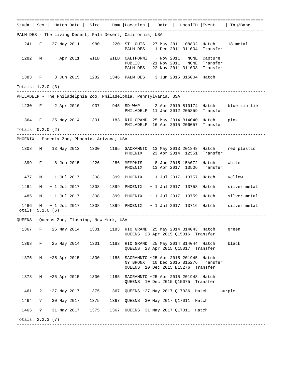================================================================================================== Stud# | Sex | Hatch Date | Sire | Dam |Location | Date | LocalID |Event | Tag/Band ================================================================================================== PALM DES - The Living Desert, Palm Desert, California, USA 1241 F 27 May 2011 980 1220 ST LOUIS 27 May 2011 108802 Hatch 18 metal PALM DES 1 Dec 2011 311004 Transfer 1282 M ~ Apr 2011 WILD WILD CALIFORNI ~ Nov 2011 NONE Capture PUBLIC ~21 Nov 2011 NONE Transfer PALM DES 22 Nov 2011 311003 Transfer 1383 F 3 Jun 2015 1282 1346 PALM DES 3 Jun 2015 315004 Hatch Totals: 1.2.0 (3) --------------------------------------------------------------------------------------------------- PHILADELP - The Philadelphia Zoo, Philadelphia, Pennsylvania, USA 1230 F 2 Apr 2010 937 945 SD-WAP 2 Apr 2010 810174 Hatch blue zip tie PHILADELP 11 Jan 2012 205859 Transfer 1364 F 25 May 2014 1301 1183 RIO GRAND 25 May 2014 B14040 Hatch pink PHILADELP 16 Apr 2015 206057 Transfer Totals: 0.2.0 (2) --------------------------------------------------------------------------------------------------- PHOENIX - Phoenix Zoo, Phoenix, Arizona, USA 1308 M 13 May 2013 1300 1185 SACRAMNTO 13 May 2013 201848 Hatch red plastic PHOENIX 23 Apr 2014 12551 Transfer 1399 F 8 Jun 2015 1226 1286 MEMPHIS 8 Jun 2015 15A072 Hatch white PHOENIX 13 Apr 2017 13506 Transfer 1477 M ~ 1 Jul 2017 1308 1399 PHOENIX ~ 1 Jul 2017 13757 Hatch yellow 1484 M ~ 1 Jul 2017 1308 1399 PHOENIX ~ 1 Jul 2017 13758 Hatch silver metal 1485 M ~ 1 Jul 2017 1308 1399 PHOENIX ~ 1 Jul 2017 13759 Hatch silver metal 1486 M ~ 1 Jul 2017 1308 1399 PHOENIX ~ 1 Jul 2017 13716 Hatch silver metal Totals: 5.1.0 (6) --------------------------------------------------------------------------------------------------- QUEENS - Queens Zoo, Flushing, New York, USA 1367 F 25 May 2014 1301 1183 RIO GRAND 25 May 2014 B14043 Hatch green QUEENS 23 Apr 2015 Q15016 Transfer 1368 F 25 May 2014 1301 1183 RIO GRAND 25 May 2014 B14044 Hatch black QUEENS 23 Apr 2015 Q15017 Transfer 1375 M ~25 Apr 2015 1300 1185 SACRAMNTO ~25 Apr 2015 201945 Hatch NY BRONX 10 Dec 2015 B15276 Transfer QUEENS 10 Dec 2015 B15276 Transfer 1378 M ~25 Apr 2015 1300 1185 SACRAMNTO ~25 Apr 2015 201948 Hatch QUEENS 10 Dec 2015 Q15075 Transfer 1461 ? ~27 May 2017 1375 1367 QUEENS ~27 May 2017 Q17036 Hatch purple 1464 ? 30 May 2017 1375 1367 QUEENS 30 May 2017 Q17011 Hatch 1465 ? 31 May 2017 1375 1367 QUEENS 31 May 2017 Q17011 Hatch Totals: 2.2.3 (7) ---------------------------------------------------------------------------------------------------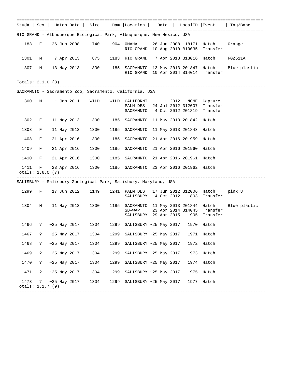| Stud#   Sex               |               |                      |  |      |      | Hatch Date   Sire   Dam   Location   Date   LocalID   Event                                |  |  |                    |                                 | Taq/Band                                             |  |
|---------------------------|---------------|----------------------|--|------|------|--------------------------------------------------------------------------------------------|--|--|--------------------|---------------------------------|------------------------------------------------------|--|
|                           |               |                      |  |      |      | RIO GRAND - Albuquerque Biological Park, Albuquerque, New Mexico, USA                      |  |  |                    |                                 |                                                      |  |
| 1183                      | $F$ and $F$   | 26 Jun 2008          |  | 740  |      | 904 OMAHA<br>RIO GRAND 10 Aug 2010 B10035 Transfer                                         |  |  |                    | 26 Jun 2008 18171 Hatch         | Orange                                               |  |
| 1301                      | M             | 7 Apr 2013 875       |  |      |      | 1183 RIO GRAND 7 Apr 2013 B13016 Hatch                                                     |  |  |                    |                                 | RGZ611A                                              |  |
| 1307                      |               | M 13 May 2013        |  | 1300 |      | RIO GRAND 10 Apr 2014 B14014 Transfer                                                      |  |  |                    |                                 | 1185 SACRAMNTO 13 May 2013 201847 Hatch Blue plastic |  |
| Totals: 2.1.0 (3)         |               |                      |  |      |      |                                                                                            |  |  |                    |                                 |                                                      |  |
|                           |               |                      |  |      |      | SACRAMNTO - Sacramento Zoo, Sacramento, California, USA                                    |  |  |                    |                                 |                                                      |  |
| 1300                      | M             | $\sim$ Jan 2011      |  | WILD |      | WILD CALIFORNI $\sim 2012$<br>PALM DES 24 Jul 2012 312007<br>SACRAMNTO 4 Oct 2012 201819   |  |  | NONE               | Capture<br>Transfer<br>Transfer |                                                      |  |
| 1302                      | F             | 11 May 2013          |  | 1300 |      | 1185 SACRAMNTO 11 May 2013 201842                                                          |  |  |                    | Hatch                           |                                                      |  |
| 1303                      | F             | 11 May 2013          |  | 1300 | 1185 | SACRAMNTO 11 May 2013 201843                                                               |  |  |                    | Hatch                           |                                                      |  |
| 1408                      | F             | 21 Apr 2016          |  | 1300 | 1185 | SACRAMNTO 21 Apr 2016 201959                                                               |  |  |                    | Hatch                           |                                                      |  |
| 1409                      | F             | 21 Apr 2016          |  | 1300 | 1185 | SACRAMNTO 21 Apr 2016 201960                                                               |  |  |                    | Hatch                           |                                                      |  |
| 1410                      | F             | 21 Apr 2016          |  | 1300 | 1185 | SACRAMNTO 21 Apr 2016 201961 Hatch                                                         |  |  |                    |                                 |                                                      |  |
| 1411<br>Totals: 1.6.0 (7) | F             | 23 Apr 2016          |  | 1300 |      | 1185 SACRAMNTO 23 Apr 2016 201962 Hatch                                                    |  |  |                    |                                 |                                                      |  |
|                           |               |                      |  |      |      | SALISBURY - Salisbury Zoological Park, Salisbury, Maryland, USA                            |  |  |                    |                                 |                                                      |  |
| 1299                      | F             | 17 Jun 2012          |  | 1149 |      | 1241 PALM DES<br>SALISBURY 4 Oct 2012 1803 Transfer                                        |  |  |                    | 17 Jun 2012 312006 Hatch        | pink 8                                               |  |
| 1304                      |               | M 11 May 2013        |  | 1300 |      | 1185 SACRAMNTO 11 May 2013 201844 Hatch<br>$SD-WAP$<br>SALISBURY 29 Apr 2015 1905 Transfer |  |  | 23 Apr 2014 814045 | Transfer                        | Blue plastic                                         |  |
| 1466                      |               | $? \sim 25$ May 2017 |  | 1304 |      | 1299 SALISBURY ~25 May 2017 1970 Hatch                                                     |  |  |                    |                                 |                                                      |  |
| 1467                      |               | ? ~25 May 2017       |  | 1304 |      | 1299 SALISBURY ~25 May 2017 1971 Hatch                                                     |  |  |                    |                                 |                                                      |  |
| 1468                      | $\ddot{?}$    | $~25$ May 2017       |  | 1304 |      | 1299 SALISBURY ~25 May 2017 1972 Hatch                                                     |  |  |                    |                                 |                                                      |  |
| 1469                      | $\mathcal{E}$ | $\sim$ 25 May 2017   |  | 1304 | 1299 | SALISBURY ~25 May 2017 1973 Hatch                                                          |  |  |                    |                                 |                                                      |  |
| 1470                      | $\mathbb{R}$  | $~25$ May 2017       |  | 1304 | 1299 | SALISBURY ~25 May 2017                                                                     |  |  |                    | 1974 Hatch                      |                                                      |  |
| 1471                      |               | $? \sim 25$ May 2017 |  | 1304 |      | 1299 SALISBURY ~25 May 2017 1975 Hatch                                                     |  |  |                    |                                 |                                                      |  |
| 1473<br>Totals: 1.1.7 (9) | $\mathbb{R}$  | ~25 May 2017         |  | 1304 |      | 1299 SALISBURY ~25 May 2017 1977 Hatch                                                     |  |  |                    |                                 |                                                      |  |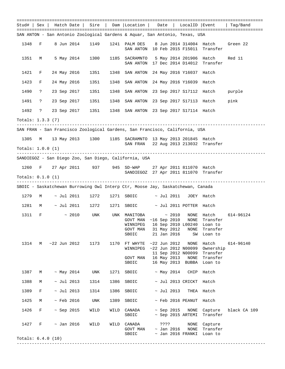================================================================================================== Stud# | Sex | Hatch Date | Sire | Dam |Location | Date | LocalID |Event | Tag/Band ================================================================================================== SAN ANTON - San Antonio Zoological Gardens & Aquar, San Antonio, Texas, USA 1348 F 8 Jun 2014 1149 1241 PALM DES 8 Jun 2014 314004 Hatch Green 22 SAN ANTON 10 Feb 2015 F15011 Transfer 1351 M 5 May 2014 1300 1185 SACRAMNTO 5 May 2014 201906 Hatch Red 11 SAN ANTON 17 Dec 2014 D14012 Transfer 1421 F 24 May 2016 1351 1348 SAN ANTON 24 May 2016 Y16037 Hatch 1423 F 24 May 2016 1351 1348 SAN ANTON 24 May 2016 Y16039 Hatch 1490 ? 23 Sep 2017 1351 1348 SAN ANTON 23 Sep 2017 S17112 Hatch purple 1491 ? 23 Sep 2017 1351 1348 SAN ANTON 23 Sep 2017 S17113 Hatch pink 1492 ? 23 Sep 2017 1351 1348 SAN ANTON 23 Sep 2017 S17114 Hatch Totals: 1.3.3 (7) --------------------------------------------------------------------------------------------------- SAN FRAN - San Francisco Zoological Gardens, San Francisco, California, USA 1305 M 13 May 2013 1300 1185 SACRAMNTO 13 May 2013 201845 Hatch SAN FRAN 22 Aug 2013 213032 Transfer Totals: 1.0.0 (1) --------------------------------------------------------------------------------------------------- SANDIEGOZ - San Diego Zoo, San Diego, California, USA 1260 F 27 Apr 2011 937 945 SD-WAP 27 Apr 2011 811070 Hatch SANDIEGOZ 27 Apr 2011 811070 Transfer Totals: 0.1.0 (1) --------------------------------------------------------------------------------------------------- SBOIC - Saskatchewan Burrowing Owl Interp Ctr, Moose Jay, Saskatchewan, Canada 1279 M ~ Jul 2011 1272 1271 SBOIC ~ Jul 2011 JOEY Hatch 1281 M ~ Jul 2011 1272 1271 SBOIC ~ Jul 2011 POTTER Hatch 1311 F ~ 2010 UNK UNK MANITOBA ~ 2010 NONE Hatch 614-96124 GOVT MAN ~16 Sep 2010 NONE Transfer WINNIPEG 16 Sep 2010 L00240 Loan to GOVT MAN 31 May 2012 NONE Transfer SBOIC 21 Jan 2016 SW Loan to 1314 M ~22 Jun 2012 1173 1170 FT WHYTE ~22 Jun 2012 NONE Hatch 614-96140 WINNIPEG ~22 Jun 2012 N00099 Ownership 11 Sep 2012 N00099 Transfer GOVT MAN 16 May 2013 NONE Transfer SBOIC 16 May 2013 BUBBA Loan to 1387 M ~ May 2014 UNK 1271 SBOIC ~ May 2014 CHIP Hatch 1388 M ~ Jul 2013 1314 1386 SBOIC ~ Jul 2013 CRICKT Hatch 1389 F ~ Jul 2013 1314 1386 SBOIC ~ Jul 2013 THEA Hatch 1425 M ~ Feb 2016 UNK 1389 SBOIC ~ Feb 2016 PEANUT Hatch 1426 F ~ Sep 2015 WILD WILD CANADA ~ Sep 2015 NONE Capture black CA 109 SBOIC ~ Sep 2015 ARTEMI Transfer 1427 F ~ Jan 2016 WILD WILD CANADA ???? NONE Capture GOVT MAN  $\sim$  Jan 2016 NONE Transfer SBOIC  $\sim$  Jan 2016 FRANKI Loan to Totals: 6.4.0 (10) ---------------------------------------------------------------------------------------------------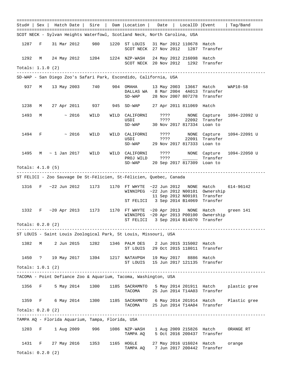================================================================================================== Stud# | Sex | Hatch Date | Sire | Dam |Location | Date | LocalID |Event | Tag/Band ================================================================================================== SCOT NECK - Sylvan Heights Waterfowl, Scotland Neck, North Carolina, USA 1287 F 31 Mar 2012 980 1220 ST LOUIS 31 Mar 2012 110678 Hatch SCOT NECK 27 Nov 2012 1287 Transfer 1292 M 24 May 2012 1204 1224 NZP-WASH 24 May 2012 216098 Hatch SCOT NECK 20 Nov 2012 1292 Transfer Totals: 1.1.0 (2) --------------------------------------------------------------------------------------------------- SD-WAP - San Diego Zoo's Safari Park, Escondido, California, USA 937 M 13 May 2003 740 904 OMAHA 13 May 2003 13667 Hatch WAP10-58 DALLAS WA 8 Mar 2004 4A013 Transfer SD-WAP 28 Nov 2007 807278 Transfer 1238 M 27 Apr 2011 937 945 SD-WAP 27 Apr 2011 811069 Hatch 1493 M ~ 2016 WILD WILD CALIFORNI ???? NONE Capture 1094-22092 U USDI ???? 22092 Transfer SD-WAP 30 Nov 2017 817334 Loan to 1494 F ~ 2016 WILD WILD CALIFORNI ???? NONE Capture 1094-22091 U rrr: NONE Capture<br>???? 22091 Transfer SD-WAP 29 Nov 2017 817333 Loan to 1495 M ~ 1 Jan 2017 WILD WILD CALIFORNI ???? NONE Capture 1094-22050 U PROJ WILD ???? \_\_\_\_\_\_ Transfer SD-WAP 20 Sep 2017 817309 Loan to Totals: 4.1.0 (5) --------------------------------------------------------------------------------------------------- ST FELICI - Zoo Sauvage De St-Félicien, St-Félicien, Quebec, Canada 1316 F ~22 Jun 2012 1173 1170 FT WHYTE ~22 Jun 2012 NONE Hatch 614-96142 WINNIPEG ~22 Jun 2012 N00101 Ownership 11 Sep 2012 N00101 Transfer ST FELICI 3 Sep 2014 B14069 Transfer 1332 F ~20 Apr 2013 1173 1170 FT WHYTE ~20 Apr 2013 NONE Hatch green 141 WINNIPEG ~20 Apr 2013 P00100 Ownership ST FELICI 3 Sep 2014 B14070 Transfer Totals: 0.2.0 (2) --------------------------------------------------------------------------------------------------- ST LOUIS - Saint Louis Zoological Park, St Louis, Missouri, USA 1382 M 2 Jun 2015 1282 1346 PALM DES 2 Jun 2015 315002 Hatch ST LOUIS 29 Oct 2015 118011 Transfer 1450 ? 19 May 2017 1394 1217 NATAVPGH 19 May 2017 8886 Hatch ST LOUIS 15 Jun 2017 121135 Transfer Totals: 1.0.1 (2) --------------------------------------------------------------------------------------------------- TACOMA - Point Defiance Zoo & Aquarium, Tacoma, Washington, USA 1356 F 5 May 2014 1300 1185 SACRAMNTO 5 May 2014 201911 Hatch plastic gree TACOMA 25 Jun 2014 T14A03 Transfer 1359 F 6 May 2014 1300 1185 SACRAMNTO 6 May 2014 201914 Hatch Plastic gree TACOMA 25 Jun 2014 T14A04 Transfer Totals: 0.2.0 (2) --------------------------------------------------------------------------------------------------- TAMPA AQ - Florida Aquarium, Tampa, Florida, USA 1203 F 1 Aug 2009 996 1086 NZP-WASH 1 Aug 2009 215826 Hatch ORANGE RT TAMPA AQ 5 Oct 2016 200437 Transfer 1431 F 27 May 2016 1353 1165 HOGLE 27 May 2016 U16024 Hatch orange TAMPA AQ 7 Jun 2017 200442 Transfer Totals: 0.2.0 (2)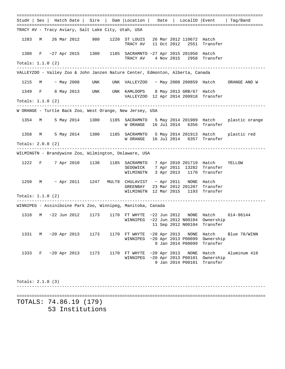================================================================================================== Stud# | Sex | Hatch Date | Sire | Dam |Location | Date | LocalID |Event | Tag/Band ================================================================================================== TRACY AV - Tracy Aviary, Salt Lake City, Utah, USA 1283 M 26 Mar 2012 980 1220 ST LOUIS 26 Mar 2012 110672 Hatch TRACY AV 11 Oct 2012 2551 Transfer 1380 F ~27 Apr 2015 1300 1185 SACRAMNTO ~27 Apr 2015 201950 Hatch TRACY AV 4 Nov 2015 2958 Transfer Totals: 1.1.0 (2) --------------------------------------------------------------------------------------------------- VALLEYZOO - Valley Zoo & John Janzen Nature Center, Edmonton, Alberta, Canada 1215 M ~ May 2008 UNK UNK VALLEYZOO ~ May 2008 200859 Hatch ORANGE AND W 1349 F 8 May 2013 UNK UNK KAMLOOPS 8 May 2013 GRB/67 Hatch VALLEYZOO 12 Apr 2014 200918 Transfer Totals: 1.1.0 (2) --------------------------------------------------------------------------------------------------- W ORANGE - Turtle Back Zoo, West Orange, New Jersey, USA 1354 M 5 May 2014 1300 1185 SACRAMNTO 5 May 2014 201909 Hatch plastic orange W ORANGE 16 Jul 2014 6356 Transfer 1358 M 5 May 2014 1300 1185 SACRAMNTO 5 May 2014 201913 Hatch plastic red W ORANGE 16 Jul 2014 6357 Transfer Totals: 2.0.0 (2) --------------------------------------------------------------------------------------------------- WILMINGTN - Brandywine Zoo, Wilmington, Delaware, USA 1222 F 7 Apr 2010 1138 1185 SACRAMNTO 7 Apr 2010 201719 Hatch YELLOW SEDGWICK 7 Apr 2011 13282 Transfer WILMINGTN 3 Apr 2013 1170 Transfer 1250 M ~ Apr 2011 1247 MULT8 CHULAVIST ~ Apr 2011 NONE Hatch GREENBAY 23 Mar 2012 201207 Transfer WILMINGTN 12 Mar 2015 1193 Transfer Totals: 1.1.0 (2) --------------------------------------------------------------------------------------------------- WINNIPEG - Assiniboine Park Zoo, Winnipeg, Manitoba, Canada 1318 M ~22 Jun 2012 1173 1170 FT WHYTE ~22 Jun 2012 NONE Hatch 614-96144 WINNIPEG ~22 Jun 2012 N00104 Ownership 11 Sep 2012 N00104 Transfer 1331 M ~20 Apr 2013 1173 1170 FT WHYTE ~20 Apr 2013 NONE Hatch Blue 78/WINN WINNIPEG ~20 Apr 2013 P00099 Ownership 9 Jan 2014 P00099 Transfer 1333 F ~20 Apr 2013 1173 1170 FT WHYTE ~20 Apr 2013 NONE Hatch Aluminum 418 WINNIPEG ~20 Apr 2013 P00101 Ownership 9 Jan 2014 P00101 Transfer Totals: 2.1.0 (3) --------------------------------------------------------------------------------------------------- =================================================================================================== TOTALS: 74.86.19 (179)

53 Institutions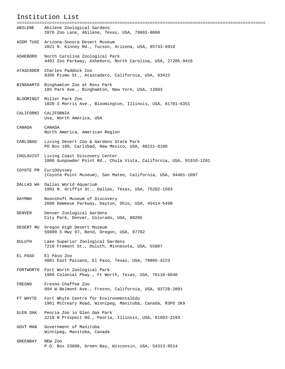### Institution List

| ABILENE   | Abilene Zoological Gardens<br>2070 Zoo Lane, Abilene, Texas, USA, 79602-0060                                  |
|-----------|---------------------------------------------------------------------------------------------------------------|
|           | ASDM TUSC Arizona-Sonora Desert Museum<br>2021 N. Kinney Rd., Tucson, Arizona, USA, 85743-8918                |
| ASHEBORO  | North Carolina Zoological Park<br>4401 Zoo Parkway, Asheboro, North Carolina, USA, 27205-9416                 |
|           | ATASCADER Charles Paddock Zoo<br>9305 Pismo St., Atascadero, California, USA, 93422                           |
|           | BINGHAMTO Binghamton Zoo at Ross Park<br>185 Park Ave., Binghamton, New York, USA, 13903                      |
|           | BLOOMINGT Miller Park Zoo<br>1020 S Morris Ave., Bloomington, Illinois, USA, 61701-6351                       |
|           | CALIFORNI CALIFORNIA<br>Usa, North America, USA                                                               |
| CANADA    | CANADA<br>North America, American Region                                                                      |
| CARLSBAD  | Living Desert Zoo & Gardens State Park<br>PO Box 100, Carlsbad, New Mexico, USA, 88221-0100                   |
|           | CHULAVIST Living Coast Discovery Center<br>1000 Gunpowder Point Rd., Chula Vista, California, USA, 91910-1201 |
|           | COYOTE PM CuriOdyssey<br>(Coyote Point Museum), San Mateo, California, USA, 94401-1097                        |
|           | DALLAS WA Dallas World Aquarium<br>1801 N. Griffin St., Dallas, Texas, USA, 75202-1503                        |
| DAYMNH    | Boonshoft Museum of Discovery<br>2600 DeWeese Parkway, Dayton, Ohio, USA, 45414-5499                          |
| DENVER    | Denver Zoological Gardens<br>City Park, Denver, Colorado, USA, 80205                                          |
| DESERT MU | Oregon High Desert Museum<br>59800 S Hwy 97, Bend, Oregon, USA, 97702                                         |
| DULUTH    | Lake Superior Zoological Gardens<br>7210 Fremont St., Duluth, Minnesota, USA, 55807                           |
| EL PASO   | El Paso Zoo<br>4001 East Paisano, El Paso, Texas, USA, 79905-4223                                             |
|           | FORTWORTH Fort Worth Zoological Park<br>1989 Colonial Pkwy., Ft Worth, Texas, USA, 76110-6640                 |
| FRESNO    | Fresno Chaffee Zoo<br>894 W Belmont Ave., Fresno, California, USA, 93728-2891                                 |
| FT WHYTE  | Fort Whyte Centre for EnvironmentalEdu<br>1961 McCreary Road, Winnipeg, Manitoba, Canada, R3PO 2K9            |
| GLEN OAK  | Peoria Zoo in Glen Oak Park<br>2218 N Prospect Rd., Peoria, Illinois, USA, 61603-2193                         |
| GOVT MAN  | Government of Manitoba<br>Winnipeg, Manitoba, Canada                                                          |
| GREENBAY  | NEW Zoo<br>P.O. Box 23600, Green Bay, Wisconsin, USA, 54313-8514                                              |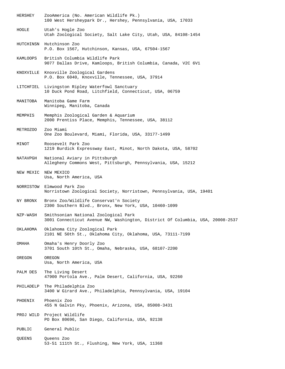| HERSHEY   | ZooAmerica (No. American Wildlife Pk.)<br>100 West Hersheypark Dr., Hershey, Pennsylvania, USA, 17033                 |
|-----------|-----------------------------------------------------------------------------------------------------------------------|
| HOGLE     | Utah's Hogle Zoo<br>Utah Zoological Society, Salt Lake City, Utah, USA, 84108-1454                                    |
|           | HUTCHINSN Hutchinson Zoo<br>P.O. Box 1567, Hutchinson, Kansas, USA, 67504-1567                                        |
| KAMLOOPS  | British Columbia Wildlife Park<br>9077 Dallas Drive, Kamloops, British Columbia, Canada, V2C 6V1                      |
| KNOXVILLE | Knoxville Zoological Gardens<br>P.O. Box 6040, Knoxville, Tennessee, USA, 37914                                       |
| LITCHFIEL | Livingston Ripley Waterfowl Sanctuary<br>10 Duck Pond Road, Litchfield, Connecticut, USA, 06759                       |
| MANITOBA  | Manitoba Game Farm<br>Winnipeg, Manitoba, Canada                                                                      |
| MEMPHIS   | Memphis Zoological Garden & Aquarium<br>2000 Prentiss Place, Memphis, Tennessee, USA, 38112                           |
| METROZOO  | Zoo Miami<br>One Zoo Boulevard, Miami, Florida, USA, 33177-1499                                                       |
| MINOT     | Roosevelt Park Zoo<br>1219 Burdick Expressway East, Minot, North Dakota, USA, 58702                                   |
| NATAVPGH  | National Aviary in Pittsburgh<br>Allegheny Commons West, Pittsburgh, Pennsylvania, USA, 15212                         |
| NEW MEXIC | NEW MEXICO<br>Usa, North America, USA                                                                                 |
| NORRISTOW | Elmwood Park Zoo<br>Norristown Zoological Society, Norristown, Pennsylvania, USA, 19401                               |
| NY BRONX  | Bronx Zoo/Wildlife Conservat'n Society<br>2300 Southern Blvd., Bronx, New York, USA, 10460-1099                       |
| NZP-WASH  | Smithsonian National Zoological Park<br>3001 Connecticut Avenue NW, Washington, District Of Columbia, USA, 20008-2537 |
| OKLAHOMA  | Oklahoma City Zoological Park<br>2101 NE 50th St., Oklahoma City, Oklahoma, USA, 73111-7199                           |
| OMAHA     | Omaha's Henry Doorly Zoo<br>3701 South 10th St., Omaha, Nebraska, USA, 68107-2200                                     |
| OREGON    | OREGON<br>Usa, North America, USA                                                                                     |
| PALM DES  | The Living Desert<br>47900 Portola Ave., Palm Desert, California, USA, 92260                                          |
| PHILADELP | The Philadelphia Zoo<br>3400 W Girard Ave., Philadelphia, Pennsylvania, USA, 19104                                    |
| PHOENIX   | Phoenix Zoo<br>455 N Galvin Pky, Phoenix, Arizona, USA, 85008-3431                                                    |
| PROJ WILD | Project Wildlife<br>PO Box 80696, San Diego, California, USA, 92138                                                   |
| PUBLIC    | General Public                                                                                                        |
| QUEENS    | Queens Zoo<br>53-51 111th St., Flushing, New York, USA, 11368                                                         |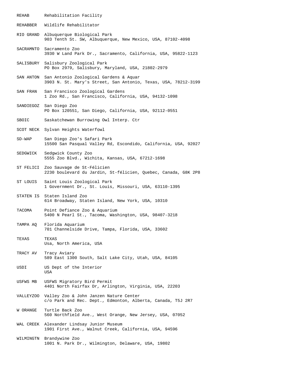REHAB Rehabilitation Facility REHABBER Wildlife Rehabilitator RIO GRAND Albuquerque Biological Park 903 Tenth St. SW, Albuquerque, New Mexico, USA, 87102-4098 SACRAMNTO Sacramento Zoo 3930 W Land Park Dr., Sacramento, California, USA, 95822-1123 SALISBURY Salisbury Zoological Park PO Box 2979, Salisbury, Maryland, USA, 21802-2979 SAN ANTON San Antonio Zoological Gardens & Aquar 3903 N. St. Mary's Street, San Antonio, Texas, USA, 78212-3199 SAN FRAN San Francisco Zoological Gardens 1 Zoo Rd., San Francisco, California, USA, 94132-1098 SANDIEGOZ San Diego Zoo PO Box 120551, San Diego, California, USA, 92112-0551 SBOIC Saskatchewan Burrowing Owl Interp. Ctr SCOT NECK Sylvan Heights Waterfowl SD-WAP San Diego Zoo's Safari Park 15500 San Pasqual Valley Rd, Escondido, California, USA, 92027 SEDGWICK Sedgwick County Zoo 5555 Zoo Blvd., Wichita, Kansas, USA, 67212-1698 ST FELICI Zoo Sauvage de St-Félicien 2230 boulevard du Jardin, St-félicien, Quebec, Canada, G8K 2P8 ST LOUIS Saint Louis Zoological Park 1 Government Dr., St. Louis, Missouri, USA, 63110-1395 STATEN IS Staten Island Zoo 614 Broadway, Staten Island, New York, USA, 10310 TACOMA Point Defiance Zoo & Aquarium 5400 N Pearl St., Tacoma, Washington, USA, 98407-3218 TAMPA AQ Florida Aquarium 701 Channelside Drive, Tampa, Florida, USA, 33602 TEXAS TEXAS Usa, North America, USA TRACY AV Tracy Aviary 589 East 1300 South, Salt Lake City, Utah, USA, 84105 USDI US Dept of the Interior USA USFWS MB USFWS Migratory Bird Permit 4401 North Fairfax Dr, Arlington, Virginia, USA, 22203 VALLEYZOO Valley Zoo & John Janzen Nature Center c/o Park and Rec. Dept., Edmonton, Alberta, Canada, T5J 2R7 W ORANGE Turtle Back Zoo 560 Northfield Ave., West Orange, New Jersey, USA, 07052 WAL CREEK Alexander Lindsay Junior Museum 1901 First Ave., Walnut Creek, California, USA, 94596 WILMINGTN Brandywine Zoo 1001 N. Park Dr., Wilmington, Delaware, USA, 19802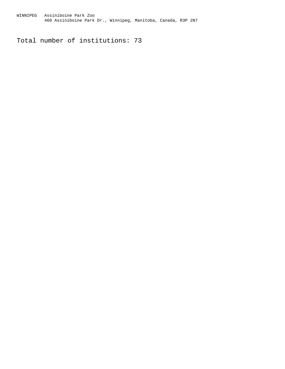WINNIPEG Assiniboine Park Zoo 460 Assiniboine Park Dr., Winnipeg, Manitoba, Canada, R3P 2N7

Total number of institutions: 73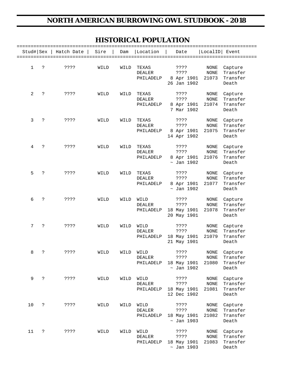## **NORTH AMERICAN BURROWING OWL STUDBOOK - 2018**

# **HISTORICAL POPULATION**

| =============<br>Stud#   Sex |                | ============<br>Hatch Date | Sire | Dam  | Location                            | Date                                              | LocalID                      | ====================<br>Event            |
|------------------------------|----------------|----------------------------|------|------|-------------------------------------|---------------------------------------------------|------------------------------|------------------------------------------|
| $\mathbf 1$                  | S.             | ? ? ? ?                    | WILD | WILD | TEXAS<br><b>DEALER</b><br>PHILADELP | ????<br>? ? ? ?<br>8 Apr 1901<br>26 Jan 1902      | NONE<br><b>NONE</b><br>21073 | Capture<br>Transfer<br>Transfer<br>Death |
| 2                            | $\mathbf{S}$   | ? ? ? ?                    | WILD | WILD | TEXAS<br>DEALER<br>PHILADELP        | ????<br>????<br>8 Apr 1901<br>7 Mar 1902          | NONE<br><b>NONE</b><br>21074 | Capture<br>Transfer<br>Transfer<br>Death |
| 3                            | ċ.             | ? ? ? ?                    | WILD | WILD | TEXAS<br>DEALER<br>PHILADELP        | ????<br>? ? ? ?<br>8 Apr 1901<br>14 Apr 1902      | NONE<br>NONE<br>21075        | Capture<br>Transfer<br>Transfer<br>Death |
| 4                            | S.             | ? ? ? ?                    | WILD | WILD | TEXAS<br>DEALER<br>PHILADELP        | ????<br>????<br>8 Apr 1901<br>$\sim$ Jan 1902     | NONE<br>NONE<br>21076        | Capture<br>Transfer<br>Transfer<br>Death |
| 5                            | ċ.             | ? ? ? ?                    | WILD | WILD | TEXAS<br>DEALER<br>PHILADELP        | ????<br>? ? ? ?<br>8 Apr 1901<br>$\sim$ Jan 1902  | NONE<br><b>NONE</b><br>21077 | Capture<br>Transfer<br>Transfer<br>Death |
| 6                            | S.             | ? ? ? ?                    | WILD | WILD | WILD<br>DEALER<br>PHILADELP         | ? ? ? ?<br>????<br>18 May 1901<br>20 May 1901     | NONE<br><b>NONE</b><br>21078 | Capture<br>Transfer<br>Transfer<br>Death |
| 7                            | S.             | ? ? ? ?                    | WILD | WILD | WILD<br><b>DEALER</b><br>PHILADELP  | ? ? ? ?<br>????<br>18 May 1901<br>21 May 1901     | NONE<br>NONE<br>21079        | Capture<br>Transfer<br>Transfer<br>Death |
| 8                            | ?              | ????                       | WILD | WILD | WILD<br>DEALER<br>PHILADELP         | ????<br>????<br>18 May 1901<br>$\sim$ Jan 1902    | NONE<br>NONE<br>21080        | Capture<br>Transfer<br>Transfer<br>Death |
| 9                            | S.             | ????                       | WILD | WILD | WILD<br>DEALER<br>PHILADELP         | ????<br>????<br>18 May 1901<br>12 Dec 1902        | $\rm{NONE}$<br>NONE<br>21081 | Capture<br>Transfer<br>Transfer<br>Death |
| 10                           | ċ.             | ? ? ? ?                    | WILD | WILD | WILD<br>DEALER<br>PHILADELP         | ????<br>? ? ? ?<br>18 May 1901<br>$\sim$ Jan 1903 | $\rm{NONE}$<br>NONE<br>21082 | Capture<br>Transfer<br>Transfer<br>Death |
| 11                           | $\ddot{\cdot}$ | ? ? ? ?                    | WILD | WILD | WILD<br>DEALER<br>PHILADELP         | ????<br>????<br>18 May 1901<br>$\sim$ Jan 1903    | $\rm{NONE}$<br>NONE<br>21083 | Capture<br>Transfer<br>Transfer<br>Death |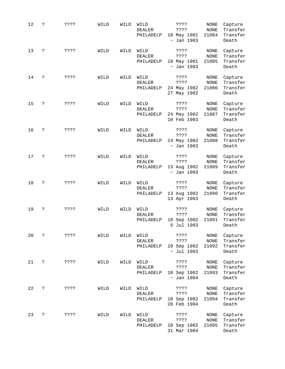| 12 | ċ.                   | ????    | WILD | WILD | WILD<br><b>DEALER</b><br>PHILADELP | ? ? ? ?<br>? ? ? ?<br>18 May 1901<br>$\sim$ Jan 1903 | <b>NONE</b><br>$\rm{NONE}$<br>21084 | Capture<br>Transfer<br>Transfer<br>Death |
|----|----------------------|---------|------|------|------------------------------------|------------------------------------------------------|-------------------------------------|------------------------------------------|
| 13 | ċ.                   | ????    | WILD | WILD | WILD<br><b>DEALER</b><br>PHILADELP | ????<br>????<br>18 May 1901<br>$\sim$ Jan 1903       | <b>NONE</b><br><b>NONE</b><br>21085 | Capture<br>Transfer<br>Transfer<br>Death |
| 14 | S.                   | ? ? ? ? | WILD | WILD | WILD<br>DEALER<br>PHILADELP        | ????<br>? ? ? ?<br>24 May 1902<br>27 May 1902        | NONE<br>$\rm{NONE}$<br>21086        | Capture<br>Transfer<br>Transfer<br>Death |
| 15 | S.                   | ? ? ? ? | WILD | WILD | WILD<br>DEALER<br>PHILADELP        | ? ? ? ?<br>? ? ? ?<br>24 May 1902<br>10 Feb 1903     | NONE<br><b>NONE</b><br>21087        | Capture<br>Transfer<br>Transfer<br>Death |
| 16 | ċ.                   | ????    | WILD | WILD | WILD<br><b>DEALER</b><br>PHILADELP | ? ? ? ?<br>? ? ? ?<br>24 May 1902<br>$\sim$ Jan 1903 | NONE<br><b>NONE</b><br>21088        | Capture<br>Transfer<br>Transfer<br>Death |
| 17 | S.                   | ????    | WILD | WILD | WILD<br>DEALER<br>PHILADELP        | ????<br>? ? ? ?<br>13 Aug 1902<br>$\sim$ Jan 1903    | NONE<br>NONE<br>21089               | Capture<br>Transfer<br>Transfer<br>Death |
| 18 | ċ.                   | ????    | WILD | WILD | WILD<br>DEALER<br>PHILADELP        | ????<br>? ? ? ?<br>13 Aug 1902<br>13 Apr 1903        | NONE<br><b>NONE</b><br>21090        | Capture<br>Transfer<br>Transfer<br>Death |
| 19 | S.                   | ????    | WILD | WILD | WILD<br><b>DEALER</b><br>PHILADELP | ????<br>? ? ? ?<br>10 Sep 1902<br>5 Jul 1903         | NONE<br>$\rm{NONE}$<br>21091        | Capture<br>Transfer<br>Transfer<br>Death |
| 20 | S.                   | ????    | WILD | WILD | WILD<br>DEALER<br>PHILADELP        | ????<br>? ? ? ?<br>10 Sep 1902<br>$\sim$ Jul 1903    | NONE<br>NONE<br>21092               | Capture<br>Transfer<br>Transfer<br>Death |
| 21 | ?                    | ? ? ? ? | WILD | WILD | WILD<br>DEALER<br>PHILADELP        | ????<br>? ? ? ?<br>10 Sep 1902<br>$\sim$ Jan 1904    | NONE<br>NONE<br>21093               | Capture<br>Transfer<br>Transfer<br>Death |
| 22 | S.                   | ? ? ? ? | WILD | WILD | WILD<br>DEALER<br>PHILADELP        | ????<br>? ? ? ?<br>10 Sep 1902<br>20 Feb 1904        | NONE<br>NONE<br>21094               | Capture<br>Transfer<br>Transfer<br>Death |
| 23 | $\ddot{\phantom{0}}$ | ? ? ? ? | WILD | WILD | WILD<br>DEALER<br>PHILADELP        | ????<br>? ? ? ?<br>10 Sep 1902<br>31 Mar 1904        | NONE<br>NONE<br>21095               | Capture<br>Transfer<br>Transfer<br>Death |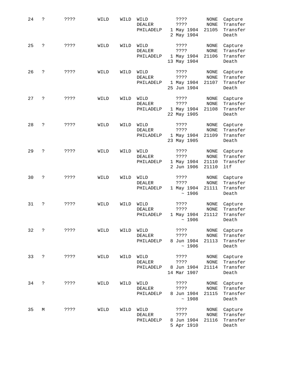| 24 | ċ. | ????    | WILD | WILD | WILD<br><b>DEALER</b><br>PHILADELP | ? ? ? ?<br>? ? ? ?<br>1 May 1904<br>2 May 1904 | <b>NONE</b><br>$\rm{NONE}$<br>21105 | Capture<br>Transfer<br>Transfer<br>Death |
|----|----|---------|------|------|------------------------------------|------------------------------------------------|-------------------------------------|------------------------------------------|
| 25 | ċ. | ????    | WILD | WILD | WILD<br><b>DEALER</b><br>PHILADELP | ? ? ? ?<br>????<br>1 May 1904<br>13 May 1904   | <b>NONE</b><br>$\rm{NONE}$<br>21106 | Capture<br>Transfer<br>Transfer<br>Death |
| 26 | ċ. | ? ? ? ? | WILD | WILD | WILD<br>DEALER<br>PHILADELP        | ????<br>? ? ? ?<br>1 May 1904<br>25 Jun 1904   | NONE<br><b>NONE</b><br>21107        | Capture<br>Transfer<br>Transfer<br>Death |
| 27 | S. | ? ? ? ? | WILD | WILD | WILD<br>DEALER<br>PHILADELP        | ????<br>? ? ? ?<br>1 May 1904<br>22 May 1905   | NONE<br><b>NONE</b><br>21108        | Capture<br>Transfer<br>Transfer<br>Death |
| 28 | ċ. | ????    | WILD | WILD | WILD<br><b>DEALER</b><br>PHILADELP | ????<br>? ? ? ?<br>1 May 1904<br>23 May 1905   | $\rm{NONE}$<br><b>NONE</b><br>21109 | Capture<br>Transfer<br>Transfer<br>Death |
| 29 | ċ. | ????    | WILD | WILD | WILD<br><b>DEALER</b><br>PHILADELP | ? ? ? ?<br>? ? ? ?<br>1 May 1904<br>2 Jun 1906 | NONE<br>NONE<br>21110<br>21110      | Capture<br>Transfer<br>Transfer<br>ltf   |
| 30 | ċ. | ????    | WILD | WILD | WILD<br>DEALER<br>PHILADELP        | ????<br>????<br>1 May 1904<br>~1906            | NONE<br>$\rm{NONE}$<br>21111        | Capture<br>Transfer<br>Transfer<br>Death |
| 31 | S. | ? ? ? ? | WILD | WILD | WILD<br><b>DEALER</b><br>PHILADELP | ????<br>? ? ? ?<br>1 May 1904<br>~1906         | NONE<br>$\rm{NONE}$<br>21112        | Capture<br>Transfer<br>Transfer<br>Death |
| 32 | ċ. | ????    | WILD | WILD | WILD<br>DEALER<br>PHILADELP        | ????<br>????<br>8 Jun 1904<br>~1906            | NONE<br>$\rm{NONE}$<br>21113        | Capture<br>Transfer<br>Transfer<br>Death |
| 33 | Ċ. | ? ? ? ? | WILD | WILD | WILD<br>DEALER<br>PHILADELP        | ? ? ? ?<br>????<br>8 Jun 1904<br>14 Mar 1907   | NONE<br>NONE<br>21114               | Capture<br>Transfer<br>Transfer<br>Death |
| 34 | ?  | ????    | WILD | WILD | WILD<br>DEALER<br>PHILADELP        | ????<br>????<br>8 Jun 1904<br>~1908            | <b>NONE</b><br><b>NONE</b><br>21115 | Capture<br>Transfer<br>Transfer<br>Death |
| 35 | М  | ? ? ? ? | WILD | WILD | WILD<br>DEALER<br>PHILADELP        | ????<br>? ? ? ?<br>8 Jun 1904<br>5 Apr 1910    | NONE<br>$\rm{NONE}$<br>21116        | Capture<br>Transfer<br>Transfer<br>Death |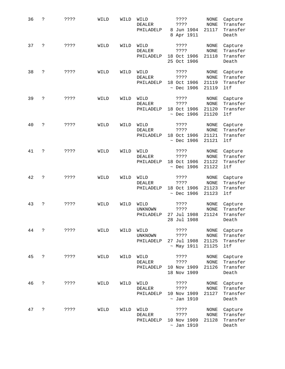| 36 | ċ.                   | ????    | WILD | WILD | WILD<br><b>DEALER</b><br>PHILADELP  |                       | ? ? ? ?<br>? ? ? ?<br>8 Jun 1904<br>8 Apr 1911     | <b>NONE</b><br><b>NONE</b><br>21117          | Capture<br>Transfer<br>Transfer<br>Death |
|----|----------------------|---------|------|------|-------------------------------------|-----------------------|----------------------------------------------------|----------------------------------------------|------------------------------------------|
| 37 | S.                   | ????    | WILD | WILD | WILD<br><b>DEALER</b><br>PHILADELP  |                       | ????<br>????<br>18 Oct 1906<br>25 Oct 1906         | <b>NONE</b><br><b>NONE</b><br>21118          | Capture<br>Transfer<br>Transfer<br>Death |
| 38 | S.                   | ????    | WILD | WILD | WILD<br>DEALER<br>PHILADELP         |                       | ????<br>????<br>18 Oct 1906<br>$~\sim$ Dec 1906    | <b>NONE</b><br><b>NONE</b><br>21119<br>21119 | Capture<br>Transfer<br>Transfer<br>ltf   |
| 39 | S.                   | ????    | WILD | WILD | WILD<br>DEALER<br>PHILADELP         | $\tilde{\phantom{a}}$ | ????<br>????<br>18 Oct 1906<br>Dec 1906            | <b>NONE</b><br><b>NONE</b><br>21120<br>21120 | Capture<br>Transfer<br>Transfer<br>ltf   |
| 40 | S.                   | ????    | WILD | WILD | WILD<br><b>DEALER</b><br>PHILADELP  |                       | ????<br>????<br>18 Oct 1906<br>$~\sim$ Dec 1906    | NONE<br><b>NONE</b><br>21121<br>21121        | Capture<br>Transfer<br>Transfer<br>ltf   |
| 41 | S.                   | ????    | WILD | WILD | WILD<br><b>DEALER</b><br>PHILADELP  |                       | ????<br>? ? ? ?<br>18 Oct 1906<br>$~\sim$ Dec 1906 | NONE<br><b>NONE</b><br>21122<br>21122        | Capture<br>Transfer<br>Transfer<br>ltf   |
| 42 | Ċ.                   | ????    | WILD | WILD | WILD<br><b>DEALER</b><br>PHILADELP  |                       | ????<br>????<br>18 Oct 1906<br>$~\sim$ Dec 1906    | NONE<br><b>NONE</b><br>21123<br>21123        | Capture<br>Transfer<br>Transfer<br>ltf   |
| 43 | S.                   | ????    | WILD | WILD | WILD<br>UNKNOWN<br>PHILADELP        |                       | ????<br>? ? ? ?<br>27 Jul 1908<br>28 Jul 1908      | <b>NONE</b><br><b>NONE</b><br>21124          | Capture<br>Transfer<br>Transfer<br>Death |
| 44 | S.                   | ????    | WILD | WILD | WILD<br><b>UNKNOWN</b><br>PHILADELP |                       | ? ? ? ?<br>????<br>27 Jul 1908<br>$~\sim$ May 1911 | <b>NONE</b><br><b>NONE</b><br>21125<br>21125 | Capture<br>Transfer<br>Transfer<br>ltf   |
| 45 | S.                   | ? ? ? ? | WILD | WILD | WILD<br><b>DEALER</b><br>PHILADELP  |                       | ? ? ? ?<br>? ? ? ?<br>10 Nov 1909<br>18 Nov 1909   | NONE<br>$\rm{NONE}$<br>21126                 | Capture<br>Transfer<br>Transfer<br>Death |
| 46 | ċ.                   | ????    | WILD | WILD | WILD<br>DEALER<br>PHILADELP         |                       | ????<br>? ? ? ?<br>10 Nov 1909<br>$\sim$ Jan 1910  | <b>NONE</b><br><b>NONE</b><br>21127          | Capture<br>Transfer<br>Transfer<br>Death |
| 47 | $\ddot{\phantom{0}}$ | ? ? ? ? | WILD | WILD | WILD<br>DEALER<br>PHILADELP         |                       | ????<br>? ? ? ?<br>10 Nov 1909<br>$\sim$ Jan 1910  | NONE<br>$\rm{NONE}$<br>21128                 | Capture<br>Transfer<br>Transfer<br>Death |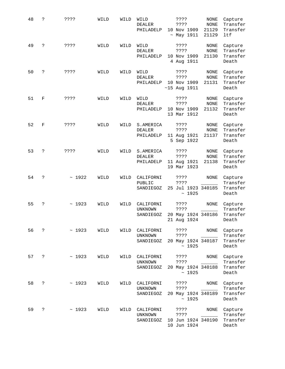| 48 | ċ. | ????    | WILD | WILD | WILD<br><b>DEALER</b><br>PHILADELP      | ? ? ? ?<br>????<br>10 Nov 1909<br>$~\sim$ May 1911   | <b>NONE</b><br><b>NONE</b><br>21129<br>21129 | Capture<br>Transfer<br>Transfer<br>ltf   |
|----|----|---------|------|------|-----------------------------------------|------------------------------------------------------|----------------------------------------------|------------------------------------------|
| 49 | S. | ????    | WILD | WILD | WILD<br><b>DEALER</b><br>PHILADELP      | ? ? ? ?<br>????<br>10 Nov 1909<br>4 Aug 1911         | <b>NONE</b><br><b>NONE</b><br>21130          | Capture<br>Transfer<br>Transfer<br>Death |
| 50 | ċ. | ????    | WILD | WILD | WILD<br>DEALER<br>PHILADELP             | ????<br>? ? ? ?<br>10 Nov 1909<br>$~15$ Aug 1911     | NONE<br>$\rm{NONE}$<br>21131                 | Capture<br>Transfer<br>Transfer<br>Death |
| 51 | F  | ? ? ? ? | WILD | WILD | WILD<br>DEALER<br>PHILADELP             | ? ? ? ?<br>? ? ? ?<br>10 Nov 1909<br>13 Mar 1912     | NONE<br><b>NONE</b><br>21132                 | Capture<br>Transfer<br>Transfer<br>Death |
| 52 | F  | ????    | WILD | WILD | S.AMERICA<br><b>DEALER</b><br>PHILADELP | ????<br>? ? ? ?<br>11 Aug 1921<br>5 Sep 1922         | <b>NONE</b><br><b>NONE</b><br>21137          | Capture<br>Transfer<br>Transfer<br>Death |
| 53 | S. | ????    | WILD | WILD | S.AMERICA<br><b>DEALER</b><br>PHILADELP | ????<br>? ? ? ?<br>11 Aug 1921<br>19 Mar 1923        | NONE<br>$\rm{NONE}$<br>21138                 | Capture<br>Transfer<br>Transfer<br>Death |
| 54 | S. | ~1922   | WILD | WILD | CALIFORNI<br>PUBLIC<br>SANDIEGOZ        | ????<br>????<br>25 Jul 1923 340185<br>~1925          | NONE                                         | Capture<br>Transfer<br>Transfer<br>Death |
| 55 | ċ. | ~1923   | WILD | WILD | CALIFORNI<br>UNKNOWN<br>SANDIEGOZ       | ????<br>? ? ? ?<br>20 May 1924 340186<br>21 Aug 1924 | NONE                                         | Capture<br>Transfer<br>Transfer<br>Death |
| 56 | ?  | ~1923   | WILD | WILD | CALIFORNI<br>UNKNOWN<br>SANDIEGOZ       | ????<br>????<br>20 May 1924 340187<br>~1925          | NONE                                         | Capture<br>Transfer<br>Transfer<br>Death |
| 57 | ?  | ~1923   | WILD | WILD | CALIFORNI<br>UNKNOWN<br>SANDIEGOZ       | ????<br>? ? ? ?<br>20 May 1924 340188<br>~1925       | NONE                                         | Capture<br>Transfer<br>Transfer<br>Death |
| 58 | S. | ~1923   | WILD | WILD | CALIFORNI<br>UNKNOWN<br>SANDIEGOZ       | ????<br>? ? ? ?<br>20 May 1924 340189<br>~1925       | NONE                                         | Capture<br>Transfer<br>Transfer<br>Death |
| 59 | ?  | ~1923   | WILD | WILD | CALIFORNI<br>UNKNOWN<br>SANDIEGOZ       | ????<br>? ? ? ?<br>10 Jun 1924 340190<br>10 Jun 1924 | NONE                                         | Capture<br>Transfer<br>Transfer<br>Death |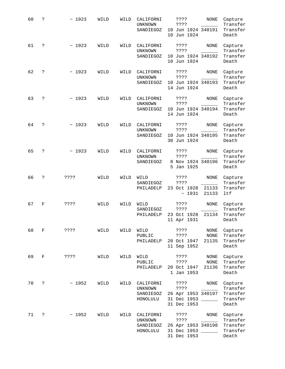| 60 | ċ. | ~1923   | WILD | WILD | CALIFORNI<br><b>UNKNOWN</b><br>SANDIEGOZ      | ? ? ? ?<br>? ? ? ?<br>10 Jun 1924 340191<br>10 Jun 1924                 | <b>NONE</b>                   | Capture<br>Transfer<br>Transfer<br>Death             |
|----|----|---------|------|------|-----------------------------------------------|-------------------------------------------------------------------------|-------------------------------|------------------------------------------------------|
| 61 | ċ. | ~1923   | WILD | WILD | CALIFORNI<br>UNKNOWN<br>SANDIEGOZ             | ????<br>????<br>10 Jun 1924 340192<br>10 Jun 1924                       | <b>NONE</b>                   | Capture<br>Transfer<br>Transfer<br>Death             |
| 62 | ċ. | ~1923   | WILD | WILD | CALIFORNI<br><b>UNKNOWN</b><br>SANDIEGOZ      | ? ? ? ?<br>? ? ? ?<br>10 Jun 1924 340193<br>14 Jun 1924                 | NONE                          | Capture<br>Transfer<br>Transfer<br>Death             |
| 63 | ?  | ~1923   | WILD | WILD | CALIFORNI<br>UNKNOWN<br>SANDIEGOZ             | ? ? ? ?<br>? ? ? ?<br>10 Jun 1924 340194<br>14 Jun 1924                 | NONE                          | Capture<br>Transfer<br>Transfer<br>Death             |
| 64 | ċ. | ~1923   | WILD | WILD | CALIFORNI<br><b>UNKNOWN</b><br>SANDIEGOZ      | ????<br>? ? ? ?<br>10 Jun 1924 340195<br>30 Jun 1924                    | NONE                          | Capture<br>Transfer<br>Transfer<br>Death             |
| 65 | S. | ~1923   | WILD | WILD | CALIFORNI<br>UNKNOWN<br>SANDIEGOZ             | ????<br>? ? ? ?<br>8 Nov 1924 340196<br>5 Jan 1925                      | <b>NONE</b>                   | Capture<br>Transfer<br>Transfer<br>Death             |
| 66 | ċ. | ? ? ? ? | WILD | WILD | WILD<br>SANDIEGOZ<br>PHILADELP                | ????<br>????<br>23 Oct 1928<br>~1931                                    | <b>NONE</b><br>21133<br>21133 | Capture<br>Transfer<br>Transfer<br>ltf               |
| 67 | F  | ? ? ? ? | WILD | WILD | WILD<br>SANDIEGOZ<br>PHILADELP                | ????<br>? ? ? ?<br>23 Oct 1928<br>11 Apr 1931                           | NONE<br>21134                 | Capture<br>Transfer<br>Transfer<br>Death             |
| 68 | F  | ? ? ? ? | WILD | WILD | WILD<br>PUBLIC<br>PHILADELP                   | $??\ ??$<br>? ? ? ?<br>20 Oct 1947<br>11 Sep 1952                       | NONE<br>NONE<br>21135         | Capture<br>Transfer<br>Transfer<br>Death             |
| 69 | F  | ? ? ? ? | WILD | WILD | WILD<br>PUBLIC<br>PHILADELP                   | $??\,?\,?$<br>? ? ? ?<br>20 Oct 1947<br>1 Jan 1953                      | NONE<br>NONE<br>21136         | Capture<br>Transfer<br>Transfer<br>Death             |
| 70 | S. | ~1952   | WILD | WILD | CALIFORNI<br>UNKNOWN<br>SANDIEGOZ<br>HONOLULU | ????<br>? ? ? ?<br>26 Apr 1953 340197<br>31 Dec 1953<br>31 Dec 1953     | NONE                          | Capture<br>Transfer<br>Transfer<br>Transfer<br>Death |
| 71 | ?  | ~1952   | WILD | WILD | CALIFORNI<br>UNKNOWN<br>SANDIEGOZ<br>HONOLULU | ????<br>????<br>26 Apr 1953 340198<br>31 Dec 1953 ______<br>31 Dec 1953 | NONE                          | Capture<br>Transfer<br>Transfer<br>Transfer<br>Death |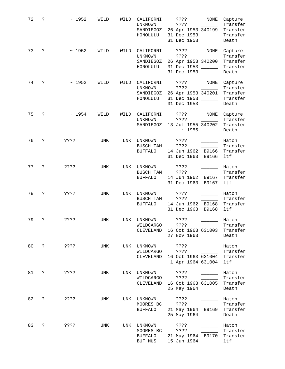| 72 | ċ.                  | ~1952         | WILD | WILD       | CALIFORNI<br>UNKNOWN<br>SANDIEGOZ<br>HONOLULU                                                    | ? ? ? ?<br>????<br>26 Apr 1953 340199<br>31 Dec 1953 ______<br>31 Dec 1953 | NONE                     | Capture<br>Transfer<br>Transfer<br>Transfer<br>Death    |
|----|---------------------|---------------|------|------------|--------------------------------------------------------------------------------------------------|----------------------------------------------------------------------------|--------------------------|---------------------------------------------------------|
| 73 | ?                   | ~1952         | WILD | WILD       | CALIFORNI<br>UNKNOWN<br>SANDIEGOZ<br>HONOLULU                                                    | 3333<br>????<br>26 Apr 1953 340200<br>31 Dec 1953 ______<br>31 Dec 1953    | <b>NONE</b>              | Capture<br>Transfer<br>Transfer<br>Transfer<br>Death    |
| 74 | ?                   | ~1952         | WILD | WILD       | CALIFORNI<br>UNKNOWN<br>SANDIEGOZ<br>HONOLULU                                                    | ????<br>? ? ? ?<br>26 Apr 1953 340201<br>31 Dec 1953 ______<br>31 Dec 1953 | NONE                     | Capture<br>Transfer<br>Transfer<br>Transfer<br>Death    |
| 75 | ?                   | ~1954         | WILD | WILD       | CALIFORNI<br>UNKNOWN<br>SANDIEGOZ                                                                | $??\,?\,?$<br>????<br>13 Jul 1955 340202<br>~1955                          | NONE                     | Capture<br>Transfer<br>Transfer<br>Death                |
| 76 | ?                   | ????          | UNK  | <b>UNK</b> | UNKNOWN<br>BUSCH TAM<br><b>BUFFALO</b>                                                           | ? ? ? ?<br>? ? ? ?<br>14 Jun 1962 B9166<br>31 Dec 1963 B9166               |                          | Hatch<br>Transfer<br>Transfer<br>ltf                    |
| 77 | ?                   | $??\; ?$      | UNK  | UNK        | UNKNOWN<br>BUSCH TAM<br><b>BUFFALO</b>                                                           | ????<br>????<br>14 Jun 1962 B9167<br>31 Dec 1963                           | B9167                    | Hatch<br>Transfer<br>Transfer<br>ltf                    |
| 78 | ?                   | ? ? ? ?       | UNK  | UNK        | UNKNOWN<br>BUSCH TAM<br><b>BUFFALO</b>                                                           | ? ? ? ?<br>? ? ? ?<br>14 Jun 1962 B9168<br>31 Dec 1963                     | B9168                    | Hatch<br>Transfer<br>Transfer<br>ltf                    |
| 79 | S.                  | 3333          | UNK  | UNK        | UNKNOWN<br>WILDCARGO ????<br>CLEVELAND 16 Oct 1963 631003 Transfer                               | ? ? ? ?<br>27 Nov 1963                                                     |                          | Hatch<br>Transfer<br>Death                              |
|    |                     | 80 ? ???? UNK |      |            | WILDCARGO ????<br>CLEVELAND 16 Oct 1963 631004 Transfer                                          | 1 Apr 1964 631004 ltf                                                      |                          | Hatch<br>Transfer                                       |
| 81 | $\ddot{\mathbf{?}}$ | ????          | UNK  |            | UNK UNKNOWN ????<br>WILDCARGO ????<br>CLEVELAND 16 Oct 1963 631005 Transfer                      | 25 May 1964                                                                | <b>Contract Contract</b> | Hatch<br>_______ Transfer<br>Death                      |
| 82 |                     | $? \t????$    | UNK  |            | UNK UNKNOWN ????<br>MOORES BC ????<br><b>BUFFALO</b>                                             | 25 May 1964                                                                | Hatch                    | _______ Transfer<br>21 May 1964 B9169 Transfer<br>Death |
| 83 |                     | ? 7???        | UNK  |            | UNK UNKNOWN ????<br>MOORES BC<br>BUFFALO 21 May 1964 B9170 Transfer<br>BUF MUS 15 Jun 1964 _____ |                                                                            | $\overline{\phantom{a}}$ | Hatch<br>Transfer<br>ltf                                |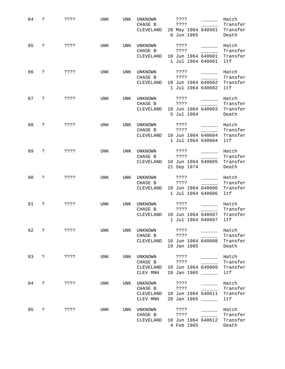| 84 | ?                    | ????       | UNK | UNK | UNKNOWN<br>CHASE B<br>CLEVELAND                                | 3333<br>????<br>6 Jun 1965                                       |                                                | Hatch<br>Transfer<br>28 May 1964 640501 Transfer<br>Death |
|----|----------------------|------------|-----|-----|----------------------------------------------------------------|------------------------------------------------------------------|------------------------------------------------|-----------------------------------------------------------|
| 85 | ?                    | $??\,?\,?$ | UNK | UNK | UNKNOWN<br>CHASE B<br>CLEVELAND                                | ? ? ? ?<br>????<br>10 Jun 1964 640601<br>1 Jul 1964 640601       |                                                | Hatch<br>Transfer<br>Transfer<br>ltf                      |
| 86 | $\mathcal{E}$        | ????       | UNK | UNK | UNKNOWN<br>CHASE B<br>CLEVELAND                                | ????<br>????<br>10 Jun 1964 640602<br>1 Jul 1964 640602          |                                                | Hatch<br>Transfer<br>Transfer<br>ltf                      |
|    | 87 ?                 | ? ? ? ?    | UNK | UNK | UNKNOWN<br>CHASE B<br>CLEVELAND                                | ????<br>3333<br>10 Jun 1964 640603<br>5 Jul 1964                 |                                                | Hatch<br>Transfer<br>Transfer<br>Death                    |
| 88 | ?                    | ????       | UNK | UNK | UNKNOWN<br>CHASE B<br>CLEVELAND                                | ????<br>? ? ? ?<br>1 Jul 1964 640604                             |                                                | Hatch<br>Transfer<br>10 Jun 1964 640604 Transfer<br>ltf   |
| 89 | ?                    | ????       | UNK | UNK | UNKNOWN<br>CHASE B<br>CLEVELAND 10 Jun 1964 640605 Transfer    | ????<br>????<br>21 Sep 1974                                      |                                                | Hatch<br>Transfer<br>Death                                |
| 90 | $\ddot{\mathsf{c}}$  | ????       | UNK | UNK | UNKNOWN<br>CHASE B<br>CLEVELAND                                | $??\,?\,?$<br>? ? ? ?<br>10 Jun 1964 640606<br>1 Jul 1964 640606 |                                                | Hatch<br>Transfer<br>Transfer<br>ltf                      |
| 91 | $\ddot{\mathbf{?}}$  | ????       | UNK | UNK | UNKNOWN<br>CHASE B<br>CLEVELAND                                | ????<br>3333<br>1 Jul 1964 640607                                |                                                | Hatch<br>Transfer<br>10 Jun 1964 640607 Transfer<br>ltf   |
| 92 | ?                    | $??\$      | UNK | UNK | UNKNOWN<br>CHASE B<br>CLEVELAND                                | ????<br>? ? ? ?<br>10 Jun 1964 640608<br>19 Jan 1965             | <b>Contract Contract Contract</b>              | Hatch<br>Transfer<br>Transfer<br>Death                    |
| 93 | $\ddot{\phantom{0}}$ | ????       | UNK | UNK | UNKNOWN<br>CHASE B<br>CLEVELAND<br>CLEV MNH                    | ? ? ? ?<br>? ? ? ?<br>10 Jun 1964 640609<br>20 Jan 1965 ______   | <u> 1999 - Andrea Sta</u>                      | Hatch<br>Transfer<br>Transfer<br>ltf                      |
| 94 | ?                    | ????       | UNK | UNK | UNKNOWN<br>CHASE B<br>CLEVELAND 10 Jun 1964 640611<br>CLEV MNH | ????<br>? ? ? ?<br>20 Jan 1965 ______                            | and the control of<br><b>Contract Contract</b> | Hatch<br>Transfer<br>Transfer<br>ltf                      |
| 95 | $\ddot{?}$           | ????       | UNK | UNK | UNKNOWN<br>CHASE B<br>CLEVELAND                                | ????<br>????<br>10 Jun 1964 640612<br>4 Feb 1965                 |                                                | Hatch<br>Transfer<br>Transfer<br>Death                    |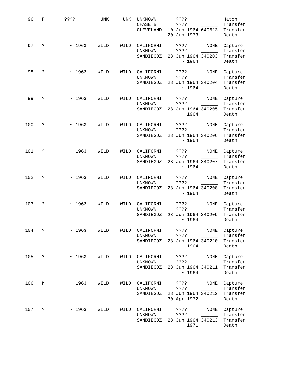| 96  | F  | ????  | UNK  | UNK  | UNKNOWN<br>CHASE B<br>CLEVELAND          | ? ? ? ?<br>????<br>10 Jun 1964 640613<br>20 Jun 1973 |             | Hatch<br>Transfer<br>Transfer<br>Death |
|-----|----|-------|------|------|------------------------------------------|------------------------------------------------------|-------------|----------------------------------------|
| 97  | S. | ~1963 | WILD | WILD | CALIFORNI<br><b>UNKNOWN</b><br>SANDIEGOZ | ? ? ? ?<br>????<br>28 Jun 1964 340203                | <b>NONE</b> | Capture<br>Transfer<br>Transfer        |
|     |    |       |      |      |                                          | ~1964                                                |             | Death                                  |
| 98  | S. | ~1963 | WILD | WILD | CALIFORNI<br>UNKNOWN                     | ????<br>? ? ? ?                                      | NONE        | Capture<br>Transfer                    |
|     |    |       |      |      | SANDIEGOZ                                | 28 Jun 1964 340204<br>~1964                          |             | Transfer<br>Death                      |
| 99  | S. | ~1963 | WILD | WILD | CALIFORNI<br>UNKNOWN                     | ? ? ? ?<br>????                                      | NONE        | Capture<br>Transfer                    |
|     |    |       |      |      | SANDIEGOZ                                | 28 Jun 1964 340205<br>~1964                          |             | Transfer<br>Death                      |
| 100 | ċ. | ~1963 | WILD | WILD | CALIFORNI<br>UNKNOWN                     | ????<br>????                                         | NONE        | Capture<br>Transfer                    |
|     |    |       |      |      | SANDIEGOZ                                | 28 Jun 1964 340206<br>~1964                          |             | Transfer<br>Death                      |
| 101 | ?  | ~1963 | WILD | WILD | CALIFORNI<br>UNKNOWN                     | ????<br>? ? ? ?                                      | <b>NONE</b> | Capture<br>Transfer                    |
|     |    |       |      |      | SANDIEGOZ                                | 28 Jun 1964 340207<br>~1964                          |             | Transfer<br>Death                      |
| 102 | S. | ~1963 | WILD | WILD | CALIFORNI<br>UNKNOWN                     | ????<br>????                                         | <b>NONE</b> | Capture<br>Transfer                    |
|     |    |       |      |      | SANDIEGOZ                                | 28 Jun 1964 340208<br>~1964                          |             | Transfer<br>Death                      |
| 103 | ?  | ~1963 | WILD | WILD | CALIFORNI<br>UNKNOWN                     | ????<br>????                                         | NONE        | Capture<br>Transfer                    |
|     |    |       |      |      | SANDIEGOZ                                | 28 Jun 1964 340209<br>~1964                          |             | Transfer<br>Death                      |
| 104 | ?  | ~1963 | WILD | WILD | CALIFORNI<br>UNKNOWN                     | ? ? ? ?<br>? ? ? ?                                   | <b>NONE</b> | Capture<br>Transfer                    |
|     |    |       |      |      | SANDIEGOZ                                | 28 Jun 1964 340210<br>~1964                          |             | Transfer<br>Death                      |
| 105 | ?  | ~1963 | WILD | WILD | CALIFORNI<br>UNKNOWN                     | ????<br>? ? ? ?                                      | NONE        | Capture<br>Transfer                    |
|     |    |       |      |      | SANDIEGOZ                                | 28 Jun 1964 340211<br>~1964                          |             | Transfer<br>Death                      |
| 106 | М  | ~1963 | WILD | WILD | CALIFORNI<br>UNKNOWN                     | ????<br>? ? ? ?                                      | NONE        | Capture<br>Transfer                    |
|     |    |       |      |      | SANDIEGOZ                                | 28 Jun 1964 340212<br>30 Apr 1972                    |             | Transfer<br>Death                      |
| 107 | ?  | ~1963 | WILD | WILD | CALIFORNI<br>UNKNOWN                     | ????<br>????                                         | NONE        | Capture<br>Transfer                    |
|     |    |       |      |      | SANDIEGOZ                                | 28 Jun 1964 340213<br>~1971                          |             | Transfer<br>Death                      |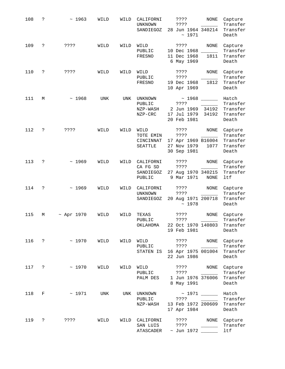| 108 | ċ.                  | ~1963            | WILD | WILD | CALIFORNI<br>UNKNOWN<br>SANDIEGOZ                | ? ? ? ?<br><b>NONE</b><br>Capture<br>Transfer<br>? ? ? ?<br>28 Jun 1964 340214<br>Transfer<br>~1971<br>Death                                          |  |
|-----|---------------------|------------------|------|------|--------------------------------------------------|-------------------------------------------------------------------------------------------------------------------------------------------------------|--|
| 109 | ?                   | ? ? ? ?          | WILD | WILD | WILD<br>PUBLIC<br>FRESNO                         | ? ? ? ?<br>NONE<br>Capture<br>10 Dec 1968<br>Transfer<br>$\sim$<br>Transfer<br>11 Dec 1968<br>1811<br>6 May 1969<br>Death                             |  |
| 110 | ?                   | ? ? ? ?          | WILD | WILD | WILD<br>PUBLIC<br>FRESNO                         | NONE<br>Capture<br>????<br>Transfer<br>? ? ? ?<br>19 Dec 1968<br>1812<br>Transfer<br>10 Apr 1969<br>Death                                             |  |
| 111 | М                   | ~1968            | UNK  | UNK  | UNKNOWN<br>PUBLIC<br>NZP-WASH<br>NZP-CRC         | ~1968<br>Hatch<br>? ? ? ?<br>Transfer<br>2 Jun 1969<br>34192<br>Transfer<br>17 Jul 1979<br>34192<br>Transfer<br>20 Feb 1981<br>Death                  |  |
| 112 | S.                  | ? ? ? ?          | WILD | WILD | WILD<br>TOTE EMIN<br>CINCINNAT<br><b>SEATTLE</b> | $??\,?\,?$<br><b>NONE</b><br>Capture<br>????<br>Transfer<br>17 Apr 1969 B16004<br>Transfer<br>27 Nov 1979<br>1077<br>Transfer<br>30 Sep 1981<br>Death |  |
| 113 | ?                   | ~1969            | WILD | WILD | CALIFORNI<br>CA FG SD<br>SANDIEGOZ<br>PUBLIC     | $\rm{NONE}$<br>Capture<br>????<br>Transfer<br>? ? ? ?<br>27 Aug 1970 340215<br>Transfer<br>9 Mar 1971<br>ltf<br>NONE                                  |  |
| 114 | ?                   | ~1969            | WILD | WILD | CALIFORNI<br>UNKNOWN<br>SANDIEGOZ                | ? ? ? ?<br>NONE<br>Capture<br>????<br>Transfer<br>20 Aug 1971 200718<br>Transfer<br>~1978<br>Death                                                    |  |
| 115 | М                   | $~\sim$ Apr 1970 | WILD | WILD | TEXAS<br>PUBLIC<br>OKLAHOMA                      | NONE<br>Capture<br>????<br>Transfer<br>????<br>22 Oct 1970 140803<br>Transfer<br>19 Feb 1981<br>Death                                                 |  |
|     | 116 ?               | ~1970            | WILD | WILD | WILD<br>PUBLIC                                   | ? ? ? ?<br>NONE<br>Capture<br>Transfer<br>? ? ? ?<br>STATEN IS 16 Apr 1975 001004<br>Transfer<br>22 Jun 1986<br>Death                                 |  |
| 117 | $\ddot{\mathbf{?}}$ | ~1970            | WILD | WILD | WILD<br>PUBLIC<br>PALM DES                       | NONE<br>Capture<br>? ? ? ?<br>$\overline{\phantom{a}}$<br>Transfer<br>? ? ? ?<br>1 Jun 1976 376006<br>Transfer<br>8 May 1991<br>Death                 |  |
| 118 | F                   | $\sim$ 1971      | UNK  |      | UNK UNKNOWN<br>PUBLIC ????                       | Hatch<br>Transfer<br>NZP-WASH 13 Feb 1972 200609 Transfer<br>17 Apr 1984<br>Death                                                                     |  |
| 119 | $\ddot{\mathbf{z}}$ | ????             | WILD | WILD | CALIFORNI<br>SAN LUIS<br>ATASCADER               | ? ? ? ?<br>NONE<br>Capture<br>? ? ? ?<br>Transfer<br>ltf<br>$\sim$ Jun 1972 ______                                                                    |  |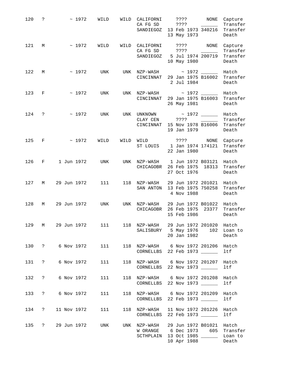| 120 | $\ddot{\mathsf{S}}$ |                  | ~1972        | WILD                  | WILD | CALIFORNI<br>CA FG SD<br>SANDIEGOZ 13 Feb 1973 340216                                     | $??\ ??$<br>? ? ? ?<br>13 May 1973                           | NONE              | Capture<br>Transfer<br>Transfer<br>Death |
|-----|---------------------|------------------|--------------|-----------------------|------|-------------------------------------------------------------------------------------------|--------------------------------------------------------------|-------------------|------------------------------------------|
| 121 | М                   |                  | $~\sim~1972$ | WILD                  |      | WILD CALIFORNI<br>CA FG SD ????<br>SANDIEGOZ 5 Jul 1974 200719 Transfer                   | ? ? ? ?<br>10 May 1980                                       | <b>NONE</b>       | Capture<br>Transfer<br>Death             |
| 122 | М                   |                  | $~\sim~1972$ | UNK                   |      | UNK NZP-WASH ~ 1972 ______<br>CINCINNAT                                                   | 29 Jan 1975 B16002<br>2 Jul 1984                             |                   | Hatch<br>Transfer<br>Death               |
| 123 | F                   |                  | $~\sim~1972$ | UNK                   |      | UNK NZP-WASH<br>CINCINNAT                                                                 | 29 Jan 1975 B16003<br>26 May 1981                            | $\sim$ 1972 _____ | Hatch<br>Transfer<br>Death               |
| 124 | $\ddot{\mathbf{?}}$ |                  | $\sim 1972$  | UNK                   |      | UNK UNKNOWN<br>CLAY CEN ????<br>CINCINNAT 15 Nov 1978 B16006 Transfer                     | 19 Jan 1979                                                  |                   | Hatch<br>Transfer<br>Death               |
| 125 | F                   | $~\sim~1972$     |              | WILD                  | WILD | WILD ????<br>ST LOUIS 1 Jan 1974 174121                                                   | 22 Jan 1980                                                  | NONE              | Capture<br>Transfer<br>Death             |
| 126 | $F =$               | 1 Jun 1972       |              | UNK                   |      | UNK NZP-WASH 1 Jun 1972 B03121 Hatch<br>CHICAGOBR                                         | 26 Feb 1975 18313<br>27 Oct 1976                             |                   | Transfer<br>Death                        |
| 127 | M                   | 29 Jun 1972      |              | 111                   |      | 118 NZP-WASH<br>SAN ANTON                                                                 | 29 Jun 1972 201021<br>13 Feb 1975 750258<br>4 Nov 1988       |                   | Hatch<br>Transfer<br>Death               |
| 128 | M                   | 29 Jun 1972      |              | UNK                   |      | UNK NZP-WASH<br>CHICAGOBR                                                                 | 29 Jun 1972 B01022 Hatch<br>26 Feb 1975 23377<br>15 Feb 1986 |                   | Transfer<br>Death                        |
| 129 | M                   | 29 Jun 1972      |              |                       |      | 111 118 NZP-WASH<br>SALISBURY 5 May 1976 102 Loan to                                      | 29 Jun 1972 201020 Hatch<br>20 Jan 1982 Death                |                   |                                          |
|     |                     |                  |              |                       |      | 130 ? 6 Nov 1972 111 118 NZP-WASH 6 Nov 1972 201206 Hatch<br>CORNELLBS 22 Feb 1973 ______ |                                                              |                   | ltf                                      |
|     |                     |                  |              | 131 ? 6 Nov 1972 111  |      | 118 NZP-WASH 6 Nov 1972 201207 Hatch<br>CORNELLBS 22 Nov 1973                             |                                                              |                   | ltf                                      |
|     |                     | 132 ? 6 Nov 1972 |              | 111                   |      | 118 NZP-WASH 6 Nov 1972 201208 Hatch<br>CORNELLBS 22 Nov 1973                             |                                                              |                   | ltf                                      |
|     |                     | 133 ? 6 Nov 1972 |              | 111                   |      | 118 NZP-WASH 6 Nov 1972 201209 Hatch<br>CORNELLBS 22 Feb 1973                             |                                                              |                   | ltf                                      |
|     |                     |                  |              | 134 ? 11 Nov 1972 111 |      | 118 NZP-WASH 11 Nov 1972 201226 Hatch<br>CORNELLBS 22 Feb 1973                            |                                                              |                   | ltf                                      |
|     |                     |                  |              | 135 ? 29 Jun 1972 UNK |      | UNK NZP-WASH 29 Jun 1972 B01021 Hatch<br>W ORANGE 6 Dec 1973 605<br>SCTHPLAIN 13 Oct 1985 | 10 Apr 1988                                                  |                   | Transfer<br>Loan to<br>Death             |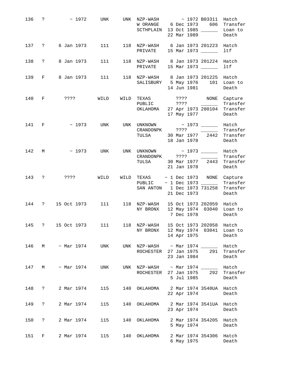| 136 | $\ddot{?}$          | ~1972                                                       | <b>UNK</b> |      | UNK NZP-WASH | $\sim$ 1972 B03311<br>W ORANGE 6 Dec 1973 606<br>SCTHPLAIN 13 Oct 1985<br>22 Mar 1989                                        | Hatch<br>Transfer<br>Loan to<br>Death    |
|-----|---------------------|-------------------------------------------------------------|------------|------|--------------|------------------------------------------------------------------------------------------------------------------------------|------------------------------------------|
| 137 | $\ddot{?}$          | 6 Jan 1973                                                  | 111        |      |              | 118 NZP-WASH 6 Jan 1973 201223 Hatch<br>PRIVATE 15 Mar 1973 ______                                                           | ltf                                      |
| 138 | $\ddot{\text{?}}$   | 8 Jan 1973                                                  | 111        |      |              | 118 NZP-WASH 8 Jan 1973 201224 Hatch<br>PRIVATE 15 Mar 1973                                                                  | ltf                                      |
| 139 | $F \sim 1$          | 8 Jan 1973                                                  | 111        |      |              | 118 NZP-WASH 8 Jan 1973 201225 Hatch<br>SALISBURY 5 May 1976 101 Loan to<br>14 Jun 1981                                      | Death                                    |
| 140 |                     | <b>F</b> 2???                                               | WILD       |      |              | WILD TEXAS ???? NONE<br>PUBLIC ????<br>OKLAHOMA 27 Apr 1973 280104 Transfer<br>17 May 1977                                   | Capture<br>Transfer<br>Death             |
| 141 | $F =$               | $\sim$ 1973 UNK                                             |            |      |              | UNK UNKNOWN $\sim$ 1973 Hatch<br>CRANDONPK ????<br>TULSA 30 Mar 1977 2442 Transfer<br>18 Jan 1978                            | Transfer<br>Death                        |
| 142 |                     | $M \sim 1973$                                               | UNK        |      |              | UNK UNKNOWN $\sim$ 1973 ________ Hatch<br>CRANDONPK ???? ________ Transfer<br>TULSA 30 Mar 1977 2443 Transfer<br>21 Jan 1978 | Death                                    |
|     |                     | 143 ? ????                                                  | WILD       | WILD |              | $TEXAS$ ~ 1 Dec 1973 NONE<br>PUBLIC $\sim$ 1 Dec 1973 ______<br>SAN ANTON 1 Dec 1973 731258<br>21 Dec 1973                   | Capture<br>Transfer<br>Transfer<br>Death |
| 144 |                     | ? 15 Oct 1973 111                                           |            |      |              | 118 NZP-WASH 15 Oct 1973 202059 Hatch<br>NY BRONX 12 May 1974 03040 Loan to<br>7 Dec 1978                                    | Death                                    |
|     |                     | 145 ? 15 Oct 1973 111 118 NZP-WASH 15 Oct 1973 202058 Hatch |            |      |              | NY BRONX 12 May 1974 03041 Loan to<br>14 Apr 1975                                                                            | Death                                    |
| 146 |                     | $M \sim$ Mar 1974 UNK                                       |            |      |              | UNK $NZP-WASH$ ~ Mar 1974 ______<br>ROCHESTER 27 Jan 1975<br>23 Jan 1984                                                     | Hatch<br>291 Transfer<br>Death           |
| 147 |                     | $M \sim$ Mar 1974                                           | UNK        |      |              | UNK NZP-WASH ~ Mar 1974 Hatch<br>ROCHESTER 27 Jan 1975<br>5 Jul 1985                                                         | 292 Transfer<br>Death                    |
| 148 | $\ddot{\mathbf{?}}$ | 2 Mar 1974                                                  | 115        | 140  |              | OKLAHOMA 2 Mar 1974 3540UA Hatch<br>22 Apr 1974                                                                              | Death                                    |
| 149 | $\ddot{\text{?}}$   | 2 Mar 1974                                                  | 115        | 140  |              | OKLAHOMA 2 Mar 1974 3541UA Hatch<br>23 Apr 1974                                                                              | Death                                    |
| 150 | $\ddot{?}$          | 2 Mar 1974                                                  | 115        |      | 140 OKLAHOMA | 2 Mar 1974 354205 Hatch<br>5 May 1974                                                                                        | Death                                    |
| 151 | F                   | 2 Mar 1974                                                  | 115        | 140  | OKLAHOMA     | 2 Mar 1974 354306<br>6 May 1975                                                                                              | Hatch<br>Death                           |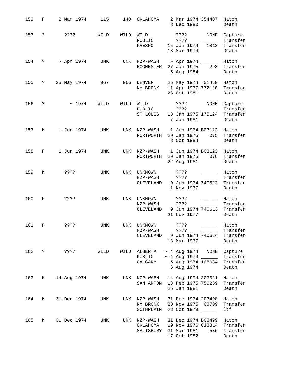| 152 | F                    | 2 Mar 1974       | 115  | 140  | ОКLАНОМА                                                              | 2 Mar 1974 354407<br>3 Dec 1980                                 |                                          | Hatch<br>Death                                                     |
|-----|----------------------|------------------|------|------|-----------------------------------------------------------------------|-----------------------------------------------------------------|------------------------------------------|--------------------------------------------------------------------|
| 153 | $\ddot{\mathbf{S}}$  | ????             | WILD | WILD | WILD<br>PUBLIC<br>FRESNO                                              | ? ? ? ?<br>$??\; ?$<br>15 Jan 1974                              | NONE<br>$\overline{\phantom{a}}$<br>1813 | Capture<br>Transfer<br>Transfer                                    |
|     |                      |                  |      |      |                                                                       | 13 Mar 1974                                                     |                                          | Death                                                              |
| 154 | $\ddot{\mathbf{?}}$  | $~\sim$ Apr 1974 | UNK  |      | UNK NZP-WASH $\sim$ Apr 1974 ______<br>ROCHESTER                      | 27 Jan 1975<br>5 Aug 1984                                       | 293                                      | Hatch<br>Transfer<br>Death                                         |
| 155 | $\ddot{?}$           | 25 May 1974      | 967  |      | 966 DENVER<br>NY BRONX                                                | 25 May 1974 01469<br>11 Apr 1977 772110<br>28 Oct 1981          |                                          | Hatch<br>Transfer<br>Death                                         |
| 156 | $\ddot{\phantom{0}}$ | $~\sim~1974$     | WILD | WILD | WILD<br>PUBLIC<br>ST LOUIS                                            | ????<br>? ? ? ?<br>18 Jan 1975 175124<br>7 Jan 1981             | NONE                                     | Capture<br>Transfer<br>Transfer<br>Death                           |
| 157 | М                    | 1 Jun 1974       | UNK  |      | UNK NZP-WASH 1 Jun 1974 B03122 Hatch<br>FORTWORTH                     | 29 Jan 1975<br>3 Oct 1984                                       | 075                                      | Transfer<br>Death                                                  |
| 158 | F                    | 1 Jun 1974       | UNK  |      | UNK NZP-WASH 1 Jun 1974 B03123 Hatch<br>FORTWORTH                     | 29 Jan 1975<br>22 Aug 1981                                      | 076                                      | Transfer<br>Death                                                  |
| 159 | М                    | ? ? ? ?          | UNK  |      | UNK UNKNOWN<br>NZP-WASH<br>CLEVELAND                                  | $??\,?\,?$<br>? ? ? ?<br>9 Jun 1974 740612<br>1 Nov 1977        |                                          | Hatch<br>Transfer<br>Transfer<br>Death                             |
| 160 | F                    | ? ? ? ?          | UNK  | UNK  | UNKNOWN<br>NZP-WASH<br>CLEVELAND                                      | ????<br>? ? ? ?<br>21 Nov 1977                                  | $\sim 10^{10}$ and $\sim 10^{10}$        | Hatch<br>Transfer<br>9 Jun 1974 740613 Transfer<br>Death           |
| 161 | $-F$                 | ? ? ? ?          | UNK  |      | UNK UNKNOWN<br>NZP-WASH                                               | ????<br>????<br>13 Mar 1977                                     |                                          | Hatch<br>Transfer<br>CLEVELAND 9 Jun 1974 740614 Transfer<br>Death |
|     |                      | 162 ? ????       | WILD |      | WILD ALBERTA<br>PUBLIC<br>CALGARY                                     | $\sim$ 4 Aug 1974 NONE<br>$\sim$ 4 Aug 1974 _____<br>6 Aug 1974 |                                          | Capture<br>Transfer<br>5 Aug 1974 105034 Transfer<br>Death         |
| 163 | M                    | 14 Aug 1974      | UNK  |      | UNK NZP-WASH 14 Aug 1974 203311 Hatch<br>SAN ANTON 13 Feb 1975 750259 | 25 Jan 1981                                                     |                                          | Transfer<br>Death                                                  |
| 164 | M                    | 31 Dec 1974      | UNK  |      | UNK NZP-WASH<br>NY BRONX<br>SCTHPLAIN                                 | 31 Dec 1974 203498<br>20 Nov 1975 03709<br>28 Oct 1979 ______   |                                          | Hatch<br>Transfer<br>ltf                                           |
| 165 | M                    | 31 Dec 1974      | UNK  |      | UNK NZP-WASH<br>OKLAHOMA 19 Nov 1976 613814<br>SALISBURY              | 31 Dec 1974 B03499 Hatch<br>31 Mar 1981<br>17 Oct 1982          | 586                                      | Transfer<br>Transfer<br>Death                                      |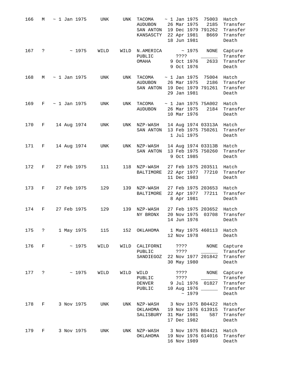| 166 | М            | $\sim$ 1 Jan 1975   |       | UNK  | UNK  | TACOMA<br>AUDUBON<br>SAN ANTON 19 Dec 1979 791262<br>KANSASCTY 22 Apr 1981 | $\sim$ 1 Jan 1975<br>26 Mar 1975<br>18 Jun 1981                             | 75003<br>2185<br>B669 | Hatch<br>Transfer<br>Transfer<br>Transfer<br>Death   |
|-----|--------------|---------------------|-------|------|------|----------------------------------------------------------------------------|-----------------------------------------------------------------------------|-----------------------|------------------------------------------------------|
| 167 | ?            |                     | ~1975 | WILD |      | WILD N.AMERICA<br>PUBLIC<br>OMAHA                                          | ~1975<br>? ? ? ?<br>9 Oct 1976<br>9 Oct 1976                                | NONE<br>2633          | Capture<br>Transfer<br>Transfer<br>Death             |
| 168 | М            | ~ 1 Jan 1975        |       | UNK  | UNK  | TACOMA<br>AUDUBON<br>SAN ANTON 19 Dec 1979 791261                          | $\sim$ 1 Jan 1975<br>26 Mar 1975<br>29 Jan 1981                             | 75004 Hatch<br>2186   | Transfer<br>Transfer<br>Death                        |
| 169 |              | $F \sim 1$ Jan 1975 |       | UNK  | UNK  | TACOMA<br><b>AUDUBON</b>                                                   | $\sim$ 1 Jan 1975 75A002<br>26 Mar 1975<br>10 Mar 1976                      | 2184                  | Hatch<br>Transfer<br>Death                           |
| 170 | $F$ and $F$  | 14 Aug 1974         |       | UNK  |      | UNK NZP-WASH 14 Aug 1974 03313A Hatch<br>SAN ANTON                         | 13 Feb 1975 750261<br>1 Jul 1975                                            |                       | Transfer<br>Death                                    |
| 171 | F            | 14 Aug 1974         |       | UNK  |      | UNK NZP-WASH<br>SAN ANTON                                                  | 14 Aug 1974 03313B<br>13 Feb 1975 750260<br>9 Oct 1985                      |                       | Hatch<br>Transfer<br>Death                           |
| 172 | $F =$        | 27 Feb 1975         |       | 111  |      | 118 NZP-WASH<br>BALTIMORE                                                  | 27 Feb 1975 203511 Hatch<br>22 Apr 1977 77210<br>11 Dec 1983                |                       | Transfer<br>Death                                    |
| 173 | $F =$        | 27 Feb 1975         |       | 129  |      | 139 NZP-WASH<br>BALTIMORE                                                  | 27 Feb 1975 203653<br>22 Apr 1977 77211<br>8 Apr 1981                       |                       | Hatch<br>Transfer<br>Death                           |
| 174 | $F \sim$     | 27 Feb 1975         |       | 129  |      | 139 NZP-WASH<br>NY BRONX                                                   | 27 Feb 1975 203652 Hatch<br>20 Nov 1975<br>14 Jun 1976                      | 03708                 | Transfer<br>Death                                    |
| 175 | $\mathsf{P}$ | 1 May 1975          |       | 115  | 152  | OKLAHOMA                                                                   | 1 May 1975 460113<br>12 Nov 1978                                            |                       | Hatch<br>Death                                       |
| 176 | F            |                     | ~1975 | WILD | WILD | CALIFORNI<br>PUBLIC<br>SANDIEGOZ                                           | ? ? ? ?<br>? ? ? ?<br>22 Nov 1977 201842<br>30 May 1980                     | NONE                  | Capture<br>Transfer<br>Transfer<br>Death             |
| 177 | ?            |                     | ~1975 | WILD | WILD | WILD<br>PUBLIC<br>DENVER<br>PUBLIC                                         | ????<br>????<br>9 Jul 1976 01827<br>10 Aug 1976 _____<br>~1979              | NONE                  | Capture<br>Transfer<br>Transfer<br>Transfer<br>Death |
| 178 | F            | 3 Nov 1975          |       | UNK  |      | UNK NZP-WASH<br>ОКLАНОМА<br>SALISBURY                                      | 3 Nov 1975 B04422 Hatch<br>19 Nov 1976 613915<br>31 Mar 1981<br>17 Dec 1982 | 587                   | Transfer<br>Transfer<br>Death                        |
| 179 | F            | 3 Nov 1975          |       | UNK  |      | UNK NZP-WASH<br>ОКLАНОМА                                                   | 3 Nov 1975 B04421<br>19 Nov 1976 614016<br>16 Nov 1989                      |                       | Hatch<br>Transfer<br>Death                           |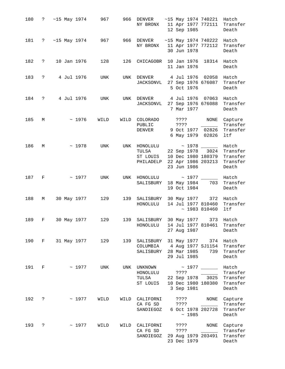| 180   |                     |                      |              | ? ~15 May 1974 967 | 966  | DENVER ~15 May 1974 740221 Hatch<br>NY BRONX 11 Apr 1977 772111 Transfer | 12 Sep 1985                       |       |                                                           | Death                                                                                            |
|-------|---------------------|----------------------|--------------|--------------------|------|--------------------------------------------------------------------------|-----------------------------------|-------|-----------------------------------------------------------|--------------------------------------------------------------------------------------------------|
| 181   |                     | ? $\sim$ 15 May 1974 |              | 967                |      | 966 DENVER<br>NY BRONX 11 Apr 1977 772112                                | 30 Jun 1978                       |       | $~15$ May 1974 740222 Hatch                               | Transfer<br>Death                                                                                |
| 182   | $\ddot{?}$          | 10 Jan 1976          |              | 128                |      | 126 CHICAGOBR 10 Jan 1976 18314 Hatch                                    | 11 Jan 1976                       |       |                                                           | Death                                                                                            |
| 183   | $\ddot{?}$          | 4 Jul 1976           |              | UNK                |      | UNK DENVER 4 Jul 1976 02058 Hatch<br>JACKSONVL 27 Sep 1976 676087        | 5 Oct 1976                        |       |                                                           | Transfer<br>Death                                                                                |
| 184   |                     | ? 4 Jul 1976         |              | UNK                |      | UNK DENVER 4 Jul 1976 07063<br>JACKSONVL                                 | 7 Mar 1977                        |       | 27 Sep 1976 676088                                        | Hatch<br>Transfer<br>Death                                                                       |
| 185   | М                   |                      | $~\sim~1976$ | WILD               |      | WILD COLORADO<br>PUBLIC<br>DENVER                                        | ????                              |       | ???? NONE<br>$\overline{\phantom{a}}$<br>6 May 1979 02826 | Capture<br>Transfer<br>9 Oct 1977 02826 Transfer<br>ltf                                          |
| 186   | М                   |                      | ~1978        | UNK                |      | UNK HONOLULU ~ 1978 ________ Hatch<br>TULSA<br>ST LOUIS<br>PHILADELP     | 23 Jun 1986                       |       |                                                           | 22 Sep 1978 3024 Transfer<br>10 Dec 1980 180379 Transfer<br>22 Apr 1986 203213 Transfer<br>Death |
| 187   | F                   |                      | $\sim 1977$  | UNK                |      | UNK HONOLULU ~ 1977 _______ Hatch<br>SALISBURY                           |                                   |       | 19 Oct 1984                                               | 18 May 1984 703 Transfer<br>Death                                                                |
| 188   | M                   | 30 May 1977          |              | 129                |      | 139 SALISBURY<br>HONOLULU                                                |                                   |       | 30 May 1977 372 Hatch<br>~1983~810460                     | 14 Jul 1977 810460 Transfer<br>ltf                                                               |
| 189   | $F =$               | 30 May 1977          |              | 129                | 139  | SALISBURY 30 May 1977 373 Hatch<br>HONOLULU 14 Jul 1977 810461 Transfer  | 27 Aug 1987                       |       |                                                           | Death                                                                                            |
| 190   |                     |                      |              | F 31 May 1977 129  |      | 139 SALISBURY<br>COLUMBIA 4 Aug 1977 SJ1154<br>SALISBURY 28 Mar 1985     | 29 Jul 1985                       |       | 31 May 1977 374 Hatch<br>739                              | Transfer<br>Transfer<br>Death                                                                    |
| 191   | $F =$               |                      |              | ~1977 UNK          |      | UNK UNKNOWN<br>HONOLULU<br>TULSA<br>ST LOUIS                             | ? ? ? ?<br>3 Sep 1981             |       |                                                           | Hatch<br>Transfer<br>22 Sep 1978 3025 Transfer<br>10 Dec 1980 180380 Transfer<br>Death           |
| 192   | $\ddot{\mathbf{?}}$ |                      | $~\sim~1977$ | WILD               |      | WILD CALIFORNI<br>CA FG SD<br>SANDIEGOZ                                  | ????<br>? ? ? ?                   | ~1985 | NONE                                                      | Capture<br>Transfer<br>6 Oct 1978 202728 Transfer<br>Death                                       |
| 193 ? |                     |                      | $~\sim~1977$ | WILD               | WILD | CALIFORNI<br>CA FG SD<br>SANDIEGOZ                                       | ? ? ? ?<br>? ? ? ?<br>23 Dec 1979 |       | NONE<br>29 Aug 1979 203491                                | Capture<br>Transfer<br>Transfer<br>Death                                                         |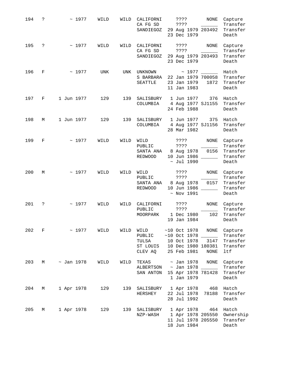| 194 | ? | ~1977           | WILD | WILD | CALIFORNI<br>CA FG SD<br>SANDIEGOZ             | ? ? ? ?<br>????<br>29 Aug 1979 203492<br>23 Dec 1979                                       | NONE                                                                                | Capture<br>Transfer<br>Transfer<br>Death             |
|-----|---|-----------------|------|------|------------------------------------------------|--------------------------------------------------------------------------------------------|-------------------------------------------------------------------------------------|------------------------------------------------------|
| 195 | ? | ~1977           | WILD | WILD | CALIFORNI<br>CA FG SD<br>SANDIEGOZ             | ????<br>????<br>29 Aug 1979 203493<br>23 Dec 1979                                          | NONE                                                                                | Capture<br>Transfer<br>Transfer<br>Death             |
| 196 | F | ~1977           | UNK  | UNK  | UNKNOWN<br>S BARBARA<br>SEATTLE                | ~1977<br>22 Jan 1979 700058<br>23 Jan 1979<br>11 Jan 1983                                  | 1872                                                                                | Hatch<br>Transfer<br>Transfer<br>Death               |
| 197 | F | 1 Jun 1977      | 129  | 139  | SALISBURY<br>COLUMBIA                          | 1 Jun 1977<br>4 Aug 1977 SJ1155<br>24 Feb 1988                                             | 376                                                                                 | Hatch<br>Transfer<br>Death                           |
| 198 | М | 1 Jun 1977      | 129  | 139  | SALISBURY<br>COLUMBIA                          | 1 Jun 1977<br>4 Aug 1977 SJ1156<br>28 Mar 1982                                             | 375                                                                                 | Hatch<br>Transfer<br>Death                           |
| 199 | F | ~1977           | WILD | WILD | WILD<br>PUBLIC<br>SANTA ANA<br>REDWOOD         | ????<br>? ? ? ?<br>8 Aug 1978<br>10 Jun 1986<br>$~\sim$ Jul 1990                           | NONE<br>0156                                                                        | Capture<br>Transfer<br>Transfer<br>Transfer<br>Death |
| 200 | М | ~1977           | WILD | WILD | WILD<br>PUBLIC<br>SANTA ANA<br>REDWOOD         | $??\,?\,?$<br>? ? ? ?<br>8 Aug 1978<br>10 Jun 1986 _____<br>$~\sim$ Nov 1991               | $\rm{NONE}$<br>0157                                                                 | Capture<br>Transfer<br>Transfer<br>Transfer<br>Death |
| 201 | ? | ~1977           | WILD | WILD | CALIFORNI<br>PUBLIC<br>MOORPARK                | ????<br>????<br>1 Dec 1980<br>19 Jan 1984                                                  | NONE<br>102                                                                         | Capture<br>Transfer<br>Transfer<br>Death             |
| 202 | F | ~1977           | WILD | WILD | WILD<br>PUBLIC<br>TULSA<br>ST LOUIS<br>CLEV AQ | $~10$ Oct 1978<br>$~10$ Oct 1978 $~\_$<br>10 Oct 1978<br>10 Dec 1980 180381<br>25 Feb 1981 | NONE<br>3147<br><b>NONE</b>                                                         | Capture<br>Transfer<br>Transfer<br>Transfer<br>ltf   |
| 203 | М | $\sim$ Jan 1978 | WILD | WILD | TEXAS<br>ALBERTSON<br>SAN ANTON                | $\sim$ Jan 1978<br>$\sim$ Jan 1978<br>15 Apr 1978 781428<br>1 Jan 1979                     | NONE<br>$\mathcal{L}=\mathcal{L}^{\mathcal{L}}$ , where $\mathcal{L}^{\mathcal{L}}$ | Capture<br>Transfer<br>Transfer<br>Death             |
| 204 | М | 1 Apr 1978      | 129  | 139  | SALISBURY<br>HERSHEY                           | 1 Apr 1978<br>22 Jul 1978<br>28 Jul 1992                                                   | 468<br>78188                                                                        | Hatch<br>Transfer<br>Death                           |
| 205 | М | 1 Apr 1978      | 129  | 139  | SALISBURY<br>NZP-WASH                          | 1 Apr 1978<br>1 Apr 1978 205550<br>11 Jul 1978 205550<br>18 Jun 1984                       | 464                                                                                 | Hatch<br>Ownership<br>Transfer<br>Death              |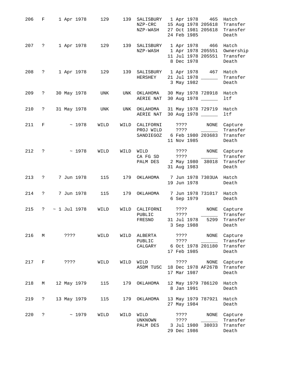| 206 | F                   | 1 Apr 1978        | 129  |      | 139 SALISBURY 1 Apr 1978 465 Hatch<br>NZP-CRC 15 Aug 1978 205618 Transfer<br>NZP-WASH | 24 Feb 1985                                            |                                                           | 27 Oct 1981 205618 Transfer<br>Death               |
|-----|---------------------|-------------------|------|------|---------------------------------------------------------------------------------------|--------------------------------------------------------|-----------------------------------------------------------|----------------------------------------------------|
| 207 | $\ddot{\mathsf{S}}$ | 1 Apr 1978        | 129  |      | 139 SALISBURY 1 Apr 1978 466 Hatch<br>NZP-WASH 1 Apr 1978 205551 Ownership            | 11 Jul 1978 205551<br>8 Dec 1978                       |                                                           | Transfer<br>Death                                  |
| 208 | $\ddot{\mathsf{S}}$ | 1 Apr 1978        | 129  |      | 139 SALISBURY 1 Apr 1978 467<br>HERSHEY 21 Jul 1978                                   | 3 May 1982                                             |                                                           | Hatch<br>Transfer<br>Death                         |
| 209 | $\mathsf{P}$        | 30 May 1978       | UNK  |      | UNK OKLAHOMA<br>AERIE NAT                                                             | 30 May 1978 728918<br>30 Aug 1978 ______               |                                                           | Hatch<br>ltf                                       |
| 210 | $\ddot{\cdot}$      | 31 May 1978       | UNK  |      | UNK OKLAHOMA<br>AERIE NAT                                                             | 31 May 1978 729719<br>30 Aug 1978                      |                                                           | Hatch<br>ltf                                       |
| 211 | $_{\rm F}$          | ~1978             | WILD |      | WILD CALIFORNI ????<br>PROJ WILD<br>SANDIEGOZ 6 Feb 1980 203683                       | ????<br>11 Nov 1985                                    | NONE<br>$\frac{1}{2}$ and $\frac{1}{2}$ and $\frac{1}{2}$ | Capture<br>Transfer<br>Transfer<br>Death           |
| 212 | ?                   | ~1978             | WILD |      | WILD WILD ????<br>CA FG SD<br>PALM DES 2 May 1980 38018 Transfer                      | ????<br>31 Aug 1983                                    | NONE<br>$\overline{\phantom{a}}$                          | Capture<br>Transfer<br>Death                       |
| 213 | ?                   | 7 Jun 1978        | 115  |      | 179 OKLAHOMA                                                                          | 7 Jun 1978 7303UA Hatch<br>19 Jun 1978                 |                                                           | Death                                              |
| 214 | ?                   | 7 Jun 1978        | 115  | 179  | OKLAHOMA                                                                              | 7 Jun 1978 731017<br>6 Sep 1979                        |                                                           | Hatch<br>Death                                     |
| 215 | ?                   | $\sim$ 1 Jul 1978 | WILD | WILD | CALIFORNI<br>PUBLIC<br>FRESNO                                                         | ????<br>? ? ? ?<br>31 Jul 1978<br>3 Sep 1988           |                                                           | NONE Capture<br>Transfer<br>5299 Transfer<br>Death |
| 216 | М                   | ????              | WILD | WILD | ALBERTA<br>PUBLIC<br>CALGARY                                                          | ? ? ? ?<br>? ? ? ?<br>6 Oct 1978 201180<br>17 Feb 1985 | NONE                                                      | Capture<br>Transfer<br>Transfer<br>Death           |
| 217 | $\mathbf F$         | ????              | WILD | WILD | WILD<br>ASDM TUSC                                                                     | ? ? ? ?<br>18 Dec 1978 AF267B<br>17 Mar 1987           | NONE                                                      | Capture<br>Transfer<br>Death                       |
| 218 | М                   | 12 May 1979       | 115  | 179  | OKLAHOMA                                                                              | 12 May 1979 786120<br>8 Jan 1991                       |                                                           | Hatch<br>Death                                     |
| 219 | $\ddot{\cdot}$      | 13 May 1979       | 115  | 179  | OKLAHOMA                                                                              | 13 May 1979 787921<br>27 May 1984                      |                                                           | Hatch<br>Death                                     |
| 220 | ?                   | ~1979             | WILD | WILD | WILD<br>UNKNOWN<br>PALM DES                                                           | ????<br>????<br>3 Jul 1980<br>29 Dec 1986              | NONE<br>38033                                             | Capture<br>Transfer<br>Transfer<br>Death           |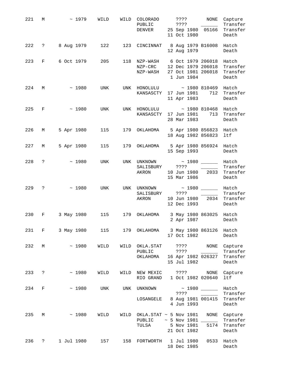| 221 | М                 | $\sim 1979$      | WILD |      | WILD COLORADO<br>PUBLIC<br>DENVER 25 Sep 1980 05166 Transfer                                               | ? ? ? ?<br>????<br>11 Oct 1980                        | NONE                                        | Capture<br>Transfer<br>Death                            |
|-----|-------------------|------------------|------|------|------------------------------------------------------------------------------------------------------------|-------------------------------------------------------|---------------------------------------------|---------------------------------------------------------|
| 222 |                   | ? 8 Aug 1979 122 |      |      | 123 CINCINNAT 8 Aug 1979 B16008 Hatch                                                                      | 12 Aug 1979                                           |                                             | Death                                                   |
| 223 | F                 | 6 Oct 1979       | 205  |      | 118 NZP-WASH 6 Oct 1979 206018 Hatch<br>NZP-CRC 12 Dec 1979 206018<br>NZP-WASH 27 Oct 1981 206018 Transfer | 1 Jun 1984                                            |                                             | Transfer<br>Death                                       |
| 224 | M                 | $\sim 1980$      | UNK  |      | UNK HONOLULU ~ 1980 810469 Hatch<br>KANSASCTY 17 Jun 1981 712 Transfer                                     | 11 Apr 1983                                           |                                             | Death                                                   |
|     | 225 F             | $\sim 1980$      | UNK  |      | UNK HONOLULU ~ 1980 810468 Hatch<br>KANSASCTY 17 Jun 1981                                                  | 28 Mar 1983                                           | 713                                         | Transfer<br>Death                                       |
| 226 | $M$ and $M$       | 5 Apr 1980 115   |      |      | 179 OKLAHOMA 5 Apr 1980 856823 Hatch                                                                       | 18 Aug 1982 856823 ltf                                |                                             |                                                         |
| 227 | M                 | 5 Apr 1980       | 115  | 179  | OKLAHOMA 5 Apr 1980 856924 Hatch                                                                           | 15 Sep 1993                                           |                                             | Death                                                   |
| 228 | $\ddot{?}$        | ~1980            | UNK  |      | UNK UNKNOWN ~ 1980<br>SALISBURY ????<br>AKRON                                                              | 15 Mar 1986                                           |                                             | Hatch<br>Transfer<br>10 Jun 1980 2033 Transfer<br>Death |
|     | 229 ?             | $~\sim~1980$     | UNK  |      | UNK UNKNOWN ~ 1980 _______<br>SALISBURY ???? ______<br>AKRON                                               | 12 Dec 1993                                           |                                             | Hatch<br>Transfer<br>10 Jun 1980 2034 Transfer<br>Death |
| 230 | $F \sim 1$        | 3 May 1980       | 115  |      | 179 OKLAHOMA 3 May 1980 863025 Hatch                                                                       | 2 Apr 1987                                            | Death                                       |                                                         |
| 231 | $F \sim 1$        | 3 May 1980       | 115  |      | 179 OKLAHOMA 3 May 1980 863126 Hatch                                                                       | 17 Oct 1982                                           |                                             | Death                                                   |
| 232 | M                 | ~1980            | WILD | WILD | OKLA.STAT ????<br>PUBLIC<br>OKLAHOMA                                                                       | ? ? ? ?<br>16 Apr 1982 026327<br>15 Jul 1982          | NONE                                        | Capture<br>Transfer<br>Transfer<br>Death                |
| 233 | $\mathbb{R}$      | ~1980            | WILD |      | WILD NEW MEXIC ????<br>RIO GRAND                                                                           | 1 Oct 1982 020640                                     |                                             | NONE Capture<br>ltf                                     |
| 234 | F                 | ~1980            | UNK  | UNK  | UNKNOWN<br>LOSANGELE                                                                                       | ? ? ? ?<br>8 Aug 1981 001415<br>4 Jun 1993            | $\sim$ 1980 _____<br>and the control of the | Hatch<br>Transfer<br>Transfer<br>Death                  |
| 235 | М                 | ~1980            | WILD |      | WILD OKLA.STAT $\sim$ 5 Nov 1981<br>PUBLIC<br>TULSA                                                        | $\sim$ 5 Nov 1981 ______<br>5 Nov 1981<br>21 Oct 1982 | NONE<br>5174                                | Capture<br>Transfer<br>Transfer<br>Death                |
| 236 | $\ddot{\text{?}}$ | 1 Jul 1980       | 157  | 158  | FORTWORTH                                                                                                  | 1 Jul 1980<br>18 Dec 1985                             | 0533                                        | Hatch<br>Death                                          |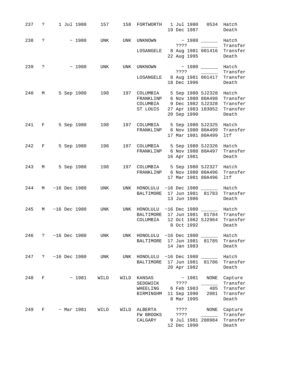| 237 |                      |  |                |                    |      | ? 1 Jul 1980 157 158 FORTWORTH 1 Jul 1980 0534 Hatch                                          |               |                               | 19 Dec 1987   Death                               |                      |
|-----|----------------------|--|----------------|--------------------|------|-----------------------------------------------------------------------------------------------|---------------|-------------------------------|---------------------------------------------------|----------------------|
| 238 |                      |  |                | $\sim 1980$ UNK    |      | UNK UNKNOWN $\sim$ 1980 $\_\_\_\_\$ Hatch                                                     |               |                               |                                                   |                      |
|     |                      |  |                |                    |      | LOSANGELE 8 Aug 1981 001416 Transfer                                                          |               |                               | 22 Aug 1995 Death                                 |                      |
|     |                      |  |                | 239 ? ~ 1980 UNK   |      | UNK UNKNOWN                                                                                   |               | ????                          | ~ 1980 ________ Hatch<br>$\overline{\phantom{a}}$ | Transfer             |
|     |                      |  |                |                    |      | LOSANGELE 8 Aug 1981 001417 Transfer                                                          |               |                               | 18 Dec 1996 Death                                 |                      |
| 240 |                      |  |                |                    |      | M 5 Sep 1980 198 197 COLUMBIA 5 Sep 1980 SJ2328 Hatch<br>FRANKLINP 6 Nov 1980 80A498          |               |                               |                                                   | Transfer             |
|     |                      |  |                |                    |      | COLUMBIA 9 Dec 1982 SJ2328 Transfer<br>ST LOUIS 27 Apr 1983 183052 Transfer                   |               |                               | 20 Sep 1990                                       | Death                |
| 241 |                      |  |                |                    |      | F 5 Sep 1980 198 197 COLUMBIA 5 Sep 1980 SJ2325 Hatch<br>FRANKLINP 6 Nov 1980 80A499 Transfer |               |                               |                                                   |                      |
|     |                      |  |                |                    |      |                                                                                               |               |                               | 17 Mar 1981 80A499                                | ltf                  |
| 242 |                      |  |                |                    |      | F 5 Sep 1980 198 197 COLUMBIA 5 Sep 1980 SJ2326 Hatch<br>FRANKLINP 6 Nov 1980 80A497 Transfer |               |                               |                                                   |                      |
|     |                      |  |                |                    |      |                                                                                               |               |                               | 16 Apr 1981 Death                                 |                      |
| 243 |                      |  |                |                    |      | M 5 Sep 1980 198 197 COLUMBIA 5 Sep 1980 SJ2327 Hatch<br>FRANKLINP 6 Nov 1980 80A496 Transfer |               |                               |                                                   |                      |
|     |                      |  |                |                    |      |                                                                                               |               |                               | 17 Mar 1981 80A496                                | ltf                  |
| 244 |                      |  |                |                    |      | M ~16 Dec 1980 UNK UNK HONOLULU ~16 Dec 1980 ______ Hatch<br>BALTIMORE 17 Jun 1981 81783      |               |                               |                                                   | Transfer             |
|     |                      |  |                |                    |      |                                                                                               |               |                               | 13 Jun 1986                                       | Death                |
| 245 |                      |  |                | M ~16 Dec 1980 UNK |      | UNK HONOLULU ~16 Dec 1980 ______ Hatch<br>BALTIMORE 17 Jun 1981 81784 Transfer                |               |                               |                                                   |                      |
|     |                      |  |                |                    |      | COLUMBIA 12 Oct 1982 SJ2964 Transfer                                                          |               | 8 Oct 1992                    |                                                   | Death                |
| 246 | ?                    |  | $~16$ Dec 1980 | UNK                | UNK  |                                                                                               |               |                               | $~16$ Dec 1980 $_{\_}$                            | Hatch                |
|     |                      |  |                |                    |      | HONOLULU<br>BALTIMORE                                                                         |               | 17 Jun 1981                   | 81785                                             | Transfer             |
|     |                      |  |                |                    |      |                                                                                               |               | 14 Jan 1983                   |                                                   | Death                |
| 247 | $\ddot{\phantom{0}}$ |  | $~16$ Dec 1980 | UNK                | UNK  | HONOLULU<br>BALTIMORE                                                                         |               | $~16$ Dec 1980<br>17 Jun 1981 | 81786                                             | Hatch<br>Transfer    |
|     |                      |  |                |                    |      |                                                                                               |               | 20 Apr 1982                   |                                                   | Death                |
| 248 | F                    |  | ~1981          | WILD               | WILD | KANSAS<br>SEDGWICK                                                                            | ????          | ~1981                         | NONE                                              | Capture<br>Transfer  |
|     |                      |  |                |                    |      | WHEELING<br>BIRMINGHM                                                                         |               | 6 Feb 1983<br>11 Sep 1990     | 485<br>2081                                       | Transfer<br>Transfer |
|     |                      |  |                |                    |      |                                                                                               |               | 8 Mar 1995                    |                                                   | Death                |
| 249 | F                    |  | ~ Mar 1981     | WILD               | WILD | ALBERTA<br>FW BROOKS                                                                          | 3333.<br>???? |                               | NONE                                              | Capture<br>Transfer  |
|     |                      |  |                |                    |      | CALGARY                                                                                       |               | 12 Dec 1990                   | 9 Jul 1981 200984                                 | Transfer<br>Death    |
|     |                      |  |                |                    |      |                                                                                               |               |                               |                                                   |                      |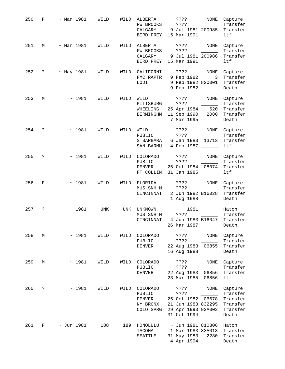| 250 | F | $~\sim$ Mar 1981 | WILD | WILD | ALBERTA<br>FW BROOKS<br>CALGARY<br>BIRD PREY          | ? ? ? ?<br>NONE<br>Capture<br>Transfer<br>? ? ? ?<br>9 Jul 1981 200985<br>Transfer<br>15 Mar 1991 ______<br>ltf                                                                |
|-----|---|------------------|------|------|-------------------------------------------------------|--------------------------------------------------------------------------------------------------------------------------------------------------------------------------------|
| 251 | М | $~\sim$ Mar 1981 | WILD | WILD | <b>ALBERTA</b><br>FW BROOKS<br>CALGARY<br>BIRD PREY   | $??\ ??$<br><b>NONE</b><br>Capture<br>? ? ? ?<br>Transfer<br>$\frac{1}{2}$<br>9 Jul 1981 200986<br>Transfer<br>15 Mar 1991<br>ltf                                              |
| 252 | ? | ~ May 1981       | WILD | WILD | CALIFORNI<br>FMC RAPTR<br>LODI                        | ????<br>NONE<br>Capture<br>9 Feb 1982<br>3<br>Transfer<br>9 Feb 1982 820001<br>Transfer<br>9 Feb 1982<br>Death                                                                 |
| 253 | М | ~1981            | WILD | WILD | WILD<br>PITTSBURG<br>WHEELING<br>BIRMINGHM            | ????<br>NONE<br>Capture<br>? ? ? ?<br>Transfer<br>520<br>25 Apr 1984<br>Transfer<br>11 Sep 1990<br>2080<br>Transfer<br>7 Mar 1995<br>Death                                     |
| 254 | ? | ~1981            | WILD | WILD | WILD<br>PUBLIC<br>S BARBARA<br>SAN BARMU              | $??\,?\,?$<br>NONE<br>Capture<br>Transfer<br>? ? ? ?<br>6 Jan 1983<br>13713<br>Transfer<br>4 Feb 1987 ______<br>ltf                                                            |
| 255 | ? | ~1981            | WILD | WILD | <b>COLORADO</b><br>PUBLIC<br>DENVER<br>FT COLLIN      | NONE<br>Capture<br>????<br>Transfer<br>? ? ? ?<br>25 Oct 1984<br>08074<br>Transfer<br>ltf<br>31 Jan 1985 ______                                                                |
| 256 | F | ~1981            | WILD | WILD | FLORIDA<br>MUS SNH M<br>CINCINNAT                     | $??\,?\,?$<br>NONE<br>Capture<br>? ? ? ?<br>Transfer<br>2 Jun 1982 B16028<br>Transfer<br>1 Aug 1988<br>Death                                                                   |
| 257 | ? | ~1981            | UNK  | UNK  | UNKNOWN<br>MUS SNH M<br>CINCINNAT                     | ~1981<br>Hatch<br>$\sim$ 100 $\sim$<br>????<br>Transfer<br>4 Jun 1983 B16047<br>Transfer<br>26 Mar 1987<br>Death                                                               |
| 258 | М | ~1981            | WILD | WILD | COLORADO<br>PUBLIC<br>DENVER                          | NONE<br>????<br>Capture<br>Transfer<br>????<br>22 Aug 1983<br>06855<br>Transfer<br>16 Aug 1988<br>Death                                                                        |
| 259 | М | ~1981            | WILD | WILD | COLORADO<br>PUBLIC<br>DENVER                          | NONE<br>Capture<br>????<br>Transfer<br>? ? ? ?<br>06856<br>Transfer<br>22 Aug 1983<br>23 Mar 1985<br>06856<br>ltf                                                              |
| 260 | ? | ~1981            | WILD | WILD | COLORADO<br>PUBLIC<br>DENVER<br>NY BRONX<br>COLO SPRG | NONE<br>Capture<br>????<br>Transfer<br>? ? ? ?<br>25 Oct 1982<br>06678<br>Transfer<br>21 Jun 1983 832295<br>Transfer<br>29 Apr 1993 93A002<br>Transfer<br>31 Oct 1994<br>Death |
| 261 | F | $\sim$ Jun 1981  | 188  | 189  | HONOLULU<br>TACOMA<br>SEATTLE                         | $\sim$ Jun 1981 810806<br>Hatch<br>1 Mar 1983 83A013<br>Transfer<br>31 May 1983<br>2280<br>Transfer<br>4 Apr 1994<br>Death                                                     |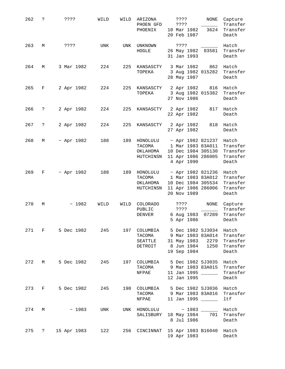| 262 | ?              | ? ? ? ?               | WILD | WILD | ARIZONA<br>PHOEN GFD<br>PHOENIX     | 3333<br>$??\$ ?<br>10 Mar 1982<br>20 Feb 1987                                                                                          | <b>NONE</b><br>Capture<br>Transfer<br>3624<br>Transfer<br>Death |
|-----|----------------|-----------------------|------|------|-------------------------------------|----------------------------------------------------------------------------------------------------------------------------------------|-----------------------------------------------------------------|
| 263 | М              | ? ? ? ?               | UNK  | UNK  | UNKNOWN<br>HOGLE                    | ? ? ? ?<br>26 May 1982<br>31 Jan 1993                                                                                                  | Hatch<br>03581<br>Transfer<br>Death                             |
| 264 | М              | 3 Mar 1982            | 224  |      | 225 KANSASCTY<br>TOPEKA             | 3 Mar 1982<br>3 Aug 1982 015282 Transfer<br>28 May 1987                                                                                | 862<br>Hatch<br>Death                                           |
| 265 | F              | 2 Apr 1982            | 224  | 225  | KANSASCTY<br>TOPEKA                 | 2 Apr 1982<br>3 Aug 1982 015382<br>27 Nov 1986                                                                                         | 816 Hatch<br>Transfer<br>Death                                  |
| 266 | $\ddot{?}$     | 2 Apr 1982            | 224  | 225  |                                     | KANSASCTY 2 Apr 1982<br>22 Apr 1982                                                                                                    | 817 Hatch<br>Death                                              |
| 267 | $\ddot{\cdot}$ | 2 Apr 1982            | 224  | 225  |                                     | KANSASCTY 2 Apr 1982<br>27 Apr 1982                                                                                                    | 818 Hatch<br>Death                                              |
| 268 | М              | $~\sim$ Apr 1982      | 188  | 189  | TACOMA<br>OKLAHOMA<br>HUTCHINSN     | HONOLULU ~ Apr 1982 821237 Hatch<br>1 Mar 1983 83A011<br>10 Dec 1984 305130<br>11 Apr 1986 286005<br>4 Apr 1990                        | Transfer<br>Transfer<br>Transfer<br>Death                       |
| 269 | F              | $~\sim$ Apr 1982      | 188  |      | TACOMA<br>ОКLАНОМА<br>HUTCHINSN     | 189 HONOLULU ~ Apr 1982 821236 Hatch<br>1 Mar 1983 83A012<br>10 Dec 1984 305534<br>11 Apr 1986 286006<br>20 Nov 1989                   | Transfer<br>Transfer<br>Transfer<br>Death                       |
| 270 | М              | ~1982                 | WILD | WILD | COLORADO<br>PUBLIC<br><b>DENVER</b> | $??\,?\,?$<br>3333<br>6 Aug 1983<br>5 Apr 1986                                                                                         | NONE<br>Capture<br>Transfer<br>07289<br>Transfer<br>Death       |
| 271 | $F \sim 1$     | 5 Dec 1982 245        |      |      |                                     | 197 COLUMBIA 5 Dec 1982 SJ3034 Hatch<br>TACOMA 9 Mar 1983 83A014<br>SEATTLE 31 May 1983 2279<br>DETROIT 8 Jun 1984 1250<br>19 Sep 1984 | Transfer<br>Transfer<br>Transfer<br>Death                       |
|     |                | 272 M 5 Dec 1982 245  |      |      |                                     | 197 COLUMBIA 5 Dec 1982 SJ3035 Hatch<br>TACOMA 9 Mar 1983 83A015 Transfer<br>NFPAE 11 Jan 1995<br>12 Jan 1995                          | Transfer<br>Death                                               |
| 273 |                | F 5 Dec 1982 245      |      |      |                                     | 190 COLUMBIA 5 Dec 1982 SJ3036 Hatch<br>TACOMA 9 Mar 1983 83A016 Transfer<br>NFPAE 11 Jan 1995 ______                                  | ltf                                                             |
| 274 |                | $M \sim 1983$         | UNK  |      |                                     | UNK HONOLULU ~ 1983 ______ Hatch<br>SALISBURY 18 May 1984 701 Transfer<br>8 Jul 1986                                                   | Death                                                           |
|     |                | 275 ? 15 Apr 1983 122 |      |      |                                     | 256 CINCINNAT 15 Apr 1983 B16040 Hatch<br>19 Apr 1983                                                                                  | Death                                                           |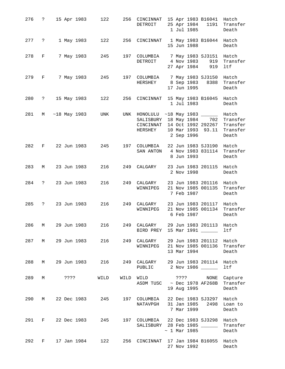| 276   | $\ddot{\mathbf{?}}$ |               | 15 Apr 1983 | 122                |     | 256 CINCINNAT 15 Apr 1983 B16041 Hatch<br>DETROIT                                             |  | 1 Jul 1985        | 25 Apr 1984 1191                                     | Transfer<br>Death                    |
|-------|---------------------|---------------|-------------|--------------------|-----|-----------------------------------------------------------------------------------------------|--|-------------------|------------------------------------------------------|--------------------------------------|
| 277   | $\ddot{\mathbf{?}}$ |               |             | 1 May 1983 122     |     | 256 CINCINNAT 1 May 1983 B16044 Hatch                                                         |  | 15 Jun 1988       |                                                      | Death                                |
| 278   | F                   |               | 7 May 1983  | 245                |     | 197 COLUMBIA 7 May 1983 SJ3151 Hatch<br>DETROIT 4 Nov 1983                                    |  | 27 Apr 1984       | 919<br>919                                           | Transfer<br>ltf                      |
| 279   | $\mathbf{F}$        |               | 7 May 1983  | 245                |     | 197 COLUMBIA 7 May 1983 SJ3150 Hatch<br>HERSHEY 8 Sep 1983 8388 Transf                        |  | 17 Jun 1995       |                                                      | Transfer<br>Death                    |
| 280   | $\ddot{\text{?}}$   |               | 15 May 1983 | 122                |     | 256 CINCINNAT 15 May 1983 B16045 Hatch                                                        |  | 1 Jul 1983        |                                                      | Death                                |
| 281   |                     |               |             | M ~18 May 1983 UNK |     | UNK HONOLULU<br>SALISBURY 18 May 1984 702 Transfer<br>CINCINNAT 14 Oct 1992 292267<br>HERSHEY |  | 2 Sep 1996        | $~18$ May 1983 __________ Hatch<br>10 Mar 1993 93.11 | Transfer<br>Transfer<br>Death        |
| 282   | $F =$               |               | 22 Jun 1983 | 245                |     | 197 COLUMBIA 22 Jun 1983 SJ3190 Hatch<br>SAN ANTON 4 Nov 1983 831114                          |  | 8 Jun 1993        |                                                      | Transfer<br>Death                    |
| 283   | M                   |               | 23 Jun 1983 | 216                | 249 | CALGARY                                                                                       |  | 2 Nov 1998        | 23 Jun 1983 201115 Hatch                             | Death                                |
| 284   | $\ddot{\mathbf{?}}$ |               | 23 Jun 1983 | 216                | 249 | CALGARY<br>WINNIPEG                                                                           |  | 7 Feb 1987        | 23 Jun 1983 201116 Hatch<br>21 Nov 1985 001135       | Transfer<br>Death                    |
| 285   |                     | ? 23 Jun 1983 |             | 216                |     | 249 CALGARY<br>WINNIPEG                                                                       |  | 6 Feb 1987        | 23 Jun 1983 201117 Hatch                             | 21 Nov 1985 001134 Transfer<br>Death |
| 286 M |                     |               | 29 Jun 1983 |                    |     | 216 249 CALGARY<br>BIRD PREY 15 Mar 1991 ______                                               |  |                   | 29 Jun 1983 201113 Hatch                             | ltf                                  |
| 287   |                     |               |             |                    |     | M 29 Jun 1983 216 249 CALGARY 29 Jun 1983 201112 Hatch<br>WINNIPEG 21 Nov 1985 001136         |  | 13 Mar 1994       |                                                      | Transfer<br>Death                    |
| 288   |                     |               |             |                    |     | M 29 Jun 1983 216 249 CALGARY 29 Jun 1983 201114 Hatch<br>PUBLIC 2 Nov 1986                   |  |                   |                                                      | ltf                                  |
| 289   |                     | M ????        |             | WILD               |     | WILD WILD ????<br>ASDM TUSC ~ Dec 1978 AF268B Transfer                                        |  |                   | 19 Aug 1995                                          | NONE Capture<br>Death                |
| 290   | M                   |               |             | 22 Dec 1983 245    |     | 197 COLUMBIA 22 Dec 1983 SJ3297 Hatch<br>NATAVPGH 31 Jan 1985                                 |  | 7 Mar 1999        |                                                      | 2498 Loan to<br>Death                |
| 291   |                     |               |             | F 22 Dec 1983 245  |     | 197 COLUMBIA 22 Dec 1983 SJ3298 Hatch<br>SALISBURY 28 Feb 1985                                |  | $\sim$ 1 Mar 1985 |                                                      | Transfer<br>Death                    |
| 292   |                     |               |             |                    |     | F 17 Jan 1984 122 256 CINCINNAT 17 Jan 1984 B16055 Hatch                                      |  | 27 Nov 1992       |                                                      | Death                                |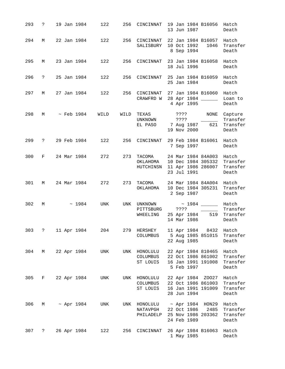| 293 | $\ddot{\text{?}}$ | 19 Jan 1984 | 122               |     | 256 CINCINNAT 19 Jan 1984 B16056 Hatch                                                                      | 13 Jun 1987            |                          | Death                                                                                                                                                                                                                                                                                                                                                                                                                                                                              |
|-----|-------------------|-------------|-------------------|-----|-------------------------------------------------------------------------------------------------------------|------------------------|--------------------------|------------------------------------------------------------------------------------------------------------------------------------------------------------------------------------------------------------------------------------------------------------------------------------------------------------------------------------------------------------------------------------------------------------------------------------------------------------------------------------|
| 294 |                   |             | M 22 Jan 1984 122 |     | 256 CINCINNAT 22 Jan 1984 B16057 Hatch<br>SALISBURY 10 Oct 1992                                             |                        | 1046<br>8 Sep 1994       | Transfer<br>Death                                                                                                                                                                                                                                                                                                                                                                                                                                                                  |
| 295 | M                 | 23 Jan 1984 | 122               |     | 256 CINCINNAT 23 Jan 1984 B16058 Hatch                                                                      | 18 Jul 1996            | Death                    |                                                                                                                                                                                                                                                                                                                                                                                                                                                                                    |
| 296 | $\ddot{\text{?}}$ |             | 25 Jan 1984 122   |     | 256 CINCINNAT 25 Jan 1984 B16059 Hatch                                                                      | 25 Jan 1984            | Death                    |                                                                                                                                                                                                                                                                                                                                                                                                                                                                                    |
| 297 |                   |             |                   |     | M 27 Jan 1984 122 256 CINCINNAT 27 Jan 1984 B16060 Hatch<br>CRAWFRD W 28 Apr 1984 _________ Loan to         |                        | 4 Apr 1995 Death         |                                                                                                                                                                                                                                                                                                                                                                                                                                                                                    |
| 298 |                   |             | M ~ Feb 1984 WILD |     | WILD TEXAS<br>UNKNOWN<br>EL PASO 7 Aug 1987 621                                                             | ? ? ? ?<br>19 Nov 2000 | $\overline{\phantom{a}}$ | ???? NONE Capture<br>Transfer<br>Transfer<br>Death                                                                                                                                                                                                                                                                                                                                                                                                                                 |
| 299 | $\ddot{\text{?}}$ |             | 29 Feb 1984 122   | 256 | CINCINNAT 29 Feb 1984 B16061 Hatch                                                                          |                        | 7 Sep 1997 Death         |                                                                                                                                                                                                                                                                                                                                                                                                                                                                                    |
| 300 | $F =$             | 24 Mar 1984 | 272               |     | 273 TACOMA 24 Mar 1984 84A003 Hatch<br>OKLAHOMA<br>HUTCHINSN 11 Apr 1986 286007 Transfer                    |                        | 23 Jul 1991              | 10 Dec 1984 305332 Transfer<br>Death                                                                                                                                                                                                                                                                                                                                                                                                                                               |
| 301 |                   |             |                   |     | M 24 Mar 1984 272 273 TACOMA 24 Mar 1984 84A004 Hatch<br>OKLAHOMA                                           |                        | 2 Sep 1987               | 10 Dec 1984 305231 Transfer<br>Death                                                                                                                                                                                                                                                                                                                                                                                                                                               |
| 302 | M                 |             | $\sim 1984$ UNK   |     | UNK UNKNOWN $\sim$ 1984 $\_\_\_\_\_\_\$ Hatch<br>PITTSBURG ????<br>WHEELING                                 |                        |                          | $\frac{1}{\sqrt{1-\frac{1}{\sqrt{1-\frac{1}{\sqrt{1-\frac{1}{\sqrt{1-\frac{1}{\sqrt{1-\frac{1}{\sqrt{1-\frac{1}{\sqrt{1-\frac{1}{\sqrt{1-\frac{1}{\sqrt{1-\frac{1}{\sqrt{1-\frac{1}{\sqrt{1-\frac{1}{\sqrt{1-\frac{1}{\sqrt{1-\frac{1}{\sqrt{1-\frac{1}{\sqrt{1-\frac{1}{\sqrt{1-\frac{1}{\sqrt{1-\frac{1}{\sqrt{1-\frac{1}{\sqrt{1-\frac{1}{\sqrt{1-\frac{1}{\sqrt{1-\frac{1}{\sqrt{1-\frac{1}{\sqrt{1-\frac{1}{\sqrt{1-\frac{1$<br>25 Apr 1984 519 Transfer<br>14 Mar 1986 Death |
| 303 |                   |             |                   |     | ? 11 Apr 1984 204 279 HERSHEY 11 Apr 1984 8432 Hatch<br>COLUMBUS 5 Aug 1985 851015 Transfer                 | 22 Aug 1985            |                          | Death                                                                                                                                                                                                                                                                                                                                                                                                                                                                              |
|     |                   |             |                   |     | 304 M 22 Apr 1984 UNK UNK HONOLULU 22 Apr 1984 810465 Hatch<br>COLUMBUS<br>ST LOUIS                         | 5 Feb 1997             | 16 Jan 1991 191008       | 22 Oct 1986 861002 Transfer<br>Transfer<br>Death                                                                                                                                                                                                                                                                                                                                                                                                                                   |
| 305 |                   |             | F 22 Apr 1984 UNK |     | UNK HONOLULU 22 Apr 1984 ZOO27 Hatch<br>COLUMBUS 22 Oct 1986 861003 Transfer<br>ST LOUIS 16 Jan 1991 191009 | 28 Jun 1994            |                          | Transfer<br>Death                                                                                                                                                                                                                                                                                                                                                                                                                                                                  |
| 306 |                   |             | M ~ Apr 1984 UNK  |     | UNK HONOLULU ~ Apr 1984 HON29 Hatch<br>NATAVPGH<br>PHILADELP                                                | 24 Feb 1989            |                          | 22 Oct 1986 2485 Transfer<br>25 Nov 1986 203362 Transfer<br>Death                                                                                                                                                                                                                                                                                                                                                                                                                  |
|     |                   |             |                   |     | 307 ? 26 Apr 1984 122 256 CINCINNAT                                                                         | 1 May 1985             | 26 Apr 1984 B16063 Hatch | Death                                                                                                                                                                                                                                                                                                                                                                                                                                                                              |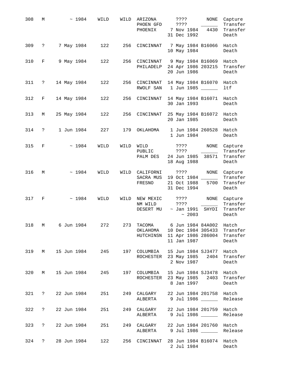| 308 | М                 | ~1984                                                       | WILD | WILD | ARIZONA<br>PHOEN GFD<br>PHOENIX                                                                                 | ????<br>3333<br>7 Nov 1984<br>31 Dec 1992                   | NONE<br>4430                                                                | Capture<br>Transfer<br>Transfer<br>Death |
|-----|-------------------|-------------------------------------------------------------|------|------|-----------------------------------------------------------------------------------------------------------------|-------------------------------------------------------------|-----------------------------------------------------------------------------|------------------------------------------|
| 309 | ?                 | 7 May 1984                                                  | 122  | 256  | CINCINNAT 7 May 1984 B16066                                                                                     | 10 May 1984                                                 |                                                                             | Hatch<br>Death                           |
| 310 | F                 | 9 May 1984                                                  | 122  | 256  | CINCINNAT 9 May 1984 B16069 Hatch<br>PHILADELP                                                                  | 24 Apr 1986 203215<br>20 Jun 1986                           |                                                                             | Transfer<br>Death                        |
| 311 | $\ddot{?}$        | 14 May 1984                                                 | 122  | 256  | CINCINNAT<br>RWOLF SAN 1 Jun 1985                                                                               | 14 May 1984 B16070                                          |                                                                             | Hatch<br>ltf                             |
| 312 | F                 | 14 May 1984                                                 | 122  | 256  | CINCINNAT                                                                                                       | 14 May 1984 B16071<br>30 Jan 1993                           |                                                                             | Hatch<br>Death                           |
| 313 | М                 | 25 May 1984                                                 | 122  | 256  | CINCINNAT                                                                                                       | 25 May 1984 B16072 Hatch<br>20 Jan 1985                     |                                                                             | Death                                    |
| 314 | $\mathbb{R}$      | 1 Jun 1984                                                  | 227  | 179  | OKLAHOMA                                                                                                        | 1 Jun 1984 260528<br>1 Jun 1984                             |                                                                             | Hatch<br>Death                           |
| 315 | F                 | ~1984                                                       | WILD | WILD | WILD<br>PUBLIC<br>PALM DES 24 Jun 1985 38571                                                                    | ? ? ? ?<br>? ? ? ?<br>18 Aug 1988                           | NONE<br>$\frac{1}{2}$ and $\frac{1}{2}$ and $\frac{1}{2}$ and $\frac{1}{2}$ | Capture<br>Transfer<br>Transfer<br>Death |
| 316 | М                 | ~1984                                                       | WILD |      | WILD CALIFORNI<br>SACRA MUS<br>FRESNO                                                                           | ? ? ? ?<br>19 Oct 1984 ______<br>21 Oct 1988<br>31 Dec 1994 | NONE<br>5700                                                                | Capture<br>Transfer<br>Transfer<br>Death |
| 317 | F                 | ~1984                                                       | WILD | WILD | NEW MEXIC<br>NM WILD<br>DESERT MU                                                                               | ? ? ? ?<br>? ? ? ?<br>~ Jan 1991<br>~2003                   | NONE<br>SHYDI                                                               | Capture<br>Transfer<br>Transfer<br>Death |
|     |                   | 318 M 6 Jun 1984                                            | 272  | 273  | TACOMA 6 Jun 1984 84A002 Hatch<br>OKLAHOMA 10 Dec 1984 305433 Transfer<br>HUTCHINSN 11 Apr 1986 286004 Transfer | 11 Jan 1987                                                 |                                                                             | Death                                    |
|     |                   | 319 M 15 Jun 1984 245 197 COLUMBIA 15 Jun 1984 SJ3477 Hatch |      |      | ROCHESTER 23 May 1985 2404 Transfer                                                                             | 2 Nov 1987                                                  |                                                                             | Death                                    |
| 320 |                   | M 15 Jun 1984 245                                           |      |      | 197 COLUMBIA 15 Jun 1984 SJ3478 Hatch<br>ROCHESTER 23 May 1985 2403 Transfer                                    | 8 Jan 1997                                                  |                                                                             | Death                                    |
| 321 | $\ddot{\text{?}}$ | 22 Jun 1984                                                 |      | 251  | 249 CALGARY 22 Jun 1984 201758 Hatch<br>ALBERTA 9 Jul 1986 _______ Release                                      |                                                             |                                                                             |                                          |
| 322 | $\ddot{\text{?}}$ | 22 Jun 1984                                                 |      | 251  | 249 CALGARY<br>ALBERTA                                                                                          | 22 Jun 1984 201759 Hatch<br>9 Jul 1986 _______ Release      |                                                                             |                                          |
| 323 |                   | ? 22 Jun 1984 251                                           |      |      | 249 CALGARY<br>ALBERTA 9 Jul 1986 _______ Release                                                               | 22 Jun 1984 201760 Hatch                                    |                                                                             |                                          |
|     |                   | 324 ? 28 Jun 1984 122 256 CINCINNAT                         |      |      |                                                                                                                 | 28 Jun 1984 B16074 Hatch<br>2 Jul 1984                      |                                                                             | Death                                    |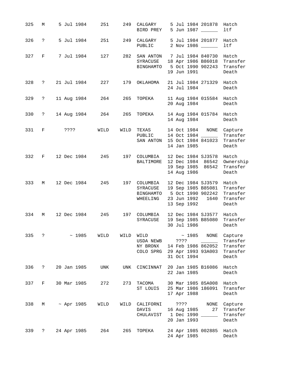| 325 | М                    | 5 Jul 1984       | 251  | 249  | CALGARY<br>BIRD PREY                          |                                                  | 5 Jul 1984 201878<br>5 Jun 1987 _____                                 | Hatch<br>ltf                                              |
|-----|----------------------|------------------|------|------|-----------------------------------------------|--------------------------------------------------|-----------------------------------------------------------------------|-----------------------------------------------------------|
| 326 | $\ddot{\phantom{0}}$ | 5 Jul 1984       | 251  | 249  | CALGARY<br>PUBLIC                             |                                                  | 5 Jul 1984 201877<br>2 Nov 1986                                       | Hatch<br>ltf                                              |
| 327 | F                    | 7 Jul 1984       | 127  | 282  | SAN ANTON<br>SYRACUSE<br>BINGHAMTO            | 19 Jun 1991                                      | 7 Jul 1984 840730<br>18 Apr 1986 B86018<br>5 Oct 1990 902243          | Hatch<br>Transfer<br>Transfer<br>Death                    |
| 328 | $\ddot{\mathbf{?}}$  | 21 Jul 1984      | 227  |      | 179 OKLAHOMA                                  | 24 Jul 1984                                      | 21 Jul 1984 271329                                                    | Hatch<br>Death                                            |
| 329 | $\ddot{?}$           | 11 Aug 1984      | 264  | 265  | TOPEKA                                        | 20 Aug 1984                                      | 11 Aug 1984 015584                                                    | Hatch<br>Death                                            |
| 330 | $\ddot{?}$           | 14 Aug 1984 264  |      | 265  | TOPEKA                                        | 14 Aug 1984                                      | 14 Aug 1984 015784 Hatch                                              | Death                                                     |
| 331 | F                    | ????             | WILD | WILD | TEXAS<br>PUBLIC<br>SAN ANTON                  | 14 Jan 1985                                      | 14 Oct 1984 ______<br>15 Oct 1984 841023                              | 14 Oct 1984 NONE Capture<br>Transfer<br>Transfer<br>Death |
| 332 | F                    | 12 Dec 1984      | 245  |      | 197 COLUMBIA<br>BALTIMORE                     | 14 Aug 1986                                      | 12 Dec 1984 SJ3578<br>12 Dec 1984 86542<br>19 Sep 1985 86542          | Hatch<br>Ownership<br>Transfer<br>Death                   |
| 333 | М                    | 12 Dec 1984      | 245  | 197  | COLUMBIA<br>SYRACUSE<br>BINGHAMTO<br>WHEELING | 23 Jun 1992<br>13 Sep 1992                       | 12 Dec 1984 SJ3579<br>19 Sep 1985 B85081<br>5 Oct 1990 902242<br>1640 | Hatch<br>Transfer<br>Transfer<br>Transfer<br>Death        |
| 334 | М                    | 12 Dec 1984      | 245  |      | 197 COLUMBIA<br>SYRACUSE                      | 30 Jul 1986                                      | 12 Dec 1984 SJ3577<br>19 Sep 1985 B85080                              | Hatch<br>Transfer<br>Death                                |
| 335 | S.                   | ~1985            | WILD | WILD | WILD<br>USDA NEWB<br>NY BRONX<br>COLO SPRG    | ~1985<br>????<br>31 Oct 1994                     | NONE<br>14 Feb 1986 862052<br>29 Apr 1993 93A003                      | Capture<br>Transfer<br>Transfer<br>Transfer<br>Death      |
| 336 | ?                    | 20 Jan 1985      | UNK  | UNK  | CINCINNAT                                     | 22 Jan 1985                                      | 20 Jan 1985 B16086                                                    | Hatch<br>Death                                            |
| 337 | F                    | 30 Mar 1985      | 272  | 273  | TACOMA<br>ST LOUIS                            | 17 Apr 1988                                      | 30 Mar 1985 85A008<br>25 Mar 1986 186091                              | Hatch<br>Transfer<br>Death                                |
| 338 | М                    | $~\sim$ Apr 1985 | WILD | WILD | CALIFORNI<br>DAVIS<br>CHULAVIST               | ????<br>16 Aug 1985<br>1 Dec 1990<br>20 Jan 1993 | NONE<br>27                                                            | Capture<br>Transfer<br>Transfer<br>Death                  |
| 339 | ?                    | 24 Apr 1985      | 264  | 265  | TOPEKA                                        | 24 Apr 1985                                      | 24 Apr 1985 002885                                                    | Hatch<br>Death                                            |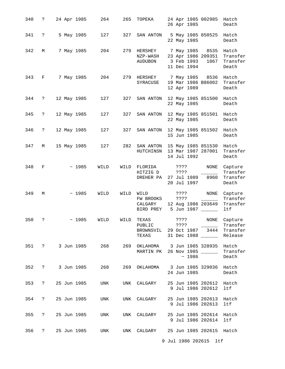| 340 | $\ddot{\phantom{0}}$ | 24 Apr 1985       |             | 264               | 265  | TOPEKA                                                                                               | 24 Apr 1985 002985 Hatch<br>26 Apr 1985 |                                  | Death                                            |
|-----|----------------------|-------------------|-------------|-------------------|------|------------------------------------------------------------------------------------------------------|-----------------------------------------|----------------------------------|--------------------------------------------------|
| 341 | $\ddot{?}$           | 5 May 1985        |             | 127               |      | 327 SAN ANTON 5 May 1985 850525 Hatch                                                                | 22 May 1985                             |                                  | Death                                            |
| 342 | M                    | 7 May 1985        |             | 204               |      | 279 HERSHEY 7 May 1985 8535 Hatch<br>NZP-WASH<br>AUDUBON 3 Feb 1993                                  | 11 Dec 1994                             | 1867                             | 23 Apr 1986 209351 Transfer<br>Transfer<br>Death |
| 343 |                      | F 7 May 1985      |             | 204               |      | 279 HERSHEY 7 May 1985 8536<br>SYRACUSE                                                              | 19 Mar 1986 B86002<br>12 Apr 1989       |                                  | Hatch<br>Transfer<br>Death                       |
|     |                      | 344 ? 12 May 1985 |             | 127               | 327  | SAN ANTON                                                                                            | 12 May 1985 851500 Hatch<br>22 May 1985 | Death                            |                                                  |
| 345 | $\ddot{\mathbf{?}}$  | 12 May 1985       |             | 127               |      | 327 SAN ANTON 12 May 1985 851501 Hatch                                                               | 22 May 1985                             | Death                            |                                                  |
| 346 | $\mathbb{R}$         | 12 May 1985       |             | 127               |      | 327 SAN ANTON 12 May 1985 851502 Hatch                                                               | 15 Jun 1985                             | Death                            |                                                  |
| 347 | M                    | 15 May 1985       |             | 127               |      | 282 SAN ANTON 15 May 1985 851530 Hatch<br>HUTCHINSN 13 Mar 1987 287001 Transfer                      | 14 Jul 1992                             |                                  | Death                                            |
| 348 | F                    |                   | ~1985       | WILD              |      | WILD FLORIDA ????<br>HITZIG D<br>DREHER PA 27 Jul 1989 8960                                          | ????<br>20 Jul 1997                     | NONE<br>$\overline{\phantom{a}}$ | Capture<br>Transfer<br>Transfer<br>Death         |
| 349 | M                    |                   | $\sim 1985$ | WILD              | WILD | WILD<br>FW BROOKS<br>CALGARY 12 Aug 1986 203649 Transfer<br>BIRD PREY 5 Jun 1987                     | ? ? ? ?<br>????                         | NONE                             | Capture<br>Transfer<br>ltf                       |
| 350 | ?                    |                   | ~1985       | WILD              | WILD | TEXAS<br>PUBLIC<br>BROWNSVIL 29 Oct 1987 3444 Transfer<br>TEXAS 31 Dec 1988 ________ Release         | ????                                    | NONE                             | Capture<br>Transfer                              |
|     |                      |                   |             |                   |      | 351 ? 3 Jun 1985 268 269 OKLAHOMA 3 Jun 1985 328935 Hatch<br>MARTIN PK 26 Nov 1985 ________ Transfer | ~1986                                   |                                  | Death                                            |
| 352 |                      |                   |             | ? 3 Jun 1985 268  |      | 269 OKLAHOMA 3 Jun 1985 329036 Hatch                                                                 | 24 Jun 1985 Death                       |                                  |                                                  |
| 353 |                      |                   |             | ? 25 Jun 1985 UNK |      | UNK CALGARY 25 Jun 1985 202612 Hatch                                                                 | 9 Jul 1986 202612  ltf                  |                                  |                                                  |
|     |                      |                   |             |                   |      | 354 ? 25 Jun 1985 UNK UNK CALGARY 25 Jun 1985 202613 Hatch                                           | 9 Jul 1986 202613 ltf                   |                                  |                                                  |
| 355 |                      |                   |             |                   |      | ? 25 Jun 1985 UNK UNK CALGARY 25 Jun 1985 202614 Hatch                                               | 9 Jul 1986 202614 ltf                   |                                  |                                                  |
|     |                      |                   |             |                   |      | 356 ? 25 Jun 1985 UNK UNK CALGARY 25 Jun 1985 202615 Hatch                                           | 9 Jul 1986 202615 ltf                   |                                  |                                                  |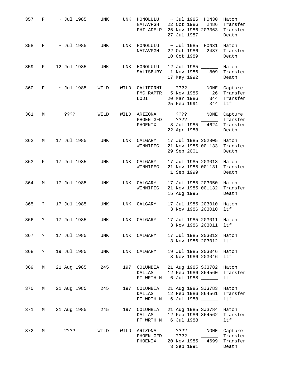| 357 | F            | $\sim$ Jul 1985       | UNK  | UNK  | HONOLULU<br>NATAVPGH<br>PHILADELP | $\sim$ Jul 1985<br>HON30<br>Hatch<br>22 Oct 1986<br>2486<br>Transfer<br>25 Nov 1986 203363<br>Transfer<br>27 Jul 1987<br>Death |
|-----|--------------|-----------------------|------|------|-----------------------------------|--------------------------------------------------------------------------------------------------------------------------------|
| 358 | F            | $\sim$ Jul 1985       | UNK  | UNK  | HONOLULU<br>NATAVPGH              | $\sim$ Jul 1985<br>HON31<br>Hatch<br>22 Oct 1986<br>2487<br>Transfer<br>10 Oct 1989<br>Death                                   |
| 359 | F            | 12 Jul 1985           | UNK  | UNK  | HONOLULU<br>SALISBURY             | 12 Jul 1985<br>Hatch<br>1 Nov 1986<br>809<br>Transfer<br>17 May 1992<br>Death                                                  |
| 360 | F            | $\sim$ Jul 1985       | WILD | WILD | CALIFORNI<br>FMC RAPTR<br>LODI    | ? ? ? ?<br>NONE<br>Capture<br>26<br>Transfer<br>5 Nov 1985<br>344<br>20 Mar 1986<br>Transfer<br>25 Feb 1991<br>344<br>ltf      |
| 361 | М            | ? ? ? ?               | WILD | WILD | ARIZONA<br>PHOEN GFD<br>PHOENIX   | $??\,?\,?$<br>NONE<br>Capture<br>Transfer<br>????<br>8 Jul 1985<br>4624<br>Transfer<br>22 Apr 1988<br>Death                    |
| 362 | М            | 17 Jul 1985           | UNK  | UNK  | CALGARY<br>WINNIPEG               | 17 Jul 1985 202805<br>Hatch<br>21 Nov 1985 001133<br>Transfer<br>29 Sep 2001<br>Death                                          |
| 363 | F            | 17 Jul 1985           | UNK  | UNK  | CALGARY<br>WINNIPEG               | 17 Jul 1985 203013<br>Hatch<br>21 Nov 1985 001131<br>Transfer<br>1 Sep 1999<br>Death                                           |
| 364 | М            | 17 Jul 1985           | UNK  | UNK  | CALGARY<br>WINNIPEG               | 17 Jul 1985 203050<br>Hatch<br>21 Nov 1985 001132<br>Transfer<br>15 Aug 1995<br>Death                                          |
| 365 | $\mathbb{R}$ | 17 Jul 1985           | UNK  | UNK  | ${\tt CALGARY}$                   | 17 Jul 1985 203010<br>Hatch<br>3 Nov 1986 203010<br>ltf                                                                        |
| 366 | ?            | 17 Jul 1985           | UNK  | UNK  | CALGARY                           | 17 Jul 1985 203011<br>Hatch<br>3 Nov 1986 203011 ltf                                                                           |
|     |              | 367 ? 17 Jul 1985 UNK |      |      |                                   | UNK CALGARY 17 Jul 1985 203012 Hatch<br>3 Nov 1986 203012 ltf                                                                  |
| 368 | $\ddot{?}$   | 19 Jul 1985 UNK       |      |      |                                   | UNK CALGARY 19 Jul 1985 203046 Hatch<br>3 Nov 1986 203046 ltf                                                                  |
| 369 | M            | 21 Aug 1985 245       |      |      | 197 COLUMBIA<br>DALLAS            | 21 Aug 1985 SJ3782 Hatch<br>12 Feb 1986 864560<br>Transfer<br>FT WRTH N 6 Jul 1988 ______<br>ltf                               |
| 370 | M            | 21 Aug 1985 245       |      |      |                                   | 197 COLUMBIA 21 Aug 1985 SJ3783 Hatch<br>DALLAS 12 Feb 1986 864561 Transfer<br>ltf<br>FT WRTH N 6 Jul 1988 ______              |
| 371 | M            | 21 Aug 1985 245       |      |      |                                   | 197 COLUMBIA 21 Aug 1985 SJ3784 Hatch<br>DALLAS 12 Feb 1986 864562 Transfer<br>FT WRTH N 6 Jul 1988<br>ltf                     |
| 372 |              | M ????                | WILD | WILD | ARIZONA<br>PHOEN GFD              | ? ? ? ?<br>NONE<br>Capture<br>Transfer<br>PHOENIX 20 Nov 1985 4699<br>Transfer<br>3 Sep 1991<br>Death                          |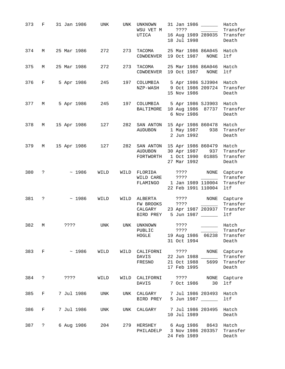| 373 | $F \sim$     | 31 Jan 1986                                                                | UNK  | UNK  | UNKNOWN<br>WSU VET M<br>UTICA   | 31 Jan 1986 ______<br>Hatch<br>????<br>Transfer<br>16 Aug 1989 289035 Transfer<br>18 Jul 1998<br>Death                                             |
|-----|--------------|----------------------------------------------------------------------------|------|------|---------------------------------|----------------------------------------------------------------------------------------------------------------------------------------------------|
| 374 | M            | 25 Mar 1986                                                                | 272  | 273  | TACOMA                          | 25 Mar 1986 86A045 Hatch<br>CDWDENVER 19 Oct 1987<br>ltf<br><b>NONE</b>                                                                            |
| 375 | М            | 25 Mar 1986                                                                | 272  | 273  |                                 | TACOMA 25 Mar 1986 86A046 Hatch<br>CDWDENVER 19 Oct 1987<br>ltf<br>NONE                                                                            |
| 376 | $F \sim 1$   | 5 Apr 1986                                                                 | 245  |      |                                 | 197 COLUMBIA 5 Apr 1986 SJ3904 Hatch<br>NZP-WASH 9 Oct 1986 209724<br>Transfer<br>15 Nov 1986<br>Death                                             |
| 377 | M            | 5 Apr 1986                                                                 | 245  |      | BALTIMORE                       | 197 COLUMBIA 5 Apr 1986 SJ3903<br>Hatch<br>10 Aug 1986 87737<br>Transfer<br>6 Nov 1986<br>Death                                                    |
| 378 | M            | 15 Apr 1986                                                                | 127  |      | 282 SAN ANTON<br>AUDUBON        | 15 Apr 1986 860478 Hatch<br>1 May 1987 938<br>Transfer<br>2 Jun 1992<br>Death                                                                      |
| 379 | М            | 15 Apr 1986                                                                | 127  |      | AUDUBON                         | 282 SAN ANTON 15 Apr 1986 860479 Hatch<br>30 Apr 1987 937<br>Transfer<br>FORTWORTH  1 Oct 1990  01885<br>Transfer<br>27 Mar 1992<br>Death          |
| 380 | $\ddot{ }$   | ~1986                                                                      | WILD |      | WILD FLORIDA<br>WILD CARE       | ???? NONE<br>Capture<br>$\overline{\phantom{a}}$<br>Transfer<br>? ? ? ?<br>FLAMINGO 1 Jan 1989 110004 Transfer<br>22 Feb 1991 110004<br>ltf        |
| 381 | $\mathbf{P}$ | $~\sim~1986$                                                               | WILD | WILD | ALBERTA<br>FW BROOKS<br>CALGARY | ? ? ? ?<br>NONE<br>Capture<br>Transfer<br>? ? ? ?<br>Transfer<br>23 Apr 1987 203937<br>BIRD PREY 5 Jun 1987<br>ltf                                 |
| 382 | М            | ????                                                                       | UNK  | UNK  | UNKNOWN<br>PUBLIC               | Hatch<br>? ? ? ?<br>? ? ? ?<br>Transfer<br>HOGLE 19 Aug 1986 06238 Transfer<br>31 Oct 1994<br>Death                                                |
|     |              |                                                                            |      |      | FRESNO                          | 383 F ~ 1986 WILD WILD CALIFORNI ???? NONE<br>Capture<br>DAVIS 22 Jun 1988 ______<br>Transfer<br>21 Oct 1988 5699 Transfer<br>17 Feb 1995<br>Death |
| 384 |              | $\overline{?}$ $\overline{?}$ $\overline{?}$ $\overline{?}$ $\overline{?}$ | WILD |      | DAVIS                           | WILD CALIFORNI ???? NONE Capture<br>7 Oct 1986<br>30 ltf                                                                                           |
| 385 | $F \sim 1$   | 7 Jul 1986                                                                 |      |      |                                 | UNK UNK CALGARY 7 Jul 1986 203493<br>Hatch<br>BIRD PREY 5 Jun 1987<br>ltf                                                                          |
| 386 | $F \sim$     | 7 Jul 1986                                                                 | UNK  |      |                                 | UNK CALGARY 7 Jul 1986 203495 Hatch<br>10 Jul 1989 Death                                                                                           |
|     |              | 387 ? 6 Aug 1986 204                                                       |      |      |                                 | 279 HERSHEY 6 Aug 1986 8643 Hatch<br>PHILADELP 3 Nov 1986 203357<br>Transfer<br>24 Feb 1989<br>Death                                               |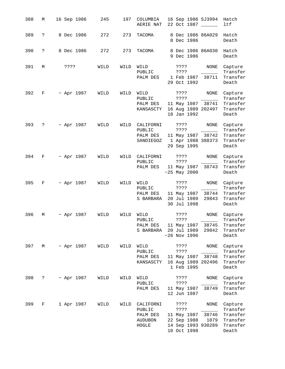| 388 | М                    | 16 Sep 1986      | 245  | 197  | COLUMBIA<br>AERIE NAT                                                                | 16 Sep 1986 SJ3994<br>22 Oct 1987                                                  |                        | Hatch<br>ltf                                                     |
|-----|----------------------|------------------|------|------|--------------------------------------------------------------------------------------|------------------------------------------------------------------------------------|------------------------|------------------------------------------------------------------|
| 389 | $\ddot{\phantom{0}}$ | 8 Dec 1986       | 272  | 273  | TACOMA                                                                               | 8 Dec 1986 86A029<br>8 Dec 1986                                                    |                        | Hatch<br>Death                                                   |
| 390 | ?                    | 8 Dec 1986       | 272  | 273  | TACOMA                                                                               | 8 Dec 1986 86A030<br>9 Dec 1986                                                    |                        | Hatch<br>Death                                                   |
| 391 | М                    | $??\,?\,?$       | WILD | WILD | WILD<br>PUBLIC<br>PALM DES                                                           | ????<br>????<br>1 Feb 1987<br>29 Oct 1992                                          | NONE<br>38711          | Capture<br>Transfer<br>Transfer<br>Death                         |
| 392 | F                    | $~\sim$ Apr 1987 | WILD | WILD | WILD<br>PUBLIC<br>PALM DES<br>KANSASCTY                                              | ????<br>? ? ? ?<br>11 May 1987 38741<br>16 Aug 1989 202497<br>18 Jan 1992          | NONE                   | Capture<br>Transfer<br>Transfer<br>Transfer<br>Death             |
| 393 | $\mathbf{P}$         | ~ Apr 1987       | WILD | WILD | CALIFORNI<br>PUBLIC<br>PALM DES<br>SANDIEGOZ                                         | ? ? ? ?<br>? ? ? ?<br>11 May 1987 38742<br>1 Apr 1988 388373<br>29 Sep 1995        | NONE                   | Capture<br>Transfer<br>Transfer<br>Transfer<br>Death             |
| 394 | F                    | $~\sim$ Apr 1987 | WILD | WILD | CALIFORNI<br>PUBLIC<br>PALM DES                                                      | ????<br>3333<br>11 May 1987 38743<br>$~25$ May 2000                                | NONE                   | Capture<br>Transfer<br>Transfer<br>Death                         |
| 395 | F                    | $~\sim$ Apr 1987 | WILD | WILD | WILD<br>PUBLIC<br>PALM DES<br>S BARBARA                                              | ????<br>? ? ? ?<br>11 May 1987<br>20 Jul 1989<br>30 Jul 1998                       | NONE<br>38744<br>29843 | Capture<br>Transfer<br>Transfer<br>Transfer<br>Death             |
| 396 | М                    | $~\sim$ Apr 1987 | WILD | WILD | WILD<br>PUBLIC<br>PALM DES 11 May 1987 38745 Transfer<br>S BARBARA 20 Jul 1989 29842 | ????<br>????<br>$~1996$ Nov 1996                                                   | NONE                   | Capture<br>Transfer<br>Transfer<br>Death                         |
| 397 |                      | M ~ Apr 1987     | WILD | WILD | WILD<br>PUBLIC<br>PALM DES<br>KANSASCTY 16 Aug 1989 202496                           | ? ? ? ?<br>? ? ? ?<br>11 May 1987 38748<br>1 Feb 1995                              | NONE                   | Capture<br>Transfer<br>Transfer<br>Transfer<br>Death             |
| 398 | $\ddot{\text{?}}$    | ~ Apr 1987       | WILD | WILD | WILD<br>PUBLIC<br>PALM DES                                                           | ????<br>? ? ? ?<br>11 May 1987 38749<br>12 Jun 1987                                | NONE<br>$\sim$         | Capture<br>Transfer<br>Transfer<br>Death                         |
| 399 | $F \sim$             | 1 Apr 1987       | WILD | WILD | CALIFORNI<br>PUBLIC<br>PALM DES<br>AUDUBON<br>HOGLE                                  | ????<br>? ? ? ?<br>11 May 1987<br>22 Sep 1988<br>14 Sep 1993 930289<br>10 Oct 1998 | NONE<br>38746<br>1079  | Capture<br>Transfer<br>Transfer<br>Transfer<br>Transfer<br>Death |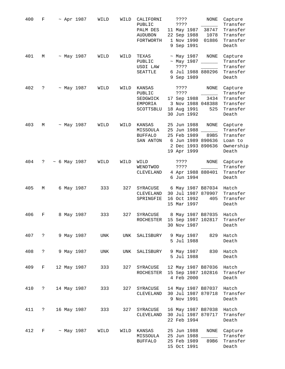| 400 | F            | $~\sim$ Apr 1987     | WILD              | WILD | CALIFORNI<br>PUBLIC<br>PALM DES<br><b>AUDUBON</b><br>FORTWORTH | ? ? ? ?<br>????<br>11 May 1987<br>22 Sep 1988<br>1 Nov 1990<br>9 Sep 1991                          | NONE<br>38747<br>1078<br>01886 | Capture<br>Transfer<br>Transfer<br>Transfer<br>Transfer<br>Death |
|-----|--------------|----------------------|-------------------|------|----------------------------------------------------------------|----------------------------------------------------------------------------------------------------|--------------------------------|------------------------------------------------------------------|
| 401 | М            | $\sim$ May 1987      | WILD              | WILD | TEXAS<br>PUBLIC<br>USDI LAW<br>SEATTLE                         | ~ May 1987<br>$~\sim$ May 1987 ______<br>????<br>6 Jul 1988 880296<br>9 Sep 1989                   | NONE                           | Capture<br>Transfer<br>Transfer<br>Transfer<br>Death             |
| 402 | ?            | $~\sim$ May 1987     | WILD              | WILD | KANSAS<br>PUBLIC<br>SEDGWICK<br>EMPORIA<br>SCOTTSBLU           | $??\,?\,?$<br>? ? ? ?<br>17 Sep 1988<br>3 Nov 1988 048388<br>18 Aug 1991<br>30 Jun 1992            | NONE<br>3434<br>525            | Capture<br>Transfer<br>Transfer<br>Transfer<br>Transfer<br>Death |
| 403 | М            | $~\sim$ May 1987     | WILD              | WILD | KANSAS<br>MISSOULA<br><b>BUFFALO</b><br>SAN ANTON              | 25 Jun 1988<br>25 Jun 1988<br>25 Feb 1989<br>6 Jun 1989 890636<br>2 Dec 1993 890636<br>19 Apr 1999 | NONE<br>89B5                   | Capture<br>Transfer<br>Transfer<br>Loan to<br>Ownership<br>Death |
| 404 | $\mathsf{P}$ | ~ 6 May 1987         | WILD              | WILD | WILD<br>WENDTWOD<br>CLEVELAND                                  | ????<br>? ? ? ?<br>4 Apr 1988 880401<br>6 Jun 1994                                                 | NONE                           | Capture<br>Transfer<br>Transfer<br>Death                         |
| 405 | М            | 6 May 1987           | 333               | 327  | SYRACUSE<br>CLEVELAND<br>SPRINGFIE                             | 6 May 1987 B87034<br>30 Jul 1987 870907<br>16 Oct 1992<br>15 Mar 1997                              | 405                            | Hatch<br>Transfer<br>Transfer<br>Death                           |
| 406 | F            | 8 May 1987           | 333               | 327  | SYRACUSE<br>ROCHESTER                                          | 8 May 1987 B87035<br>15 Sep 1987 102817<br>30 Nov 1987                                             |                                | Hatch<br>Transfer<br>Death                                       |
|     |              | 407 ? 9 May 1987 UNK |                   | UNK  | SALISBURY 9 May 1987 829                                       | 5 Jul 1988                                                                                         |                                | Hatch<br>Death                                                   |
| 408 |              | ? 9 May 1987         | UNK               | UNK  | SALISBURY 9 May 1987 830 Hatch                                 | 5 Jul 1988                                                                                         |                                | Death                                                            |
| 409 | $F \sim$     |                      | 12 May 1987 333   |      | 327 SYRACUSE<br>ROCHESTER                                      | 12 May 1987 B87036<br>15 Sep 1987 102816<br>4 Feb 2000                                             |                                | Hatch<br>Transfer<br>Death                                       |
| 410 |              |                      | ? 14 May 1987 333 |      | 327 SYRACUSE<br>CLEVELAND                                      | 14 May 1987 B87037<br>30 Jul 1987 870718<br>9 Nov 1991                                             |                                | Hatch<br>Transfer<br>Death                                       |
| 411 |              | ? 16 May 1987        | 333               |      | 327 SYRACUSE<br>CLEVELAND                                      | 16 May 1987 B87038<br>30 Jul 1987 870717<br>22 Feb 1994                                            |                                | Hatch<br>Transfer<br>Death                                       |
| 412 |              |                      | F ~ May 1987 WILD | WILD | KANSAS<br>MISSOULA<br>BUFFALO                                  | 25 Jun 1988<br>25 Jun 1988 ___<br>25 Feb 1989 89B6<br>15 Oct 1991                                  | NONE<br>$\sim$                 | Capture<br>Transfer<br>Transfer<br>Death                         |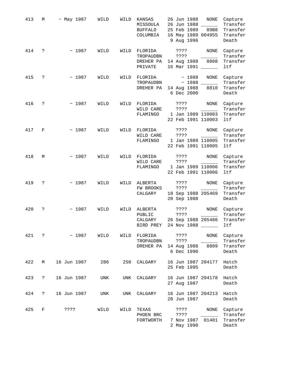| 413 | М                    | $~\sim$ May 1987 | WILD | WILD | KANSAS<br>MISSOULA<br><b>BUFFALO</b><br>COLUMBIA            | 26 Jun 1988<br>26 Jun 1988<br>25 Feb 1989<br>9 Aug 1996   | <b>NONE</b><br>89B8<br>16 May 1989 004955       | Capture<br>Transfer<br>Transfer<br>Transfer<br>Death |
|-----|----------------------|------------------|------|------|-------------------------------------------------------------|-----------------------------------------------------------|-------------------------------------------------|------------------------------------------------------|
| 414 | S.                   | ~1987            | WILD | WILD | FLORIDA<br>TROPAUDBN<br>DREHER PA<br>PRIVATE                | 3333<br>? ? ? ?<br>14 Aug 1988                            | <b>NONE</b><br>8808<br>16 Mar 1991              | Capture<br>Transfer<br>Transfer<br>ltf               |
| 415 | ?                    | ~1987            | WILD | WILD | FLORIDA<br>TROPAUDBN<br>DREHER PA                           | ~1988<br>$~\sim~1988$ $_{-}$<br>14 Aug 1988<br>6 Dec 2000 | NONE<br>8810                                    | Capture<br>Transfer<br>Transfer<br>Death             |
| 416 | ?                    | ~1987            | WILD | WILD | FLORIDA<br>WILD CARE<br>FLAMINGO                            | ? ? ? ?<br>? ? ? ?                                        | NONE<br>1 Jan 1989 110003<br>22 Feb 1991 110003 | Capture<br>Transfer<br>Transfer<br>ltf               |
| 417 | F                    | ~1987            | WILD | WILD | FLORIDA<br>WILD CARE<br>FLAMINGO                            | $??\,?\,?$<br>????                                        | NONE<br>1 Jan 1989 110005<br>22 Feb 1991 110005 | Capture<br>Transfer<br>Transfer<br>ltf               |
| 418 | М                    | ~1987            | WILD | WILD | FLORIDA<br>WILD CARE<br>FLAMINGO                            | ????<br>? ? ? ?                                           | NONE<br>1 Jan 1989 110006<br>22 Feb 1991 110006 | Capture<br>Transfer<br>Transfer<br>ltf               |
| 419 | $\ddot{\phantom{0}}$ | ~1987            | WILD | WILD | ALBERTA<br>FW BROOKS<br>CALGARY                             | $??\,?\,?$<br>????<br>20 Sep 1988                         | NONE<br>18 Sep 1988 205469                      | Capture<br>Transfer<br>Transfer<br>Death             |
| 420 | ?                    | ~1987            | WILD | WILD | ALBERTA<br>PUBLIC<br>CALGARY<br>BIRD PREY 24 Nov 1988 _____ | ????<br>? ? ? ?                                           | NONE<br>26 Sep 1988 205486                      | Capture<br>Transfer<br>Transfer<br>ltf               |
| 421 | $\ddot{ }$           | ~1987            | WILD | WILD | FLORIDA<br>TROPAUDBN<br>DREHER PA                           | ????<br>????<br>14 Aug 1988<br>6 Dec 1990                 | NONE<br>8809                                    | Capture<br>Transfer<br>Transfer<br>Death             |
| 422 | М                    | 16 Jun 1987      | 286  | 250  | CALGARY                                                     | 25 Feb 1995                                               | 16 Jun 1987 204177                              | Hatch<br>Death                                       |
| 423 | $\mathsf{P}$         | 16 Jun 1987      | UNK  | UNK  | CALGARY                                                     | 27 Aug 1987                                               | 16 Jun 1987 204178                              | Hatch<br>Death                                       |
| 424 | ?                    | 16 Jun 1987      | UNK  | UNK  | CALGARY                                                     | 20 Jun 1987                                               | 16 Jun 1987 204213                              | Hatch<br>Death                                       |
| 425 | F                    | ????             | WILD | WILD | TEXAS<br>PHOEN BRC<br>FORTWORTH                             | ????<br>????<br>7 Nov 1987<br>2 May 1990                  | NONE<br>01401                                   | Capture<br>Transfer<br>Transfer<br>Death             |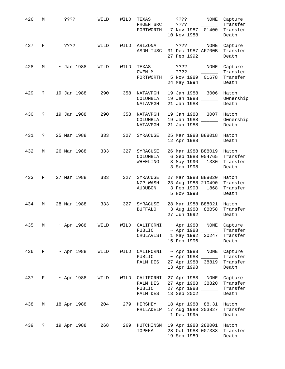| 426 | М                    | ????              | WILD | WILD | TEXAS<br>PHOEN BRC<br>FORTWORTH                  | ????<br>????<br>7 Nov 1987<br>10 Nov 1988                                                                   | NONE<br>Capture<br>Transfer<br>Transfer<br>01400<br>Death |
|-----|----------------------|-------------------|------|------|--------------------------------------------------|-------------------------------------------------------------------------------------------------------------|-----------------------------------------------------------|
| 427 | F                    | ? ? ? ?           | WILD | WILD | ARIZONA<br>ASDM TUSC                             | 3333<br>31 Dec 1987 AF700B<br>27 Feb 1992                                                                   | NONE<br>Capture<br>Transfer<br>Death                      |
| 428 | М                    | $\sim$ Jan 1988   | WILD | WILD | TEXAS<br>OWEN M                                  | ????<br>????<br>FORTWORTH 5 Nov 1989<br>24 May 1994                                                         | NONE<br>Capture<br>Transfer<br>Transfer<br>01678<br>Death |
| 429 | $\mathbb{R}$         | 19 Jan 1988       | 290  | 358  | NATAVPGH<br>COLUMBIA<br>NATAVPGH                 | 19 Jan 1988<br>19 Jan 1988 ______<br>21 Jan 1988                                                            | 3006<br>Hatch<br>Ownership<br>Death                       |
| 430 | $\mathbb{R}$         | 19 Jan 1988       | 290  | 358  | NATAVPGH<br>COLUMBIA<br>NATAVPGH                 | 19 Jan 1988 3007<br>19 Jan 1988 ______<br>21 Jan 1988                                                       | Hatch<br>Ownership<br>Death                               |
| 431 | $\mathsf{P}$         | 25 Mar 1988       | 333  | 327  | SYRACUSE                                         | 25 Mar 1988 B88018<br>12 Apr 1988                                                                           | Hatch<br>Death                                            |
| 432 | М                    | 26 Mar 1988       | 333  | 327  | SYRACUSE<br>COLUMBIA<br>WHEELING                 | 26 Mar 1988 B88019<br>6 Sep 1988 004765<br>3 May 1990<br>3 Sep 1998                                         | Hatch<br>Transfer<br>1380<br>Transfer<br>Death            |
| 433 | F                    | 27 Mar 1988       | 333  | 327  | SYRACUSE<br>NZP-WASH<br>AUDUBON                  | 27 Mar 1988 B88020<br>23 Aug 1988 210490<br>3 Feb 1993<br>5 Nov 1998                                        | Hatch<br>Transfer<br>1868<br>Transfer<br>Death            |
| 434 | M                    | 28 Mar 1988       | 333  | 327  | SYRACUSE<br><b>BUFFALO</b>                       | 28 Mar 1988 B88021<br>3 Aug 1988 88B58<br>27 Jun 1992                                                       | Hatch<br>Transfer<br>Death                                |
| 435 |                      | M ~ Apr 1988      | WILD |      | PUBLIC                                           | WILD CALIFORNI ~ Apr 1988 NONE Capture<br>~ Apr $1988$ _______<br>CHULAVIST 1 May 1992 30247<br>15 Feb 1996 | Transfer<br>Transfer<br>Death                             |
| 436 |                      | $F \sim$ Apr 1988 | WILD |      | WILD CALIFORNI<br>PUBLIC<br>PALM DES             | ~ Apr 1988<br>$\sim$ Apr 1988 ______<br>27 Apr 1988<br>13 Apr 1998                                          | NONE<br>Capture<br>Transfer<br>38819<br>Transfer<br>Death |
| 437 |                      | $F \sim$ Apr 1988 | WILD |      | WILD CALIFORNI<br>PALM DES<br>PUBLIC<br>PALM DES | 27 Apr 1988 NONE<br>27 Apr 1988<br>27 Apr 1988 ______<br>13 Sep 2002                                        | Capture<br>38820<br>Transfer<br>Transfer<br>Death         |
| 438 | М                    | 18 Apr 1988       | 204  | 279  | HERSHEY<br>PHILADELP                             | 18 Apr 1988 88.31<br>17 Aug 1988 203827<br>1 Dec 1995                                                       | Hatch<br>Transfer<br>Death                                |
| 439 | $\ddot{\phantom{0}}$ | 19 Apr 1988       | 268  | 269  | HUTCHINSN<br>TOPEKA                              | 19 Apr 1988 288001<br>28 Oct 1988 007388<br>19 Sep 1989                                                     | Hatch<br>Transfer<br>Death                                |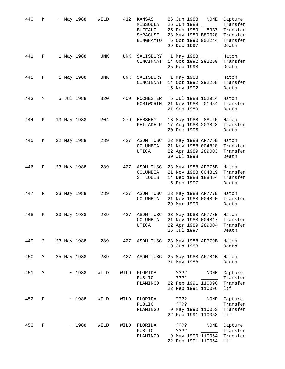| 440 | М                 | ~ May 1988  |       | WILD            |      | 412 KANSAS<br>MISSOULA<br>BUFFALO<br>SYRACUSE<br>BINGHAMTO 5 Oct 1990 902244 | 26 Jun 1988<br>25 Feb 1989<br>29 Dec 1997 | NONE<br>26 Jun 1988 ___<br>89B7<br>28 May 1989 B89028                                                                                                  | Capture<br>Transfer<br>Transfer<br>Transfer<br>Transfer<br>Death |
|-----|-------------------|-------------|-------|-----------------|------|------------------------------------------------------------------------------|-------------------------------------------|--------------------------------------------------------------------------------------------------------------------------------------------------------|------------------------------------------------------------------|
| 441 | F                 | 1 May 1988  |       | UNK             |      | UNK SALISBURY 1 May 1988<br>CINCINNAT 14 Oct 1992 292269                     | 25 Feb 1998                               |                                                                                                                                                        | Hatch<br>Transfer<br>Death                                       |
| 442 | F                 | 1 May 1988  |       | UNK             |      | UNK SALISBURY 1 May 1988<br>CINCINNAT                                        | 15 Nov 1992                               |                                                                                                                                                        | Hatch<br>14 Oct 1992 292268 Transfer<br>Death                    |
| 443 | $\ddot{\text{?}}$ | 5 Jul 1988  |       | 320             |      | 409 ROCHESTER 5 Jul 1988 102914<br>FORTWORTH                                 | 21 Nov 1988<br>21 Sep 1989                | 01454                                                                                                                                                  | Hatch<br>Transfer<br>Death                                       |
| 444 | M                 | 13 May 1988 |       | 204             |      | 279 HERSHEY<br>PHILADELP                                                     | 20 Dec 1995                               | 13 May 1988 88.45 Hatch<br>17 Aug 1988 203828                                                                                                          | Transfer<br>Death                                                |
| 445 | М                 | 22 May 1988 |       | 289             |      | 427 ASDM TUSC<br>COLUMBIA<br>UTICA                                           | 30 Jul 1998                               | 22 May 1988 AF775B Hatch<br>21 Nov 1988 004818<br>22 Apr 1989 289003                                                                                   | Transfer<br>Transfer<br>Death                                    |
| 446 | $F$ and $F$       | 23 May 1988 |       | 289             |      | 427 ASDM TUSC<br>COLUMBIA<br>ST LOUIS                                        | 5 Feb 1997                                | 23 May 1988 AF776B Hatch<br>21 Nov 1988 004819<br>14 Dec 1988 188464                                                                                   | Transfer<br>Transfer<br>Death                                    |
| 447 | $F =$             | 23 May 1988 |       | 289             |      | 427 ASDM TUSC<br>COLUMBIA                                                    | 29 Mar 1990                               | 23 May 1988 AF777B<br>21 Nov 1988 004820                                                                                                               | Hatch<br>Transfer<br>Death                                       |
| 448 | М                 | 23 May 1988 |       | 289             |      | 427 ASDM TUSC<br>COLUMBIA<br>UTICA                                           | 26 Jul 1997                               | 23 May 1988 AF778B Hatch<br>21 Nov 1988 004817                                                                                                         | Transfer<br>22 Apr 1989 289004 Transfer<br>Death                 |
| 449 | $\ddot{\text{?}}$ | 23 May 1988 |       | 289             |      | 427 ASDM TUSC                                                                | 10 Jun 1988                               | 23 May 1988 AF779B Hatch                                                                                                                               | Death                                                            |
| 450 | $\ddot{\text{?}}$ |             |       | 25 May 1988 289 |      | 427 ASDM TUSC 25 May 1988 AF781B Hatch                                       | 31 May 1988                               |                                                                                                                                                        | Death                                                            |
| 451 | $\mathbb{R}$      |             | ~1988 | WILD            |      | WILD FLORIDA<br>PUBLIC<br>FLAMINGO 22 Feb 1991 110096 Transfer               | ? ? ? ?<br>????                           | NONE<br>$\begin{array}{c} \begin{array}{c} \begin{array}{c} \begin{array}{c} \end{array} \\ \end{array} \end{array} \end{array}$<br>22 Feb 1991 110096 | Capture<br>Transfer<br>ltf                                       |
| 452 | F                 |             | ~1988 | WILD            | WILD | FLORIDA<br>PUBLIC<br>FLAMINGO 9 May 1990 110053 Transfer                     | ? ? ? ?<br>????                           | NONE<br>22 Feb 1991 110053                                                                                                                             | Capture<br>Transfer<br>ltf                                       |
| 453 | F                 |             | ~1988 | WILD            | WILD | FLORIDA<br>PUBLIC<br>FLAMINGO                                                | ? ? ? ?<br>? ? ? ?                        | NONE<br>9 May 1990 110054<br>22 Feb 1991 110054                                                                                                        | Capture<br>Transfer<br>Transfer<br>ltf                           |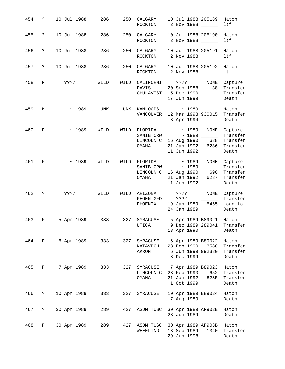| 454 | $\ddot{?}$          | 10 Jul 1988          | 286        | 250  | CALGARY<br>ROCKTON        | 10 Jul 1988 205189<br>Hatch<br>ltf<br>2 Nov 1988 ______                                                                                                                                |
|-----|---------------------|----------------------|------------|------|---------------------------|----------------------------------------------------------------------------------------------------------------------------------------------------------------------------------------|
| 455 | $\ddot{?}$          | 10 Jul 1988          | 286        | 250  | CALGARY<br>ROCKTON        | 10 Jul 1988 205190 Hatch<br>2 Nov 1988<br>ltf                                                                                                                                          |
| 456 | $\ddot{\mathbf{?}}$ | 10 Jul 1988          | 286        | 250  | CALGARY<br>ROCKTON        | 10 Jul 1988 205191<br>Hatch<br>ltf<br>2 Nov 1988                                                                                                                                       |
| 457 | $\ddot{\mathbf{?}}$ | 10 Jul 1988          | 286        | 250  |                           | CALGARY 10 Jul 1988 205192 Hatch<br>ltf<br>ROCKTON 2 Nov 1988                                                                                                                          |
| 458 | F                   | ????                 | WILD       | WILD | CALIFORNI<br>DAVIS        | ???? NONE<br>Capture<br>20 Sep 1988 38<br>Transfer<br>CHULAVIST 5 Dec 1990 ______<br>Transfer<br>17 Jun 1999<br>Death                                                                  |
| 459 | М                   | $\sim 1989$          | <b>UNK</b> |      |                           | UNK KAMLOOPS ~ 1989 ______<br>Hatch<br>VANCOUVER 12 Mar 1993 930015 Transfer<br>3 Apr 1994<br>Death                                                                                    |
| 460 | F                   | $\sim 1989$          | WILD       |      | WILD FLORIDA<br>OMAHA     | $\sim 1989$<br>NONE<br>Capture<br>Transfer<br>LINCOLN C 16 Aug 1990 688<br>Transfer<br>21 Jan 1992 6286<br>Transfer<br>11 Jun 1992<br>Death                                            |
| 461 | F                   | ~1989                | WILD       | WILD |                           | $FLORIDA \sim 1989$<br>NONE<br>Capture<br>SANIB CRW ~ 1989 ________<br>Transfer<br>LINCOLN C 16 Aug 1990 690<br>OMAHA 21 Jan 1992 6287<br>Transfer<br>Transfer<br>11 Jun 1992<br>Death |
| 462 | $\cdot$ ?           | ????                 | WILD       | WILD | PHOENIX                   | ARIZONA ????<br>NONE<br>Capture<br>Transfer<br>PHOEN GFD ???? ___<br>19 Jan 1989 5455<br>Loan to<br>24 Jan 1989<br>Death                                                               |
| 463 | $F \sim 1$          | 5 Apr 1989 333       |            |      |                           | 327 SYRACUSE 5 Apr 1989 B89021 Hatch<br>UTICA 9 Dec 1989 289041 Transfer<br>13 Apr 1990<br>Death                                                                                       |
|     |                     | 464 F 6 Apr 1989 333 |            |      | AKRON                     | 327 SYRACUSE 6 Apr 1989 B89022 Hatch<br>NATAVPGH 23 Feb 1990 3580<br>Transfer<br>6 Jun 1999 992380<br>Transfer<br>8 Dec 1999<br>Death                                                  |
| 465 |                     | F 7 Apr 1989 333     |            |      | LINCOLN C<br>OMAHA        | 327 SYRACUSE 7 Apr 1989 B89023 Hatch<br>23 Feb 1990 652<br>Transfer<br>6285<br>21 Jan 1992<br>Transfer<br>1 Oct 1999<br>Death                                                          |
| 466 | $\ddot{\text{?}}$   | 10 Apr 1989 333      |            |      | 327 SYRACUSE              | 10 Apr 1989 B89024 Hatch<br>7 Aug 1989<br>Death                                                                                                                                        |
| 467 | $\ddot{\text{?}}$   | 30 Apr 1989          | 289        |      |                           | 427 ASDM TUSC 30 Apr 1989 AF902B Hatch<br>23 Jun 1989<br>Death                                                                                                                         |
| 468 | $F =$               | 30 Apr 1989          | 289        |      | 427 ASDM TUSC<br>WHEELING | 30 Apr 1989 AF903B Hatch<br>13 Sep 1989<br>1340<br>Transfer<br>29 Jun 1998<br>Death                                                                                                    |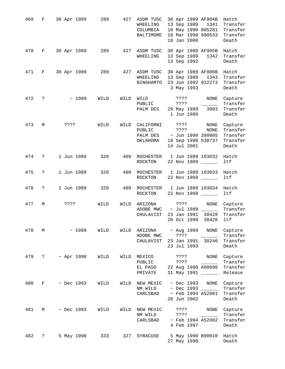| 469   |                     | F 30 Apr 1989 289 427 ASDM TUSC |      |      | WHEELING<br>COLUMBIA<br>BALTIMORE      | 30 Apr 1989 AF904B<br>Hatch<br>13 Sep 1989 1341<br>Transfer<br>10 May 1990 005281<br>Transfer<br>18 Mar 1998 980533<br>Transfer<br>18 Jan 2000<br>Death                          |
|-------|---------------------|---------------------------------|------|------|----------------------------------------|----------------------------------------------------------------------------------------------------------------------------------------------------------------------------------|
| 470   | $F \sim$            | 30 Apr 1989 289                 |      |      | 427 ASDM TUSC<br>WHEELING              | 30 Apr 1989 AF905B Hatch<br>13 Sep 1989 1342<br>Transfer<br>13 Sep 1992<br>Death                                                                                                 |
| 471   | $F \sim$            | 30 Apr 1989 289                 |      |      | WHEELING<br>BINGHAMTO                  | 427 ASDM TUSC 30 Apr 1989 AF906B Hatch<br>13 Sep 1989 1343<br>Transfer<br>23 Jun 1992 922273<br>Transfer<br>3 May 1993<br>Death                                                  |
| 472 ? |                     | $\sim 1989$                     | WILD |      |                                        | WILD WILD ???? NONE<br>Capture<br>Transfer<br>PALM DES 29 May 1989 3893<br>Transfer<br>1 Jun 1989<br>Death                                                                       |
| 473   | M                   | ????                            | WILD |      |                                        | WILD CALIFORNI ???? NONE Capture<br>PUBLIC ????<br>NONE<br>Transfer<br>PALM DES ~ Jun 1990 390005<br>Transfer<br>OKLAHOMA 19 Sep 1990 538737<br>Transfer<br>14 Jul 2001<br>Death |
| 474   | $\ddot{\text{?}}$   | 1 Jun 1989                      | 320  |      | ROCKTON                                | 409 ROCHESTER  1 Jun 1989 103032 Hatch<br>ltf<br>22 Nov 1989                                                                                                                     |
| 475   | $\ddot{\mathbf{?}}$ | 1 Jun 1989                      | 320  |      | ROCKTON                                | 409 ROCHESTER  1 Jun 1989 103033 Hatch<br>22 Nov 1989 ______<br>ltf                                                                                                              |
| 476   | $\ddot{\mathbf{?}}$ | 1 Jun 1989                      | 320  | 409  |                                        | ROCHESTER 1 Jun 1989 103034 Hatch<br>ROCKTON 22 Nov 1989<br>ltf                                                                                                                  |
| 477   | M                   | 2222                            | WILD | WILD | CHULAVIST                              | ARIZONA ???? NONE<br>Capture<br>ADOBE MWC $\sim$ Jul 1989 _______<br>Transfer<br>23 Jan 1991 30428 Transfer<br>20 Oct 1999 30428<br>ltf                                          |
| 478   | М                   | ~1989                           | WILD | WILD | ARIZONA<br>ADOBE MWC<br>CHULAVIST      | $~\sim$ Aug 1989<br>NONE<br>Capture<br>????<br>Transfer<br>23 Jan 1991<br>30246<br>Transfer<br>23 Jul 1993<br>Death                                                              |
| 479   | $\mathsf{P}$        | $~\sim$ Apr 1990                | WILD | WILD | MEXICO<br>PUBLIC<br>EL PASO<br>PRIVATE | ????<br>NONE<br>Capture<br>Transfer<br>? ? ? ?<br>Transfer<br>22 Aug 1990 A00696<br>31 May 1991 ______<br>Release                                                                |
| 480   | F                   | $~\sim$ Dec 1993                | WILD | WILD | NEW MEXIC<br>NM WILD<br>CARLSBAD       | $~\sim$ Dec 1993<br>NONE<br>Capture<br>$~\sim$ Dec 1993 $~\_$<br>Transfer<br>$~\sim$ Feb 1994 A52001<br>Transfer<br>20 Jun 2002<br>Death                                         |
| 481   | М                   | $~\sim$ Dec 1993                | WILD | WILD | NEW MEXIC<br>NM WILD<br>CARLSBAD       | NONE<br>Capture<br>????<br>Transfer<br>? ? ? ?<br>$\sim$ Feb 1994 A52002<br>Transfer<br>4 Feb 1997<br>Death                                                                      |
| 482   | S.                  | 5 May 1990                      | 333  | 327  | SYRACUSE                               | 5 May 1990 B90010<br>Hatch<br>27 May 1990<br>Death                                                                                                                               |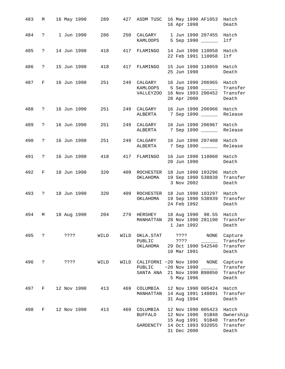| 483 |                               | M 16 May 1990 289 427 ASDM TUSC 16 May 1990 AF1053 Hatch |      |      |                                                                            |         |                              | 16 Apr 1998                                      | Death                                            |
|-----|-------------------------------|----------------------------------------------------------|------|------|----------------------------------------------------------------------------|---------|------------------------------|--------------------------------------------------|--------------------------------------------------|
| 484 |                               | ? 1 Jun 1990 286                                         |      |      | 250 CALGARY 1 Jun 1990 207455 Hatch<br>KAMLOOPS                            |         |                              | 5 Sep 1990 _____                                 | ltf                                              |
| 485 | $\ddot{\phantom{0}}$          | 14 Jun 1990                                              | 418  |      | 417 FLAMINGO                                                               |         |                              | 14 Jun 1990 110058<br>22 Feb 1991 110058         | Hatch<br>ltf                                     |
| 486 | $\ddot{?}$                    | 15 Jun 1990                                              | 418  |      | 417 FLAMINGO                                                               |         | 25 Jun 1990                  | 15 Jun 1990 110059                               | Hatch<br>Death                                   |
| 487 | $\mathbf{F}$ and $\mathbf{F}$ | 16 Jun 1990 251                                          |      |      | 249 CALGARY<br>KAMLOOPS 5 Sep 1990 ______<br>VALLEYZOO                     |         |                              | 16 Jun 1990 206965 Hatch<br>28 Apr 2000          | Transfer<br>16 Nov 1993 200452 Transfer<br>Death |
| 488 |                               | ? 16 Jun 1990 251                                        |      |      | 249 CALGARY<br>ALBERTA 7 Sep 1990 _______                                  |         |                              | 16 Jun 1990 206966 Hatch                         | Release                                          |
| 489 |                               | ? 16 Jun 1990 251                                        |      |      | 249 CALGARY<br>ALBERTA                                                     |         |                              | 16 Jun 1990 206967 Hatch                         | 7 Sep 1990 _______ Release                       |
| 490 | $\ddot{\mathbf{?}}$           | 16 Jun 1990                                              | 251  |      | 249 CALGARY<br>ALBERTA                                                     |         |                              | 16 Jun 1990 207408 Hatch<br>7 Sep 1990 _____     | Release                                          |
| 491 | $\ddot{?}$                    | 16 Jun 1990                                              | 418  |      | 417 FLAMINGO                                                               |         |                              | 16 Jun 1990 110060 Hatch<br>20 Jun 1990          | Death                                            |
| 492 | $F$ and $F$                   | 18 Jun 1990                                              | 320  |      | 409 ROCHESTER<br>OKLAHOMA                                                  |         | 3 Nov 2002                   | 18 Jun 1990 103296 Hatch                         | 19 Sep 1990 538838 Transfer<br>Death             |
|     |                               | 493 ? 18 Jun 1990                                        | 320  |      | 409 ROCHESTER 18 Jun 1990 103297<br>OKLAHOMA                               |         | 24 Feb 1992                  | 19 Sep 1990 538939                               | Hatch<br>Transfer<br>Death                       |
| 494 |                               | M 18 Aug 1990 204                                        |      |      | 279 HERSHEY<br>MANHATTAN                                                   |         |                              | 18 Aug 1990 90.55 Hatch<br>1 Jan 1992 Death      | 28 Nov 1990 281190 Transfer                      |
| 495 |                               | ????<br>$\ddot{\text{?}}$                                | WILD | WILD | OKLA.STAT<br>PUBLIC<br>ОКLАНОМА                                            | ? ? ? ? | ? ? ? ?<br>10 Mar 1991       | NONE<br>29 Oct 1990 542540                       | Capture<br>Transfer<br>Transfer<br>Death         |
| 496 | $\ddot{\mathbf{?}}$           | ????                                                     | WILD |      | WILD CALIFORNI ~20 Nov 1990 NONE<br>PUBLIC<br>SANTA ANA 21 Nov 1990 B90050 |         | $~20$ Nov 1990<br>5 May 1996 |                                                  | Capture<br>Transfer<br>Transfer<br>Death         |
| 497 | F                             | 12 Nov 1990                                              | 413  | 469  | COLUMBIA<br>MANHATTAN                                                      |         | 31 Aug 1994                  | 12 Nov 1990 005424<br>14 Aug 1991 140891         | Hatch<br>Transfer<br>Death                       |
| 498 | F                             | 12 Nov 1990                                              | 413  | 469  | COLUMBIA<br>BUFFALO                                                        |         | 15 Aug 1991                  | 12 Nov 1990 005423<br>12 Nov 1990 91B48<br>91B48 | Hatch<br>Ownership<br>Transfer                   |
|     |                               |                                                          |      |      | GARDENCTY                                                                  |         | 31 Dec 2000                  | 14 Oct 1993 932055                               | Transfer<br>Death                                |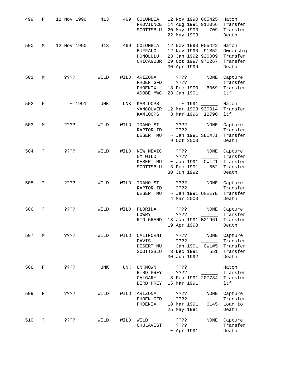| 499 | F           | 12 Nov 1990 | 413  | 469  | COLUMBIA<br>PROVIDNCE<br>SCOTTSBLU             | 12 Nov 1990 005425<br>Hatch<br>14 Aug 1991 912056<br>Transfer<br>20 May 1993<br>709<br>Transfer<br>22 May 1993<br>Death                                      |
|-----|-------------|-------------|------|------|------------------------------------------------|--------------------------------------------------------------------------------------------------------------------------------------------------------------|
| 500 | М           | 12 Nov 1990 | 413  | 469  | COLUMBIA<br>BUFFALO<br>HONOLULU<br>CHICAGOBR   | 12 Nov 1990 005422<br>Hatch<br>12 Nov 1990<br>91B52<br>Ownership<br>23 Jan 1992 920009<br>Transfer<br>29 Oct 1997 970267<br>Transfer<br>30 Apr 1999<br>Death |
| 501 | М           | 3333        | WILD | WILD | ARIZONA<br>PHOEN GFD<br>PHOENIX<br>ADOBE MWC   | NONE<br>$??\,?\,?$<br>Capture<br>????<br>Transfer<br>18 Dec 1990<br>6069<br>Transfer<br>23 Jan 1991 _____<br>ltf                                             |
| 502 | F           | ~1991       | UNK  | UNK  | KAMLOOPS<br>VANCOUVER<br><b>KAMLOOPS</b>       | ~1991<br>Hatch<br>12 Mar 1993 930014<br>Transfer<br>3 Mar 1996<br>ltf<br>12790                                                                               |
| 503 | М           | ????        | WILD | WILD | IDAHO ST<br>RAPTOR ID<br>DESERT MU             | NONE<br>Capture<br>????<br>Transfer<br>????<br>$\sim$ Jan 1991 SLIMJI<br>Transfer<br>9 Oct 2000<br>Death                                                     |
| 504 | ?           | ????        | WILD | WILD | NEW MEXIC<br>NM WILD<br>DESERT MU<br>SCOTTSBLU | $\rm{NONE}$<br>$??\,?\,?$<br>Capture<br>Transfer<br>? ? ? ?<br>$\sim$ Jan 1991<br>OWL#1<br>Transfer<br>3 Dec 1991<br>552<br>Transfer<br>30 Jun 1992<br>Death |
| 505 | ?           | ????        | WILD | WILD | IDAHO ST<br>RAPTOR ID<br>DESERT MU             | $??\,?\,?$<br>NONE<br>Capture<br>????<br>Transfer<br>$\sim$ Jan 1991 ONEEYE<br>Transfer<br>4 Mar 2000<br>Death                                               |
| 506 | ?           | ????        | WILD | WILD | FLORIDA<br>LOWRY<br>RIO GRAND                  | NONE<br>Capture<br>$??\$ ?<br>Transfer<br>$??\,?\,?$<br>18 Jan 1991 B21961<br>Transfer<br>19 Apr 1993<br>Death                                               |
| 507 | М           | ????        | WILD | WILD | CALIFORNI<br>DAVIS<br>DESERT MU<br>SCOTTSBLU   | ????<br>NONE<br>Capture<br>Transfer<br>????<br>$\sim$ Jan 1991<br>OWL#5<br>Transfer<br>3 Dec 1991<br>Transfer<br>551<br>30 Jun 1992<br>Death                 |
| 508 | F           | 3333        | UNK  | UNK  | UNKNOWN<br>BIRD PREY<br>CALGARY<br>BIRD PREY   | Hatch<br>3333<br>????<br>Transfer<br>8 Feb 1991 207784<br>Transfer<br>15 Mar 1991<br>ltf                                                                     |
| 509 | $\mathbf F$ | 3333        | WILD | WILD | ARIZONA<br>PHOEN GFD<br>PHOENIX                | $\rm{NONE}$<br>Capture<br>3333<br>Transfer<br>$??\$ ?<br>Loan to<br>18 Mar 1991<br>6145<br>25 May 1991<br>Death                                              |
| 510 | S.          | 3333        | WILD | WILD | WILD<br>CHULAVIST                              | ????<br>NONE<br>Capture<br>????<br>Transfer<br>$~\sim$ Apr 1991<br>Death                                                                                     |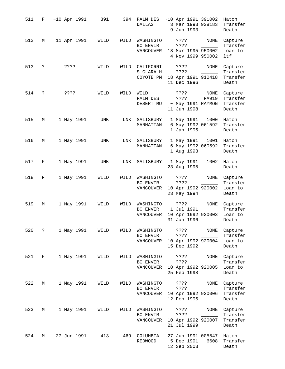| 511 | F                   | $~10$ Apr 1991 | 391  | 394  | PALM DES<br><b>DALLAS</b>           | $~10$ Apr 1991 391002<br>3 Mar 1993 938183<br>9 Jun 1993               |                | Hatch<br>Transfer<br>Death               |
|-----|---------------------|----------------|------|------|-------------------------------------|------------------------------------------------------------------------|----------------|------------------------------------------|
| 512 | М                   | 11 Apr 1991    | WILD | WILD | WASHINGTO<br>BC ENVIR<br>VANCOUVER  | ????<br>? ? ? ?<br>18 Mar 1995 950002<br>4 Nov 1999 950002             | NONE<br>$\sim$ | Capture<br>Transfer<br>Loan to<br>ltf    |
| 513 | $\cdot$             | ????           | WILD | WILD | CALIFORNI<br>S CLARA H<br>COYOTE PM | ????<br>????<br>18 Apr 1991 910418<br>11 Dec 1996                      | NONE           | Capture<br>Transfer<br>Transfer<br>Death |
| 514 | $\ddot{\mathbf{S}}$ | ? ? ? ?        | WILD | WILD | WILD<br>PALM DES<br>DESERT MU       | ? ? ? ?<br>? ? ? ?<br>~ May 1991 RAYMON<br>11 Jun 1998                 | NONE<br>RA919  | Capture<br>Transfer<br>Transfer<br>Death |
| 515 | М                   | 1 May 1991     | UNK  |      | UNK SALISBURY<br>MANHATTAN          | 1 May 1991<br>6 May 1992 061592<br>1 Jan 1995                          | 1000           | Hatch<br>Transfer<br>Death               |
| 516 | М                   | 1 May 1991     | UNK  |      | UNK SALISBURY<br>MANHATTAN          | 1 May 1991<br>6 May 1992 060592<br>1 Aug 1993                          |                | 1001 Hatch<br>Transfer<br>Death          |
| 517 | F                   | 1 May 1991     | UNK  | UNK  | SALISBURY                           | 1 May 1991<br>23 Aug 1995                                              |                | 1002 Hatch<br>Death                      |
| 518 | F                   | 1 May 1991     | WILD | WILD | WASHINGTO<br>BC ENVIR<br>VANCOUVER  | ????<br>? ? ? ?<br>10 Apr 1992 920002<br>23 May 1994                   | NONE           | Capture<br>Transfer<br>Loan to<br>Death  |
| 519 | М                   | 1 May 1991     | WILD | WILD | WASHINGTO<br>BC ENVIR<br>VANCOUVER  | 7777<br>1 Jul 1991 ______<br>10 Apr 1992 920003 Loan to<br>31 Jan 1996 | NONE           | Capture<br>Transfer<br>Death             |
| 520 | $\mathsf{?}$        | 1 May 1991     | WILD | WILD | WASHINGTO<br>BC ENVIR<br>VANCOUVER  | ? ? ? ?<br>? ? ? ?<br>10 Apr 1992 920004<br>15 Dec 1992                | NONE           | Capture<br>Transfer<br>Loan to<br>Death  |
| 521 | F                   | 1 May 1991     | WILD | WILD | WASHINGTO<br>BC ENVIR<br>VANCOUVER  | ????<br>????<br>10 Apr 1992 920005<br>25 Feb 1998                      | NONE           | Capture<br>Transfer<br>Loan to<br>Death  |
| 522 | М                   | 1 May 1991     | WILD | WILD | WASHINGTO<br>BC ENVIR<br>VANCOUVER  | $??\,?\,?$<br>? ? ? ?<br>10 Apr 1992 920006<br>12 Feb 1995             | NONE           | Capture<br>Transfer<br>Transfer<br>Death |
| 523 | М                   | 1 May 1991     | WILD | WILD | WASHINGTO<br>BC ENVIR<br>VANCOUVER  | ? ? ? ?<br>????<br>10 Apr 1992 920007<br>21 Jul 1999                   | NONE           | Capture<br>Transfer<br>Transfer<br>Death |
| 524 | М                   | 27 Jun 1991    | 413  | 469  | COLUMBIA<br>REDWOOD                 | 27 Jun 1991 005547<br>5 Dec 1991<br>12 Sep 2003                        | 6608           | Hatch<br>Transfer<br>Death               |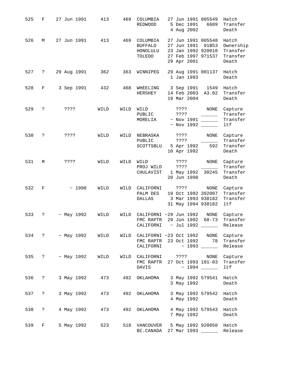| 525 | F  | 27 Jun 1991                                                    | 413  | 469  | COLUMBIA<br><b>REDWOOD</b>                                            | 27 Jun 1991 005549<br>5 Dec 1991<br>4 Aug 2002                                               | 6609               | Hatch<br>Transfer<br>Death                          |
|-----|----|----------------------------------------------------------------|------|------|-----------------------------------------------------------------------|----------------------------------------------------------------------------------------------|--------------------|-----------------------------------------------------|
| 526 | М  | 27 Jun 1991                                                    | 413  | 469  | COLUMBIA<br><b>BUFFALO</b><br>HONOLULU<br>TOLEDO                      | 27 Jun 1991 005548<br>27 Jun 1991<br>23 Jan 1992 920010<br>27 Feb 1997 971537<br>29 Apr 2001 | 91B53              | Hatch<br>Ownership<br>Transfer<br>Transfer<br>Death |
| 527 | ?  | 29 Aug 1991                                                    | 362  | 363  | WINNIPEG                                                              | 29 Aug 1991 001137<br>1 Jan 1993                                                             |                    | Hatch<br>Death                                      |
| 528 | F  | 3 Sep 1991                                                     | 432  | 468  | WHEELING<br>HERSHEY                                                   | 3 Sep 1991<br>14 Feb 2003<br>19 Mar 2004                                                     | 1549<br>A3.02      | Hatch<br>Transfer<br>Death                          |
| 529 | ?  | ? ? ? ?                                                        | WILD | WILD | WILD<br>PUBLIC<br>MORELIA                                             | $??\,?\,?$<br>$??\,?\,?$<br>$~\sim$ Nov 1992 ______                                          | NONE               | Capture<br>Transfer<br>Transfer<br>ltf              |
| 530 | S. | ????                                                           | WILD | WILD | NEBRASKA<br>PUBLIC<br>SCOTTSBLU                                       | ? ? ? ?<br>????<br>5 Apr 1992<br>10 Apr 1992                                                 | <b>NONE</b><br>592 | Capture<br>Transfer<br>Transfer<br>Death            |
| 531 | М  | ? ? ? ?                                                        | WILD | WILD | WILD<br>PROJ WILD<br>CHULAVIST                                        | $??\,?\,?$<br>3333<br>1 May 1992<br>20 Jun 1998                                              | NONE<br>30245      | Capture<br>Transfer<br>Transfer<br>Death            |
| 532 | F  | ~1990                                                          | WILD | WILD | CALIFORNI<br>PALM DES<br><b>DALLAS</b>                                | ????<br>19 Oct 1992 392007<br>3 Mar 1993 938182<br>31 May 1994 938182                        | NONE               | Capture<br>Transfer<br>Transfer<br>ltf              |
| 533 | ?  | $~\sim$ May 1992                                               | WILD | WILD | CALIFORNI ~29 Jun 1992<br>FMC RAPTR<br>CALIFORNI $\sim$ Jul 1992 $\_$ | 29 Jun 1992                                                                                  | NONE<br>$68 - 73$  | Capture<br>Transfer<br>Release                      |
|     |    | 534 ? ~ May 1992 WILD WILD CALIFORNI ~23 Oct 1992 NONE Capture |      |      | FMC RAPTR 23 Oct 1992 78 Transfer<br>CALIFORNI ~ 1993 _______         |                                                                                              |                    | Release                                             |
|     |    | 535 ? ~ May 1992 WILD WILD CALIFORNI ???? NONE Capture         |      |      | FMC RAPTR 27 Oct 1993 101-03 Transfer<br>DAVIS ~ 1994 ______          |                                                                                              |                    | ltf                                                 |
| 536 |    | ? 3 May 1992 473 492 OKLAHOMA 3 May 1992 579541 Hatch          |      |      |                                                                       | 3 May 1992                                                                                   |                    | Death                                               |
|     |    | 537 ? 3 May 1992 473 492 OKLAHOMA 3 May 1992 579542 Hatch      |      |      |                                                                       | 4 May 1992                                                                                   |                    | Death                                               |
|     |    | 538 ? 4 May 1992 473                                           |      |      | 492 OKLAHOMA 4 May 1992 579543 Hatch                                  | 7 May 1992                                                                                   |                    | Death                                               |
| 539 |    | F 5 May 1992 523                                               |      |      | 518 VANCOUVER<br>BC.CANADA 27 Mar 1993 ______                         | 5 May 1992 920050 Hatch                                                                      |                    | Release                                             |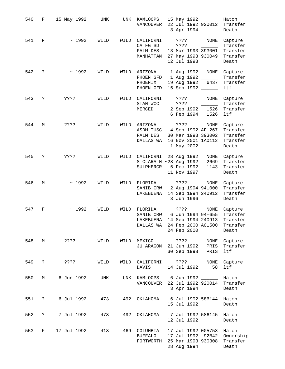| 540 | F                 | 15 May 1992 | UNK  | UNK  | KAMLOOPS<br>VANCOUVER                          | 15 May 1992 ______<br>Hatch<br>22 Jul 1992 920012<br>Transfer<br>3 Apr 1994<br>Death                                                                             |
|-----|-------------------|-------------|------|------|------------------------------------------------|------------------------------------------------------------------------------------------------------------------------------------------------------------------|
| 541 | F                 | ~1992       | WILD | WILD | CALIFORNI<br>CA FG SD<br>PALM DES<br>MANHATTAN | NONE<br>????<br>Capture<br>? ? ? ?<br>Transfer<br>and the control of<br>Transfer<br>13 Mar 1993 393001<br>Transfer<br>27 May 1993 930049<br>12 Jul 1993<br>Death |
| 542 | ?                 | ~1992       | WILD | WILD | ARIZONA<br>PHOEN GFD<br>PHOENIX<br>PHOEN GFD   | NONE<br>1 Aug 1992<br>Capture<br>1 Aug 1992 ______<br>Transfer<br>19 Aug 1992<br>6437<br>Transfer<br>15 Sep 1992 ______<br>ltf                                   |
| 543 | ?                 | ? ? ? ?     | WILD | WILD | CALIFORNI<br>STAN WCC<br>MERCED                | ????<br>NONE<br>Capture<br>Transfer<br>? ? ? ?<br>Transfer<br>2 Sep 1992<br>1526<br>6 Feb 1994<br>1526<br>ltf                                                    |
| 544 | М                 | $??\$ ?     | WILD | WILD | ARIZONA<br>ASDM TUSC<br>PALM DES<br>DALLAS WA  | 3333<br>NONE<br>Capture<br>4 Sep 1992 AF1267<br>Transfer<br>30 Mar 1993 393002<br>Transfer<br>16 Nov 2001 1A0112<br>Transfer<br>1 May 2002<br>Death              |
| 545 | ?                 | ? ? ? ?     | WILD | WILD | CALIFORNI                                      | 28 Aug 1992<br>NONE<br>Capture<br>S CLARA H ~28 Aug 1992<br>2669<br>Transfer<br>SULPHERCR 5 Dec 1992<br>1143<br>Transfer<br>11 Nov 1997<br>Death                 |
| 546 | M                 | ~1992       | WILD | WILD | FLORIDA<br>SANIB CRW<br>LAKEBUENA              | ????<br>NONE<br>Capture<br>2 Aug 1994 941000<br>Transfer<br>14 Sep 1994 240912<br>Transfer<br>3 Jun 1996<br>Death                                                |
| 547 | F                 | ~1992       | WILD | WILD | FLORIDA<br>SANIB CRW<br>LAKEBUENA              | NONE<br>Capture<br>????<br>Transfer<br>6 Jun 1994 94-655<br>14 Sep 1994 240913<br>Transfer<br>DALLAS WA 24 Feb 2000 A01500<br>Transfer<br>24 Feb 2000<br>Death   |
| 548 |                   | M ????      | WILD | WILD | MEXICO                                         | ? ? ? ?<br>NONE<br>Capture<br>JU ARAGON 21 Jun 1992<br>Transfer<br>PRIS<br>30 Sep 1998<br>ltf<br>PRIS                                                            |
| 549 | $\ddot{?}$        | ????        | WILD |      | WILD CALIFORNI<br>DAVIS                        | ????<br>NONE<br>Capture<br>14 Jul 1992<br>ltf<br>58                                                                                                              |
| 550 | М                 | 6 Jun 1992  | UNK  |      |                                                | UNK KAMLOOPS 6 Jun 1992<br>Hatch<br>VANCOUVER 22 Jul 1992 920014<br>Transfer<br>3 Apr 1994<br>Death                                                              |
| 551 | $\ddot{\text{?}}$ | 6 Jul 1992  | 473  |      |                                                | 492 OKLAHOMA 6 Jul 1992 586144<br>Hatch<br>15 Jul 1992<br>Death                                                                                                  |
| 552 | $\mathbb{R}$      | 7 Jul 1992  | 473  | 492  | OKLAHOMA                                       | 7 Jul 1992 586145<br>Hatch<br>12 Jul 1992<br>Death                                                                                                               |
| 553 | $F =$             | 17 Jul 1992 | 413  | 469  | COLUMBIA<br><b>BUFFALO</b><br>FORTWORTH        | 17 Jul 1992 005753<br>Hatch<br>17 Jul 1992<br>92B42<br>Ownership<br>25 Mar 1993 930308<br>Transfer<br>28 Aug 1994<br>Death                                       |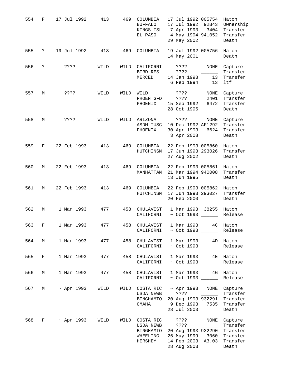| 554 | F                             | 17 Jul 1992            | 413  | 469  | COLUMBIA<br><b>BUFFALO</b><br>KINGS ISL<br>EL PASO              | 17 Jul 1992 005754<br>Hatch<br>17 Jul 1992<br>92B43<br>Ownership<br>7 Apr 1993<br>3404<br>Transfer<br>4 May 1994 941052<br>Transfer<br>29 May 2002<br>Death                  |
|-----|-------------------------------|------------------------|------|------|-----------------------------------------------------------------|------------------------------------------------------------------------------------------------------------------------------------------------------------------------------|
| 555 | ?                             | 19 Jul 1992            | 413  | 469  | COLUMBIA                                                        | 19 Jul 1992 005756<br>Hatch<br>14 May 2001<br>Death                                                                                                                          |
| 556 | ?                             | ? ? ? ?                | WILD | WILD | CALIFORNI<br>BIRD RES<br>MERCED                                 | NONE<br>????<br>Capture<br>Transfer<br>????<br>14 Jan 1993<br>13<br>Transfer<br>6 Feb 1994<br>13<br>ltf                                                                      |
| 557 | M                             | 3333                   | WILD | WILD | WILD<br>PHOEN GFD<br>PHOENIX                                    | $??\,?\,?$<br>NONE<br>Capture<br>2401<br>????<br>Transfer<br>15 Sep 1992<br>6472<br>Transfer<br>28 Oct 1995<br>Death                                                         |
| 558 | М                             | ????                   | WILD | WILD | ARIZONA<br>ASDM TUSC<br>PHOENIX                                 | ????<br>NONE<br>Capture<br>10 Dec 1992 AF1292<br>Transfer<br>30 Apr 1993<br>6624<br>Transfer<br>3 Apr 2008<br>Death                                                          |
| 559 | F                             | 22 Feb 1993            | 413  | 469  | COLUMBIA<br>HUTCHINSN                                           | 22 Feb 1993 005860<br>Hatch<br>17 Jun 1993 293026<br>Transfer<br>27 Aug 2002<br>Death                                                                                        |
| 560 | М                             | 22 Feb 1993            | 413  | 469  | COLUMBIA<br>MANHATTAN                                           | 22 Feb 1993 005861<br>Hatch<br>21 Mar 1994 940008<br>Transfer<br>13 Jun 1995<br>Death                                                                                        |
| 561 | М                             | 22 Feb 1993            | 413  | 469  | COLUMBIA<br>HUTCHINSN                                           | 22 Feb 1993 005862<br>Hatch<br>17 Jun 1993 293027<br>Transfer<br>20 Feb 2000<br>Death                                                                                        |
| 562 | M                             | 1 Mar 1993             | 477  | 458  | CHULAVIST<br>CALIFORNI                                          | 1 Mar 1993 38255<br>Hatch<br>$\sim$ Oct 1993<br>Release                                                                                                                      |
| 563 | F                             | 1 Mar 1993             | 477  |      | 458 CHULAVIST<br>CALIFORNI                                      | 1 Mar 1993<br>4C Hatch<br>$\sim$ Oct 1993 ______<br>Release                                                                                                                  |
| 564 | M                             | 1 Mar 1993 477         |      | 458  | CHULAVIST<br>CALIFORNI                                          | 1 Mar 1993 4D Hatch<br>$\sim$ Oct 1993 ______<br>Release                                                                                                                     |
| 565 | $\mathbf{F}$ and $\mathbf{F}$ | 1 Mar 1993 477         |      | 458  | CHULAVIST<br>CALIFORNI                                          | 1 Mar 1993 4E Hatch<br>Release<br>$\sim$ Oct 1993 ______                                                                                                                     |
| 566 | M                             | 1 Mar 1993 477         |      |      | 458 CHULAVIST<br>CALIFORNI                                      | 1 Mar 1993     4G Hatch<br>~ Oct 1993 ______<br>Release                                                                                                                      |
| 567 |                               | M ~ Apr 1993 WILD      |      |      | USDA NEWB<br>BINGHAMTO<br>OMAHA                                 | WILD COSTA RIC ~ Apr 1993 NONE<br>Capture<br>Transfer<br>20 Aug 1993 932291<br>Transfer<br>9 Dec 1993 7535<br>Transfer<br>28 Jul 2003<br>Death                               |
| 568 |                               | $F \sim$ Apr 1993 WILD |      |      | WILD COSTA RIC<br>USDA NEWB<br>BINGHAMTO<br>WHEELING<br>HERSHEY | ? ? ? ?<br>NONE<br>Capture<br>????<br>Transfer<br>20 Aug 1993 932290<br>Transfer<br>26 May 1999<br>3060<br>Transfer<br>14 Feb 2003 A3.03<br>Transfer<br>28 Aug 2003<br>Death |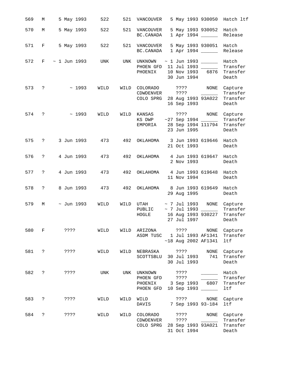| 569 | М                    | 5 May 1993        | 522<br>521   | 5 May 1993 930050 Hatch ltf<br>VANCOUVER                                                                                                                      |
|-----|----------------------|-------------------|--------------|---------------------------------------------------------------------------------------------------------------------------------------------------------------|
| 570 | М                    | 5 May 1993        | 522<br>521   | 5 May 1993 930052 Hatch<br>VANCOUVER<br>1 Apr 1994 ______<br>BC.CANADA<br>Release                                                                             |
| 571 | $F \sim$             | 5 May 1993        | 522          | 521 VANCOUVER 5 May 1993 930051<br>Hatch<br>1 Apr 1994 _____<br>Release<br>BC.CANADA                                                                          |
| 572 | F                    | $\sim$ 1 Jun 1993 | UNK<br>UNK   | UNKNOWN ~ 1 Jun 1993 ______<br>Hatch<br>PHOEN GFD 11 Jul 1993 ______<br>Transfer<br>10 Nov 1993 6876 Transfer<br>PHOENIX<br>30 Jun 1994<br>Death              |
|     | 573 ?                | $\sim 1993$       | WILD<br>WILD | COLORADO ????<br>NONE<br>Capture<br>CDWDENVER ????<br>Transfer<br>28 Aug 1993 93A022<br>Transfer<br>COLO SPRG<br>16 Sep 1993<br>Death                         |
| 574 | $\ddot{\mathbf{?}}$  | ~1993             | WILD<br>WILD | KANSAS<br>$? ? ? ?$ NONE<br>Capture<br>$~27$ Sep 1994 ______<br>Transfer<br>KS DWP<br>28 Sep 1994 111794<br>Transfer<br>EMPORIA<br>23 Jun 1995<br>Death       |
| 575 | $\ddot{?}$           | 3 Jun 1993        | 492<br>473   | OKLAHOMA 3 Jun 1993 619646<br>Hatch<br>21 Oct 1993<br>Death                                                                                                   |
| 576 | $\ddot{?}$           | 4 Jun 1993        | 473          | 492 OKLAHOMA 4 Jun 1993 619647<br>Hatch<br>2 Nov 1993<br>Death                                                                                                |
| 577 | $\ddot{\phantom{0}}$ | 4 Jun 1993        | 492<br>473   | 4 Jun 1993 619648<br>OKLAHOMA<br>Hatch<br>11 Nov 1994<br>Death                                                                                                |
| 578 | $\ddot{?}$           | 8 Jun 1993        | 492<br>473   | 8 Jun 1993 619649<br>OKLAHOMA<br>Hatch<br>29 Aug 1995<br>Death                                                                                                |
| 579 | М                    | $\sim$ Jun 1993   | WILD<br>WILD | UTAH<br>~ 7 Jul 1993 NONE Capture<br>$\sim$ 7 Jul 1993 _____<br>Transfer<br>PUBLIC<br>${\tt HOGLE}$<br>16 Aug 1993 930227<br>Transfer<br>27 Jul 1997<br>Death |
| 580 | F                    | ? ? ? ?           | WILD<br>WILD | ARIZONA<br>????<br>NONE<br>Capture<br>ASDM TUSC<br>1 Jul 1993 AF1341<br>Transfer<br>$~18$ Aug 2002 AF1341<br>ltf                                              |
| 581 | $\ddot{\phantom{0}}$ | ????              | WILD<br>WILD | NEBRASKA<br>????<br>NONE<br>Capture<br>30 Jul 1993<br>741<br>Transfer<br>SCOTTSBLU<br>30 Jul 1993<br>Death                                                    |
| 582 | ?                    | ????              | UNK<br>UNK   | Hatch<br>UNKNOWN<br>????<br>PHOEN GFD<br>????<br>Transfer<br>3 Sep 1993<br>6807<br>PHOENIX<br>Transfer<br>10 Sep 1993 _____<br>ltf<br>PHOEN GFD               |
| 583 | ?                    | $??\,?\,?$        | WILD<br>WILD | WILD<br>????<br>NONE<br>Capture<br>7 Sep 1993 93-184<br>ltf<br>DAVIS                                                                                          |
| 584 | ?                    | ? ? ? ?           | WILD<br>WILD | COLORADO<br>NONE<br>????<br>Capture<br>CDWDENVER<br>????<br>Transfer<br>COLO SPRG<br>Transfer<br>28 Sep 1993 93A021<br>31 Oct 1994<br>Death                   |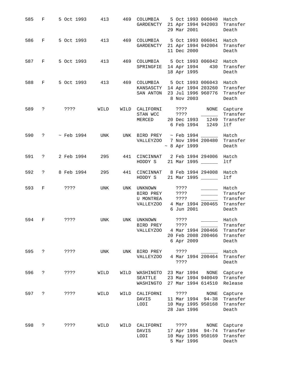| 585 | $F \sim 1$          |                  |            |      |                                    | 5 Oct 1993 413 469 COLUMBIA 5 Oct 1993 006040 Hatch<br>GARDENCTY 21 Apr 1994 942003 Transfer<br>29 Mar 2001 Death                                                                |
|-----|---------------------|------------------|------------|------|------------------------------------|----------------------------------------------------------------------------------------------------------------------------------------------------------------------------------|
| 586 | $F \sim 1$          |                  |            |      |                                    | 5 Oct 1993 413 469 COLUMBIA 5 Oct 1993 006041 Hatch<br>GARDENCTY 21 Apr 1994 942004 Transfer<br>11 Dec 2000<br>Death                                                             |
| 587 | $F \sim 1$          | 5 Oct 1993       |            |      |                                    | 413  469  COLUMBIA  5  Oct  1993  006042  Hatch<br>SPRINGFIE 14 Apr 1994 430 Transfer<br>18 Apr 1995 Death                                                                       |
| 588 | $F \sim 1$          |                  |            |      | SAN ANTON                          | 5 Oct 1993 413 469 COLUMBIA 5 Oct 1993 006043 Hatch<br>KANSASCTY 14 Apr 1994 203260 Transfer<br>23 Jul 1996 960776<br>Transfer<br>8 Nov 2003<br>Death                            |
|     |                     |                  |            |      |                                    | 589 ? ???? WILD WILD CALIFORNI ???? NONE<br>Capture<br>Transfer<br>MERCED 20 Dec 1993 1249 Transfer<br>6 Feb 1994 1249<br>ltf                                                    |
| 590 |                     | ? ~ Feb 1994 UNK |            |      |                                    | UNK BIRD PREY $\sim$ Feb 1994 $\sim$<br>VALLEYZOO 7 Nov 1994 200480 Transfer<br>$\sim$ 8 Apr 1999 Death                                                                          |
| 591 |                     | ? 2 Feb 1994     |            |      |                                    | 295 441 CINCINNAT 2 Feb 1994 294006 Hatch<br>ltf<br>HODDY S 21 Mar 1995 ______                                                                                                   |
| 592 | $\mathbb{R}$        | 8 Feb 1994       | 295        |      | HODDY S                            | 441 CINCINNAT 8 Feb 1994 294008 Hatch<br>21 Mar 1995 _______<br>ltf                                                                                                              |
|     |                     | 593 F ????       | <b>UNK</b> |      | UNK UNKNOWN ????<br>BIRD PREY ???? | Hatch<br><u>and the state</u><br>Transfer<br>$\frac{1}{1}$<br>U MONTREA ????<br>Transfer<br>$\overline{\phantom{a}}$<br>VALLEYZOO 4 Mar 1994 200465 Transfer<br>6 Jun 2001 Death |
| 594 |                     | F ???? UNK       |            |      | UNK UNKNOWN                        | Hatch<br>????<br>BIRD PREY ????<br>Transfer<br>VALLEYZOO 4 Mar 1994 200466<br>Transfer<br>20 Feb 2008 200466<br>Transfer<br>6 Apr 2009<br>Death                                  |
|     | 595 ?               | ? ? ? ?          | UNK        |      | UNK BIRD PREY<br><b>VALLEYZOO</b>  | Hatch<br>????<br>Transfer<br>4 Mar 1994 200464<br>????<br>Death                                                                                                                  |
| 596 | $\ddot{\mathbf{?}}$ | $??\,?\,?$       | WILD       | WILD | WASHINGTO<br>SEATTLE<br>WASHINGTO  | 23 Mar 1994 NONE Capture<br>23 Mar 1994 940049<br>Transfer<br>27 Mar 1994 614510<br>Release                                                                                      |
| 597 | S.                  | ????             | WILD       | WILD | CALIFORNI<br>DAVIS                 | ? ? ? ?<br>NONE<br>Capture<br>11 Mar 1994 94-38<br>Transfer<br>LODI 10 May 1995 950168<br>Transfer<br>28 Jan 1996<br>Death                                                       |
| 598 | $\ddot{\mathbf{?}}$ | ????             | WILD       | WILD | CALIFORNI<br>DAVIS<br>LODI         | ? ? ? ?<br>NONE<br>Capture<br>17 Apr 1994 94-74<br>Transfer<br>10 May 1995 950169<br>Transfer<br>5 Mar 1996<br>Death                                                             |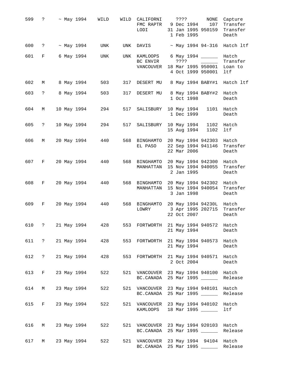| 599 | $\ddot{?}$           | $~\sim$ May 1994 | WILD              | WILD | CALIFORNI<br>FMC RAPTR 9 Dec 1994 107<br>LODI                         |         | 1 Feb 1995  | ???? NONE<br>31 Jan 1995 950159                                                                                        | Capture<br>Transfer<br>Transfer<br>Death |
|-----|----------------------|------------------|-------------------|------|-----------------------------------------------------------------------|---------|-------------|------------------------------------------------------------------------------------------------------------------------|------------------------------------------|
| 600 | $\ddot{\textbf{?}}$  | ~ May 1994       | UNK               | UNK  | DAVIS                                                                 |         |             | ~ May 1994 94-316                                                                                                      | Hatch ltf                                |
| 601 | F                    | 6 May 1994       | UNK               | UNK  | KAMLOOPS<br>BC ENVIR<br>VANCOUVER                                     | ? ? ? ? |             | 6 May 1994 ______<br><u> 1986 - Alexandr Store Barnett, ameri</u> kansk kon<br>18 Mar 1995 950001<br>4 Oct 1999 950001 | Hatch<br>Transfer<br>Loan to<br>ltf      |
| 602 | М                    | 8 May 1994       | 503               | 317  | DESERT MU 8 May 1994 BABY#1                                           |         |             |                                                                                                                        | Hatch ltf                                |
| 603 | $\ddot{\phantom{0}}$ | 8 May 1994       | 503               | 317  | DESERT MU                                                             |         | 1 Oct 1998  | 8 May 1994 BABY#2                                                                                                      | Hatch<br>Death                           |
| 604 | М                    | 10 May 1994      | 294               |      | 517 SALISBURY                                                         |         | 1 Dec 1999  | 10 May 1994 1101 Hatch                                                                                                 | Death                                    |
| 605 | $\ddot{\mathbf{?}}$  | 10 May 1994      | 294               |      | 517 SALISBURY                                                         |         |             | 10 May 1994 1102 Hatch<br>15 Aug 1994 1102                                                                             | ltf                                      |
| 606 | М                    | 20 May 1994      | 440               |      | 568 BINGHAMTO<br>EL PASO                                              |         | 22 Mar 2006 | 20 May 1994 942303<br>22 Sep 1994 941146                                                                               | Hatch<br>Transfer<br>Death               |
| 607 | F                    | 20 May 1994      | 440               |      | 568 BINGHAMTO<br>MANHATTAN                                            |         | 2 Jan 1995  | 20 May 1994 942300 Hatch<br>15 Nov 1994 940055                                                                         | Transfer<br>Death                        |
| 608 | $F =$                | 20 May 1994      | 440               | 568  | BINGHAMTO<br>MANHATTAN                                                |         | 3 Jan 1998  | 20 May 1994 942302<br>15 Nov 1994 940054                                                                               | Hatch<br>Transfer<br>Death               |
| 609 | $F \sim$             |                  | 20 May 1994 440   | 568  | BINGHAMTO 20 May 1994 94230L Hatch<br>LOWRY                           |         | 22 Oct 2007 | 3 Apr 1995 202715                                                                                                      | Transfer<br>Death                        |
|     | 610 ?                |                  |                   |      | 21 May 1994 428 553 FORTWORTH 21 May 1994 940572 Hatch                |         | 21 May 1994 |                                                                                                                        | Death                                    |
| 611 |                      |                  | ? 21 May 1994 428 |      | 553 FORTWORTH 21 May 1994 940573 Hatch                                |         | 21 May 1994 |                                                                                                                        | Death                                    |
| 612 | $\ddot{\text{?}}$    |                  | 21 May 1994 428   |      | 553 FORTWORTH 21 May 1994 940571                                      |         | 2 Oct 2004  |                                                                                                                        | Hatch<br>Death                           |
| 613 |                      | F 23 May 1994    | 522               |      | 521 VANCOUVER 23 May 1994 940100 Hatch<br>BC.CANADA                   |         |             | 25 Mar 1995 ______                                                                                                     | Release                                  |
| 614 |                      | M 23 May 1994    | 522               |      | 521 VANCOUVER 23 May 1994 940101 Hatch<br>BC.CANADA                   |         |             | 25 Mar 1995 ______                                                                                                     | Release                                  |
| 615 |                      | F 23 May 1994    | 522               |      | 521 VANCOUVER 23 May 1994 940102 Hatch<br>KAMLOOPS                    |         |             | 18 Mar 1995 _____                                                                                                      | ltf                                      |
| 616 |                      | M 23 May 1994    | 522               |      | 521 VANCOUVER 23 May 1994 920103<br>BC.CANADA                         |         |             | 25 Mar 1995 ______                                                                                                     | Hatch<br>Release                         |
| 617 |                      | M 23 May 1994    | 522               |      | 521 VANCOUVER 23 May 1994 94104 Hatch<br>BC.CANADA 25 Mar 1995 ______ |         |             |                                                                                                                        | Release                                  |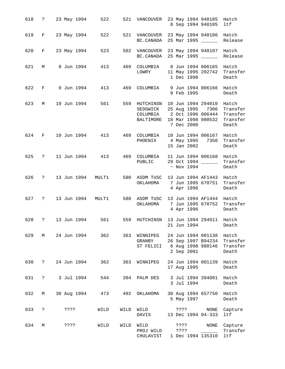| 618 |                     |      |             | ? 23 May 1994 522   |      | 521 VANCOUVER 23 May 1994 940105 Hatch                                                 |  |                    | 8 Sep 1994 940105 ltf                                              |                                           |
|-----|---------------------|------|-------------|---------------------|------|----------------------------------------------------------------------------------------|--|--------------------|--------------------------------------------------------------------|-------------------------------------------|
| 619 |                     |      |             | F 23 May 1994 522   |      | 521 VANCOUVER 23 May 1994 940106 Hatch<br>BC.CANADA                                    |  |                    | 25 Mar 1995 ______                                                 | Release                                   |
| 620 | $F \sim$            |      | 23 May 1994 | 523                 |      | 502 VANCOUVER 23 May 1994 940107<br>BC.CANADA 25 Mar 1995                              |  |                    |                                                                    | Hatch<br>Release                          |
| 621 | M                   |      | 8 Jun 1994  | 413                 |      | 469 COLUMBIA 8 Jun 1994 006165 Hatch<br>LOWRY 11 May 1995 202742 Transfer              |  | 1 Dec 1998         |                                                                    | Death                                     |
| 622 |                     |      |             |                     |      | F 9 Jun 1994 413 469 COLUMBIA 9 Jun 1994 006166 Hatch                                  |  | 9 Feb 1995         |                                                                    | Death                                     |
| 623 |                     |      |             |                     |      | M 10 Jun 1994 561 559 HUTCHINSN<br>SEDGWICK<br>COLUMBIA 2 Oct 1996 006444<br>BALTIMORE |  | 7 Dec 2000         | 10 Jun 1994 294010 Hatch<br>25 Aug 1995 7306<br>18 Mar 1998 980532 | Transfer<br>Transfer<br>Transfer<br>Death |
| 624 | $F =$               |      | 10 Jun 1994 | 413                 |      | 469 COLUMBIA 10 Jun 1994 006167 Hatch<br>PHOENIX 4 May 1995 7356                       |  |                    | 15 Jan 2002                                                        | Transfer<br>Death                         |
| 625 | $\ddot{\mathbf{?}}$ |      |             | 11 Jun 1994 413     |      | 469 COLUMBIA<br>PUBLIC                                                                 |  | $\sim$ Nov 1994    | 11 Jun 1994 006168 Hatch                                           | 29 Oct 1994 ________ Transfer<br>Death    |
| 626 |                     |      |             | ? 13 Jun 1994 MULT1 |      | 580 ASDM TUSC 13 Jun 1994 AF1443 Hatch<br>OKLAHOMA 7 Jun 1995 670751                   |  |                    | 4 Apr 1996                                                         | Transfer<br>Death                         |
| 627 |                     |      |             |                     |      | ? 13 Jun 1994 MULT1 580 ASDM TUSC<br>OKLAHOMA 7 Jun 1995 670752                        |  | 4 Apr 1996         | 13 Jun 1994 AF1444 Hatch                                           | Transfer<br>Death                         |
| 628 | $\ddot{\text{?}}$   |      |             | 13 Jun 1994 561     |      | 559 HUTCHINSN                                                                          |  |                    | 13 Jun 1994 294011 Hatch                                           | 21 Jun 1994 Death                         |
| 629 |                     |      |             | M 24 Jun 1994 362   |      | 363 WINNIPEG<br>GRANBY<br>ST FELICI 6 Aug 1998 980146                                  |  | 2 Sep 2001         | 24 Jun 1994 001138 Hatch<br>26 Sep 1997 B94234                     | Transfer<br>Transfer<br>Death             |
| 630 | $\ddot{\mathbf{?}}$ |      |             | 24 Jun 1994 362     | 363  | WINNIPEG                                                                               |  | 17 Aug 1995        | 24 Jun 1994 001139 Hatch                                           | Death                                     |
| 631 | $\ddot{\text{?}}$   |      | 3 Jul 1994  | 544                 | 394  | PALM DES 3 Jul 1994 394001 Hatch                                                       |  | 3 Jul 1994         |                                                                    | Death                                     |
| 632 | М                   |      |             | 30 Aug 1994 473     | 492  | ОКLАНОМА                                                                               |  | 5 May 1997         | 30 Aug 1994 657750 Hatch                                           | Death                                     |
| 633 | $\mathcal{E}$       | ???? |             | WILD                | WILD | WILD<br>DAVIS                                                                          |  | ? ? ? ?            | 13 Dec 1994 94-333                                                 | NONE Capture<br>ltf                       |
| 634 | М                   | ???? |             | WILD                | WILD | WILD<br>PROJ WILD<br>CHULAVIST                                                         |  | ? ? ? ?<br>? ? ? ? | NONE<br>1 Dec 1994 135310                                          | Capture<br>Transfer<br>ltf                |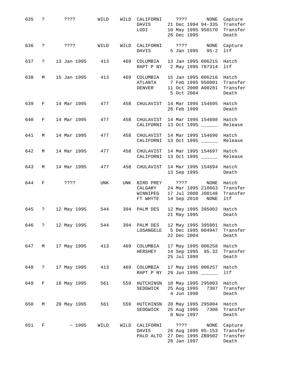| 635 | $\ddot{ }$           | ????                           | WILD | WILD | DAVIS<br>LODI                                    | CALIFORNI ????<br>NONE<br>Capture<br>21 Dec 1994 94-335<br>Transfer<br>10 May 1995 950170<br>Transfer<br>26 Dec 1995<br>Death    |
|-----|----------------------|--------------------------------|------|------|--------------------------------------------------|----------------------------------------------------------------------------------------------------------------------------------|
| 636 | $\mathbb{R}$         | ????                           | WILD | WILD | DAVIS                                            | NONE<br>CALIFORNI ????<br>Capture<br>5 Jan 1995 95-2<br>ltf                                                                      |
| 637 | $\ddot{\phantom{0}}$ | 13 Jan 1995                    | 413  | 469  | COLUMBIA                                         | 13 Jan 1995 006215<br>Hatch<br>ltf<br>RAPT P NY 2 May 1995 787314                                                                |
| 638 | М                    | 15 Jan 1995                    | 413  |      | 469 COLUMBIA<br>ATLANTA<br>DENVER                | 15 Jan 1995 006216<br>Hatch<br>7 Feb 1995 950001<br>Transfer<br>11 Oct 2000 A00281<br>Transfer<br>5 Oct 2004<br>Death            |
| 639 | $F =$                | 14 Mar 1995 477                |      | 458  |                                                  | CHULAVIST 14 Mar 1995 154695<br>Hatch<br>28 Feb 1999<br>Death                                                                    |
| 640 | $F =$                | 14 Mar 1995                    | 477  |      | CALIFORNI                                        | 458 CHULAVIST 14 Mar 1995 154698 Hatch<br>13 Oct 1995 ______<br>Release                                                          |
| 641 | М                    | 14 Mar 1995                    | 477  | 458  | CHULAVIST<br>CALIFORNI                           | 14 Mar 1995 154696<br>Hatch<br>13 Oct 1995 ______<br>Release                                                                     |
| 642 | М                    | 14 Mar 1995                    | 477  | 458  | CALIFORNI                                        | CHULAVIST 14 Mar 1995 154697 Hatch<br>13 Oct 1995 ______<br>Release                                                              |
| 643 | М                    | 14 Mar 1995                    | 477  | 458  |                                                  | CHULAVIST 14 Mar 1995 154694 Hatch<br>13 Sep 1995<br>Death                                                                       |
| 644 | F                    | $??\$ ?                        | UNK  |      | UNK BIRD PREY<br>CALGARY<br>WINNIPEG<br>FT WHYTE | ????<br>NONE<br>Hatch<br>24 Mar 1995 210663<br>Transfer<br>17 Jul 2008 J00148<br>Transfer<br>14 Sep 2010<br>ltf<br>NONE          |
| 645 | $\ddot{?}$           | 12 May 1995 544                |      |      | 394 PALM DES                                     | 12 May 1995 395002 Hatch<br>21 May 1995<br>Death                                                                                 |
| 646 | $\ddot{?}$           | 12 May 1995                    |      |      |                                                  | 544 394 PALM DES 12 May 1995 395001 Hatch<br>LOSANGELE 5 Dec 1995 004947 Transfer<br>22 Dec 2004<br>Death                        |
| 647 |                      | M 17 May 1995 413 469 COLUMBIA |      |      |                                                  | 17 May 1995 006258 Hatch<br>HERSHEY 14 Sep 1995 95.32<br>Transfer<br>25 Jul 1999<br>Death                                        |
| 648 |                      | ? 17 May 1995 413              |      |      | RAPT P NY                                        | 469 COLUMBIA 17 May 1995 006257 Hatch<br>29 Jun 1995 ______<br>ltf                                                               |
| 649 | $F \sim$             | 18 May 1995                    | 561  |      | SEDGWICK                                         | 559 HUTCHINSN 18 May 1995 295003 Hatch<br>25 Aug 1995 7307<br>Transfer<br>4 Jun 1998<br>Death                                    |
| 650 | M                    | 20 May 1995                    | 561  |      | SEDGWICK                                         | 559 HUTCHINSN 20 May 1995 295004 Hatch<br>25 Aug 1995 7308 Transfer<br>8 Nov 1997<br>Death                                       |
| 651 | F                    | $\sim 1995$                    | WILD |      | WILD CALIFORNI<br>DAVIS                          | NONE<br>? ? ? ?<br>Capture<br>26 Aug 1995 95-153<br>Transfer<br>PALO ALTO 27 Dec 1995 ZB9502<br>Transfer<br>28 Jan 1997<br>Death |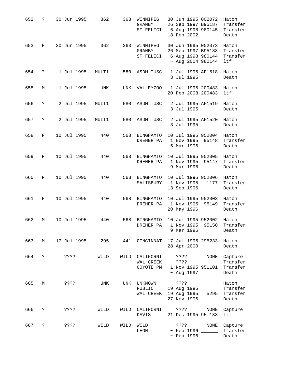| 652 | $\ddot{?}$           | 30 Jun 1995       | 362   | 363  | WINNIPEG<br>GRANBY         | 30 Jun 1995 002072<br>Hatch<br>26 Sep 1997 B95187<br>Transfer<br>ST FELICI 6 Aug 1998 980145<br>Transfer<br>18 Feb 2002<br>Death           |
|-----|----------------------|-------------------|-------|------|----------------------------|--------------------------------------------------------------------------------------------------------------------------------------------|
| 653 | F                    | 30 Jun 1995       | 362   | 363  | WINNIPEG<br>GRANBY         | 30 Jun 1995 002073<br>Hatch<br>26 Sep 1997 B95188<br>Transfer<br>ST FELICI 6 Aug 1998 980144<br>Transfer<br>$~\sim$ Aug 2004 980144<br>ltf |
| 654 | $\ddot{\mathbf{?}}$  | 1 Jul 1995        | MULT1 |      | 580 ASDM TUSC              | 1 Jul 1995 AF1518 Hatch<br>3 Jul 1995<br>Death                                                                                             |
| 655 | М                    | 1 Jul 1995        | UNK   |      | UNK VALLEYZOO              | 1 Jul 1995 200483 Hatch<br>20 Feb 2008 200483<br>ltf                                                                                       |
| 656 | $\ddot{?}$           | 2 Jul 1995        | MULT1 | 580  | ASDM TUSC                  | 2 Jul 1995 AF1519<br>Hatch<br>3 Jul 1995<br>Death                                                                                          |
| 657 | $\ddot{\text{?}}$    | 2 Jul 1995        | MULT1 | 580  | ASDM TUSC                  | 2 Jul 1995 AF1520 Hatch<br>3 Jul 1995<br>Death                                                                                             |
| 658 | $F =$                | 10 Jul 1995       | 440   |      | 568 BINGHAMTO              | 10 Jul 1995 952004 Hatch<br>DREHER PA   1 Nov 1995   95148<br>Transfer<br>5 Mar 1996<br>Death                                              |
| 659 | $F$ –                | 10 Jul 1995       | 440   |      | DREHER PA                  | 568 BINGHAMTO 10 Jul 1995 952005<br>Hatch<br>1 Nov 1995 95147<br>Transfer<br>9 Mar 1996<br>Death                                           |
| 660 | $F =$                | 10 Jul 1995       | 440   |      | 568 BINGHAMTO              | 10 Jul 1995 952006<br>Hatch<br>SALISBURY 1 Nov 1995<br>1177<br>Transfer<br>13 Sep 1996<br>Death                                            |
| 661 | $F =$                | 10 Jul 1995       | 440   |      | 568 BINGHAMTO<br>DREHER PA | 10 Jul 1995 952003<br>Hatch<br>1 Nov 1995 95149<br>Transfer<br>20 May 1996<br>Death                                                        |
| 662 | М                    | 10 Jul 1995       | 440   | 568  | BINGHAMTO                  | 10 Jul 1995 952002 Hatch<br>DREHER PA 1 Nov 1995 95150 Transfer<br>9 Mar 1996<br>Death                                                     |
| 663 |                      | M 17 Jul 1995 295 |       |      | 441 CINCINNAT              | 17 Jul 1995 295233<br>Hatch<br>28 Apr 2000<br>Death                                                                                        |
| 664 | $\ddot{\mathcal{E}}$ | ? ? ? ?           | WILD  |      | WAL CREEK<br>COYOTE PM     | WILD CALIFORNI ????<br>NONE<br>Capture<br>Transfer<br>? ? ? ?<br>1 Nov 1995 951101<br>Transfer<br>$~\sim$ Aug 1997<br>Death                |
| 665 | М                    | ????              | UNK   |      | UNK UNKNOWN<br>PUBLIC      | Hatch<br>????<br>19 Aug 1995 ______<br>Transfer<br>5295<br>WAL CREEK 19 Aug 1995<br>Transfer<br>27 Nov 1996<br>Death                       |
| 666 | $\ddot{\mathbf{S}}$  | ????              | WILD  |      | WILD CALIFORNI<br>DAVIS    | NONE Capture<br>? ? ? ?<br>21 Dec 1995 95-183<br>ltf                                                                                       |
| 667 | ?                    | 3333              | WILD  | WILD | WILD<br>LEON               | ????<br>NONE<br>Capture<br>$\sim$ Feb 1996 ______<br>Transfer<br>$~\sim$ Feb 1996<br>Death                                                 |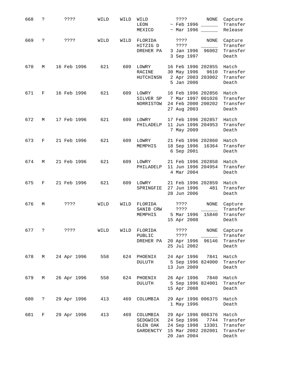| 668 | ?             | ? ? ? ?     | WILD | WILD | WILD<br>LEON<br>MEXICO                        | ? ? ? ?<br>NONE<br>Capture<br>$\sim$ Feb 1996 ______<br>Transfer<br>$~\sim$ Mar 1996<br>Release                                                           |
|-----|---------------|-------------|------|------|-----------------------------------------------|-----------------------------------------------------------------------------------------------------------------------------------------------------------|
| 669 | S.            | ? ? ? ?     | WILD | WILD | FLORIDA<br>HITZIG D<br>DREHER PA              | Capture<br>$??\; ?$<br>NONE<br>Transfer<br>? ? ? ?<br>$\mathcal{L}(\mathcal{L})$<br>3 Jan 1996<br>96002<br>Transfer<br>3 Sep 1997<br>Death                |
| 670 | М             | 16 Feb 1996 | 621  | 609  | LOWRY<br>RACINE<br>HUTCHINSN                  | 16 Feb 1996 202855<br>Hatch<br>30 May 1996 9610<br>Transfer<br>2 Apr 2003 203002<br>Transfer<br>5 Jan 2006<br>Death                                       |
| 671 | F             | 16 Feb 1996 | 621  | 609  | LOWRY<br>NORRISTOW                            | 16 Feb 1996 202856<br>Hatch<br>SILVER SP 7 Mar 1997 001026<br>Transfer<br>24 Feb 2000 200202<br>Transfer<br>27 Aug 2003<br>Death                          |
| 672 | М             | 17 Feb 1996 | 621  | 609  | LOWRY<br>PHILADELP                            | 17 Feb 1996 202857<br>Hatch<br>11 Jun 1996 204953<br>Transfer<br>7 May 2009<br>Death                                                                      |
| 673 | F             | 21 Feb 1996 | 621  | 609  | LOWRY<br>MEMPHIS                              | 21 Feb 1996 202860 Hatch<br>18 Sep 1996 16364<br>Transfer<br>6 Sep 2001<br>Death                                                                          |
| 674 | М             | 21 Feb 1996 | 621  | 609  | LOWRY<br>PHILADELP                            | 21 Feb 1996 202858<br>Hatch<br>11 Jun 1996 204954<br>Transfer<br>4 Mar 2004<br>Death                                                                      |
| 675 | F             | 21 Feb 1996 | 621  | 609  | LOWRY<br>SPRINGFIE                            | 21 Feb 1996 202859<br>Hatch<br>27 Jun 1996<br>481<br>Transfer<br>28 Jun 2006<br>Death                                                                     |
| 676 | М             | ????        | WILD | WILD | FLORIDA<br>SANIB CRW<br>MEMPHIS               | Capture<br>????<br>NONE<br>Transfer<br>3333<br>5 Mar 1996<br>15840<br>Transfer<br>15 Apr 2008<br>Death                                                    |
| 677 | $\mathcal{E}$ | ????        | WILD | WILD | FLORIDA<br>PUBLIC<br>DREHER PA                | ? ? ? ?<br>NONE<br>Capture<br>Transfer<br>? ? ? ?<br>20 Apr 1996<br>96146<br>Transfer<br>25 Jul 2002<br>Death                                             |
| 678 | М             | 24 Apr 1996 | 558  |      | 624 PHOENIX<br>DULUTH                         | 24 Apr 1996 7841 Hatch<br>5 Sep 1996 824000<br>Transfer<br>13 Jun 2009<br>Death                                                                           |
| 679 | М             | 26 Apr 1996 | 558  |      | 624 PHOENIX<br>DULUTH                         | 26 Apr 1996<br>7840 Hatch<br>5 Sep 1996 824001<br>Transfer<br>15 Apr 2008<br>Death                                                                        |
| 680 | $\ddot{?}$    | 29 Apr 1996 | 413  | 469  | COLUMBIA                                      | 29 Apr 1996 006375<br>Hatch<br>1 May 1996<br>Death                                                                                                        |
| 681 | F             | 29 Apr 1996 | 413  | 469  | COLUMBIA<br>SEDGWICK<br>GLEN OAK<br>GARDENCTY | 29 Apr 1996 006376<br>Hatch<br>24 Sep 1996<br>7744<br>Transfer<br>24 Sep 1998 13301<br>Transfer<br>15 Mar 2002 202001<br>Transfer<br>20 Jan 2004<br>Death |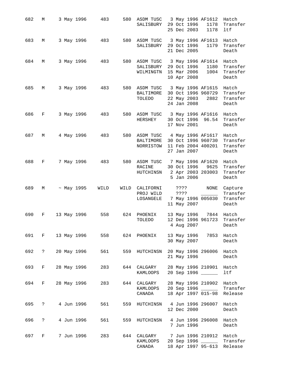| 682   | М        |  | 3 May 1996      | 483              | 580  | ASDM TUSC 3 May 1996 AF1612 Hatch<br>SALISBURY                  |  | 29 Oct 1996<br>25 Dec 2003                | 1178                                                       | 1178 Transfer<br>ltf                                        |
|-------|----------|--|-----------------|------------------|------|-----------------------------------------------------------------|--|-------------------------------------------|------------------------------------------------------------|-------------------------------------------------------------|
| 683   | М        |  | 3 May 1996      | 483              |      | 580 ASDM TUSC 3 May 1996 AF1613<br>SALISBURY                    |  | 29 Oct 1996<br>21 Dec 2005                | 1179                                                       | Hatch<br>Transfer<br>Death                                  |
| 684   | М        |  | 3 May 1996      | 483              |      | 580 ASDM TUSC 3 May 1996 AF1614 Hatch<br>SALISBURY<br>WILMINGTN |  | 29 Oct 1996<br>15 Mar 2006<br>10 Apr 2008 | 1180<br>1004                                               | Transfer<br>Transfer<br>Death                               |
| 685   | М        |  | 3 May 1996      | 483              |      | 580 ASDM TUSC 3 May 1996 AF1615<br>BALTIMORE<br>TOLEDO          |  | 22 May 2003<br>24 Jan 2008                | 30 Oct 1996 960729<br>2882                                 | Hatch<br>Transfer<br>Transfer<br>Death                      |
| 686   | $F \sim$ |  | 3 May 1996      | 483              |      | 580 ASDM TUSC 3 May 1996 AF1616 Hatch<br>HERSHEY                |  | 17 Nov 2001                               | 30 Oct 1996 96.54                                          | Transfer<br>Death                                           |
| 687   | М        |  | 4 May 1996      | 483              |      | 580 ASDM TUSC 4 May 1996 AF1617 Hatch<br>BALTIMORE<br>NORRISTOW |  | 27 Jan 2007                               | 30 Oct 1996 960730<br>11 Feb 2004 400201                   | Transfer<br>Transfer<br>Death                               |
| 688   | F        |  | 7 May 1996      | 483              |      | 580 ASDM TUSC 7 May 1996 AF1620 Hatch<br>RACINE<br>HUTCHINSN    |  | 5 Jan 2006                                | 30 Oct 1996 9625<br>2 Apr 2003 203003                      | Transfer<br>Transfer<br>Death                               |
|       |          |  |                 |                  |      |                                                                 |  |                                           |                                                            |                                                             |
| 689   | М        |  | $\sim$ May 1995 | WILD             | WILD | CALIFORNI<br>PROJ WILD<br>LOSANGELE                             |  | ????<br>? ? ? ?<br>11 May 2007            | NONE<br>7 May 1996 005030                                  | Capture<br>Transfer<br>Transfer<br>Death                    |
| 690   | F        |  | 13 May 1996     | 558              |      | 624 PHOENIX<br>TOLEDO                                           |  |                                           | 13 May 1996 7844 Hatch<br>12 Dec 1996 961723<br>4 Aug 2007 | Transfer<br>Death                                           |
|       |          |  |                 |                  |      | 691 F 13 May 1996 558 624 PHOENIX                               |  |                                           | 13 May 1996 7853 Hatch<br>30 May 2007                      | Death                                                       |
| 692 ? |          |  |                 |                  |      | 20 May 1996 561 559 HUTCHINSN                                   |  |                                           | 20 May 1996 296006 Hatch<br>21 May 1996                    | Death                                                       |
| 693   |          |  |                 |                  |      | F 28 May 1996 283 644 CALGARY<br>KAMLOOPS                       |  |                                           | 28 May 1996 210901 Hatch<br>20 Sep 1996 ______             | ltf                                                         |
| 694   |          |  |                 |                  |      | F 28 May 1996 283 644 CALGARY<br>KAMLOOPS<br>CANADA             |  |                                           | 28 May 1996 210902 Hatch                                   | 20 Sep 1996 ________ Transfer<br>18 Apr 1997 015-98 Release |
| 695   |          |  | ? 4 Jun 1996    | 561              |      | 559 HUTCHINSN 4 Jun 1996 296007 Hatch                           |  | 12 Dec 2000                               |                                                            | Death                                                       |
| 696   |          |  |                 | ? 4 Jun 1996 561 |      | 559 HUTCHINSN 4 Jun 1996 296008 Hatch                           |  | 7 Jun 1996                                |                                                            | Death                                                       |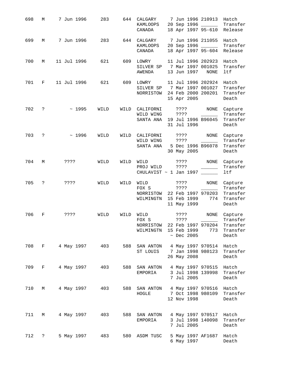| 698 | М                 | 7 Jun 1996           | 283  | 644  | ${\tt CALGARY}$<br>KAMLOOPS<br>CANADA                                           | 7 Jun 1996 210913<br>20 Sep 1996 ______<br>18 Apr 1997 95-610                |                                  | Hatch<br>Transfer<br>Release                         |
|-----|-------------------|----------------------|------|------|---------------------------------------------------------------------------------|------------------------------------------------------------------------------|----------------------------------|------------------------------------------------------|
| 699 | М                 | 7 Jun 1996           | 283  | 644  | CALGARY<br>KAMLOOPS<br>CANADA                                                   | 7 Jun 1996 211055<br>20 Sep 1996 ______<br>18 Apr 1997 95-604                |                                  | Hatch<br>Transfer<br>Release                         |
| 700 | М                 | 11 Jul 1996          | 621  | 609  | LOWRY<br>SILVER SP<br><b>AWENDA</b>                                             | 11 Jul 1996 202923<br>7 Mar 1997 001025<br>13 Jun 1997                       | <b>NONE</b>                      | Hatch<br>Transfer<br>ltf                             |
| 701 | F                 | 11 Jul 1996          | 621  | 609  | LOWRY<br>SILVER SP<br>NORRISTOW                                                 | 11 Jul 1996 202924<br>7 Mar 1997 001027<br>24 Feb 2000 200201<br>15 Apr 2005 |                                  | Hatch<br>Transfer<br>Transfer<br>Death               |
| 702 | ?                 | ~1995                | WILD | WILD | CALIFORNI<br>WILD WING<br>SANTA ANA                                             | ? ? ? ?<br>? ? ? ?<br>19 Jul 1996 B96045<br>31 Jul 1996                      | NONE                             | Capture<br>Transfer<br>Transfer<br>Death             |
| 703 | ?                 | ~1996                | WILD | WILD | CALIFORNI<br>WILD WING<br>SANTA ANA                                             | $??\; ?$<br>? ? ? ?<br>5 Dec 1996 B96078<br>30 May 2005                      | NONE<br><b>Contract Contract</b> | Capture<br>Transfer<br>Transfer<br>Death             |
| 704 | М                 | ? ? ? ?              | WILD | WILD | WILD<br>PROJ WILD<br>$CHULAVIST \sim 1$ Jan 1997                                | ????<br>3333                                                                 | <b>NONE</b>                      | Capture<br>Transfer<br>ltf                           |
| 705 | ?                 | ? ? ? ?              | WILD | WILD | WILD<br>FOX S<br>NORRISTOW<br>WILMINGTN                                         | ????<br>? ? ? ?<br>22 Feb 1997 970203<br>15 Feb 1999<br>11 May 1999          | NONE<br>774                      | Capture<br>Transfer<br>Transfer<br>Transfer<br>Death |
| 706 | F                 | ????                 | WILD | WILD | WILD<br>FOX S<br>NORRISTOW 22 Feb 1997 970204 Transfer<br>WILMINGTN 15 Feb 1999 | 3333<br>????<br>$~\sim$ Dec 2005                                             | NONE<br>773                      | Capture<br>Transfer<br>Transfer<br>Death             |
|     |                   | 708 F 4 May 1997 403 |      | 588  | SAN ANTON 4 May 1997 970514 Hatch<br>ST LOUIS 7 Jan 1998 980123                 | 26 May 2008                                                                  |                                  | Transfer<br>Death                                    |
| 709 | $F \sim 1$        | 4 May 1997 403       |      |      | 588 SAN ANTON 4 May 1997 970515 Hatch<br>EMPORIA                                | 3 Jul 1998 139998<br>7 Jul 2005                                              |                                  | Transfer<br>Death                                    |
| 710 | M                 | 4 May 1997           | 403  |      | 588 SAN ANTON 4 May 1997 970516 Hatch<br>HOGLE                                  | 7 Oct 1998 980109<br>12 Nov 1998                                             |                                  | Transfer<br>Death                                    |
| 711 | $M \sim$          | 4 May 1997           | 403  |      | 588 SAN ANTON<br>EMPORIA                                                        | 4 May 1997 970517 Hatch<br>3 Jul 1998 140098<br>7 Jul 2005                   |                                  | Transfer<br>Death                                    |
| 712 | $\ddot{\text{?}}$ | 5 May 1997           | 483  |      | 580 ASDM TUSC                                                                   | 5 May 1997 AF1687<br>6 May 1997                                              |                                  | Hatch<br>Death                                       |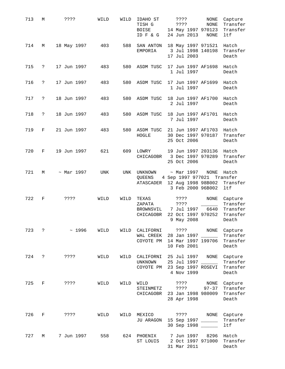| 713 | М                    | ????            | WILD | WILD | IDAHO ST<br>TISH G<br><b>BOISE</b><br>ID F & G | Capture<br>????<br>NONE<br>NONE<br>Transfer<br>? ? ? ?<br>14 May 1997 970123<br>Transfer<br>24 Jun 2013<br>NONE<br>ltf                    |
|-----|----------------------|-----------------|------|------|------------------------------------------------|-------------------------------------------------------------------------------------------------------------------------------------------|
| 714 | М                    | 18 May 1997     | 403  | 588  | SAN ANTON<br>EMPORIA                           | 18 May 1997 971521 Hatch<br>3 Jul 1998 140198<br>Transfer<br>17 Jul 2003<br>Death                                                         |
| 715 | $\ddot{?}$           | 17 Jun 1997     | 483  | 580  |                                                | ASDM TUSC 17 Jun 1997 AF1698 Hatch<br>1 Jul 1997<br>Death                                                                                 |
| 716 | $\ddot{ }$           | 17 Jun 1997     | 483  | 580  | ASDM TUSC                                      | 17 Jun 1997 AF1699<br>Hatch<br>1 Jul 1997<br>Death                                                                                        |
| 717 | $\ddot{\phantom{0}}$ | 18 Jun 1997     | 483  | 580  | ASDM TUSC                                      | 18 Jun 1997 AF1700<br>Hatch<br>2 Jul 1997<br>Death                                                                                        |
| 718 | $\ddot{\phantom{0}}$ | 18 Jun 1997     | 483  | 580  | ASDM TUSC                                      | 18 Jun 1997 AF1701 Hatch<br>7 Jul 1997<br>Death                                                                                           |
| 719 | F                    | 21 Jun 1997     | 483  |      | HOGLE                                          | 580 ASDM TUSC 21 Jun 1997 AF1703 Hatch<br>30 Dec 1997 970187<br>Transfer<br>25 Oct 2006<br>Death                                          |
| 720 | F                    | 19 Jun 1997     | 621  | 609  | LOWRY                                          | 19 Jun 1997 203136<br>Hatch<br>CHICAGOBR 3 Dec 1997 970289<br>Transfer<br>25 Oct 2006<br>Death                                            |
| 721 | М                    | $\sim$ Mar 1997 | UNK  |      | UNK UNKNOWN<br>QUEENS<br>ATASCADER             | $\sim$ Mar 1997<br>NONE<br>Hatch<br>4 Sep 1997 977021 Transfer<br>12 Aug 1998 98B002<br>Transfer<br>3 Feb 2000 96B002<br>ltf              |
| 722 | F                    | ????            | WILD | WILD | TEXAS<br>ZAPATA<br>BROWNSVIL<br>CHICAGOBR      | ? ? ? ?<br>NONE<br>Capture<br>Transfer<br>3333<br>7 Jul 1997<br>6640<br>Transfer<br>22 Oct 1997 970252<br>Transfer<br>9 May 2008<br>Death |
| 723 | S.                   | ~1996           | WILD | WILD | CALIFORNI<br>WAL CREEK<br>COYOTE PM            | ? ? ? ?<br><b>NONE</b><br>Capture<br>Transfer<br>28 Jan 1997<br>14 Mar 1997 199706<br>Transfer<br>10 Feb 2001<br>Death                    |
| 724 | $\ddot{ }$           | ????            | WILD | WILD | CALIFORNI<br><b>UNKNOWN</b><br>COYOTE PM       | 25 Jul 1997<br>NONE<br>Capture<br>Transfer<br>25 Jul 1997<br>23 Sep 1997 ROSEVI<br>Transfer<br>4 Nov 1999<br>Death                        |
| 725 | F                    | ????            | WILD | WILD | WILD<br>STEINMETZ<br>CHICAGOBR                 | NONE<br>Capture<br>????<br>$97 - 37$<br>Transfer<br>????<br>Transfer<br>23 Jan 1998 980009<br>28 Apr 1998<br>Death                        |
| 726 | F                    | ????            | WILD | WILD | MEXICO<br>JU ARAGON                            | ????<br>NONE<br>Capture<br>15 Sep 1997 ______<br>Transfer<br>30 Sep 1998 _____<br>ltf                                                     |
| 727 | М                    | 7 Jun 1997      | 558  | 624  | PHOENIX<br>ST LOUIS                            | 7 Jun 1997<br>8296<br>Hatch<br>2 Oct 1997 971000<br>Transfer<br>31 Mar 2011<br>Death                                                      |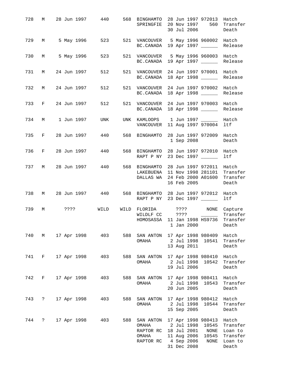| 728 |                   |               |             |                       |     | M 28 Jun 1997 440 568 BINGHAMTO 28 Jun 1997 972013 Hatch<br>SPRINGFIE 20 Nov 1997               |  | 30 Jul 2006               | 560                                                                  | Transfer<br>Death                                            |
|-----|-------------------|---------------|-------------|-----------------------|-----|-------------------------------------------------------------------------------------------------|--|---------------------------|----------------------------------------------------------------------|--------------------------------------------------------------|
| 729 |                   |               |             | M 5 May 1996 523      |     | 521 VANCOUVER 5 May 1996 960002 Hatch<br>BC.CANADA 19 Apr 1997 ______                           |  |                           |                                                                      | Release                                                      |
| 730 |                   | M 5 May 1996  |             | 523                   |     | 521 VANCOUVER 5 May 1996 960003<br>BC.CANADA 19 Apr 1997                                        |  |                           |                                                                      | Hatch<br>Release                                             |
| 731 | M                 |               | 24 Jun 1997 | 512                   |     | 521 VANCOUVER 24 Jun 1997 970001 Hatch<br>BC.CANADA 18 Apr 1998 ______                          |  |                           |                                                                      | Release                                                      |
| 732 | M                 |               | 24 Jun 1997 | 512                   |     | 521 VANCOUVER 24 Jun 1997 970002 Hatch<br>BC.CANADA 18 Apr 1998 ______                          |  |                           |                                                                      | Release                                                      |
| 733 |                   |               |             | F 24 Jun 1997 512     |     | 521 VANCOUVER 24 Jun 1997 970003<br>BC.CANADA 18 Apr 1998 _______                               |  |                           |                                                                      | Hatch<br>Release                                             |
| 734 |                   |               |             | M 1 Jun 1997 UNK      |     | UNK KAMLOOPS 1 Jun 1997<br>VANCOUVER                                                            |  |                           | 11 Aug 1997 970004                                                   | Hatch<br>ltf                                                 |
| 735 | $F \sim$          |               |             | 28 Jun 1997 440       |     | 568 BINGHAMTO                                                                                   |  | 1 Sep 2008                | 28 Jun 1997 972009 Hatch                                             | Death                                                        |
| 736 | $F =$             |               | 28 Jun 1997 | 440                   |     | 568 BINGHAMTO 28 Jun 1997 972010 Hatch<br>RAPT P NY 23 Dec 1997                                 |  |                           |                                                                      | ltf                                                          |
| 737 | M                 |               | 28 Jun 1997 | 440                   |     | 568 BINGHAMTO<br>LAKEBUENA<br>DALLAS WA                                                         |  | 16 Feb 2005               | 28 Jun 1997 972011 Hatch<br>11 Nov 1998 281101<br>24 Feb 2000 A01600 | Transfer<br>Transfer<br>Death                                |
| 738 | M                 |               |             | 28 Jun 1997 440       |     | 568 BINGHAMTO 28 Jun 1997 972012 Hatch<br>RAPT P NY 23 Dec 1997                                 |  |                           |                                                                      | ltf                                                          |
| 739 | M                 | ????          |             | WILD                  |     | WILD FLORIDA ???? NONE Capture<br>WILDLF CC ????<br>HOMOSASSA                                   |  |                           | 1 Jan 2000 Death                                                     | Transfer<br>11 Jan 1998 HS9736 Transfer                      |
| 740 |                   |               |             | M 17 Apr 1998 403     | 588 | SAN ANTON 17 Apr 1998 980409 Hatch<br>OMAHA                                                     |  | 13 Aug 2011               | 2 Jul 1998 10541                                                     | Transfer<br>Death                                            |
|     |                   |               |             | 741 F 17 Apr 1998 403 |     | 588 SAN ANTON 17 Apr 1998 980410 Hatch<br>OMAHA                                                 |  | 19 Jul 2006               |                                                                      | 2 Jul 1998 10542 Transfer<br>Death                           |
| 742 | $F \sim$          |               |             | 17 Apr 1998 403       | 588 | SAN ANTON 17 Apr 1998 980411 Hatch<br>OMAHA 2 Jul 1998 10543                                    |  | 20 Jun 2005               |                                                                      | Transfer<br>Death                                            |
| 743 |                   | ? 17 Apr 1998 |             | 403                   | 588 | SAN ANTON 17 Apr 1998 980412 Hatch<br>OMAHA                                                     |  | 15 Sep 2005               | 2 Jul 1998 10544                                                     | Transfer<br>Death                                            |
| 744 | $\ddot{\text{?}}$ |               |             | 17 Apr 1998 403       | 588 | SAN ANTON 17 Apr 1998 980413<br>OMAHA<br>RAPTOR RC 18 Jul 2001<br>OMAHA<br>RAPTOR RC 4 Sep 2006 |  | 2 Jul 1998<br>31 Dec 2008 | 10545<br>NONE<br>11 Aug 2006 10545<br>NONE                           | Hatch<br>Transfer<br>Loan to<br>Transfer<br>Loan to<br>Death |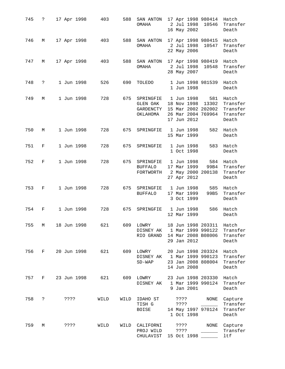| 745 | $\ddot{\text{?}}$ | 17 Apr 1998 403                                    |      | 588  | SAN ANTON 17 Apr 1998 980414 Hatch<br>OMAHA                                             | 2 Jul 1998 10546<br>16 May 2002        |                    |                         | Transfer<br>Death                                           |
|-----|-------------------|----------------------------------------------------|------|------|-----------------------------------------------------------------------------------------|----------------------------------------|--------------------|-------------------------|-------------------------------------------------------------|
| 746 | M                 | 17 Apr 1998 403                                    |      |      | 588 SAN ANTON 17 Apr 1998 980415 Hatch<br>OMAHA                                         | 2 Jul 1998 10547<br>22 May 2006        |                    |                         | Transfer<br>Death                                           |
| 747 | M                 | 17 Apr 1998                                        | 403  |      | 588 SAN ANTON 17 Apr 1998 980419 Hatch<br>OMAHA                                         | 2 Jul 1998 10548<br>28 May 2007        |                    |                         | Transfer<br>Death                                           |
| 748 | $\ddot{?}$        | 1 Jun 1998                                         | 526  | 690  | TOLEDO                                                                                  | 1 Jun 1998                             |                    | 1 Jun 1998 981539 Hatch | Death                                                       |
| 749 | M                 | 1 Jun 1998                                         | 728  | 675  | SPRINGFIE 1 Jun 1998<br>GLEN OAK<br>GARDENCTY 15 Mar 2002 202002<br>ОКLАНОМА            | 18 Nov 1998 13302<br>17 Jun 2012       |                    | 26 Mar 2004 769964      | 581 Hatch<br>Transfer<br>Transfer<br>Transfer<br>Death      |
| 750 | M                 | 1 Jun 1998                                         | 728  | 675  | SPRINGFIE 1 Jun 1998                                                                    | 15 Mar 1999                            |                    |                         | 582 Hatch<br>Death                                          |
| 751 | $F =$             | 1 Jun 1998                                         | 728  | 675  | SPRINGFIE 1 Jun 1998                                                                    | 1 Oct 1998                             |                    |                         | 583 Hatch<br>Death                                          |
| 752 | $F =$             | 1 Jun 1998                                         | 728  |      | 675 SPRINGFIE 1 Jun 1998<br>BUFFALO 17 Mar 1999<br>FORTWORTH 2 May 2000 200138 Transfer | 27 Apr 2012                            |                    |                         | 584 Hatch<br>99B4 Transfer<br>Death                         |
| 753 | $F \sim 100$      | 1 Jun 1998                                         | 728  | 675  | SPRINGFIE 1 Jun 1998 585 Hatch<br><b>BUFFALO</b>                                        | 17 Mar 1999 99B5<br>3 Oct 1999         |                    |                         | Transfer<br>Death                                           |
| 754 | $F \sim 1$        | 1 Jun 1998                                         |      |      | 728 675 SPRINGFIE 1 Jun 1998                                                            | 12 Mar 1999                            |                    |                         | 586 Hatch<br>Death                                          |
|     | 755 M             | 18 Jun 1998 621 609 LOWRY 18 Jun 1998 203311 Hatch |      |      | DISNEY AK 1 Mar 1999 990122<br>RIO GRAND 14 Mar 2008 B08006                             | 29 Jan 2012                            |                    |                         | Transfer<br>Transfer<br>Death                               |
| 756 | $F =$             | 20 Jun 1998 621                                    |      |      | 609 LOWRY 20 Jun 1998 203324<br>DISNEY AK 1 Mar 1999 990123<br>$SD-WAP$                 | 14 Jun 2008                            |                    | 23 Jan 2008 808004      | Hatch<br>Transfer<br>Transfer<br>Death                      |
| 757 | $F$ and $F$       | 23 Jun 1998                                        | 621  |      | 609 LOWRY<br>DISNEY AK 1 Mar 1999 990124                                                | 23 Jun 1998 203330 Hatch<br>9 Jan 2001 |                    |                         | Transfer<br>Death                                           |
| 758 | $\ddot{?}$        | ????                                               | WILD | WILD | IDAHO ST<br>TISH G<br><b>BOISE</b>                                                      | ? ? ? ?<br>????<br>1 Oct 1998          |                    | NONE                    | Capture<br>Transfer<br>14 May 1997 970124 Transfer<br>Death |
| 759 | М                 | $??\$                                              | WILD | WILD | CALIFORNI<br>PROJ WILD<br>CHULAVIST 15 Oct 1998 ______                                  |                                        | ? ? ? ?<br>? ? ? ? | NONE                    | Capture<br>Transfer<br>ltf                                  |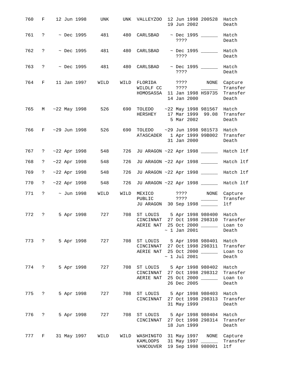| 760 |                         |  | F 12 Jun 1998        | UNK                  |      | UNK VALLEYZOO 12 Jun 1998 200528 Hatch                                                             | 19 Jun 2002                                                  | Death                                    |
|-----|-------------------------|--|----------------------|----------------------|------|----------------------------------------------------------------------------------------------------|--------------------------------------------------------------|------------------------------------------|
| 761 | $\ddot{\mathbf{?}}$     |  |                      | $\sim$ Dec 1995 481  |      | 480 CARLSBAD ~ Dec 1995 _______ Hatch                                                              | ? ? ? ?                                                      | Death                                    |
| 762 | $\ddot{?}$              |  | $\sim$ Dec 1995      | 481                  |      | 480 CARLSBAD ~ Dec 1995 ______                                                                     | ? ? ? ?                                                      | Hatch<br>Death                           |
| 763 | $\ddot{\hspace{0.5cm}}$ |  |                      | $\sim$ Dec 1995 481  |      | 480 CARLSBAD ~ Dec 1995                                                                            | ? ? ? ?                                                      | Hatch<br>Death                           |
| 764 |                         |  |                      | F 11 Jan 1997 WILD   |      | WILD FLORIDA ???? NONE<br>WILDLF $CC$ ???? ___<br>HOMOSASSA 11 Jan 1998 HS9735                     | 14 Jan 2000                                                  | Capture<br>Transfer<br>Transfer<br>Death |
|     |                         |  |                      |                      |      | 765 M ~22 May 1998 526 690 TOLEDO ~22 May 1998 981567 Hatch<br>HERSHEY 17 Mar 1999 99.08           | 5 Mar 2002                                                   | Transfer<br>Death                        |
| 766 |                         |  |                      |                      |      | F $\sim$ 29 Jun 1998 526 690 TOLEDO $\sim$ 29 Jun 1998 981573 Hatch<br>ATASCADER 1 Apr 1999 99B002 | 31 Jan 2000                                                  | Transfer<br>Death                        |
| 767 |                         |  | ? $~22$ Apr 1998     | 548                  |      | 726 JU ARAGON ~22 Apr 1998 ______                                                                  |                                                              | Hatch ltf                                |
| 768 |                         |  | ? $~22$ Apr 1998     | 548                  |      | 726 JU ARAGON ~22 Apr 1998 ______                                                                  |                                                              | Hatch ltf                                |
| 769 |                         |  | $? \sim 22$ Apr 1998 | 548                  | 726  | JU ARAGON ~22 Apr 1998 ______                                                                      |                                                              | Hatch ltf                                |
| 770 | $\ddot{\mathbf{?}}$     |  | $~22$ Apr 1998       | 548                  | 726  | JU ARAGON ~22 Apr 1998 ______                                                                      |                                                              | Hatch ltf                                |
| 771 |                         |  | $? \t~ v$ Jun 1998   | WILD                 | WILD | MEXICO ???? NONE<br>PUBLIC ????<br>JU ARAGON 30 Sep 1998 ______                                    |                                                              | Capture<br>Transfer<br>ltf               |
| 772 | $\ddot{\text{?}}$       |  |                      | 5 Apr 1998 727       |      | 708 ST LOUIS 5 Apr 1998 980400 Hatch<br>CINCINNAT<br>AERIE NAT 25 Oct 2000 _________ Loan to       | 27 Oct 1998 298310<br>$\sim$ 1 Jan 2001                      | Transfer<br>Death                        |
|     |                         |  |                      | 773 ? 5 Apr 1998 727 |      | 708 ST LOUIS 5 Apr 1998 980401<br>CINCINNAT 27 Oct 1998 298311<br>AERIE NAT 25 Oct 2000 ______     | $\sim$ 1 Jul 2001                                            | Hatch<br>Transfer<br>Loan to<br>Death    |
| 774 | $\ddot{\text{?}}$       |  |                      | 5 Apr 1998 727       |      | 708 ST LOUIS 5 Apr 1998 980402<br>CINCINNAT<br>AERIE NAT                                           | 27 Oct 1998 298312<br>25 Oct 2000 _____<br>26 Dec 2005       | Hatch<br>Transfer<br>Loan to<br>Death    |
|     | 775 ?                   |  | 5 Apr 1998           | 727                  |      | 708 ST LOUIS 5 Apr 1998 980403 Hatch<br>CINCINNAT 27 Oct 1998 298313                               | 31 May 1999                                                  | Transfer<br>Death                        |
|     | 776 ?                   |  | 5 Apr 1998           | 727                  | 708  | ST LOUIS 5 Apr 1998 980404<br>CINCINNAT 27 Oct 1998 298314                                         | 18 Jun 1999                                                  | Hatch<br>Transfer<br>Death               |
| 777 |                         |  |                      | F 31 May 1997 WILD   | WILD | WASHINGTO<br>KAMLOOPS<br>VANCOUVER                                                                 | 31 May 1997 NONE<br>31 May 1997 ______<br>19 Sep 1998 980001 | Capture<br>Transfer<br>ltf               |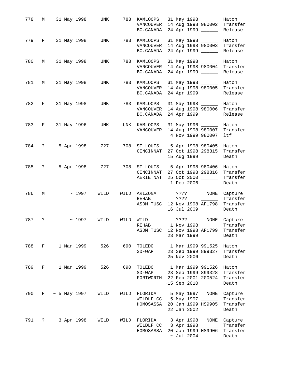| 778   |         |                                 |              | M 31 May 1998 UNK       |      | 783 KAMLOOPS<br>VANCOUVER<br>BC.CANADA                                                                   |  |                 | 31 May 1998 ______<br>14 Aug 1998 980002<br>24 Apr 1999 _____   | Hatch<br>Transfer<br>Release             |
|-------|---------|---------------------------------|--------------|-------------------------|------|----------------------------------------------------------------------------------------------------------|--|-----------------|-----------------------------------------------------------------|------------------------------------------|
| 779   |         |                                 |              | F 31 May 1998 UNK       |      | 783 KAMLOOPS<br>VANCOUVER<br>BC.CANADA                                                                   |  |                 | 31 May 1998 _______<br>14 Aug 1998 980003<br>24 Apr 1999 ______ | Hatch<br>Transfer<br>Release             |
| 780   |         | M 31 May 1998                   |              | UNK                     |      | 783 KAMLOOPS<br>VANCOUVER<br>BC.CANADA                                                                   |  |                 | 31 May 1998 ______<br>14 Aug 1998 980004<br>24 Apr 1999 ______  | Hatch<br>Transfer<br>Release             |
| 781   |         | M 31 May 1998                   |              | <b>UNK</b>              |      | 783 KAMLOOPS<br>VANCOUVER<br>BC.CANADA                                                                   |  |                 | 31 May 1998<br>14 Aug 1998 980005<br>24 Apr 1999                | Hatch<br>Transfer<br>Release             |
| 782   |         | F 31 May 1998                   |              | <b>UNK</b>              |      | 783 KAMLOOPS<br>VANCOUVER<br>BC.CANADA                                                                   |  |                 | 31 May 1998 ______<br>14 Aug 1998 980006<br>24 Apr 1999 _____   | Hatch<br>Transfer<br>Release             |
| 783   |         | F 31 May 1996                   |              | UNK                     |      | UNK KAMLOOPS<br>VANCOUVER                                                                                |  |                 | 31 May 1996 ______<br>14 Aug 1998 980007<br>4 Nov 1999 980007   | Hatch<br>Transfer<br>ltf                 |
| 784   |         | 5 Apr 1998<br>$\ddot{?}$        |              | 727                     |      | 708 ST LOUIS 5 Apr 1998 980405 Hatch<br>CINCINNAT                                                        |  |                 | 27 Oct 1998 298315<br>15 Aug 1999                               | Transfer<br>Death                        |
| 785   |         | 5 Apr 1998<br>$\ddot{\text{?}}$ |              | 727                     |      | 708 ST LOUIS 5 Apr 1998 980406 Hatch<br>CINCINNAT<br>AERIE NAT                                           |  | 1 Dec 2006      | 27 Oct 1998 298316<br>25 Oct 2000 ______                        | Transfer<br>Transfer<br>Death            |
| 786   | М       |                                 | ~1997        | WILD                    |      | WILD ARIZONA ????<br>REHAB<br>ASDM TUSC 12 Nov 1998 AF1798                                               |  | 16 Jul 2009     | NONE                                                            | Capture<br>Transfer<br>Transfer<br>Death |
| 787   | $\cdot$ |                                 | $~\sim~1997$ | WILD                    | WILD | WILD<br>REHAB 1 Nov 1998 ________ Transfer<br>ASDM TUSC 12 Nov 1998 AF1799 Transfer                      |  | 23 Mar 1999     |                                                                 | ???? NONE Capture<br>Death               |
|       |         |                                 |              |                         |      | 788 F 1 Mar 1999 526 690 TOLEDO 1 Mar 1999 991525 Hatch<br>SD-WAP 23 Sep 1999 899327 Transfer            |  | 25 Nov 2006     |                                                                 | Death                                    |
| 789   |         |                                 |              | F 1 Mar 1999 526        |      | 690 TOLEDO 1 Mar 1999 991526 Hatch<br>SD-WAP 23 Sep 1999 899328 Transfer<br>FORTWORTH 22 Feb 2001 200524 |  | $~15$ Sep 2010  |                                                                 | Transfer<br>Death                        |
|       |         |                                 |              | 790 F ~ 5 May 1997 WILD |      | WILD FLORIDA 5 May 1997 NONE<br>WILDLF CC 5 May 1997 _______<br>HOMOSASSA 20 Jan 1999 HS9905 Transfer    |  | 22 Jan 2002     |                                                                 | Capture<br>Transfer<br>Death             |
| 791 ? |         |                                 |              | 3 Apr 1998 WILD         |      | WILD FLORIDA 3 Apr 1998 NONE Capture<br>WILDLF $CC$ 3 Apr 1998 $\frac{1}{2}$<br>HOMOSASSA                |  | $\sim$ Jul 2004 | 20 Jan 1999 HS9906                                              | Transfer<br>Transfer<br>Death            |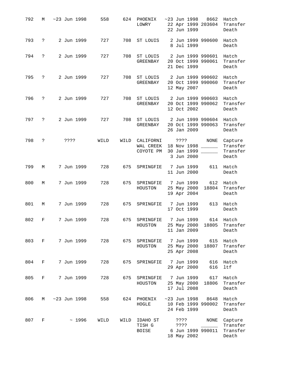| 792 | М                    |      | $\sim$ 23 Jun 1998 | 558  |      | 624 PHOENIX<br>LOWRY                                        |                     | 22 Jun 1999                              | $~23$ Jun 1998 8662<br>22 Apr 1999 203604 | Hatch<br>Transfer<br>Death                       |
|-----|----------------------|------|--------------------|------|------|-------------------------------------------------------------|---------------------|------------------------------------------|-------------------------------------------|--------------------------------------------------|
| 793 | $\ddot{?}$           |      | 2 Jun 1999         | 727  | 708  | ST LOUIS                                                    |                     | 8 Jul 1999                               | 2 Jun 1999 990600                         | Hatch<br>Death                                   |
| 794 | $\ddot{\text{?}}$    |      | 2 Jun 1999         | 727  | 708  | ST LOUIS 2 Jun 1999 990601 Hatch<br>GREENBAY                |                     | 21 Dec 1999                              | 20 Oct 1999 990061                        | Transfer<br>Death                                |
| 795 | $\ddot{\phantom{0}}$ |      | 2 Jun 1999         | 727  |      | 708 ST LOUIS 2 Jun 1999 990602 Hatch<br>GREENBAY            |                     | 12 May 2007                              | 20 Oct 1999 990060                        | Transfer<br>Death                                |
| 796 | $\ddot{?}$           |      | 2 Jun 1999         | 727  | 708  | ST LOUIS 2 Jun 1999 990603<br>GREENBAY                      |                     | 12 Oct 2002                              | 20 Oct 1999 990062                        | Hatch<br>Transfer<br>Death                       |
| 797 | $\ddot{\mathbf{?}}$  |      | 2 Jun 1999         | 727  | 708  | ST LOUIS 2 Jun 1999 990604<br>GREENBAY                      |                     | 26 Jan 2009                              | 20 Oct 1999 990063                        | Hatch<br>Transfer<br>Death                       |
| 798 | $\mathsf{?}$         | ???? |                    | WILD |      | WILD CALIFORNI<br>WAL CREEK 18 Nov 1998 ______<br>COYOTE PM |                     | 3 Jun 2000                               | ???? NONE<br>30 Jan 1999 ______           | Capture<br>Transfer<br>Transfer<br>Death         |
| 799 | М                    |      | 7 Jun 1999         | 728  | 675  | SPRINGFIE 7 Jun 1999                                        |                     | 11 Jun 2000                              |                                           | 611 Hatch<br>Death                               |
| 800 | М                    |      | 7 Jun 1999         | 728  | 675  | SPRINGFIE 7 Jun 1999<br>HOUSTON                             |                     | 25 May 2000<br>19 Apr 2004               | 18804                                     | 612 Hatch<br>Transfer<br>Death                   |
| 801 | M                    |      | 7 Jun 1999         | 728  | 675  | SPRINGFIE                                                   |                     | 7 Jun 1999<br>17 Oct 1999                |                                           | 613 Hatch<br>Death                               |
| 802 | $F \sim 1$           |      | 7 Jun 1999         | 728  | 675  | SPRINGFIE<br>HOUSTON                                        |                     | 7 Jun 1999<br>11 Jan 2009                |                                           | 614 Hatch<br>25 May 2000 18805 Transfer<br>Death |
| 803 | $F \sim 1$           |      | 7 Jun 1999         | 728  | 675  | SPRINGFIE<br>HOUSTON                                        |                     | 7 Jun 1999<br>25 May 2000<br>25 Apr 2008 | 615<br>18807                              | Hatch<br>Transfer<br>Death                       |
| 804 | $F =$                |      | 7 Jun 1999         | 728  | 675  | SPRINGFIE                                                   |                     | 7 Jun 1999<br>29 Apr 2000                | 616<br>616                                | Hatch<br>ltf                                     |
| 805 | $F \sim$             |      | 7 Jun 1999         | 728  |      | 675 SPRINGFIE<br>HOUSTON                                    |                     | 7 Jun 1999<br>25 May 2000<br>17 Jul 2008 | 617<br>18806                              | Hatch<br>Transfer<br>Death                       |
| 806 | М                    |      | ~1998              | 558  |      | 624 PHOENIX<br>HOGLE                                        |                     | ~1998<br>24 Feb 1999                     | 8648<br>10 Feb 1999 990002                | Hatch<br>Transfer<br>Death                       |
| 807 | F                    |      | ~1996              | WILD | WILD | IDAHO ST<br>TISH G<br><b>BOISE</b>                          | ? ? ? ?<br>$??\ ??$ | 18 May 2002                              | NONE<br>6 Jun 1999 990011                 | Capture<br>Transfer<br>Transfer<br>Death         |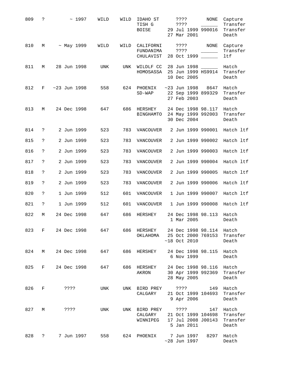| 809 | ?                   | ~1997            | WILD<br>WILD | IDAHO ST<br>TISH G<br><b>BOISE</b>  | ? ? ? ?<br>????<br>29 Jul 1999 990016<br>27 Mar 2001                | NONE | Capture<br>Transfer<br>Transfer<br>Death |
|-----|---------------------|------------------|--------------|-------------------------------------|---------------------------------------------------------------------|------|------------------------------------------|
| 810 | М                   | $~\sim$ May 1999 | WILD<br>WILD | CALIFORNI<br>FUNDANIMA<br>CHULAVIST | 3333<br>? ? ? ?<br>28 Oct 1999 _____                                | NONE | Capture<br>Transfer<br>ltf               |
| 811 | М                   | 28 Jun 1998      | UNK<br>UNK   | WILDLF CC<br>HOMOSASSA              | 28 Jun 1998 _____<br>25 Jun 1999 HS9914<br>10 Dec 2005              |      | Hatch<br>Transfer<br>Death               |
| 812 | F                   | ~1998            | 558<br>624   | PHOENIX<br>$SD-WAP$                 | ~23 Jun 1998<br>22 Sep 1999 899329<br>27 Feb 2003                   | 8647 | Hatch<br>Transfer<br>Death               |
| 813 | М                   | 24 Dec 1998      | 647<br>686   | HERSHEY<br><b>BINGHAMTO</b>         | 24 Dec 1998 98.117<br>24 May 1999 992003<br>30 Dec 2004             |      | Hatch<br>Transfer<br>Death               |
| 814 | $\ddot{\cdot}$      | 2 Jun 1999       | 523<br>783   | VANCOUVER                           | 2 Jun 1999 990001                                                   |      | Hatch ltf                                |
| 815 | ?                   | 2 Jun 1999       | 523<br>783   | VANCOUVER                           | 2 Jun 1999 990002                                                   |      | Hatch ltf                                |
| 816 | ?                   | 2 Jun 1999       | 523<br>783   | VANCOUVER                           | 2 Jun 1999 990003                                                   |      | Hatch ltf                                |
| 817 | ?                   | 2 Jun 1999       | 523<br>783   | VANCOUVER                           | 2 Jun 1999 990004                                                   |      | Hatch ltf                                |
| 818 | ?                   | 2 Jun 1999       | 523<br>783   | VANCOUVER                           | 2 Jun 1999 990005                                                   |      | Hatch ltf                                |
| 819 | ?                   | 2 Jun 1999       | 523<br>783   | VANCOUVER                           | 2 Jun 1999 990006                                                   |      | Hatch ltf                                |
| 820 | ?                   | 1 Jun 1999       | 512<br>601   | VANCOUVER                           | 1 Jun 1999 990007                                                   |      | Hatch ltf                                |
| 821 | ?                   | 1 Jun 1999       | 512<br>601   | VANCOUVER                           | 1 Jun 1999 990008                                                   |      | Hatch ltf                                |
| 822 | М                   | 24 Dec 1998      | 647<br>686   | HERSHEY                             | 24 Dec 1998 98.113<br>1 Mar 2005                                    |      | Hatch<br>Death                           |
| 823 | F                   | 24 Dec 1998      | 647<br>686   | HERSHEY                             | 24 Dec 1998 98.114<br>OKLAHOMA 25 Oct 2000 769153<br>$~18$ Oct 2010 |      | Hatch<br>Transfer<br>Death               |
| 824 | М                   | 24 Dec 1998 647  | 686          | HERSHEY                             | 24 Dec 1998 98.115<br>6 Nov 1999                                    |      | Hatch<br>Death                           |
| 825 | F                   | 24 Dec 1998      | 686<br>647   | HERSHEY<br>AKRON                    | 24 Dec 1998 98.116<br>30 Apr 1999 992369<br>28 May 2005             |      | Hatch<br>Transfer<br>Death               |
| 826 | F                   | ? ? ? ?          | UNK<br>UNK   | BIRD PREY<br>CALGARY                | ????<br>21 Oct 1999 104693<br>9 Apr 2006                            | 149  | Hatch<br>Transfer<br>Death               |
| 827 | М                   | ????             | UNK<br>UNK   | BIRD PREY<br>CALGARY<br>WINNIPEG    | ????<br>21 Oct 1999 104698<br>17 Jul 2008 J00143<br>5 Jan 2011      | 147  | Hatch<br>Transfer<br>Transfer<br>Death   |
| 828 | $\ddot{\textbf{?}}$ | 7 Jun 1997       | 558          | 624 PHOENIX                         | 7 Jun 1997<br>$~28$ Jun 1997                                        | 8297 | Hatch<br>Death                           |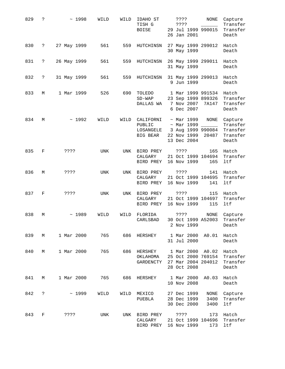| 829 | S.                   | ~1998       | WILD | WILD | IDAHO ST<br>TISH G<br><b>BOISE</b>           | ? ? ? ?<br>NONE<br>Capture<br>Transfer<br>? ? ? ?<br>29 Jul 1999 990015<br>Transfer<br>26 Jan 2001<br>Death                                                |
|-----|----------------------|-------------|------|------|----------------------------------------------|------------------------------------------------------------------------------------------------------------------------------------------------------------|
| 830 | S.                   | 27 May 1999 | 561  | 559  | HUTCHINSN                                    | 27 May 1999 299012<br>Hatch<br>30 May 1999<br>Death                                                                                                        |
| 831 | ?                    | 26 May 1999 | 561  | 559  | HUTCHINSN                                    | 26 May 1999 299011<br>Hatch<br>31 May 1999<br>Death                                                                                                        |
| 832 | ?                    | 31 May 1999 | 561  | 559  | HUTCHINSN                                    | 31 May 1999 299013<br>Hatch<br>9 Jun 1999<br>Death                                                                                                         |
| 833 | М                    | 1 Mar 1999  | 526  | 690  | TOLEDO<br>$SD-WAP$<br>DALLAS WA              | 1 Mar 1999 991534<br>Hatch<br>23 Sep 1999 899326<br>Transfer<br>7 Nov 2007<br>7A147<br>Transfer<br>6 Dec 2007<br>Death                                     |
| 834 | М                    | ~1992       | WILD | WILD | CALIFORNI<br>PUBLIC<br>LOSANGELE<br>BIG BEAR | ~ Mar 1999<br>NONE<br>Capture<br>$~\sim$ Mar 1999<br>Transfer<br>3 Aug 1999 990084<br>Transfer<br>22 Nov 1999<br>20487<br>Transfer<br>13 Dec 2004<br>Death |
| 835 | F                    | ? ? ? ?     | UNK  | UNK  | BIRD PREY<br>CALGARY<br>BIRD PREY            | 165<br>Hatch<br>3333<br>21 Oct 1999 104694<br>Transfer<br>16 Nov 1999<br>165<br>ltf                                                                        |
| 836 | М                    | 3333        | UNK  | UNK  | BIRD PREY<br>CALGARY<br>BIRD PREY            | 141<br>Hatch<br>3333<br>21 Oct 1999 104695<br>Transfer<br>16 Nov 1999<br>141<br>ltf                                                                        |
| 837 | F                    | ? ? ? ?     | UNK  | UNK  | BIRD PREY<br>CALGARY<br>BIRD PREY            | ????<br>115<br>Hatch<br>21 Oct 1999 104697<br>Transfer<br>16 Nov 1999<br>ltf<br>115                                                                        |
| 838 | М                    | ~1989       | WILD | WILD | FLORIDA<br>CARLSBAD                          | ????<br>NONE<br>Capture<br>30 Oct 1999 A52003<br>Transfer<br>2 Nov 1999<br>Death                                                                           |
| 839 | M                    | 1 Mar 2000  | 765  |      |                                              | 686 HERSHEY 1 Mar 2000 A0.01 Hatch<br>31 Jul 2000<br>Death                                                                                                 |
| 840 | M                    | 1 Mar 2000  | 765  | 686  | OKLAHOMA<br>GARDENCTY                        | HERSHEY 1 Mar 2000 A0.02<br>Hatch<br>25 Oct 2000 769154<br>Transfer<br>27 Mar 2004 204012<br>Transfer<br>28 Oct 2008<br>Death                              |
| 841 | M                    | 1 Mar 2000  | 765  |      |                                              | 686 HERSHEY 1 Mar 2000<br>AO.03<br>Hatch<br>10 Nov 2008<br>Death                                                                                           |
| 842 | $\ddot{\phantom{0}}$ | $\sim 1999$ | WILD |      | WILD MEXICO<br>PUEBLA                        | 27 Dec 1999<br>NONE<br>Capture<br>3400<br>28 Dec 1999<br>Transfer<br>30 Dec 2000<br>3400<br>ltf                                                            |
| 843 | F                    | ? ? ? ?     | UNK  |      | UNK BIRD PREY<br>CALGARY<br>BIRD PREY        | 173<br>Hatch<br>? ? ? ?<br>21 Oct 1999 104696<br>Transfer<br>16 Nov 1999<br>173<br>ltf                                                                     |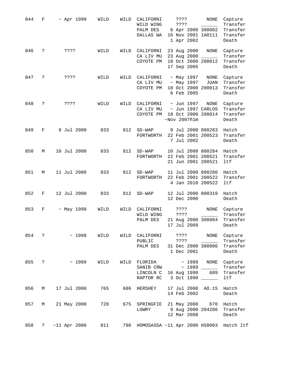| 844 | F                   | $~\sim$ Apr 1999                 | WILD | WILD | CALIFORNI<br>WILD WING<br>PALM DES<br>DALLAS WA                                   | ? ? ? ?<br>? ? ? ?<br>6 Apr 2000 300002<br>16 Nov 2001 1A0111<br>1 Apr 2002            | NONE               | Capture<br>Transfer<br>Transfer<br>Transfer<br>Death |
|-----|---------------------|----------------------------------|------|------|-----------------------------------------------------------------------------------|----------------------------------------------------------------------------------------|--------------------|------------------------------------------------------|
| 846 | ?                   | ? ? ? ?                          | WILD | WILD | CALIFORNI<br>CA LIV MU<br>COYOTE PM                                               | 23 Aug 2000<br>23 Aug 2000<br>18 Oct 2000 200012<br>17 Sep 2005                        | <b>NONE</b>        | Capture<br>Transfer<br>Transfer<br>Death             |
| 847 | ?                   | ????                             | WILD | WILD | CALIFORNI<br>CA LIV MU<br>COYOTE PM                                               | $~\sim$ May 1997<br>~ May 1997<br>18 Oct 2000 200013<br>6 Feb 2005                     | NONE<br>JUAN       | Capture<br>Transfer<br>Transfer<br>Death             |
| 848 | ?                   | ????                             | WILD | WILD | CALIFORNI<br>CA LIV MU<br>COYOTE PM                                               | $\sim$ Jun 1997<br>$\sim$ Jun 1997 CARLOS<br>18 Oct 2000 200014<br>$~\sim$ Nov 2007ñ1m | NONE               | Capture<br>Transfer<br>Transfer<br>Death             |
| 849 | F                   | 9 Jul 2000                       | 833  | 812  | $SD-WAP$<br>FORTWORTH                                                             | 9 Jul 2000 800283<br>22 Feb 2001 200523<br>7 Jul 2002                                  |                    | Hatch<br>Transfer<br>Death                           |
| 850 | М                   | 10 Jul 2000                      | 833  | 812  | $SD-WAP$<br>FORTWORTH                                                             | 10 Jul 2000 800284<br>22 Feb 2001 200521<br>21 Jun 2001 200521                         |                    | Hatch<br>Transfer<br>ltf                             |
| 851 | М                   | 11 Jul 2000                      | 833  | 812  | $SD-WAP$<br>FORTWORTH                                                             | 11 Jul 2000 800286<br>22 Feb 2001 200522<br>4 Jan 2010 200522                          |                    | Hatch<br>Transfer<br>ltf                             |
| 852 | F                   | 12 Jul 2000                      | 833  | 812  | $SD-WAP$                                                                          | 12 Jul 2000 800319<br>12 Dec 2000                                                      |                    | Hatch<br>Death                                       |
| 853 | F                   | ~ May 1999                       | WILD | WILD | CALIFORNI<br>WILD WING<br>PALM DES                                                | ????<br>? ? ? ?<br>21 Aug 2000 300004<br>17 Jul 2009                                   | NONE               | Capture<br>Transfer<br>Transfer<br>Death             |
|     |                     | 854 ?<br>~1998                   | WILD | WILD | CALIFORNI ????<br>PUBLIC<br>PALM DES                                              | ? ? ? ?<br>31 Dec 2000 300006<br>1 Dec 2001                                            | NONE               | Capture<br>Transfer<br>Transfer<br>Death             |
| 855 |                     | $\sim 1989$<br>$\ddot{\text{?}}$ | WILD |      | WILD FLORIDA<br>SANIB CRW<br>LINCOLN C 16 Aug 1990<br>RAPTOR RC 3 Oct 1990 ______ | $\sim$ 1989 ______                                                                     | ~ 1989 NONE<br>689 | Capture<br>Transfer<br>Transfer<br>ltf               |
| 856 | М                   | 17 Jul 2000                      | 765  | 686  | HERSHEY 17 Jul 2000                                                               | 14 Feb 2002                                                                            | AO.15              | Hatch<br>Death                                       |
| 857 | M                   | 21 May 2000                      | 728  |      | 675 SPRINGFIE<br>LOWRY                                                            | 21 May 2000 670 Hatch<br>12 Mar 2008                                                   |                    | 9 Aug 2000 204286 Transfer<br>Death                  |
| 858 | $\ddot{\mathbf{?}}$ | $~11$ Apr 2000                   | 811  |      | 790 HOMOSASSA ~11 Apr 2000 HS0003 Hatch ltf                                       |                                                                                        |                    |                                                      |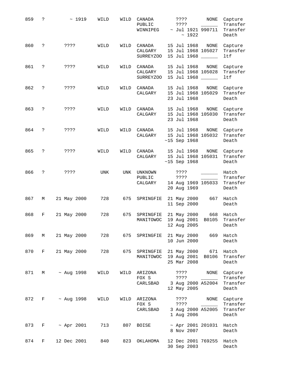| 859 | ċ.       | ~1919            | WILD | WILD | CANADA<br>PUBLIC<br>WINNIPEG   | ? ? ? ?<br>NONE<br>? ? ? ?<br>$~\sim$ Jul 1921 990711<br>~1922        | Capture<br>Transfer<br>Transfer<br>Death |
|-----|----------|------------------|------|------|--------------------------------|-----------------------------------------------------------------------|------------------------------------------|
| 860 | S.       | ? ? ? ?          | WILD | WILD | CANADA<br>CALGARY<br>SURREYZOO | 15 Jul 1968<br>$\rm{NONE}$<br>15 Jul 1968 105027<br>15 Jul 1968 _____ | Capture<br>Transfer<br>ltf               |
| 861 | S.       | ????             | WILD | WILD | CANADA<br>CALGARY<br>SURREYZOO | 15 Jul 1968<br>NONE<br>15 Jul 1968 105028<br>15 Jul 1968              | Capture<br>Transfer<br>ltf               |
| 862 | S.       | ? ? ? ?          | WILD | WILD | CANADA<br>CALGARY              | 15 Jul 1968<br>NONE<br>15 Jul 1968 105029<br>23 Jul 1968              | Capture<br>Transfer<br>Death             |
| 863 | ?        | ? ? ? ?          | WILD | WILD | CANADA<br>CALGARY              | 15 Jul 1968<br><b>NONE</b><br>15 Jul 1968 105030<br>23 Jul 1968       | Capture<br>Transfer<br>Death             |
| 864 | ?        | ? ? ? ?          | WILD | WILD | CANADA<br>CALGARY              | 15 Jul 1968<br><b>NONE</b><br>15 Jul 1968 105032<br>$~15$ Sep 1968    | Capture<br>Transfer<br>Death             |
| 865 | ?        | ????             | WILD | WILD | CANADA<br>CALGARY              | 15 Jul 1968<br>$\rm{NONE}$<br>15 Jul 1968 105031<br>$~15$ Sep 1968    | Capture<br>Transfer<br>Death             |
| 866 | ?        | ? ? ? ?          | UNK  | UNK  | UNKNOWN<br>PUBLIC<br>CALGARY   | ????<br>????<br>14 Aug 1969 105033<br>20 Aug 1969                     | Hatch<br>Transfer<br>Transfer<br>Death   |
| 867 | М        | 21 May 2000      | 728  | 675  | SPRINGFIE                      | 21 May 2000<br>11 Sep 2000                                            | 667<br>Hatch<br>Death                    |
| 868 | F        | 21 May 2000      | 728  | 675  | SPRINGFIE<br>MANITOWOC         | 21 May 2000<br>19 Aug 2001<br>B0105<br>12 Aug 2005                    | 668<br>Hatch<br>Transfer<br>Death        |
| 869 | М        | 21 May 2000      | 728  | 675  | SPRINGFIE                      | 21 May 2000 669<br>10 Jun 2000                                        | Hatch<br>Death                           |
| 870 | F        | 21 May 2000      | 728  | 675  | SPRINGFIE<br>MANITOWOC         | 21 May 2000<br>671<br>19 Aug 2001<br>B0106<br>25 Mar 2008             | Hatch<br>Transfer<br>Death               |
| 871 | М        | $~\sim$ Aug 1998 | WILD | WILD | ARIZONA<br>FOX S               | ????<br>NONE<br>$\overline{\phantom{a}}$<br>? ? ? ?                   | Capture<br>Transfer                      |
|     |          |                  |      |      | CARLSBAD                       | 3 Aug 2000 A52004<br>12 May 2005                                      | Transfer<br>Death                        |
| 872 | $F \sim$ | ~ Aug 1998       | WILD | WILD | ARIZONA<br>FOX S               | NONE<br>????<br>3333                                                  | Capture<br>Transfer                      |
|     |          |                  |      |      | CARLSBAD                       | 3 Aug 2000 A52005<br>1 Aug 2006                                       | Transfer<br>Death                        |
| 873 | F        | $~\sim$ Apr 2001 | 713  | 807  | BOISE                          | $~\sim$ Apr 2001 201031<br>8 Nov 2007                                 | Hatch<br>Death                           |
| 874 | F        | 12 Dec 2001      | 840  | 823  | ОКLАНОМА                       | 12 Dec 2001 769255<br>30 Sep 2003                                     | Hatch<br>Death                           |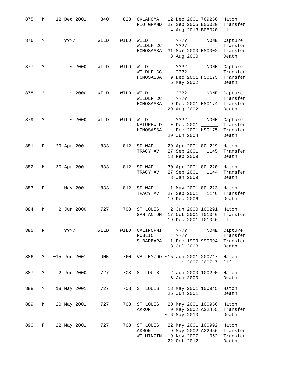| 875 | М                    | 12 Dec 2001    | 840  | 823  | OKLAHOMA<br>RIO GRAND                   | 12 Dec 2001 769256<br>27 Sep 2005 B05020<br>14 Aug 2013 B05020       |                                     | Hatch<br>Transfer<br>ltf                                   |
|-----|----------------------|----------------|------|------|-----------------------------------------|----------------------------------------------------------------------|-------------------------------------|------------------------------------------------------------|
| 876 | ?                    | $??\; ?$       | WILD | WILD | WILD<br>WILDLF CC<br>HOMOSASSA          | ????<br>? ? ? ?<br>31 Mar 2000 HS0002<br>8 Aug 2000                  | NONE<br>$\mathcal{L} = \mathcal{L}$ | Capture<br>Transfer<br>Transfer<br>Death                   |
| 877 | ?                    | ~1000          | WILD | WILD | WILD<br>WILDLF CC<br>HOMOSASSA          | ????<br>3333<br>5 May 2002                                           | NONE                                | Capture<br>Transfer<br>9 Dec 2001 HS0173 Transfer<br>Death |
| 878 | ?                    | ~1000          | WILD | WILD | WILD<br>WILDLF CC<br>HOMOSASSA          | ????<br>????<br>9 Dec 2001 HS0174<br>29 Aug 2002                     | NONE                                | Capture<br>Transfer<br>Transfer<br>Death                   |
| 879 | ?                    | ~1000          | WILD | WILD | WILD<br>$HOMOSASSA$ ~ Dec 2001 $HSO175$ | ? ? ? ?<br>29 Jun 2004                                               | NONE                                | Capture<br>Transfer<br>Transfer<br>Death                   |
| 881 | F                    | 29 Apr 2001    | 833  | 812  | $SD-WAP$<br>TRACY AV                    | 29 Apr 2001 801219<br>27 Sep 2001<br>18 Feb 2009                     | 1145                                | Hatch<br>Transfer<br>Death                                 |
| 882 | М                    | 30 Apr 2001    | 833  | 812  | $SD-WAP$<br>TRACY AV                    | 30 Apr 2001 801220<br>27 Sep 2001<br>8 Jan 2009                      | 1144                                | Hatch<br>Transfer<br>Death                                 |
| 883 | F                    | 1 May 2001     | 833  | 812  | $SD-WAP$<br>TRACY AV                    | 1 May 2001 801223<br>27 Sep 2001<br>19 Dec 2006                      | 1146                                | Hatch<br>Transfer<br>Death                                 |
| 884 | М                    | 2 Jun 2000     | 727  | 708  | ST LOUIS<br>SAN ANTON                   | 2 Jun 2000 100291<br>17 Oct 2001 T01046<br>19 Dec 2001 T01046        |                                     | Hatch<br>Transfer<br>ltf                                   |
| 885 | F                    | $??\$          | WILD | WILD | CALIFORNI<br>PUBLIC<br>S BARBARA        | ? ? ? ?<br>????<br>11 Dec 1999 990094<br>18 Jul 2003                 | NONE                                | Capture<br>Transfer<br>Transfer<br>Death                   |
| 886 | $\ddot{\phantom{0}}$ | $~15$ Jun 2001 | UNK  | 760  | VALLEYZOO ~15 Jun 2001 200717           |                                                                      | $\sim$ 2007 200717                  | Hatch<br>ltf                                               |
| 887 | $\ddot{\text{?}}$    | 2 Jun 2000     | 727  | 708  | ST LOUIS                                | 2 Jun 2000 100290<br>3 Jun 2000                                      |                                     | Hatch<br>Death                                             |
| 888 | $\ddot{\phantom{0}}$ | 18 May 2001    | 727  | 708  | ST LOUIS 18 May 2001 100945             | 25 Jun 2001                                                          |                                     | Hatch<br>Death                                             |
| 889 | М                    | 20 May 2001    | 727  | 708  | ST LOUIS<br>AKRON                       | 20 May 2001 100956<br>9 May 2002 A22455<br>$~\sim$ 6 May 2010        |                                     | Hatch<br>Transfer<br>Death                                 |
| 890 | F                    | 22 May 2001    | 727  | 708  | ST LOUIS<br>AKRON<br>WILMINGTN          | 22 May 2001 100992<br>9 May 2002 A22456<br>9 Nov 2007<br>22 Oct 2012 | 1062                                | Hatch<br>Transfer<br>Transfer<br>Death                     |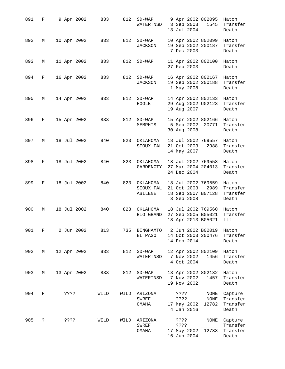| 891 | F     |             | 9 Apr 2002  | 833             | 812  | $SD-WAP$<br>WATERTNSD 3 Sep 2003 1545             | 13 Jul 2004                                     | 9 Apr 2002 802095                                                    | Hatch<br>Transfer<br>Death               |
|-----|-------|-------------|-------------|-----------------|------|---------------------------------------------------|-------------------------------------------------|----------------------------------------------------------------------|------------------------------------------|
| 892 | M     |             |             | 10 Apr 2002 833 |      | 812 SD-WAP<br><b>JACKSON</b>                      | 7 Dec 2003                                      | 10 Apr 2002 802099 Hatch<br>19 Sep 2002 200187                       | Transfer<br>Death                        |
| 893 | M     | 11 Apr 2002 |             | 833             | 812  | $SD-WAP$                                          | 27 Feb 2003                                     | 11 Apr 2002 802100 Hatch                                             | Death                                    |
| 894 | F     |             | 16 Apr 2002 | 833             |      | 812 SD-WAP<br>JACKSON                             | 1 May 2008                                      | 16 Apr 2002 802167 Hatch<br>19 Sep 2002 200188                       | Transfer<br>Death                        |
| 895 | M     | 14 Apr 2002 |             | 833             | 812  | $SD-WAP$<br>HOGLE                                 | 19 Aug 2007                                     | 14 Apr 2002 802133 Hatch<br>29 Aug 2002 U02123                       | Transfer<br>Death                        |
| 896 | $F =$ | 15 Apr 2002 |             | 833             |      | 812 SD-WAP<br>MEMPHIS                             | 30 Aug 2008                                     | 15 Apr 2002 802166 Hatch<br>5 Sep 2002 20771                         | Transfer<br>Death                        |
| 897 | М     | 18 Jul 2002 |             | 840             | 823  | ОКLАНОМА<br>SIOUX FAL                             | 21 Oct 2003<br>14 May 2007                      | 18 Jul 2002 769557 Hatch<br>2988                                     | Transfer<br>Death                        |
| 898 | F.    | 18 Jul 2002 |             | 840             | 823  | OKLAHOMA<br>GARDENCTY 27 Mar 2004 204013 Transfer | 24 Dec 2004                                     | 18 Jul 2002 769558 Hatch                                             | Death                                    |
| 899 | F     | 18 Jul 2002 |             | 840             |      | 823 OKLAHOMA<br>SIOUX FAL<br>ABILENE              | 21 Oct 2003<br>3 Sep 2008                       | 18 Jul 2002 769559<br>2989<br>18 Sep 2007 B07128                     | Hatch<br>Transfer<br>Transfer<br>Death   |
| 900 | М     | 18 Jul 2002 |             | 840             | 823  | OKLAHOMA<br>RIO GRAND                             |                                                 | 18 Jul 2002 769560 Hatch<br>27 Sep 2005 B05021<br>18 Apr 2013 B05021 | Transfer<br>ltf                          |
| 901 | F     |             | 2 Jun 2002  | 813             | 735  | BINGHAMTO 2 Jun 2002 B02019<br>EL PASO            | 14 Feb 2014                                     | 14 Oct 2003 200476                                                   | Hatch<br>Transfer<br>Death               |
| 902 | М     | 12 Apr 2002 |             | 833             | 812  | $SD-WAP$<br>WATERTNSD                             | 7 Nov 2002<br>4 Oct 2004                        | 12 Apr 2002 802109<br>1456                                           | Hatch<br>Transfer<br>Death               |
| 903 | М     | 13 Apr 2002 |             | 833             | 812  | $SD-WAP$<br>WATERTNSD                             | 7 Nov 2002<br>19 Nov 2002                       | 13 Apr 2002 802132<br>1457                                           | Hatch<br>Transfer<br>Death               |
| 904 | F     | ????        |             | WILD            | WILD | ARIZONA<br>SWREF<br>OMAHA                         | ? ? ? ?<br>? ? ? ?<br>17 May 2002<br>4 Jan 2016 | NONE<br>NONE<br>12782                                                | Capture<br>Transfer<br>Transfer<br>Death |
| 905 | ?     | $??\,?\,?$  |             | WILD            | WILD | ARIZONA<br>SWREF<br>OMAHA                         | ????<br>? ? ? ?<br>17 May 2002<br>16 Jun 2004   | NONE<br>12783                                                        | Capture<br>Transfer<br>Transfer<br>Death |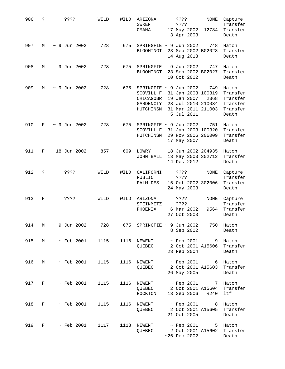| 906 | ? | ? ? ? ?                       | WILD | WILD | ARIZONA<br>SWREF<br>OMAHA                                                           | ? ? ? ?<br>? ? ? ?<br>17 May 2002<br>3 Apr 2003                                             | NONE<br>12784 | Capture<br>Transfer<br>Transfer<br>Death                       |
|-----|---|-------------------------------|------|------|-------------------------------------------------------------------------------------|---------------------------------------------------------------------------------------------|---------------|----------------------------------------------------------------|
| 907 | М | $\sim$ 9 Jun 2002             | 728  | 675  | SPRINGFIE $\sim$ 9 Jun 2002<br><b>BLOOMINGT</b>                                     | 23 Sep 2002 B02028<br>14 Aug 2013                                                           | 748           | Hatch<br>Transfer<br>Death                                     |
| 908 | М | 9 Jun 2002                    | 728  | 675  | SPRINGFIE<br>BLOOMINGT                                                              | 9 Jun 2002<br>23 Sep 2002 B02027<br>10 Oct 2002                                             | 747           | Hatch<br>Transfer<br>Death                                     |
| 909 | М | $\sim$ 9 Jun 2002             | 728  | 675  | SPRINGFIE $\sim$ 9 Jun 2002<br>SCOVILL F<br>CHICAGOBR<br>GARDENCTY<br>HUTCHINSN     | 31 Jan 2003 100319<br>19 Jan 2007<br>28 Jul 2010 210034<br>31 Mar 2011 211003<br>5 Jul 2011 | 749<br>2368   | Hatch<br>Transfer<br>Transfer<br>Transfer<br>Transfer<br>Death |
| 910 | F | $\sim$ 9 Jun 2002             | 728  | 675  | SPRINGFIE $\sim$ 9 Jun 2002<br>SCOVILL F<br>HUTCHINSN                               | 31 Jan 2003 100320<br>29 Nov 2006 206009<br>17 May 2007                                     | 751           | Hatch<br>Transfer<br>Transfer<br>Death                         |
| 911 | F | 18 Jun 2002                   | 857  | 609  | LOWRY<br>JOHN BALL 13 May 2003 302712                                               | 18 Jun 2002 204935<br>14 Dec 2012                                                           |               | Hatch<br>Transfer<br>Death                                     |
| 912 | ? | ? ? ? ?                       | WILD | WILD | CALIFORNI<br>PUBLIC<br>PALM DES                                                     | $??\,?\,?$<br>? ? ? ?<br>15 Oct 2002 302006<br>24 May 2003                                  | NONE          | Capture<br>Transfer<br>Transfer<br>Death                       |
| 913 | F | $??\; ?$                      | WILD | WILD | ARIZONA<br>STEINMETZ<br>PHOENIX                                                     | 3333<br>????<br>6 Mar 2002<br>27 Oct 2003                                                   | NONE<br>9564  | Capture<br>Transfer<br>Transfer<br>Death                       |
|     |   | $914 \t M \sim 9$ Jun 2002    | 728  | 675  | SPRINGFIE $\sim$ 9 Jun 2002                                                         | 8 Sep 2002                                                                                  |               | 750 Hatch<br>Death                                             |
| 915 |   | M ~ Feb 2001 1115             |      |      | 1116 NEWENT<br>QUEBEC 2 Oct 2001 A15606 Transfer                                    | $\sim$ Feb 2001 9<br>23 Feb 2004                                                            |               | Hatch<br>Death                                                 |
| 916 |   | M ~ Feb 2001 1115             |      |      | 1116 NEWENT $\sim$ Feb 2001 6 Hatch<br>QUEBEC                                       | 26 May 2005                                                                                 |               | 2 Oct 2001 A15603 Transfer<br>Death                            |
|     |   | $917$ F ~ Feb 2001            | 1115 |      | 1116 NEWENT $\sim$ Feb 2001 7 Hatch<br>QUEBEC 2 Oct 2001 A15604 Transfer<br>ROCKTON | 13 Sep 2006 R240                                                                            |               | ltf                                                            |
| 918 |   | $\sim$ Feb 2001<br>$F \sim 1$ | 1115 |      | 1116 NEWENT<br>QUEBEC                                                               | $\sim$ Feb 2001 $\qquad$ 8 Hatch<br>21 Oct 2005                                             |               | 2 Oct 2001 A15605 Transfer<br>Death                            |
|     |   | 919 F ~ Feb 2001              | 1117 |      | $1118$ NEWENT $\sim$ Feb 2001<br>QUEBEC                                             | 2 Oct 2001 A15602<br>$~26$ Dec 2002                                                         |               | 5 Hatch<br>Transfer<br>Death                                   |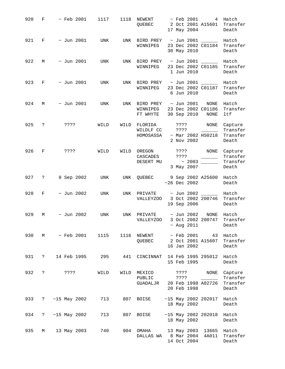| 920 | F                    | $\sim$ Feb 2001                                          | 1117 |      | 1118 NEWENT<br>QUEBEC                                                           | ~ Feb 2001 4<br>17 May 2004                              |                                                                                                                                                                                                                                                                                                                                                                                                                                                       | Hatch<br>2 Oct 2001 A15601 Transfer<br>Death |
|-----|----------------------|----------------------------------------------------------|------|------|---------------------------------------------------------------------------------|----------------------------------------------------------|-------------------------------------------------------------------------------------------------------------------------------------------------------------------------------------------------------------------------------------------------------------------------------------------------------------------------------------------------------------------------------------------------------------------------------------------------------|----------------------------------------------|
| 921 | F                    | $\sim$ Jun 2001                                          | UNK  |      | UNK BIRD PREY $\sim$ Jun 2001 ________ Hatch<br>WINNIPEG                        | 23 Dec 2002 C01184<br>30 May 2010                        |                                                                                                                                                                                                                                                                                                                                                                                                                                                       | Transfer<br>Death                            |
| 922 | М                    | $\sim$ Jun 2001                                          | UNK  |      | UNK BIRD PREY $\sim$ Jun 2001 ______<br>WINNIPEG                                | 23 Dec 2002 C01185<br>1 Jun 2010                         |                                                                                                                                                                                                                                                                                                                                                                                                                                                       | Hatch<br>Transfer<br>Death                   |
| 923 | F                    | $\sim$ Jun 2001                                          | UNK  |      | UNK BIRD PREY $\sim$ Jun 2001<br>WINNIPEG                                       | 23 Dec 2002 C01187<br>6 Jun 2010                         |                                                                                                                                                                                                                                                                                                                                                                                                                                                       | Hatch<br>Transfer<br>Death                   |
| 924 | M                    | $\sim$ Jun 2001                                          | UNK  |      | UNK BIRD PREY $\sim$ Jun 2001<br>WINNIPEG<br>FT WHYTE                           | 23 Dec 2002 C01186<br>30 Sep 2010                        | NONE<br>NONE                                                                                                                                                                                                                                                                                                                                                                                                                                          | Hatch<br>Transfer<br>ltf                     |
| 925 | $\ddot{ }$           | ????                                                     | WILD | WILD | FLORIDA<br>WILDLF CC<br>$HOMOSASSA$ ~ Mar 2002 $HSO218$                         | ????<br>????<br>2 Nov 2002                               | NONE<br>$\overline{\phantom{a}}$                                                                                                                                                                                                                                                                                                                                                                                                                      | Capture<br>Transfer<br>Transfer<br>Death     |
| 926 | F                    | ????                                                     | WILD | WILD | OREGON<br>CASCADES<br>DESERT MU                                                 | ???? NONE<br>????<br>3 May 2007                          | $\begin{tabular}{ccccc} \multicolumn{2}{c }{\textbf{1} & \multicolumn{2}{c }{\textbf{2} & \multicolumn{2}{c }{\textbf{3} & \multicolumn{2}{c }{\textbf{4} & \multicolumn{2}{c }{\textbf{5} & \multicolumn{2}{c }{\textbf{6} & \multicolumn{2}{c }{\textbf{6} & \multicolumn{2}{c }{\textbf{6} & \multicolumn{2}{c }{\textbf{6} & \multicolumn{2}{c }{\textbf{6} & \multicolumn{2}{c }{\textbf{6} & \multicolumn{2}{c }{\textbf{6} & \multicolumn{2}{$ | Capture<br>Transfer<br>Transfer<br>Death     |
| 927 | $\ddot{\phantom{0}}$ | 9 Sep 2002                                               | UNK  | UNK  | QUEBEC                                                                          | 9 Sep 2002 A25600 Hatch<br>$~26$ Dec 2002                |                                                                                                                                                                                                                                                                                                                                                                                                                                                       | Death                                        |
| 928 | F                    | $\sim$ Jun 2002                                          | UNK  | UNK  | PRIVATE<br>VALLEYZOO                                                            | ~ Jun 2002 _____<br>3 Oct 2002 200746<br>19 Sep 2006     |                                                                                                                                                                                                                                                                                                                                                                                                                                                       | Hatch<br>Transfer<br>Death                   |
| 929 | М                    | $\sim$ Jun 2002                                          | UNK  |      | UNK PRIVATE<br>VALLEYZOO                                                        | $\sim$ Jun 2002<br>3 Oct 2002 200747<br>~ Aug 2011 Death |                                                                                                                                                                                                                                                                                                                                                                                                                                                       | NONE Hatch<br>Transfer                       |
| 930 |                      | M ~ Feb 2001 1115                                        |      |      | 1116 NEWENT<br>QUEBEC 2 Oct 2001 A15607 Transfer                                | $\sim$ Feb 2001 43 Hatch<br>16 Jan 2002                  |                                                                                                                                                                                                                                                                                                                                                                                                                                                       | Death                                        |
| 931 |                      | ? 14 Feb 1995 295 441 CINCINNAT 14 Feb 1995 295012 Hatch |      |      |                                                                                 | 15 Feb 1995                                              |                                                                                                                                                                                                                                                                                                                                                                                                                                                       | Death                                        |
| 932 |                      | $? \t????$                                               | WILD |      | WILD MEXICO 3??? NONE Capture<br>PUBLIC<br>GUADALJR 20 Feb 1998 A02726 Transfer | ????<br>20 Feb 1998                                      | Death                                                                                                                                                                                                                                                                                                                                                                                                                                                 | _______ Transfer                             |
|     |                      | 933 ? ~15 May 2002                                       | 713  |      | 807 BOISE ~15 May 2002 202017 Hatch                                             | 18 May 2002                                              |                                                                                                                                                                                                                                                                                                                                                                                                                                                       | Death                                        |
| 934 |                      | ? $\sim$ 15 May 2002 713                                 |      |      | 807 BOISE                                                                       | $~15$ May 2002 202018 Hatch<br>18 May 2002               |                                                                                                                                                                                                                                                                                                                                                                                                                                                       | Death                                        |
| 935 |                      | M 13 May 2003                                            | 740  |      | 904 OMAHA 13 May 2003 13665 Hatch<br>DALLAS WA 8 Mar 2004 4A011                 | 14 Oct 2004                                              |                                                                                                                                                                                                                                                                                                                                                                                                                                                       | Transfer<br>Death                            |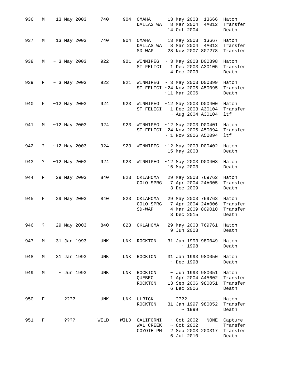| 936   | М                             |                             | 13 May 2003 740   | 904 | OMAHA<br>DALLAS WA 8 Mar 2004 4A012                                             |  | 14 Oct 2004      | 13 May 2003 13666                                                       | Hatch<br>Transfer<br>Death                               |
|-------|-------------------------------|-----------------------------|-------------------|-----|---------------------------------------------------------------------------------|--|------------------|-------------------------------------------------------------------------|----------------------------------------------------------|
| 937   |                               |                             | M 13 May 2003 740 |     | 904 OMAHA 13 May 2003 13667 Hatch<br>DALLAS WA 8 Mar 2004 4A013<br>$SD-WAP$     |  |                  | 28 Nov 2007 807278                                                      | Transfer<br>Transfer                                     |
| 938   |                               | $M \sim 3$ May 2003         | 922               |     | 921 WINNIPEG ~ 3 May 2003 D00398 Hatch<br>ST FELICI                             |  | 4 Dec 2003       | 1 Dec 2003 A30105                                                       | Transfer<br>Death                                        |
| 939   | $F$ and $F$                   | $\sim$ 3 May 2003           | 922               |     | 921 WINNIPEG ~ 3 May 2003 D00399 Hatch<br>ST FELICI ~24 Nov 2005 A50095         |  | $~11$ Mar 2006   |                                                                         | Transfer<br>Death                                        |
| 940   |                               | F ~12 May 2003              | 924               | 923 | WINNIPEG ~12 May 2003 D00400 Hatch<br>ST FELICI                                 |  |                  | 1 Dec 2003 A30104<br>$~\sim$ Aug 2004 A30104                            | Transfer<br>ltf                                          |
| 941   |                               | M ~12 May 2003              | 924               |     | 923 WINNIPEG ~12 May 2003 D00401 Hatch<br>ST FELICI 24 Nov 2005 A50094 Transfer |  |                  | $\sim$ 1 Nov 2006 A50094                                                | ltf                                                      |
| 942   |                               | $? \sim 12$ May 2003        | 924               |     | 923 WINNIPEG ~12 May 2003 D00402 Hatch                                          |  | 15 May 2003      |                                                                         | Death                                                    |
| 943   |                               | $? \sim 12$ May 2003        | 924               | 923 | WINNIPEG ~12 May 2003 D00403 Hatch                                              |  | 15 May 2003      |                                                                         | Death                                                    |
| 944   | $F$ –                         | 29 May 2003                 | 840               |     | 823 OKLAHOMA<br>COLO SPRG 7 Apr 2004 24A005                                     |  | 3 Dec 2009       | 29 May 2003 769762 Hatch                                                | Transfer<br>Death                                        |
| 945   | $\mathbf{F}$ and $\mathbf{F}$ | 29 May 2003                 | 840               | 823 | OKLAHOMA<br>COLO SPRG 7 Apr 2004 24A006<br>$SD-WAP$                             |  | 3 Dec 2015       | 29 May 2003 769763 Hatch<br>4 Mar 2009 809010                           | Transfer<br>Transfer<br>Death                            |
| 946 ? |                               | 29 May 2003                 |                   |     | 840 823 OKLAHOMA                                                                |  | 9 Jun 2003       | 29 May 2003 769761 Hatch                                                | Death                                                    |
| 947   | M                             | 31 Jan 1993                 | UNK               |     | UNK ROCKTON                                                                     |  | ~1998            | 31 Jan 1993 980049 Hatch                                                | Death                                                    |
| 948   | М                             |                             | 31 Jan 1993 UNK   |     | UNK ROCKTON                                                                     |  | $~\sim$ Dec 1998 | 31 Jan 1993 980050 Hatch                                                | Death                                                    |
| 949   |                               | $\sim$ Jun 1993<br>$M \sim$ | UNK               |     | UNK ROCKTON<br>QUEBEC<br>ROCKTON                                                |  | 6 Dec 2006       | $\sim$ Jun 1993 980051 Hatch<br>1 Apr 2004 A45602<br>13 Sep 2006 980051 | Transfer<br>Transfer<br>Death                            |
| 950   |                               | $F = 1$<br>????             | UNK               |     | UNK ULRICK<br>ROCKTON                                                           |  | ? ? ? ?<br>~1999 |                                                                         | Hatch<br>31 Jan 1997 980052 Transfer<br>Death            |
| 951   | F                             | ????                        | WILD              |     | WILD CALIFORNI<br>WAL CREEK<br>COYOTE PM                                        |  | 6 Jul 2010       | $\sim$ Oct 2002 _____<br>2 Sep 2003 200317                              | ~ Oct 2002 NONE Capture<br>Transfer<br>Transfer<br>Death |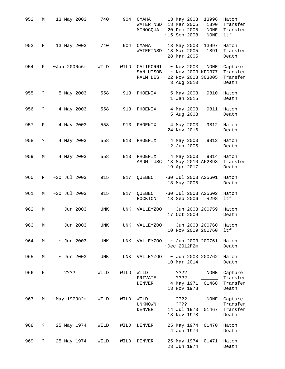| 952 | М                   | 13 May 2003 740     |            | 904  | OMAHA<br>WATERTNSD 18 Mar 2005<br>MINOCQUA                           |                    | 13 May 2003<br>20 Dec 2005<br>$~15$ Sep 2008 | 13996<br>1890<br>NONE<br>NONE | Hatch<br>Transfer<br>Transfer<br>ltf     |
|-----|---------------------|---------------------|------------|------|----------------------------------------------------------------------|--------------------|----------------------------------------------|-------------------------------|------------------------------------------|
| 953 | F                   | 13 May 2003         | 740        | 904  | OMAHA<br>WATERTNSD                                                   |                    | 13 May 2003<br>18 Mar 2005<br>28 Mar 2005    | 13997<br>1891                 | Hatch<br>Transfer<br>Death               |
| 954 | F                   | $\sim$ Jan 2000ñ6m  | WILD       | WILD | CALIFORNI $\sim$ Nov 2003<br>SANLUISOB ~ Nov 2003 KDD377<br>PALM DES |                    | 3 Aug 2010                                   | NONE<br>22 Nov 2003 303005    | Capture<br>Transfer<br>Transfer<br>Death |
| 955 | $\ddot{?}$          | 5 May 2003          | 558        | 913  | PHOENIX                                                              |                    | 5 May 2003<br>1 Jan 2015                     | 9810                          | Hatch<br>Death                           |
| 956 | $\ddot{\mathbf{?}}$ | 4 May 2003          | 558        | 913  | PHOENIX                                                              |                    | 4 May 2003<br>5 Aug 2008                     |                               | 9811 Hatch<br>Death                      |
| 957 | F                   | 4 May 2003          | 558        | 913  | PHOENIX 4 May 2003                                                   |                    | 24 Nov 2016                                  | 9812 Hatch                    | Death                                    |
| 958 | $\mathsf{P}$        | 4 May 2003          | 558        | 913  | PHOENIX 4 May 2003                                                   |                    | 12 Jun 2005                                  | 9813                          | Hatch<br>Death                           |
| 959 | М                   | 4 May 2003          | 558        |      | 913 PHOENIX 4 May 2003 9814 Hatch<br>ASDM TUSC 13 May 2010 AF2898    |                    | 19 Apr 2017                                  |                               | Transfer<br>Death                        |
| 960 | F                   | $~10$ Jul 2003      | 915        | 917  | QUEBEC                                                               |                    | 18 May 2005                                  | $~10$ Jul 2003 A35601 Hatch   | Death                                    |
| 961 | М                   | $~10$ Jul 2003      | 915        | 917  | QUEBEC ~30 Jul 2003 A35602 Hatch<br>ROCKTON 13 Sep 2006              |                    |                                              | R298                          | ltf                                      |
| 962 | М                   | $\sim$ Jun 2003     | UNK        | UNK  | VALLEYZOO                                                            |                    | 17 Oct 2009                                  | ~ Jun 2003 200759 Hatch       | Death                                    |
| 963 | М                   | $\sim$ Jun 2003     | UNK        |      | UNK VALLEYZOO ~ Jun 2003 200760 Hatch                                |                    |                                              | 10 Nov 2009 200760            | ltf                                      |
| 964 | M                   | $\sim$ Jun 2003     | <b>UNK</b> |      | UNK VALLEYZOO ~ Jun 2003 200761                                      |                    | $\neg$ Dec 2012ñ2m                           |                               | Hatch<br>Death                           |
| 965 | M                   | $\sim$ Jun 2003 UNK |            |      | UNK VALLEYZOO ~ Jun 2003 200762 Hatch                                |                    | 10 Mar 2014                                  |                               | Death                                    |
| 966 | $F$ and             | ????                | WILD       | WILD | WILD<br>PRIVATE<br>DENVER 4 May 1971                                 | ????               | ? ? ? ?<br>13 Nov 1978                       | NONE<br>01468                 | Capture<br>Transfer<br>Transfer<br>Death |
| 967 |                     | M ~May 1973ñ2m      | WILD       | WILD | WILD<br>UNKNOWN                                                      | ? ? ? ?<br>? ? ? ? |                                              | NONE                          | Capture<br>Transfer                      |
|     |                     |                     |            |      | DENVER                                                               |                    | 14 Jul 1973<br>13 Nov 1978                   | 01467                         | Transfer<br>Death                        |
| 968 | $\ddot{\text{?}}$   | 25 May 1974         | WILD       |      | WILD DENVER                                                          |                    | 4 Jun 1974                                   | 25 May 1974 01470             | Hatch<br>Death                           |
| 969 | $\ddot{\mathbf{?}}$ | 25 May 1974         | WILD       | WILD | DENVER                                                               |                    | 23 Jun 1974                                  | 25 May 1974 01471             | Hatch<br>Death                           |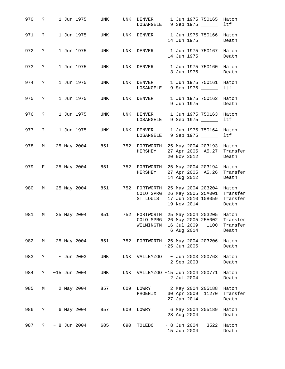| 970 | $\mathsf{P}$                  |  | 1 Jun 1975        | UNK |     | UNK DENVER<br>LOSANGELE 9 Sep 1975 ______                                         |  |                                  | 1 Jun 1975 750165 Hatch                                              | ltf                                 |
|-----|-------------------------------|--|-------------------|-----|-----|-----------------------------------------------------------------------------------|--|----------------------------------|----------------------------------------------------------------------|-------------------------------------|
| 971 | $\ddot{?}$                    |  | 1 Jun 1975        | UNK | UNK | DENVER                                                                            |  | 14 Jun 1975                      | 1 Jun 1975 750166 Hatch                                              | Death                               |
| 972 | ?                             |  | 1 Jun 1975        | UNK | UNK | DENVER 1 Jun 1975 750167                                                          |  | 14 Jun 1975                      |                                                                      | Hatch<br>Death                      |
| 973 | $\ddot{?}$                    |  | 1 Jun 1975        | UNK | UNK | DENVER                                                                            |  | 3 Jun 1975                       | 1 Jun 1975 750160 Hatch                                              | Death                               |
| 974 | $\ddot{?}$                    |  | 1 Jun 1975        | UNK |     | UNK DENVER<br>LOSANGELE                                                           |  |                                  | 1 Jun 1975 750161<br>9 Sep 1975 ______                               | Hatch<br>ltf                        |
| 975 | ?                             |  | 1 Jun 1975        | UNK |     | UNK DENVER                                                                        |  | 9 Jun 1975                       | 1 Jun 1975 750162                                                    | Hatch<br>Death                      |
| 976 | $\ddot{ }$                    |  | 1 Jun 1975        | UNK |     | UNK DENVER<br>LOSANGELE                                                           |  |                                  | 1 Jun 1975 750163 Hatch<br>9 Sep 1975 ______                         | ltf                                 |
| 977 | ?                             |  | 1 Jun 1975        | UNK |     | UNK DENVER<br>LOSANGELE                                                           |  |                                  | 1 Jun 1975 750164 Hatch<br>9 Sep 1975 ______                         | ltf                                 |
| 978 | М                             |  | 25 May 2004       | 851 |     | 752 FORTWORTH 25 May 2004 203193 Hatch<br>HERSHEY                                 |  |                                  | 27 Apr 2005 A5.27<br>20 Nov 2012                                     | Transfer<br>Death                   |
| 979 | $\mathbf{F}$ and $\mathbf{F}$ |  | 25 May 2004       | 851 |     | 752 FORTWORTH 25 May 2004 203194 Hatch<br>HERSHEY                                 |  |                                  | 14 Aug 2012                                                          | 27 Apr 2005 A5.26 Transfer<br>Death |
| 980 | M                             |  | 25 May 2004       | 851 |     | 752 FORTWORTH<br>COLO SPRG<br>ST LOUIS                                            |  | 19 Nov 2014                      | 25 May 2004 203204 Hatch<br>26 May 2005 25A001<br>17 Jun 2010 108059 | Transfer<br>Transfer<br>Death       |
| 981 | М                             |  | 25 May 2004       | 851 |     | 752 FORTWORTH 25 May 2004 203205 Hatch<br>COLO SPRG<br>WILMINGTN 16 Jul 2009 1100 |  | 6 Aug 2014                       | 26 May 2005 25A002                                                   | Transfer<br>Transfer<br>Death       |
| 982 | М                             |  | 25 May 2004       | 851 |     | 752 FORTWORTH 25 May 2004 203206                                                  |  | $~25$ Jun 2005                   |                                                                      | Hatch<br>Death                      |
| 983 | ?                             |  | $\sim$ Jun 2003   | UNK |     | UNK VALLEYZOO ~ Jun 2003 200763                                                   |  | 2 Sep 2003                       |                                                                      | Hatch<br>Death                      |
| 984 | ?                             |  | $~15$ Jun 2004    | UNK | UNK | VALLEYZOO ~15 Jun 2004 200771                                                     |  | 2 Jul 2004                       |                                                                      | Hatch<br>Death                      |
| 985 | М                             |  | 2 May 2004        | 857 | 609 | LOWRY 2 May 2004 205188<br>PHOENIX                                                |  | 27 Jan 2014                      | 30 Apr 2009 11270                                                    | Hatch<br>Transfer<br>Death          |
| 986 | ?                             |  | 6 May 2004        | 857 | 609 | LOWRY                                                                             |  | 28 Aug 2004                      | 6 May 2004 205189 Hatch                                              | Death                               |
| 987 | ?                             |  | $\sim 8$ Jun 2004 | 685 | 690 | TOLEDO                                                                            |  | $\sim 8$ Jun 2004<br>15 Jun 2004 | 3522                                                                 | Hatch<br>Death                      |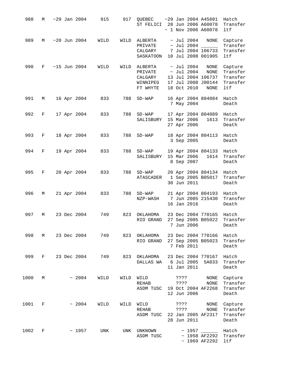| 988  | М | $~29$ Jan 2004  |              | 915  | 917  | QUEBEC<br>ST FELICI                                   |                 |                                                   | $~29$ Jan 2004 A45601<br>28 Jun 2006 A60078<br>$\sim$ 1 Nov 2006 A60078          | Hatch<br>Transfer<br>ltf                           |
|------|---|-----------------|--------------|------|------|-------------------------------------------------------|-----------------|---------------------------------------------------|----------------------------------------------------------------------------------|----------------------------------------------------|
| 989  | М | $~120$ Jun 2004 |              | WILD | WILD | ALBERTA<br>PRIVATE<br>CALGARY<br>SASKATOON            |                 | $\sim$ Jul 2004                                   | <b>NONE</b><br>$\sim$ Jul 2004 ______<br>7 Jul 2004 106733<br>10 Jul 2008 001905 | Capture<br>Transfer<br>Transfer<br>ltf             |
| 990  | F | $~15$ Jun 2004  |              | WILD | WILD | ALBERTA<br>PRIVATE<br>CALGARY<br>WINNIPEG<br>FT WHYTE |                 | $\sim$ Jul 2004<br>$\sim$ Jul 2004<br>18 Oct 2010 | NONE<br>NONE<br>13 Jul 2004 106737<br>17 Jul 2008 J00144<br>NONE                 | Capture<br>Transfer<br>Transfer<br>Transfer<br>ltf |
| 991  | М | 16 Apr 2004     |              | 833  | 788  | $SD-WAP$                                              |                 | 7 May 2004                                        | 16 Apr 2004 804084                                                               | Hatch<br>Death                                     |
| 992  | F | 17 Apr 2004     |              | 833  | 788  | $SD-WAP$<br>SALISBURY                                 |                 | 15 Mar 2006<br>27 Apr 2006                        | 17 Apr 2004 804089<br>1613                                                       | Hatch<br>Transfer<br>Death                         |
| 993  | F | 18 Apr 2004     |              | 833  | 788  | $SD-WAP$                                              |                 | 3 Sep 2005                                        | 18 Apr 2004 804113                                                               | Hatch<br>Death                                     |
| 994  | F | 19 Apr 2004     |              | 833  | 788  | $SD-WAP$<br>SALISBURY                                 |                 | 15 Mar 2006<br>8 Sep 2007                         | 19 Apr 2004 804133<br>1614                                                       | Hatch<br>Transfer<br>Death                         |
| 995  | F | 20 Apr 2004     |              | 833  | 788  | $SD-WAP$<br>ATASCADER                                 |                 | 30 Jun 2011                                       | 20 Apr 2004 804134<br>1 Sep 2005 B05017                                          | Hatch<br>Transfer<br>Death                         |
| 996  | М | 21 Apr 2004     |              | 833  | 788  | $SD-WAP$<br>NZP-WASH                                  |                 | 16 Jan 2016                                       | 21 Apr 2004 804193<br>7 Jun 2005 215430                                          | Hatch<br>Transfer<br>Death                         |
| 997  | М | 23 Dec 2004     |              | 749  | 823  | ОКLАНОМА<br>RIO GRAND                                 |                 |                                                   | 23 Dec 2004 770165 Hatch<br>27 Sep 2005 B05022<br>7 Jun 2006                     | Transfer<br>Death                                  |
| 998  | М | 23 Dec 2004     |              | 749  | 823  | ОКLАНОМА<br>RIO GRAND                                 |                 | 7 Feb 2011                                        | 23 Dec 2004 770166<br>27 Sep 2005 B05023                                         | Hatch<br>Transfer<br>Death                         |
| 999  | F | 23 Dec 2004     |              | 749  | 823  | OKLAHOMA<br>DALLAS WA 6 Jul 2005                      |                 | 11 Jan 2011                                       | 23 Dec 2004 770167<br>5A033                                                      | Hatch<br>Transfer<br>Death                         |
| 1000 | М |                 | $~\sim~2004$ | WILD | WILD | WILD<br>REHAB<br>ASDM TUSC 19 Oct 2004 AF2268         |                 | ? ? ? ?<br>? ? ? ?<br>12 Jun 2006                 | NONE<br>NONE                                                                     | Capture<br>Transfer<br>Transfer<br>Death           |
| 1001 | F |                 | ~1004        | WILD | WILD | WILD<br>REHAB<br>ASDM TUSC                            | ????<br>? ? ? ? | 28 Jun 2011                                       | NONE<br>NONE<br>22 Jan 2005 AF2317                                               | Capture<br>Transfer<br>Transfer<br>Death           |
| 1002 | F |                 | ~1957        | UNK  | UNK  | UNKNOWN<br>ASDM TUSC                                  |                 |                                                   | $\sim$ 1957 ______<br>$\sim$ 1958 AF2292<br>$~\sim$ 1969 AF2292                  | Hatch<br>Transfer<br>ltf                           |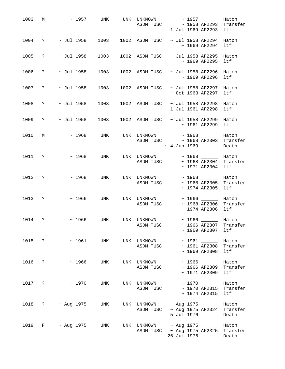| 1003   | М                   | $\sim 1957$           |                 | UNK UNK | UNKNOWN<br>ASDM TUSC ~ 1958 AF2293 Transfer                                   |                   | $\sim$ 1957 ______<br>1 Jul 1969 AF2293                                | Hatch<br>ltf                                |
|--------|---------------------|-----------------------|-----------------|---------|-------------------------------------------------------------------------------|-------------------|------------------------------------------------------------------------|---------------------------------------------|
| 1004   | $\ddot{?}$          | $\sim$ Jul 1958       | 1003            |         | 1002 ASDM TUSC                                                                |                   | $\sim$ Jul 1958 AF2294<br>$~\sim$ 1969 AF2294                          | Hatch<br>ltf                                |
| 1005   | $\ddot{?}$          | $\sim$ Jul 1958       | 1003            |         | 1002 ASDM TUSC                                                                |                   | $~\sim$ Jul 1958 AF2295<br>$~\sim$ 1969 AF2295                         | Hatch<br>ltf                                |
| 1006   | $\ddot{?}$          | $\sim$ Jul 1958       | 1003            |         | 1002 ASDM TUSC                                                                |                   | $\sim$ Jul 1958 AF2296 Hatch<br>$~\sim$ 1969 AF2296                    | ltf                                         |
| 1007   | $\mathbb{R}$        | $\sim$ Jul 1958       | 1003            |         | 1002 ASDM TUSC                                                                |                   | ~ Jul 1958 AF2297<br>$~\sim$ Oct 1963 AF2297                           | Hatch<br>ltf                                |
| 1008   | $\mathbb{R}$        | $\sim$ Jul 1958       | 1003            |         | 1002 ASDM TUSC                                                                |                   | $\sim$ Jul 1958 AF2298<br>1 Jul 1961 AF2298                            | Hatch<br>ltf                                |
| 1009   | $\ddot{\mathbf{?}}$ | $\sim$ Jul 1958       | 1003            |         | 1002 ASDM TUSC ~ Jul 1958 AF2299                                              |                   | $\sim$ 1961 AF2299                                                     | Hatch<br>ltf                                |
| 1010   | M                   | $\sim 1968$           | UNK             |         | UNK UNKNOWN $\sim$ 1968 $\_\_\_\_\_\$ Hatch<br>ASDM TUSC ~ 1968 AF2303        | $\sim$ 4 Jun 1969 |                                                                        | Transfer<br>Death                           |
| 1011   | $\ddot{\mathbf{?}}$ | ~1968                 | UNK             |         | UNK UNKNOWN $\sim$ 1968 $\_\_\_\_\_\$ Hatch<br>ASDM TUSC                      |                   | $\sim$ 1971 AF2304                                                     | $\sim$ 1968 AF2304 Transfer<br>ltf          |
| 1012   | $\ddot{?}$          | $~\sim~1968$          | UNK             |         | UNK UNKNOWN<br>ASDM TUSC                                                      |                   | ~ $1968$ Hatch<br>$\sim$ 1968 AF2305<br>$~\sim$ 1974 AF2305            | Transfer<br>ltf                             |
| 1013   | $\cdot$ ?           | $~\sim~1966$          | UNK             |         | UNK UNKNOWN<br>ASDM TUSC                                                      |                   | ~ $1966$ Hatch<br>$~\sim$ 1974 AF2306                                  | $\sim$ 1968 AF2306 Transfer<br>ltf          |
| 1014   | $\ddot{\mathbf{c}}$ | $\sim$ 1966           | UNK             | UNK     | UNKNOWN<br>ASDM TUSC ~ 1966 AF2307 Transfer                                   |                   | $\sim$ 1966 _______ Hatch<br>$\sim$ 1969 AF2307 ltf                    |                                             |
|        |                     | 1015 ?                | $\sim 1961$ UNK |         | UNK UNKNOWN<br>ASDM TUSC                                                      |                   | $\sim$ 1961 ________ Hatch<br>$\sim$ 1961 AF2308<br>$\sim$ 1969 AF2308 | Transfer<br>ltf                             |
| 1016 ? |                     | $\sim$ 1966           | UNK             |         | UNK UNKNOWN<br>ASDM TUSC                                                      |                   | $\sim$ 1971 AF2309                                                     | Hatch<br>$\sim$ 1966 AF2309 Transfer<br>ltf |
|        |                     | $1017$ ? ~ 1970       | UNK             |         | UNK UNKNOWN ~ 1970 _______ Hatch<br>ASDM TUSC ~ 1970 AF2315 Transfer          |                   | $\sim$ 1974 AF2315                                                     | ltf                                         |
|        |                     | 1018 ? ~ Aug 1975 UNK |                 |         | UNK UNKNOWN ~ Aug 1975 ________ Hatch<br>ASDM TUSC ~ Aug 1975 AF2324 Transfer |                   | 5 Jul 1976                                                             | Death                                       |
|        |                     | 1019 F ~ Aug 1975 UNK |                 |         | UNK UNKNOWN<br>ASDM TUSC ~ Aug 1975 AF2325                                    | 26 Jul 1976       | $\sim$ Aug 1975 __________ Hatch                                       | Transfer<br>Death                           |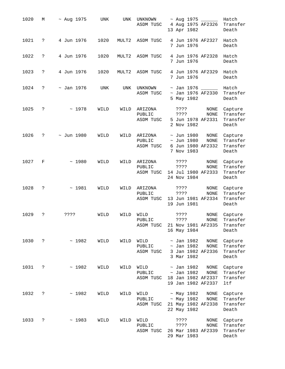| 1020 | М             | $~\sim$ Aug 1975 | UNK  | UNK   | UNKNOWN<br>ASDM TUSC           | $~\sim$ Aug 1975<br>Hatch<br>4 Aug 1975 AF2326<br>Transfer<br>13 Apr 1982<br>Death                                                              |
|------|---------------|------------------|------|-------|--------------------------------|-------------------------------------------------------------------------------------------------------------------------------------------------|
| 1021 | S.            | 4 Jun 1976       | 1020 | MULT2 | ASDM TUSC                      | 4 Jun 1976 AF2327<br>Hatch<br>7 Jun 1976<br>Death                                                                                               |
| 1022 | S.            | 4 Jun 1976       | 1020 | MULT2 | ASDM TUSC                      | 4 Jun 1976 AF2328<br>Hatch<br>7 Jun 1976<br>Death                                                                                               |
| 1023 | S.            | 4 Jun 1976       | 1020 | MULT2 | ASDM TUSC                      | 4 Jun 1976 AF2329<br>Hatch<br>7 Jun 1976<br>Death                                                                                               |
| 1024 | S.            | $\sim$ Jan 1976  | UNK  | UNK   | UNKNOWN<br>ASDM TUSC           | $\sim$ Jan 1976<br>Hatch<br>$~\sim$ Jan 1976 AF2330<br>Transfer<br>5 May 1982<br>Death                                                          |
| 1025 | ?             | ~1978            | WILD | WILD  | ARIZONA<br>PUBLIC<br>ASDM TUSC | ? ? ? ?<br>NONE<br>Capture<br>Transfer<br><b>NONE</b><br>? ? ? ?<br>5 Jun 1978 AF2331<br>Transfer<br>2 Nov 1982<br>Death                        |
| 1026 | ?             | $\sim$ Jun 1980  | WILD | WILD  | ARIZONA<br>PUBLIC<br>ASDM TUSC | $\sim$ Jun 1980<br>NONE<br>Capture<br>$\sim$ Jun 1980<br><b>NONE</b><br>Transfer<br>6 Jun 1980 AF2332<br>Transfer<br>7 Nov 1983<br>Death        |
| 1027 | F             | ~1980            | WILD | WILD  | ARIZONA<br>PUBLIC<br>ASDM TUSC | NONE<br>Capture<br>????<br>Transfer<br>NONE<br>????<br>14 Jul 1980 AF2333<br>Transfer<br>24 Nov 1984<br>Death                                   |
| 1028 | ?             | ~1981            | WILD | WILD  | ARIZONA<br>PUBLIC<br>ASDM TUSC | ? ? ? ?<br>NONE<br>Capture<br>Transfer<br>? ? ? ?<br><b>NONE</b><br>13 Jun 1981 AF2334<br>Transfer<br>19 Jun 1981<br>Death                      |
| 1029 | ?             | ????             | WILD | WILD  | WILD<br>PUBLIC<br>ASDM TUSC    | NONE<br>Capture<br>????<br><b>NONE</b><br>Transfer<br>????<br>21 Nov 1981 AF2335<br>Transfer<br>16 May 1984<br>Death                            |
| 1030 | $\mathcal{E}$ | ~1982            | WILD | WILD  | WILD<br>PUBLIC<br>ASDM TUSC    | $\sim$ Jan 1982<br>NONE<br>Capture<br>$\sim$ Jan 1982<br>NONE<br>Transfer<br>3 Jan 1982 AF2336<br>Transfer<br>3 Mar 1982<br>Death               |
| 1031 | ?             | ~1982            | WILD | WILD  | WILD<br>PUBLIC<br>ASDM TUSC    | $\sim$ Jan 1982<br>NONE<br>Capture<br>$\sim$ Jan 1982<br><b>NONE</b><br>Transfer<br>18 Jan 1982 AF2337<br>Transfer<br>19 Jan 1982 AF2337<br>ltf |
| 1032 | ?             | ~1982            | WILD | WILD  | WILD<br>PUBLIC<br>ASDM TUSC    | $~\sim$ May 1982<br>NONE<br>Capture<br>$~\sim$ May 1982<br>Transfer<br>NONE<br>21 May 1982 AF2338<br>Transfer<br>22 May 1982<br>Death           |
| 1033 | ?             | ~1983            | WILD | WILD  | WILD<br>PUBLIC<br>ASDM TUSC    | NONE<br>Capture<br>????<br>NONE<br>Transfer<br>????<br>26 Mar 1983 AF2339<br>Transfer<br>29 Mar 1983<br>Death                                   |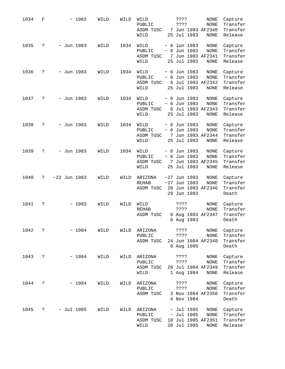| 1034 | F  |                 | ~1982 | WILD | WILD | WILD<br>PUBLIC<br>ASDM TUSC<br>WILD    | ? ? ? ?<br>? ? ? ?<br>7 Jun 1983 AF2340<br>25 Jul 1983                       | <b>NONE</b><br>$\rm{NONE}$<br><b>NONE</b> | Capture<br>Transfer<br>Transfer<br>Release |
|------|----|-----------------|-------|------|------|----------------------------------------|------------------------------------------------------------------------------|-------------------------------------------|--------------------------------------------|
| 1035 | S. | $\sim$ Jun 1983 |       | WILD | 1034 | WILD<br>PUBLIC<br>ASDM TUSC<br>WILD    | $~\sim$ 6 Jun 1983<br>$~\sim$ 6 Jun 1983<br>7 Jun 1983 AF2341<br>25 Jul 1983 | <b>NONE</b><br><b>NONE</b><br><b>NONE</b> | Capture<br>Transfer<br>Transfer<br>Release |
| 1036 | ?  | $\sim$ Jun 1983 |       | WILD | 1034 | WILD<br>PUBLIC<br>ASDM TUSC<br>WILD    | $~\sim$ 6 Jun 1983<br>$~\sim$ 6 Jun 1983<br>6 Jul 1983 AF2342<br>25 Jul 1983 | NONE<br>NONE<br>$\rm{NONE}$               | Capture<br>Transfer<br>Transfer<br>Release |
| 1037 | S. | $\sim$ Jun 1983 |       | WILD | 1034 | WILD<br>PUBLIC<br>ASDM TUSC<br>WILD    | $~\sim$ 6 Jun 1983<br>$~\sim$ 6 Jun 1983<br>6 Jul 1983 AF2343<br>25 Jul 1983 | NONE<br>$\rm{NONE}$<br><b>NONE</b>        | Capture<br>Transfer<br>Transfer<br>Release |
| 1038 | ?  | $\sim$ Jun 1983 |       | WILD | 1034 | WILD<br>PUBLIC<br>ASDM TUSC<br>WILD    | $~\sim$ 6 Jun 1983<br>$~\sim$ 6 Jun 1983<br>7 Jun 1983 AF2344<br>25 Jul 1983 | NONE<br>NONE<br><b>NONE</b>               | Capture<br>Transfer<br>Transfer<br>Release |
| 1039 | S. | $\sim$ Jun 1983 |       | WILD | 1034 | WILD<br>PUBLIC<br>ASDM TUSC<br>WILD    | $~\sim$ 6 Jun 1983<br>$~\sim$ 6 Jun 1983<br>7 Jun 1983 AF2345<br>25 Jul 1983 | NONE<br>NONE<br><b>NONE</b>               | Capture<br>Transfer<br>Transfer<br>Release |
| 1040 | ?  | $~22$ Jun 1983  |       | WILD | WILD | ARIZONA<br>REHAB<br>ASDM TUSC          | $~27$ Jun 1983<br>$~27$ Jun 1983<br>28 Jun 1983 AF2346<br>29 Jun 1983        | $\rm{NONE}$<br><b>NONE</b>                | Capture<br>Transfer<br>Transfer<br>Death   |
| 1041 | ?  |                 | ~1983 | WILD | WILD | WILD<br><b>REHAB</b><br>ASDM TUSC      | ????<br>????<br>6 Aug 1983 AF2347<br>6 Aug 1983                              | NONE<br><b>NONE</b>                       | Capture<br>Transfer<br>Transfer<br>Death   |
| 1042 | S. |                 | ~1984 | WILD | WILD | ARIZONA<br>PUBLIC<br>ASDM TUSC         | ? ? ? ?<br>? ? ? ?<br>24 Jun 1984 AF2348<br>8 Aug 1985                       | <b>NONE</b><br>$\rm{NONE}$                | Capture<br>Transfer<br>Transfer<br>Death   |
| 1043 | ċ. |                 | ~1984 | WILD | WILD | ARIZONA<br>PUBLIC<br>ASDM TUSC<br>WILD | ????<br>? ? ? ?<br>26 Jul 1984 AF2349<br>1 Aug 1984                          | NONE<br>NONE<br>NONE                      | Capture<br>Transfer<br>Transfer<br>Release |
| 1044 | ?  |                 | ~1984 | WILD | WILD | ARIZONA<br>PUBLIC<br>ASDM TUSC         | ????<br>? ? ? ?<br>3 Nov 1984 AF2350<br>4 Nov 1984                           | NONE<br>NONE                              | Capture<br>Transfer<br>Transfer            |
|      |    |                 |       |      |      |                                        |                                                                              |                                           | Death                                      |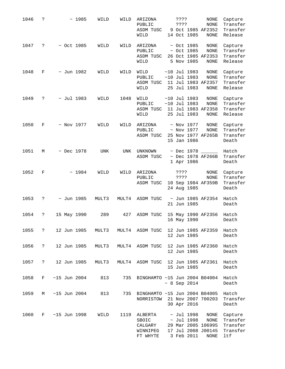| 1046 | ?                    |                      | ~1985 | WILD  | WILD  | ARIZONA<br>PUBLIC<br>ASDM TUSC<br>WILD                            | ? ? ? ?<br>? ? ? ? | 14 Oct 1985                                         | <b>NONE</b><br>$\rm{NONE}$<br>9 Oct 1985 AF2352<br><b>NONE</b>   | Capture<br>Transfer<br>Transfer<br>Release         |
|------|----------------------|----------------------|-------|-------|-------|-------------------------------------------------------------------|--------------------|-----------------------------------------------------|------------------------------------------------------------------|----------------------------------------------------|
| 1047 | S.                   | $\sim$ Oct 1985      |       | WILD  | WILD  | ARIZONA<br>PUBLIC<br>ASDM TUSC<br>WILD                            |                    | $\sim$ Oct 1985<br>$\sim$ Oct 1985<br>5 Nov 1985    | <b>NONE</b><br>$\rm{NONE}$<br>26 Oct 1985 AF2353<br>$\rm{NONE}$  | Capture<br>Transfer<br>Transfer<br>Release         |
| 1048 | F                    | $\sim$ Jun 1982      |       | WILD  | WILD  | WILD<br>PUBLIC<br>ASDM TUSC<br>WILD                               |                    | $~10$ Jul 1983<br>$~10$ Jul 1983<br>25 Jul 1983     | NONE<br>NONE<br>11 Jul 1983 AF2357<br>NONE                       | Capture<br>Transfer<br>Transfer<br>Release         |
| 1049 | S.                   | $\sim$ Jul 1983      |       | WILD  | 1048  | WILD<br>PUBLIC<br>ASDM TUSC<br>WILD                               |                    | $~10$ Jul 1983<br>$~10$ Jul 1983<br>25 Jul 1983     | NONE<br>$\rm{NONE}$<br>11 Jul 1983 AF2358<br>$\rm{NONE}$         | Capture<br>Transfer<br>Transfer<br>Release         |
| 1050 | F                    | $~\sim$ Nov 1977     |       | WILD  | WILD  | ARIZONA<br>PUBLIC<br>ASDM TUSC                                    |                    | $~\sim$ Nov 1977<br>$~\sim$ Nov 1977<br>15 Jan 1986 | NONE<br><b>NONE</b><br>25 Nov 1977 AF265B                        | Capture<br>Transfer<br>Transfer<br>Death           |
| 1051 | М                    | $~\sim$ Dec 1978     |       | UNK   | UNK   | UNKNOWN<br>ASDM TUSC                                              |                    | $~\sim$ Dec 1978<br>1 Apr 1986                      | $~\sim$ Dec 1978 AF266B                                          | Hatch<br>Transfer<br>Death                         |
| 1052 | F                    |                      | ~1984 | WILD  | WILD  | ARIZONA<br>PUBLIC<br>ASDM TUSC                                    | ? ? ? ?<br>????    | 24 Aug 1985                                         | NONE<br><b>NONE</b><br>10 Sep 1984 AF359B                        | Capture<br>Transfer<br>Transfer<br>Death           |
| 1053 | S.                   | $\sim$ Jun 1985      |       | MULT3 | MULT4 | ASDM TUSC                                                         |                    | 21 Jun 1985                                         | $\sim$ Jun 1985 AF2354                                           | Hatch<br>Death                                     |
| 1054 | S.                   | 15 May 1990          |       | 289   | 427   | ASDM TUSC                                                         |                    | 16 May 1990                                         | 15 May 1990 AF2356                                               | Hatch<br>Death                                     |
| 1055 | $\ddot{\phantom{0}}$ |                      |       |       |       | 12 Jun 1985 MULT3 MULT4 ASDM TUSC 12 Jun 1985 AF2359 Hatch        |                    | 12 Jun 1985                                         |                                                                  | Death                                              |
| 1056 | $\ddot{?}$           | 12 Jun 1985          |       |       |       | MULT3 MULT4 ASDM TUSC                                             |                    | 12 Jun 1985                                         | 12 Jun 1985 AF2360 Hatch                                         | Death                                              |
| 1057 | $\ddot{\mathbf{?}}$  | 12 Jun 1985          |       |       |       | MULT3 MULT4 ASDM TUSC 12 Jun 1985 AF2361 Hatch                    |                    | 15 Jun 1985                                         |                                                                  | Death                                              |
| 1058 |                      | $F \sim 15$ Jun 2004 |       | 813   |       | 735 BINGHAMTO ~15 Jun 2004 B04004 Hatch                           |                    | $~\sim~8$ Sep 2014                                  |                                                                  | Death                                              |
| 1059 | M                    | $~15$ Jun 2004       |       | 813   |       | 735 BINGHAMTO ~15 Jun 2004 B04005<br>NORRISTOW 21 Nov 2007 700203 |                    | 30 Apr 2016                                         |                                                                  | Hatch<br>Transfer<br>Death                         |
| 1060 |                      | F ~15 Jun 1998       |       | WILD  | 1119  | ALBERTA<br>SBOIC<br>CALGARY<br>WINNIPEG<br>FT WHYTE               |                    | ~ Jul 1998<br>$\sim$ Jul 1998<br>3 Feb 2011         | NONE<br>NONE<br>29 Mar 2005 106995<br>17 Jul 2008 J00145<br>NONE | Capture<br>Transfer<br>Transfer<br>Transfer<br>ltf |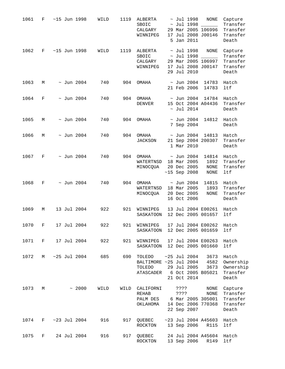| 1061 | F            | $~15$ Jun 1998  |       | WILD | 1119 | <b>ALBERTA</b><br>SBOIC<br>CALGARY<br>WINNIPEG                      |      | $\sim$ Jul 1998<br>$\sim$ Jul 1998<br>5 Jan 2011             | NONE<br>29 Mar 2005 106996<br>17 Jul 2008 J00146                  | Capture<br>Transfer<br>Transfer<br>Transfer<br>Death |
|------|--------------|-----------------|-------|------|------|---------------------------------------------------------------------|------|--------------------------------------------------------------|-------------------------------------------------------------------|------------------------------------------------------|
| 1062 | F            | $~15$ Jun 1998  |       | WILD | 1119 | ALBERTA<br>SBOIC<br>CALGARY<br>WINNIPEG                             |      | $\sim$ Jul 1998<br>$\sim$ Jul 1998<br>29 Jul 2010            | NONE<br>$\frac{1}{2}$<br>29 Mar 2005 106997<br>17 Jul 2008 J00147 | Capture<br>Transfer<br>Transfer<br>Transfer<br>Death |
| 1063 | М            | $\sim$ Jun 2004 |       | 740  | 904  | OMAHA                                                               |      | ~ Jun 2004<br>21 Feb 2006                                    | 14783<br>14783                                                    | Hatch<br>ltf                                         |
| 1064 | F            | $\sim$ Jun 2004 |       | 740  | 904  | OMAHA<br><b>DENVER</b>                                              |      | $\sim$ Jun 2004<br>$\sim$ Jul 2014                           | 14784<br>15 Oct 2004 A04436                                       | Hatch<br>Transfer<br>Death                           |
| 1065 | М            | $\sim$ Jun 2004 |       | 740  | 904  | OMAHA                                                               |      | $\sim$ Jun 2004<br>7 Sep 2004                                | 14812                                                             | Hatch<br>Death                                       |
| 1066 | М            | $\sim$ Jun 2004 |       | 740  | 904  | OMAHA<br><b>JACKSON</b>                                             |      | $\sim$ Jun 2004<br>1 Mar 2010                                | 14813<br>21 Sep 2004 200307                                       | Hatch<br>Transfer<br>Death                           |
| 1067 | F            | $\sim$ Jun 2004 |       | 740  | 904  | OMAHA<br>WATERTNSD<br>MINOCQUA                                      |      | ~ Jun 2004<br>18 Mar 2005<br>20 Dec 2005<br>$~15$ Sep 2008   | 14814<br>1892<br>NONE<br>NONE                                     | Hatch<br>Transfer<br>Transfer<br>ltf                 |
| 1068 | F            | $\sim$ Jun 2004 |       | 740  | 904  | OMAHA<br>WATERTNSD<br>MINOCQUA                                      |      | $\sim$ Jun 2004<br>18 Mar 2005<br>20 Dec 2005<br>16 Oct 2006 | 14815<br>1893<br>NONE                                             | Hatch<br>Transfer<br>Transfer<br>Death               |
| 1069 | М            | 13 Jul 2004     |       | 922  | 921  | WINNIPEG<br><b>SASKATOON</b>                                        |      |                                                              | 13 Jul 2004 E00261<br>12 Dec 2005 001657                          | Hatch<br>ltf                                         |
| 1070 | $\mathbf{F}$ | 17 Jul 2004     |       | 922  |      | 921 WINNIPEG<br>SASKATOON                                           |      |                                                              | 17 Jul 2004 E00262 Hatch<br>12 Dec 2005 001659                    | ltf                                                  |
| 1071 | $F$ and $F$  | 17 Jul 2004     |       | 922  | 921  | WINNIPEG<br>SASKATOON                                               |      |                                                              | 17 Jul 2004 E00263<br>12 Dec 2005 001660                          | Hatch<br>ltf                                         |
| 1072 | М            | $~125$ Jul 2004 |       | 685  | 690  | TOLEDO<br>BALTIMORE ~25 Jul 2004<br>TOLEDO<br>ATASCADER             |      | $\sim$ 25 Jul 2004<br>29 Jul 2005<br>21 Oct 2014             | 3673<br>4582<br>3673<br>6 Oct 2005 B05021                         | Hatch<br>Ownership<br>Ownership<br>Transfer<br>Death |
| 1073 | М            |                 | ~1000 | WILD | WILD | CALIFORNI<br><b>REHAB</b><br>PALM DES 6 Mar 2005 305001<br>OKLAHOMA | ???? | ? ? ? ?<br>22 Sep 2007                                       | $\rm{NONE}$<br>NONE<br>14 Dec 2006 770368                         | Capture<br>Transfer<br>Transfer<br>Transfer<br>Death |
| 1074 | $F$ and $F$  | $~123$ Jul 2004 |       | 916  | 917  | QUEBEC<br>ROCKTON                                                   |      | 13 Sep 2006                                                  | $~123$ Jul 2004 A45603<br>R115                                    | Hatch<br>ltf                                         |
| 1075 | F            | 24 Jul 2004     |       | 916  | 917  | QUEBEC<br>ROCKTON                                                   |      | 13 Sep 2006                                                  | 24 Jul 2004 A45604<br>R149                                        | Hatch<br>ltf                                         |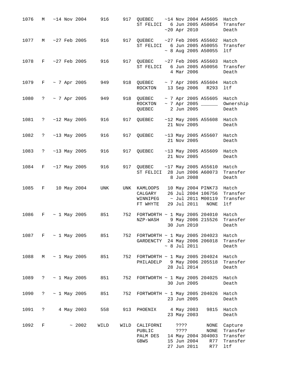| 1076 | М                    | $~14$ Nov 2004          | 916          | $~14$ Nov 2004 A45605<br>917 OUEBEC<br>ST FELICI 6 Jun 2005 A50054<br>$~20$ Apr 2010                                                                | Hatch<br>Transfer<br>Death                         |
|------|----------------------|-------------------------|--------------|-----------------------------------------------------------------------------------------------------------------------------------------------------|----------------------------------------------------|
| 1077 | М                    | $~27$ Feb 2005          | 916<br>917   | $~27$ Feb 2005 A55602<br>QUEBEC<br>6 Jun 2005 A50055<br>ST FELICI<br>~ 8 Aug 2005 A50055                                                            | Hatch<br>Transfer<br>ltf                           |
| 1078 | F                    | $~27$ Feb 2005          | 916<br>917   | QUEBEC<br>$~27$ Feb 2005 A55603<br>6 Jun 2005 A50056<br>ST FELICI<br>4 Mar 2006                                                                     | Hatch<br>Transfer<br>Death                         |
| 1079 | $F$ and $F$          | $~\sim$ 7 Apr 2005      | 949<br>918   | QUEBEC<br>~ 7 Apr 2005 A55604<br>ROCKTON 13 Sep 2006<br>R293                                                                                        | Hatch<br>ltf                                       |
| 1080 | $\ddot{\phantom{0}}$ | ~ 7 Apr 2005            | 949<br>918   | ~ 7 Apr 2005 A55605<br>QUEBEC<br>ROCKTON<br>2 Jun 2005<br>QUEBEC                                                                                    | Hatch<br>Ownership<br>Death                        |
| 1081 | $\ddot{\phantom{0}}$ | $~12$ May 2005          | 916<br>917   | QUEBEC<br>$~12$ May 2005 A55608<br>21 Nov 2005                                                                                                      | Hatch<br>Death                                     |
| 1082 | $\ddot{\phantom{0}}$ | $~13$ May 2005          | 916<br>917   | QUEBEC<br>$~13$ May 2005 A55607<br>21 Nov 2005                                                                                                      | Hatch<br>Death                                     |
| 1083 | $\ddot{\phantom{0}}$ | $~13$ May 2005          | 916<br>917   | QUEBEC<br>$~13$ May 2005 A55609<br>21 Nov 2005                                                                                                      | Hatch<br>Death                                     |
| 1084 | F                    | $~17$ May 2005          | 916<br>917   | QUEBEC<br>$~17$ May 2005 A55610<br>28 Jun 2006 A60073<br>ST FELICI<br>8 Jun 2008                                                                    | Hatch<br>Transfer<br>Death                         |
| 1085 | $F$ and $F$          | 10 May 2004             | UNK<br>UNK   | KAMLOOPS<br>10 May 2004 PINK73<br>26 Jul 2004 106756<br>CALGARY<br>$\sim$ Jul 2011 M00119<br>WINNIPEG<br>29 Jul 2011 NONE<br>FT WHYTE               | Hatch<br>Transfer<br>Transfer<br>ltf               |
| 1086 | F                    | $\sim$ 1 May 2005       | 851<br>752   | FORTWORTH $\sim$ 1 May 2005 204010<br>9 May 2006 215526<br>NZP-WASH<br>30 Jun 2010                                                                  | Hatch<br>Transfer<br>Death                         |
|      |                      | 1087 F ~ 1 May 2005 851 |              | 752 FORTWORTH ~ 1 May 2005 204023<br>GARDENCTY 24 May 2006 206018<br>$\sim 8$ Jul 2011                                                              | Hatch<br>Transfer<br>Death                         |
| 1088 |                      | M ~ 1 May 2005 851      |              | 752 FORTWORTH ~ 1 May 2005 204024<br>PHILADELP 9 May 2006 205518<br>28 Jul 2014                                                                     | Hatch<br>Transfer<br>Death                         |
| 1089 |                      | $? \sim 1$ May 2005     | 851          | 752 FORTWORTH ~ 1 May 2005 204025<br>30 Jun 2005                                                                                                    | Hatch<br>Death                                     |
| 1090 |                      | $? \sim 1$ May 2005     | 851          | 752 FORTWORTH ~ 1 May 2005 204026<br>23 Jun 2005                                                                                                    | Hatch<br>Death                                     |
| 1091 |                      | ? 4 May 2003            | 558<br>913   | 4 May 2003 9815<br>PHOENIX<br>23 May 2003                                                                                                           | Hatch<br>Death                                     |
| 1092 | F                    | ~2002                   | WILD<br>WILD | CALIFORNI<br>? ? ? ?<br>NONE<br>PUBLIC<br>????<br>NONE<br>PALM DES<br>14 May 2004 304003<br>15 Jun 2004<br>R77<br><b>GBWS</b><br>27 Jun 2011<br>R77 | Capture<br>Transfer<br>Transfer<br>Transfer<br>ltf |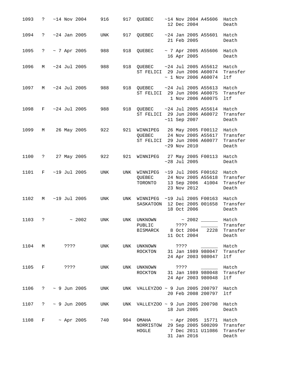| 1093 | $\mathbb{R}$ | $~14$ Nov 2004              | 916 | 917 | QUEBEC ~14 Nov 2004 A45606                                                               | 12 Dec 2004                                                     |                   | Hatch<br>Death                              |
|------|--------------|-----------------------------|-----|-----|------------------------------------------------------------------------------------------|-----------------------------------------------------------------|-------------------|---------------------------------------------|
| 1094 |              | $? \sim 24$ Jan 2005        | UNK | 917 | QUEBEC                                                                                   | $~24$ Jan 2005 A55601 Hatch<br>21 Feb 2005                      |                   | Death                                       |
| 1095 | $\mathbb{R}$ | $\sim$ 7 Apr 2005           | 988 | 918 | QUEBEC                                                                                   | ~ 7 Apr 2005 A55606<br>16 Apr 2005                              |                   | Hatch<br>Death                              |
| 1096 |              | M ~24 Jul 2005              | 988 | 918 | QUEBEC ~24 Jul 2005 A55612 Hatch<br>ST FELICI 29 Jun 2006 A60074                         | $\sim$ 1 Nov 2006 A60074                                        |                   | Transfer<br>ltf                             |
| 1097 |              | M ~24 Jul 2005              | 988 | 918 | QUEBEC<br>ST FELICI 29 Jun 2006 A60075                                                   | $~124$ Jul 2005 A55613<br>1 Nov 2006 A60075                     |                   | Hatch<br>Transfer<br>ltf                    |
| 1098 |              | $F \sim 24$ Jul 2005        | 988 | 918 | QUEBEC<br>ST FELICI 29 Jun 2006 A60072                                                   | $~124$ Jul 2005 A55614<br>$~11$ Sep 2007                        |                   | Hatch<br>Transfer<br>Death                  |
| 1099 | M            | 26 May 2005                 | 922 | 921 | WINNIPEG 26 May 2005 F00112<br>QUEBEC 24 Nov 2005 A55617<br>ST FELICI 29 Jun 2006 A60077 | $~29$ Nov 2010                                                  |                   | Hatch<br>Transfer<br>Transfer<br>Death      |
| 1100 | $\ddot{?}$   | 27 May 2005                 | 922 | 921 | WINNIPEG 27 May 2005 F00113 Hatch                                                        | $~28$ Jul 2005                                                  |                   | Death                                       |
| 1101 | $F =$        | $~19$ Jul 2005              | UNK |     | UNK WINNIPEG<br>QUEBEC 24 Nov 2005 A55618<br>TORONTO                                     | $~19$ Jul 2005 F00162 Hatch<br>13 Sep 2006 41004<br>23 Nov 2012 |                   | Transfer<br>Transfer<br>Death               |
| 1102 | M            | $~19$ Jul 2005              | UNK | UNK | WINNIPEG<br>SASKATOON                                                                    | $~19$ Jul 2005 F00163<br>12 Dec 2005 001658<br>18 Oct 2006      |                   | Hatch<br>Transfer<br>Death                  |
| 1103 | ?            | $\sim 2002$                 | UNK | UNK | UNKNOWN<br>PUBLIC<br>BISMARCK 8 Oct 2004 2228 Transfer                                   | ? ? ? ?<br>11 Oct 2004                                          | $\sim$ 2002 _____ | Hatch<br>Transfer<br>Death                  |
|      |              | 1104 M ???? UNK UNK UNKNOWN |     |     | ROCKTON                                                                                  | 24 Apr 2003 980047 ltf                                          |                   | Hatch<br>31 Jan 1989 980047 Transfer        |
| 1105 |              | F ????                      | UNK |     | UNK UNKNOWN<br>ROCKTON                                                                   | ????<br>24 Apr 2003 980048                                      |                   | Hatch<br>31 Jan 1989 980048 Transfer<br>ltf |
|      |              | $1106$ ? ~ 9 Jun 2005       | UNK |     | UNK VALLEYZOO ~ 9 Jun 2005 200797 Hatch                                                  | 20 Feb 2008 200797                                              |                   | ltf                                         |
|      |              | 1107 ? ~ 9 Jun 2005         | UNK |     | UNK VALLEYZOO ~ 9 Jun 2005 200798 Hatch                                                  | 18 Jun 2005                                                     |                   | Death                                       |
|      |              | $1108$ F ~ Apr 2005 740     |     |     | 904 OMAHA ~ Apr 2005 15771 Hatch<br>NORRISTOW 29 Sep 2005 500209 Transfer<br>HOGLE       | 7 Dec 2011 U11086<br>31 Jan 2016                                |                   | Transfer<br>Death                           |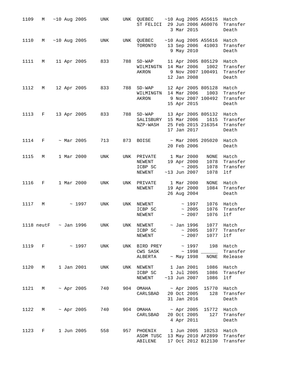| 1109 | M                             |  |                  | $\sim$ 10 Aug 2005 UNK | UNK | QUEBEC ~10 Aug 2005 A55615<br>ST FELICI 29 Jun 2006 A60076                                            |  | 3 Mar 2015                                 |                                                        | Hatch<br>Transfer<br>Death             |
|------|-------------------------------|--|------------------|------------------------|-----|-------------------------------------------------------------------------------------------------------|--|--------------------------------------------|--------------------------------------------------------|----------------------------------------|
| 1110 |                               |  |                  | M ~10 Aug 2005 UNK     |     | UNK QUEBEC ~10 Aug 2005 A55616 Hatch<br>TORONTO                                                       |  | 9 May 2010                                 | 13 Sep 2006 41003                                      | Transfer<br>Death                      |
| 1111 | М                             |  | 11 Apr 2005      | 833                    | 788 | SD-WAP 11 Apr 2005 805129<br>WILMINGTN 14 Mar 2006<br>AKRON                                           |  | 12 Jan 2008                                | 1002<br>9 Nov 2007 100491                              | Hatch<br>Transfer<br>Transfer<br>Death |
| 1112 | M                             |  | 12 Apr 2005      | 833                    | 788 | $SD-WAP$<br>WILMINGTN 14 Mar 2006<br>AKRON                                                            |  | 15 Apr 2015                                | 12 Apr 2005 805128<br>1003<br>9 Nov 2007 100492        | Hatch<br>Transfer<br>Transfer<br>Death |
| 1113 | $\mathbf{F}$ and $\mathbf{F}$ |  |                  | 13 Apr 2005 833        |     | 788 SD-WAP<br>SALISBURY 15 Mar 2006<br>NZP-WASH                                                       |  | 17 Jan 2017                                | 13 Apr 2005 805132 Hatch<br>1615<br>25 Feb 2015 216354 | Transfer<br>Transfer<br>Death          |
| 1114 | F.                            |  | $~\sim$ Mar 2005 | 713                    |     | 873 BOISE ~ Mar 2005 205020                                                                           |  | 20 Feb 2006                                |                                                        | Hatch<br>Death                         |
| 1115 | М                             |  | 1 Mar 2000       | UNK                    |     | UNK PRIVATE 1 Mar 2000<br>NEWENT 19 Apr 2000<br>ICBP SC<br>NEWENT                                     |  | $\sim 2005$<br>$~13$ Jun 2007              | NONE<br>1078<br>1078<br>1078                           | Hatch<br>Transfer<br>Transfer<br>ltf   |
| 1116 | $F \sim 1$                    |  | 1 Mar 2000       | UNK                    | UNK | PRIVATE 1 Mar 2000<br>NEWENT                                                                          |  | 19 Apr 2000<br>26 Aug 2004                 | NONE<br>1084                                           | Hatch<br>Transfer<br>Death             |
| 1117 | M                             |  | $\sim 1997$      | UNK                    |     | UNK NEWENT<br>ICBP SC<br>NEWENT                                                                       |  | $~\sim~1997$<br>$\sim 2005$<br>~2007       | 1076<br>1076                                           | 1076 Hatch<br>Transfer<br>ltf          |
|      |                               |  |                  |                        |     | 1118 neutF $\sim$ Jan 1996 UNK UNK NEWENT $\sim$ Jan 1996 1077 Hatch<br>ICBP SC<br>NEWENT $\sim 2007$ |  | ~2005                                      | 1077 ltf                                               | 1077 Transfer                          |
|      |                               |  |                  |                        |     | 1119 F $\sim$ 1997 UNK UNK BIRD PREY $\sim$ 1997 198<br>CWS SASK ~ 1998 ______<br>ALBERTA             |  | $\sim$ May 1998                            |                                                        | Hatch<br>Transfer<br>NONE Release      |
| 1120 | M                             |  |                  | 1 Jan 2001 UNK         |     | UNK NEWENT<br>ICBP SC<br>NEWENT                                                                       |  | 1 Jan 2001<br>1 Jul 2005<br>$~13$ Jun 2007 | 1086<br>1086                                           | Hatch<br>1086 Transfer<br>ltf          |
| 1121 |                               |  | M ~ Apr 2005     |                        |     | 740 904 OMAHA ~ Apr 2005 15770 Hatch<br>CARLSBAD 20 Oct 2005                                          |  | 31 Jan 2016                                |                                                        | 128 Transfer<br>Death                  |
| 1122 | M                             |  |                  | ~ Apr 2005 740         |     | 904 OMAHA ~ Apr 2005 15772 Hatch<br>CARLSBAD 20 Oct 2005 127 Transf                                   |  | 4 Apr 2011                                 |                                                        | Transfer<br>Death                      |
|      |                               |  |                  | 1123 F 1 Jun 2005 558  |     | 957 PHOENIX 1 Jun 2005 10253 Hatch<br>ASDM TUSC 13 May 2010 AF2899 Transfer<br>ABILENE                |  |                                            | 17 Oct 2012 B12130                                     | Transfer                               |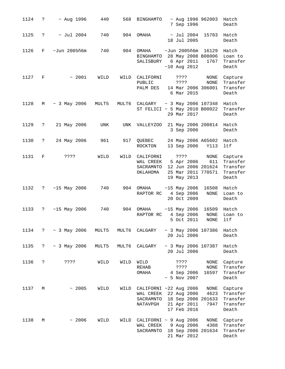| 1124 | ?                   | $~\sim$ Aug 1996   | 440   | 568   | <b>BINGHAMTO</b>                                                                            | ~ Aug 1996 962003<br>7 Sep 1996                                               |                              | Hatch<br>Death                                       |
|------|---------------------|--------------------|-------|-------|---------------------------------------------------------------------------------------------|-------------------------------------------------------------------------------|------------------------------|------------------------------------------------------|
| 1125 | $\mathsf{P}$        | $\sim$ Jul 2004    | 740   | 904   | OMAHA                                                                                       | $\sim$ Jul 2004<br>18 Jul 2005                                                | 15703                        | Hatch<br>Death                                       |
| 1126 | F                   | $\sim$ Jun 2005ñ6m | 740   | 904   | OMAHA<br>BINGHAMTO<br>SALISBURY 6 Apr 2011                                                  | $\sim$ Jun 2005ñ6m<br>28 May 2008 B08006<br>$~10$ Aug 2012                    | 16129<br>1767                | Hatch<br>Loan to<br>Transfer<br>Death                |
| 1127 | F                   | ~1001              | WILD  | WILD  | CALIFORNI<br>PUBLIC<br>PALM DES                                                             | $??\ ??$<br>????<br>14 Mar 2006 306001<br>6 Mar 2015                          | NONE<br>NONE                 | Capture<br>Transfer<br>Transfer<br>Death             |
| 1128 | М                   | $\sim$ 3 May 2006  | MULT5 | MULT6 | CALGARY<br>ST FELICI ~ 5 May 2010 B00022                                                    | ~ 3 May 2006 107348<br>29 Mar 2017                                            |                              | Hatch<br>Transfer<br>Death                           |
| 1129 | $\ddot{?}$          | 21 May 2006        | UNK   | UNK   | VALLEYZOO                                                                                   | 21 May 2006 200814<br>3 Sep 2006                                              |                              | Hatch<br>Death                                       |
| 1130 | ?                   | 24 May 2006        | 961   | 917   | QUEBEC<br>ROCKTON                                                                           | 24 May 2006 A65602<br>13 Sep 2006                                             | Y113                         | Hatch<br>ltf                                         |
| 1131 | F                   | ????               | WILD  | WILD  | CALIFORNI<br>WAL CREEK<br>SACRAMNTO<br>ОКLАНОМА                                             | ????<br>5 Apr 2006<br>12 Jun 2006 201624<br>25 Mar 2011 770571<br>19 May 2013 | NONE<br>611                  | Capture<br>Transfer<br>Transfer<br>Transfer<br>Death |
| 1132 | $\ddot{\mathbf{?}}$ | $~15$ May 2006     | 740   | 904   | OMAHA<br>RAPTOR RC                                                                          | $~15$ May 2006<br>4 Sep 2006<br>20 Oct 2009                                   | 16508<br>$\rm{NONE}$         | Hatch<br>Loan to<br>Death                            |
| 1133 | $\ddot{?}$          | $~15$ May 2006     | 740   | 904   | OMAHA<br>RAPTOR RC                                                                          | $~15$ May 2006<br>4 Sep 2006<br>5 Oct 2011                                    | 16509<br>NONE<br><b>NONE</b> | Hatch<br>Loan to<br>ltf                              |
| 1134 | ?                   | $\sim$ 3 May 2006  | MULT5 | MULT6 | CALGARY                                                                                     | ~ 3 May 2006 107386<br>20 Jul 2006                                            |                              | Hatch<br>Death                                       |
| 1135 | $\ddot{\mathbf{?}}$ | $\sim$ 3 May 2006  | MULT5 | MULT6 | CALGARY                                                                                     | $\sim$ 3 May 2006 107387<br>20 Jul 2006                                       |                              | Hatch<br>Death                                       |
| 1136 | $\ddot{\mathbf{S}}$ | ? ? ? ?            | WILD  | WILD  | WILD<br>$\operatorname{REHAB}$<br>OMAHA                                                     | ????<br>????<br>4 Sep 2006<br>$\sim$ 5 Nov 2007                               | NONE<br>NONE<br>16597        | Capture<br>Transfer<br>Transfer<br>Death             |
| 1137 | М                   | ~2005              | WILD  | WILD  | CALIFORNI ~22 Aug 2006<br>WAL CREEK 22 Aug 2006<br>SACRAMNTO 18 Sep 2006 201633<br>NATAVPGH | 21 Apr 2011<br>17 Feb 2016                                                    | NONE<br>4623<br>7947         | Capture<br>Transfer<br>Transfer<br>Transfer<br>Death |
| 1138 | М                   | ~1006              | WILD  | WILD  | CALIFORNI $\sim$ 9 Aug 2006<br>WAL CREEK<br>SACRAMNTO                                       | 9 Aug 2006<br>18 Sep 2006 201634<br>21 Mar 2012                               | NONE<br>4388                 | Capture<br>Transfer<br>Transfer<br>Death             |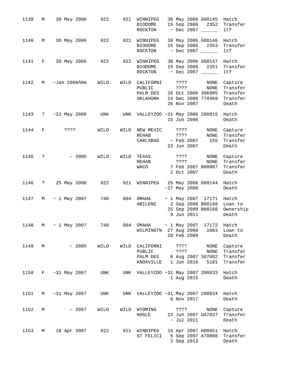| 1139 | М                 | 30 May 2006                                                | 922  | 921  | WINNIPEG 30 May 2006 G00145<br><b>BIODOME</b>                                  |                                                                  |                      | Hatch<br>15 Sep 2006 2352 Transfer<br>ltf            |
|------|-------------------|------------------------------------------------------------|------|------|--------------------------------------------------------------------------------|------------------------------------------------------------------|----------------------|------------------------------------------------------|
| 1140 | М                 | 30 May 2006 922                                            |      |      | 921 WINNIPEG 30 May 2006 G00146 Hatch<br><b>BIODOME</b><br>ROCKTON             | 15 Sep 2006 2353<br>$\sim$ Dec 2007 ______                       |                      | Transfer<br>ltf                                      |
| 1141 | F                 | 30 May 2006 922                                            |      | 921  | WINNIPEG 30 May 2006 G00147<br><b>BIODOME</b><br>$ROCKTON$ ~ Dec 2007 ________ | 15 Sep 2006 2351                                                 |                      | Hatch<br>Transfer<br>ltf                             |
| 1142 | М                 | ~Jan 2006ñ6m                                               | WILD |      | WILD CALIFORNI ???? NONE<br>PUBLIC<br>PALM DES 26 Oct 2006 306005<br>OKLAHOMA  | ???? NONE<br>14 Dec 2006 770469<br>26 Nov 2007                   |                      | Capture<br>Transfer<br>Transfer<br>Transfer<br>Death |
| 1143 |                   | $? \sim 21$ May 2006 UNK                                   |      |      | UNK VALLEYZOO ~21 May 2006 200815 Hatch                                        | 15 Jun 2006                                                      |                      | Death                                                |
| 1144 | F                 | ? ? ? ?                                                    | WILD |      | WILD NEW MEXIC<br><b>REHAB</b><br>$CARLSBAD$ ~ Feb 2007 155                    | ???? NONE<br>???? NONE<br>23 Jun 2007                            |                      | Capture<br>Transfer<br>Transfer<br>Death             |
| 1145 | $\mathbb{R}$      | ~2005                                                      | WILD |      | WILD TEXAS ???? NONE<br>REHAB<br>WACO                                          | ???? NONE<br>7 Feb 2007 B00807<br>2 Oct 2007                     |                      | Capture<br>Transfer<br>Transfer<br>Death             |
| 1146 | $\ddot{\text{?}}$ | 25 May 2006                                                | 922  | 921  | WINNIPEG 25 May 2006 G00144 Hatch                                              | $~27$ May 2006                                                   |                      | Death                                                |
| 1147 | M                 | $\sim$ 1 May 2007                                          | 740  | 904  | OMAHA<br>ABILENE                                                               | $\sim$ 1 May 2007 17171 Hatch<br>2 Sep 2008 B08168<br>9 Jun 2011 |                      | Loan to<br>25 Sep 2009 B08168 Ownership<br>Death     |
|      |                   | 1148 M ~ 1 May 2007 740 904 OMAHA ~ 1 May 2007 17172 Hatch |      |      | WILMINGTN 27 Aug 2008                                                          | 20 Feb 2009                                                      |                      | 1083 Loan to<br>Death                                |
| 1149 | М                 | ~2005                                                      | WILD | WILD | CALIFORNI<br>PUBLIC<br>PALM DES<br>KNOXVILLE                                   | ????<br>? ? ? ?<br>6 Aug 2007 307002<br>1 Jun 2016               | NONE<br>NONE<br>5181 | Capture<br>Transfer<br>Transfer<br>Transfer          |
| 1150 | F                 | $~1$ May 2007                                              | UNK  |      | UNK VALLEYZOO ~31 May 2007 200833                                              | 1 Aug 2015                                                       |                      | Hatch<br>Death                                       |
| 1151 | М                 | $~1$ May 2007                                              | UNK  |      | UNK VALLEYZOO ~31 May 2007 200834                                              | 6 Nov 2017                                                       |                      | Hatch<br>Death                                       |
| 1152 | М                 | $~\sim~2007$                                               | WILD | WILD | WYOMING<br>HOGLE                                                               | ????<br>22 Jun 2007 U07037<br>$\sim$ Jul 2011                    | NONE                 | Capture<br>Transfer<br>Death                         |
| 1153 | М                 | 16 Apr 2007                                                | 922  | 921  | WINNIPEG<br>ST FELICI                                                          | 16 Apr 2007 H00051<br>5 Sep 2007 A70098<br>2 Sep 2013            |                      | Hatch<br>Transfer<br>Death                           |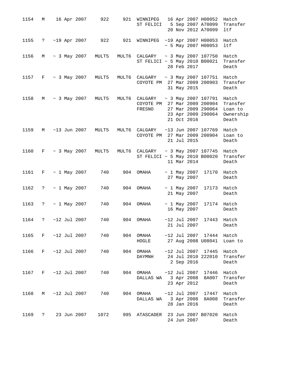| 1154 | М                    | 16 Apr 2007          | 922   | 921   | WINNIPEG<br>ST FELICI                                        |  |                                  | 16 Apr 2007 H00052<br>5 Sep 2007 A70099<br>20 Nov 2012 A70099   | Hatch<br>Transfer<br>ltf                           |
|------|----------------------|----------------------|-------|-------|--------------------------------------------------------------|--|----------------------------------|-----------------------------------------------------------------|----------------------------------------------------|
| 1155 | $\ddot{\phantom{0}}$ | $~19$ Apr 2007       | 922   | 921   | WINNIPEG ~19 Apr 2007 H00053                                 |  |                                  | $~\sim$ 5 May 2007 H00053                                       | Hatch<br>ltf                                       |
| 1156 | М                    | $\sim$ 3 May 2007    | MULT5 | MULT6 | CALGARY ~ 3 May 2007 107750<br>ST FELICI ~ 5 May 2010 B00021 |  | 28 Feb 2017                      |                                                                 | Hatch<br>Transfer<br>Death                         |
| 1157 | F                    | $\sim$ 3 May 2007    | MULT5 | MULT6 | CALGARY ~ 3 May 2007 107751<br>COYOTE PM 27 Mar 2009 200903  |  | 31 May 2015                      |                                                                 | Hatch<br>Transfer<br>Death                         |
| 1158 | М                    | $\sim$ 3 May 2007    | MULT5 | MULT6 | CALGARY<br>COYOTE PM 27 Mar 2009 200904<br>FRESNO            |  | 21 Oct 2016                      | ~ 3 May 2007 107791<br>27 Mar 2009 290064<br>23 Apr 2009 290064 | Hatch<br>Transfer<br>Loan to<br>Ownership<br>Death |
| 1159 | М                    | $~13$ Jun 2007       | MULT5 | MULT6 | CALGARY<br>COYOTE PM 27 Mar 2009 200904                      |  | 21 Jul 2015                      | $~13$ Jun 2007 107769                                           | Hatch<br>Loan to<br>Death                          |
| 1160 | F                    | $\sim$ 3 May 2007    | MULT5 | MULT6 | CALGARY ~ 3 May 2007 107745<br>ST FELICI ~ 5 May 2010 B00020 |  | 11 Mar 2014                      |                                                                 | Hatch<br>Transfer<br>Death                         |
| 1161 | F                    | $\sim$ 1 May 2007    | 740   | 904   | OMAHA                                                        |  | $\sim$ 1 May 2007<br>27 May 2007 | 17170                                                           | Hatch<br>Death                                     |
| 1162 | $\mathbb{R}$         | $\sim$ 1 May 2007    | 740   | 904   | OMAHA                                                        |  | $\sim$ 1 May 2007<br>21 May 2007 | 17173                                                           | Hatch<br>Death                                     |
| 1163 | $\ddot{\mathbf{?}}$  | $\sim$ 1 May 2007    | 740   | 904   | OMAHA                                                        |  | $\sim$ 1 May 2007<br>16 May 2007 | 17174 Hatch                                                     | Death                                              |
| 1164 | $\ddot{?}$           | $~12$ Jul 2007       | 740   | 904   | OMAHA                                                        |  | $~12$ Jul 2007<br>21 Jul 2007    | 17443 Hatch                                                     | Death                                              |
| 1165 |                      | F ~12 Jul 2007       | 740   | 904   | OMAHA<br>HOGLE                                               |  |                                  | $~12$ Jul 2007 17444<br>27 Aug 2008 U08041                      | Hatch<br>Loan to                                   |
| 1166 |                      | $F \sim 12$ Jul 2007 | 740   |       | 904 OMAHA<br>DAYMNH                                          |  | 2 Sep 2016                       | $~12$ Jul 2007 17445<br>24 Jul 2010 222010                      | Hatch<br>Transfer<br>Death                         |
| 1167 |                      | $F \sim 12$ Jul 2007 | 740   |       | 904 OMAHA<br>DALLAS WA 3 Apr 2008                            |  | $~12$ Jul 2007<br>23 Apr 2012    | 17446<br>8A007                                                  | Hatch<br>Transfer<br>Death                         |
| 1168 | M                    | $~12$ Jul 2007       | 740   |       | 904 OMAHA ~12 Jul 2007<br>DALLAS WA 3 Apr 2008               |  | 28 Jan 2016                      | 17447<br>8A008                                                  | Hatch<br>Transfer<br>Death                         |
| 1169 | $\ddot{\phantom{0}}$ | 23 Jun 2007          | 1072  |       | 995 ATASCADER 23 Jun 2007 B07020                             |  | 24 Jun 2007                      |                                                                 | Hatch<br>Death                                     |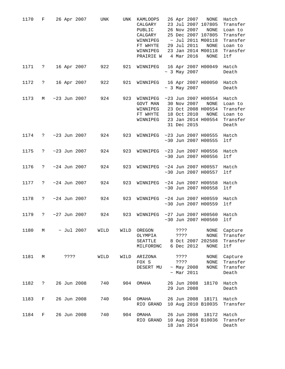| 1170 | $F \sim$             |                      |      |                 | 26 Apr 2007 UNK |      | UNK KAMLOOPS<br>CALGARY<br>PUBLIC<br>CALGARY<br>WINNIPEG<br>FT WHYTE<br>WINNIPEG<br>PRAIRIE W 4 Mar 2016 |                 | 26 Nov 2007<br>29 Jul 2011                | 26 Apr 2007 NONE<br>23 Jul 2007 107805<br>NONE<br>25 Dec 2007 107805<br>$\sim$ Jul 2011 M00118<br>NONE<br>23 Jan 2014 M00118<br>NONE | Hatch<br>Transfer<br>Loan to<br>Transfer<br>Transfer<br>Loan to<br>Transfer<br>ltf |
|------|----------------------|----------------------|------|-----------------|-----------------|------|----------------------------------------------------------------------------------------------------------|-----------------|-------------------------------------------|--------------------------------------------------------------------------------------------------------------------------------------|------------------------------------------------------------------------------------|
| 1171 | $\ddot{\mathbf{?}}$  |                      |      | 16 Apr 2007     | 922             | 921  | WINNIPEG 16 Apr 2007 H00049                                                                              |                 | $\sim$ 3 May 2007                         |                                                                                                                                      | Hatch<br>Death                                                                     |
| 1172 | $\ddot{\mathbf{?}}$  |                      |      | 16 Apr 2007     | 922             | 921  | WINNIPEG 16 Apr 2007 H00050 Hatch                                                                        |                 | $\sim$ 3 May 2007                         |                                                                                                                                      | Death                                                                              |
| 1173 | M                    |                      |      | $~23$ Jun 2007  | 924             | 923  | WINNIPEG<br>GOVT MAN<br>WINNIPEG<br>FT WHYTE<br>WINNIPEG                                                 |                 | 30 Nov 2007<br>18 Oct 2010<br>31 Dec 2015 | $~23$ Jun 2007 H00554<br>NONE<br>23 Oct 2008 H00554<br>NONE<br>23 Jan 2014 H00554                                                    | Hatch<br>Loan to<br>Transfer<br>Loan to<br>Transfer<br>Death                       |
| 1174 | $\ddot{?}$           |                      |      | $~23$ Jun 2007  | 924             | 923  | WINNIPEG                                                                                                 |                 |                                           | $~23$ Jun 2007 H00555 Hatch<br>~100555                                                                                               | ltf                                                                                |
| 1175 |                      | $? \sim 23$ Jun 2007 |      |                 | 924             | 923  | WINNIPEG ~23 Jun 2007 H00556 Hatch                                                                       |                 |                                           | ~100556                                                                                                                              | ltf                                                                                |
| 1176 |                      | ? $~24$ Jun 2007     |      |                 | 924             | 923  | WINNIPEG                                                                                                 |                 |                                           | $~24$ Jun 2007 H00557 Hatch<br>~100557                                                                                               | ltf                                                                                |
| 1177 | $\ddot{\mathbf{?}}$  |                      |      | $~24$ Jun 2007  | 924             | 923  | WINNIPEG                                                                                                 |                 |                                           | $~24$ Jun 2007 H00558<br>~100558                                                                                                     | Hatch<br>ltf                                                                       |
| 1178 | $\ddot{\mathbf{?}}$  | $~24$ Jun 2007       |      |                 | 924             | 923  | WINNIPEG                                                                                                 |                 |                                           | $~124$ Jun 2007 H00559<br>~100559                                                                                                    | Hatch<br>ltf                                                                       |
| 1179 | $\ddot{\phantom{0}}$ | $~27$ Jun 2007       |      |                 | 924             | 923  | WINNIPEG                                                                                                 |                 |                                           | $~27$ Jun 2007 H00560 Hatch<br>$~100560$ Jun 2007 H00560                                                                             | ltf                                                                                |
| 1180 | М                    |                      |      | $\sim$ Jul 2007 | WILD            | WILD | OREGON<br>OLYMPIA<br>SEATTLE<br>MILFORDNC                                                                | ? ? ? ?<br>???? | 6 Dec 2012                                | <b>NONE</b><br>$\rm{NONE}$<br>8 Oct 2007 202588<br>NONE                                                                              | Capture<br>Transfer<br>Transfer<br>ltf                                             |
| 1181 | М                    |                      | ???? |                 | WILD            | WILD | ARIZONA<br>FOX S<br>DESERT MU                                                                            | ????<br>????    | $~\sim$ May 2008<br>$~\sim$ Mar 2011      | NONE<br>NONE<br>NONE                                                                                                                 | Capture<br>Transfer<br>Transfer<br>Death                                           |
| 1182 | ?                    |                      |      | 26 Jun 2008     | 740             | 904  | OMAHA                                                                                                    |                 | 26 Jun 2008<br>29 Jun 2008                | 18170                                                                                                                                | Hatch<br>Death                                                                     |
| 1183 | F                    |                      |      | 26 Jun 2008     | 740             | 904  | OMAHA<br>RIO GRAND                                                                                       |                 | 26 Jun 2008                               | 18171<br>10 Aug 2010 B10035                                                                                                          | Hatch<br>Transfer                                                                  |
| 1184 | F                    |                      |      | 26 Jun 2008     | 740             | 904  | OMAHA<br>RIO GRAND                                                                                       |                 | 26 Jun 2008<br>18 Jan 2014                | 18172<br>10 Aug 2010 B10036                                                                                                          | Hatch<br>Transfer<br>Death                                                         |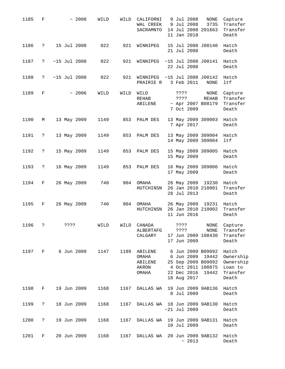| 1185 | F            | ~2008             | WILD      | WILD | CALIFORNI<br>WAL CREEK<br>SACRAMNTO                  | 9 Jul 2008<br>9 Jul 2008<br>14 Jul 2008 201663<br>11 Jan 2018                                                        | <b>NONE</b><br>3735  | Capture<br>Transfer<br>Transfer<br>Death                        |
|------|--------------|-------------------|-----------|------|------------------------------------------------------|----------------------------------------------------------------------------------------------------------------------|----------------------|-----------------------------------------------------------------|
| 1186 | $\mathsf{P}$ | 15 Jul 2008       | 922       | 921  | WINNIPEG                                             | 15 Jul 2008 J00140<br>21 Jul 2008                                                                                    |                      | Hatch<br>Death                                                  |
| 1187 | $\mathbf{?}$ | $~15$ Jul 2008    | 922       | 921  | WINNIPEG                                             | $~15$ Jul 2008 J00141<br>22 Jul 2008                                                                                 |                      | Hatch<br>Death                                                  |
| 1188 | $\mathbf{?}$ | $~15$ Jul 2008    | 922       | 921  | WINNIPEG ~15 Jul 2008 J00142<br>PRAIRIE R 3 Feb 2011 |                                                                                                                      | NONE                 | Hatch<br>ltf                                                    |
| 1189 | F            | ~1006             | WILD      | WILD | WILD<br>REHAB<br>ABILENE                             | 3333<br>????<br>$~\sim$ Apr 2007 B08179<br>7 Oct 2009                                                                | <b>NONE</b><br>REHAB | Capture<br>Transfer<br>Transfer<br>Death                        |
| 1190 | М            | 13 May 2009       | 1149      | 853  | PALM DES                                             | 13 May 2009 309003<br>7 Apr 2017                                                                                     |                      | Hatch<br>Death                                                  |
| 1191 | $\ddot{ }$   | 13 May 2009       | 1149      | 853  | PALM DES                                             | 13 May 2009 309004<br>14 May 2009 309004                                                                             |                      | Hatch<br>ltf                                                    |
| 1192 | ?            | 15 May 2009       | 1149      | 853  | PALM DES                                             | 15 May 2009 309005<br>15 May 2009                                                                                    |                      | Hatch<br>Death                                                  |
| 1193 | ?            | 16 May 2009       | 1149      | 853  | PALM DES                                             | 16 May 2009 309006<br>17 May 2009                                                                                    |                      | Hatch<br>Death                                                  |
| 1194 | F            | 26 May 2009       | 740       | 904  | OMAHA<br>HUTCHINSN                                   | 26 May 2009 19230<br>26 Jan 2010 210001<br>28 Jul 2013                                                               |                      | Hatch<br>Transfer<br>Death                                      |
| 1195 | F            | 26 May 2009       | 740       | 904  | OMAHA<br>HUTCHINSN                                   | 26 May 2009<br>26 Jan 2010 210002<br>11 Jun 2016                                                                     | 19231                | Hatch<br>Transfer<br>Death                                      |
| 1196 | $\ddot{ }$   | ????              | WILD      |      | WILD CANADA<br>ALBERTAFG<br>CALGARY                  | ????<br>????<br>17 Jun 2009 108430<br>17 Jun 2009                                                                    | NONE                 | NONE Capture<br>Transfer<br>Transfer<br>Death                   |
|      |              | 1197 F 6 Jun 2009 | 1147 1189 |      | ABILENE<br>OMAHA<br>ABILENE<br>AKRON<br>OMAHA        | 6 Jun 2009 B09092<br>6 Jun 2009 19442<br>25 Sep 2009 B09092<br>4 Oct 2011 100875<br>22 Dec 2016 19442<br>18 Aug 2017 |                      | Hatch<br>Ownership<br>Ownership<br>Loan to<br>Transfer<br>Death |
| 1198 | $F =$        | 19 Jun 2009       | 1168      |      | 1167 DALLAS WA 19 Jun 2009 9AB136                    | 8 Jul 2009                                                                                                           |                      | Hatch<br>Death                                                  |
| 1199 | $\mathbb{R}$ | 18 Jun 2009       | 1168      |      | 1167 DALLAS WA 18 Jun 2009 9AB130                    | $~121$ Jul 2009                                                                                                      |                      | Hatch<br>Death                                                  |
| 1200 | $\mathbb{R}$ | 19 Jun 2009       | 1168      |      | 1167 DALLAS WA 19 Jun 2009 9AB131                    | 10 Jul 2009                                                                                                          |                      | Hatch<br>Death                                                  |
| 1201 | $F$ and $F$  | 20 Jun 2009       | 1168      |      | 1167 DALLAS WA                                       | 20 Jun 2009 9AB132<br>~2013                                                                                          |                      | Hatch<br>Death                                                  |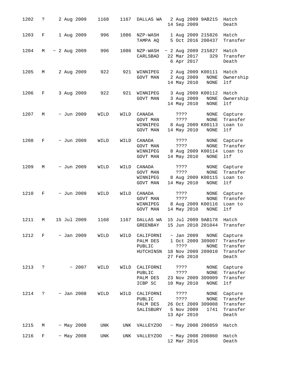| 1202 | S.      | 2 Aug 2009        | 1168 | 1167 | DALLAS WA                                    | 2 Aug 2009 9AB215<br>14 Sep 2009                                                  |                                    | Hatch<br>Death                                       |
|------|---------|-------------------|------|------|----------------------------------------------|-----------------------------------------------------------------------------------|------------------------------------|------------------------------------------------------|
| 1203 | $\rm F$ | 1 Aug 2009        | 996  | 1086 | NZP-WASH<br>TAMPA AQ                         | 1 Aug 2009 215826<br>5 Oct 2016 200437                                            |                                    | Hatch<br>Transfer                                    |
| 1204 | М       | $\sim$ 2 Aug 2009 | 996  | 1086 | NZP-WASH<br>CARLSBAD                         | ~ 2 Aug 2009 215827<br>22 Mar 2017<br>6 Apr 2017                                  | 329                                | Hatch<br>Transfer<br>Death                           |
| 1205 | М       | 2 Aug 2009        | 922  | 921  | WINNIPEG<br>GOVT MAN                         | 2 Aug 2009 K00111<br>2 Aug 2009<br>14 May 2010                                    | $\rm{NONE}$<br>$\rm{NONE}$         | Hatch<br>Ownership<br>ltf                            |
| 1206 | F       | 3 Aug 2009        | 922  | 921  | WINNIPEG<br>GOVT MAN                         | 3 Aug 2009 K00112<br>3 Aug 2009<br>14 May 2010                                    | <b>NONE</b><br><b>NONE</b>         | Hatch<br>Ownership<br>ltf                            |
| 1207 | М       | $\sim$ Jun 2009   | WILD | WILD | CANADA<br>GOVT MAN<br>WINNIPEG<br>GOVT MAN   | ? ? ? ?<br>????<br>8 Aug 2009 K00113<br>14 May 2010                               | NONE<br><b>NONE</b><br>NONE        | Capture<br>Transfer<br>Loan to<br>ltf                |
| 1208 | F       | $\sim$ Jun 2009   | WILD | WILD | CANADA<br>GOVT MAN<br>WINNIPEG<br>GOVT MAN   | $??\ ??$<br>? ? ? ?<br>8 Aug 2009 K00114<br>14 May 2010                           | NONE<br><b>NONE</b><br>NONE        | Capture<br>Transfer<br>Loan to<br>ltf                |
| 1209 | М       | $\sim$ Jun 2009   | WILD | WILD | CANADA<br>GOVT MAN<br>WINNIPEG<br>GOVT MAN   | $??\ ??$<br>? ? ? ?<br>8 Aug 2009 K00115<br>14 May 2010                           | NONE<br><b>NONE</b><br>NONE        | Capture<br>Transfer<br>Loan to<br>ltf                |
| 1210 | F       | $\sim$ Jun 2009   | WILD | WILD | CANADA<br>GOVT MAN<br>WINNIPEG<br>GOVT MAN   | $??\,?\,?$<br>????<br>8 Aug 2009 K00116<br>14 May 2010                            | NONE<br>$\rm{NONE}$<br>NONE        | Capture<br>Transfer<br>Loan to<br>ltf                |
| 1211 | М       | 15 Jul 2009       | 1168 | 1167 | DALLAS WA<br>GREENBAY                        | 15 Jul 2009 9AB178<br>15 Jun 2010 201044                                          |                                    | Hatch<br>Transfer                                    |
| 1212 | F       | $\sim$ Jan 2009   | WILD | WILD | CALIFORNI<br>PALM DES<br>PUBLIC<br>HUTCHINSN | $\sim$ Jan 2009<br>1 Oct 2009 309007<br>????<br>18 Nov 2009 209010<br>27 Feb 2010 | NONE<br><b>NONE</b>                | Capture<br>Transfer<br>Transfer<br>Transfer<br>Death |
| 1213 | ?       | ~2007             | WILD | WILD | CALIFORNI<br>PUBLIC<br>PALM DES<br>ICBP SC   | ????<br>????<br>23 Nov 2009 309009<br>10 May 2010                                 | NONE<br><b>NONE</b><br><b>NONE</b> | Capture<br>Transfer<br>Transfer<br>ltf               |
| 1214 | ?       | $\sim$ Jan 2008   | WILD | WILD | CALIFORNI<br>PUBLIC<br>PALM DES<br>SALISBURY | ????<br>????<br>26 Oct 2009 309008<br>5 Nov 2009<br>13 Apr 2010                   | NONE<br><b>NONE</b><br>1741        | Capture<br>Transfer<br>Transfer<br>Transfer<br>Death |
| 1215 | М       | $~\sim$ May 2008  | UNK  | UNK  | VALLEYZOO                                    | $~\sim$ May 2008 200859                                                           |                                    | Hatch                                                |
| 1216 | F       | $~\sim$ May 2008  | UNK  | UNK  | VALLEYZOO                                    | $~\sim$ May 2008 200860<br>12 Mar 2016                                            |                                    | Hatch<br>Death                                       |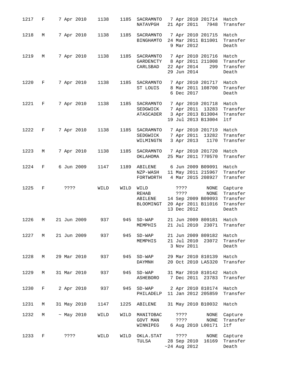| 1217 | F         | 7 Apr 2010       | 1138 | 1185 | SACRAMNTO 7 Apr 2010 201714<br>NATAVPGH                  | 21 Apr 2011 7948                                                                 |              | Hatch<br>Transfer                                    |
|------|-----------|------------------|------|------|----------------------------------------------------------|----------------------------------------------------------------------------------|--------------|------------------------------------------------------|
| 1218 | М         | 7 Apr 2010       | 1138 | 1185 | SACRAMNTO 7 Apr 2010 201715<br>BINGHAMTO                 | 24 Mar 2011 B11001<br>9 Mar 2012                                                 |              | Hatch<br>Transfer<br>Death                           |
| 1219 | М         | 7 Apr 2010       | 1138 | 1185 | SACRAMNTO<br>GARDENCTY<br>CARLSBAD                       | 7 Apr 2010 201716<br>8 Apr 2011 211008<br>22 Apr 2014 299<br>29 Jun 2014         |              | Hatch<br>Transfer<br>Transfer<br>Death               |
| 1220 | F         | 7 Apr 2010       | 1138 | 1185 | SACRAMNTO<br>ST LOUIS                                    | 7 Apr 2010 201717<br>8 Mar 2011 108700<br>6 Dec 2017                             |              | Hatch<br>Transfer<br>Death                           |
| 1221 | F         | 7 Apr 2010       | 1138 | 1185 | SACRAMNTO<br>SEDGWICK<br>ATASCADER                       | 7 Apr 2010 201718<br>7 Apr 2011 13283<br>3 Apr 2013 B13004<br>19 Jul 2013 B13004 |              | Hatch<br>Transfer<br>Transfer<br>ltf                 |
| 1222 | F         | 7 Apr 2010       | 1138 | 1185 | SACRAMNTO<br>SEDGWICK<br>WILMINGTN                       | 7 Apr 2010 201719<br>7 Apr 2011 13282<br>3 Apr 2013                              | 1170         | Hatch<br>Transfer<br>Transfer                        |
| 1223 | М         | 7 Apr 2010       | 1138 | 1185 | SACRAMNTO 7 Apr 2010 201720<br>ОКLАНОМА                  | 25 Mar 2011 770570                                                               |              | Hatch<br>Transfer                                    |
| 1224 | F         | 6 Jun 2009       | 1147 | 1189 | ABILENE 6 Jun 2009 B09091 Hatch<br>NZP-WASH<br>FORTWORTH | 11 May 2011 215967<br>4 Mar 2015 208927                                          |              | Transfer<br>Transfer                                 |
|      |           |                  |      |      |                                                          |                                                                                  |              |                                                      |
| 1225 | F         | ? ? ? ?          | WILD | WILD | WILD<br><b>REHAB</b><br>ABILENE<br>BLOOMINGT             | ? ? ? ?<br>????<br>14 Sep 2009 B09093<br>20 Apr 2011 B11016<br>13 Dec 2012       | NONE<br>NONE | Capture<br>Transfer<br>Transfer<br>Transfer<br>Death |
| 1226 | М         | 21 Jun 2009      | 937  | 945  | $SD-WAP$<br>MEMPHIS                                      | 21 Jun 2009 809181<br>21 Jul 2010 23071                                          |              | Hatch<br>Transfer                                    |
| 1227 | M         | 21 Jun 2009      | 937  | 945  | $SD-WAP$<br>MEMPHIS                                      | 21 Jun 2009 809182<br>21 Jul 2010<br>3 Nov 2011                                  | 23072        | Hatch<br>Transfer<br>Death                           |
| 1228 | М         | 29 Mar 2010      | 937  | 945  | $SD-WAP$<br>DAYMNH                                       | 29 Mar 2010 810139<br>20 Oct 2010 LA5320                                         |              | Hatch<br>Transfer                                    |
| 1229 | М         | 31 Mar 2010      | 937  | 945  | $SD-WAP$<br>ASHEBORO                                     | 31 Mar 2010 810142<br>7 Dec 2011 23783                                           |              | Hatch<br>Transfer                                    |
| 1230 | $F = \pm$ | 2 Apr 2010       | 937  | 945  | $SD-WAP$<br>PHILADELP                                    | 2 Apr 2010 810174<br>11 Jan 2012 205859                                          |              | Hatch<br>Transfer                                    |
| 1231 | М         | 31 May 2010      | 1147 | 1225 | ABILENE                                                  | 31 May 2010 B10032                                                               |              | Hatch                                                |
| 1232 | М         | $~\sim$ May 2010 | WILD | WILD | MANITOBAC<br>GOVT MAN<br>WINNIPEG                        | ? ? ? ?<br>????<br>6 Aug 2010 L00171                                             | NONE<br>NONE | Capture<br>Transfer<br>ltf                           |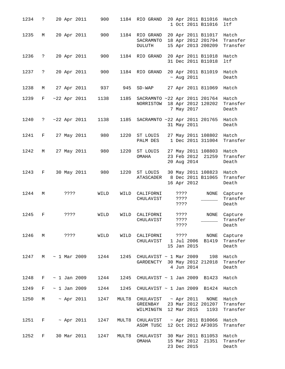| 1234 | ?                   | 20 Apr 2011              | 900  | 1184  | RIO GRAND                                                                                                   | 20 Apr 2011 B11016<br>1 Oct 2011 B11016                        |      | Hatch<br>ltf                  |
|------|---------------------|--------------------------|------|-------|-------------------------------------------------------------------------------------------------------------|----------------------------------------------------------------|------|-------------------------------|
| 1235 | М                   | 20 Apr 2011              | 900  |       | 1184 RIO GRAND<br>SACRAMNTO<br>DULUTH                                                                       | 20 Apr 2011 B11017<br>18 Apr 2012 201794<br>15 Apr 2013 200209 |      | Hatch<br>Transfer<br>Transfer |
| 1236 | $\ddot{\mathbf{S}}$ | 20 Apr 2011              | 900  | 1184  | RIO GRAND                                                                                                   | 20 Apr 2011 B11018<br>31 Dec 2011 B11018                       |      | Hatch<br>ltf                  |
| 1237 | ?                   | 20 Apr 2011              | 900  | 1184  | RIO GRAND                                                                                                   | 20 Apr 2011 B11019<br>$~\sim$ Aug 2011                         |      | Hatch<br>Death                |
| 1238 | М                   | 27 Apr 2011              | 937  | 945   | $SD-WAP$                                                                                                    | 27 Apr 2011 811069                                             |      | Hatch                         |
| 1239 | F                   | $~22$ Apr 2011           | 1138 | 1185  | SACRAMNTO ~22 Apr 2011 201764<br>NORRISTOW                                                                  | 18 Apr 2012 120202<br>7 May 2017                               |      | Hatch<br>Transfer<br>Death    |
| 1240 | $\mathbb{R}$        | $~22$ Apr 2011           | 1138 | 1185  | SACRAMNTO ~22 Apr 2011 201765                                                                               | 31 May 2011                                                    |      | Hatch<br>Death                |
| 1241 | F                   | 27 May 2011              | 980  | 1220  | ST LOUIS<br>PALM DES                                                                                        | 27 May 2011 108802<br>1 Dec 2011 311004                        |      | Hatch<br>Transfer             |
| 1242 | М                   | 27 May 2011              | 980  | 1220  | ST LOUIS<br>OMAHA                                                                                           | 27 May 2011 108803<br>23 Feb 2012 21259<br>20 Aug 2014         |      | Hatch<br>Transfer<br>Death    |
| 1243 | F                   | 30 May 2011              | 980  | 1220  | ST LOUIS<br>ATASCADER                                                                                       | 30 May 2011 108823<br>8 Dec 2011 B11065<br>16 Apr 2012         |      | Hatch<br>Transfer<br>Death    |
| 1244 | М                   | ? ? ? ?                  | WILD | WILD  | CALIFORNI<br>CHULAVIST                                                                                      | $??\,?\,?$<br>? ? ? ?<br>? ? ? ?                               | NONE | Capture<br>Transfer<br>Death  |
| 1245 | F                   | 3333                     | WILD | WILD  | CALIFORNI<br>CHULAVIST                                                                                      | ????<br>????<br>????                                           | NONE | Capture<br>Transfer<br>Death  |
|      |                     | 1246 M ????              | WILD |       | WILD CALIFORNI ???? NONE<br>CHULAVIST 1 Jul 2006 B1419                                                      | 15 Jan 2015                                                    |      | Capture<br>Transfer<br>Death  |
| 1247 |                     | M ~ 1 Mar 2009 1244      |      |       | 1245 CHULAVIST $\sim$ 1 Mar 2009 198 Hatch<br>GARDENCTY 30 May 2012 212018 Transfer                         | 4 Jun 2014                                                     |      | Death                         |
| 1248 |                     | $F \sim 1$ Jan 2009      | 1244 |       | 1245 CHULAVIST $\sim$ 1 Jan 2009 B1423                                                                      |                                                                |      | Hatch                         |
| 1249 |                     | $F \sim 1$ Jan 2009      | 1244 | 1245  | CHULAVIST ~ 1 Jan 2009 B1424 Hatch                                                                          |                                                                |      |                               |
| 1250 |                     | M ~ Apr 2011             | 1247 |       | MULT8 CHULAVIST ~ Apr 2011 NONE Hatch<br>GREENBAY 23 Mar 2012 201207 Transfer<br>WILMINGTN 12 Mar 2015 1193 |                                                                |      | Transfer                      |
| 1251 |                     | $F \sim$ Apr 2011        | 1247 | MULT8 | CHULAVIST ~ Apr 2011 B10066 Hatch<br>ASDM TUSC 12 Oct 2012 AF3035                                           |                                                                |      | Transfer                      |
| 1252 |                     | F 30 Mar 2011 1247 MULT8 |      |       | CHULAVIST 30 Mar 2011 B11053                                                                                |                                                                |      | Hatch                         |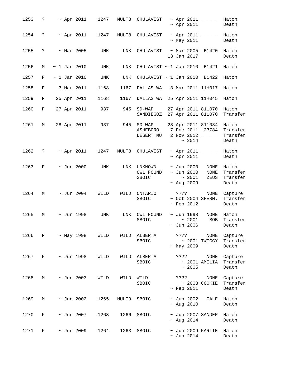| 1253 | $\ddot{\mathcal{E}}$ |                   |                  | $~\sim$ Apr 2011 1247 MULT8 |         | $\texttt{CHULAVIST} \quad \sim \ \texttt{Apr} \ \ 2011 \ \ \textcolor{red}{\underbrace{\qquad \qquad}} \ \ \texttt{Hatch}$ | $~\sim$ Apr 2011                                                           |                            | Death                                  |
|------|----------------------|-------------------|------------------|-----------------------------|---------|----------------------------------------------------------------------------------------------------------------------------|----------------------------------------------------------------------------|----------------------------|----------------------------------------|
| 1254 | $\ddot{\text{?}}$    | $\sim$ Apr 2011   |                  | 1247                        | MULT8   | CHULAVIST                                                                                                                  | $~\sim$ May 2011                                                           |                            | Death                                  |
| 1255 | $\ddot{\phantom{0}}$ | $~\sim$ Mar 2005  |                  | UNK                         | UNK     | CHULAVIST ~ Mar 2005 B1420                                                                                                 | 13 Jan 2017                                                                |                            | Hatch<br>Death                         |
| 1256 | М                    | $\sim$ 1 Jan 2010 |                  | UNK                         | UNK     | CHULAVIST $\sim$ 1 Jan 2010 B1421                                                                                          |                                                                            |                            | Hatch                                  |
| 1257 | F                    | $\sim$ 1 Jan 2010 |                  | UNK                         | UNK     | CHULAVIST $\sim$ 1 Jan 2010 B1422                                                                                          |                                                                            |                            | Hatch                                  |
| 1258 | F                    | 3 Mar 2011        |                  | 1168                        | 1167    | DALLAS WA 3 Mar 2011 11H017                                                                                                |                                                                            |                            | Hatch                                  |
| 1259 | F                    | 25 Apr 2011       |                  | 1168                        | 1167    | DALLAS WA 25 Apr 2011 11H045                                                                                               |                                                                            |                            | Hatch                                  |
| 1260 | $F$ and $F$          | 27 Apr 2011       |                  |                             | 937 945 | $SD-WAP$<br>SANDIEGOZ                                                                                                      | 27 Apr 2011 811070<br>27 Apr 2011 811070                                   |                            | Hatch<br>Transfer                      |
| 1261 | M                    | 28 Apr 2011       |                  | 937                         | 945     | $SD-WAP$<br>ASHEBORO<br>DESERT MU  2 Nov 2012                                                                              | 28 Apr 2011 811084 Hatch<br>7 Dec 2011 23784<br>$\sim 2014$                |                            | Transfer<br>Transfer<br>Death          |
| 1262 | $\ddot{\mathbf{?}}$  |                   | $~\sim$ Apr 2011 | 1247                        | MULT8   | CHULAVIST                                                                                                                  | $~\sim$ Apr 2011                                                           |                            | Hatch<br>Death                         |
| 1263 | $F =$                | $\sim$ Jun 2000   |                  | <b>UNK</b>                  |         | UNK UNKNOWN<br>OWL FOUND<br>SBOIC                                                                                          | $\sim$ Jun 2000<br>$\sim$ Jun 2000<br>$\sim 2001$ ZEUS<br>$~\sim$ Aug 2009 | NONE<br>NONE               | Hatch<br>Transfer<br>Transfer<br>Death |
| 1264 | M                    |                   | $\sim$ Jun 2004  | WILD                        | WILD    | ONTARIO<br>SBOIC                                                                                                           | ????<br>$\sim$ Oct 2004 SHERM.<br>$~\sim$ Feb 2012                         | NONE                       | Capture<br>Transfer<br>Death           |
| 1265 | М                    | $\sim$ Jun 1998   |                  | UNK                         | UNK     | OWL FOUND<br>SBOIC                                                                                                         | $\sim$ Jun 1998<br>~1001<br>~ Jun 2006 Death                               | <b>BOB</b>                 | NONE Hatch<br>Transfer                 |
| 1266 |                      | $F \sim$ May 1998 |                  | WILD                        |         | WILD ALBERTA<br>SBOIC                                                                                                      | ? ? ? ?<br>$~\sim$ May 2009                                                | NONE<br>$\sim$ 2001 TWIGGY | Capture<br>Transfer<br>Death           |
| 1267 | $F =$                | $\sim$ Jun 1998   |                  | WILD                        | WILD    | ALBERTA<br>SBOIC                                                                                                           | ? ? ? ?<br>~2005                                                           | NONE<br>$\sim$ 2001 AMELIA | Capture<br>Transfer<br>Death           |
| 1268 | М                    | $\sim$ Jun 2003   |                  | WILD                        | WILD    | WILD<br>SBOIC                                                                                                              | 7777<br>$~\sim$ Feb 2011                                                   | NONE<br>$\sim$ 2003 COOKIE | Capture<br>Transfer<br>Death           |
| 1269 | М                    | $\sim$ Jun 2002   |                  | 1265                        | MULT9   | SBOIC                                                                                                                      | ~ Jun 2002<br>$~\sim$ Aug 2010                                             | GALE Hatch                 | Death                                  |
| 1270 | F                    | $\sim$ Jun 2007   |                  | 1268                        | 1266    | SBOIC                                                                                                                      | ~ Jun 2007 SANDER Hatch<br>$~\sim$ Aug 2014                                |                            | Death                                  |
| 1271 | F                    | $\sim$ Jun 2009   |                  | 1264                        | 1263    | SBOIC                                                                                                                      | $\sim$ Jun 2009 KARLIE<br>$\sim$ Jun 2014                                  |                            | Hatch<br>Death                         |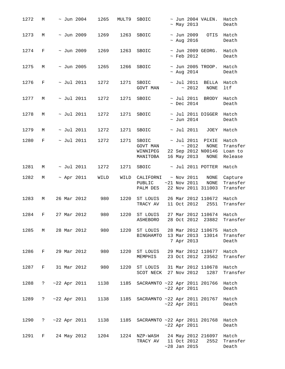| 1272 | М           |                      | $\sim$ Jun 2004  | 1265 | MULT9 | SBOIC                                        |  | $~\sim$ May 2013                    | $\sim$ Jun 2004 VALEN.                    | Hatch<br>Death                                             |
|------|-------------|----------------------|------------------|------|-------|----------------------------------------------|--|-------------------------------------|-------------------------------------------|------------------------------------------------------------|
| 1273 | М           |                      | $\sim$ Jun 2009  | 1269 | 1263  | SBOIC                                        |  | $~\sim$ Aug 2016                    | $\sim$ Jun 2009 OTIS                      | Hatch<br>Death                                             |
| 1274 | $F$ –       |                      | $\sim$ Jun 2009  | 1269 | 1263  | SBOIC                                        |  | $~\sim$ Feb 2012                    | ~ Jun 2009 GEORG. Hatch                   | Death                                                      |
| 1275 | М           |                      | $\sim$ Jun 2005  | 1265 | 1266  | SBOIC                                        |  | $~\sim$ Aug 2014                    | ~ Jun 2005 TROOP. Hatch                   | Death                                                      |
| 1276 | F           |                      | $\sim$ Jul 2011  | 1272 | 1271  | SBOIC<br>GOVT MAN                            |  | ~2012                               | ~ Jul 2011 BELLA Hatch<br>$\rm{NONE}$     | ltf                                                        |
| 1277 | M           |                      | $\sim$ Jul 2011  | 1272 | 1271  | SBOIC                                        |  | $\sim$ Jul 2011<br>$~\sim$ Dec 2014 | BRODY                                     | Hatch<br>Death                                             |
| 1278 | М           |                      | $\sim$ Jul 2011  | 1272 |       | 1271 SBOIC                                   |  | $\sim$ Jun 2014                     | ~ Jul 2011 DIGGER Hatch                   | Death                                                      |
| 1279 | М           |                      | $\sim$ Jul 2011  | 1272 | 1271  | SBOIC                                        |  | $\sim$ Jul 2011                     | JOEY                                      | Hatch                                                      |
| 1280 | $F =$       |                      | $\sim$ Jul 2011  | 1272 | 1271  | SBOIC<br>GOVT MAN<br>WINNIPEG<br>MANITOBA    |  | $\sim$ Jul 2011<br>~2012            | PIXIE<br>NONE<br>16 May 2013 NONE         | Hatch<br>Transfer<br>22 Sep 2012 N00146 Loan to<br>Release |
| 1281 | М           |                      | $\sim$ Jul 2011  | 1272 | 1271  | $SBOIC$ ~ Jul 2011 POTTER Hatch              |  |                                     |                                           |                                                            |
|      |             |                      |                  |      |       | CALIFORNI                                    |  | $~\sim$ Nov 2011                    |                                           |                                                            |
| 1282 | М           |                      | $~\sim$ Apr 2011 | WILD | WILD  | PUBLIC<br>PALM DES                           |  | $~21$ Nov 2011                      | NONE<br><b>NONE</b><br>22 Nov 2011 311003 | Capture<br>Transfer<br>Transfer                            |
| 1283 | М           |                      | 26 Mar 2012      | 980  | 1220  | ST LOUIS<br>TRACY AV                         |  | 11 Oct 2012                         | 26 Mar 2012 110672<br>2551                | Hatch<br>Transfer                                          |
| 1284 | F           |                      | 27 Mar 2012      | 980  | 1220  | ST LOUIS<br>ASHEBORO                         |  |                                     | 27 Mar 2012 110674<br>28 Oct 2012 23882   | Hatch<br>Transfer                                          |
| 1285 | М           |                      | 28 Mar 2012      | 980  | 1220  | ST LOUIS<br>BINGHAMTO                        |  | 13 Mar 2013<br>7 Apr 2013           | 28 Mar 2012 110675<br>13014               | Hatch<br>Transfer<br>Death                                 |
| 1286 | F           |                      | 29 Mar 2012      | 980  |       | 1220 ST LOUIS<br>MEMPHIS                     |  |                                     | 29 Mar 2012 110677<br>23 Oct 2012 23562   | Hatch<br>Transfer                                          |
| 1287 | $F$ and $F$ |                      | 31 Mar 2012      | 980  | 1220  | ST LOUIS<br>SCOT NECK 27 Nov 2012            |  |                                     | 31 Mar 2012 110678<br>1287                | Hatch<br>Transfer                                          |
| 1288 |             | $? \sim 22$ Apr 2011 |                  | 1138 | 1185  | SACRAMNTO ~22 Apr 2011 201766                |  | $~22$ Apr 2011                      |                                           | Hatch<br>Death                                             |
| 1289 |             | ? $~22$ Apr 2011     |                  | 1138 |       | 1185 SACRAMNTO ~22 Apr 2011 201767 Hatch     |  | $~22$ Apr 2011                      |                                           | Death                                                      |
| 1290 |             | $? \sim 22$ Apr 2011 |                  | 1138 | 1185  | SACRAMNTO ~22 Apr 2011 201768                |  | $~22$ Apr 2011                      |                                           | Hatch<br>Death                                             |
| 1291 | $F \sim$    |                      | 24 May 2012      | 1204 |       | 1224 NZP-WASH 24 May 2012 216097<br>TRACY AV |  | 11 Oct 2012<br>$~28$ Jan 2015       | 2552                                      | Hatch<br>Transfer<br>Death                                 |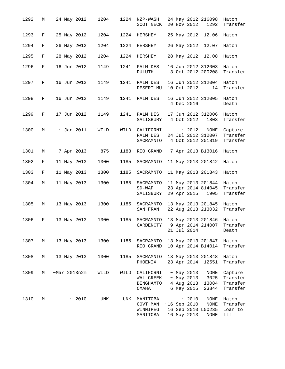| 1292 | М          | 24 May 2012         | 1204 |      | 1224 NZP-WASH<br>SCOT NECK                              |  | 20 Nov 2012                                    | 24 May 2012 216098<br>1292                                   | Hatch<br>Transfer                                      |
|------|------------|---------------------|------|------|---------------------------------------------------------|--|------------------------------------------------|--------------------------------------------------------------|--------------------------------------------------------|
| 1293 | F          | 25 May 2012         | 1204 | 1224 | HERSHEY                                                 |  |                                                | 25 May 2012 12.06                                            | Hatch                                                  |
| 1294 | F          | 26 May 2012         | 1204 | 1224 | HERSHEY                                                 |  | 26 May 2012                                    | 12.07                                                        | Hatch                                                  |
| 1295 | F          | 28 May 2012         | 1204 | 1224 | HERSHEY                                                 |  |                                                | 28 May 2012 12.08                                            | Hatch                                                  |
| 1296 | $F^-$      | 16 Jun 2012         | 1149 | 1241 | PALM DES<br>DULUTH                                      |  |                                                | 16 Jun 2012 312003<br>3 Oct 2012 200208                      | Hatch<br>Transfer                                      |
| 1297 | $_{\rm F}$ | 16 Jun 2012         | 1149 | 1241 | PALM DES<br>DESERT MU                                   |  | 10 Oct 2012                                    | 16 Jun 2012 312004<br>14                                     | Hatch<br>Transfer                                      |
| 1298 | F          | 16 Jun 2012         | 1149 | 1241 | PALM DES                                                |  | 4 Dec 2016                                     | 16 Jun 2012 312005                                           | Hatch<br>Death                                         |
| 1299 | $F$ –      | 17 Jun 2012         | 1149 | 1241 | PALM DES<br>SALISBURY 4 Oct 2012                        |  |                                                | 17 Jun 2012 312006<br>1803                                   | Hatch<br>Transfer                                      |
| 1300 | M          | $\sim$ Jan 2011     | WILD | WILD | CALIFORNI<br>PALM DES<br>SACRAMNTO                      |  | $\sim 2012$                                    | NONE<br>24 Jul 2012 312007<br>4 Oct 2012 201819              | Capture<br>Transfer<br>Transfer                        |
| 1301 | М          | 7 Apr 2013          | 875  | 1183 | RIO GRAND                                               |  |                                                | 7 Apr 2013 B13016                                            | Hatch                                                  |
| 1302 | F          | 11 May 2013         | 1300 | 1185 | SACRAMNTO                                               |  |                                                | 11 May 2013 201842                                           | Hatch                                                  |
| 1303 | F          | 11 May 2013         | 1300 | 1185 | SACRAMNTO                                               |  |                                                | 11 May 2013 201843                                           | Hatch                                                  |
| 1304 | М          | 11 May 2013         | 1300 | 1185 | SACRAMNTO<br>$SD-WAP$<br>SALISBURY                      |  |                                                | 11 May 2013 201844<br>23 Apr 2014 814045<br>29 Apr 2015 1905 | Hatch<br>Transfer<br>Transfer                          |
| 1305 | M          | 13 May 2013         | 1300 | 1185 | SACRAMNTO<br>SAN FRAN                                   |  |                                                | 13 May 2013 201845<br>22 Aug 2013 213032                     | Hatch<br>Transfer                                      |
| 1306 | $F \sim$   | 13 May 2013         | 1300 | 1185 | SACRAMNTO                                               |  | 21 Jul 2014                                    | 13 May 2013 201846 Hatch                                     | GARDENCTY 9 Apr 2014 214007 Transfer<br>Death          |
| 1307 | M          | 13 May 2013         | 1300 | 1185 | SACRAMNTO<br>RIO GRAND                                  |  |                                                | 13 May 2013 201847<br>10 Apr 2014 B14014                     | Hatch<br>Transfer                                      |
| 1308 | М          | 13 May 2013         | 1300 | 1185 | SACRAMNTO<br>PHOENIX                                    |  |                                                | 13 May 2013 201848<br>23 Apr 2014 12551                      | Hatch<br>Transfer                                      |
| 1309 | М          | $~\sim$ Mar 2013ñ2m | WILD | WILD | CALIFORNI ~ May 2013<br>WAL CREEK<br>BINGHAMTO<br>OMAHA |  | 4 Aug 2013<br>6 May 2015                       | NONE<br>~ May 2013 3025<br>13084<br>23844                    | Capture<br>Transfer<br>Transfer<br>Transfer            |
| 1310 | М          | $~10^{-2010}$       | UNK  | UNK  | MANITOBA<br>GOVT MAN<br>WINNIPEG<br>MANITOBA            |  | $~10^{-2010}$<br>$~16$ Sep 2010<br>16 May 2013 | NONE<br>NONE<br>$\rm{NONE}$                                  | Hatch<br>Transfer<br>16 Sep 2010 L00235 Loan to<br>ltf |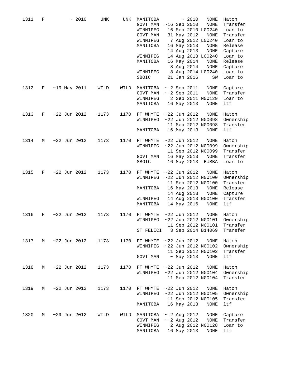| 1311 | F | $~10^{-2010}$   | <b>UNK</b> | UNK  | MANITOBA                    |  | $~10^{-2010}$      | <b>NONE</b>           | Hatch     |
|------|---|-----------------|------------|------|-----------------------------|--|--------------------|-----------------------|-----------|
|      |   |                 |            |      | GOVT MAN                    |  | $~16$ Sep 2010     | NONE                  | Transfer  |
|      |   |                 |            |      | WINNIPEG                    |  |                    | 16 Sep 2010 L00240    | Loan to   |
|      |   |                 |            |      | GOVT MAN                    |  | 31 May 2012        | <b>NONE</b>           | Transfer  |
|      |   |                 |            |      | WINNIPEG                    |  |                    | 7 Aug 2012 L00240     | Loan to   |
|      |   |                 |            |      | MANITOBA                    |  | 16 May 2013        | NONE                  | Release   |
|      |   |                 |            |      |                             |  | 14 Aug 2013        | NONE                  | Capture   |
|      |   |                 |            |      | WINNIPEG                    |  |                    | 14 Aug 2013 L00240    | Loan to   |
|      |   |                 |            |      |                             |  |                    |                       |           |
|      |   |                 |            |      | MANITOBA                    |  | 16 May 2014        | NONE                  | Release   |
|      |   |                 |            |      |                             |  | 8 Aug 2014         | NONE                  | Capture   |
|      |   |                 |            |      | WINNIPEG                    |  |                    | 8 Aug 2014 L00240     | Loan to   |
|      |   |                 |            |      | SBOIC                       |  | 21 Jan 2016        | SW                    | Loan to   |
| 1312 | F | $~19$ May 2011  | WILD       | WILD | MANITOBA                    |  | $~\sim$ 2 Sep 2011 | NONE                  | Capture   |
|      |   |                 |            |      | GOVT MAN                    |  | $\sim$ 2 Sep 2011  | NONE                  | Transfer  |
|      |   |                 |            |      | WINNIPEG                    |  |                    | 2 Sep 2011 M00129     | Loan to   |
|      |   |                 |            |      |                             |  |                    |                       |           |
|      |   |                 |            |      | MANITOBA                    |  | 16 May 2013        | NONE                  | ltf       |
| 1313 | F | $~22$ Jun 2012  | 1173       | 1170 | FT WHYTE                    |  | $~22$ Jun 2012     | NONE                  | Hatch     |
|      |   |                 |            |      | WINNIPEG                    |  |                    | $~22$ Jun 2012 N00098 | Ownership |
|      |   |                 |            |      |                             |  |                    | 11 Sep 2012 N00098    | Transfer  |
|      |   |                 |            |      | MANITOBA                    |  | 16 May 2013        | NONE                  | ltf       |
|      |   |                 |            |      |                             |  |                    |                       |           |
| 1314 | М | $~22$ Jun 2012  | 1173       | 1170 | FT WHYTE                    |  | $~22$ Jun 2012     | NONE                  | Hatch     |
|      |   |                 |            |      | WINNIPEG                    |  |                    | $~22$ Jun 2012 N00099 | Ownership |
|      |   |                 |            |      |                             |  |                    | 11 Sep 2012 N00099    | Transfer  |
|      |   |                 |            |      | GOVT MAN                    |  | 16 May 2013        | NONE                  | Transfer  |
|      |   |                 |            |      | SBOIC                       |  | 16 May 2013        | <b>BUBBA</b>          |           |
|      |   |                 |            |      |                             |  |                    |                       | Loan to   |
| 1315 | F | $~22$ Jun 2012  | 1173       | 1170 | FT WHYTE                    |  | $~22$ Jun 2012     | NONE                  | Hatch     |
|      |   |                 |            |      | WINNIPEG                    |  |                    | $~22$ Jun 2012 N00100 | Ownership |
|      |   |                 |            |      |                             |  |                    | 11 Sep 2012 N00100    | Transfer  |
|      |   |                 |            |      | MANITOBA                    |  | 16 May 2013        | NONE                  | Release   |
|      |   |                 |            |      |                             |  | 14 Aug 2013        | <b>NONE</b>           | Capture   |
|      |   |                 |            |      | WINNIPEG                    |  |                    | 14 Aug 2013 N00100    | Transfer  |
|      |   |                 |            |      |                             |  | 14 May 2016        |                       | ltf       |
|      |   |                 |            |      | MANITOBA                    |  |                    | <b>NONE</b>           |           |
| 1316 | F | $~22$ Jun 2012  | 1173       | 1170 | FT WHYTE                    |  | $~22$ Jun 2012     | NONE                  | Hatch     |
|      |   |                 |            |      | WINNIPEG                    |  |                    | $~22$ Jun 2012 N00101 | Ownership |
|      |   |                 |            |      |                             |  |                    | 11 Sep 2012 N00101    | Transfer  |
|      |   |                 |            |      | ST FELICI 3 Sep 2014 B14069 |  |                    |                       | Transfer  |
|      |   |                 |            |      |                             |  |                    |                       |           |
| 1317 |   | M ~22 Jun 2012  | 1173       | 1170 | FT WHYTE                    |  | $~22$ Jun 2012     | NONE                  | Hatch     |
|      |   |                 |            |      | WINNIPEG                    |  |                    | $~22$ Jun 2012 N00102 | Ownership |
|      |   |                 |            |      |                             |  |                    | 11 Sep 2012 N00102    | Transfer  |
|      |   |                 |            |      | GOVT MAN                    |  | $\sim$ May 2013    | NONE                  | ltf       |
|      |   |                 |            |      |                             |  |                    |                       |           |
| 1318 | М | $~22$ Jun 2012  | 1173       | 1170 | FT WHYTE                    |  | $~22$ Jun 2012     | NONE                  | Hatch     |
|      |   |                 |            |      | WINNIPEG                    |  |                    | $~22$ Jun 2012 N00104 | Ownership |
|      |   |                 |            |      |                             |  |                    | 11 Sep 2012 N00104    | Transfer  |
|      |   |                 |            |      |                             |  |                    |                       |           |
| 1319 | М | $~122$ Jun 2012 | 1173       | 1170 | FT WHYTE                    |  | $~22$ Jun 2012     | NONE                  | Hatch     |
|      |   |                 |            |      | WINNIPEG                    |  |                    | $~22$ Jun 2012 N00105 | Ownership |
|      |   |                 |            |      |                             |  |                    | 11 Sep 2012 N00105    | Transfer  |
|      |   |                 |            |      | MANITOBA                    |  | 16 May 2013        | NONE                  | ltf       |
|      |   |                 |            |      |                             |  |                    |                       |           |
| 1320 | М | $~129$ Jun 2012 | WILD       | WILD | MANITOBA                    |  | $~\sim$ 2 Aug 2012 | NONE                  | Capture   |
|      |   |                 |            |      | GOVT MAN                    |  | $~\sim$ 2 Aug 2012 | NONE                  | Transfer  |
|      |   |                 |            |      | WINNIPEG                    |  |                    | 2 Aug 2012 N00128     | Loan to   |
|      |   |                 |            |      | MANITOBA                    |  | 16 May 2013        | NONE                  | ltf       |
|      |   |                 |            |      |                             |  |                    |                       |           |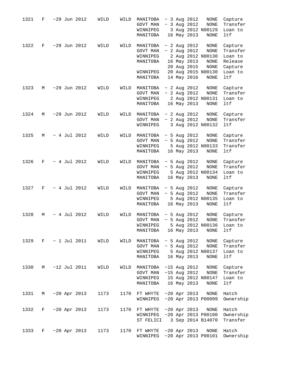| 1321 | F | $~29$ Jun 2012    | WILD | WILD | MANITOBA<br>GOVT MAN<br>WINNIPEG<br>MANITOBA                         |  | $~\sim$ 3 Aug 2012<br>$~\sim$ 3 Aug 2012<br>16 May 2013                          | NONE<br>NONE<br>3 Aug 2012 N00129<br>$\rm{NONE}$                                                     | Capture<br>Transfer<br>Loan to<br>ltf                                  |
|------|---|-------------------|------|------|----------------------------------------------------------------------|--|----------------------------------------------------------------------------------|------------------------------------------------------------------------------------------------------|------------------------------------------------------------------------|
| 1322 | F | $~29$ Jun 2012    | WILD | WILD | MANITOBA<br>GOVT MAN<br>WINNIPEG<br>MANITOBA<br>WINNIPEG<br>MANITOBA |  | $~2$ Aug 2012<br>$~\sim$ 2 Aug 2012<br>16 May 2013<br>20 Aug 2015<br>14 May 2016 | NONE<br><b>NONE</b><br>2 Aug 2012 N00130<br>$\rm{NONE}$<br>NONE<br>20 Aug 2015 N00130<br><b>NONE</b> | Capture<br>Transfer<br>Loan to<br>Release<br>Capture<br>Loan to<br>ltf |
| 1323 | М | $~29$ Jun 2012    | WILD | WILD | MANITOBA<br>GOVT MAN<br>WINNIPEG<br>MANITOBA                         |  | $~\sim$ 2 Aug 2012<br>$\sim$ 2 Aug 2012<br>16 May 2013                           | NONE<br>$\rm{NONE}$<br>2 Aug 2012 N00131<br><b>NONE</b>                                              | Capture<br>Transfer<br>Loan to<br>ltf                                  |
| 1324 | М | $~129$ Jun 2012   | WILD | WILD | MANITOBA<br>GOVT MAN<br>WINNIPEG                                     |  | ~ 2 Aug $2012$<br>~ 2 Aug 2012                                                   | NONE<br>NONE<br>3 Aug 2012 N00132                                                                    | Capture<br>Transfer<br>ltf                                             |
| 1325 | М | $\sim 4$ Jul 2012 | WILD | WILD | MANITOBA<br>GOVT MAN<br>WINNIPEG<br>MANITOBA                         |  | $~\sim$ 5 Aug 2012<br>$~\sim$ 5 Aug 2012<br>16 May 2013                          | NONE<br>NONE<br>5 Aug 2012 N00133<br><b>NONE</b>                                                     | Capture<br>Transfer<br>Transfer<br>ltf                                 |
| 1326 | F | $\sim$ 4 Jul 2012 | WILD | WILD | MANITOBA<br>GOVT MAN<br>WINNIPEG<br>MANITOBA                         |  | $~\sim$ 5 Aug 2012<br>$\sim$ 5 Aug 2012<br>16 May 2013                           | NONE<br>NONE<br>5 Aug 2012 N00134<br>NONE                                                            | Capture<br>Transfer<br>Loan to<br>ltf                                  |
| 1327 | F | $\sim 4$ Jul 2012 | WILD | WILD | MANITOBA<br>GOVT MAN<br>WINNIPEG<br>MANITOBA                         |  | $~\sim$ 5 Aug 2012<br>$~\sim$ 5 Aug 2012<br>16 May 2013                          | NONE<br><b>NONE</b><br>5 Aug 2012 N00135<br><b>NONE</b>                                              | Capture<br>Transfer<br>Loan to<br>ltf                                  |
| 1328 | М | $\sim 4$ Jul 2012 | WILD | WILD | MANITOBA<br>GOVT MAN<br>WINNIPEG<br>MANITOBA                         |  | $~\sim$ 5 Aug 2012<br>$~\sim$ 5 Aug 2012<br>16 May 2013                          | NONE<br>NONE<br>5 Aug 2012 N00136<br>NONE                                                            | Capture<br>Transfer<br>Loan to<br>ltf                                  |
| 1329 | F | $\sim$ 1 Jul 2011 | WILD | WILD | MANITOBA<br>GOVT MAN<br>WINNIPEG<br>MANITOBA                         |  | $\sim 5$ Aug 2012<br>$\sim 5$ Aug 2012<br>16 May 2013                            | NONE<br>NONE<br>5 Aug 2012 N00137<br>NONE                                                            | Capture<br>Transfer<br>Loan to<br>ltf                                  |
| 1330 | М | $~12$ Jul 2011    | WILD | WILD | MANITOBA<br>GOVT MAN<br>WINNIPEG<br>MANITOBA                         |  | $~15$ Aug 2012<br>$~15$ Aug 2012<br>16 May 2013                                  | NONE<br>NONE<br>15 Aug 2012 N00147<br>$\rm{NONE}$                                                    | Capture<br>Transfer<br>Loan to<br>ltf                                  |
| 1331 | М | $~20$ Apr 2013    | 1173 | 1170 | FT WHYTE<br>WINNIPEG                                                 |  | $~100$ Apr 2013                                                                  | NONE<br>$~120$ Apr 2013 P00099                                                                       | Hatch<br>Ownership                                                     |
| 1332 | F | $~20$ Apr 2013    | 1173 | 1170 | FT WHYTE ~20 Apr 2013<br>WINNIPEG ~20 Apr 2013 P00100<br>ST FELICI   |  |                                                                                  | NONE<br>3 Sep 2014 B14070                                                                            | Hatch<br>Ownership<br>Transfer                                         |
| 1333 | F | $~20$ Apr 2013    | 1173 | 1170 | FT WHYTE<br>WINNIPEG                                                 |  | $~20$ Apr 2013                                                                   | NONE<br>$~120$ Apr 2013 P00101                                                                       | Hatch<br>Ownership                                                     |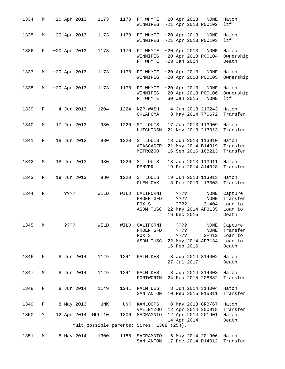| 1334 | М | $~20$ Apr 2013     | 1173 | 1170 | FT WHYTE<br>WINNIPEG                                                    | $~20$ Apr 2013 NONE<br>$~21$ Apr 2013 P00102                   |                                         | Hatch<br>ltf                                            |
|------|---|--------------------|------|------|-------------------------------------------------------------------------|----------------------------------------------------------------|-----------------------------------------|---------------------------------------------------------|
| 1335 | М | $~20$ Apr 2013     | 1173 | 1170 | FT WHYTE<br>WINNIPEG                                                    | $~20$ Apr 2013 NONE<br>$~21$ Apr 2013 P00103                   |                                         | Hatch<br>ltf                                            |
| 1336 | F | $~20$ Apr 2013     | 1173 | 1170 | FT WHYTE<br>WINNIPEG<br>FT WHYTE                                        | $~20$ Apr 2013<br>$~100$ Apr 2013 P00104<br>$~23$ Jan 2014     | NONE                                    | Hatch<br>Ownership<br>Death                             |
| 1337 | М | $~20$ Apr 2013     | 1173 | 1170 | FT WHYTE<br>WINNIPEG                                                    | $~20$ Apr 2013 NONE<br>$~20$ Apr 2013 P00105                   |                                         | Hatch<br>Ownership                                      |
| 1338 | М | $~120$ Apr 2013    | 1173 | 1170 | FT WHYTE<br>WINNIPEG<br>FT WHYTE                                        | $~20$ Apr 2013<br>$~120$ Apr 2013 P00106<br>30 Jan 2015        | $\rm{NONE}$<br>NONE                     | Hatch<br>Ownership<br>ltf                               |
| 1339 | F | 4 Jun 2013         | 1204 | 1224 | NZP-WASH<br>OKLAHOMA                                                    | 4 Jun 2013 216243<br>8 May 2014 770672                         |                                         | Hatch<br>Transfer                                       |
| 1340 | М | 17 Jun 2013        | 980  | 1220 | ST LOUIS<br>HUTCHINSN                                                   | 17 Jun 2013 113909<br>21 Nov 2013 213013                       |                                         | Hatch<br>Transfer                                       |
| 1341 | F | 18 Jun 2013        | 980  | 1220 | ST LOUIS<br>ATASCADER<br><b>METROZOO</b>                                | 18 Jun 2013 113910<br>21 May 2014 B14019<br>16 Sep 2016 16B213 |                                         | Hatch<br>Transfer<br>Transfer                           |
| 1342 | М | 18 Jun 2013        | 980  | 1220 | ST LOUIS<br>DENVER                                                      | 18 Jun 2013 113911<br>19 Feb 2014 A14028                       |                                         | Hatch<br>Transfer                                       |
| 1343 | F | 19 Jun 2013        | 980  | 1220 | ST LOUIS<br>GLEN OAK                                                    | 19 Jun 2013 113913<br>3 Dec 2013 13303                         |                                         | Hatch<br>Transfer                                       |
| 1344 | F | ????               | WILD | WILD | CALIFORNI<br>PHOEN GFD<br>FOX S<br>ASDM TUSC                            | ????<br>????<br>? ? ? ?<br>22 May 2014 AF3135<br>16 Dec 2015   | $\rm{NONE}$<br>$\rm{NONE}$<br>$3 - 404$ | Capture<br>Transfer<br>Loan to<br>Loan to<br>Death      |
| 1345 | M | ????               | WILD |      | WILD CALIFORNI<br>PHOEN GFD<br>FOX S<br>ASDM TUSC 22 May 2014 AF3134    | ????<br>????<br>????<br>16 Feb 2016                            | NONE<br>$3 - 412$                       | NONE Capture<br>Transfer<br>Loan to<br>Loan to<br>Death |
| 1346 | F | 8 Jun 2014         | 1149 |      | 1241 PALM DES                                                           | 8 Jun 2014 314002<br>27 Jul 2017                               |                                         | Hatch<br>Death                                          |
| 1347 | М | 8 Jun 2014         | 1149 |      | 1241 PALM DES 8 Jun 2014 314003<br>FORTWORTH                            | 24 Feb 2015 208882                                             |                                         | Hatch<br>Transfer                                       |
| 1348 | F | 8 Jun 2014         | 1149 | 1241 | PALM DES 8 Jun 2014 314004<br>SAN ANTON                                 | 10 Feb 2015 F15011                                             |                                         | Hatch<br>Transfer                                       |
| 1349 | F | 8 May 2013         | UNK  |      | UNK KAMLOOPS 8 May 2013 GRB/67                                          |                                                                |                                         | Hatch                                                   |
| 1350 | ? | 12 Apr 2014 MULT10 |      |      | VALLEYZOO 12 Apr 2014 200918<br>1306 SACRAMNTO 12 Apr 2014 201901 Hatch | 14 Apr 2014                                                    |                                         | Transfer<br>Death                                       |
|      |   |                    |      |      | Mult possible parents: Sires: 1308 (25%),                               |                                                                |                                         |                                                         |
| 1351 | М | 5 May 2014         | 1300 | 1185 | SACRAMNTO<br>SAN ANTON 17 Dec 2014 D14012                               | 5 May 2014 201906                                              |                                         | Hatch<br>Transfer                                       |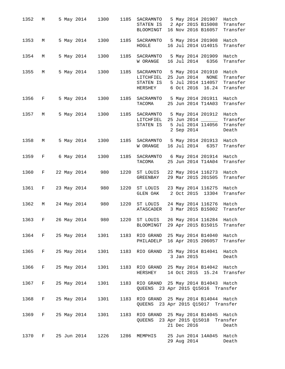| 1352 | М                             |  | 5 May 2014    | 1300            | 1185 | SACRAMNTO<br>STATEN IS<br>BLOOMINGT                                              |  |             | 5 May 2014 201907<br>2 Apr 2015 B15008<br>16 Nov 2016 B16057       | Hatch<br>Transfer<br>Transfer             |
|------|-------------------------------|--|---------------|-----------------|------|----------------------------------------------------------------------------------|--|-------------|--------------------------------------------------------------------|-------------------------------------------|
| 1353 | M                             |  | 5 May 2014    | 1300            | 1185 | SACRAMNTO 5 May 2014 201908<br>HOGLE                                             |  |             | 16 Jul 2014 U14015                                                 | Hatch<br>Transfer                         |
| 1354 | М                             |  | 5 May 2014    | 1300            | 1185 | SACRAMNTO 5 May 2014 201909<br>W ORANGE                                          |  |             | 16 Jul 2014 6356                                                   | Hatch<br>Transfer                         |
| 1355 | М                             |  | 5 May 2014    | 1300            | 1185 | SACRAMNTO<br>LITCHFIEL<br>STATEN IS<br>HERSHEY                                   |  | 25 Jun 2014 | 5 May 2014 201910<br>NONE<br>5 Jul 2014 114057<br>6 Oct 2016 16.24 | Hatch<br>Transfer<br>Transfer<br>Transfer |
| 1356 | F                             |  | 5 May 2014    | 1300            | 1185 | SACRAMNTO<br>TACOMA                                                              |  |             | 5 May 2014 201911<br>25 Jun 2014 T14A03                            | Hatch<br>Transfer                         |
| 1357 | M                             |  | 5 May 2014    | 1300            | 1185 | SACRAMNTO<br>LITCHFIEL<br>STATEN IS                                              |  | 2 Sep 2014  | 5 May 2014 201912<br>25 Jun 2014 ______<br>5 Jul 2014 114056       | Hatch<br>Transfer<br>Transfer<br>Death    |
| 1358 | М                             |  | 5 May 2014    | 1300            | 1185 | SACRAMNTO<br>W ORANGE                                                            |  |             | 5 May 2014 201913<br>16 Jul 2014 6357                              | Hatch<br>Transfer                         |
| 1359 | $F = 1$                       |  | 6 May 2014    | 1300            | 1185 | SACRAMNTO 6 May 2014 201914<br>TACOMA                                            |  |             | 25 Jun 2014 T14A04                                                 | Hatch<br>Transfer                         |
| 1360 | F                             |  | 22 May 2014   | 980             | 1220 | ST LOUIS<br>GREENBAY                                                             |  |             | 22 May 2014 116273<br>29 Mar 2015 201505                           | Hatch<br>Transfer                         |
| 1361 | F                             |  | 23 May 2014   | 980             | 1220 | ST LOUIS<br>GLEN OAK                                                             |  |             | 23 May 2014 116275<br>2 Oct 2015 13304                             | Hatch<br>Transfer                         |
| 1362 | М                             |  | 24 May 2014   | 980             | 1220 | ST LOUIS<br>ATASCADER 3 Mar 2015 B15002                                          |  |             | 24 May 2014 116276                                                 | Hatch<br>Transfer                         |
| 1363 | F                             |  |               | 26 May 2014 980 | 1220 | ST LOUIS<br>BLOOMINGT 29 Apr 2015 B15015 Transfer                                |  |             | 26 May 2014 116284 Hatch                                           |                                           |
| 1364 |                               |  | F 25 May 2014 | 1301            |      | 1183 RIO GRAND 25 May 2014 B14040 Hatch<br>PHILADELP 16 Apr 2015 206057 Transfer |  |             |                                                                    |                                           |
| 1365 |                               |  | F 25 May 2014 | 1301            |      | 1183 RIO GRAND 25 May 2014 B14041 Hatch                                          |  | 3 Jan 2015  |                                                                    | Death                                     |
| 1366 | $\mathbf{F}$ and $\mathbf{F}$ |  | 25 May 2014   | 1301            |      | 1183 RIO GRAND 25 May 2014 B14042 Hatch<br>HERSHEY                               |  |             |                                                                    | 14 Oct 2015 15.24 Transfer                |
| 1367 | $\mathbf{F}$ and $\mathbf{F}$ |  | 25 May 2014   | 1301            |      | 1183 RIO GRAND 25 May 2014 B14043 Hatch<br>QUEENS 23 Apr 2015 Q15016 Transfer    |  |             |                                                                    |                                           |
| 1368 | $F \sim$                      |  | 25 May 2014   | 1301            |      | 1183 RIO GRAND 25 May 2014 B14044 Hatch<br>QUEENS 23 Apr 2015 Q15017 Transfer    |  |             |                                                                    |                                           |
| 1369 | $\mathbf{F}$ and $\mathbf{F}$ |  | 25 May 2014   | 1301            |      | 1183 RIO GRAND 25 May 2014 B14045 Hatch<br>QUEENS 23 Apr 2015 Q15018 Transfer    |  | 21 Dec 2016 |                                                                    | Death                                     |
| 1370 |                               |  | F 25 Jun 2014 | 1226            |      | 1286 MEMPHIS                                                                     |  | 29 Aug 2014 | 25 Jun 2014 14A045 Hatch                                           | Death                                     |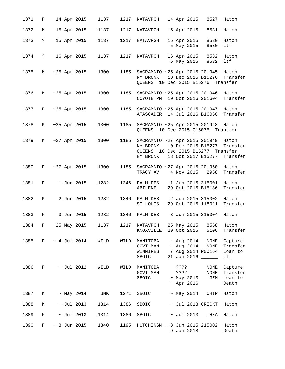| 1371 | F                             |                               | 14 Apr 2015         | 1137                | 1217 | NATAVPGH                                                                                                                            |  |                 | 14 Apr 2015 8527 Hatch                                  |                                            |
|------|-------------------------------|-------------------------------|---------------------|---------------------|------|-------------------------------------------------------------------------------------------------------------------------------------|--|-----------------|---------------------------------------------------------|--------------------------------------------|
| 1372 | M                             |                               | 15 Apr 2015         | 1137                | 1217 | NATAVPGH                                                                                                                            |  |                 | 15 Apr 2015 8531 Hatch                                  |                                            |
| 1373 | $\ddot{\mathbf{?}}$           |                               | 15 Apr 2015         | 1137                |      | 1217 NATAVPGH                                                                                                                       |  |                 | 15 Apr 2015 8530 Hatch<br>5 May 2015 8530               | ltf                                        |
| 1374 | $\ddot{\mathbf{?}}$           |                               | 16 Apr 2015         | 1137                |      | 1217 NATAVPGH 16 Apr 2015 8532 Hatch                                                                                                |  |                 | 5 May 2015 8532                                         | ltf                                        |
| 1375 |                               |                               | M ~25 Apr 2015      | 1300                | 1185 | SACRAMNTO ~25 Apr 2015 201945 Hatch<br>NY BRONX<br>QUEENS 10 Dec 2015 B15276 Transfer                                               |  |                 | 10 Dec 2015 B15276                                      | Transfer                                   |
| 1376 |                               |                               | M ~25 Apr 2015      | 1300                | 1185 | SACRAMNTO ~25 Apr 2015 201946 Hatch<br>COYOTE PM 10 Oct 2016 201604                                                                 |  |                 |                                                         | Transfer                                   |
|      |                               |                               | 1377 F ~25 Apr 2015 | 1300                | 1185 | SACRAMNTO ~25 Apr 2015 201947 Hatch<br>ATASCADER 14 Jul 2016 B16060                                                                 |  |                 |                                                         | Transfer                                   |
| 1378 |                               |                               | M ~25 Apr 2015      | 1300                | 1185 | SACRAMNTO ~25 Apr 2015 201948 Hatch<br>QUEENS 10 Dec 2015 Q15075 Transfer                                                           |  |                 |                                                         |                                            |
| 1379 |                               |                               | M ~27 Apr 2015      | 1300                |      | 1185 SACRAMNTO ~27 Apr 2015 201949 Hatch<br>NY BRONX<br>QUEENS 10 Dec 2015 B15277 Transfer<br>NY BRONX 18 Oct 2017 B15277           |  |                 | 10 Dec 2015 B15277                                      | Transfer<br>Transfer                       |
|      |                               |                               | 1380 F ~27 Apr 2015 | 1300                | 1185 | SACRAMNTO ~27 Apr 2015 201950 Hatch<br>TRACY AV 4 Nov 2015 2958                                                                     |  |                 |                                                         | Transfer                                   |
| 1381 |                               | $\mathbf{F}$ and $\mathbf{F}$ | 1 Jun 2015          | 1282                | 1346 | PALM DES 1 Jun 2015 315001 Hatch<br>ABILENE                                                                                         |  |                 | 29 Oct 2015 B15186                                      | Transfer                                   |
| 1382 | M                             |                               | 2 Jun 2015          | 1282                |      | 1346 PALM DES 2 Jun 2015 315002 Hatch<br>ST LOUIS                                                                                   |  |                 | 29 Oct 2015 118011                                      | Transfer                                   |
| 1383 |                               | F 3 Jun 2015                  |                     | 1282                |      | 1346 PALM DES 3 Jun 2015 315004 Hatch                                                                                               |  |                 |                                                         |                                            |
| 1384 | $\mathbf{F}$ and $\mathbf{F}$ |                               | 25 May 2015         |                     |      | 1137 1217 NATAVPGH 25 May 2015 8558 Hatch<br>KNOXVILLE 29 Oct 2015 5106                                                             |  |                 |                                                         | Transfer                                   |
|      |                               |                               |                     |                     |      | 1385 $F \sim 4$ Jul 2014 WILD WILD MANITOBA $\sim$ Aug 2014<br>GOVT MAN $\sim$ Aug 2014 NONE<br>WINNIPEG 7 Aug 2014 R00164<br>SBOIC |  |                 | 21 Jan 2016 ______                                      | NONE Capture<br>Transfer<br>Loan to<br>ltf |
| 1386 |                               |                               | $F \sim$ Jul 2012   | WILD                | WILD | MANITOBA ????<br>GOVT MAN<br>SBOIC                                                                                                  |  | ????            | NONE<br>NONE<br>$~\sim$ May 2013 GEM<br>$\sim$ Apr 2016 | Capture<br>Transfer<br>Loan to<br>Death    |
| 1387 | M                             |                               |                     | $\sim$ May 2014 UNK | 1271 | SBOIC                                                                                                                               |  |                 | $\sim$ May 2014 $\,$ CHIP                               | Hatch                                      |
| 1388 | M                             |                               | $\sim$ Jul 2013     | 1314                | 1386 | SBOIC                                                                                                                               |  |                 | ~ Jul 2013 CRICKT Hatch                                 |                                            |
| 1389 | F                             |                               | $\sim$ Jul 2013     | 1314                | 1386 | SBOIC                                                                                                                               |  | $\sim$ Jul 2013 |                                                         | THEA Hatch                                 |
| 1390 |                               |                               | $F \sim 8$ Jun 2015 | 1340                |      | 1195 HUTCHINSN ~ 8 Jun 2015 215002                                                                                                  |  | 9 Jan 2018      |                                                         | Hatch<br>Death                             |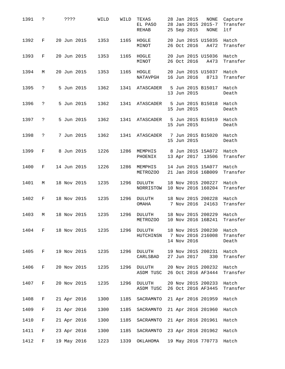| 1391 | ?                   | ???? |             | WILD             | WILD | TEXAS<br>EL PASO<br>REHAB                                 |  | 28 Jan 2015<br>25 Sep 2015 | NONE<br>28 Jan 2015 2015-7<br><b>NONE</b> | Capture<br>Transfer<br>ltf |
|------|---------------------|------|-------------|------------------|------|-----------------------------------------------------------|--|----------------------------|-------------------------------------------|----------------------------|
| 1392 | F                   |      | 20 Jun 2015 | 1353             | 1165 | HOGLE<br>MINOT                                            |  | 26 Oct 2016                | 20 Jun 2015 U15035<br>A472                | Hatch<br>Transfer          |
| 1393 | F                   |      | 20 Jun 2015 | 1353             | 1165 | HOGLE<br>MINOT                                            |  | 26 Oct 2016                | 20 Jun 2015 U15036<br>A473                | Hatch<br>Transfer          |
| 1394 | М                   |      | 20 Jun 2015 | 1353             | 1165 | HOGLE<br>NATAVPGH                                         |  | 16 Jun 2016                | 20 Jun 2015 U15037<br>8713                | Hatch<br>Transfer          |
| 1395 | ?                   |      | 5 Jun 2015  | 1362             | 1341 | ATASCADER                                                 |  | 13 Jun 2015                | 5 Jun 2015 B15017                         | Hatch<br>Death             |
| 1396 | $\ddot{ }$          |      | 5 Jun 2015  | 1362             | 1341 | ATASCADER                                                 |  | 15 Jun 2015                | 5 Jun 2015 B15018                         | Hatch<br>Death             |
| 1397 | $\ddot{\mathbf{c}}$ |      | 5 Jun 2015  | 1362             | 1341 | ATASCADER                                                 |  | 15 Jun 2015                | 5 Jun 2015 B15019                         | Hatch<br>Death             |
| 1398 | ?                   |      | 7 Jun 2015  | 1362             | 1341 | ATASCADER                                                 |  | 15 Jun 2015                | 7 Jun 2015 B15020                         | Hatch<br>Death             |
| 1399 | F                   |      | 8 Jun 2015  | 1226             | 1286 | MEMPHIS 8 Jun 2015 15A072<br>PHOENIX                      |  |                            | 13 Apr 2017 13506                         | Hatch<br>Transfer          |
| 1400 | F                   |      | 14 Jun 2015 | 1226             | 1286 | MEMPHIS<br>METROZOO                                       |  |                            | 14 Jun 2015 15A077<br>21 Jan 2016 16B009  | Hatch<br>Transfer          |
| 1401 | М                   |      | 18 Nov 2015 | 1235             | 1296 | DULUTH<br>NORRISTOW                                       |  |                            | 18 Nov 2015 200227<br>10 Nov 2016 160204  | Hatch<br>Transfer          |
| 1402 | F                   |      | 18 Nov 2015 | 1235             | 1296 | <b>DULUTH</b><br>OMAHA                                    |  | 7 Nov 2016                 | 18 Nov 2015 200228<br>24163               | Hatch<br>Transfer          |
| 1403 | М                   |      | 18 Nov 2015 | 1235             | 1296 | DULUTH<br>METROZOO                                        |  |                            | 18 Nov 2015 200229<br>10 Nov 2016 16B241  | Hatch<br>Transfer          |
| 1404 | $F \sim$            |      |             | 18 Nov 2015 1235 | 1296 | DULUTH 18 Nov 2015 200230<br>HUTCHINSN 7 Nov 2016 216008  |  | 14 Nov 2016                |                                           | Hatch<br>Transfer<br>Death |
| 1405 | $F$ and $F$         |      | 19 Nov 2015 | 1235             |      | 1296 DULUTH<br>CARLSBAD                                   |  | 27 Jun 2017                | 19 Nov 2015 200231<br>330                 | Hatch<br>Transfer          |
| 1406 | F                   |      | 20 Nov 2015 | 1235             | 1296 | DULUTH<br>ASDM TUSC 26 Oct 2016 AF3444                    |  |                            | 20 Nov 2015 200232                        | Hatch<br>Transfer          |
| 1407 | $F$ and $F$         |      | 20 Nov 2015 | 1235             | 1296 | DULUTH 20 Nov 2015 200233<br>ASDM TUSC 26 Oct 2016 AF3445 |  |                            |                                           | Hatch<br>Transfer          |
| 1408 | F                   |      | 21 Apr 2016 | 1300             | 1185 | SACRAMNTO                                                 |  |                            | 21 Apr 2016 201959                        | Hatch                      |
| 1409 | F                   |      | 21 Apr 2016 | 1300             | 1185 | SACRAMNTO                                                 |  |                            | 21 Apr 2016 201960                        | Hatch                      |
| 1410 | $F^-$               |      | 21 Apr 2016 | 1300             | 1185 | SACRAMNTO                                                 |  |                            | 21 Apr 2016 201961 Hatch                  |                            |
| 1411 | $F -$               |      | 23 Apr 2016 | 1300             | 1185 | SACRAMNTO 23 Apr 2016 201962 Hatch                        |  |                            |                                           |                            |
| 1412 | F                   |      | 19 May 2016 | 1223             | 1339 | OKLAHOMA                                                  |  |                            | 19 May 2016 770773 Hatch                  |                            |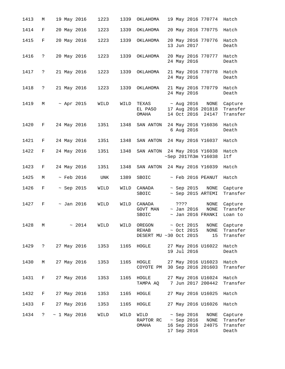| 1413 | М        | 19 May 2016           |                  | 1223                    | 1339 | OKLAHOMA                                                            |         |                                 | 19 May 2016 770774                            | Hatch                                    |
|------|----------|-----------------------|------------------|-------------------------|------|---------------------------------------------------------------------|---------|---------------------------------|-----------------------------------------------|------------------------------------------|
| 1414 | F        | 20 May 2016           |                  | 1223                    | 1339 | ОКLАНОМА                                                            |         |                                 | 20 May 2016 770775                            | Hatch                                    |
| 1415 | F        | 20 May 2016           |                  | 1223                    | 1339 | OKLAHOMA                                                            |         | 13 Jun 2017                     | 20 May 2016 770776                            | Hatch<br>Death                           |
| 1416 | ?        | 20 May 2016           |                  | 1223                    | 1339 | OKLAHOMA                                                            |         | 24 May 2016                     | 20 May 2016 770777                            | Hatch<br>Death                           |
| 1417 | ?        | 21 May 2016           |                  | 1223                    | 1339 | OKLAHOMA                                                            |         | 24 May 2016                     | 21 May 2016 770778                            | Hatch<br>Death                           |
| 1418 | ?        | 21 May 2016           |                  | 1223                    | 1339 | OKLAHOMA                                                            |         | 24 May 2016                     | 21 May 2016 770779                            | Hatch<br>Death                           |
| 1419 | М        |                       | $~\sim$ Apr 2015 | WILD                    | WILD | TEXAS<br>EL PASO<br>OMAHA                                           |         | $~\sim$ Aug 2016<br>14 Oct 2016 | NONE<br>17 Aug 2016 201818<br>24147           | Capture<br>Transfer<br>Transfer          |
| 1420 | F        | 24 May 2016           |                  | 1351                    | 1348 | SAN ANTON                                                           |         | 6 Aug 2016                      | 24 May 2016 Y16036                            | Hatch<br>Death                           |
| 1421 | F        | 24 May 2016           |                  | 1351                    | 1348 | SAN ANTON                                                           |         |                                 | 24 May 2016 Y16037                            | Hatch                                    |
| 1422 | F        | 24 May 2016           |                  | 1351                    | 1348 | SAN ANTON                                                           |         |                                 | 24 May 2016 Y16038<br>~Sep 2017ñ3m Y16038     | Hatch<br>ltf                             |
| 1423 | F        | 24 May 2016           |                  | 1351                    | 1348 | SAN ANTON                                                           |         |                                 | 24 May 2016 Y16039                            | Hatch                                    |
| 1425 | М        |                       | $~\sim$ Feb 2016 | UNK                     | 1389 | SBOIC                                                               |         |                                 | $~\sim$ Feb 2016 PEANUT                       | Hatch                                    |
| 1426 | F        |                       | $\sim$ Sep 2015  | WILD                    | WILD | CANADA<br>SBOIC                                                     |         | $\sim$ Sep 2015                 | NONE<br>$\sim$ Sep 2015 ARTEMI                | Capture<br>Transfer                      |
| 1427 | F        |                       | $\sim$ Jan 2016  | WILD                    | WILD | CANADA<br>GOVT MAN<br>SBOIC                                         | ? ? ? ? | $\sim$ Jan 2016                 | NONE<br><b>NONE</b><br>$\sim$ Jan 2016 FRANKI | Capture<br>Transfer<br>Loan to           |
| 1428 | М        |                       | ~2014            | WILD                    | WILD | OREGON<br>REHAB $\sim$ Oct 2015 NONE<br>DESERT MU ~30 Oct 2015      |         | $\sim$ Oct 2015                 | NONE<br>15                                    | Capture<br>Transfer<br>Transfer          |
|      |          |                       |                  | 1429 ? 27 May 2016 1353 |      | 1165 HOGLE                                                          |         | 19 Jul 2016                     | 27 May 2016 U16022 Hatch                      | Death                                    |
| 1430 |          |                       |                  | M 27 May 2016 1353      |      | 1165 HOGLE 27 May 2016 U16023 Hatch<br>COYOTE PM 30 Sep 2016 201603 |         |                                 |                                               | Transfer                                 |
| 1431 |          | F 27 May 2016         |                  | 1353                    |      | 1165 HOGLE 27 May 2016 U16024 Hatch<br>TAMPA AQ 7 Jun 2017 200442   |         |                                 |                                               | Transfer                                 |
| 1432 | $F \sim$ | 27 May 2016           |                  | 1353                    |      | 1165 HOGLE 27 May 2016 U16025 Hatch                                 |         |                                 |                                               |                                          |
| 1433 | $F \sim$ | 27 May 2016           |                  | 1353                    |      | 1165 HOGLE 27 May 2016 U16026 Hatch                                 |         |                                 |                                               |                                          |
|      |          | $1434$ ? ~ 1 May 2016 |                  | WILD                    | WILD | $WILD \sim Sep 2016$<br>RAPTOR RC $\sim$ Sep 2016 NONE<br>OMAHA     |         | 17 Sep 2016                     | NONE<br>16 Sep 2016 24075                     | Capture<br>Transfer<br>Transfer<br>Death |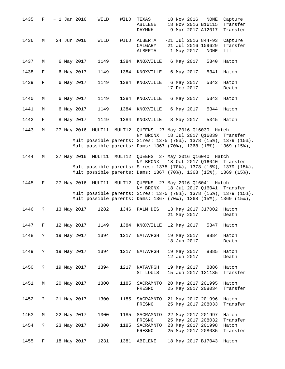| 1435 | F                    |  | $\sim$ 1 Jan 2016 | WILD               | WILD          | TEXAS<br>ABILENE<br>DAYMNH                                                                                             |  | 18 Nov 2016               | <b>NONE</b><br>18 Nov 2016 B16115<br>9 Mar 2017 A12017         | Capture<br>Transfer<br>Transfer                                                                                                                                      |
|------|----------------------|--|-------------------|--------------------|---------------|------------------------------------------------------------------------------------------------------------------------|--|---------------------------|----------------------------------------------------------------|----------------------------------------------------------------------------------------------------------------------------------------------------------------------|
| 1436 | М                    |  | 24 Jun 2016       | WILD               | WILD          | ALBERTA<br>CALGARY<br>ALBERTA                                                                                          |  | 1 May 2017                | $~1$ Jul 2016 844-93<br>21 Jul 2016 109629<br><b>NONE</b>      | Capture<br>Transfer<br>ltf                                                                                                                                           |
| 1437 | М                    |  | 6 May 2017        | 1149               | 1384          | KNOXVILLE                                                                                                              |  | 6 May 2017                | 5340                                                           | Hatch                                                                                                                                                                |
| 1438 | F                    |  | 6 May 2017        | 1149               | 1384          | KNOXVILLE                                                                                                              |  | 6 May 2017                | 5341                                                           | Hatch                                                                                                                                                                |
| 1439 | F                    |  | 6 May 2017        | 1149               | 1384          | KNOXVILLE                                                                                                              |  | 6 May 2017<br>17 Dec 2017 | 5342                                                           | Hatch<br>Death                                                                                                                                                       |
| 1440 | М                    |  | 6 May 2017        | 1149               | 1384          | KNOXVILLE                                                                                                              |  | 6 May 2017                | 5343                                                           | Hatch                                                                                                                                                                |
| 1441 | М                    |  | 6 May 2017        | 1149               | 1384          | KNOXVILLE                                                                                                              |  | 6 May 2017                | 5344                                                           | Hatch                                                                                                                                                                |
| 1442 | F                    |  | 8 May 2017        | 1149               | 1384          | KNOXVILLE                                                                                                              |  | 8 May 2017                | 5345                                                           | Hatch                                                                                                                                                                |
| 1443 | М                    |  | 27 May 2016       | MULT11             | MULT12        | QUEENS 27 May 2016 Q16039 Hatch<br>NY BRONX                                                                            |  |                           |                                                                | 18 Jul 2017 Q16039 Transfer<br>Mult possible parents: Sires: 1375 (70%), 1378 (15%), 1379 (15%),<br>Mult possible parents: Dams: 1367 (70%), 1368 (15%), 1369 (15%), |
| 1444 | М                    |  |                   | 27 May 2016 MULT11 |               | MULT12 QUEENS 27 May 2016 Q16040 Hatch<br>NY BRONX<br>Mult possible parents: Dams: 1367 (70%), 1368 (15%), 1369 (15%), |  |                           |                                                                | 18 Oct 2017 Q16040 Transfer<br>Mult possible parents: Sires: 1375 (70%), 1378 (15%), 1379 (15%),                                                                     |
|      |                      |  |                   |                    |               |                                                                                                                        |  |                           |                                                                |                                                                                                                                                                      |
| 1445 | F                    |  | 27 May 2016       |                    | MULT11 MULT12 | QUEENS 27 May 2016 Q16041 Hatch<br>NY BRONX                                                                            |  |                           |                                                                | 18 Jul 2017 Q16041 Transfer<br>Mult possible parents: Sires: 1375 (70%), 1378 (15%), 1379 (15%),<br>Mult possible parents: Dams: 1367 (70%), 1368 (15%), 1369 (15%), |
| 1446 | ?                    |  | 13 May 2017       | 1282               | 1346          | PALM DES                                                                                                               |  | 21 May 2017               | 13 May 2017 317002                                             | Hatch<br>Death                                                                                                                                                       |
| 1447 | F                    |  | 12 May 2017       | 1149               |               | 1384 KNOXVILLE 12 May 2017                                                                                             |  |                           |                                                                | 5347 Hatch                                                                                                                                                           |
| 1448 | $\ddot{\phantom{0}}$ |  |                   | 19 May 2017 1394   |               | 1217 NATAVPGH                                                                                                          |  |                           | 19 May 2017 8884 Hatch<br>18 Jun 2017                          | Death                                                                                                                                                                |
| 1449 | $\ddot{\mathbf{?}}$  |  |                   | 19 May 2017 1394   |               | 1217 NATAVPGH                                                                                                          |  | 12 Jun 2017               | 19 May 2017 8885 Hatch                                         | Death                                                                                                                                                                |
| 1450 | $\ddot{ }$           |  |                   | 19 May 2017 1394   |               | 1217 NATAVPGH<br>ST LOUIS                                                                                              |  |                           | 19 May 2017 8886 Hatch                                         | 15 Jun 2017 121135 Transfer                                                                                                                                          |
| 1451 | М                    |  |                   | 20 May 2017 1300   |               | 1185 SACRAMNTO<br>FRESNO                                                                                               |  |                           | 20 May 2017 201995                                             | Hatch<br>25 May 2017 208034 Transfer                                                                                                                                 |
| 1452 | $\ddot{?}$           |  | 21 May 2017       | 1300               |               | 1185 SACRAMNTO 21 May 2017 201996 Hatch<br>FRESNO                                                                      |  |                           |                                                                | 25 May 2017 208033 Transfer                                                                                                                                          |
| 1453 | М                    |  |                   | 22 May 2017 1300   |               | 1185 SACRAMNTO                                                                                                         |  |                           | 22 May 2017 201997                                             | Hatch                                                                                                                                                                |
| 1454 | $\ddot{\phantom{0}}$ |  |                   | 23 May 2017 1300   |               | FRESNO<br>1185 SACRAMNTO<br>FRESNO                                                                                     |  |                           | 25 May 2017 208032<br>23 May 2017 201998<br>25 May 2017 208035 | Transfer<br>Hatch<br>Transfer                                                                                                                                        |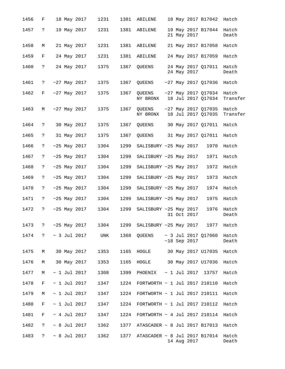| 1456 | F                    |  | 18 May 2017       | 1231                  | 1381 | ABILENE                                                    |  |                | 18 May 2017 B17042 Hatch                          |                     |
|------|----------------------|--|-------------------|-----------------------|------|------------------------------------------------------------|--|----------------|---------------------------------------------------|---------------------|
| 1457 | $\ddot{\mathbf{?}}$  |  | 19 May 2017       | 1231                  |      | 1381 ABILENE                                               |  | 21 May 2017    | 19 May 2017 B17044                                | Hatch<br>Death      |
| 1458 | М                    |  | 21 May 2017       | 1231                  |      | 1381 ABILENE                                               |  |                | 21 May 2017 B17058                                | Hatch               |
| 1459 | $F^-$                |  | 24 May 2017       | 1231                  | 1381 | ABILENE                                                    |  |                | 24 May 2017 B17059                                | Hatch               |
| 1460 | $\ddot{\mathbf{?}}$  |  | 24 May 2017       | 1375                  | 1367 | QUEENS                                                     |  | 24 May 2017    | 24 May 2017 Q17011 Hatch                          | Death               |
| 1461 | $\ddot{?}$           |  | $~27$ May 2017    | 1375                  | 1367 | QUEENS                                                     |  |                | $~27$ May 2017 017036 Hatch                       |                     |
| 1462 | $F -$                |  | $~27$ May 2017    | 1375                  | 1367 | QUEENS<br>NY BRONX                                         |  |                | $\sim$ 27 May 2017 Q17034<br>18 Jul 2017 Q17034   | Hatch<br>Transfer   |
| 1463 |                      |  | M ~27 May 2017    | 1375                  | 1367 | QUEENS<br>NY BRONX                                         |  |                | $~27$ May 2017 Q17035 Hatch<br>18 Jul 2017 Q17035 | Transfer            |
| 1464 | $\ddot{\phantom{0}}$ |  | 30 May 2017       | 1375                  | 1367 | QUEENS                                                     |  |                | 30 May 2017 Q17011 Hatch                          |                     |
| 1465 | $\ddot{\mathbf{?}}$  |  | 31 May 2017       | 1375                  | 1367 | QUEENS 31 May 2017 Q17011 Hatch                            |  |                |                                                   |                     |
| 1466 | $\mathbb{R}$         |  | $~25$ May 2017    | 1304                  | 1299 | SALISBURY ~25 May 2017 1970                                |  |                |                                                   | Hatch               |
| 1467 | $\ddot{?}$           |  | $~25$ May 2017    | 1304                  | 1299 | SALISBURY $~25$ May 2017                                   |  |                | 1971                                              | Hatch               |
| 1468 | $\mathbf{?}$         |  | $~25$ May 2017    | 1304                  | 1299 | SALISBURY ~25 May 2017                                     |  |                | 1972                                              | Hatch               |
| 1469 | $\ddot{ }$           |  | $~25$ May 2017    | 1304                  | 1299 | SALISBURY ~25 May 2017                                     |  |                | 1973                                              | Hatch               |
| 1470 | $\mathbf{P}$         |  | $~25$ May 2017    | 1304                  | 1299 | SALISBURY $~25$ May 2017                                   |  |                | 1974                                              | Hatch               |
| 1471 | $\mathsf{?}$         |  | $~25$ May 2017    | 1304                  | 1299 | SALISBURY ~25 May 2017                                     |  |                | 1975                                              | Hatch               |
| 1472 | $\ddot{?}$           |  | $~25$ May 2017    | 1304                  | 1299 | SALISBURY ~25 May 2017                                     |  | 31 Oct 2017    |                                                   | 1976 Hatch<br>Death |
| 1473 |                      |  |                   |                       |      | ? ~25 May 2017 1304 1299 SALISBURY ~25 May 2017 1977 Hatch |  |                |                                                   |                     |
| 1474 | $\ddot{?}$           |  |                   | $\sim$ 3 Jul 2017 UNK | 1368 | QUEENS                                                     |  | $~18$ Sep 2017 | $\sim$ 3 Jul 2017 Q17060                          | Hatch<br>Death      |
| 1475 | M                    |  | 30 May 2017       | 1353                  |      | 1165 HOGLE 30 May 2017 U17035 Hatch                        |  |                |                                                   |                     |
| 1476 | М                    |  | 30 May 2017       | 1353                  | 1165 | HOGLE 30 May 2017 U17036                                   |  |                |                                                   | Hatch               |
| 1477 | М                    |  | $\sim$ 1 Jul 2017 | 1308                  | 1399 | PHOENIX ~ 1 Jul 2017 13757                                 |  |                |                                                   | Hatch               |
| 1478 | F                    |  | $\sim$ 1 Jul 2017 | 1347                  |      | 1224 FORTWORTH ~ 1 Jul 2017 210110                         |  |                |                                                   | Hatch               |
| 1479 | М                    |  | $\sim$ 1 Jul 2017 | 1347                  | 1224 | FORTWORTH $\sim$ 1 Jul 2017 210111                         |  |                |                                                   | Hatch               |
| 1480 | F                    |  | $\sim$ 1 Jul 2017 | 1347                  | 1224 | FORTWORTH $\sim$ 1 Jul 2017 210112                         |  |                |                                                   | Hatch               |
| 1481 | F                    |  | $\sim 4$ Jul 2017 | 1347                  | 1224 | FORTWORTH $\sim$ 4 Jul 2017 210114 Hatch                   |  |                |                                                   |                     |
| 1482 | $\ddot{?}$           |  | $\sim 8$ Jul 2017 | 1362                  |      | 1377 ATASCADER ~ 8 Jul 2017 B17013                         |  |                |                                                   | Hatch               |
| 1483 | $\ddot{\mathbf{?}}$  |  | $\sim 8$ Jul 2017 | 1362                  |      | 1377 ATASCADER ~ 8 Jul 2017 B17014                         |  | 14 Aug 2017    |                                                   | Hatch<br>Death      |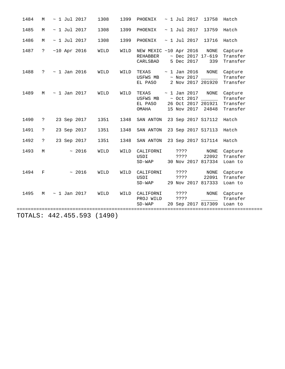| 1484 | М           | $\sim$ 1 Jul 2017 |       |              | 1308    | 1399 | PHOENIX                                               | $\sim$ 1 Jul 2017                |                  | 13758                                         | Hatch                                       |
|------|-------------|-------------------|-------|--------------|---------|------|-------------------------------------------------------|----------------------------------|------------------|-----------------------------------------------|---------------------------------------------|
| 1485 | М           | $\sim$ 1 Jul 2017 |       |              | 1308    | 1399 | PHOENIX                                               | $\sim$ 1 Jul 2017                |                  | 13759                                         | Hatch                                       |
| 1486 | М           | $\sim$ 1 Jul 2017 |       |              | 1308    | 1399 | PHOENIX                                               | $\sim$ 1 Jul 2017                |                  | 13716                                         | Hatch                                       |
| 1487 | $\tilde{S}$ | $~10$ Apr 2016    |       |              | WILD    | WILD | NEW MEXIC ~10 Apr 2016<br><b>REHABBER</b><br>CARLSBAD | 5 Dec 2017                       |                  | <b>NONE</b><br>$~\sim$ Dec 2017 17-619<br>339 | Capture<br>Transfer<br>Transfer             |
| 1488 | ?           | $\sim$ 1 Jan 2016 |       |              | WILD    | WILD | TEXAS<br>USFWS MB<br>EL PASO                          | $\sim$ 1 Jan 2016                | $~\sim$ Nov 2017 | <b>NONE</b><br>2 Nov 2017 201920              | Capture<br>Transfer<br>Transfer             |
| 1489 | М           | $\sim$ 1 Jan 2017 |       |              | WILD    | WILD | TEXAS<br>USFWS MB<br>EL PASO<br>OMAHA                 | $\sim$ 1 Jan 2017<br>15 Nov 2017 | $\sim$ Oct 2017  | <b>NONE</b><br>26 Oct 2017 201921<br>24848    | Capture<br>Transfer<br>Transfer<br>Transfer |
| 1490 | ?           | 23 Sep 2017       |       |              | 1351    | 1348 | SAN ANTON                                             |                                  |                  | 23 Sep 2017 S17112                            | Hatch                                       |
| 1491 | S.          | 23 Sep 2017       |       |              | 1351    | 1348 | SAN ANTON                                             |                                  |                  | 23 Sep 2017 S17113                            | Hatch                                       |
| 1492 | ?           | 23 Sep 2017       |       |              | 1351    | 1348 | SAN ANTON                                             |                                  |                  | 23 Sep 2017 S17114                            | Hatch                                       |
| 1493 | M           |                   | ~2016 |              | WILD    | WILD | CALIFORNI<br>USDI<br>$SD-WAP$                         | ????<br>????                     |                  | <b>NONE</b><br>22092<br>30 Nov 2017 817334    | Capture<br>Transfer<br>Loan to              |
| 1494 | F           |                   | ~2016 |              | WILD    | WILD | CALIFORNI<br>USDI<br>$SD-WAP$                         | 3333<br>????                     |                  | NONE<br>22091<br>29 Nov 2017 817333           | Capture<br>Transfer<br>Loan to              |
| 1495 | M           | $\sim$ 1 Jan 2017 |       |              | WILD    | WILD | CALIFORNI<br>PROJ WILD<br>$SD-WAP$                    | ? ? ? ?<br>????                  |                  | <b>NONE</b><br>20 Sep 2017 817309             | Capture<br>Transfer<br>Loan to              |
|      |             |                   |       | $-$ 0 $\sim$ | 1.7.001 |      |                                                       |                                  |                  |                                               |                                             |

TOTALS: 442.455.593 (1490)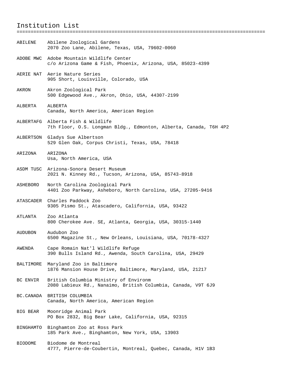## Institution List

| ABILENE        | Abilene Zoological Gardens<br>2070 Zoo Lane, Abilene, Texas, USA, 79602-0060                           |
|----------------|--------------------------------------------------------------------------------------------------------|
| ADOBE MWC      | Adobe Mountain Wildlife Center<br>c/o Arizona Game & Fish, Phoenix, Arizona, USA, 85023-4399           |
|                | AERIE NAT Aerie Nature Series<br>905 Short, Louisville, Colorado, USA                                  |
| AKRON          | Akron Zoological Park<br>500 Edgewood Ave., Akron, Ohio, USA, 44307-2199                               |
| ALBERTA        | ALBERTA<br>Canada, North America, American Region                                                      |
|                | ALBERTAFG Alberta Fish & Wildlife<br>7th Floor, O.S. Longman Bldg., Edmonton, Alberta, Canada, T6H 4P2 |
|                | ALBERTSON Gladys Sue Albertson<br>529 Glen Oak, Corpus Christi, Texas, USA, 78418                      |
| ARIZONA        | ARIZONA<br>Usa, North America, USA                                                                     |
|                | ASDM TUSC Arizona-Sonora Desert Museum<br>2021 N. Kinney Rd., Tucson, Arizona, USA, 85743-8918         |
| ASHEBORO       | North Carolina Zoological Park<br>4401 Zoo Parkway, Asheboro, North Carolina, USA, 27205-9416          |
| ATASCADER      | Charles Paddock Zoo<br>9305 Pismo St., Atascadero, California, USA, 93422                              |
| ATLANTA        | Zoo Atlanta<br>800 Cherokee Ave. SE, Atlanta, Georgia, USA, 30315-1440                                 |
| AUDUBON        | Audubon Zoo<br>6500 Magazine St., New Orleans, Louisiana, USA, 70178-4327                              |
| AWENDA         | Cape Romain Nat'l Wildlife Refuge<br>390 Bulls Island Rd., Awenda, South Carolina, USA, 29429          |
| BALTIMORE      | Maryland Zoo in Baltimore<br>1876 Mansion House Drive, Baltimore, Maryland, USA, 21217                 |
| BC ENVIR       | British Columbia Ministry of Environm<br>2080 Labieux Rd., Nanaimo, British Columbia, Canada, V9T 6J9  |
| BC.CANADA      | BRITISH COLUMBIA<br>Canada, North America, American Region                                             |
| BIG BEAR       | Moonridge Animal Park<br>PO Box 2832, Big Bear Lake, California, USA, 92315                            |
| BINGHAMTO      | Binghamton Zoo at Ross Park<br>185 Park Ave., Binghamton, New York, USA, 13903                         |
| <b>BIODOME</b> | Biodome de Montreal<br>4777, Pierre-de-Coubertin, Montreal, Quebec, Canada, H1V 1B3                    |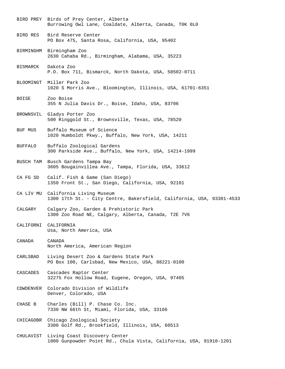BIRD PREY Birds of Prey Center, Alberta Burrowing Owl Lane, Coaldate, Alberta, Canada, T0K 0L0 BIRD RES Bird Reserve Center PO Box 475, Santa Rosa, California, USA, 95402 BIRMINGHM Birmingham Zoo 2630 Cahaba Rd., Birmingham, Alabama, USA, 35223 BISMARCK Dakota Zoo P.O. Box 711, Bismarck, North Dakota, USA, 58502-0711 BLOOMINGT Miller Park Zoo 1020 S Morris Ave., Bloomington, Illinois, USA, 61701-6351 BOISE Zoo Boise 355 N Julia Davis Dr., Boise, Idaho, USA, 83706 BROWNSVIL Gladys Porter Zoo 500 Ringgold St., Brownsville, Texas, USA, 78520 BUF MUS Buffalo Museum of Science 1020 Humboldt Pkwy., Buffalo, New York, USA, 14211 BUFFALO Buffalo Zoological Gardens 300 Parkside Ave., Buffalo, New York, USA, 14214-1999 BUSCH TAM Busch Gardens Tampa Bay 3605 Bougainvillea Ave., Tampa, Florida, USA, 33612 CA FG SD Calif. Fish & Game (San Diego) 1350 Front St., San Diego, California, USA, 92101 CA LIV MU California Living Museum 1300 17th St. - City Centre, Bakersfield, California, USA, 93301-4533 CALGARY Calgary Zoo, Garden & Prehistoric Park 1300 Zoo Road NE, Calgary, Alberta, Canada, T2E 7V6 CALIFORNI CALIFORNIA Usa, North America, USA CANADA CANADA North America, American Region CARLSBAD Living Desert Zoo & Gardens State Park PO Box 100, Carlsbad, New Mexico, USA, 88221-0100 CASCADES Cascades Raptor Center 32275 Fox Hollow Road, Eugene, Oregon, USA, 97405 CDWDENVER Colorado Division of Wildlife Denver, Colorado, USA CHASE B Charles (Bill) P. Chase Co. Inc. 7330 NW 66th St, Miami, Florida, USA, 33166 CHICAGOBR Chicago Zoological Society 3300 Golf Rd., Brookfield, Illinois, USA, 60513 CHULAVIST Living Coast Discovery Center 1000 Gunpowder Point Rd., Chula Vista, California, USA, 91910-1201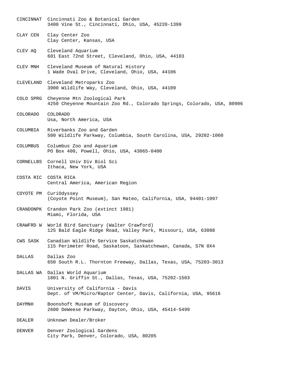CINCINNAT Cincinnati Zoo & Botanical Garden 3400 Vine St., Cincinnati, Ohio, USA, 45220-1399 CLAY CEN Clay Center Zoo Clay Center, Kansas, USA CLEV AQ Cleveland Aquarium 601 East 72nd Street, Cleveland, Ohio, USA, 44103 CLEV MNH Cleveland Museum of Natural History 1 Wade Oval Drive, Cleveland, Ohio, USA, 44106 CLEVELAND Cleveland Metroparks Zoo 3900 Wildlife Way, Cleveland, Ohio, USA, 44109 COLO SPRG Cheyenne Mtn Zoological Park 4250 Cheyenne Mountain Zoo Rd., Colorado Springs, Colorado, USA, 80906 COLORADO COLORADO Usa, North America, USA COLUMBIA Riverbanks Zoo and Garden 500 Wildlife Parkway, Columbia, South Carolina, USA, 29202-1060 COLUMBUS Columbus Zoo and Aquarium PO Box 400, Powell, Ohio, USA, 43065-0400 CORNELLBS Cornell Univ Div Biol Sci Ithaca, New York, USA COSTA RIC COSTA RICA Central America, American Region COYOTE PM CuriOdyssey (Coyote Point Museum), San Mateo, California, USA, 94401-1097 CRANDONPK Crandon Park Zoo (extinct 1981) Miami, Florida, USA CRAWFRD W World Bird Sanctuary (Walter Crawford) 125 Bald Eagle Ridge Road, Valley Park, Missouri, USA, 63088 CWS SASK Canadian Wildlife Service Saskatchewan 115 Perimeter Road, Saskatoon, Saskatchewan, Canada, S7N 0X4 DALLAS Dallas Zoo 650 South R.L. Thornton Freeway, Dallas, Texas, USA, 75203-3013 DALLAS WA Dallas World Aquarium 1801 N. Griffin St., Dallas, Texas, USA, 75202-1503 DAVIS University of California - Davis Dept. of VM/Micro/Raptor Center, Davis, California, USA, 95616 DAYMNH Boonshoft Museum of Discovery 2600 DeWeese Parkway, Dayton, Ohio, USA, 45414-5499 DEALER Unknown Dealer/Broker DENVER Denver Zoological Gardens City Park, Denver, Colorado, USA, 80205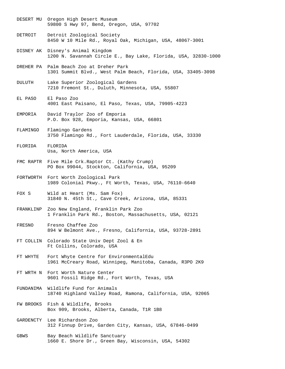- DESERT MU Oregon High Desert Museum 59800 S Hwy 97, Bend, Oregon, USA, 97702
- DETROIT Detroit Zoological Society 8450 W 10 Mile Rd., Royal Oak, Michigan, USA, 48067-3001
- DISNEY AK Disney's Animal Kingdom 1200 N. Savannah Circle E., Bay Lake, Florida, USA, 32830-1000
- DREHER PA Palm Beach Zoo at Dreher Park 1301 Summit Blvd., West Palm Beach, Florida, USA, 33405-3098
- DULUTH Lake Superior Zoological Gardens 7210 Fremont St., Duluth, Minnesota, USA, 55807
- EL PASO El Paso Zoo 4001 East Paisano, El Paso, Texas, USA, 79905-4223
- EMPORIA David Traylor Zoo of Emporia P.O. Box 928, Emporia, Kansas, USA, 66801
- FLAMINGO Flamingo Gardens 3750 Flamingo Rd., Fort Lauderdale, Florida, USA, 33330
- FLORIDA FLORIDA Usa, North America, USA
- FMC RAPTR Five Mile Crk.Raptor Ct. (Kathy Crump) PO Box 99044, Stockton, California, USA, 95209
- FORTWORTH Fort Worth Zoological Park 1989 Colonial Pkwy., Ft Worth, Texas, USA, 76110-6640
- FOX S Wild at Heart (Ms. Sam Fox) 31840 N. 45th St., Cave Creek, Arizona, USA, 85331
- FRANKLINP Zoo New England, Franklin Park Zoo 1 Franklin Park Rd., Boston, Massachusetts, USA, 02121
- FRESNO Fresno Chaffee Zoo 894 W Belmont Ave., Fresno, California, USA, 93728-2891
- FT COLLIN Colorado State Univ Dept Zool & En Ft Collins, Colorado, USA
- FT WHYTE Fort Whyte Centre for EnvironmentalEdu 1961 McCreary Road, Winnipeg, Manitoba, Canada, R3PO 2K9
- FT WRTH N Fort Worth Nature Center 9601 Fossil Ridge Rd., Fort Worth, Texas, USA
- FUNDANIMA Wildlife Fund for Animals 18740 Highland Valley Road, Ramona, California, USA, 92065
- FW BROOKS Fish & Wildlife, Brooks Box 909, Brooks, Alberta, Canada, T1R 1B8
- GARDENCTY Lee Richardson Zoo 312 Finnup Drive, Garden City, Kansas, USA, 67846-0499
- GBWS Bay Beach Wildlife Sanctuary 1660 E. Shore Dr., Green Bay, Wisconsin, USA, 54302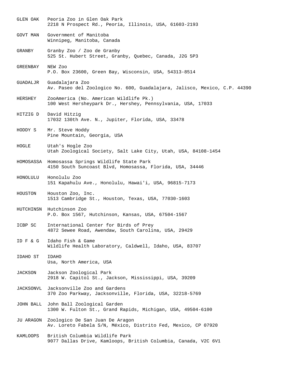GLEN OAK Peoria Zoo in Glen Oak Park 2218 N Prospect Rd., Peoria, Illinois, USA, 61603-2193 GOVT MAN Government of Manitoba Winnipeg, Manitoba, Canada GRANBY Granby Zoo / Zoo de Granby 525 St. Hubert Street, Granby, Quebec, Canada, J2G 5P3 GREENBAY NEW Zoo P.O. Box 23600, Green Bay, Wisconsin, USA, 54313-8514 GUADALJR Guadalajara Zoo Av. Paseo del Zoologico No. 600, Guadalajara, Jalisco, Mexico, C.P. 44390 HERSHEY ZooAmerica (No. American Wildlife Pk.) 100 West Hersheypark Dr., Hershey, Pennsylvania, USA, 17033 HITZIG D David Hitzig 17032 130th Ave. N., Jupiter, Florida, USA, 33478 HODDY S Mr. Steve Hoddy Pine Mountain, Georgia, USA HOGLE Utah's Hogle Zoo Utah Zoological Society, Salt Lake City, Utah, USA, 84108-1454 HOMOSASSA Homosassa Springs Wildlife State Park 4150 South Suncoast Blvd, Homosassa, Florida, USA, 34446 HONOLULU Honolulu Zoo 151 Kapahulu Ave., Honolulu, Hawai'i, USA, 96815-7173 HOUSTON Houston Zoo, Inc. 1513 Cambridge St., Houston, Texas, USA, 77030-1603 HUTCHINSN Hutchinson Zoo P.O. Box 1567, Hutchinson, Kansas, USA, 67504-1567 ICBP SC International Center for Birds of Prey 4872 Sewee Road, Awendaw, South Carolina, USA, 29429 ID F & G Idaho Fish & Game Wildlife Health Laboratory, Caldwell, Idaho, USA, 83707 IDAHO ST IDAHO Usa, North America, USA JACKSON Jackson Zoological Park 2918 W. Capitol St., Jackson, Mississippi, USA, 39209 JACKSONVL Jacksonville Zoo and Gardens 370 Zoo Parkway, Jacksonville, Florida, USA, 32218-5769 JOHN BALL John Ball Zoological Garden 1300 W. Fulton St., Grand Rapids, Michigan, USA, 49504-6100 JU ARAGON Zoologico De San Juan De Aragon Av. Loreto Fabela S/N, México, Distrito Fed, Mexico, CP 07920 KAMLOOPS British Columbia Wildlife Park 9077 Dallas Drive, Kamloops, British Columbia, Canada, V2C 6V1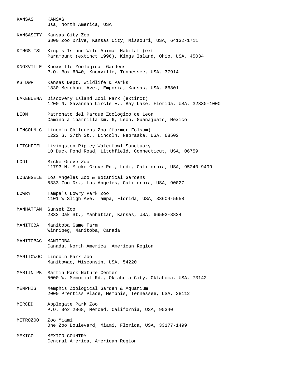KANSAS KANSAS Usa, North America, USA

- KANSASCTY Kansas City Zoo 6800 Zoo Drive, Kansas City, Missouri, USA, 64132-1711
- KINGS ISL King's Island Wild Animal Habitat (ext Paramount (extinct 1996), Kings Island, Ohio, USA, 45034
- KNOXVILLE Knoxville Zoological Gardens P.O. Box 6040, Knoxville, Tennessee, USA, 37914
- KS DWP Kansas Dept. Wildlife & Parks 1830 Merchant Ave., Emporia, Kansas, USA, 66801
- LAKEBUENA Discovery Island Zool Park (extinct) 1200 N. Savannah Circle E., Bay Lake, Florida, USA, 32830-1000
- LEON Patronato del Parque Zoologico de Leon Camino a ibarrilla km. 6, León, Guanajuato, Mexico
- LINCOLN C Lincoln Childrens Zoo (former Folsom) 1222 S. 27th St., Lincoln, Nebraska, USA, 68502
- LITCHFIEL Livingston Ripley Waterfowl Sanctuary 10 Duck Pond Road, Litchfield, Connecticut, USA, 06759
- LODI Micke Grove Zoo 11793 N. Micke Grove Rd., Lodi, California, USA, 95240-9499
- LOSANGELE Los Angeles Zoo & Botanical Gardens 5333 Zoo Dr., Los Angeles, California, USA, 90027
- LOWRY Tampa's Lowry Park Zoo 1101 W Sligh Ave, Tampa, Florida, USA, 33604-5958
- MANHATTAN Sunset Zoo 2333 Oak St., Manhattan, Kansas, USA, 66502-3824
- MANITOBA Manitoba Game Farm Winnipeg, Manitoba, Canada
- MANITOBAC MANITOBA Canada, North America, American Region
- MANITOWOC Lincoln Park Zoo Manitowac, Wisconsin, USA, 54220
- MARTIN PK Martin Park Nature Center 5000 W. Memorial Rd., Oklahoma City, Oklahoma, USA, 73142
- MEMPHIS Memphis Zoological Garden & Aquarium 2000 Prentiss Place, Memphis, Tennessee, USA, 38112
- MERCED Applegate Park Zoo P.O. Box 2068, Merced, California, USA, 95340
- METROZOO Zoo Miami One Zoo Boulevard, Miami, Florida, USA, 33177-1499
- MEXICO MEXICO COUNTRY Central America, American Region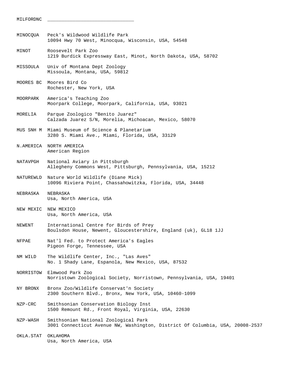MINOCQUA Peck's Wildwood Wildlife Park 10094 Hwy 70 West, Minocqua, Wisconsin, USA, 54548 MINOT Roosevelt Park Zoo 1219 Burdick Expressway East, Minot, North Dakota, USA, 58702 MISSOULA Univ of Montana Dept Zoology Missoula, Montana, USA, 59812 MOORES BC Moores Bird Co Rochester, New York, USA MOORPARK America's Teaching Zoo Moorpark College, Moorpark, California, USA, 93021 MORELIA Parque Zoologico "Benito Juarez" Calzada Juarez S/N, Morelia, Michoacan, Mexico, 58070 MUS SNH M Miami Museum of Science & Planetarium 3280 S. Miami Ave., Miami, Florida, USA, 33129 N.AMERICA NORTH AMERICA American Region NATAVPGH National Aviary in Pittsburgh Allegheny Commons West, Pittsburgh, Pennsylvania, USA, 15212 NATUREWLD Nature World Wildlife (Diane Mick) 10096 Riviera Point, Chassahowitzka, Florida, USA, 34448 NEBRASKA NEBRASKA Usa, North America, USA NEW MEXIC NEW MEXICO Usa, North America, USA NEWENT International Centre for Birds of Prey Boulsdon House, Newent, Gloucestershire, England (uk), GL18 1JJ NFPAE Nat'l Fed. to Protect America's Eagles Pigeon Forge, Tennessee, USA NM WILD The Wildlife Center, Inc., "Las Aves" No. 1 Shady Lane, Espanola, New Mexico, USA, 87532 NORRISTOW Elmwood Park Zoo Norristown Zoological Society, Norristown, Pennsylvania, USA, 19401 NY BRONX Bronx Zoo/Wildlife Conservat'n Society 2300 Southern Blvd., Bronx, New York, USA, 10460-1099 NZP-CRC Smithsonian Conservation Biology Inst 1500 Remount Rd., Front Royal, Virginia, USA, 22630 NZP-WASH Smithsonian National Zoological Park 3001 Connecticut Avenue NW, Washington, District Of Columbia, USA, 20008-2537

OKLA.STAT OKLAHOMA Usa, North America, USA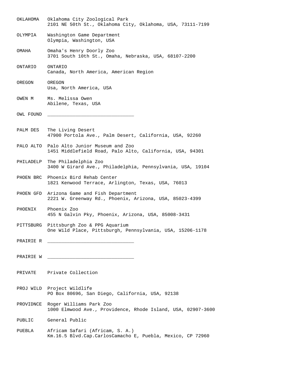OKLAHOMA Oklahoma City Zoological Park 2101 NE 50th St., Oklahoma City, Oklahoma, USA, 73111-7199 OLYMPIA Washington Game Department Olympia, Washington, USA OMAHA Omaha's Henry Doorly Zoo 3701 South 10th St., Omaha, Nebraska, USA, 68107-2200 ONTARIO ONTARIO Canada, North America, American Region OREGON OREGON Usa, North America, USA OWEN M Ms. Melissa Owen Abilene, Texas, USA OWL FOUND PALM DES The Living Desert 47900 Portola Ave., Palm Desert, California, USA, 92260 PALO ALTO Palo Alto Junior Museum and Zoo 1451 Middlefield Road, Palo Alto, California, USA, 94301 PHILADELP The Philadelphia Zoo 3400 W Girard Ave., Philadelphia, Pennsylvania, USA, 19104 PHOEN BRC Phoenix Bird Rehab Center 1821 Kenwood Terrace, Arlington, Texas, USA, 76013 PHOEN GFD Arizona Game and Fish Department 2221 W. Greenway Rd., Phoenix, Arizona, USA, 85023-4399 PHOENIX Phoenix Zoo 455 N Galvin Pky, Phoenix, Arizona, USA, 85008-3431 PITTSBURG Pittsburgh Zoo & PPG Aquarium One Wild Place, Pittsburgh, Pennsylvania, USA, 15206-1178 PRAIRIE R PRAIRIE W \_\_\_\_\_\_\_\_\_\_\_\_\_\_\_\_\_\_\_\_\_\_\_\_\_\_\_\_\_\_\_ PRIVATE Private Collection PROJ WILD Project Wildlife PO Box 80696, San Diego, California, USA, 92138 PROVIDNCE Roger Williams Park Zoo 1000 Elmwood Ave., Providence, Rhode Island, USA, 02907-3600 PUBLIC General Public PUEBLA Africam Safari (Africam, S. A.) Km.16.5 Blvd.Cap.CarlosCamacho E, Puebla, Mexico, CP 72960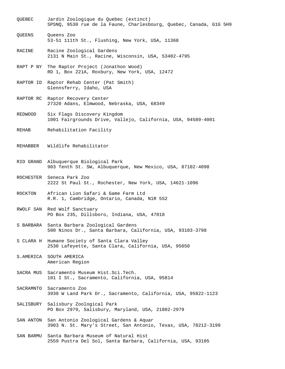QUEBEC Jardin Zoologique du Quebec (extinct) SPSNQ, 9530 rue de la Faune, Charlesbourg, Quebec, Canada, G1G 5H9 QUEENS Queens Zoo 53-51 111th St., Flushing, New York, USA, 11368 RACINE Racine Zoological Gardens 2131 N Main St., Racine, Wisconsin, USA, 53402-4795 RAPT P NY The Raptor Project (Jonathon Wood) RD 1, Box 221A, Roxbury, New York, USA, 12472 RAPTOR ID Raptor Rehab Center (Pat Smith) Glennsferry, Idaho, USA RAPTOR RC Raptor Recovery Center 27320 Adans, Elmwood, Nebraska, USA, 68349 REDWOOD Six Flags Discovery Kingdom 1001 Fairgrounds Drive, Vallejo, California, USA, 94589-4001 REHAB Rehabilitation Facility REHABBER Wildlife Rehabilitator RIO GRAND Albuquerque Biological Park 903 Tenth St. SW, Albuquerque, New Mexico, USA, 87102-4098 ROCHESTER Seneca Park Zoo 2222 St Paul St., Rochester, New York, USA, 14621-1096 ROCKTON African Lion Safari & Game Farm Ltd R.R. 1, Cambridge, Ontario, Canada, N1R 5S2 RWOLF SAN Red Wolf Sanctuary PO Box 235, Dillsboro, Indiana, USA, 47018 S BARBARA Santa Barbara Zoological Gardens 500 Ninos Dr., Santa Barbara, California, USA, 93103-3798 S CLARA H Humane Society of Santa Clara Valley 2530 Lafeyette, Santa Clara, California, USA, 95050 S.AMERICA SOUTH AMERICA American Region SACRA MUS Sacramento Museum Hist.Sci.Tech. 101 I St., Sacramento, California, USA, 95814 SACRAMNTO Sacramento Zoo 3930 W Land Park Dr., Sacramento, California, USA, 95822-1123 SALISBURY Salisbury Zoological Park PO Box 2979, Salisbury, Maryland, USA, 21802-2979 SAN ANTON San Antonio Zoological Gardens & Aquar 3903 N. St. Mary's Street, San Antonio, Texas, USA, 78212-3199 SAN BARMU Santa Barbara Museum of Natural Hist 2559 Pustra Del Sol, Santa Barbara, California, USA, 93105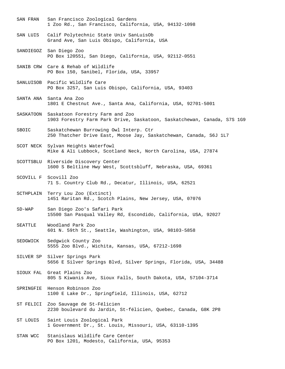- SAN FRAN San Francisco Zoological Gardens 1 Zoo Rd., San Francisco, California, USA, 94132-1098
- SAN LUIS Calif Polytechnic State Univ SanLuisOb Grand Ave, San Luis Obispo, California, USA
- SANDIEGOZ San Diego Zoo PO Box 120551, San Diego, California, USA, 92112-0551
- SANIB CRW Care & Rehab of Wildlife PO Box 150, Sanibel, Florida, USA, 33957
- SANLUISOB Pacific Wildlife Care PO Box 3257, San Luis Obispo, California, USA, 93403
- SANTA ANA Santa Ana Zoo 1801 E Chestnut Ave., Santa Ana, California, USA, 92701-5001
- SASKATOON Saskatoon Forestry Farm and Zoo 1903 Forestry Farm Park Drive, Saskatoon, Saskatchewan, Canada, S7S 1G9
- SBOIC Saskatchewan Burrowing Owl Interp. Ctr 250 Thatcher Drive East, Moose Jay, Saskatchewan, Canada, S6J 1L7
- SCOT NECK Sylvan Heights Waterfowl Mike & Ali Lubbock, Scotland Neck, North Carolina, USA, 27874
- SCOTTSBLU Riverside Discovery Center 1600 S Beltline Hwy West, Scottsbluff, Nebraska, USA, 69361
- SCOVILL F Scovill Zoo 71 S. Country Club Rd., Decatur, Illinois, USA, 62521
- SCTHPLAIN Terry Lou Zoo (Extinct) 1451 Raritan Rd., Scotch Plains, New Jersey, USA, 07076
- SD-WAP San Diego Zoo's Safari Park 15500 San Pasqual Valley Rd, Escondido, California, USA, 92027
- SEATTLE Woodland Park Zoo 601 N. 59th St., Seattle, Washington, USA, 98103-5858
- SEDGWICK Sedgwick County Zoo 5555 Zoo Blvd., Wichita, Kansas, USA, 67212-1698
- SILVER SP Silver Springs Park 5656 E Silver Springs Blvd, Silver Springs, Florida, USA, 34488
- SIOUX FAL Great Plains Zoo 805 S Kiwanis Ave, Sioux Falls, South Dakota, USA, 57104-3714
- SPRINGFIE Henson Robinson Zoo 1100 E Lake Dr., Springfield, Illinois, USA, 62712
- ST FELICI Zoo Sauvage de St-Félicien 2230 boulevard du Jardin, St-félicien, Quebec, Canada, G8K 2P8
- ST LOUIS Saint Louis Zoological Park 1 Government Dr., St. Louis, Missouri, USA, 63110-1395
- STAN WCC Stanislaus Wildlife Care Center PO Box 1201, Modesto, California, USA, 95353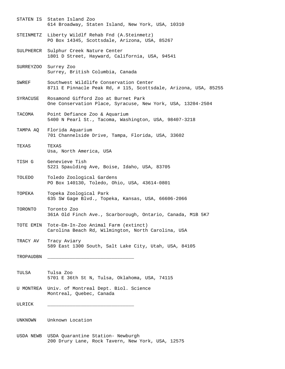STATEN IS Staten Island Zoo 614 Broadway, Staten Island, New York, USA, 10310 STEINMETZ Liberty Wildlf Rehab Fnd (A.Steinmetz) PO Box 14345, Scottsdale, Arizona, USA, 85267 SULPHERCR Sulphur Creek Nature Center 1801 D Street, Hayward, California, USA, 94541 SURREYZOO Surrey Zoo Surrey, British Columbia, Canada SWREF Southwest Wildlife Conservation Center 8711 E Pinnacle Peak Rd, # 115, Scottsdale, Arizona, USA, 85255 SYRACUSE Rosamond Gifford Zoo at Burnet Park One Conservation Place, Syracuse, New York, USA, 13204-2504 TACOMA Point Defiance Zoo & Aquarium 5400 N Pearl St., Tacoma, Washington, USA, 98407-3218 TAMPA AQ Florida Aquarium 701 Channelside Drive, Tampa, Florida, USA, 33602 TEXAS TEXAS Usa, North America, USA TISH G Genevieve Tish 5221 Spaulding Ave, Boise, Idaho, USA, 83705 TOLEDO Toledo Zoological Gardens PO Box 140130, Toledo, Ohio, USA, 43614-0801 TOPEKA Topeka Zoological Park 635 SW Gage Blvd., Topeka, Kansas, USA, 66606-2066 TORONTO Toronto Zoo 361A Old Finch Ave., Scarborough, Ontario, Canada, M1B 5K7 TOTE EMIN Tote-Em-In-Zoo Animal Farm (extinct) Carolina Beach Rd, Wilmington, North Carolina, USA TRACY AV Tracy Aviary 589 East 1300 South, Salt Lake City, Utah, USA, 84105 TROPAUDBN \_\_\_\_\_\_\_\_\_\_\_\_\_\_\_\_\_\_\_\_\_\_\_\_\_\_\_\_\_\_\_ TULSA Tulsa Zoo 5701 E 36th St N, Tulsa, Oklahoma, USA, 74115 U MONTREA Univ. of Montreal Dept. Biol. Science Montreal, Quebec, Canada ULRICK \_\_\_\_\_\_\_\_\_\_\_\_\_\_\_\_\_\_\_\_\_\_\_\_\_\_\_\_\_\_\_

UNKNOWN Unknown Location

USDA NEWB USDA Quarantine Station- Newburgh 200 Drury Lane, Rock Tavern, New York, USA, 12575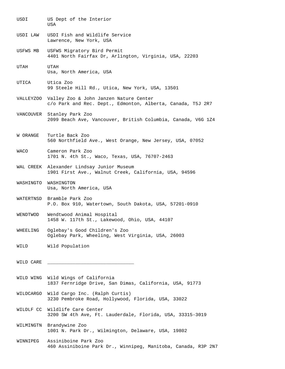USDI US Dept of the Interior USA USDI LAW USDI Fish and Wildlife Service Lawrence, New York, USA USFWS MB USFWS Migratory Bird Permit 4401 North Fairfax Dr, Arlington, Virginia, USA, 22203 UTAH UTAH Usa, North America, USA UTICA Utica Zoo 99 Steele Hill Rd., Utica, New York, USA, 13501 VALLEYZOO Valley Zoo & John Janzen Nature Center c/o Park and Rec. Dept., Edmonton, Alberta, Canada, T5J 2R7 VANCOUVER Stanley Park Zoo 2099 Beach Ave, Vancouver, British Columbia, Canada, V6G 1Z4 W ORANGE Turtle Back Zoo 560 Northfield Ave., West Orange, New Jersey, USA, 07052 WACO Cameron Park Zoo 1701 N. 4th St., Waco, Texas, USA, 76707-2463 WAL CREEK Alexander Lindsay Junior Museum 1901 First Ave., Walnut Creek, California, USA, 94596 WASHINGTO WASHINGTON Usa, North America, USA WATERTNSD Bramble Park Zoo P.O. Box 910, Watertown, South Dakota, USA, 57201-0910 WENDTWOD Wendtwood Animal Hospital 1458 W. 117th St., Lakewood, Ohio, USA, 44107 WHEELING Oglebay's Good Children's Zoo Oglebay Park, Wheeling, West Virginia, USA, 26003 WILD Wild Population WILD CARE WILD WING Wild Wings of California 1837 Fernridge Drive, San Dimas, California, USA, 91773 WILDCARGO Wild Cargo Inc. (Ralph Curtis) 3230 Pembroke Road, Hollywood, Florida, USA, 33022 WILDLF CC Wildlife Care Center 3200 SW 4th Ave, Ft. Lauderdale, Florida, USA, 33315-3019 WILMINGTN Brandywine Zoo 1001 N. Park Dr., Wilmington, Delaware, USA, 19802 WINNIPEG Assiniboine Park Zoo 460 Assiniboine Park Dr., Winnipeg, Manitoba, Canada, R3P 2N7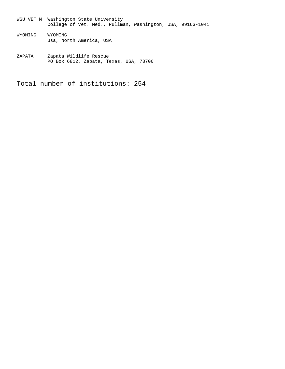- WSU VET M Washington State University College of Vet. Med., Pullman, Washington, USA, 99163-1041
- WYOMING WYOMING Usa, North America, USA
- ZAPATA Zapata Wildlife Rescue PO Box 6812, Zapata, Texas, USA, 78706

Total number of institutions: 254